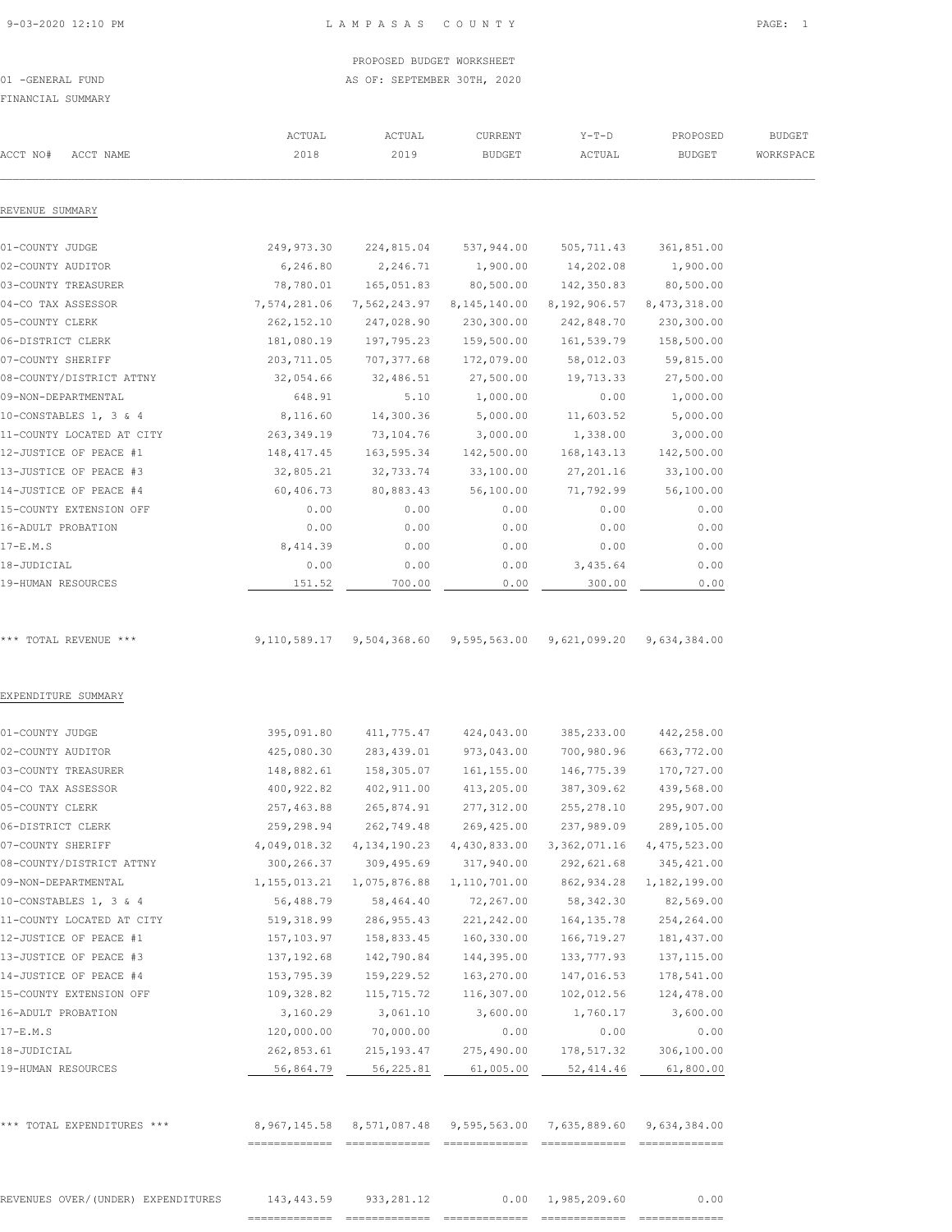#### 9-03-2020 12:10 PM L A M P A S A S C O U N T Y PAGE: 1

#### PROPOSED BUDGET WORKSHEET 01 -GENERAL FUND **AS OF: SEPTEMBER 30TH, 2020**

FINANCIAL SUMMARY

|                                    | ACTUAL         | ACTUAL       | CURRENT                   | $Y-T-D$                                                          | PROPOSED       | <b>BUDGET</b> |
|------------------------------------|----------------|--------------|---------------------------|------------------------------------------------------------------|----------------|---------------|
| ACCT NO#<br>ACCT NAME              | 2018           | 2019         | <b>BUDGET</b>             | ACTUAL                                                           | <b>BUDGET</b>  | WORKSPACE     |
| REVENUE SUMMARY                    |                |              |                           |                                                                  |                |               |
| 01-COUNTY JUDGE                    | 249,973.30     | 224,815.04   | 537,944.00                | 505,711.43                                                       | 361,851.00     |               |
| 02-COUNTY AUDITOR                  | 6,246.80       | 2,246.71     | 1,900.00                  | 14,202.08                                                        | 1,900.00       |               |
| 03-COUNTY TREASURER                | 78,780.01      | 165,051.83   | 80,500.00                 | 142,350.83                                                       | 80,500.00      |               |
| 04-CO TAX ASSESSOR                 | 7,574,281.06   | 7,562,243.97 | 8,145,140.00              | 8,192,906.57                                                     | 8, 473, 318.00 |               |
| 05-COUNTY CLERK                    | 262, 152.10    | 247,028.90   | 230,300.00                | 242,848.70                                                       | 230,300.00     |               |
| 06-DISTRICT CLERK                  | 181,080.19     | 197,795.23   | 159,500.00                | 161,539.79                                                       | 158,500.00     |               |
| 07-COUNTY SHERIFF                  | 203,711.05     | 707,377.68   | 172,079.00                | 58,012.03                                                        | 59,815.00      |               |
| 08-COUNTY/DISTRICT ATTNY           | 32,054.66      | 32,486.51    | 27,500.00                 | 19,713.33                                                        | 27,500.00      |               |
| 09-NON-DEPARTMENTAL                | 648.91         | 5.10         | 1,000.00                  | 0.00                                                             | 1,000.00       |               |
| 10-CONSTABLES 1, 3 & 4             | 8,116.60       | 14,300.36    | 5,000.00                  | 11,603.52                                                        | 5,000.00       |               |
| 11-COUNTY LOCATED AT CITY          | 263,349.19     | 73,104.76    | 3,000.00                  | 1,338.00                                                         | 3,000.00       |               |
| 12-JUSTICE OF PEACE #1             | 148, 417.45    | 163,595.34   | 142,500.00                | 168, 143. 13                                                     | 142,500.00     |               |
| 13-JUSTICE OF PEACE #3             | 32,805.21      | 32,733.74    | 33,100.00                 | 27,201.16                                                        | 33,100.00      |               |
| 14-JUSTICE OF PEACE #4             | 60,406.73      | 80,883.43    | 56,100.00                 | 71,792.99                                                        | 56,100.00      |               |
| 15-COUNTY EXTENSION OFF            | 0.00           | 0.00         | 0.00                      | 0.00                                                             | 0.00           |               |
| 16-ADULT PROBATION                 | 0.00           | 0.00         | 0.00                      | 0.00                                                             | 0.00           |               |
| $17-E.M.S$                         | 8,414.39       | 0.00         | 0.00                      | 0.00                                                             | 0.00           |               |
| 18-JUDICIAL                        | 0.00           | 0.00         | 0.00                      | 3,435.64                                                         | 0.00           |               |
| 19-HUMAN RESOURCES                 | 151.52         | 700.00       | 0.00                      | 300.00                                                           | 0.00           |               |
|                                    |                |              |                           |                                                                  |                |               |
| *** TOTAL REVENUE ***              | 9,110,589.17   |              | 9,504,368.60 9,595,563.00 | 9,621,099.20                                                     | 9,634,384.00   |               |
| EXPENDITURE SUMMARY                |                |              |                           |                                                                  |                |               |
| 01-COUNTY JUDGE                    | 395,091.80     | 411,775.47   | 424,043.00                | 385,233.00                                                       | 442,258.00     |               |
| 02-COUNTY AUDITOR                  | 425,080.30     | 283,439.01   | 973,043.00                | 700,980.96                                                       | 663,772.00     |               |
| 03-COUNTY TREASURER                | 148,882.61     | 158,305.07   | 161,155.00                | 146,775.39                                                       | 170,727.00     |               |
| 04-CO TAX ASSESSOR                 | 400, 922.82    | 402,911.00   | 413,205.00                | 387,309.62                                                       | 439,568.00     |               |
| 05-COUNTY CLERK                    | 257,463.88     | 265,874.91   | 277,312.00                | 255, 278.10                                                      | 295,907.00     |               |
| 06-DISTRICT CLERK                  | 259,298.94     | 262,749.48   | 269,425.00                | 237,989.09                                                       | 289,105.00     |               |
| 07-COUNTY SHERIFF                  | 4,049,018.32   | 4,134,190.23 | 4,430,833.00              | 3, 362, 071.16                                                   | 4,475,523.00   |               |
| 08-COUNTY/DISTRICT ATTNY           | 300,266.37     | 309,495.69   | 317,940.00                | 292,621.68                                                       | 345,421.00     |               |
| 09-NON-DEPARTMENTAL                | 1, 155, 013.21 | 1,075,876.88 | 1,110,701.00              | 862,934.28                                                       | 1,182,199.00   |               |
| 10-CONSTABLES 1, 3 & 4             | 56,488.79      | 58,464.40    | 72,267.00                 | 58,342.30                                                        | 82,569.00      |               |
| 11-COUNTY LOCATED AT CITY          | 519, 318.99    | 286, 955.43  | 221,242.00                | 164, 135.78                                                      | 254,264.00     |               |
| 12-JUSTICE OF PEACE #1             | 157,103.97     | 158,833.45   | 160,330.00                | 166,719.27                                                       | 181, 437.00    |               |
| 13-JUSTICE OF PEACE #3             | 137, 192.68    | 142,790.84   | 144,395.00                | 133,777.93                                                       | 137, 115.00    |               |
| 14-JUSTICE OF PEACE #4             | 153,795.39     | 159,229.52   | 163,270.00                | 147,016.53                                                       | 178,541.00     |               |
| 15-COUNTY EXTENSION OFF            | 109,328.82     | 115,715.72   | 116,307.00                | 102,012.56                                                       | 124,478.00     |               |
| 16-ADULT PROBATION                 | 3,160.29       | 3,061.10     | 3,600.00                  | 1,760.17                                                         | 3,600.00       |               |
| $17-E.M.S$                         | 120,000.00     | 70,000.00    | 0.00                      | 0.00                                                             | 0.00           |               |
| 18-JUDICIAL                        | 262,853.61     | 215, 193.47  | 275,490.00                | 178,517.32                                                       | 306,100.00     |               |
| 19-HUMAN RESOURCES                 | 56,864.79      | 56,225.81    | 61,005.00                 | 52,414.46                                                        | 61,800.00      |               |
|                                    |                |              |                           |                                                                  |                |               |
| *** TOTAL EXPENDITURES ***         |                |              |                           | 8,967,145.58 8,571,087.48 9,595,563.00 7,635,889.60 9,634,384.00 |                |               |
|                                    |                |              |                           |                                                                  |                |               |
| REVENUES OVER/(UNDER) EXPENDITURES | 143,443.59     | 933,281.12   |                           | $0.00 \quad 1,985,209.60$                                        | 0.00           |               |

============= ============= ============= ============= =============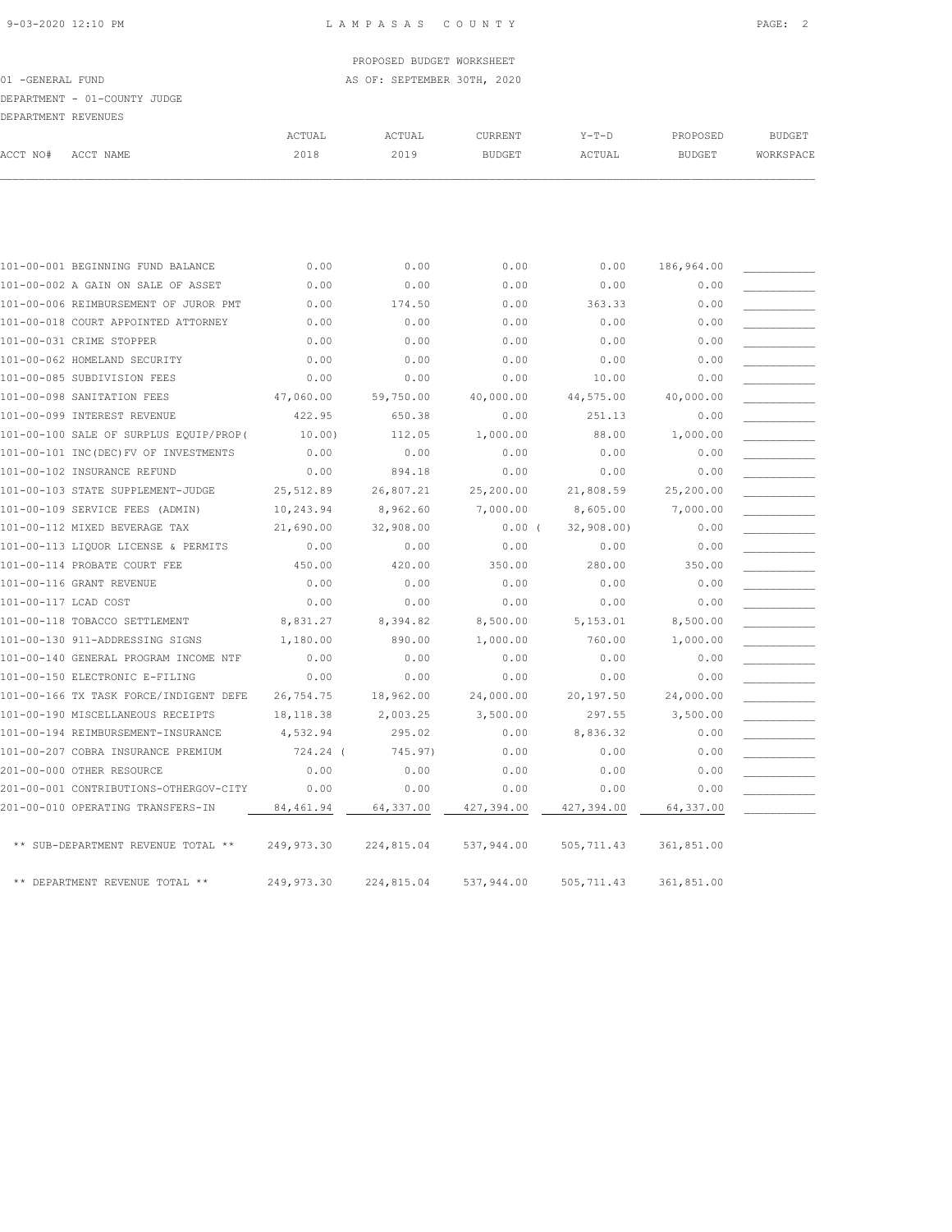| 101-00-001 BEGINNING FUND BALANCE      | 0.00        | 0.00       | 0.00       | 0.00       | 186,964.00 |  |
|----------------------------------------|-------------|------------|------------|------------|------------|--|
| 101-00-002 A GAIN ON SALE OF ASSET     | 0.00        | 0.00       | 0.00       | 0.00       | 0.00       |  |
| 101-00-006 REIMBURSEMENT OF JUROR PMT  | 0.00        | 174.50     | 0.00       | 363.33     | 0.00       |  |
| 101-00-018 COURT APPOINTED ATTORNEY    | 0.00        | 0.00       | 0.00       | 0.00       | 0.00       |  |
| 101-00-031 CRIME STOPPER               | 0.00        | 0.00       | 0.00       | 0.00       | 0.00       |  |
| 101-00-062 HOMELAND SECURITY           | 0.00        | 0.00       | 0.00       | 0.00       | 0.00       |  |
| 101-00-085 SUBDIVISION FEES            | 0.00        | 0.00       | 0.00       | 10.00      | 0.00       |  |
| 101-00-098 SANITATION FEES             | 47,060.00   | 59,750.00  | 40,000.00  | 44,575.00  | 40,000.00  |  |
| 101-00-099 INTEREST REVENUE            | 422.95      | 650.38     | 0.00       | 251.13     | 0.00       |  |
| 101-00-100 SALE OF SURPLUS EQUIP/PROP( | 10.00)      | 112.05     | 1,000.00   | 88.00      | 1,000.00   |  |
| 101-00-101 INC(DEC) FV OF INVESTMENTS  | 0.00        | 0.00       | 0.00       | 0.00       | 0.00       |  |
| 101-00-102 INSURANCE REFUND            | 0.00        | 894.18     | 0.00       | 0.00       | 0.00       |  |
| 101-00-103 STATE SUPPLEMENT-JUDGE      | 25,512.89   | 26,807.21  | 25,200.00  | 21,808.59  | 25,200.00  |  |
| 101-00-109 SERVICE FEES (ADMIN)        | 10,243.94   | 8,962.60   | 7,000.00   | 8,605.00   | 7,000.00   |  |
| 101-00-112 MIXED BEVERAGE TAX          | 21,690.00   | 32,908.00  | 0.00(      | 32,908.00) | 0.00       |  |
| 101-00-113 LIQUOR LICENSE & PERMITS    | 0.00        | 0.00       | 0.00       | 0.00       | 0.00       |  |
| 101-00-114 PROBATE COURT FEE           | 450.00      | 420.00     | 350.00     | 280.00     | 350.00     |  |
| 101-00-116 GRANT REVENUE               | 0.00        | 0.00       | 0.00       | 0.00       | 0.00       |  |
| 101-00-117 LCAD COST                   | 0.00        | 0.00       | 0.00       | 0.00       | 0.00       |  |
| 101-00-118 TOBACCO SETTLEMENT          | 8,831.27    | 8,394.82   | 8,500.00   | 5,153.01   | 8,500.00   |  |
| 101-00-130 911-ADDRESSING SIGNS        | 1,180.00    | 890.00     | 1,000.00   | 760.00     | 1,000.00   |  |
| 101-00-140 GENERAL PROGRAM INCOME NTF  | 0.00        | 0.00       | 0.00       | 0.00       | 0.00       |  |
| 101-00-150 ELECTRONIC E-FILING         | 0.00        | 0.00       | 0.00       | 0.00       | 0.00       |  |
| 101-00-166 TX TASK FORCE/INDIGENT DEFE | 26,754.75   | 18,962.00  | 24,000.00  | 20,197.50  | 24,000.00  |  |
| 101-00-190 MISCELLANEOUS RECEIPTS      | 18,118.38   | 2,003.25   | 3,500.00   | 297.55     | 3,500.00   |  |
| 101-00-194 REIMBURSEMENT-INSURANCE     | 4,532.94    | 295.02     | 0.00       | 8,836.32   | 0.00       |  |
| 101-00-207 COBRA INSURANCE PREMIUM     | 724.24 (    | 745.97)    | 0.00       | 0.00       | 0.00       |  |
| 201-00-000 OTHER RESOURCE              | 0.00        | 0.00       | 0.00       | 0.00       | 0.00       |  |
| 201-00-001 CONTRIBUTIONS-OTHERGOV-CITY | 0.00        | 0.00       | 0.00       | 0.00       | 0.00       |  |
| 201-00-010 OPERATING TRANSFERS-IN      | 84,461.94   | 64,337.00  | 427,394.00 | 427,394.00 | 64,337.00  |  |
|                                        |             |            |            |            |            |  |
| ** SUB-DEPARTMENT REVENUE TOTAL **     | 249, 973.30 | 224,815.04 | 537,944.00 | 505,711.43 | 361,851.00 |  |
|                                        |             |            |            |            |            |  |
| ** DEPARTMENT REVENUE TOTAL **         | 249, 973.30 | 224,815.04 | 537,944.00 | 505,711.43 | 361,851.00 |  |

### 01 -GENERAL FUND **AS OF: SEPTEMBER 30TH, 2020** DEPARTMENT - 01-COUNTY JUDGE DEPARTMENT REVENUES ACTUAL ACTUAL CURRENT Y-T-D PROPOSED BUDGET ACCT NO# ACCT NAME 2018 2019 BUDGET ACTUAL BUDGET WORKSPACE  $\mathcal{L} = \{ \mathcal{L} = \{ \mathcal{L} = \{ \mathcal{L} = \{ \mathcal{L} = \{ \mathcal{L} = \{ \mathcal{L} = \{ \mathcal{L} = \{ \mathcal{L} = \{ \mathcal{L} = \{ \mathcal{L} = \{ \mathcal{L} = \{ \mathcal{L} = \{ \mathcal{L} = \{ \mathcal{L} = \{ \mathcal{L} = \{ \mathcal{L} = \{ \mathcal{L} = \{ \mathcal{L} = \{ \mathcal{L} = \{ \mathcal{L} = \{ \mathcal{L} = \{ \mathcal{L} = \{ \mathcal{L} = \{ \mathcal{$

PROPOSED BUDGET WORKSHEET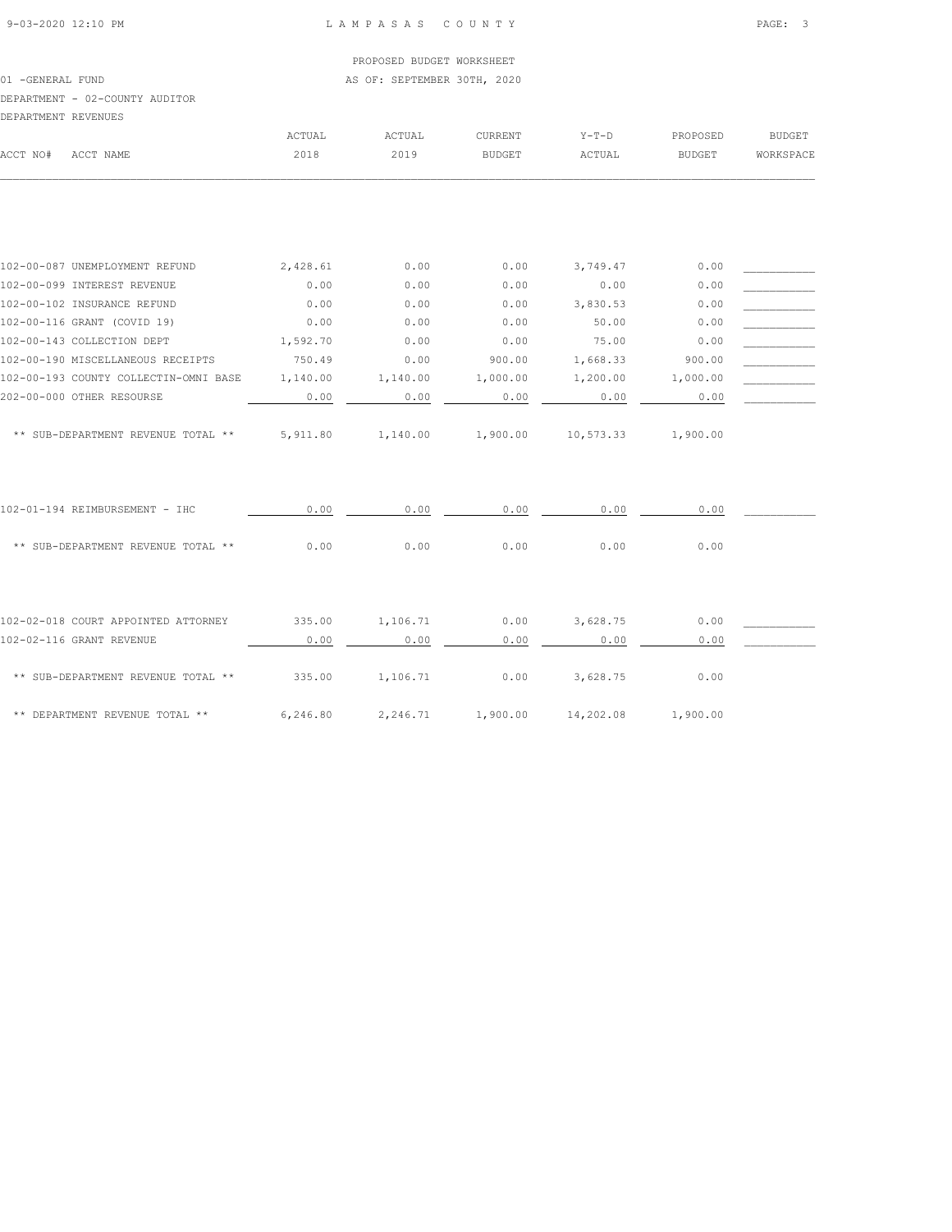01 -GENERAL FUND **AS OF: SEPTEMBER 30TH, 2020** 

#### DEPARTMENT - 02-COUNTY AUDITOR

| DEPARTMENT REVENUES |           |        |        |                |         |               |               |
|---------------------|-----------|--------|--------|----------------|---------|---------------|---------------|
|                     |           | ACTUAL | ACTUAL | <b>CURRENT</b> | $Y-T-D$ | PROPOSED      | <b>BUDGET</b> |
| ACCT NO#            | ACCT NAME | 2018   | 2019   | <b>BUDGET</b>  | ACTUAL  | <b>BUDGET</b> | WORKSPACE     |
|                     |           |        |        |                |         |               |               |

| 102-00-087 UNEMPLOYMENT REFUND        | 2,428.61 | 0.00     | 0.00     | 3,749.47  | 0.00     |  |
|---------------------------------------|----------|----------|----------|-----------|----------|--|
| 102-00-099 INTEREST REVENUE           | 0.00     | 0.00     | 0.00     | 0.00      | 0.00     |  |
| 102-00-102 INSURANCE REFUND           | 0.00     | 0.00     | 0.00     | 3,830.53  | 0.00     |  |
| 102-00-116 GRANT (COVID 19)           | 0.00     | 0.00     | 0.00     | 50.00     | 0.00     |  |
| 102-00-143 COLLECTION DEPT            | 1,592.70 | 0.00     | 0.00     | 75.00     | 0.00     |  |
| 102-00-190 MISCELLANEOUS RECEIPTS     | 750.49   | 0.00     | 900.00   | 1,668.33  | 900.00   |  |
| 102-00-193 COUNTY COLLECTIN-OMNI BASE | 1,140.00 | 1,140.00 | 1,000.00 | 1,200.00  | 1,000.00 |  |
| 202-00-000 OTHER RESOURSE             | 0.00     | 0.00     | 0.00     | 0.00      | 0.00     |  |
| ** SUB-DEPARTMENT REVENUE TOTAL **    | 5,911.80 | 1,140.00 | 1,900.00 | 10,573.33 | 1,900.00 |  |
| 102-01-194 REIMBURSEMENT - IHC        | 0.00     | 0.00     | 0.00     | 0.00      | 0.00     |  |
| ** SUB-DEPARTMENT REVENUE TOTAL **    | 0.00     | 0.00     | 0.00     | 0.00      | 0.00     |  |
|                                       |          |          |          |           |          |  |
| 102-02-018 COURT APPOINTED ATTORNEY   | 335.00   | 1,106.71 | 0.00     | 3,628.75  | 0.00     |  |
| 102-02-116 GRANT REVENUE              | 0.00     | 0.00     | 0.00     | 0.00      | 0.00     |  |
| ** SUB-DEPARTMENT REVENUE TOTAL **    | 335.00   | 1,106.71 | 0.00     | 3,628.75  | 0.00     |  |
| ** DEPARTMENT REVENUE TOTAL **        | 6,246.80 | 2,246.71 | 1,900.00 | 14,202.08 | 1,900.00 |  |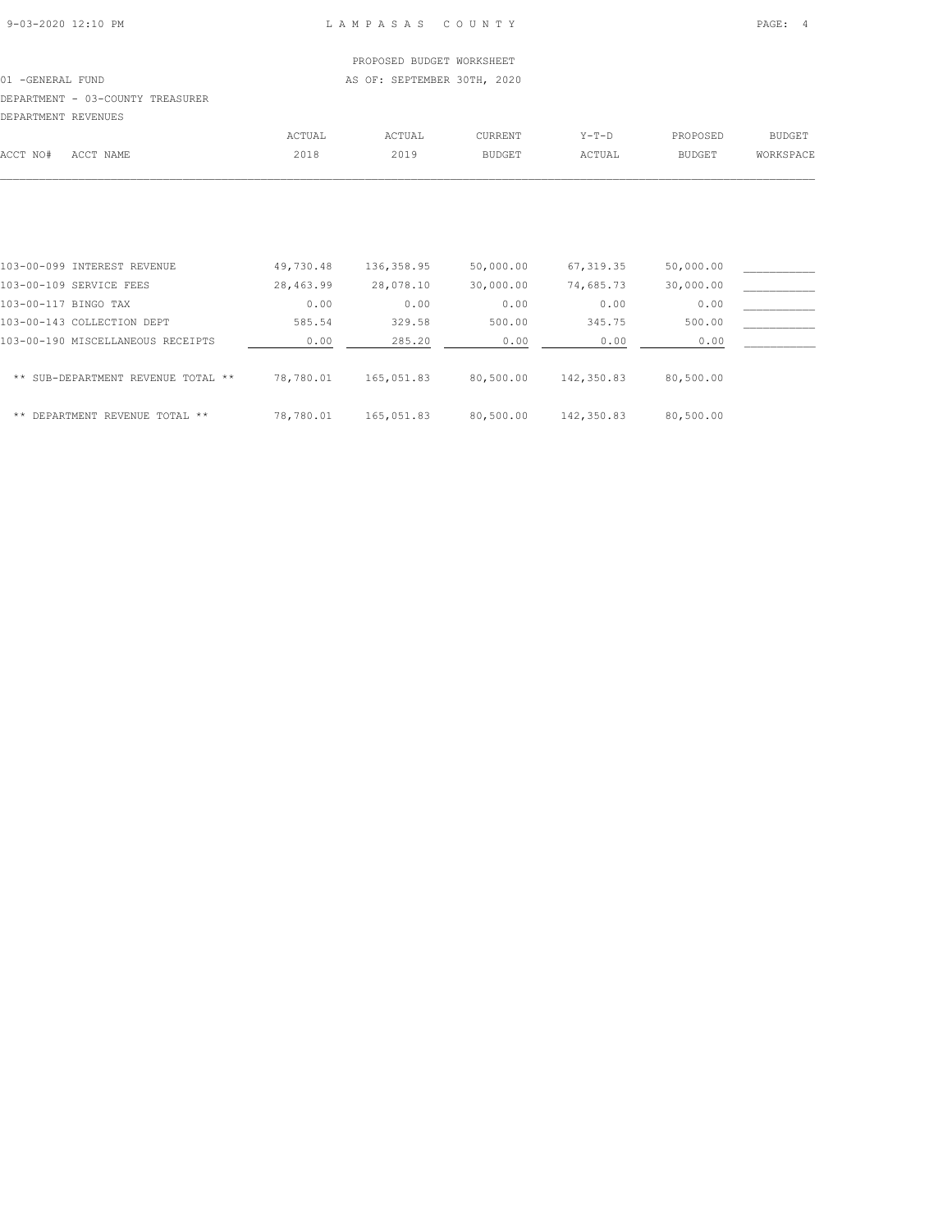#### 01 -GENERAL FUND **AS OF: SEPTEMBER 30TH, 2020**

### DEPARTMENT - 03-COUNTY TREASURER

| DEPARTMENT REVENUES |  |
|---------------------|--|

| LA LANININI INDIVERA |           |        |       |                |         |          |               |
|----------------------|-----------|--------|-------|----------------|---------|----------|---------------|
|                      |           | ACTUAL | CTUAL | <b>IIRRENT</b> | $Y-T-D$ | PROPOSED | <b>BUDGET</b> |
| ACCT NO#             | ACCT NAME | 2018   | 2019  | BUDGET.        | ACTUAL  | BUDGET   | WORKSPACE     |
|                      |           |        |       |                |         |          |               |

| 103-00-099 INTEREST REVENUE        | 49,730.48 | 136, 358.95 | 50,000.00 | 67, 319.35  | 50,000.00 |  |
|------------------------------------|-----------|-------------|-----------|-------------|-----------|--|
| 103-00-109 SERVICE FEES            | 28,463.99 | 28,078.10   | 30,000.00 | 74,685.73   | 30,000.00 |  |
| 103-00-117 BINGO TAX               | 0.00      | 0.00        | 0.00      | 0.00        | 0.00      |  |
| 103-00-143 COLLECTION DEPT         | 585.54    | 329.58      | 500.00    | 345.75      | 500.00    |  |
| 103-00-190 MISCELLANEOUS RECEIPTS  | 0.00      | 285.20      | 0.00      | 0.00        | 0.00      |  |
| ** SUB-DEPARTMENT REVENUE TOTAL ** | 78,780.01 | 165,051.83  | 80,500.00 | 142,350.83  | 80,500.00 |  |
| ** DEPARTMENT REVENUE TOTAL **     | 78,780.01 | 165,051.83  | 80,500.00 | 142, 350.83 | 80,500.00 |  |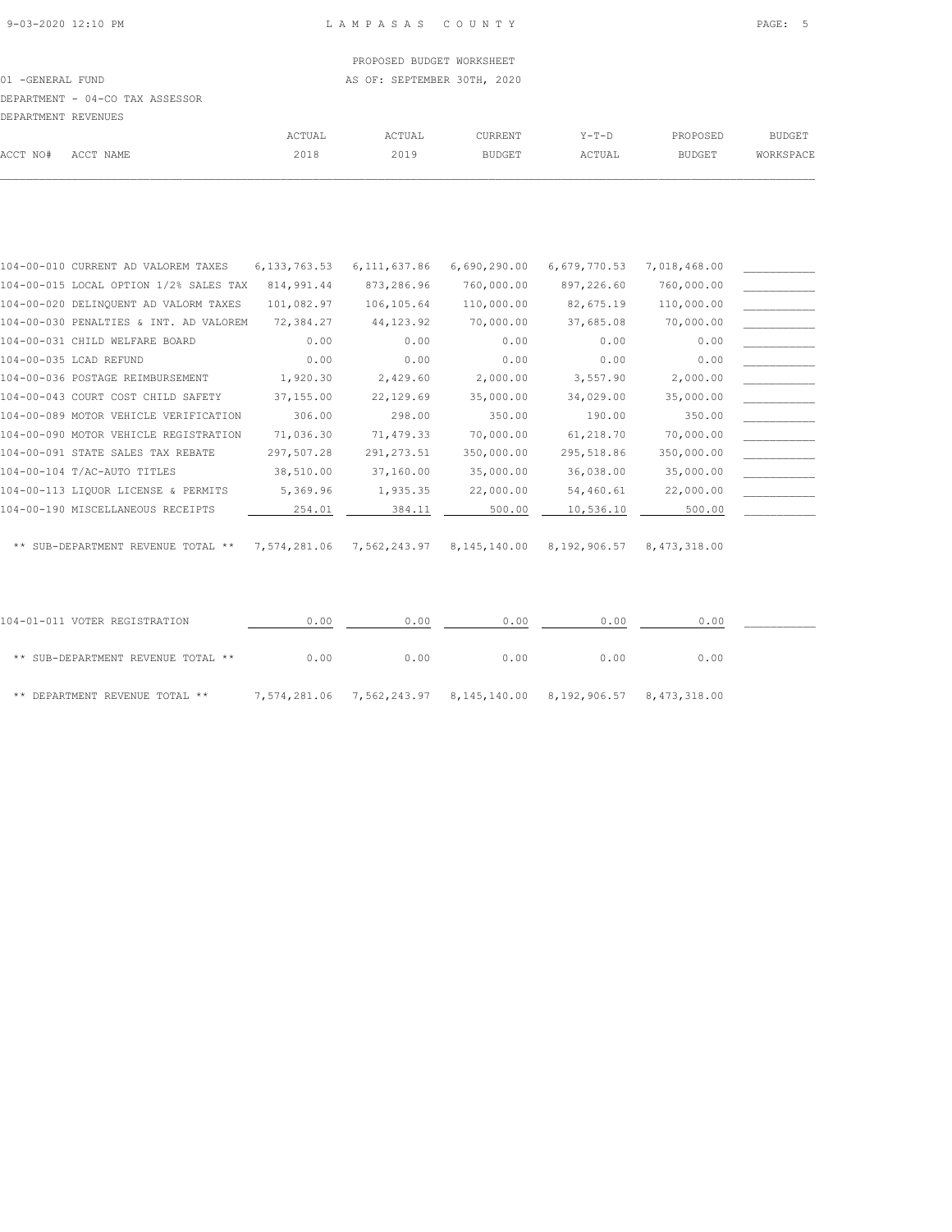# PROPOSED BUDGET WORKSHEET 01 -GENERAL FUND **AS OF: SEPTEMBER 30TH, 2020**

DEPARTMENT - 04-CO TAX ASSESSOR

| DEPARTMENT REVENUES |           |               |        |               |        |               |               |
|---------------------|-----------|---------------|--------|---------------|--------|---------------|---------------|
|                     |           | <b>ACTUAL</b> | ACTUAL | CURRENT       | Y-T-D  | PROPOSED      | <b>BUDGET</b> |
| ACCT NO#            | ACCT NAME | 2018          | 2019   | <b>BUDGET</b> | ACTUAL | <b>BUDGET</b> | WORKSPACE     |
|                     |           |               |        |               |        |               |               |

| 104-00-010 CURRENT AD VALOREM TAXES    | 6, 133, 763.53 | 6, 111, 637.86 | 6,690,290.00              | 6,679,770.53 | 7,018,468.00 |  |
|----------------------------------------|----------------|----------------|---------------------------|--------------|--------------|--|
| 104-00-015 LOCAL OPTION 1/2% SALES TAX | 814,991.44     | 873,286.96     | 760,000.00                | 897,226.60   | 760,000.00   |  |
| 104-00-020 DELINQUENT AD VALORM TAXES  | 101,082.97     | 106,105.64     | 110,000.00                | 82,675.19    | 110,000.00   |  |
| 104-00-030 PENALTIES & INT. AD VALOREM | 72,384.27      | 44, 123.92     | 70,000.00                 | 37,685.08    | 70,000.00    |  |
| 104-00-031 CHILD WELFARE BOARD         | 0.00           | 0.00           | 0.00                      | 0.00         | 0.00         |  |
| 104-00-035 LCAD REFUND                 | 0.00           | 0.00           | 0.00                      | 0.00         | 0.00         |  |
| 104-00-036 POSTAGE REIMBURSEMENT       | 1,920.30       | 2,429.60       | 2,000.00                  | 3,557.90     | 2,000.00     |  |
| 104-00-043 COURT COST CHILD SAFETY     | 37,155.00      | 22,129.69      | 35,000.00                 | 34,029.00    | 35,000.00    |  |
| 104-00-089 MOTOR VEHICLE VERIFICATION  | 306.00         | 298.00         | 350.00                    | 190.00       | 350.00       |  |
| 104-00-090 MOTOR VEHICLE REGISTRATION  | 71,036.30      | 71,479.33      | 70,000.00                 | 61,218.70    | 70,000.00    |  |
| 104-00-091 STATE SALES TAX REBATE      | 297,507.28     | 291, 273.51    | 350,000.00                | 295,518.86   | 350,000.00   |  |
| 104-00-104 T/AC-AUTO TITLES            | 38,510.00      | 37,160.00      | 35,000.00                 | 36,038.00    | 35,000.00    |  |
| 104-00-113 LIQUOR LICENSE & PERMITS    | 5,369.96       | 1,935.35       | 22,000.00                 | 54,460.61    | 22,000.00    |  |
| 104-00-190 MISCELLANEOUS RECEIPTS      | 254.01         | 384.11         | 500.00                    | 10,536.10    | 500.00       |  |
|                                        |                |                |                           |              |              |  |
| ** SUB-DEPARTMENT REVENUE TOTAL **     | 7,574,281.06   |                | 7,562,243.97 8,145,140.00 | 8,192,906.57 | 8,473,318.00 |  |
|                                        |                |                |                           |              |              |  |
|                                        |                |                |                           |              |              |  |
|                                        |                |                |                           |              |              |  |

| 104-01-011 VOTER REGISTRATION      | 0.00 | 0.00                                                             | 0.00 | 0.00 | 0.00 |  |
|------------------------------------|------|------------------------------------------------------------------|------|------|------|--|
| ** SUB-DEPARTMENT REVENUE TOTAL ** | 0.00 | 0.00                                                             | 0.00 | 0.00 | 0.00 |  |
| ** DEPARTMENT REVENUE TOTAL **     |      | 7,574,281.06 7,562,243.97 8,145,140.00 8,192,906.57 8,473,318.00 |      |      |      |  |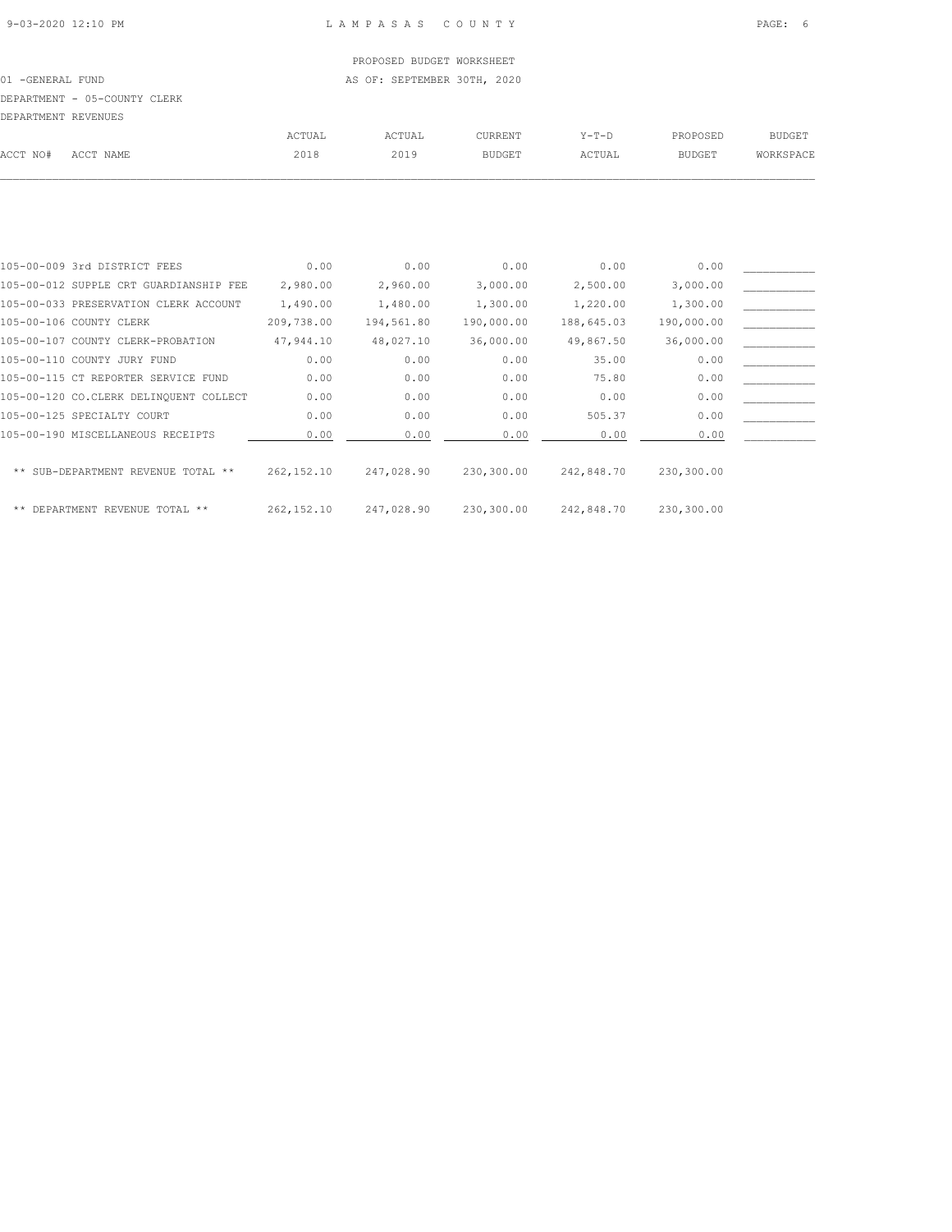01 -GENERAL FUND **AS OF: SEPTEMBER 30TH, 2020** 

## DEPARTMENT - 05-COUNTY CLERK

| DEPARTMENT REVENUES |           |        |        |                |         |          |           |
|---------------------|-----------|--------|--------|----------------|---------|----------|-----------|
|                     |           | ACTUAL | ACTUAL | <b>CURRENT</b> | $Y-T-D$ | PROPOSED | BUDGET    |
| ACCT NO#            | ACCT NAME | 2018   | 2019   | BUDGET         | ACTUAL  | BUDGET   | WORKSPACE |
|                     |           |        |        |                |         |          |           |

| 105-00-009 3rd DISTRICT FEES           | 0.00        | 0.00       | 0.00       | 0.00       | 0.00       |  |
|----------------------------------------|-------------|------------|------------|------------|------------|--|
| 105-00-012 SUPPLE CRT GUARDIANSHIP FEE | 2,980.00    | 2,960.00   | 3,000.00   | 2,500.00   | 3,000.00   |  |
| 105-00-033 PRESERVATION CLERK ACCOUNT  | 1,490.00    | 1,480.00   | 1,300.00   | 1,220.00   | 1,300.00   |  |
| 105-00-106 COUNTY CLERK                | 209,738.00  | 194,561.80 | 190,000.00 | 188,645.03 | 190,000.00 |  |
| 105-00-107 COUNTY CLERK-PROBATION      | 47,944.10   | 48,027.10  | 36,000.00  | 49,867.50  | 36,000.00  |  |
| 105-00-110 COUNTY JURY FUND            | 0.00        | 0.00       | 0.00       | 35.00      | 0.00       |  |
| 105-00-115 CT REPORTER SERVICE FUND    | 0.00        | 0.00       | 0.00       | 75.80      | 0.00       |  |
| 105-00-120 CO.CLERK DELINQUENT COLLECT | 0.00        | 0.00       | 0.00       | 0.00       | 0.00       |  |
| 105-00-125 SPECIALTY COURT             | 0.00        | 0.00       | 0.00       | 505.37     | 0.00       |  |
| 105-00-190 MISCELLANEOUS RECEIPTS      | 0.00        | 0.00       | 0.00       | 0.00       | 0.00       |  |
|                                        |             |            |            |            |            |  |
| ** SUB-DEPARTMENT REVENUE TOTAL **     | 262, 152.10 | 247,028.90 | 230,300.00 | 242,848.70 | 230,300.00 |  |
|                                        |             |            |            |            |            |  |
| ** DEPARTMENT REVENUE TOTAL **         | 262, 152.10 | 247,028.90 | 230,300.00 | 242,848.70 | 230,300.00 |  |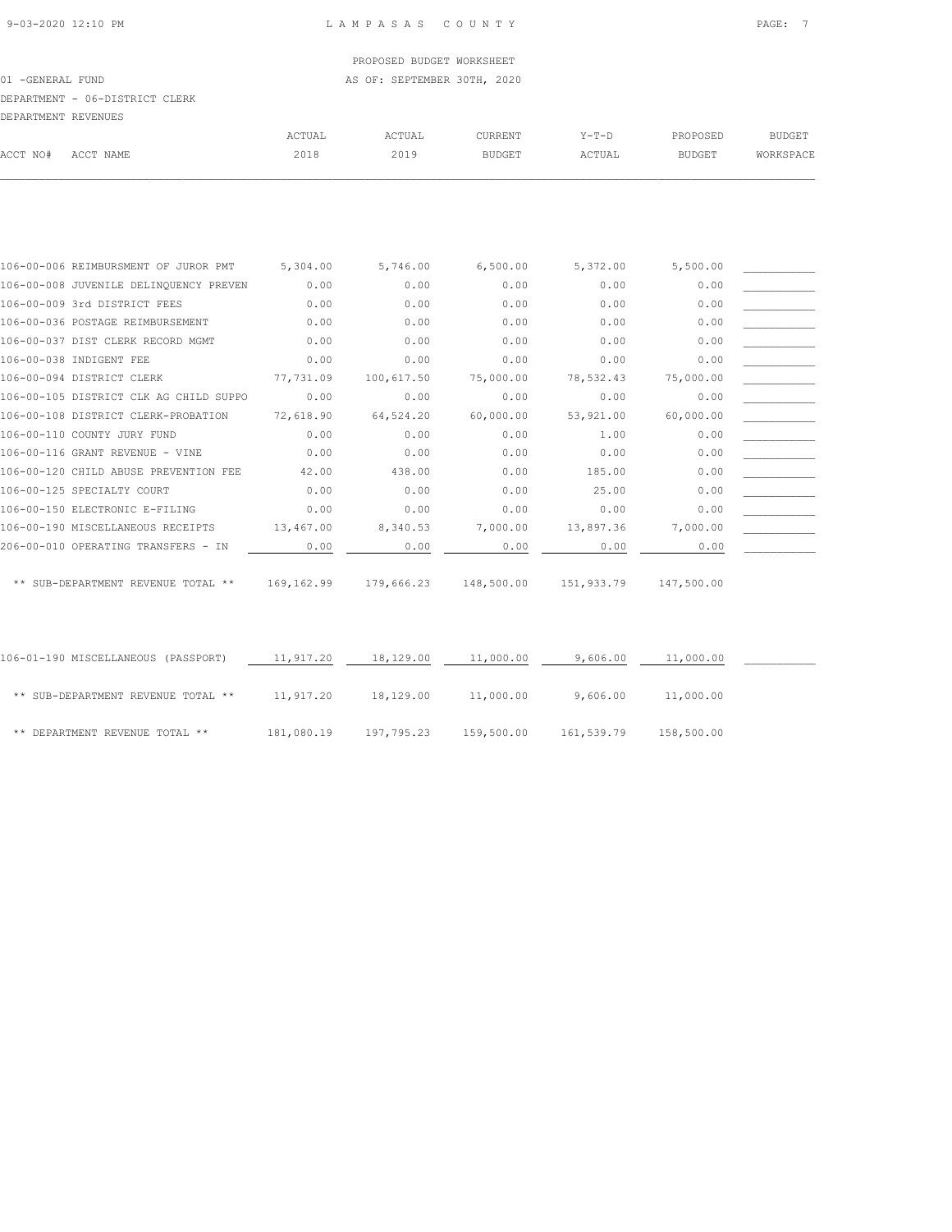01 -GENERAL FUND **AS OF: SEPTEMBER 30TH, 2020** 

#### DEPARTMENT - 06-DISTRICT CLERK

| DEPARTMENT REVENUES |           |        |        |                |         |               |               |
|---------------------|-----------|--------|--------|----------------|---------|---------------|---------------|
|                     |           | ACTUAL | ACTUAL | <b>CURRENT</b> | $Y-T-D$ | PROPOSED      | <b>BUDGET</b> |
| ACCT NO#            | ACCT NAME | 2018   | 2019   | <b>BUDGET</b>  | ACTUAL  | <b>BUDGET</b> | WORKSPACE     |
|                     |           |        |        |                |         |               |               |

| 106-00-006 REIMBURSMENT OF JUROR PMT   | 5,304.00    | 5,746.00   | 6,500.00   | 5,372.00   | 5,500.00   |  |
|----------------------------------------|-------------|------------|------------|------------|------------|--|
| 106-00-008 JUVENILE DELINQUENCY PREVEN | 0.00        | 0.00       | 0.00       | 0.00       | 0.00       |  |
| 106-00-009 3rd DISTRICT FEES           | 0.00        | 0.00       | 0.00       | 0.00       | 0.00       |  |
| 106-00-036 POSTAGE REIMBURSEMENT       | 0.00        | 0.00       | 0.00       | 0.00       | 0.00       |  |
| 106-00-037 DIST CLERK RECORD MGMT      | 0.00        | 0.00       | 0.00       | 0.00       | 0.00       |  |
| 106-00-038 INDIGENT FEE                | 0.00        | 0.00       | 0.00       | 0.00       | 0.00       |  |
| 106-00-094 DISTRICT CLERK              | 77,731.09   | 100,617.50 | 75,000.00  | 78,532.43  | 75,000.00  |  |
| 106-00-105 DISTRICT CLK AG CHILD SUPPO | 0.00        | 0.00       | 0.00       | 0.00       | 0.00       |  |
| 106-00-108 DISTRICT CLERK-PROBATION    | 72,618.90   | 64,524.20  | 60,000.00  | 53,921.00  | 60,000.00  |  |
| 106-00-110 COUNTY JURY FUND            | 0.00        | 0.00       | 0.00       | 1.00       | 0.00       |  |
| 106-00-116 GRANT REVENUE - VINE        | 0.00        | 0.00       | 0.00       | 0.00       | 0.00       |  |
| 106-00-120 CHILD ABUSE PREVENTION FEE  | 42.00       | 438.00     | 0.00       | 185.00     | 0.00       |  |
| 106-00-125 SPECIALTY COURT             | 0.00        | 0.00       | 0.00       | 25.00      | 0.00       |  |
| 106-00-150 ELECTRONIC E-FILING         | 0.00        | 0.00       | 0.00       | 0.00       | 0.00       |  |
| 106-00-190 MISCELLANEOUS RECEIPTS      | 13,467.00   | 8,340.53   | 7,000.00   | 13,897.36  | 7,000.00   |  |
| 206-00-010 OPERATING TRANSFERS - IN    | 0.00        | 0.00       | 0.00       | 0.00       | 0.00       |  |
| ** SUB-DEPARTMENT REVENUE TOTAL **     | 169, 162.99 | 179,666.23 | 148,500.00 | 151,933.79 | 147,500.00 |  |

| 106-01-190 MISCELLANEOUS (PASSPORT) | 11,917.20  | 18,129.00  | 11,000.00  | 9,606.00   | 11,000.00  |  |
|-------------------------------------|------------|------------|------------|------------|------------|--|
| ** SUB-DEPARTMENT REVENUE TOTAL **  | 11,917.20  | 18,129.00  | 11,000.00  | 9,606.00   | 11,000.00  |  |
| ** DEPARTMENT REVENUE TOTAL **      | 181,080.19 | 197,795.23 | 159,500.00 | 161,539.79 | 158,500.00 |  |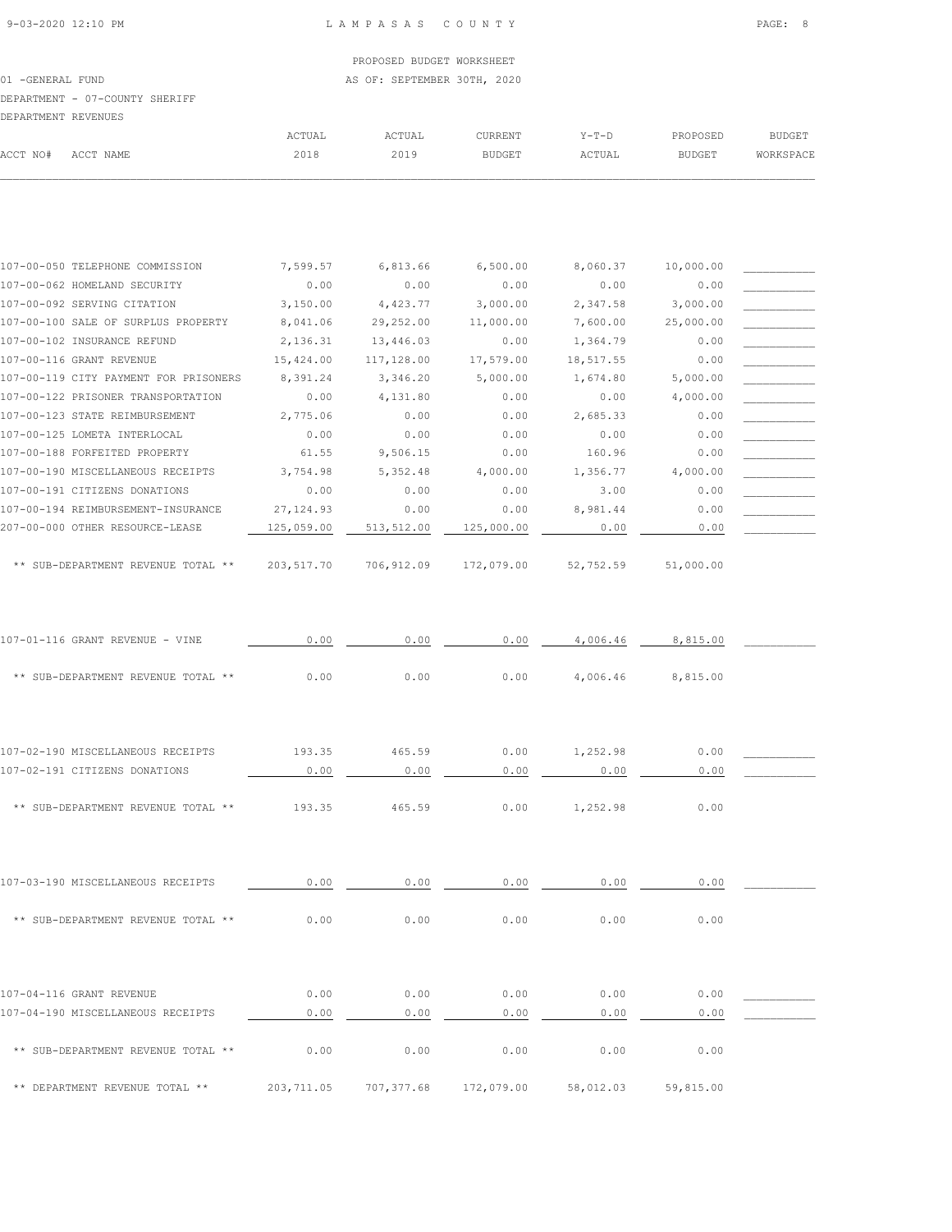|                  | PROPOSED BUDGET WORKSHEET   |
|------------------|-----------------------------|
| 01 -GENERAL FUND | AS OF: SEPTEMBER 30TH, 2020 |

 ACTUAL ACTUAL CURRENT Y-T-D PROPOSED BUDGET ACCT NO# ACCT NAME 2018 2019 BUDGET ACTUAL BUDGET WORKSPACE  $\mathcal{L} = \{ \mathcal{L} = \{ \mathcal{L} = \{ \mathcal{L} = \{ \mathcal{L} = \{ \mathcal{L} = \{ \mathcal{L} = \{ \mathcal{L} = \{ \mathcal{L} = \{ \mathcal{L} = \{ \mathcal{L} = \{ \mathcal{L} = \{ \mathcal{L} = \{ \mathcal{L} = \{ \mathcal{L} = \{ \mathcal{L} = \{ \mathcal{L} = \{ \mathcal{L} = \{ \mathcal{L} = \{ \mathcal{L} = \{ \mathcal{L} = \{ \mathcal{L} = \{ \mathcal{L} = \{ \mathcal{L} = \{ \mathcal{$ 

107-00-125 LOMETA INTERLOCAL 0.00 0.00 0.00 0.00 0.00 \_\_\_\_\_\_\_\_\_\_\_ 107-00-188 FORFEITED PROPERTY 61.55 9,506.15 0.00 160.96 0.00 \_\_\_\_\_\_\_\_\_\_\_

107-00-050 TELEPHONE COMMISSION 7,599.57 6,813.66 6,500.00 8,060.37 10,000.00 \_\_\_\_\_\_\_\_\_\_\_ 107-00-062 HOMELAND SECURITY 0.00 0.00 0.00 0.00 0.00 \_\_\_\_\_\_\_\_\_\_\_ 107-00-092 SERVING CITATION 3,150.00 4,423.77 3,000.00 2,347.58 3,000.00 107-00-100 SALE OF SURPLUS PROPERTY 8,041.06 29,252.00 11,000.00 7,600.00 25,000.00 \_\_\_ 107-00-102 INSURANCE REFUND 2,136.31 13,446.03 0.00 1,364.79 0.00 107-00-116 GRANT REVENUE 15,424.00 117,128.00 17,579.00 18,517.55 0.00 107-00-119 CITY PAYMENT FOR PRISONERS 8,391.24 3,346.20 5,000.00 1,674.80 5,000.00 \_\_\_\_\_\_\_\_\_\_\_ 107-00-122 PRISONER TRANSPORTATION  $0.00$   $4,131.80$  0.00  $0.00$   $4,000.00$  $107-00-123$  STATE REIMBURSEMENT  $2,775.06$  0.00 0.00  $2,685.33$  0.00

107-00-190 MISCELLANEOUS RECEIPTS 3,754.98 5,352.48 4,000.00 1,356.77 4,000.00 107-00-191 CITIZENS DONATIONS 0.00 0.00 0.00 3.00 0.00 \_\_\_\_\_\_\_\_\_\_\_ 107-00-194 REIMBURSEMENT-INSURANCE 27,124.93 0.00 0.00 8,981.44 0.00 \_\_\_\_\_\_\_\_\_\_\_ 207-00-000 OTHER RESOURCE-LEASE 125,059.00 513,512.00 125,000.00 0.00 0.00 0.00

\*\* SUB-DEPARTMENT REVENUE TOTAL \*\* 203,517.70 706,912.09 172,079.00 52,752.59 51,000.00

107-01-116 GRANT REVENUE - VINE  $\qquad \qquad 0.00 \qquad \qquad 0.00 \qquad \qquad 0.00 \qquad \qquad 4,006.46 \qquad \qquad 8,815.00 \qquad \qquad -$ 

\*\* SUB-DEPARTMENT REVENUE TOTAL \*\* 0.00 0.00 0.00 4,006.46 8,815.00

107-02-190 MISCELLANEOUS RECEIPTS 193.35 465.59 0.00 1,252.98 0.00 \_\_\_\_\_\_\_\_\_\_\_ 107-02-191 CITIZENS DONATIONS 0.00 0.00 0.00 0.00 0.00 \_\_\_\_\_\_\_\_\_\_\_

\*\* SUB-DEPARTMENT REVENUE TOTAL \*\* 193.35 465.59 0.00 1,252.98 0.00

107-03-190 MISCELLANEOUS RECEIPTS  $\qquad 0.00$   $\qquad 0.00$   $\qquad 0.00$   $\qquad 0.00$   $\qquad 0.00$   $\qquad 0.00$ 

 $**$  SUB-DEPARTMENT REVENUE TOTAL  $**$  0.00 0.00 0.00 0.00 0.00 0.00 0.00

107-04-116 GRANT REVENUE 0.00 0.00 0.00 0.00 0.00 \_\_\_\_\_\_\_\_\_\_\_ 107-04-190 MISCELLANEOUS RECEIPTS  $\qquad \qquad 0.00$   $\qquad \qquad 0.00$   $\qquad \qquad 0.00$   $\qquad \qquad 0.00$   $\qquad \qquad 0.00$ 

 $**$  SUB-DEPARTMENT REVENUE TOTAL  $**$  0.00 0.00 0.00 0.00 0.00 0.00 0.00

\*\* DEPARTMENT REVENUE TOTAL \*\* 203,711.05 707,377.68 172,079.00 58,012.03 59,815.00

DEPARTMENT - 07-COUNTY SHERIFF DEPARTMENT REVENUES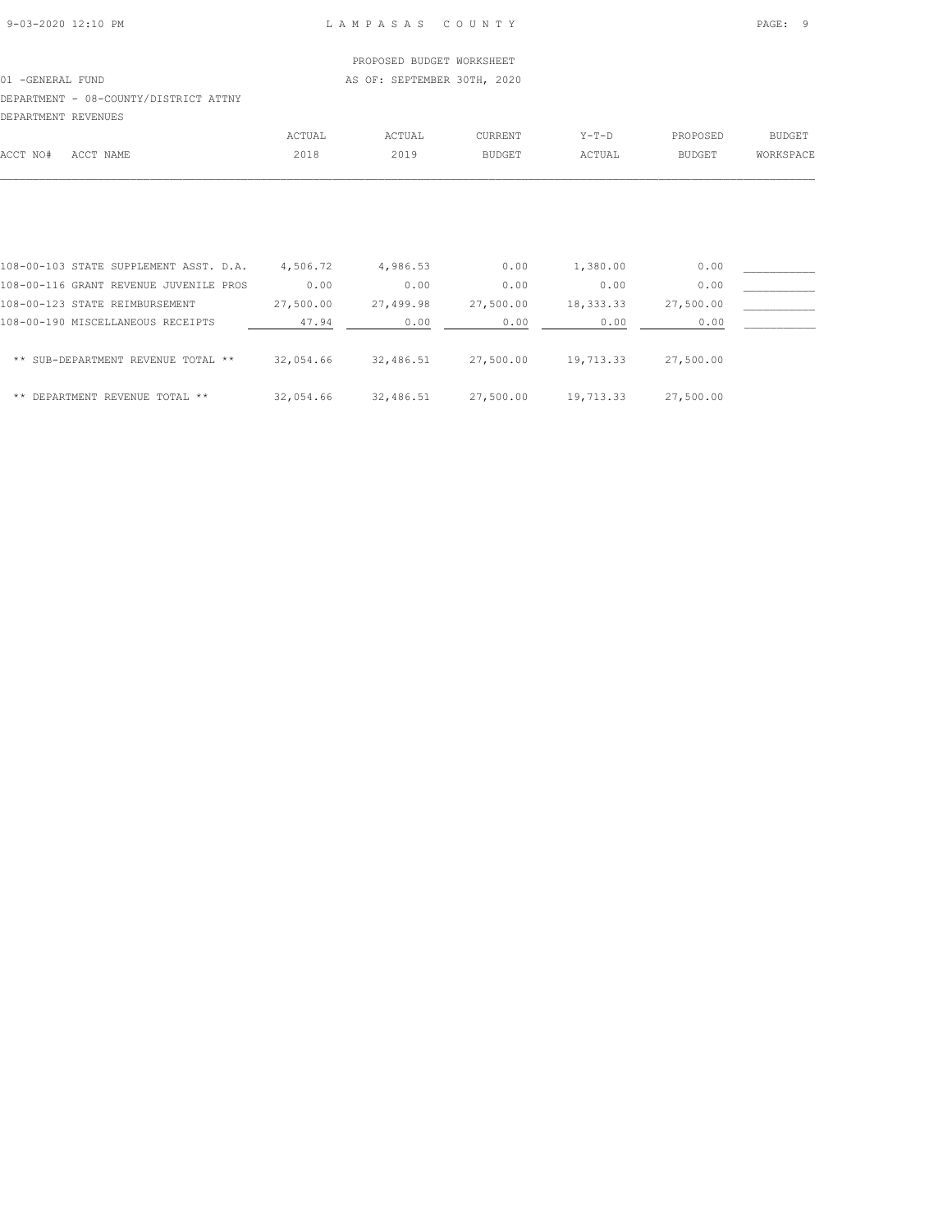01 -GENERAL FUND **AS OF: SEPTEMBER 30TH, 2020** 

# DEPARTMENT - 08-COUNTY/DISTRICT ATTNY

| DEPARTMENT REVENUES |           |        |        |               |        |          |           |
|---------------------|-----------|--------|--------|---------------|--------|----------|-----------|
|                     |           | ACTUAL | ACTUAL | CURRENT       | Y-T-D  | PROPOSED | BUDGET    |
| ACCT NO#            | ACCT NAME | 2018   | 2019   | <b>BUDGET</b> | ACTUAL | BUDGET   | WORKSPACE |
|                     |           |        |        |               |        |          |           |

| 108-00-103 STATE SUPPLEMENT ASST. D.A. | 4,506.72  | 4,986.53  | 0.00      | 1,380.00   | 0.00      |  |
|----------------------------------------|-----------|-----------|-----------|------------|-----------|--|
| 108-00-116 GRANT REVENUE JUVENILE PROS | 0.00      | 0.00      | 0.00      | 0.00       | 0.00      |  |
| 108-00-123 STATE REIMBURSEMENT         | 27,500.00 | 27,499.98 | 27,500.00 | 18, 333.33 | 27,500.00 |  |
| 108-00-190 MISCELLANEOUS RECEIPTS      | 47.94     | 0.00      | 0.00      | 0.00       | 0.00      |  |
| ** SUB-DEPARTMENT REVENUE TOTAL **     | 32,054.66 | 32,486.51 | 27,500.00 | 19,713.33  | 27,500.00 |  |
| ** DEPARTMENT REVENUE TOTAL **         | 32,054.66 | 32,486.51 | 27,500.00 | 19,713.33  | 27,500.00 |  |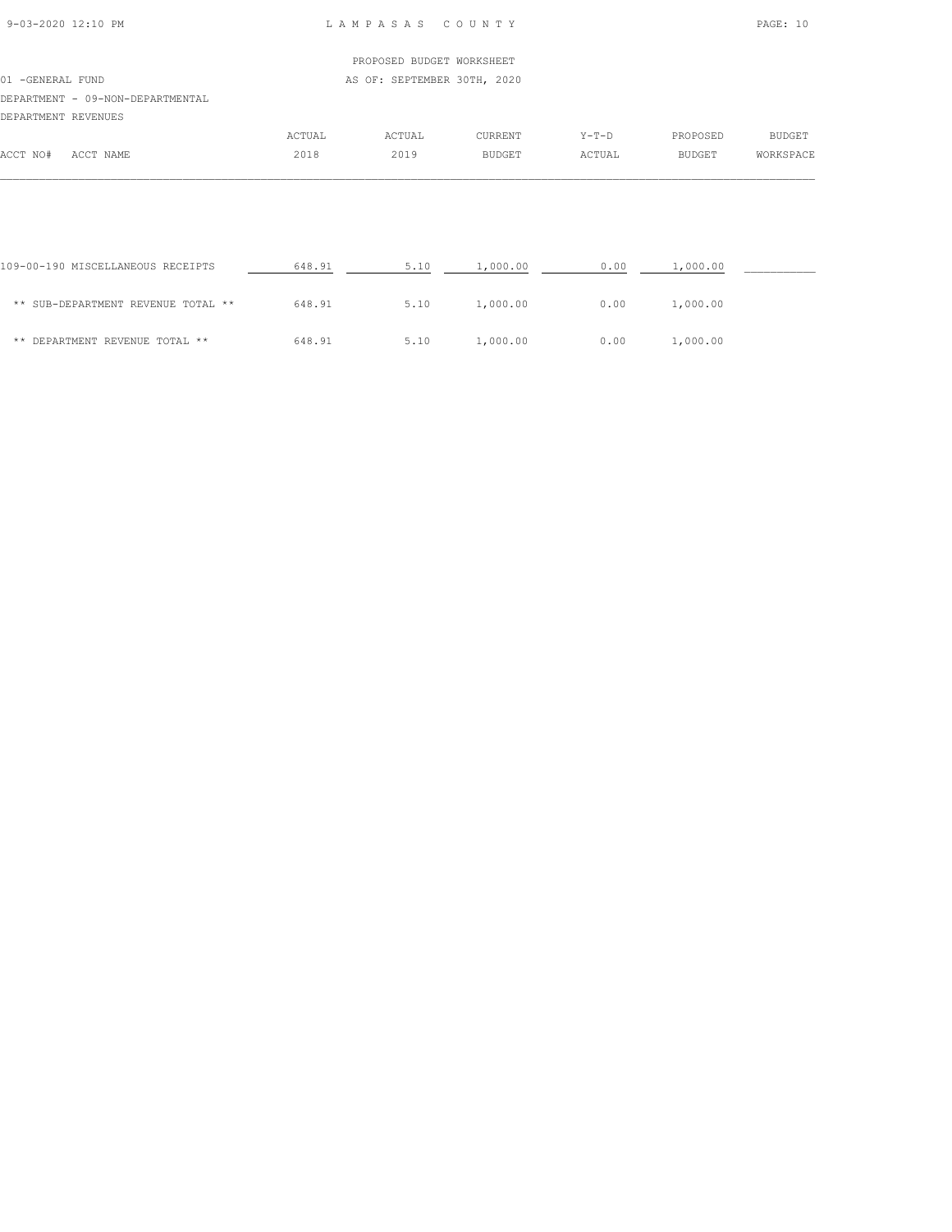| 9-03-2020 12:10 PM |  |
|--------------------|--|

#### L A M P A S A S C O U N T Y PAGE: 10

## PROPOSED BUDGET WORKSHEET 01 -GENERAL FUND **AS OF: SEPTEMBER 30TH, 2020** DEPARTMENT - 09-NON-DEPARTMENTAL DEPARTMENT REVENUES ACTUAL ACTUAL CURRENT Y-T-D PROPOSED BUDGET ACCT NO# ACCT NAME 2018 2019 BUDGET ACTUAL BUDGET WORKSPACE  $\mathcal{L} = \{ \mathcal{L} = \{ \mathcal{L} = \{ \mathcal{L} = \{ \mathcal{L} = \{ \mathcal{L} = \{ \mathcal{L} = \{ \mathcal{L} = \{ \mathcal{L} = \{ \mathcal{L} = \{ \mathcal{L} = \{ \mathcal{L} = \{ \mathcal{L} = \{ \mathcal{L} = \{ \mathcal{L} = \{ \mathcal{L} = \{ \mathcal{L} = \{ \mathcal{L} = \{ \mathcal{L} = \{ \mathcal{L} = \{ \mathcal{L} = \{ \mathcal{L} = \{ \mathcal{L} = \{ \mathcal{L} = \{ \mathcal{$

| 109-00-190 MISCELLANEOUS RECEIPTS  | 648.91 | 5.10 | 1,000.00 | 0.00 | 1,000.00 |  |
|------------------------------------|--------|------|----------|------|----------|--|
| ** SUB-DEPARTMENT REVENUE TOTAL ** | 648.91 | 5.10 | 1,000.00 | 0.00 | 1,000.00 |  |
| ** DEPARTMENT REVENUE TOTAL **     | 648.91 | 5.10 | 1,000.00 | 0.00 | 1,000.00 |  |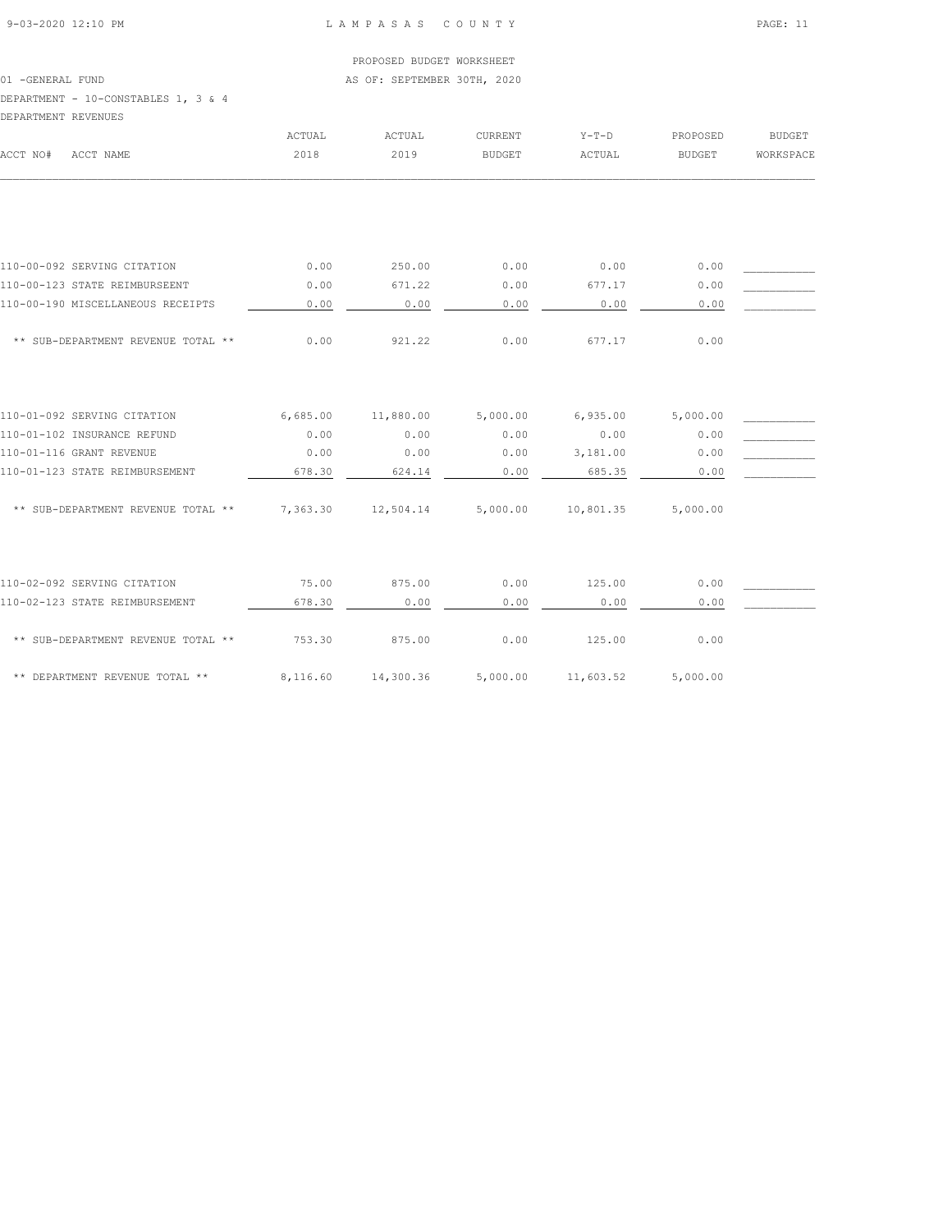#### 9-03-2020 12:10 PM L A M P A S A S C O U N T Y PAGE: 11

# PROPOSED BUDGET WORKSHEET

01 -GENERAL FUND **AS OF: SEPTEMBER 30TH, 2020** 

# DEPARTMENT - 10-CONSTABLES 1, 3 & 4

| DEPARTMENT REVENUES |  |  |  |
|---------------------|--|--|--|

|                                    | <b>ACTUAL</b> | <b>ACTUAL</b> | <b>CURRENT</b> | $Y-T-D$   | PROPOSED      | <b>BUDGET</b> |
|------------------------------------|---------------|---------------|----------------|-----------|---------------|---------------|
| ACCT NO#<br>ACCT NAME              | 2018          | 2019          | <b>BUDGET</b>  | ACTUAL    | <b>BUDGET</b> | WORKSPACE     |
|                                    |               |               |                |           |               |               |
|                                    |               |               |                |           |               |               |
| 110-00-092 SERVING CITATION        | 0.00          | 250.00        | 0.00           | 0.00      | 0.00          |               |
| 110-00-123 STATE REIMBURSEENT      | 0.00          | 671.22        | 0.00           | 677.17    | 0.00          |               |
| 110-00-190 MISCELLANEOUS RECEIPTS  | 0.00          | 0.00          | 0.00           | 0.00      | 0.00          |               |
| ** SUB-DEPARTMENT REVENUE TOTAL ** | 0.00          | 921.22        | 0.00           | 677.17    | 0.00          |               |
| 110-01-092 SERVING CITATION        | 6,685.00      | 11,880.00     | 5,000.00       | 6,935.00  | 5,000.00      |               |
| 110-01-102 INSURANCE REFUND        | 0.00          | 0.00          | 0.00           | 0.00      | 0.00          |               |
| 110-01-116 GRANT REVENUE           | 0.00          | 0.00          | 0.00           | 3,181.00  | 0.00          |               |
| 110-01-123 STATE REIMBURSEMENT     | 678.30        | 624.14        | 0.00           | 685.35    | 0.00          |               |
| ** SUB-DEPARTMENT REVENUE TOTAL ** | 7,363.30      | 12,504.14     | 5,000.00       | 10,801.35 | 5,000.00      |               |
|                                    |               |               |                |           |               |               |
| 110-02-092 SERVING CITATION        | 75.00         | 875.00        | 0.00           | 125.00    | 0.00          |               |
| 110-02-123 STATE REIMBURSEMENT     | 678.30        | 0.00          | 0.00           | 0.00      | 0.00          |               |
| ** SUB-DEPARTMENT REVENUE TOTAL ** | 753.30        | 875.00        | 0.00           | 125.00    | 0.00          |               |
| ** DEPARTMENT REVENUE TOTAL **     | 8,116.60      | 14,300.36     | 5,000.00       | 11,603.52 | 5,000.00      |               |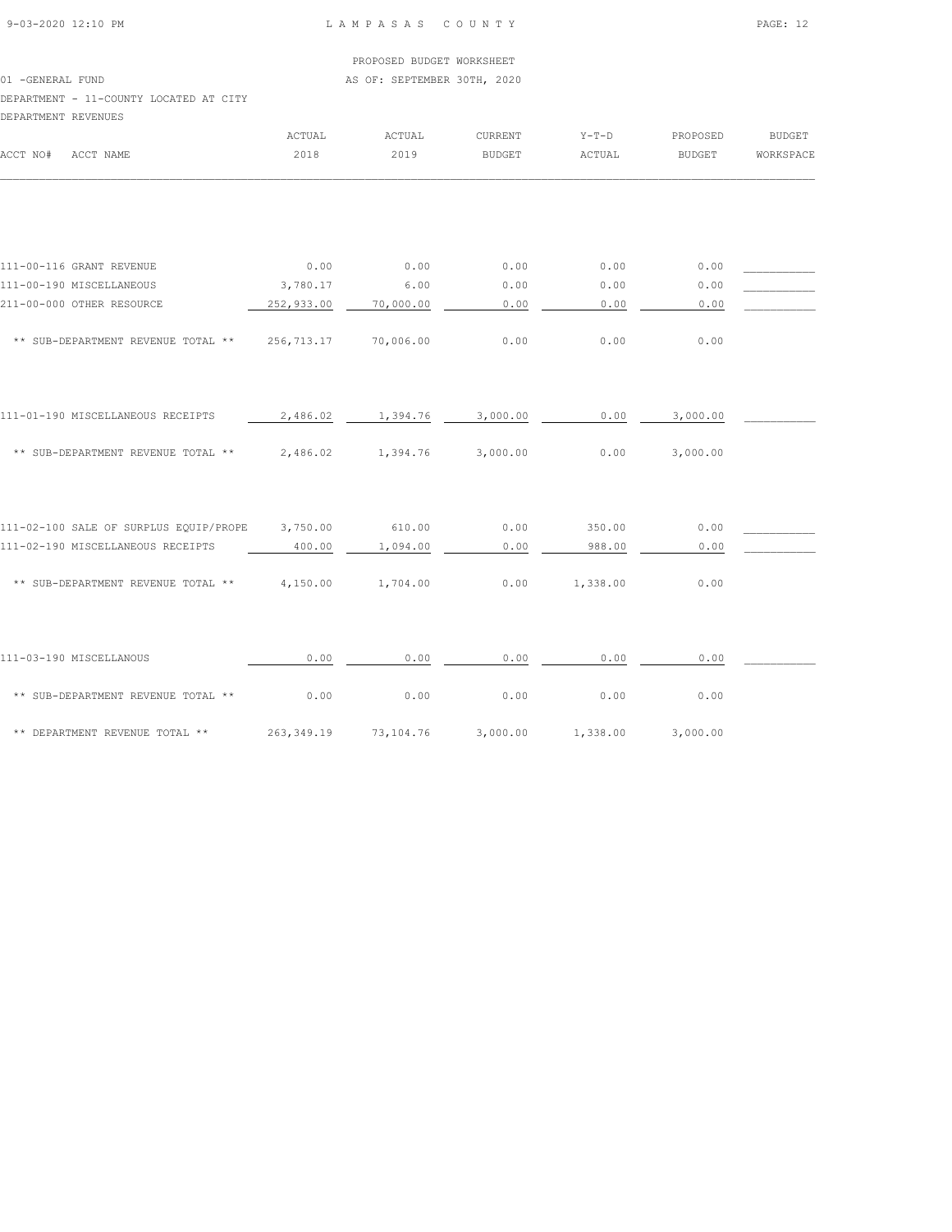#### 9-03-2020 12:10 PM L A M P A S A S C O U N T Y PAGE: 12

# PROPOSED BUDGET WORKSHEET

01 -GENERAL FUND **AS OF: SEPTEMBER 30TH, 2020** 

DEPARTMENT - 11-COUNTY LOCATED AT CITY

| DEPARTMENT REVENUES |                                             |            |           |                |          |               |               |
|---------------------|---------------------------------------------|------------|-----------|----------------|----------|---------------|---------------|
|                     |                                             | ACTUAL     | ACTUAL    | <b>CURRENT</b> | $Y-T-D$  | PROPOSED      | <b>BUDGET</b> |
| ACCT NO#            | ACCT NAME                                   | 2018       | 2019      | <b>BUDGET</b>  | ACTUAL   | <b>BUDGET</b> | WORKSPACE     |
|                     |                                             |            |           |                |          |               |               |
|                     | 111-00-116 GRANT REVENUE                    | 0.00       | 0.00      | 0.00           | 0.00     | 0.00          |               |
|                     | 111-00-190 MISCELLANEOUS                    | 3,780.17   | 6.00      | 0.00           | 0.00     | 0.00          |               |
|                     | 211-00-000 OTHER RESOURCE                   | 252,933.00 | 70,000.00 | 0.00           | 0.00     | 0.00          |               |
|                     | ** SUB-DEPARTMENT REVENUE TOTAL **          | 256,713.17 | 70,006.00 | 0.00           | 0.00     | 0.00          |               |
|                     | 111-01-190 MISCELLANEOUS RECEIPTS           | 2,486.02   | 1,394.76  | 3,000.00       | 0.00     | 3,000.00      |               |
|                     | ** SUB-DEPARTMENT REVENUE TOTAL **          | 2,486.02   | 1,394.76  | 3,000.00       | 0.00     | 3,000.00      |               |
|                     | 111-02-100 SALE OF SURPLUS EQUIP/PROPE      | 3,750.00   | 610.00    | 0.00           | 350.00   | 0.00          |               |
|                     | 111-02-190 MISCELLANEOUS RECEIPTS           | 400.00     | 1,094.00  | 0.00           | 988.00   | 0.00          |               |
|                     | ** SUB-DEPARTMENT REVENUE TOTAL ** 4,150.00 |            | 1,704.00  | 0.00           | 1,338.00 | 0.00          |               |
|                     | 111-03-190 MISCELLANOUS                     | 0.00       | 0.00      | 0.00           | 0.00     | 0.00          |               |
|                     |                                             |            |           |                |          |               |               |
|                     | ** SUB-DEPARTMENT REVENUE TOTAL **          | 0.00       | 0.00      | 0.00           | 0.00     | 0.00          |               |
|                     | ** DEPARTMENT REVENUE TOTAL **              | 263,349.19 | 73,104.76 | 3,000.00       | 1,338.00 | 3,000.00      |               |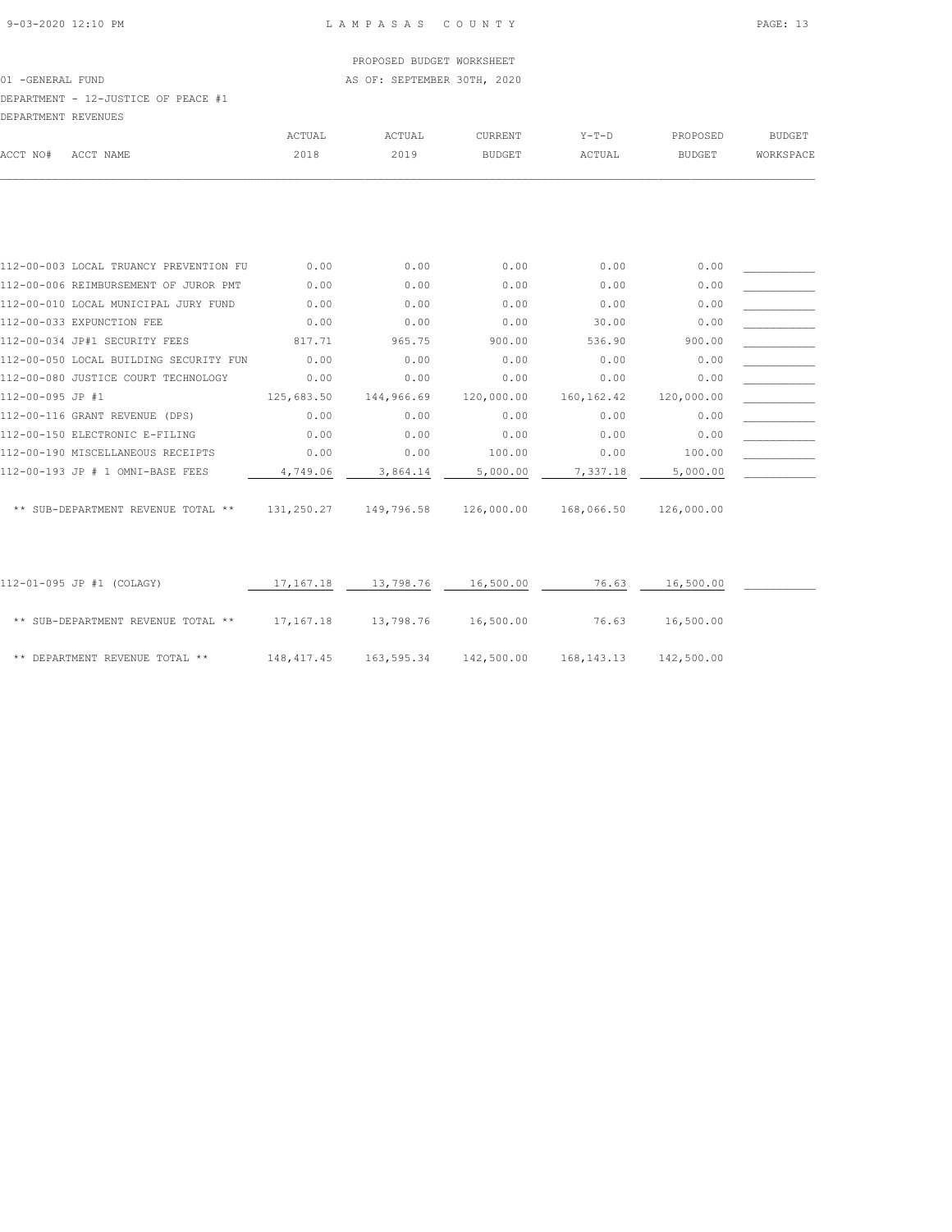01 -GENERAL FUND **AS OF: SEPTEMBER 30TH, 2020** 

# DEPARTMENT - 12-JUSTICE OF PEACE #1

| DEPARTMENT REVENUES |           |        |        |               |         |          |           |
|---------------------|-----------|--------|--------|---------------|---------|----------|-----------|
|                     |           | ACTUAL | ACTUAL | CURRENT       | $Y-T-D$ | PROPOSED | BUDGET    |
| ACCT NO#            | ACCT NAME | 2018   | 2019   | <b>BUDGET</b> | ACTUAL  | BUDGET   | WORKSPACE |
|                     |           |        |        |               |         |          |           |
|                     |           |        |        |               |         |          |           |

|                  | 112-00-003 LOCAL TRUANCY PREVENTION FU | 0.00       | 0.00       | 0.00       | 0.00        | 0.00       |  |
|------------------|----------------------------------------|------------|------------|------------|-------------|------------|--|
|                  | 112-00-006 REIMBURSEMENT OF JUROR PMT  | 0.00       | 0.00       | 0.00       | 0.00        | 0.00       |  |
|                  | 112-00-010 LOCAL MUNICIPAL JURY FUND   | 0.00       | 0.00       | 0.00       | 0.00        | 0.00       |  |
|                  | 112-00-033 EXPUNCTION FEE              | 0.00       | 0.00       | 0.00       | 30.00       | 0.00       |  |
|                  | 112-00-034 JP#1 SECURITY FEES          | 817.71     | 965.75     | 900.00     | 536.90      | 900.00     |  |
|                  | 112-00-050 LOCAL BUILDING SECURITY FUN | 0.00       | 0.00       | 0.00       | 0.00        | 0.00       |  |
|                  | 112-00-080 JUSTICE COURT TECHNOLOGY    | 0.00       | 0.00       | 0.00       | 0.00        | 0.00       |  |
| 112-00-095 JP #1 |                                        | 125,683.50 | 144,966.69 | 120,000.00 | 160, 162.42 | 120,000.00 |  |
|                  | 112-00-116 GRANT REVENUE (DPS)         | 0.00       | 0.00       | 0.00       | 0.00        | 0.00       |  |
|                  | 112-00-150 ELECTRONIC E-FILING         | 0.00       | 0.00       | 0.00       | 0.00        | 0.00       |  |
|                  | 112-00-190 MISCELLANEOUS RECEIPTS      | 0.00       | 0.00       | 100.00     | 0.00        | 100.00     |  |
|                  | 112-00-193 JP # 1 OMNI-BASE FEES       | 4,749.06   | 3,864.14   | 5,000.00   | 7,337.18    | 5,000.00   |  |
|                  |                                        |            |            |            |             |            |  |

\*\* SUB-DEPARTMENT REVENUE TOTAL \*\* 131,250.27 149,796.58 126,000.00 168,066.50 126,000.00

| 112-01-095 JP #1 (COLAGY)          | 17,167.18  | 13,798.76  | 16,500.00  | 76.63      | 16,500.00  |  |
|------------------------------------|------------|------------|------------|------------|------------|--|
| ** SUB-DEPARTMENT REVENUE TOTAL ** | 17,167.18  | 13,798.76  | 16,500.00  | 76.63      | 16,500.00  |  |
| ** DEPARTMENT REVENUE TOTAL **     | 148,417.45 | 163,595.34 | 142,500.00 | 168,143.13 | 142,500.00 |  |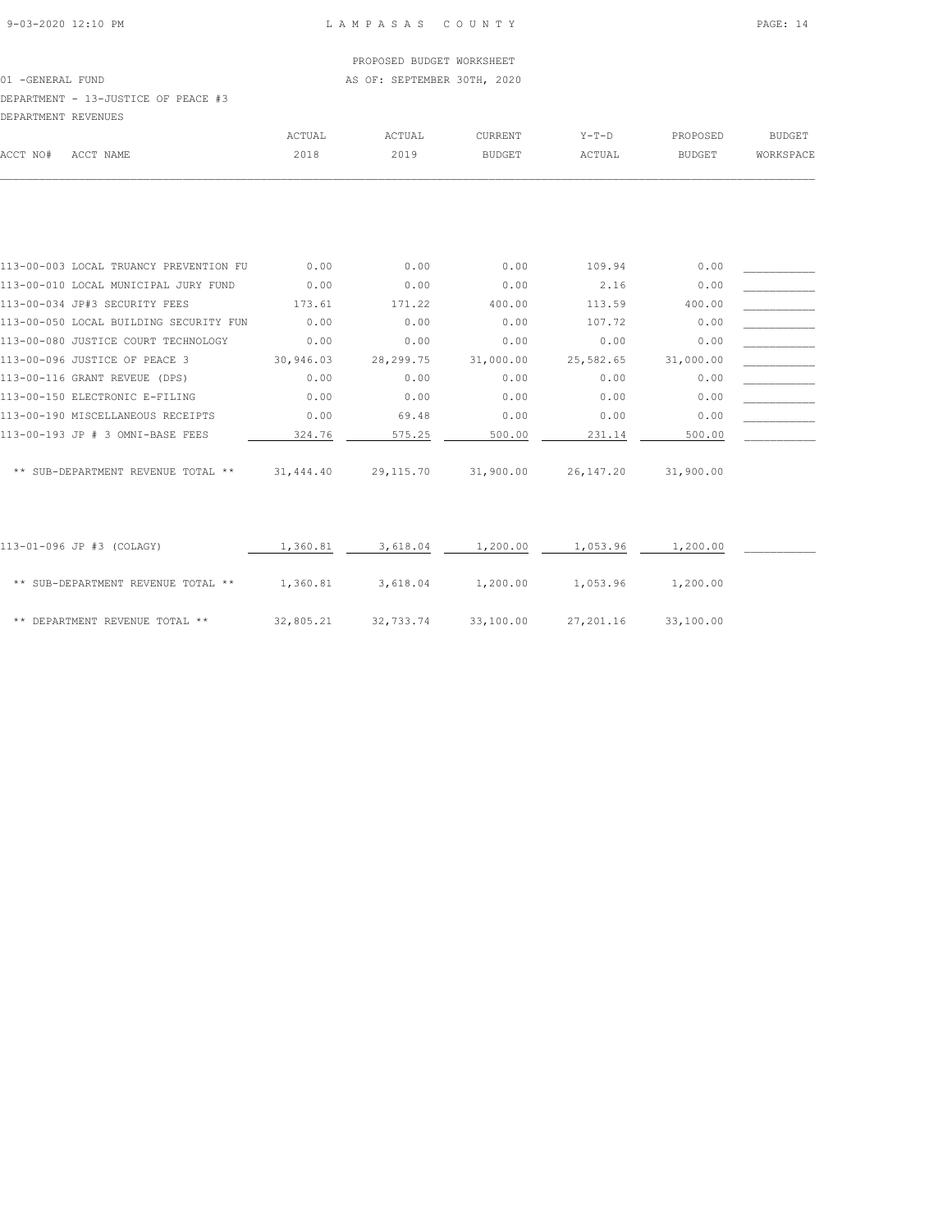01 -GENERAL FUND **AS OF: SEPTEMBER 30TH, 2020** 

# DEPARTMENT - 13-JUSTICE OF PEACE #3

| DEPARTMENT REVENUES |                                        |           |             |               |           |               |               |
|---------------------|----------------------------------------|-----------|-------------|---------------|-----------|---------------|---------------|
|                     |                                        | ACTUAL    | ACTUAL      | CURRENT       | $Y-T-D$   | PROPOSED      | <b>BUDGET</b> |
| ACCT NO#            | ACCT NAME                              | 2018      | 2019        | <b>BUDGET</b> | ACTUAL    | <b>BUDGET</b> | WORKSPACE     |
|                     |                                        |           |             |               |           |               |               |
|                     |                                        |           |             |               |           |               |               |
|                     |                                        |           |             |               |           |               |               |
|                     | 113-00-003 LOCAL TRUANCY PREVENTION FU | 0.00      | 0.00        | 0.00          | 109.94    | 0.00          |               |
|                     | 113-00-010 LOCAL MUNICIPAL JURY FUND   | 0.00      | 0.00        | 0.00          | 2.16      | 0.00          |               |
|                     | 113-00-034 JP#3 SECURITY FEES          | 173.61    | 171.22      | 400.00        | 113.59    | 400.00        |               |
|                     | 113-00-050 LOCAL BUILDING SECURITY FUN | 0.00      | 0.00        | 0.00          | 107.72    | 0.00          |               |
|                     | 113-00-080 JUSTICE COURT TECHNOLOGY    | 0.00      | 0.00        | 0.00          | 0.00      | 0.00          |               |
|                     | 113-00-096 JUSTICE OF PEACE 3          | 30,946.03 | 28, 299. 75 | 31,000.00     | 25,582.65 | 31,000.00     |               |
|                     | 113-00-116 GRANT REVEUE (DPS)          | 0.00      | 0.00        | 0.00          | 0.00      | 0.00          |               |
|                     | 113-00-150 ELECTRONIC E-FILING         | 0.00      | 0.00        | 0.00          | 0.00      | 0.00          |               |
|                     | 113-00-190 MISCELLANEOUS RECEIPTS      | 0.00      | 69.48       | 0.00          | 0.00      | 0.00          |               |
|                     | 113-00-193 JP # 3 OMNI-BASE FEES       | 324.76    | 575.25      | 500.00        | 231.14    | 500.00        |               |

| ** SUB-DEPARTMENT REVENUE TOTAL ** | $31,444.40$ $29,115.70$ $31,900.00$ $26,147.20$ $31,900.00$ |  |  |
|------------------------------------|-------------------------------------------------------------|--|--|

| 113-01-096 JP #3 (COLAGY)          | 1,360.81  | 3,618.04  | 1,200.00  | 1,053.96  | 1,200.00  |  |
|------------------------------------|-----------|-----------|-----------|-----------|-----------|--|
| ** SUB-DEPARTMENT REVENUE TOTAL ** | 1,360.81  | 3,618.04  | 1,200.00  | 1,053.96  | 1,200.00  |  |
| ** DEPARTMENT REVENUE TOTAL **     | 32,805.21 | 32,733.74 | 33,100.00 | 27,201.16 | 33,100.00 |  |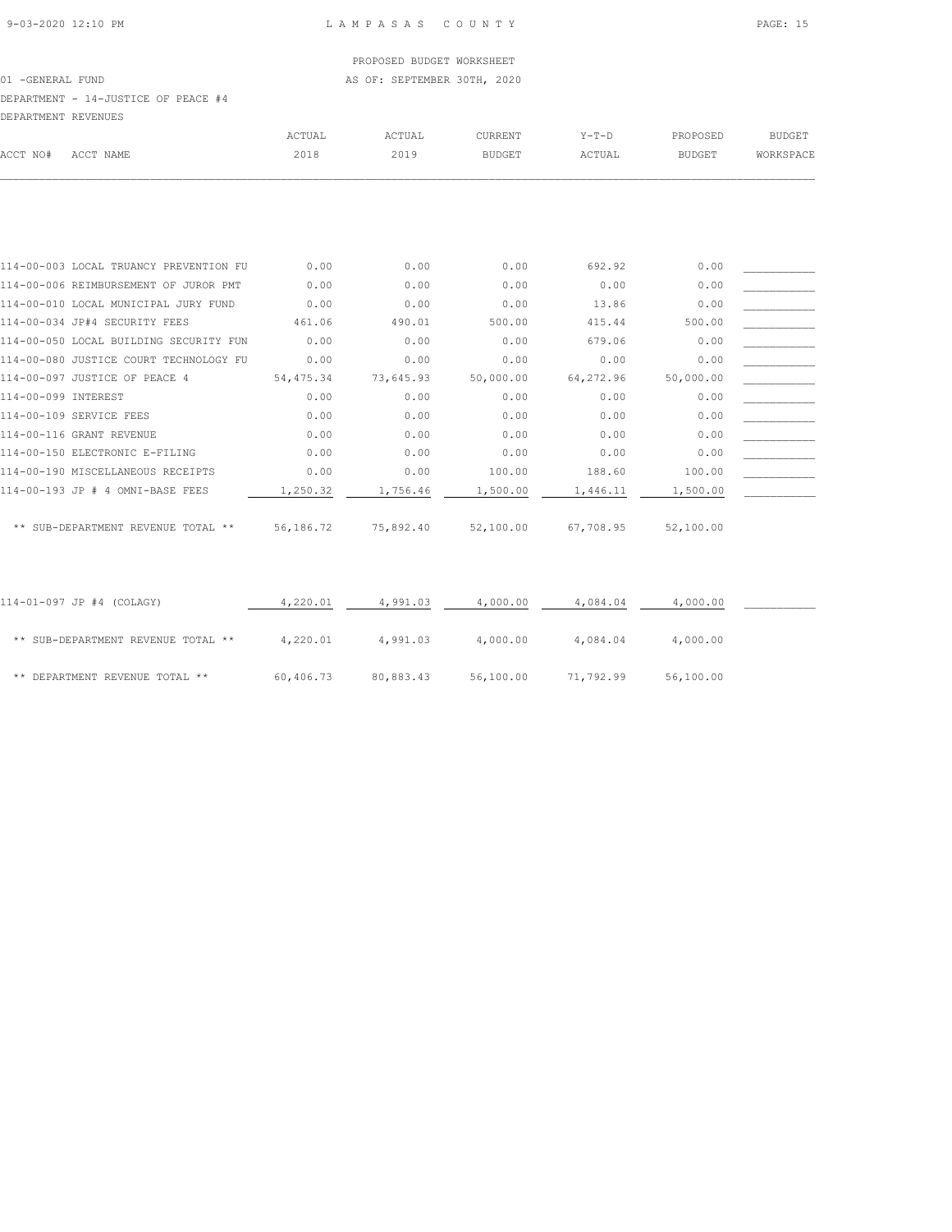01 -GENERAL FUND **AS OF: SEPTEMBER 30TH, 2020** 

DEPARTMENT - 14-JUSTICE OF PEACE #4

| DEPARTMENT REVENUES |           |        |        |                |         |               |               |
|---------------------|-----------|--------|--------|----------------|---------|---------------|---------------|
|                     |           | ACTUAL | ACTUAL | <b>CURRENT</b> | $Y-T-D$ | PROPOSED      | <b>BUDGET</b> |
| ACCT NO#            | ACCT NAME | 2018   | 2019   | <b>BUDGET</b>  | ACTUAL  | <b>BUDGET</b> | WORKSPACE     |
|                     |           |        |        |                |         |               |               |

| 114-00-003 LOCAL TRUANCY PREVENTION FU | 0.00       | 0.00      | 0.00      | 692.92    | 0.00      |  |
|----------------------------------------|------------|-----------|-----------|-----------|-----------|--|
| 114-00-006 REIMBURSEMENT OF JUROR PMT  | 0.00       | 0.00      | 0.00      | 0.00      | 0.00      |  |
| 114-00-010 LOCAL MUNICIPAL JURY FUND   | 0.00       | 0.00      | 0.00      | 13.86     | 0.00      |  |
| 114-00-034 JP#4 SECURITY FEES          | 461.06     | 490.01    | 500.00    | 415.44    | 500.00    |  |
| 114-00-050 LOCAL BUILDING SECURITY FUN | 0.00       | 0.00      | 0.00      | 679.06    | 0.00      |  |
| 114-00-080 JUSTICE COURT TECHNOLOGY FU | 0.00       | 0.00      | 0.00      | 0.00      | 0.00      |  |
| 114-00-097 JUSTICE OF PEACE 4          | 54, 475.34 | 73,645.93 | 50,000.00 | 64,272.96 | 50,000.00 |  |
| 114-00-099 INTEREST                    | 0.00       | 0.00      | 0.00      | 0.00      | 0.00      |  |
| 114-00-109 SERVICE FEES                | 0.00       | 0.00      | 0.00      | 0.00      | 0.00      |  |
| 114-00-116 GRANT REVENUE               | 0.00       | 0.00      | 0.00      | 0.00      | 0.00      |  |
| 114-00-150 ELECTRONIC E-FILING         | 0.00       | 0.00      | 0.00      | 0.00      | 0.00      |  |
| 114-00-190 MISCELLANEOUS RECEIPTS      | 0.00       | 0.00      | 100.00    | 188.60    | 100.00    |  |
| 114-00-193 JP # 4 OMNI-BASE FEES       | 1,250.32   | 1,756.46  | 1,500.00  | 1,446.11  | 1,500.00  |  |
|                                        |            |           |           |           |           |  |
| ** SUB-DEPARTMENT REVENUE TOTAL **     | 56,186.72  | 75,892.40 | 52,100.00 | 67,708.95 | 52,100.00 |  |

| 114-01-097 JP #4 (COLAGY)          | 4,220.01  | 4,991.03  | 4,000.00  | 4,084.04  | 4,000.00  |  |
|------------------------------------|-----------|-----------|-----------|-----------|-----------|--|
| ** SUB-DEPARTMENT REVENUE TOTAL ** | 4,220.01  | 4,991.03  | 4,000.00  | 4,084.04  | 4,000.00  |  |
| ** DEPARTMENT REVENUE TOTAL **     | 60,406.73 | 80,883.43 | 56,100.00 | 71,792.99 | 56,100.00 |  |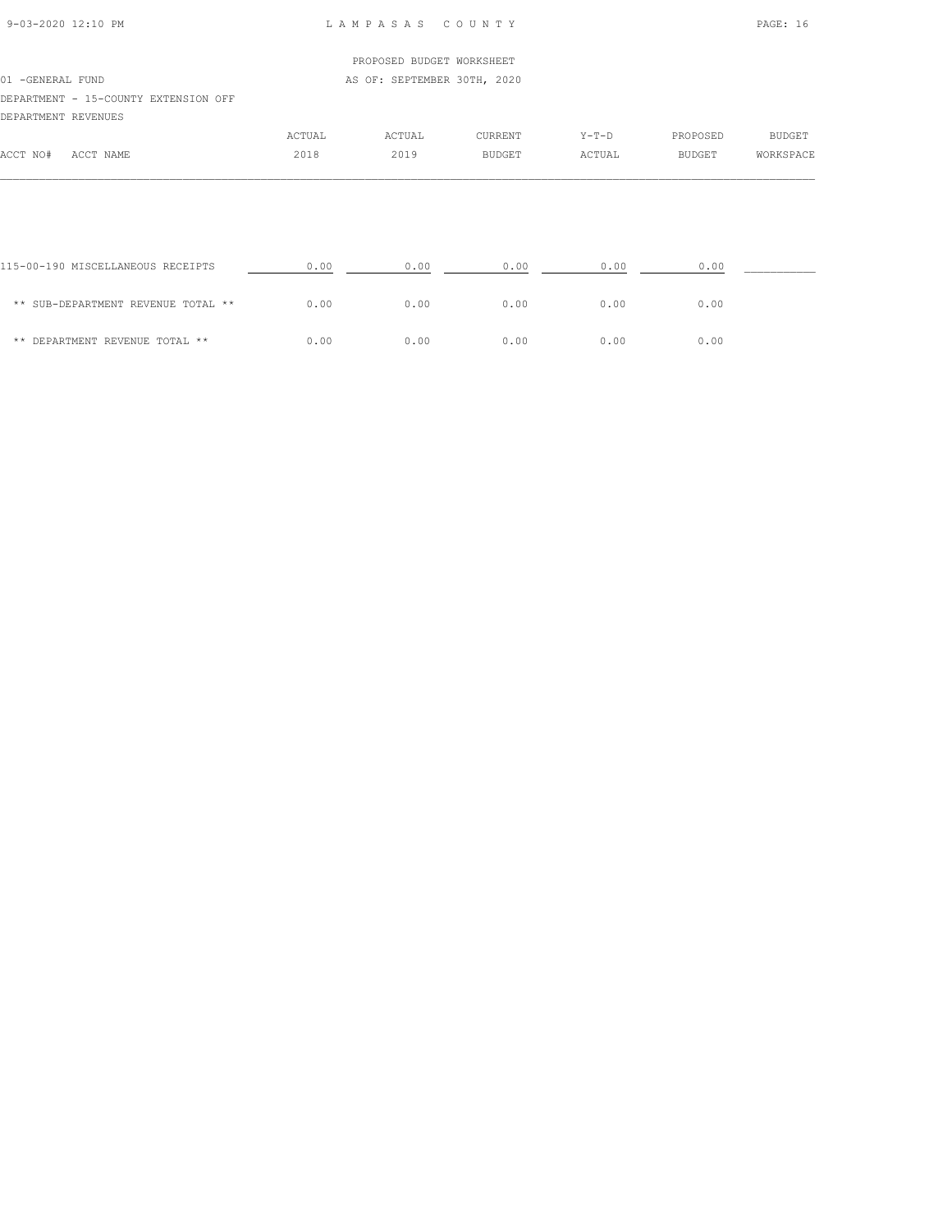#### 9-03-2020 12:10 PM L A M P A S A S C O U N T Y PAGE: 16

## PROPOSED BUDGET WORKSHEET 01 -GENERAL FUND **AS OF: SEPTEMBER 30TH, 2020** DEPARTMENT - 15-COUNTY EXTENSION OFF DEPARTMENT REVENUES ACTUAL ACTUAL CURRENT Y-T-D PROPOSED BUDGET ACCT NO# ACCT NAME 2018 2019 BUDGET ACTUAL BUDGET WORKSPACE

| 115-00-190 MISCELLANEOUS RECEIPTS  | 0.00 | 0.00 | 0.00 | 0.00 | 0.00 |  |
|------------------------------------|------|------|------|------|------|--|
| ** SUB-DEPARTMENT REVENUE TOTAL ** | 0.00 | 0.00 | 0.00 | 0.00 | 0.00 |  |
| ** DEPARTMENT REVENUE TOTAL **     | 0.00 | 0.00 | 0.00 | 0.00 | 0.00 |  |

 $\mathcal{L} = \{ \mathcal{L} = \{ \mathcal{L} = \{ \mathcal{L} = \{ \mathcal{L} = \{ \mathcal{L} = \{ \mathcal{L} = \{ \mathcal{L} = \{ \mathcal{L} = \{ \mathcal{L} = \{ \mathcal{L} = \{ \mathcal{L} = \{ \mathcal{L} = \{ \mathcal{L} = \{ \mathcal{L} = \{ \mathcal{L} = \{ \mathcal{L} = \{ \mathcal{L} = \{ \mathcal{L} = \{ \mathcal{L} = \{ \mathcal{L} = \{ \mathcal{L} = \{ \mathcal{L} = \{ \mathcal{L} = \{ \mathcal{$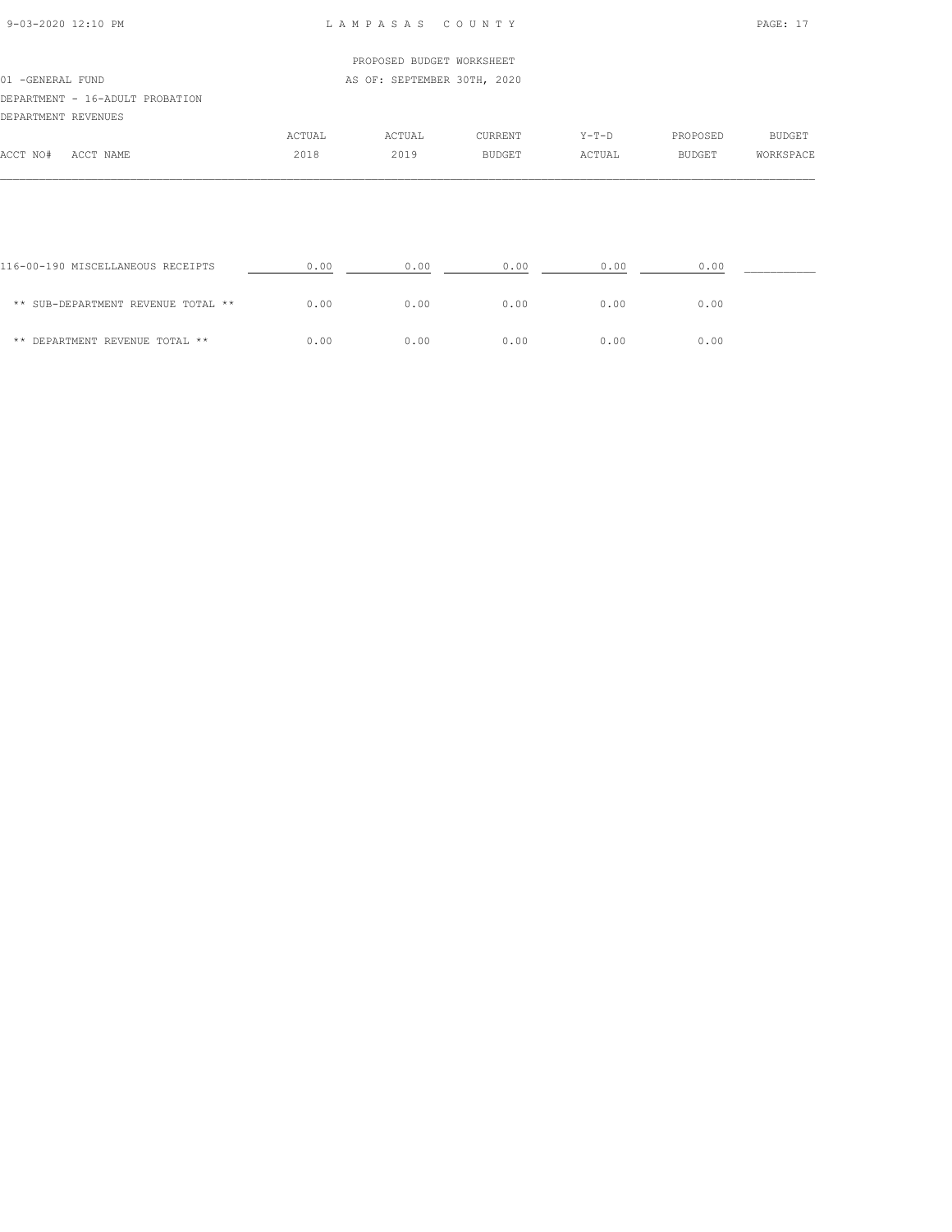| 9-03-2020 12:10 PM |  |  |
|--------------------|--|--|
|                    |  |  |

#### LAMPASAS COUNTY PAGE: 17

| ACCT NO#            | ACCT NAME                       | 2018   | 2019                        | <b>BUDGET</b>  | ACTUAL  | BUDGET   | WORKSPACE |
|---------------------|---------------------------------|--------|-----------------------------|----------------|---------|----------|-----------|
|                     |                                 | ACTUAL | ACTUAL                      | <b>CURRENT</b> | $Y-T-D$ | PROPOSED | BUDGET    |
| DEPARTMENT REVENUES |                                 |        |                             |                |         |          |           |
|                     | DEPARTMENT - 16-ADULT PROBATION |        |                             |                |         |          |           |
| 01 - GENERAL FUND   |                                 |        | AS OF: SEPTEMBER 30TH, 2020 |                |         |          |           |
|                     |                                 |        | PROPOSED BUDGET WORKSHEET   |                |         |          |           |
|                     |                                 |        |                             |                |         |          |           |

| 116-00-190 MISCELLANEOUS RECEIPTS  | 0.00 | 0.00 | 0.00 | 0.00 | 0.00 |  |
|------------------------------------|------|------|------|------|------|--|
| ** SUB-DEPARTMENT REVENUE TOTAL ** | 0.00 | 0.00 | 0.00 | 0.00 | 0.00 |  |
| ** DEPARTMENT REVENUE TOTAL **     | 0.00 | 0.00 | 0.00 | 0.00 | 0.00 |  |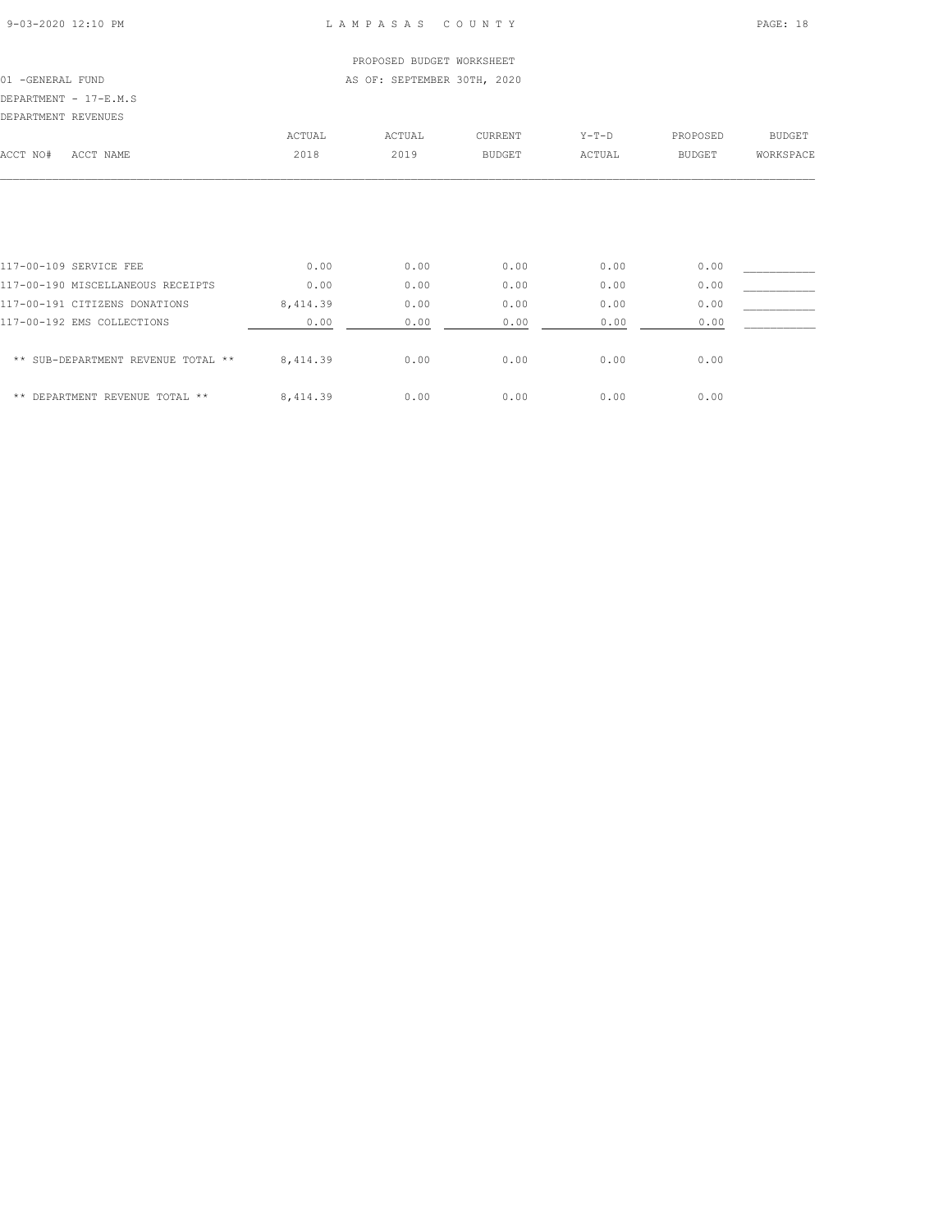#### 9-03-2020 12:10 PM L A M P A S A S C O U N T Y PAGE: 18

#### PROPOSED BUDGET WORKSHEET 01 -GENERAL FUND **AS OF: SEPTEMBER 30TH, 2020**

DEPARTMENT - 17-E.M.S

| DEPARTMENT REVENUES |           |        |        |         |         |          |           |
|---------------------|-----------|--------|--------|---------|---------|----------|-----------|
|                     |           | ACTUAL | ACTUAL | CURRENT | $Y-T-D$ | PROPOSED | BUDGET    |
| ACCT NO#            | ACCT NAME | 2018   | 2019   | BUDGET  | ACTUAL  | BUDGET   | WORKSPACE |
|                     |           |        |        |         |         |          |           |
|                     |           |        |        |         |         |          |           |
|                     |           |        |        |         |         |          |           |
|                     |           |        |        |         |         |          |           |
|                     |           |        |        |         |         |          |           |

| 117-00-109 SERVICE FEE             | 0.00     | 0.00 | 0.00 | 0.00 | 0.00 |  |
|------------------------------------|----------|------|------|------|------|--|
| 117-00-190 MISCELLANEOUS RECEIPTS  | 0.00     | 0.00 | 0.00 | 0.00 | 0.00 |  |
| 117-00-191 CITIZENS DONATIONS      | 8,414.39 | 0.00 | 0.00 | 0.00 | 0.00 |  |
| 117-00-192 EMS COLLECTIONS         | 0.00     | 0.00 | 0.00 | 0.00 | 0.00 |  |
|                                    |          |      |      |      |      |  |
| ** SUB-DEPARTMENT REVENUE TOTAL ** | 8,414.39 | 0.00 | 0.00 | 0.00 | 0.00 |  |
|                                    |          |      |      |      |      |  |
| ** DEPARTMENT REVENUE TOTAL **     | 8.414.39 | 0.00 | 0.00 | 0.00 | 0.00 |  |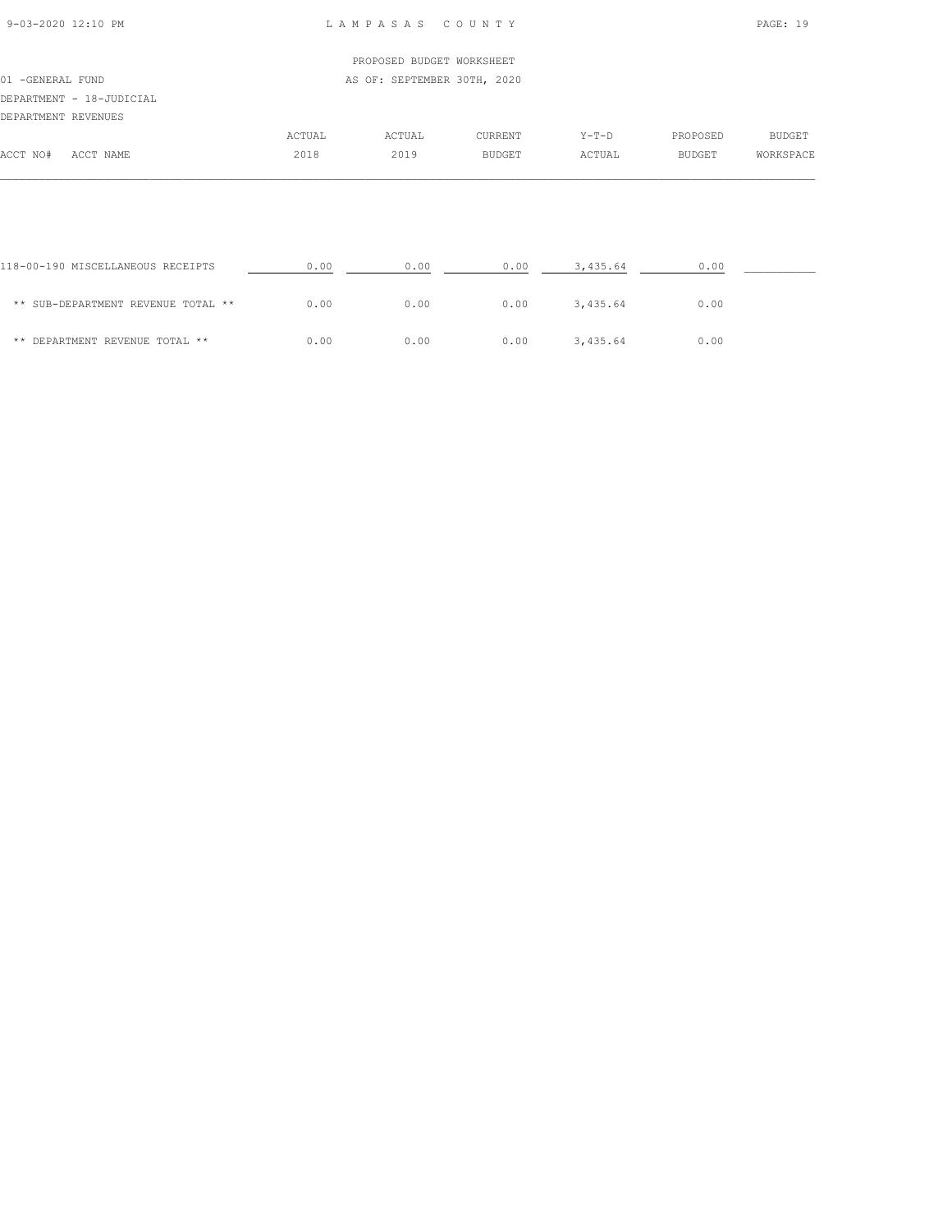#### 9-03-2020 12:10 PM L A M P A S A S C O U N T Y PAGE: 19

| 01 - GENERAL FUND        |        | AS OF: SEPTEMBER 30TH, 2020 |               |         |          |           |
|--------------------------|--------|-----------------------------|---------------|---------|----------|-----------|
|                          |        |                             |               |         |          |           |
| DEPARTMENT - 18-JUDICIAL |        |                             |               |         |          |           |
| DEPARTMENT REVENUES      |        |                             |               |         |          |           |
|                          | ACTUAL | ACTUAL                      | CURRENT       | $Y-T-D$ | PROPOSED | BUDGET    |
| ACCT NO#<br>ACCT NAME    | 2018   | 2019                        | <b>BUDGET</b> | ACTUAL  | BUDGET   | WORKSPACE |
|                          |        |                             |               |         |          |           |

| 118-00-190 MISCELLANEOUS RECEIPTS  | 0.00 | 0.00 | 0.00 | 3,435.64 | 0.00 |  |
|------------------------------------|------|------|------|----------|------|--|
| ** SUB-DEPARTMENT REVENUE TOTAL ** | 0.00 | 0.00 | 0.00 | 3,435.64 | 0.00 |  |
| ** DEPARTMENT REVENUE TOTAL **     | 0.00 | 0.00 | 0.00 | 3,435.64 | 0.00 |  |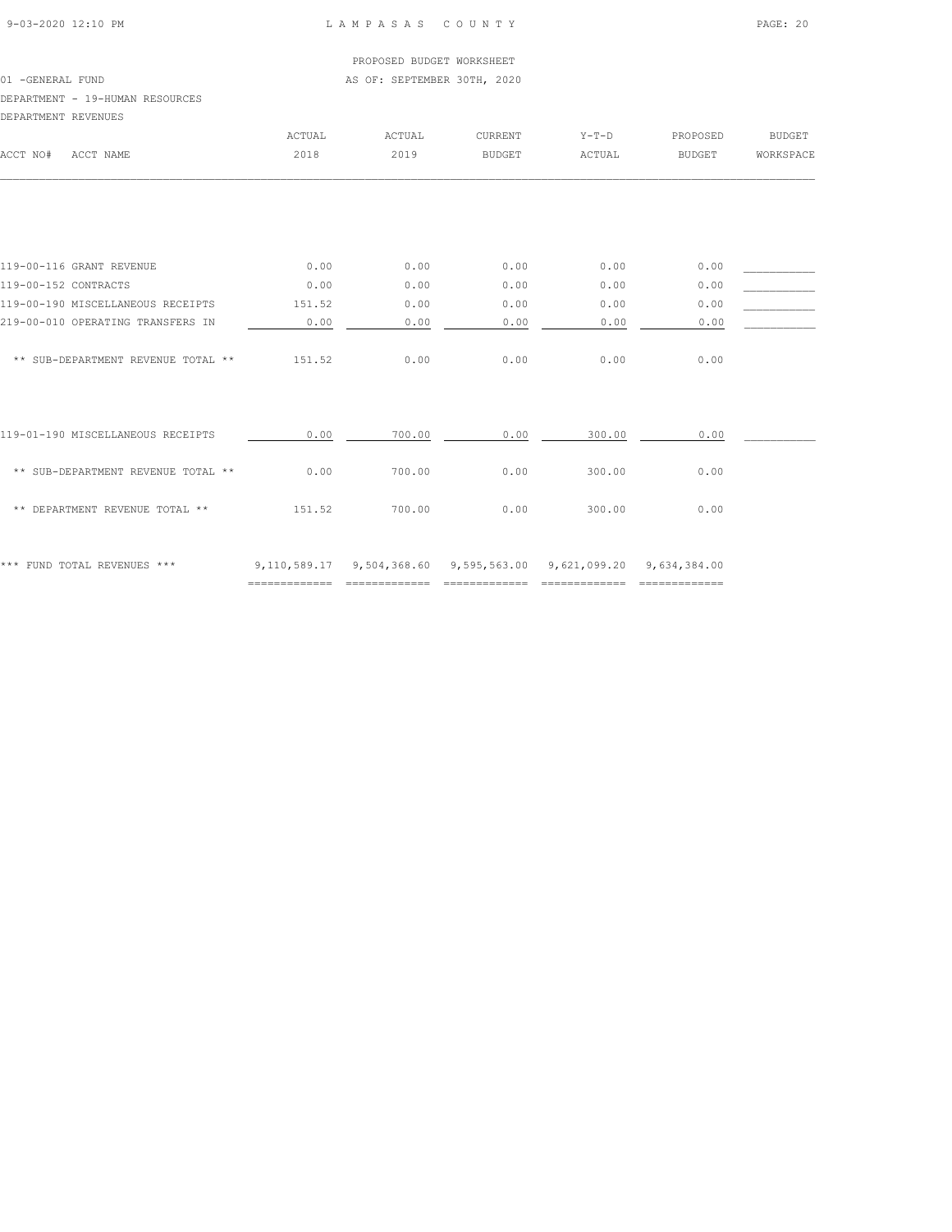#### 01 -GENERAL FUND **AS OF: SEPTEMBER 30TH, 2020**

#### DEPARTMENT - 19-HUMAN RESOURCES

| DEPARTMENT REVENUES  |                                    |        |        |                                                                  |         |               |               |
|----------------------|------------------------------------|--------|--------|------------------------------------------------------------------|---------|---------------|---------------|
|                      |                                    | ACTUAL | ACTUAL | CURRENT                                                          | $Y-T-D$ | PROPOSED      | <b>BUDGET</b> |
| ACCT NO#             | ACCT NAME                          | 2018   | 2019   | <b>BUDGET</b>                                                    | ACTUAL  | <b>BUDGET</b> | WORKSPACE     |
|                      |                                    |        |        |                                                                  |         |               |               |
|                      | 119-00-116 GRANT REVENUE           | 0.00   | 0.00   | 0.00                                                             | 0.00    | 0.00          |               |
| 119-00-152 CONTRACTS |                                    | 0.00   | 0.00   | 0.00                                                             | 0.00    | 0.00          |               |
|                      | 119-00-190 MISCELLANEOUS RECEIPTS  | 151.52 | 0.00   | 0.00                                                             | 0.00    | 0.00          |               |
|                      | 219-00-010 OPERATING TRANSFERS IN  | 0.00   | 0.00   | 0.00                                                             | 0.00    | 0.00          |               |
|                      | ** SUB-DEPARTMENT REVENUE TOTAL ** | 151.52 | 0.00   | 0.00                                                             | 0.00    | 0.00          |               |
|                      | 119-01-190 MISCELLANEOUS RECEIPTS  | 0.00   | 700.00 | 0.00                                                             | 300.00  | 0.00          |               |
|                      | ** SUB-DEPARTMENT REVENUE TOTAL ** | 0.00   | 700.00 | 0.00                                                             | 300.00  | 0.00          |               |
|                      | ** DEPARTMENT REVENUE TOTAL **     | 151.52 | 700.00 | 0.00                                                             | 300.00  | 0.00          |               |
|                      | *** FUND TOTAL REVENUES ***        |        |        | 9,110,589.17 9,504,368.60 9,595,563.00 9,621,099.20 9,634,384.00 |         |               |               |

============= ============= ============= ============= =============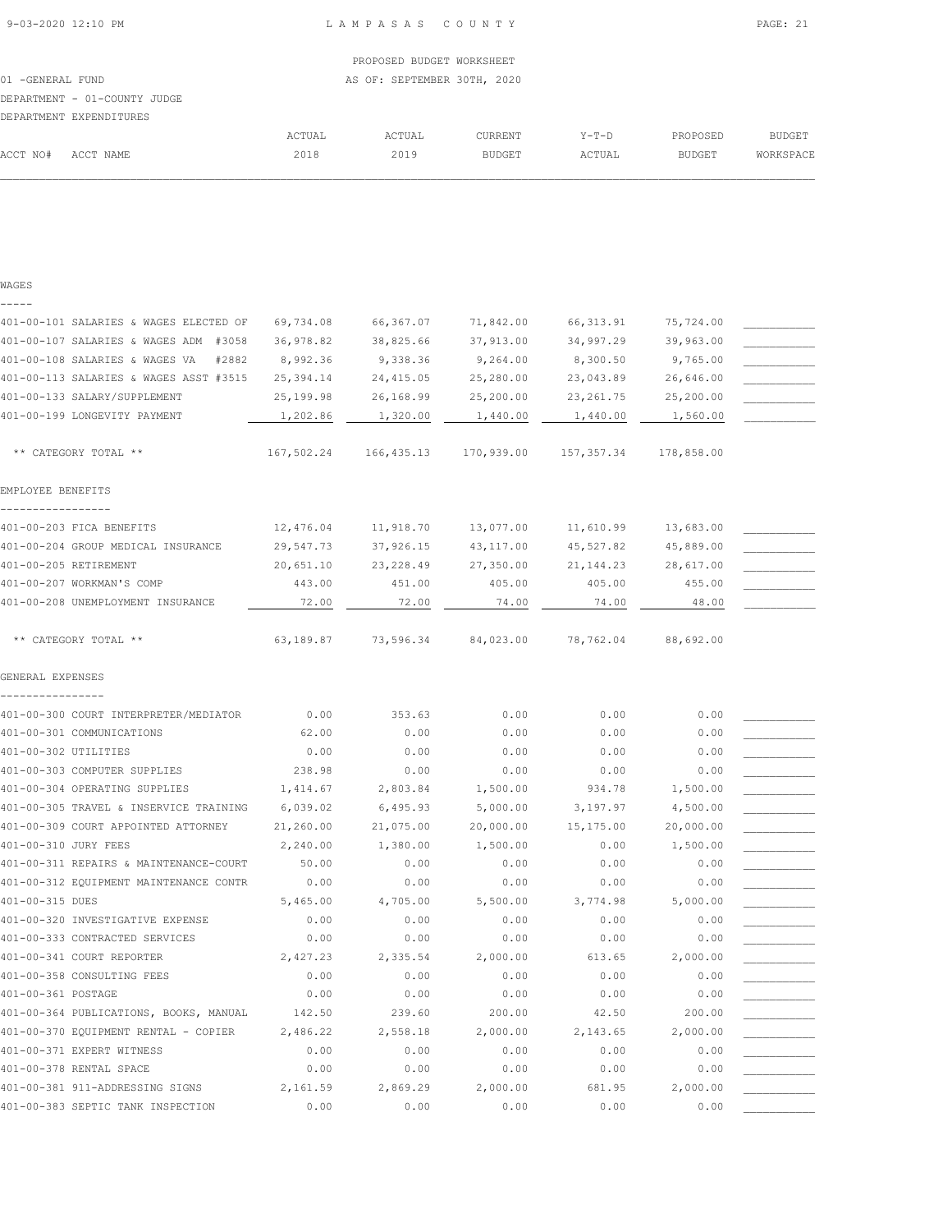ACCT NO# ACCT NAME 2018 2019 BUDGET ACTUAL BUDGET WORKSPACE  $\mathcal{L} = \{ \mathcal{L} = \{ \mathcal{L} = \{ \mathcal{L} = \{ \mathcal{L} = \{ \mathcal{L} = \{ \mathcal{L} = \{ \mathcal{L} = \{ \mathcal{L} = \{ \mathcal{L} = \{ \mathcal{L} = \{ \mathcal{L} = \{ \mathcal{L} = \{ \mathcal{L} = \{ \mathcal{L} = \{ \mathcal{L} = \{ \mathcal{L} = \{ \mathcal{L} = \{ \mathcal{L} = \{ \mathcal{L} = \{ \mathcal{L} = \{ \mathcal{L} = \{ \mathcal{L} = \{ \mathcal{L} = \{ \mathcal{$ 

| WAGES                                   |            |            |            |            |            |  |
|-----------------------------------------|------------|------------|------------|------------|------------|--|
|                                         |            |            |            |            |            |  |
| 401-00-101 SALARIES & WAGES ELECTED OF  | 69,734.08  | 66,367.07  | 71,842.00  | 66, 313.91 | 75,724.00  |  |
| 401-00-107 SALARIES & WAGES ADM #3058   | 36,978.82  | 38,825.66  | 37,913.00  | 34,997.29  | 39,963.00  |  |
| 401-00-108 SALARIES & WAGES VA<br>#2882 | 8,992.36   | 9,338.36   | 9,264.00   | 8,300.50   | 9,765.00   |  |
| 401-00-113 SALARIES & WAGES ASST #3515  | 25,394.14  | 24, 415.05 | 25,280.00  | 23,043.89  | 26,646.00  |  |
| 401-00-133 SALARY/SUPPLEMENT            | 25,199.98  | 26,168.99  | 25,200.00  | 23, 261.75 | 25,200.00  |  |
| 401-00-199 LONGEVITY PAYMENT            | 1,202.86   | 1,320.00   | 1,440.00   | 1,440.00   | 1,560.00   |  |
| ** CATEGORY TOTAL **                    | 167,502.24 | 166,435.13 | 170,939.00 | 157,357.34 | 178,858.00 |  |
| EMPLOYEE BENEFITS                       |            |            |            |            |            |  |
|                                         |            |            |            |            |            |  |
| 401-00-203 FICA BENEFITS                | 12,476.04  | 11,918.70  | 13,077.00  | 11,610.99  | 13,683.00  |  |
| 401-00-204 GROUP MEDICAL INSURANCE      | 29,547.73  | 37,926.15  | 43, 117.00 | 45,527.82  | 45,889.00  |  |
| 401-00-205 RETIREMENT                   | 20,651.10  | 23, 228.49 | 27,350.00  | 21, 144.23 | 28,617.00  |  |
| 401-00-207 WORKMAN'S COMP               | 443.00     | 451.00     | 405.00     | 405.00     | 455.00     |  |
| 401-00-208 UNEMPLOYMENT INSURANCE       | 72.00      | 72.00      | 74.00      | 74.00      | 48.00      |  |
|                                         |            |            |            |            |            |  |
| ** CATEGORY TOTAL **                    | 63,189.87  | 73,596.34  | 84,023.00  | 78,762.04  | 88,692.00  |  |
| GENERAL EXPENSES                        |            |            |            |            |            |  |
|                                         |            |            |            |            |            |  |
| 401-00-300 COURT INTERPRETER/MEDIATOR   | 0.00       | 353.63     | 0.00       | 0.00       | 0.00       |  |
| 401-00-301 COMMUNICATIONS               | 62.00      | 0.00       | 0.00       | 0.00       | 0.00       |  |
| 401-00-302 UTILITIES                    | 0.00       | 0.00       | 0.00       | 0.00       | 0.00       |  |
| 401-00-303 COMPUTER SUPPLIES            | 238.98     | 0.00       | 0.00       | 0.00       | 0.00       |  |
| 401-00-304 OPERATING SUPPLIES           | 1,414.67   | 2,803.84   | 1,500.00   | 934.78     | 1,500.00   |  |
| 401-00-305 TRAVEL & INSERVICE TRAINING  | 6,039.02   | 6,495.93   | 5,000.00   | 3,197.97   | 4,500.00   |  |
| 401-00-309 COURT APPOINTED ATTORNEY     | 21,260.00  | 21,075.00  | 20,000.00  | 15,175.00  | 20,000.00  |  |
| 401-00-310 JURY FEES                    | 2,240.00   | 1,380.00   | 1,500.00   | 0.00       | 1,500.00   |  |
| 401-00-311 REPAIRS & MAINTENANCE-COURT  | 50.00      | 0.00       | 0.00       | 0.00       | 0.00       |  |
| 401-00-312 EQUIPMENT MAINTENANCE CONTR  | 0.00       | 0.00       | 0.00       | 0.00       | 0.00       |  |
| 401-00-315 DUES                         | 5,465.00   | 4,705.00   | 5,500.00   | 3,774.98   | 5,000.00   |  |
| 401-00-320 INVESTIGATIVE EXPENSE        | 0.00       | 0.00       | 0.00       | 0.00       | 0.00       |  |
| 401-00-333 CONTRACTED SERVICES          | 0.00       | 0.00       | 0.00       | 0.00       | 0.00       |  |
| 401-00-341 COURT REPORTER               | 2,427.23   | 2,335.54   | 2,000.00   | 613.65     | 2,000.00   |  |
| 401-00-358 CONSULTING FEES              | 0.00       | 0.00       | 0.00       | 0.00       | 0.00       |  |
| 401-00-361 POSTAGE                      | 0.00       | 0.00       | 0.00       | 0.00       | 0.00       |  |
| 401-00-364 PUBLICATIONS, BOOKS, MANUAL  | 142.50     | 239.60     | 200.00     | 42.50      | 200.00     |  |
| 401-00-370 EQUIPMENT RENTAL - COPIER    | 2,486.22   | 2,558.18   | 2,000.00   | 2,143.65   | 2,000.00   |  |
| 401-00-371 EXPERT WITNESS               | 0.00       | 0.00       | 0.00       | 0.00       | 0.00       |  |
| 401-00-378 RENTAL SPACE                 | 0.00       | 0.00       | 0.00       | 0.00       | 0.00       |  |
| 401-00-381 911-ADDRESSING SIGNS         | 2,161.59   | 2,869.29   | 2,000.00   | 681.95     | 2,000.00   |  |
| 401-00-383 SEPTIC TANK INSPECTION       | 0.00       | 0.00       | 0.00       | 0.00       | 0.00       |  |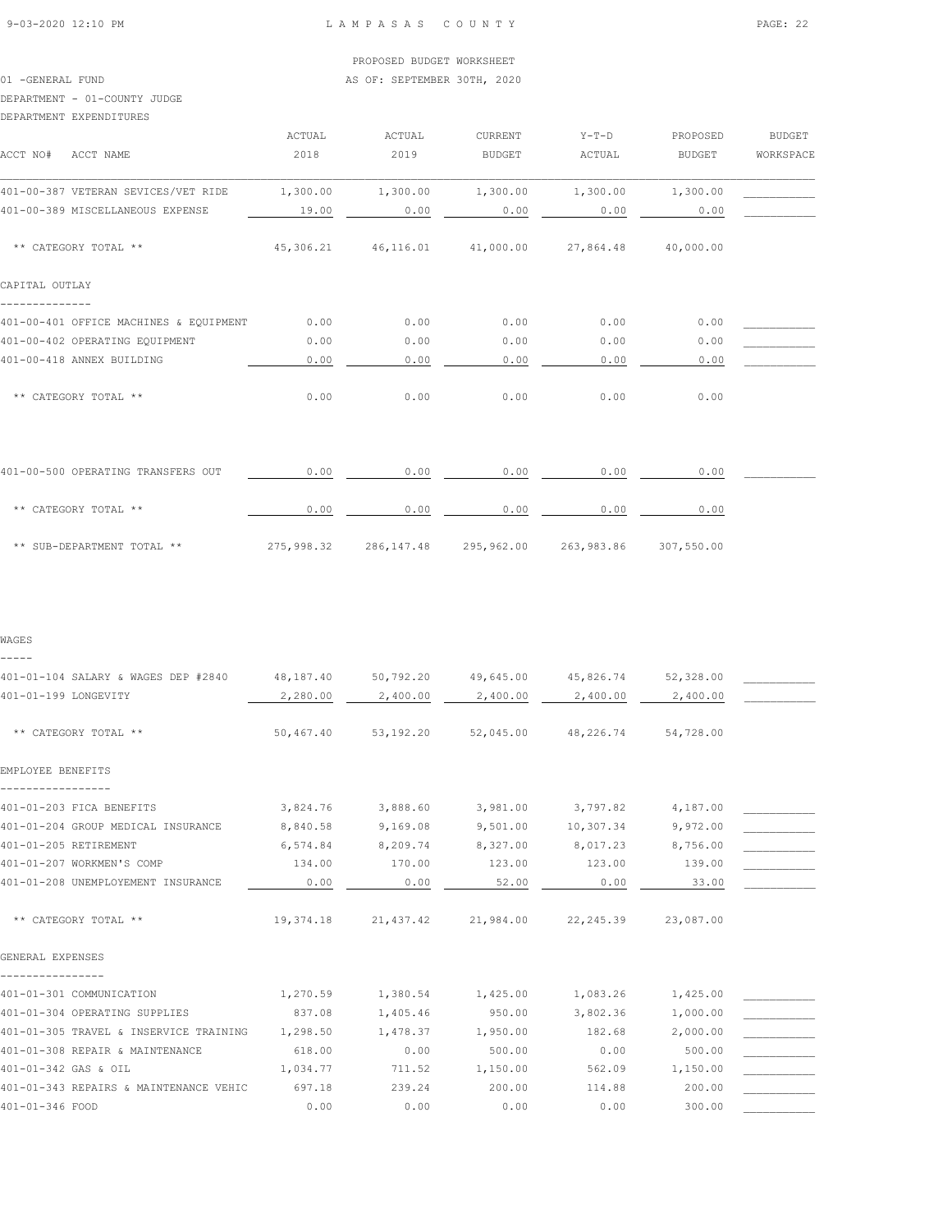01 -GENERAL FUND **AS OF: SEPTEMBER 30TH, 2020** 

# DEPARTMENT - 01-COUNTY JUDGE

#### DEPARTMENT EXPENDITURES

| DELANITENT EALENDIIONEO                |          |                               |               |           |               |           |
|----------------------------------------|----------|-------------------------------|---------------|-----------|---------------|-----------|
|                                        | ACTUAL   | ACTUAL                        | CURRENT       | $Y-T-D$   | PROPOSED      | BUDGET    |
| ACCT NO#<br>ACCT NAME                  | 2018     | 2019                          | <b>BUDGET</b> | ACTUAL    | <b>BUDGET</b> | WORKSPACE |
| 401-00-387 VETERAN SEVICES/VET RIDE    | 1,300.00 | 1,300.00                      | 1,300.00      | 1,300.00  | 1,300.00      |           |
| 401-00-389 MISCELLANEOUS EXPENSE       | 19.00    | 0.00                          | 0.00          | 0.00      | 0.00          |           |
| ** CATEGORY TOTAL **                   |          | 45,306.21 46,116.01 41,000.00 |               | 27,864.48 | 40,000.00     |           |
| CAPITAL OUTLAY                         |          |                               |               |           |               |           |
| 401-00-401 OFFICE MACHINES & EQUIPMENT | 0.00     | 0.00                          | 0.00          | 0.00      | 0.00          |           |
| 401-00-402 OPERATING EQUIPMENT         | 0.00     | 0.00                          | 0.00          | 0.00      | 0.00          |           |
| 401-00-418 ANNEX BUILDING              | 0.00     | 0.00                          | 0.00          | 0.00      | 0.00          |           |
| ** CATEGORY TOTAL **                   | 0.00     | 0.00                          | 0.00          | 0.00      | 0.00          |           |
|                                        |          |                               |               |           |               |           |
| 401-00-500 OPERATING TRANSFERS OUT     | 0.00     | 0.00                          | 0.00          | 0.00      | 0.00          |           |

| ** CATEGORY TOTAL **       | 0.00       | 0.00       | 0.00       | 0.00       | 0.00       |
|----------------------------|------------|------------|------------|------------|------------|
| ** SUB-DEPARTMENT TOTAL ** | 275,998.32 | 286,147.48 | 295,962.00 | 263,983.86 | 307,550.00 |

#### WAGES

-----

| 401-01-104 SALARY & WAGES DEP #2840    | 48,187.40 | 50,792.20 | 49,645.00                     | 45,826.74           | 52,328.00 |  |
|----------------------------------------|-----------|-----------|-------------------------------|---------------------|-----------|--|
| 401-01-199 LONGEVITY                   | 2,280.00  | 2,400.00  | 2,400.00                      | 2,400.00            | 2,400.00  |  |
|                                        |           |           |                               |                     |           |  |
| ** CATEGORY TOTAL **                   | 50,467.40 | 53,192.20 |                               | 52,045.00 48,226.74 | 54,728.00 |  |
| EMPLOYEE BENEFITS                      |           |           |                               |                     |           |  |
|                                        |           |           |                               |                     |           |  |
| 401-01-203 FICA BENEFITS               | 3,824.76  | 3,888.60  | 3,981.00                      | 3,797.82            | 4,187.00  |  |
| 401-01-204 GROUP MEDICAL INSURANCE     | 8,840.58  | 9,169.08  | 9,501.00                      | 10,307.34           | 9,972.00  |  |
| 401-01-205 RETIREMENT                  | 6,574.84  | 8,209.74  | 8,327.00                      | 8,017.23            | 8,756.00  |  |
| 401-01-207 WORKMEN'S COMP              | 134.00    | 170.00    | 123.00                        | 123.00              | 139.00    |  |
| 401-01-208 UNEMPLOYEMENT INSURANCE     | 0.00      | 0.00      | 52.00                         | 0.00                | 33.00     |  |
|                                        |           |           |                               |                     |           |  |
| ** CATEGORY TOTAL **                   | 19,374.18 |           | 21,437.42 21,984.00 22,245.39 |                     | 23,087.00 |  |
| GENERAL EXPENSES                       |           |           |                               |                     |           |  |
|                                        |           |           |                               |                     |           |  |
| 401-01-301 COMMUNICATION               | 1,270.59  | 1,380.54  | 1,425.00                      | 1,083.26            | 1,425.00  |  |
| 401-01-304 OPERATING SUPPLIES          | 837.08    | 1,405.46  | 950.00                        | 3,802.36            | 1,000.00  |  |
| 401-01-305 TRAVEL & INSERVICE TRAINING | 1,298.50  | 1,478.37  | 1,950.00                      | 182.68              | 2,000.00  |  |
| 401-01-308 REPAIR & MAINTENANCE        | 618.00    | 0.00      | 500.00                        | 0.00                | 500.00    |  |
| 401-01-342 GAS & OIL                   | 1,034.77  | 711.52    | 1,150.00                      | 562.09              | 1,150.00  |  |
| 401-01-343 REPAIRS & MAINTENANCE VEHIC | 697.18    | 239.24    | 200.00                        | 114.88              | 200.00    |  |
| 401-01-346 FOOD                        | 0.00      | 0.00      | 0.00                          | 0.00                | 300.00    |  |
|                                        |           |           |                               |                     |           |  |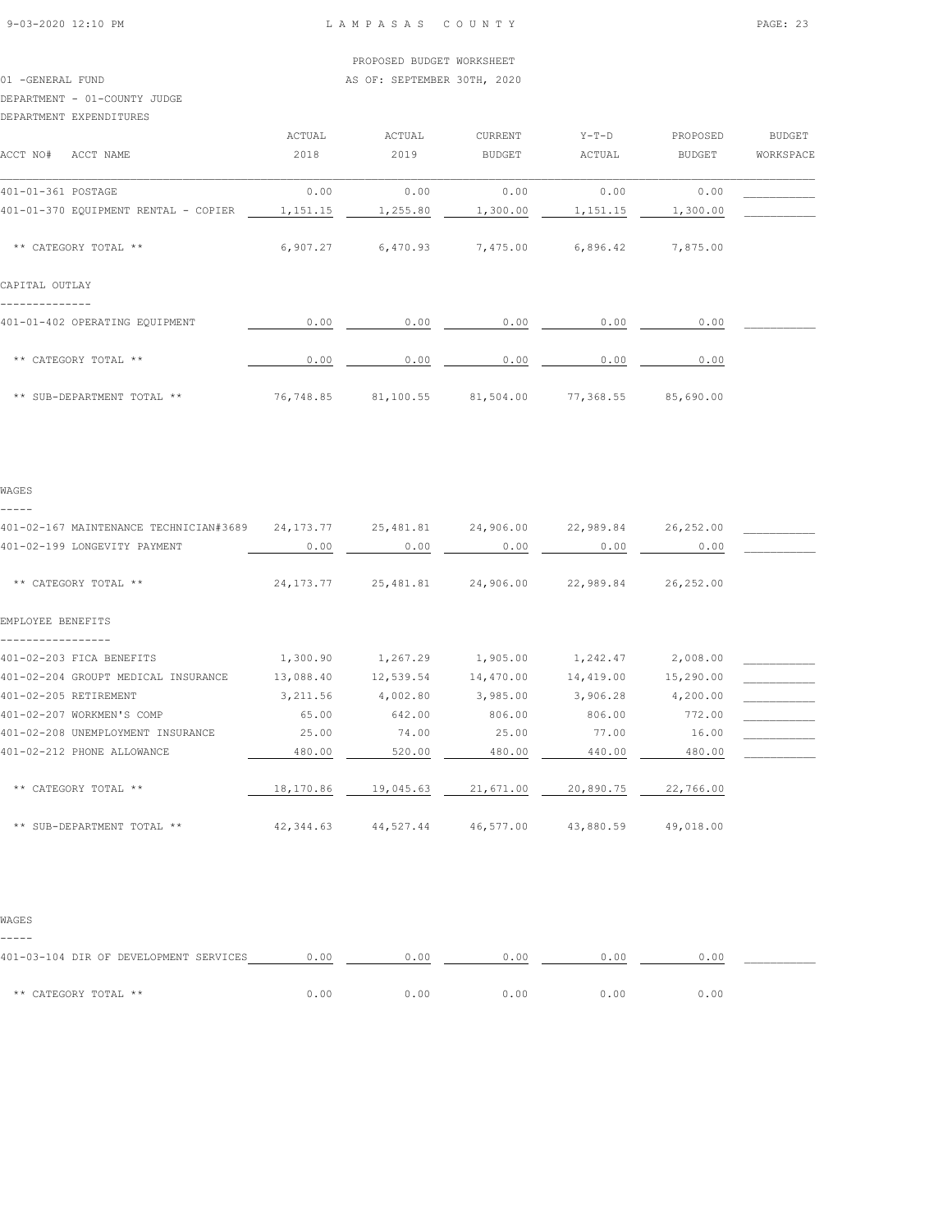01 -GENERAL FUND **AS OF: SEPTEMBER 30TH, 2020** 

#### DEPARTMENT - 01-COUNTY JUDGE

DEPARTMENT EXPENDITURES

|                                      | ACTUAL    | ACTUAL    | CURRENT       | $Y-T-D$   | PROPOSED  | <b>BUDGET</b> |
|--------------------------------------|-----------|-----------|---------------|-----------|-----------|---------------|
| ACCT NO#<br>ACCT NAME                | 2018      | 2019      | <b>BUDGET</b> | ACTUAL    | BUDGET    | WORKSPACE     |
| 401-01-361 POSTAGE                   | 0.00      | 0.00      | 0.00          | 0.00      | 0.00      |               |
| 401-01-370 EQUIPMENT RENTAL - COPIER | 1,151.15  | 1,255.80  | 1,300.00      | 1,151.15  | 1,300.00  |               |
| ** CATEGORY TOTAL **                 | 6,907.27  | 6,470.93  | 7,475.00      | 6,896.42  | 7,875.00  |               |
| CAPITAL OUTLAY                       |           |           |               |           |           |               |
| 401-01-402 OPERATING EQUIPMENT       | 0.00      | 0.00      | 0.00          | 0.00      | 0.00      |               |
| ** CATEGORY TOTAL **                 | 0.00      | 0.00      | 0.00          | 0.00      | 0.00      |               |
| ** SUB-DEPARTMENT TOTAL **           | 76,748.85 | 81,100.55 | 81,504.00     | 77,368.55 | 85,690.00 |               |

#### WAGES -----

| 401-02-167 MAINTENANCE TECHNICIAN#3689 | 24, 173. 77 | 25,481.81 | 24,906.00 | 22,989.84 | 26,252.00 |  |
|----------------------------------------|-------------|-----------|-----------|-----------|-----------|--|
| 401-02-199 LONGEVITY PAYMENT           | 0.00        | 0.00      | 0.00      | 0.00      | 0.00      |  |
| ** CATEGORY TOTAL **                   | 24, 173. 77 | 25,481.81 | 24,906.00 | 22,989.84 | 26,252.00 |  |
| EMPLOYEE BENEFITS                      |             |           |           |           |           |  |
|                                        |             |           |           |           |           |  |
| 401-02-203 FICA BENEFITS               | 1,300.90    | 1,267.29  | 1,905.00  | 1,242.47  | 2,008.00  |  |
| 401-02-204 GROUPT MEDICAL INSURANCE    | 13,088.40   | 12,539.54 | 14,470.00 | 14,419.00 | 15,290.00 |  |
| 401-02-205 RETIREMENT                  | 3,211.56    | 4,002.80  | 3,985.00  | 3,906.28  | 4,200.00  |  |
| 401-02-207 WORKMEN'S COMP              | 65.00       | 642.00    | 806.00    | 806.00    | 772.00    |  |
| 401-02-208 UNEMPLOYMENT INSURANCE      | 25.00       | 74.00     | 25.00     | 77.00     | 16.00     |  |
| 401-02-212 PHONE ALLOWANCE             | 480.00      | 520.00    | 480.00    | 440.00    | 480.00    |  |
| ** CATEGORY TOTAL **                   | 18,170.86   | 19,045.63 | 21,671.00 | 20,890.75 | 22,766.00 |  |
| ** SUB-DEPARTMENT TOTAL **             | 42,344.63   | 44,527.44 | 46,577.00 | 43,880.59 | 49,018.00 |  |

#### WAGES

-----

| 401-03-104 DIR OF DEVELOPMENT SERVICES | 0.00 | 0.00 | 1.00 | 0.OO |      |
|----------------------------------------|------|------|------|------|------|
| ** CATEGORY TOTAL **                   | 0.00 | 0.00 |      | 0.00 | 0.00 |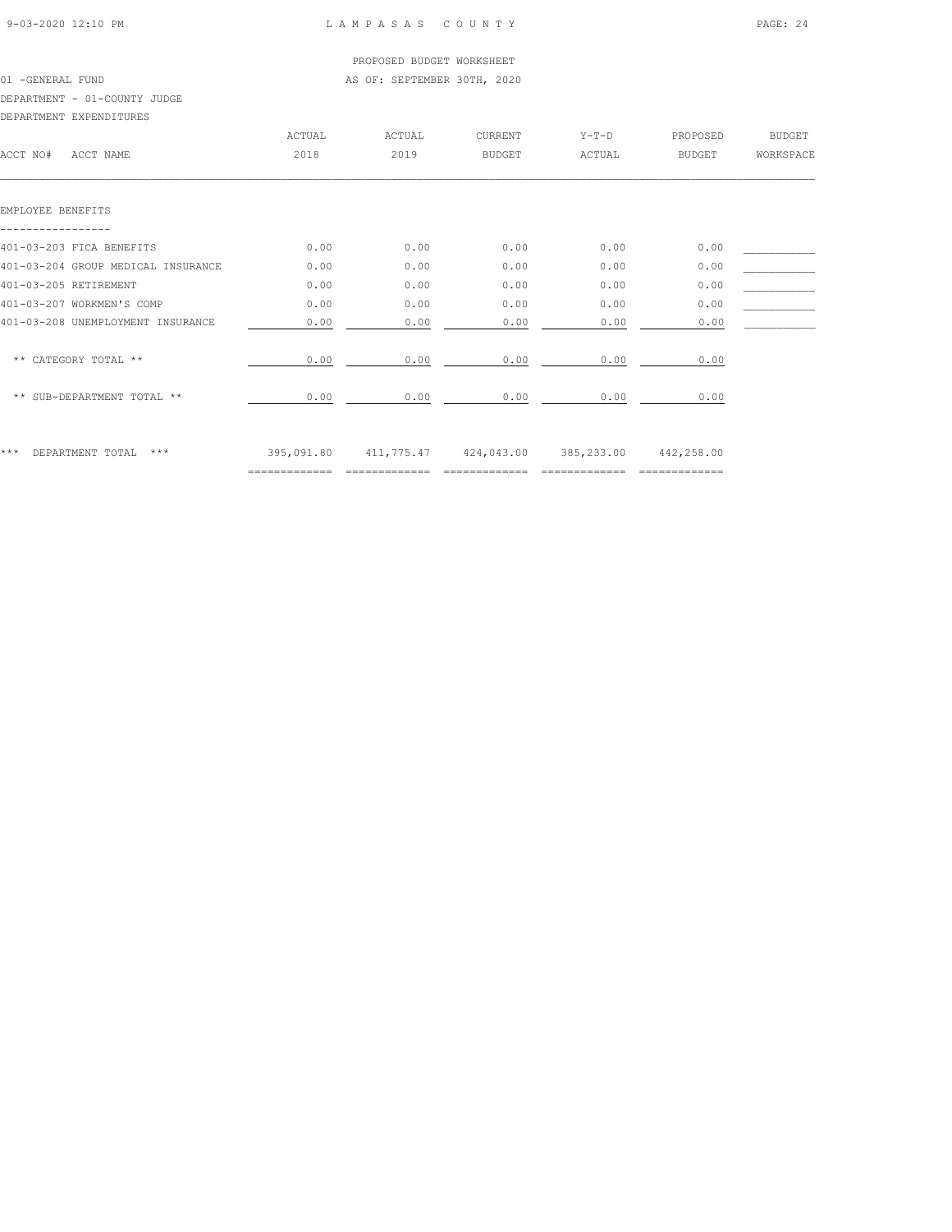#### PROPOSED BUDGET WORKSHEET 01 -GENERAL FUND **AS OF: SEPTEMBER 30TH, 2020**

DEPARTMENT - 01-COUNTY JUDGE

|  | DEPARTMENT EXPENDITURES |
|--|-------------------------|
|--|-------------------------|

| DELANITENT EALENDIIONEO            |        |                                                        |               |         |          |               |
|------------------------------------|--------|--------------------------------------------------------|---------------|---------|----------|---------------|
|                                    | ACTUAL | ACTUAL                                                 | CURRENT       | $Y-T-D$ | PROPOSED | <b>BUDGET</b> |
| ACCT NO#<br>ACCT NAME              | 2018   | 2019                                                   | <b>BUDGET</b> | ACTUAL  | BUDGET   | WORKSPACE     |
|                                    |        |                                                        |               |         |          |               |
|                                    |        |                                                        |               |         |          |               |
| EMPLOYEE BENEFITS                  |        |                                                        |               |         |          |               |
|                                    |        |                                                        |               |         |          |               |
| 401-03-203 FICA BENEFITS           | 0.00   | 0.00                                                   | 0.00          | 0.00    | 0.00     |               |
| 401-03-204 GROUP MEDICAL INSURANCE | 0.00   | 0.00                                                   | 0.00          | 0.00    | 0.00     |               |
| 401-03-205 RETIREMENT              | 0.00   | 0.00                                                   | 0.00          | 0.00    | 0.00     |               |
| 401-03-207 WORKMEN'S COMP          | 0.00   | 0.00                                                   | 0.00          | 0.00    | 0.00     |               |
| 401-03-208 UNEMPLOYMENT INSURANCE  | 0.00   | 0.00                                                   | 0.00          | 0.00    | 0.00     |               |
|                                    |        |                                                        |               |         |          |               |
| ** CATEGORY TOTAL **               | 0.00   | 0.00                                                   | 0.00          | 0.00    | 0.00     |               |
|                                    |        |                                                        |               |         |          |               |
| ** SUB-DEPARTMENT TOTAL **         | 0.00   | 0.00                                                   | 0.00          | 0.00    | 0.00     |               |
|                                    |        |                                                        |               |         |          |               |
|                                    |        |                                                        |               |         |          |               |
| ***<br>DEPARTMENT TOTAL<br>***     |        | 395,091.80 411,775.47 424,043.00 385,233.00 442,258.00 |               |         |          |               |
|                                    |        |                                                        |               |         |          |               |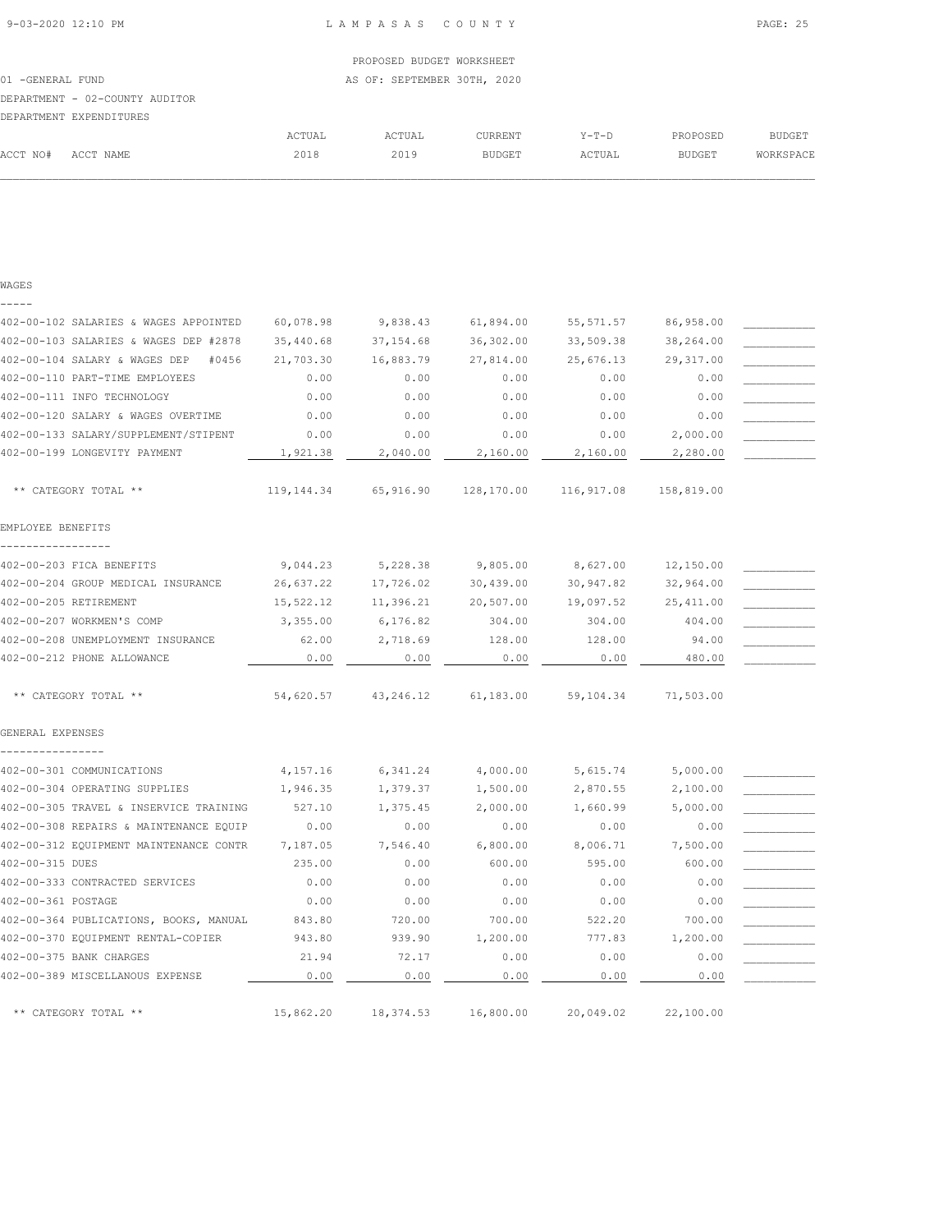| ACCT NO#         | ACCT NAME                      | 2018   | 2019                        | <b>BUDGET</b> | ACTUAL  | <b>BUDGET</b> | WORKSPACE |
|------------------|--------------------------------|--------|-----------------------------|---------------|---------|---------------|-----------|
|                  |                                | ACTUAL | ACTUAL                      | CURRENT       | $Y-T-D$ | PROPOSED      | BUDGET    |
|                  | DEPARTMENT EXPENDITURES        |        |                             |               |         |               |           |
|                  | DEPARTMENT - 02-COUNTY AUDITOR |        |                             |               |         |               |           |
| 01 -GENERAL FUND |                                |        | AS OF: SEPTEMBER 30TH, 2020 |               |         |               |           |
|                  |                                |        | PROPOSED BUDGET WORKSHEET   |               |         |               |           |
|                  |                                |        |                             |               |         |               |           |

| WAGES                                         |            |            |            |            |            |  |
|-----------------------------------------------|------------|------------|------------|------------|------------|--|
| -----                                         |            |            |            |            |            |  |
| 402-00-102 SALARIES & WAGES APPOINTED         | 60,078.98  | 9,838.43   | 61,894.00  | 55, 571.57 | 86,958.00  |  |
| 402-00-103 SALARIES & WAGES DEP #2878         | 35,440.68  | 37, 154.68 | 36,302.00  | 33,509.38  | 38,264.00  |  |
| 402-00-104 SALARY & WAGES DEP<br>#0456        | 21,703.30  | 16,883.79  | 27,814.00  | 25,676.13  | 29,317.00  |  |
| 402-00-110 PART-TIME EMPLOYEES                | 0.00       | 0.00       | 0.00       | 0.00       | 0.00       |  |
| 402-00-111 INFO TECHNOLOGY                    | 0.00       | 0.00       | 0.00       | 0.00       | 0.00       |  |
| 402-00-120 SALARY & WAGES OVERTIME            | 0.00       | 0.00       | 0.00       | 0.00       | 0.00       |  |
| 402-00-133 SALARY/SUPPLEMENT/STIPENT          | 0.00       | 0.00       | 0.00       | 0.00       | 2,000.00   |  |
| 402-00-199 LONGEVITY PAYMENT                  | 1,921.38   | 2,040.00   | 2,160.00   | 2,160.00   | 2,280.00   |  |
| ** CATEGORY TOTAL **                          | 119,144.34 | 65,916.90  | 128,170.00 | 116,917.08 | 158,819.00 |  |
| EMPLOYEE BENEFITS                             |            |            |            |            |            |  |
| -----------------<br>402-00-203 FICA BENEFITS | 9,044.23   | 5,228.38   | 9,805.00   | 8,627.00   | 12,150.00  |  |
| 402-00-204 GROUP MEDICAL INSURANCE            | 26,637.22  | 17,726.02  | 30,439.00  | 30,947.82  | 32,964.00  |  |
| 402-00-205 RETIREMENT                         | 15,522.12  | 11,396.21  | 20,507.00  | 19,097.52  | 25, 411.00 |  |
| 402-00-207 WORKMEN'S COMP                     | 3,355.00   | 6,176.82   | 304.00     | 304.00     | 404.00     |  |
| 402-00-208 UNEMPLOYMENT INSURANCE             | 62.00      | 2,718.69   | 128.00     | 128.00     | 94.00      |  |
| 402-00-212 PHONE ALLOWANCE                    | 0.00       | 0.00       | 0.00       | 0.00       | 480.00     |  |
| ** CATEGORY TOTAL **                          | 54,620.57  | 43,246.12  | 61,183.00  | 59,104.34  | 71,503.00  |  |
| GENERAL EXPENSES                              |            |            |            |            |            |  |
| 402-00-301 COMMUNICATIONS                     | 4,157.16   | 6,341.24   | 4,000.00   | 5,615.74   | 5,000.00   |  |
| 402-00-304 OPERATING SUPPLIES                 | 1,946.35   | 1,379.37   | 1,500.00   | 2,870.55   | 2,100.00   |  |
| 402-00-305 TRAVEL & INSERVICE TRAINING        | 527.10     | 1,375.45   | 2,000.00   | 1,660.99   | 5,000.00   |  |
| 402-00-308 REPAIRS & MAINTENANCE EQUIP        | 0.00       | 0.00       | 0.00       | 0.00       | 0.00       |  |
| 402-00-312 EQUIPMENT MAINTENANCE CONTR        | 7,187.05   | 7,546.40   | 6,800.00   | 8,006.71   | 7,500.00   |  |
| 402-00-315 DUES                               | 235.00     | 0.00       | 600.00     | 595.00     | 600.00     |  |
| 402-00-333 CONTRACTED SERVICES                | 0.00       | 0.00       | 0.00       | 0.00       | 0.00       |  |
| 402-00-361 POSTAGE                            | 0.00       | 0.00       | 0.00       | 0.00       | 0.00       |  |
| 402-00-364 PUBLICATIONS, BOOKS, MANUAL        | 843.80     | 720.00     | 700.00     | 522.20     | 700.00     |  |
| 402-00-370 EQUIPMENT RENTAL-COPIER            | 943.80     | 939.90     | 1,200.00   | 777.83     | 1,200.00   |  |
| 402-00-375 BANK CHARGES                       | 21.94      | 72.17      | 0.00       | 0.00       | 0.00       |  |
| 402-00-389 MISCELLANOUS EXPENSE               | 0.00       | 0.00       | 0.00       | 0.00       | 0.00       |  |
| ** CATEGORY TOTAL **                          | 15,862.20  | 18,374.53  | 16,800.00  | 20,049.02  | 22,100.00  |  |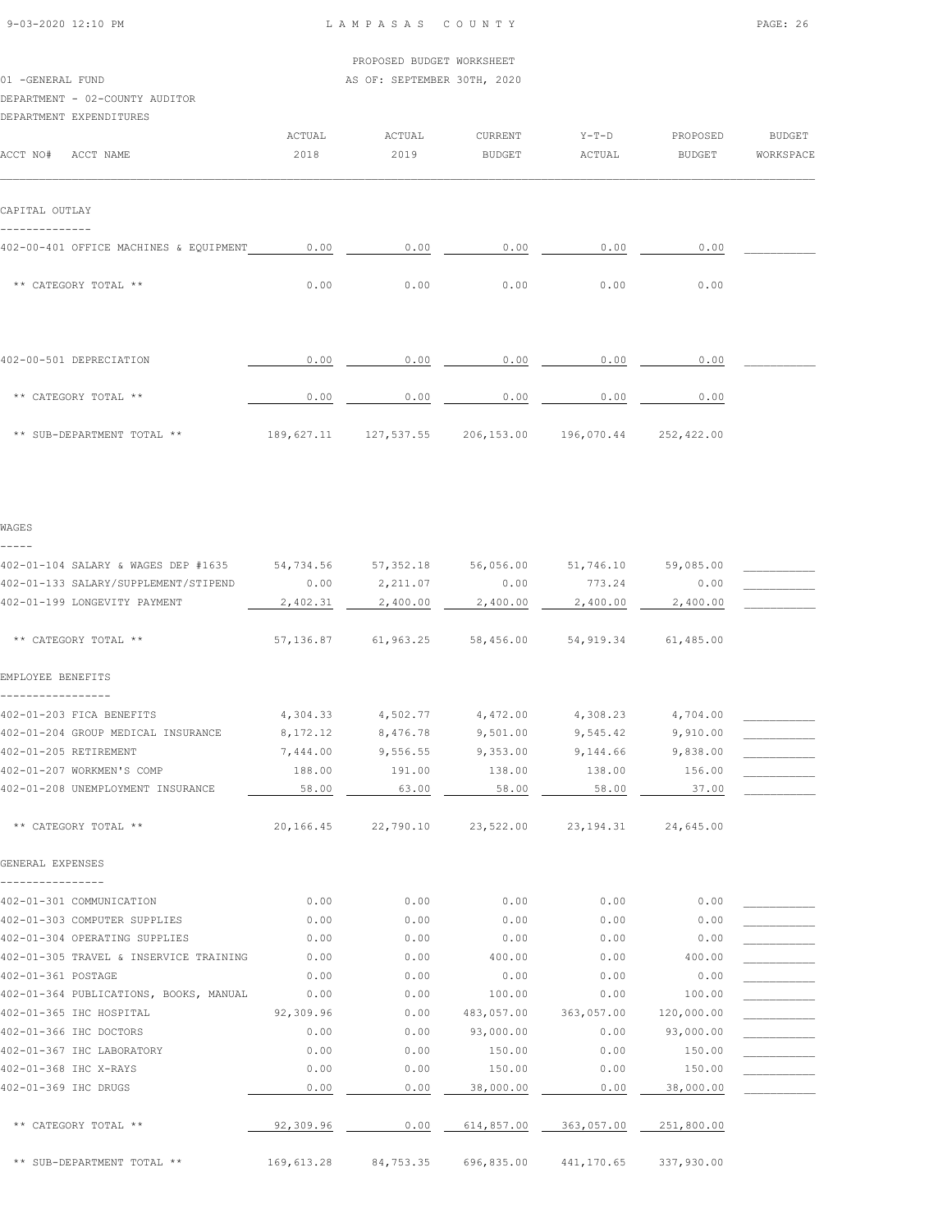01 -GENERAL FUND **AS OF: SEPTEMBER 30TH, 2020** 

#### DEPARTMENT - 02-COUNTY AUDITOR

DEPARTMENT EXPENDITURES

| ACCT NO#<br>ACCT NAME                  | ACTUAL<br>2018 | ACTUAL<br>2019 | CURRENT<br><b>BUDGET</b> | $Y-T-D$<br>ACTUAL | PROPOSED<br><b>BUDGET</b> | <b>BUDGET</b><br>WORKSPACE |
|----------------------------------------|----------------|----------------|--------------------------|-------------------|---------------------------|----------------------------|
| CAPITAL OUTLAY                         |                |                |                          |                   |                           |                            |
|                                        |                |                |                          |                   |                           |                            |
| 402-00-401 OFFICE MACHINES & EQUIPMENT | 0.00           | 0.00           | 0.00                     | 0.00              | 0.00                      |                            |
| ** CATEGORY TOTAL **                   | 0.00           | 0.00           | 0.00                     | 0.00              | 0.00                      |                            |
|                                        |                |                |                          |                   |                           |                            |
| 402-00-501 DEPRECIATION                | 0.00           | 0.00           | 0.00                     | 0.00              | 0.00                      |                            |
| ** CATEGORY TOTAL **                   | 0.00           | 0.00           | 0.00                     | 0.00              | 0.00                      |                            |
| ** SUB-DEPARTMENT TOTAL **             | 189,627.11     | 127,537.55     | 206,153.00               | 196,070.44        | 252,422.00                |                            |
| WAGES                                  |                |                |                          |                   |                           |                            |
| -----                                  |                |                |                          |                   |                           |                            |
| 402-01-104 SALARY & WAGES DEP #1635    | 54,734.56      | 57, 352.18     | 56,056.00                | 51,746.10         | 59,085.00                 |                            |
| 402-01-133 SALARY/SUPPLEMENT/STIPEND   | 0.00           | 2,211.07       | 0.00                     | 773.24            | 0.00                      |                            |
| 402-01-199 LONGEVITY PAYMENT           | 2,402.31       | 2,400.00       | 2,400.00                 | 2,400.00          | 2,400.00                  |                            |
| ** CATEGORY TOTAL **                   | 57,136.87      | 61,963.25      | 58,456.00                | 54,919.34         | 61,485.00                 |                            |
| EMPLOYEE BENEFITS                      |                |                |                          |                   |                           |                            |
| ----------<br>402-01-203 FICA BENEFITS | 4,304.33       | 4,502.77       | 4,472.00                 | 4,308.23          | 4,704.00                  |                            |
| 402-01-204 GROUP MEDICAL INSURANCE     | 8,172.12       | 8,476.78       | 9,501.00                 | 9,545.42          | 9,910.00                  |                            |
| 402-01-205 RETIREMENT                  | 7,444.00       | 9,556.55       | 9,353.00                 | 9,144.66          | 9,838.00                  |                            |
| 402-01-207 WORKMEN'S COMP              | 188.00         | 191.00         | 138.00                   | 138.00            | 156.00                    |                            |
| 402-01-208 UNEMPLOYMENT INSURANCE      | 58.00          | 63.00          | 58.00                    | 58.00             | 37.00                     |                            |
| ** CATEGORY TOTAL **                   | 20,166.45      | 22,790.10      | 23,522.00                | 23, 194. 31       | 24,645.00                 |                            |
| GENERAL EXPENSES                       |                |                |                          |                   |                           |                            |
| 402-01-301 COMMUNICATION               | 0.00           | 0.00           | 0.00                     | 0.00              | 0.00                      |                            |
| 402-01-303 COMPUTER SUPPLIES           | 0.00           | 0.00           | 0.00                     | 0.00              | 0.00                      |                            |
| 402-01-304 OPERATING SUPPLIES          | 0.00           | 0.00           | 0.00                     | 0.00              | 0.00                      |                            |
| 402-01-305 TRAVEL & INSERVICE TRAINING | 0.00           | 0.00           | 400.00                   | 0.00              | 400.00                    |                            |
| 402-01-361 POSTAGE                     | 0.00           | 0.00           | 0.00                     | 0.00              | 0.00                      |                            |
| 402-01-364 PUBLICATIONS, BOOKS, MANUAL | 0.00           | 0.00           | 100.00                   | 0.00              | 100.00                    |                            |
| 402-01-365 IHC HOSPITAL                | 92,309.96      | 0.00           | 483,057.00               | 363,057.00        | 120,000.00                |                            |
| 402-01-366 IHC DOCTORS                 | 0.00           | 0.00           | 93,000.00                | 0.00              | 93,000.00                 |                            |
| 402-01-367 IHC LABORATORY              | 0.00           | 0.00           | 150.00                   | 0.00              | 150.00                    |                            |
| 402-01-368 IHC X-RAYS                  | 0.00           | 0.00           | 150.00                   | 0.00              | 150.00                    |                            |
| 402-01-369 IHC DRUGS                   | 0.00           | 0.00           | 38,000.00                | 0.00              | 38,000.00                 |                            |
| ** CATEGORY TOTAL **                   | 92,309.96      | 0.00           | 614,857.00               | 363,057.00        | 251,800.00                |                            |

\*\* SUB-DEPARTMENT TOTAL \*\* 169,613.28 84,753.35 696,835.00 441,170.65 337,930.00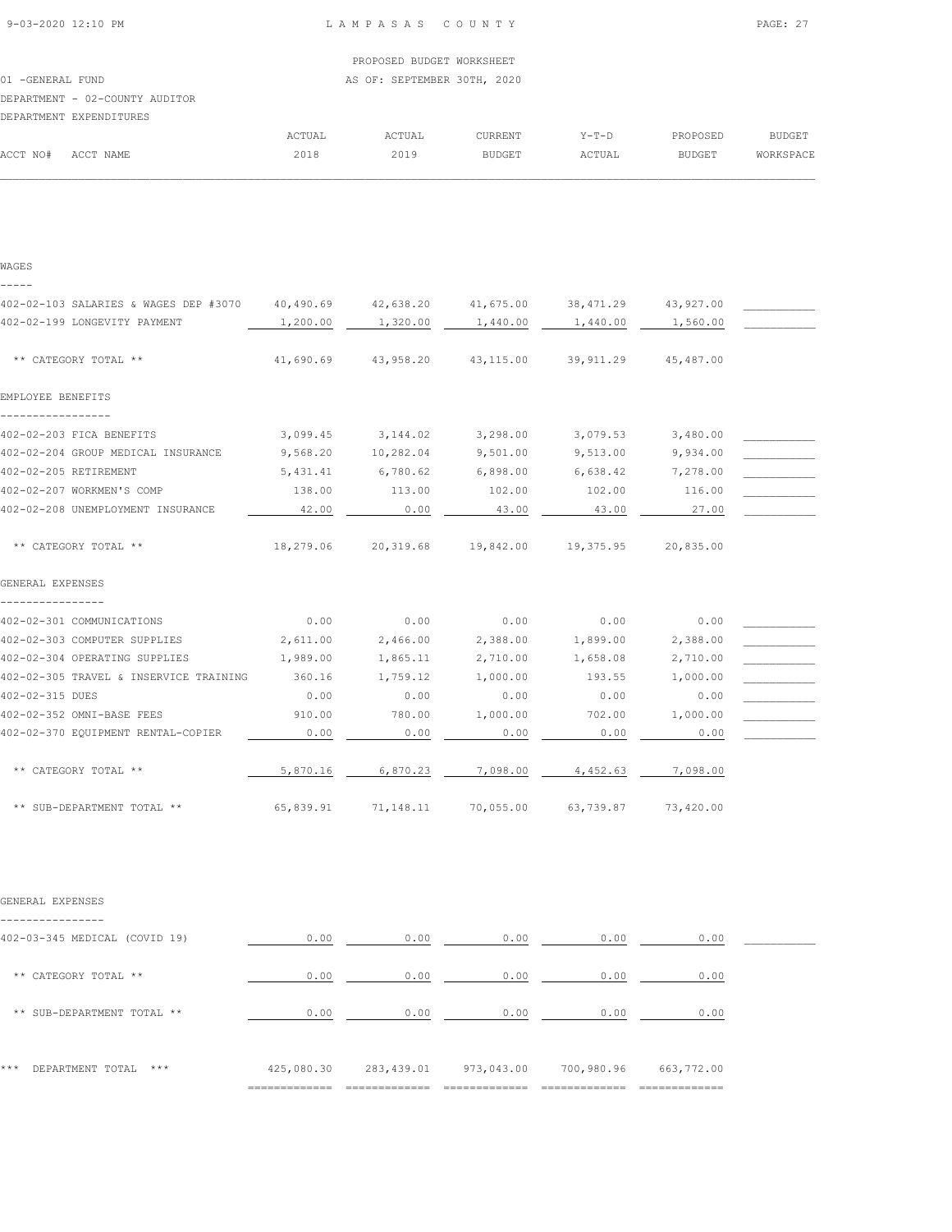| 9-03-2020 12:10 PM |  |
|--------------------|--|

#### LAMPASAS COUNTY PAGE: 27

|                                |        | PROPOSED BUDGET WORKSHEET   |         |         |          |           |
|--------------------------------|--------|-----------------------------|---------|---------|----------|-----------|
| 01 -GENERAL FUND               |        | AS OF: SEPTEMBER 30TH, 2020 |         |         |          |           |
| DEPARTMENT - 02-COUNTY AUDITOR |        |                             |         |         |          |           |
| DEPARTMENT EXPENDITURES        |        |                             |         |         |          |           |
|                                | ACTUAL | ACTUAL                      | CURRENT | $Y-T-D$ | PROPOSED | BUDGET    |
| ACCT NO#<br>ACCT NAME          | 2018   | 2019                        | BUDGET  | ACTUAL  | BUDGET   | WORKSPACE |
|                                |        |                             |         |         |          |           |
|                                |        |                             |         |         |          |           |
|                                |        |                             |         |         |          |           |

| WAGES                                  |                     |                                         |           |                               |                     |  |
|----------------------------------------|---------------------|-----------------------------------------|-----------|-------------------------------|---------------------|--|
|                                        |                     |                                         |           |                               |                     |  |
| 402-02-103 SALARIES & WAGES DEP #3070  | 40,490.69 42,638.20 |                                         |           | 41,675.00 38,471.29 43,927.00 |                     |  |
| 402-02-199 LONGEVITY PAYMENT           | 1,200.00            | 1,320.00                                | 1,440.00  | 1,440.00                      | 1,560.00            |  |
| ** CATEGORY TOTAL **                   | 41,690.69           | 43,958.20                               | 43,115.00 | 39,911.29                     | 45,487.00           |  |
| EMPLOYEE BENEFITS                      |                     |                                         |           |                               |                     |  |
| 402-02-203 FICA BENEFITS               | 3,099.45            | 3, 144.02 3, 298.00                     |           | 3,079.53                      | 3,480.00            |  |
| 402-02-204 GROUP MEDICAL INSURANCE     | 9,568.20            | 10,282.04                               | 9,501.00  | 9,513.00                      | 9,934.00            |  |
| 402-02-205 RETIREMENT                  | 5,431.41            | 6,780.62                                | 6,898.00  | 6,638.42                      | 7,278.00            |  |
| 402-02-207 WORKMEN'S COMP              | 138.00              | 113.00                                  | 102.00    | 102.00                        | 116.00              |  |
| 402-02-208 UNEMPLOYMENT INSURANCE      | 42.00               | 0.00                                    | 43.00     | 43.00                         | 27.00               |  |
| ** CATEGORY TOTAL **                   |                     | 18,279.06 20,319.68 19,842.00 19,375.95 |           |                               | 20,835.00           |  |
| GENERAL EXPENSES                       |                     |                                         |           |                               |                     |  |
|                                        |                     |                                         |           |                               |                     |  |
| 402-02-301 COMMUNICATIONS              | 0.00                | 0.00                                    | 0.00      | 0.00                          | 0.00                |  |
| 402-02-303 COMPUTER SUPPLIES           | 2,611.00            | 2,466.00                                | 2,388.00  | 1,899.00                      | 2,388.00            |  |
| 402-02-304 OPERATING SUPPLIES          | 1,989.00            | 1,865.11                                | 2,710.00  | 1,658.08                      | 2,710.00            |  |
| 402-02-305 TRAVEL & INSERVICE TRAINING | 360.16              | 1,759.12                                | 1,000.00  | 193.55                        | 1,000.00            |  |
| 402-02-315 DUES                        | 0.00                | 0.00                                    | 0.00      | 0.00                          | 0.00                |  |
| 402-02-352 OMNI-BASE FEES              | 910.00              | 780.00                                  | 1,000.00  | 702.00                        | 1,000.00            |  |
| 402-02-370 EQUIPMENT RENTAL-COPIER     | 0.00                | 0.00                                    | 0.00      | 0.00                          | 0.00                |  |
| ** CATEGORY TOTAL **                   | 5,870.16            | 6,870.23                                | 7,098.00  | 4,452.63                      | 7,098.00            |  |
| ** SUB-DEPARTMENT TOTAL **             |                     | 65,839.91 71,148.11 70,055.00           |           |                               | 63,739.87 73,420.00 |  |

| GENERAL EXPENSES |
|------------------|
|                  |

| 402-03-345 MEDICAL (COVID 19)  | 0.00       | 0.00       | 0.00       | 0.00       | 0.00                         |  |
|--------------------------------|------------|------------|------------|------------|------------------------------|--|
| ** CATEGORY TOTAL **           | 0.00       | 0.00       | 0.00       | 0.00       | 0.00                         |  |
| ** SUB-DEPARTMENT TOTAL **     | 0.00       | 0.00       | 0.00       | 0.00       | 0.00                         |  |
| ***<br>***<br>DEPARTMENT TOTAL | 425,080.30 | 283,439.01 | 973,043.00 | 700,980.96 | 663,772.00<br>-------------- |  |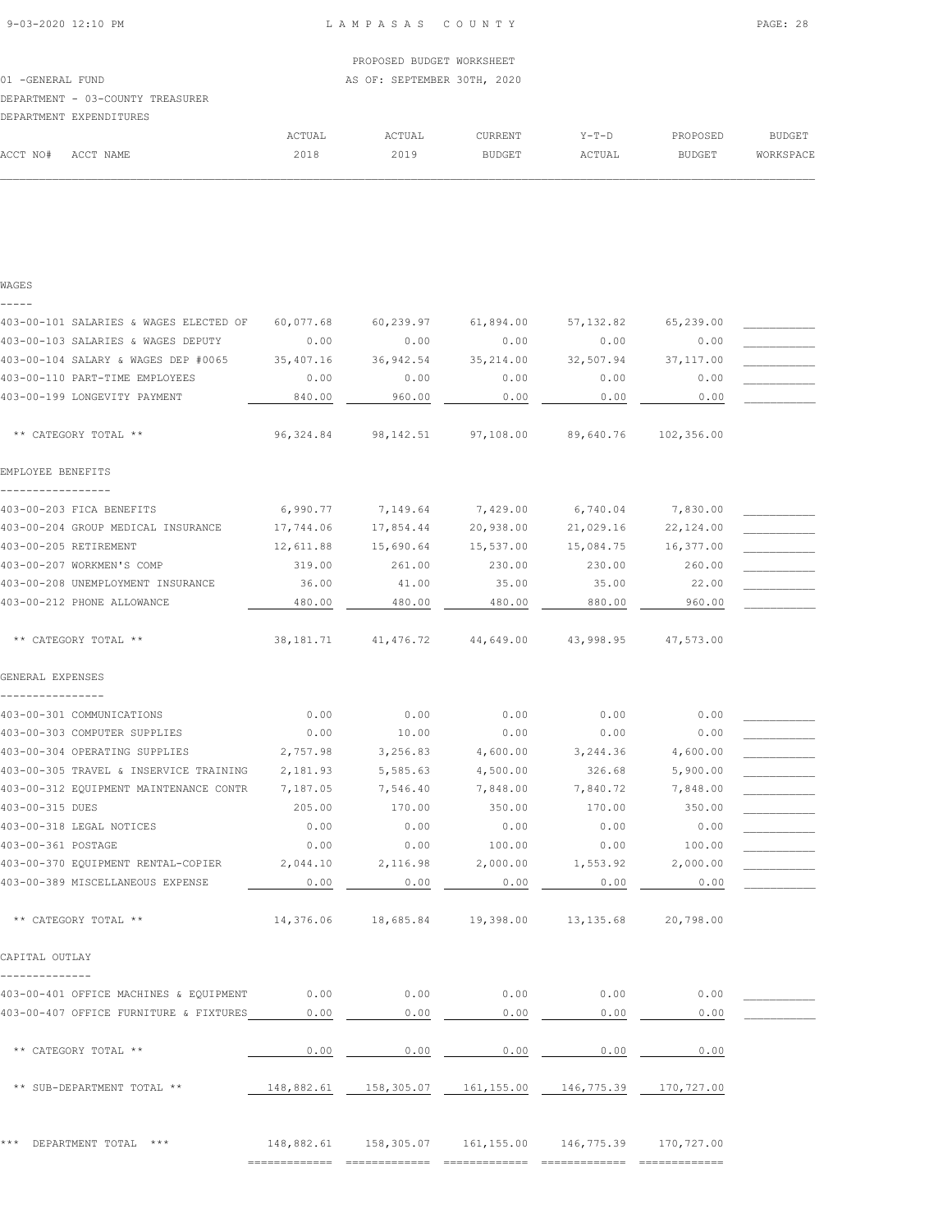## PROPOSED BUDGET WORKSHEET 01 -GENERAL FUND **AS OF: SEPTEMBER 30TH, 2020** DEPARTMENT - 03-COUNTY TREASURER DEPARTMENT EXPENDITURES ACTUAL ACTUAL CURRENT Y-T-D PROPOSED BUDGET ACCT NO# ACCT NAME 2018 2019 BUDGET ACTUAL BUDGET WORKSPACE  $\mathcal{L} = \{ \mathcal{L} = \{ \mathcal{L} = \{ \mathcal{L} = \{ \mathcal{L} = \{ \mathcal{L} = \{ \mathcal{L} = \{ \mathcal{L} = \{ \mathcal{L} = \{ \mathcal{L} = \{ \mathcal{L} = \{ \mathcal{L} = \{ \mathcal{L} = \{ \mathcal{L} = \{ \mathcal{L} = \{ \mathcal{L} = \{ \mathcal{L} = \{ \mathcal{L} = \{ \mathcal{L} = \{ \mathcal{L} = \{ \mathcal{L} = \{ \mathcal{L} = \{ \mathcal{L} = \{ \mathcal{L} = \{ \mathcal{$

|  | $\sim$ | ٠<br>۰, |  |
|--|--------|---------|--|
|  |        |         |  |

| 403-00-101 SALARIES & WAGES ELECTED OF | 60,077.68  | 60,239.97  | 61,894.00  | 57, 132.82 | 65,239.00  |  |
|----------------------------------------|------------|------------|------------|------------|------------|--|
| 403-00-103 SALARIES & WAGES DEPUTY     | 0.00       | 0.00       | 0.00       | 0.00       | 0.00       |  |
| 403-00-104 SALARY & WAGES DEP #0065    | 35,407.16  | 36, 942.54 | 35, 214.00 | 32,507.94  | 37,117.00  |  |
| 403-00-110 PART-TIME EMPLOYEES         | 0.00       | 0.00       | 0.00       | 0.00       | 0.00       |  |
| 403-00-199 LONGEVITY PAYMENT           | 840.00     | 960.00     | 0.00       | 0.00       | 0.00       |  |
| ** CATEGORY TOTAL **                   | 96, 324.84 | 98, 142.51 | 97,108.00  | 89,640.76  | 102,356.00 |  |
| EMPLOYEE BENEFITS                      |            |            |            |            |            |  |
|                                        |            |            |            |            |            |  |
| 403-00-203 FICA BENEFITS               | 6,990.77   | 7,149.64   | 7,429.00   | 6,740.04   | 7,830.00   |  |
| 403-00-204 GROUP MEDICAL INSURANCE     | 17,744.06  | 17,854.44  | 20,938.00  | 21,029.16  | 22,124.00  |  |
| 403-00-205 RETIREMENT                  | 12,611.88  | 15,690.64  | 15,537.00  | 15,084.75  | 16,377.00  |  |
| 403-00-207 WORKMEN'S COMP              | 319.00     | 261.00     | 230.00     | 230.00     | 260.00     |  |
| 403-00-208 UNEMPLOYMENT INSURANCE      | 36.00      | 41.00      | 35.00      | 35.00      | 22.00      |  |
| 403-00-212 PHONE ALLOWANCE             | 480.00     | 480.00     | 480.00     | 880.00     | 960.00     |  |
| ** CATEGORY TOTAL **                   | 38,181.71  | 41,476.72  | 44,649.00  | 43,998.95  | 47,573.00  |  |
| GENERAL EXPENSES                       |            |            |            |            |            |  |
| ---------------                        |            |            |            |            |            |  |
| 403-00-301 COMMUNICATIONS              | 0.00       | 0.00       | 0.00       | 0.00       | 0.00       |  |
| 403-00-303 COMPUTER SUPPLIES           | 0.00       | 10.00      | 0.00       | 0.00       | 0.00       |  |
| 403-00-304 OPERATING SUPPLIES          | 2,757.98   | 3,256.83   | 4,600.00   | 3,244.36   | 4,600.00   |  |
| 403-00-305 TRAVEL & INSERVICE TRAINING | 2,181.93   | 5,585.63   | 4,500.00   | 326.68     | 5,900.00   |  |
| 403-00-312 EQUIPMENT MAINTENANCE CONTR | 7,187.05   | 7,546.40   | 7,848.00   | 7,840.72   | 7,848.00   |  |
| 403-00-315 DUES                        | 205.00     | 170.00     | 350.00     | 170.00     | 350.00     |  |
| 403-00-318 LEGAL NOTICES               | 0.00       | 0.00       | 0.00       | 0.00       | 0.00       |  |
| 403-00-361 POSTAGE                     | 0.00       | 0.00       | 100.00     | 0.00       | 100.00     |  |
| 403-00-370 EQUIPMENT RENTAL-COPIER     | 2,044.10   | 2,116.98   | 2,000.00   | 1,553.92   | 2,000.00   |  |
| 403-00-389 MISCELLANEOUS EXPENSE       | 0.00       | 0.00       | 0.00       | 0.00       | 0.00       |  |
| ** CATEGORY TOTAL **                   | 14,376.06  | 18,685.84  | 19,398.00  | 13, 135.68 | 20,798.00  |  |
| CAPITAL OUTLAY                         |            |            |            |            |            |  |
| 403-00-401 OFFICE MACHINES & EQUIPMENT | 0.00       | 0.00       | 0.00       | 0.00       | 0.00       |  |
| 403-00-407 OFFICE FURNITURE & FIXTURES | 0.00       | 0.00       | 0.00       | 0.00       | 0.00       |  |
|                                        |            |            |            |            |            |  |
| ** CATEGORY TOTAL **                   | 0.00       | 0.00       | 0.00       | 0.00       | 0.00       |  |
| ** SUB-DEPARTMENT TOTAL **             | 148,882.61 | 158,305.07 | 161,155.00 | 146,775.39 | 170,727.00 |  |
|                                        |            |            |            |            |            |  |

|                          | _____________ |                                    |            |
|--------------------------|---------------|------------------------------------|------------|
| *** DEPARTMENT TOTAL *** | 148,882.61    | 158,305.07  161,155.00  146,775.39 | 170,727.00 |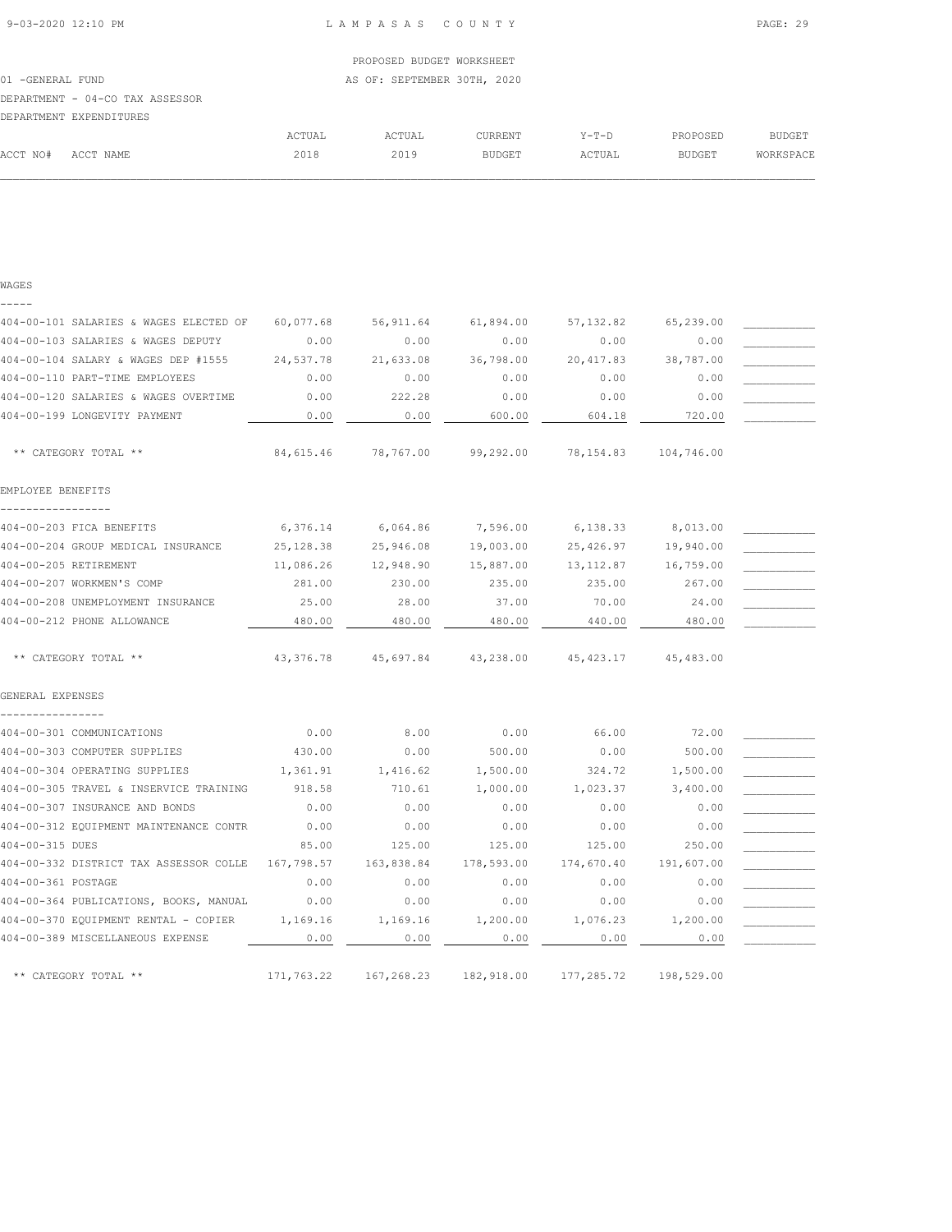## PROPOSED BUDGET WORKSHEET 01 -GENERAL FUND **AS OF: SEPTEMBER 30TH, 2020** DEPARTMENT - 04-CO TAX ASSESSOR DEPARTMENT EXPENDITURES ACTUAL ACTUAL CURRENT Y-T-D PROPOSED BUDGET ACCT NO# ACCT NAME 2018 2019 BUDGET ACTUAL BUDGET WORKSPACE  $\mathcal{L} = \{ \mathcal{L} = \{ \mathcal{L} = \{ \mathcal{L} = \{ \mathcal{L} = \{ \mathcal{L} = \{ \mathcal{L} = \{ \mathcal{L} = \{ \mathcal{L} = \{ \mathcal{L} = \{ \mathcal{L} = \{ \mathcal{L} = \{ \mathcal{L} = \{ \mathcal{L} = \{ \mathcal{L} = \{ \mathcal{L} = \{ \mathcal{L} = \{ \mathcal{L} = \{ \mathcal{L} = \{ \mathcal{L} = \{ \mathcal{L} = \{ \mathcal{L} = \{ \mathcal{L} = \{ \mathcal{L} = \{ \mathcal{$

| WAGES                                  |             |            |            |             |            |  |
|----------------------------------------|-------------|------------|------------|-------------|------------|--|
|                                        |             |            |            |             |            |  |
| 404-00-101 SALARIES & WAGES ELECTED OF | 60,077.68   | 56, 911.64 | 61,894.00  | 57, 132.82  | 65,239.00  |  |
| 404-00-103 SALARIES & WAGES DEPUTY     | 0.00        | 0.00       | 0.00       | 0.00        | 0.00       |  |
| 404-00-104 SALARY & WAGES DEP #1555    | 24,537.78   | 21,633.08  | 36,798.00  | 20, 417.83  | 38,787.00  |  |
| 404-00-110 PART-TIME EMPLOYEES         | 0.00        | 0.00       | 0.00       | 0.00        | 0.00       |  |
| 404-00-120 SALARIES & WAGES OVERTIME   | 0.00        | 222.28     | 0.00       | 0.00        | 0.00       |  |
| 404-00-199 LONGEVITY PAYMENT           | 0.00        | 0.00       | 600.00     | 604.18      | 720.00     |  |
| ** CATEGORY TOTAL **                   | 84,615.46   | 78,767.00  | 99,292.00  | 78,154.83   | 104,746.00 |  |
| EMPLOYEE BENEFITS                      |             |            |            |             |            |  |
| 404-00-203 FICA BENEFITS               | 6,376.14    | 6,064.86   | 7,596.00   | 6,138.33    | 8,013.00   |  |
| 404-00-204 GROUP MEDICAL INSURANCE     | 25, 128.38  | 25,946.08  | 19,003.00  | 25,426.97   | 19,940.00  |  |
| 404-00-205 RETIREMENT                  | 11,086.26   | 12,948.90  | 15,887.00  | 13, 112.87  | 16,759.00  |  |
| 404-00-207 WORKMEN'S COMP              | 281.00      | 230.00     | 235.00     | 235.00      | 267.00     |  |
| 404-00-208 UNEMPLOYMENT INSURANCE      | 25.00       | 28.00      | 37.00      | 70.00       | 24.00      |  |
| 404-00-212 PHONE ALLOWANCE             | 480.00      | 480.00     | 480.00     | 440.00      | 480.00     |  |
| ** CATEGORY TOTAL **                   | 43, 376. 78 | 45,697.84  | 43,238.00  | 45, 423.17  | 45,483.00  |  |
| GENERAL EXPENSES                       |             |            |            |             |            |  |
| 404-00-301 COMMUNICATIONS              | 0.00        | 8.00       | 0.00       | 66.00       | 72.00      |  |
| 404-00-303 COMPUTER SUPPLIES           | 430.00      | 0.00       | 500.00     | 0.00        | 500.00     |  |
| 404-00-304 OPERATING SUPPLIES          | 1,361.91    | 1,416.62   | 1,500.00   | 324.72      | 1,500.00   |  |
| 404-00-305 TRAVEL & INSERVICE TRAINING | 918.58      | 710.61     | 1,000.00   | 1,023.37    | 3,400.00   |  |
| 404-00-307 INSURANCE AND BONDS         | 0.00        | 0.00       | 0.00       | 0.00        | 0.00       |  |
| 404-00-312 EQUIPMENT MAINTENANCE CONTR | 0.00        | 0.00       | 0.00       | 0.00        | 0.00       |  |
| 404-00-315 DUES                        | 85.00       | 125.00     | 125.00     | 125.00      | 250.00     |  |
| 404-00-332 DISTRICT TAX ASSESSOR COLLE | 167,798.57  | 163,838.84 | 178,593.00 | 174,670.40  | 191,607.00 |  |
| 404-00-361 POSTAGE                     | 0.00        | 0.00       | 0.00       | 0.00        | 0.00       |  |
| 404-00-364 PUBLICATIONS, BOOKS, MANUAL | 0.00        | 0.00       | 0.00       | 0.00        | 0.00       |  |
| 404-00-370 EQUIPMENT RENTAL - COPIER   | 1,169.16    | 1,169.16   | 1,200.00   | 1,076.23    | 1,200.00   |  |
| 404-00-389 MISCELLANEOUS EXPENSE       | 0.00        | 0.00       | 0.00       | 0.00        | 0.00       |  |
| ** CATEGORY TOTAL **                   | 171,763.22  | 167,268.23 | 182,918.00 | 177, 285.72 | 198,529.00 |  |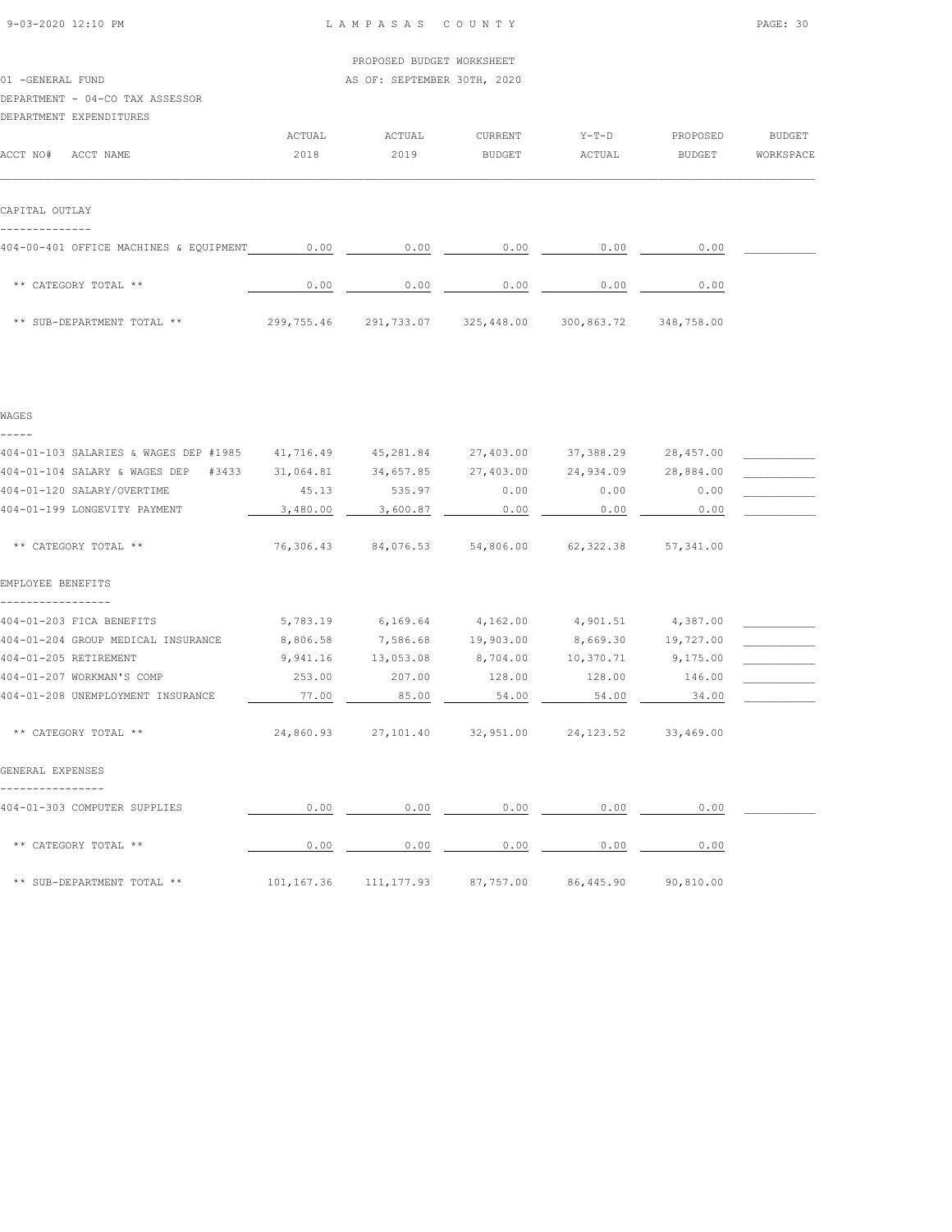| 9-03-2020 12:10 PM |  |
|--------------------|--|

WAGES

L A M P A S A S C O U N T Y PAGE: 30

|                                                                                                                     |        | PROPOSED BUDGET WORKSHEET                                      |                      |              |              |               |
|---------------------------------------------------------------------------------------------------------------------|--------|----------------------------------------------------------------|----------------------|--------------|--------------|---------------|
| 01 -GENERAL FUND                                                                                                    |        | AS OF: SEPTEMBER 30TH, 2020                                    |                      |              |              |               |
| DEPARTMENT - 04-CO TAX ASSESSOR                                                                                     |        |                                                                |                      |              |              |               |
| DEPARTMENT EXPENDITURES                                                                                             |        |                                                                |                      |              |              |               |
|                                                                                                                     | ACTUAL | ACTUAL                                                         | CURRENT              | $Y-T-D$      | PROPOSED     | <b>BUDGET</b> |
| ACCT NO#<br>ACCT NAME                                                                                               | 2018   | 2019                                                           | BUDGET               | ACTUAL       | BUDGET       | WORKSPACE     |
| CAPITAL OUTLAY<br>404-00-401 OFFICE MACHINES & EQUIPMENT 0.00<br>** CATEGORY TOTAL **<br>** SUB-DEPARTMENT TOTAL ** | 0.00   | 0.00<br>299,755.46 291,733.07 325,448.00 300,863.72 348,758.00 | 0.00<br>0.00<br>0.00 | 0.00<br>0.00 | 0.00<br>0.00 |               |
|                                                                                                                     |        |                                                                |                      |              |              |               |

| 404-01-103 SALARIES & WAGES DEP #1985 | 41,716.49 |                                                   | 45,281.84 27,403.00 |                     | 37, 388, 29 28, 457, 00 |  |
|---------------------------------------|-----------|---------------------------------------------------|---------------------|---------------------|-------------------------|--|
| 404-01-104 SALARY & WAGES DEP #3433   | 31,064.81 |                                                   | 34,657.85 27,403.00 |                     | 24,934.09 28,884.00     |  |
| 404-01-120 SALARY/OVERTIME            | 45.13     | 535.97                                            | 0.00                | 0.00                | 0.00                    |  |
| 404-01-199 LONGEVITY PAYMENT          | 3,480.00  | 3,600.87                                          | 0.00                | 0.00                | 0.00                    |  |
|                                       |           |                                                   |                     |                     |                         |  |
| ** CATEGORY TOTAL **                  |           | 76,306.43 84,076.53 54,806.00 62,322.38 57,341.00 |                     |                     |                         |  |
| EMPLOYEE BENEFITS                     |           |                                                   |                     |                     |                         |  |
| 404-01-203 FICA BENEFITS              | 5,783.19  | $6,169.64$ $4,162.00$ $4,901.51$ $4,387.00$       |                     |                     |                         |  |
| 404-01-204 GROUP MEDICAL INSURANCE    | 8,806.58  | 7,586.68                                          | 19,903.00           | 8,669.30            | 19,727.00               |  |
| 404-01-205 RETIREMENT                 | 9,941.16  | 13,053.08                                         | 8,704.00            | 10,370.71           | 9,175.00                |  |
| 404-01-207 WORKMAN'S COMP             | 253.00    | 207.00                                            | 128.00              | 128.00              | 146.00                  |  |
| 404-01-208 UNEMPLOYMENT INSURANCE     | 77.00     | 85.00                                             | 54.00               | 54.00               | 34.00                   |  |
| ** CATEGORY TOTAL **                  |           | 24,860.93 27,101.40 32,951.00 24,123.52 33,469.00 |                     |                     |                         |  |
| GENERAL EXPENSES                      |           |                                                   |                     |                     |                         |  |
| 404-01-303 COMPUTER SUPPLIES          | 0.00      | 0.00                                              | 0.00                | 0.00                | 0.00                    |  |
| ** CATEGORY TOTAL **                  | 0.00      | 0.00                                              | 0.00                | 0.00                | 0.00                    |  |
| ** SUB-DEPARTMENT TOTAL **            |           | 101,167.36 111,177.93 87,757.00                   |                     | 86,445.90 90,810.00 |                         |  |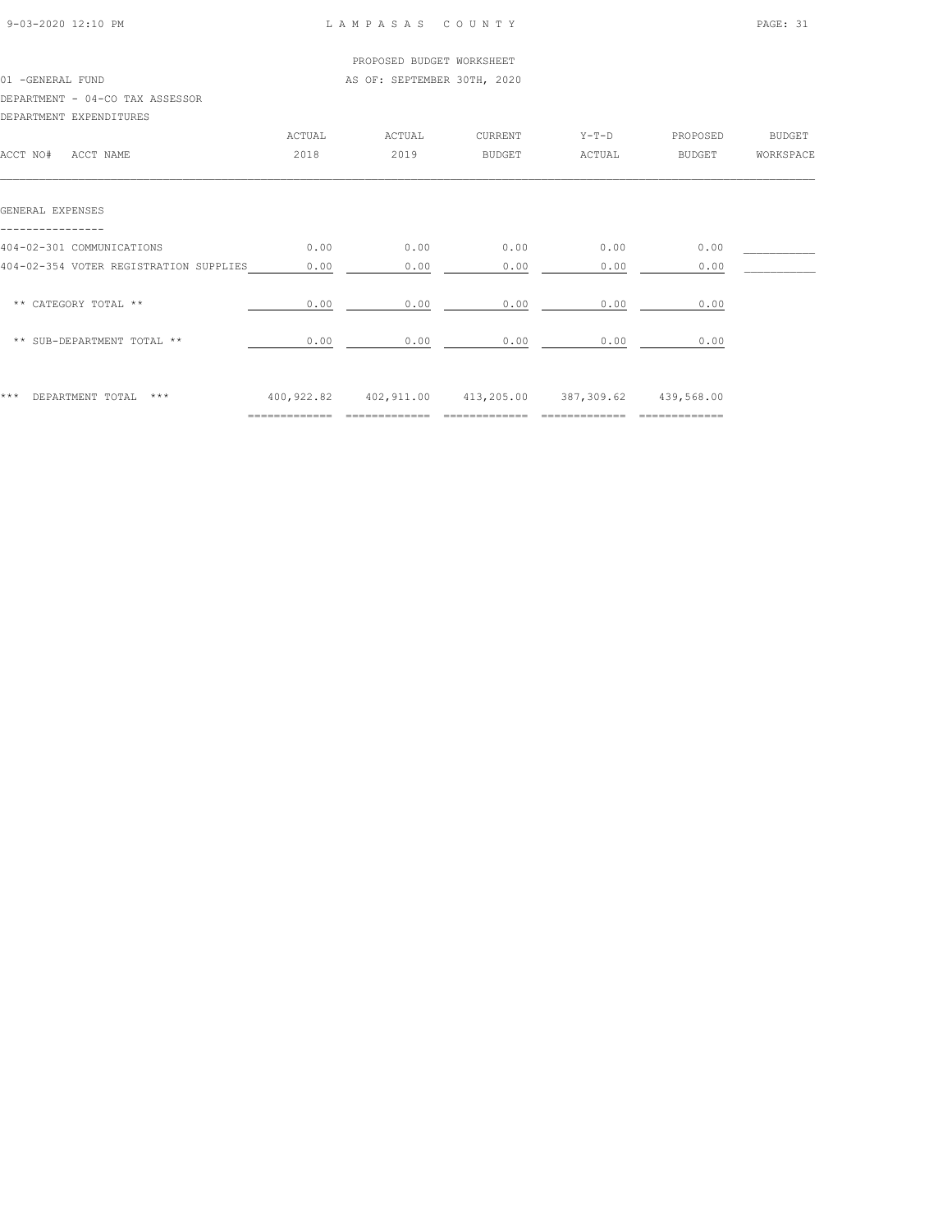#### LAMPASAS COUNTY PAGE: 31

|                                        |                               | PROPOSED BUDGET WORKSHEET                                  |         |         |          |           |
|----------------------------------------|-------------------------------|------------------------------------------------------------|---------|---------|----------|-----------|
| 01 - GENERAL FUND                      |                               | AS OF: SEPTEMBER 30TH, 2020                                |         |         |          |           |
| DEPARTMENT - 04-CO TAX ASSESSOR        |                               |                                                            |         |         |          |           |
| DEPARTMENT EXPENDITURES                |                               |                                                            |         |         |          |           |
|                                        | ACTUAL                        | ACTUAL                                                     | CURRENT | $Y-T-D$ | PROPOSED | BUDGET    |
| ACCT NO# ACCT NAME                     | 2018                          | 2019                                                       | BUDGET  | ACTUAL  | BUDGET   | WORKSPACE |
| GENERAL EXPENSES                       |                               |                                                            |         |         |          |           |
| 404-02-301 COMMUNICATIONS              | 0.00                          | 0.00                                                       | 0.00    | 0.00    | 0.00     |           |
| 404-02-354 VOTER REGISTRATION SUPPLIES | 0.00                          | 0.00                                                       | 0.00    | 0.00    | 0.00     |           |
| ** CATEGORY TOTAL **                   | 0.00                          | 0.00                                                       | 0.00    | 0.00    | 0.00     |           |
| ** SUB-DEPARTMENT TOTAL **             | 0.00                          | 0.00                                                       | 0.00    | 0.00    | 0.00     |           |
| ***<br>DEPARTMENT TOTAL<br>***         | $=$ = = = = = = = = = = = = = | 400,922.82  402,911.00  413,205.00  387,309.62  439,568.00 |         |         |          |           |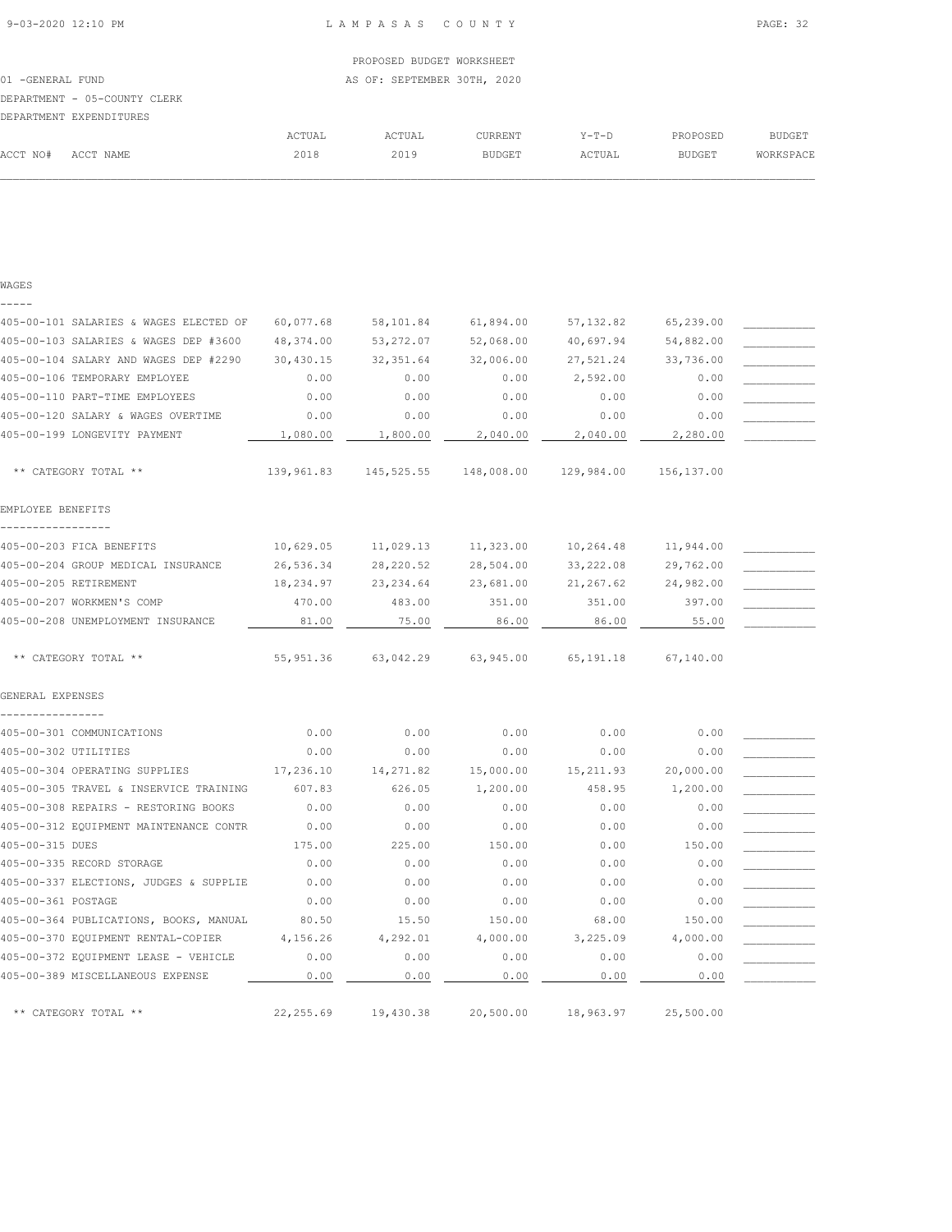|                   |                              |        | PROPOSED BUDGET WORKSHEET   |         |         |               |           |
|-------------------|------------------------------|--------|-----------------------------|---------|---------|---------------|-----------|
| 01 - GENERAL FUND |                              |        | AS OF: SEPTEMBER 30TH, 2020 |         |         |               |           |
|                   | DEPARTMENT - 05-COUNTY CLERK |        |                             |         |         |               |           |
|                   | DEPARTMENT EXPENDITURES      |        |                             |         |         |               |           |
|                   |                              | ACTUAL | ACTUAL                      | CURRENT | $Y-T-D$ | PROPOSED      | BUDGET    |
| ACCT NO#          | ACCT NAME                    | 2018   | 2019                        | BUDGET  | ACTUAL  | <b>BUDGET</b> | WORKSPACE |
|                   |                              |        |                             |         |         |               |           |

| w |  |
|---|--|
|   |  |

| 405-00-101 SALARIES & WAGES ELECTED OF | 60,077.68  | 58,101.84  | 61,894.00  | 57, 132.82  | 65,239.00  |  |
|----------------------------------------|------------|------------|------------|-------------|------------|--|
| 405-00-103 SALARIES & WAGES DEP #3600  | 48,374.00  | 53, 272.07 | 52,068.00  | 40,697.94   | 54,882.00  |  |
| 405-00-104 SALARY AND WAGES DEP #2290  | 30,430.15  | 32, 351.64 | 32,006.00  | 27,521.24   | 33,736.00  |  |
| 405-00-106 TEMPORARY EMPLOYEE          | 0.00       | 0.00       | 0.00       | 2,592.00    | 0.00       |  |
| 405-00-110 PART-TIME EMPLOYEES         | 0.00       | 0.00       | 0.00       | 0.00        | 0.00       |  |
| 405-00-120 SALARY & WAGES OVERTIME     | 0.00       | 0.00       | 0.00       | 0.00        | 0.00       |  |
| 405-00-199 LONGEVITY PAYMENT           | 1,080.00   | 1,800.00   | 2,040.00   | 2,040.00    | 2,280.00   |  |
| ** CATEGORY TOTAL **                   | 139,961.83 | 145,525.55 | 148,008.00 | 129,984.00  | 156,137.00 |  |
| EMPLOYEE BENEFITS                      |            |            |            |             |            |  |
| 405-00-203 FICA BENEFITS               | 10,629.05  | 11,029.13  | 11,323.00  | 10,264.48   | 11,944.00  |  |
| 405-00-204 GROUP MEDICAL INSURANCE     | 26,536.34  | 28, 220.52 | 28,504.00  | 33, 222.08  | 29,762.00  |  |
| 405-00-205 RETIREMENT                  | 18,234.97  | 23, 234.64 | 23,681.00  | 21,267.62   | 24,982.00  |  |
| 405-00-207 WORKMEN'S COMP              | 470.00     | 483.00     | 351.00     | 351.00      | 397.00     |  |
| 405-00-208 UNEMPLOYMENT INSURANCE      | 81.00      | 75.00      | 86.00      | 86.00       | 55.00      |  |
| ** CATEGORY TOTAL **                   | 55, 951.36 | 63,042.29  | 63,945.00  | 65, 191. 18 | 67,140.00  |  |
| GENERAL EXPENSES                       |            |            |            |             |            |  |
|                                        |            |            |            |             |            |  |
| 405-00-301 COMMUNICATIONS              | 0.00       | 0.00       | 0.00       | 0.00        | 0.00       |  |
| 405-00-302 UTILITIES                   | 0.00       | 0.00       | 0.00       | 0.00        | 0.00       |  |
| 405-00-304 OPERATING SUPPLIES          | 17,236.10  | 14,271.82  | 15,000.00  | 15, 211.93  | 20,000.00  |  |
| 405-00-305 TRAVEL & INSERVICE TRAINING | 607.83     | 626.05     | 1,200.00   | 458.95      | 1,200.00   |  |
| 405-00-308 REPAIRS - RESTORING BOOKS   | 0.00       | 0.00       | 0.00       | 0.00        | 0.00       |  |
| 405-00-312 EQUIPMENT MAINTENANCE CONTR | 0.00       | 0.00       | 0.00       | 0.00        | 0.00       |  |
| 405-00-315 DUES                        | 175.00     | 225.00     | 150.00     | 0.00        | 150.00     |  |
| 405-00-335 RECORD STORAGE              | 0.00       | 0.00       | 0.00       | 0.00        | 0.00       |  |
| 405-00-337 ELECTIONS, JUDGES & SUPPLIE | 0.00       | 0.00       | 0.00       | 0.00        | 0.00       |  |
| 405-00-361 POSTAGE                     | 0.00       | 0.00       | 0.00       | 0.00        | 0.00       |  |
| 405-00-364 PUBLICATIONS, BOOKS, MANUAL | 80.50      | 15.50      | 150.00     | 68.00       | 150.00     |  |
| 405-00-370 EQUIPMENT RENTAL-COPIER     | 4,156.26   | 4,292.01   | 4,000.00   | 3,225.09    | 4,000.00   |  |
| 405-00-372 EQUIPMENT LEASE - VEHICLE   | 0.00       | 0.00       | 0.00       | 0.00        | 0.00       |  |
| 405-00-389 MISCELLANEOUS EXPENSE       | 0.00       | 0.00       | 0.00       | 0.00        | 0.00       |  |
| ** CATEGORY TOTAL **                   | 22, 255.69 | 19,430.38  | 20,500.00  | 18,963.97   | 25,500.00  |  |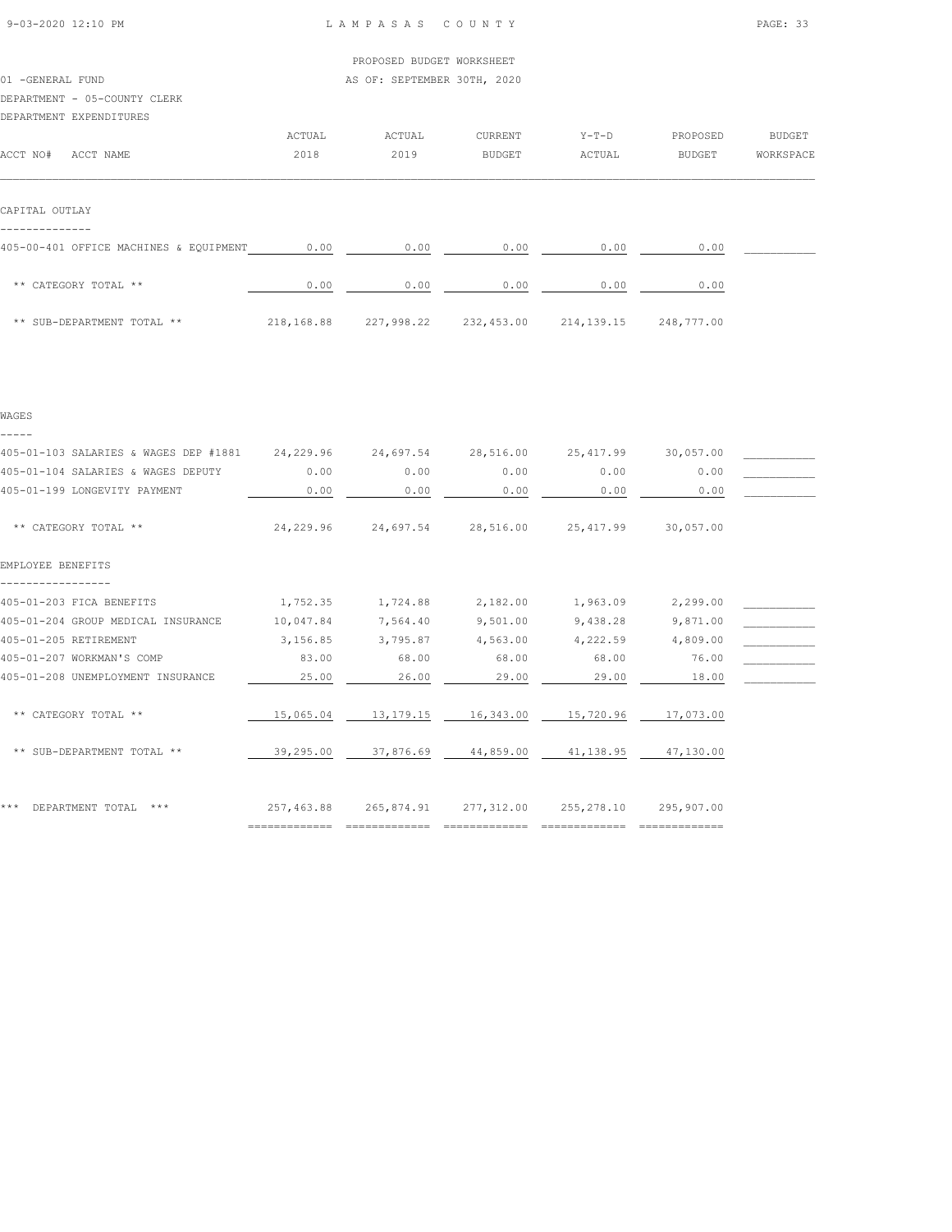|        | PROPOSED BUDGET WORKSHEET |                                                       |          |           |
|--------|---------------------------|-------------------------------------------------------|----------|-----------|
|        |                           |                                                       |          |           |
|        |                           |                                                       |          |           |
|        |                           |                                                       |          |           |
|        |                           |                                                       |          |           |
| ACTUAL | CURRENT                   | $Y-T-D$                                               | PROPOSED | BUDGET    |
| 2018   | BUDGET                    | ACTUAL                                                | BUDGET   | WORKSPACE |
|        |                           |                                                       |          |           |
| 0.00   |                           | 0.00                                                  | 0.00     |           |
|        |                           | AS OF: SEPTEMBER 30TH, 2020<br>ACTUAL<br>2019<br>0.00 | 0.00     |           |

| ** CATEGORY TOTAL **       | 0.00       | 0.00       | 0.00       | 0.00       | 0.00       |
|----------------------------|------------|------------|------------|------------|------------|
| ** SUB-DEPARTMENT TOTAL ** | 218,168.88 | 227,998.22 | 232,453.00 | 214,139.15 | 248,777.00 |

|  | w<br>۰. | ۰, |  |
|--|---------|----|--|
|  |         |    |  |

| 405-01-103 SALARIES & WAGES DEP #1881 24,229.96 |            | 24,697.54 | 28,516.00                        | 25, 417.99 | 30,057.00  |  |
|-------------------------------------------------|------------|-----------|----------------------------------|------------|------------|--|
| 405-01-104 SALARIES & WAGES DEPUTY              | 0.00       | 0.00      | 0.00                             | 0.00       | 0.00       |  |
| 405-01-199 LONGEVITY PAYMENT                    | 0.00       | 0.00      | 0.00                             | 0.00       | 0.00       |  |
| ** CATEGORY TOTAL **                            | 24,229.96  |           | 24,697.54 28,516.00 25,417.99    |            | 30,057.00  |  |
| EMPLOYEE BENEFITS                               |            |           |                                  |            |            |  |
| 405-01-203 FICA BENEFITS                        | 1,752.35   | 1,724.88  | 2,182.00                         | 1,963.09   | 2,299.00   |  |
| 405-01-204 GROUP MEDICAL INSURANCE              | 10,047.84  | 7,564.40  | 9,501.00                         | 9,438.28   | 9,871.00   |  |
| 405-01-205 RETIREMENT                           | 3,156.85   | 3,795.87  | 4,563.00                         | 4,222.59   | 4,809.00   |  |
| 405-01-207 WORKMAN'S COMP                       | 83.00      | 68.00     | 68.00                            | 68.00      | 76.00      |  |
| 405-01-208 UNEMPLOYMENT INSURANCE               | 25.00      | 26.00     | 29.00                            | 29.00      | 18.00      |  |
| ** CATEGORY TOTAL **                            | 15,065.04  | 13,179.15 | 16,343.00                        | 15,720.96  | 17,073.00  |  |
| ** SUB-DEPARTMENT TOTAL **                      | 39,295.00  |           | 37,876.69 44,859.00              | 41,138.95  | 47,130.00  |  |
| ***<br>DEPARTMENT TOTAL<br>***                  | 257,463.88 |           | 265,874.91 277,312.00 255,278.10 |            | 295,907.00 |  |
|                                                 |            |           |                                  |            |            |  |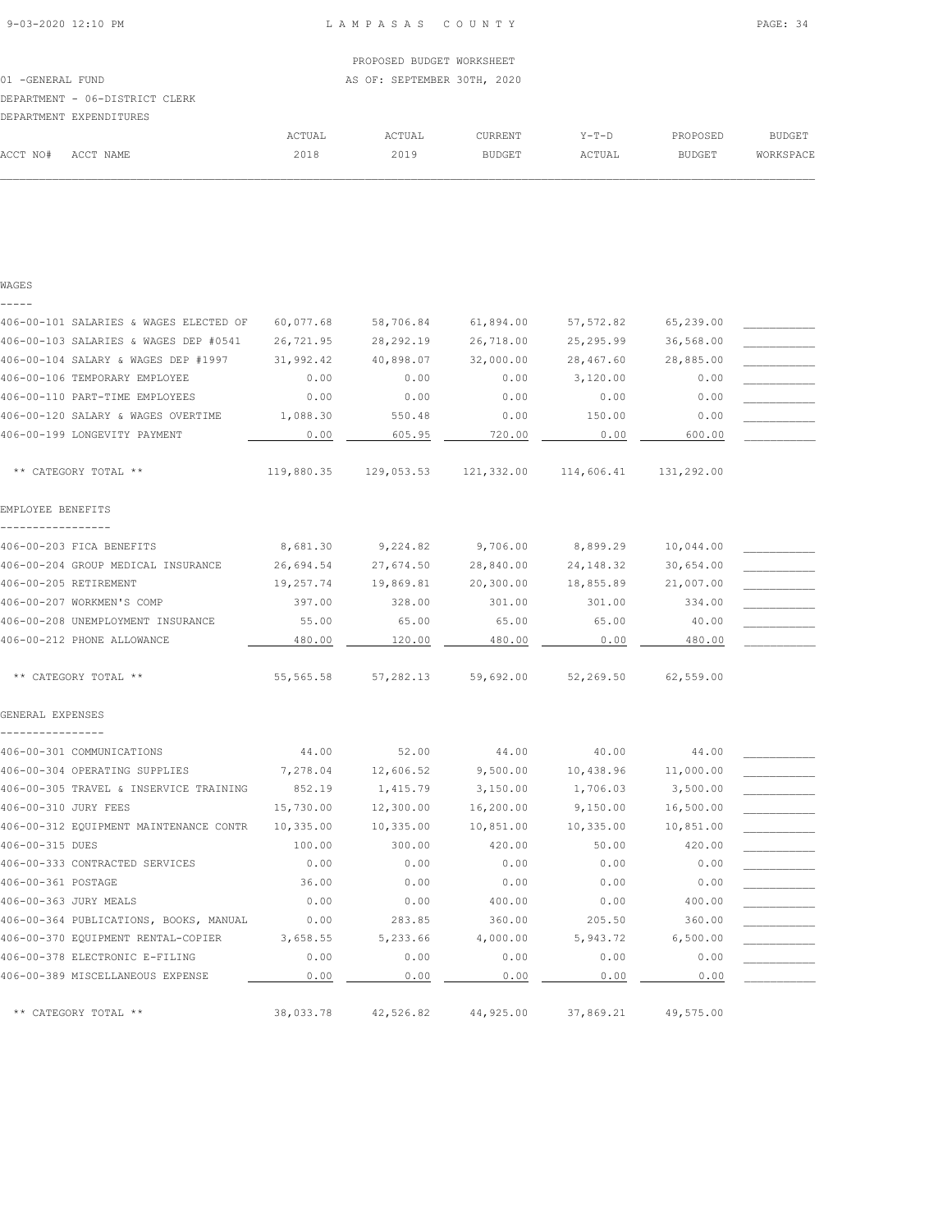|                   |                                |        | PROPOSED BUDGET WORKSHEET   |         |        |               |           |
|-------------------|--------------------------------|--------|-----------------------------|---------|--------|---------------|-----------|
| 01 - GENERAL FUND |                                |        | AS OF: SEPTEMBER 30TH, 2020 |         |        |               |           |
|                   | DEPARTMENT - 06-DISTRICT CLERK |        |                             |         |        |               |           |
|                   | DEPARTMENT EXPENDITURES        |        |                             |         |        |               |           |
|                   |                                | ACTUAL | ACTUAL                      | CURRENT | Y-T-D  | PROPOSED      | BUDGET    |
| ACCT NO#          | ACCT NAME                      | 2018   | 2019                        | BUDGET  | ACTUAL | <b>BUDGET</b> | WORKSPACE |
|                   |                                |        |                             |         |        |               |           |

| WAGES |  |  |
|-------|--|--|
|       |  |  |
|       |  |  |

| 406-00-101 SALARIES & WAGES ELECTED OF        | 60,077.68  | 58,706.84  | 61,894.00  | 57, 572.82 | 65,239.00  |  |
|-----------------------------------------------|------------|------------|------------|------------|------------|--|
| 406-00-103 SALARIES & WAGES DEP #0541         | 26,721.95  | 28, 292.19 | 26,718.00  | 25, 295.99 | 36,568.00  |  |
| 406-00-104 SALARY & WAGES DEP #1997           | 31,992.42  | 40,898.07  | 32,000.00  | 28,467.60  | 28,885.00  |  |
| 406-00-106 TEMPORARY EMPLOYEE                 | 0.00       | 0.00       | 0.00       | 3,120.00   | 0.00       |  |
| 406-00-110 PART-TIME EMPLOYEES                | 0.00       | 0.00       | 0.00       | 0.00       | 0.00       |  |
| 406-00-120 SALARY & WAGES OVERTIME            | 1,088.30   | 550.48     | 0.00       | 150.00     | 0.00       |  |
| 406-00-199 LONGEVITY PAYMENT                  | 0.00       | 605.95     | 720.00     | 0.00       | 600.00     |  |
| ** CATEGORY TOTAL **                          | 119,880.35 | 129,053.53 | 121,332.00 | 114,606.41 | 131,292.00 |  |
| EMPLOYEE BENEFITS                             |            |            |            |            |            |  |
| -----------------<br>406-00-203 FICA BENEFITS | 8,681.30   | 9,224.82   | 9,706.00   | 8,899.29   | 10,044.00  |  |
| 406-00-204 GROUP MEDICAL INSURANCE            | 26,694.54  | 27,674.50  | 28,840.00  | 24, 148.32 | 30,654.00  |  |
| 406-00-205 RETIREMENT                         | 19,257.74  | 19,869.81  | 20,300.00  | 18,855.89  | 21,007.00  |  |
| 406-00-207 WORKMEN'S COMP                     | 397.00     | 328.00     | 301.00     | 301.00     | 334.00     |  |
| 406-00-208 UNEMPLOYMENT INSURANCE             | 55.00      | 65.00      | 65.00      | 65.00      | 40.00      |  |
| 406-00-212 PHONE ALLOWANCE                    | 480.00     | 120.00     | 480.00     | 0.00       | 480.00     |  |
| ** CATEGORY TOTAL **                          | 55, 565.58 | 57,282.13  | 59,692.00  | 52,269.50  | 62,559.00  |  |
| GENERAL EXPENSES                              |            |            |            |            |            |  |
|                                               |            |            |            |            |            |  |
| 406-00-301 COMMUNICATIONS                     | 44.00      | 52.00      | 44.00      | 40.00      | 44.00      |  |
| 406-00-304 OPERATING SUPPLIES                 | 7,278.04   | 12,606.52  | 9,500.00   | 10,438.96  | 11,000.00  |  |
| 406-00-305 TRAVEL & INSERVICE TRAINING        | 852.19     | 1,415.79   | 3,150.00   | 1,706.03   | 3,500.00   |  |
| 406-00-310 JURY FEES                          | 15,730.00  | 12,300.00  | 16,200.00  | 9,150.00   | 16,500.00  |  |
| 406-00-312 EQUIPMENT MAINTENANCE CONTR        | 10,335.00  | 10,335.00  | 10,851.00  | 10,335.00  | 10,851.00  |  |
| 406-00-315 DUES                               | 100.00     | 300.00     | 420.00     | 50.00      | 420.00     |  |
| 406-00-333 CONTRACTED SERVICES                | 0.00       | 0.00       | 0.00       | 0.00       | 0.00       |  |
| 406-00-361 POSTAGE                            | 36.00      | 0.00       | 0.00       | 0.00       | 0.00       |  |
| 406-00-363 JURY MEALS                         | 0.00       | 0.00       | 400.00     | 0.00       | 400.00     |  |
| 406-00-364 PUBLICATIONS, BOOKS, MANUAL        | 0.00       | 283.85     | 360.00     | 205.50     | 360.00     |  |
| 406-00-370 EQUIPMENT RENTAL-COPIER            | 3,658.55   | 5,233.66   | 4,000.00   | 5,943.72   | 6,500.00   |  |
| 406-00-378 ELECTRONIC E-FILING                | 0.00       | 0.00       | 0.00       | 0.00       | 0.00       |  |
| 406-00-389 MISCELLANEOUS EXPENSE              | 0.00       | 0.00       | 0.00       | 0.00       | 0.00       |  |
| ** CATEGORY TOTAL **                          | 38,033.78  | 42,526.82  | 44,925.00  | 37,869.21  | 49,575.00  |  |
|                                               |            |            |            |            |            |  |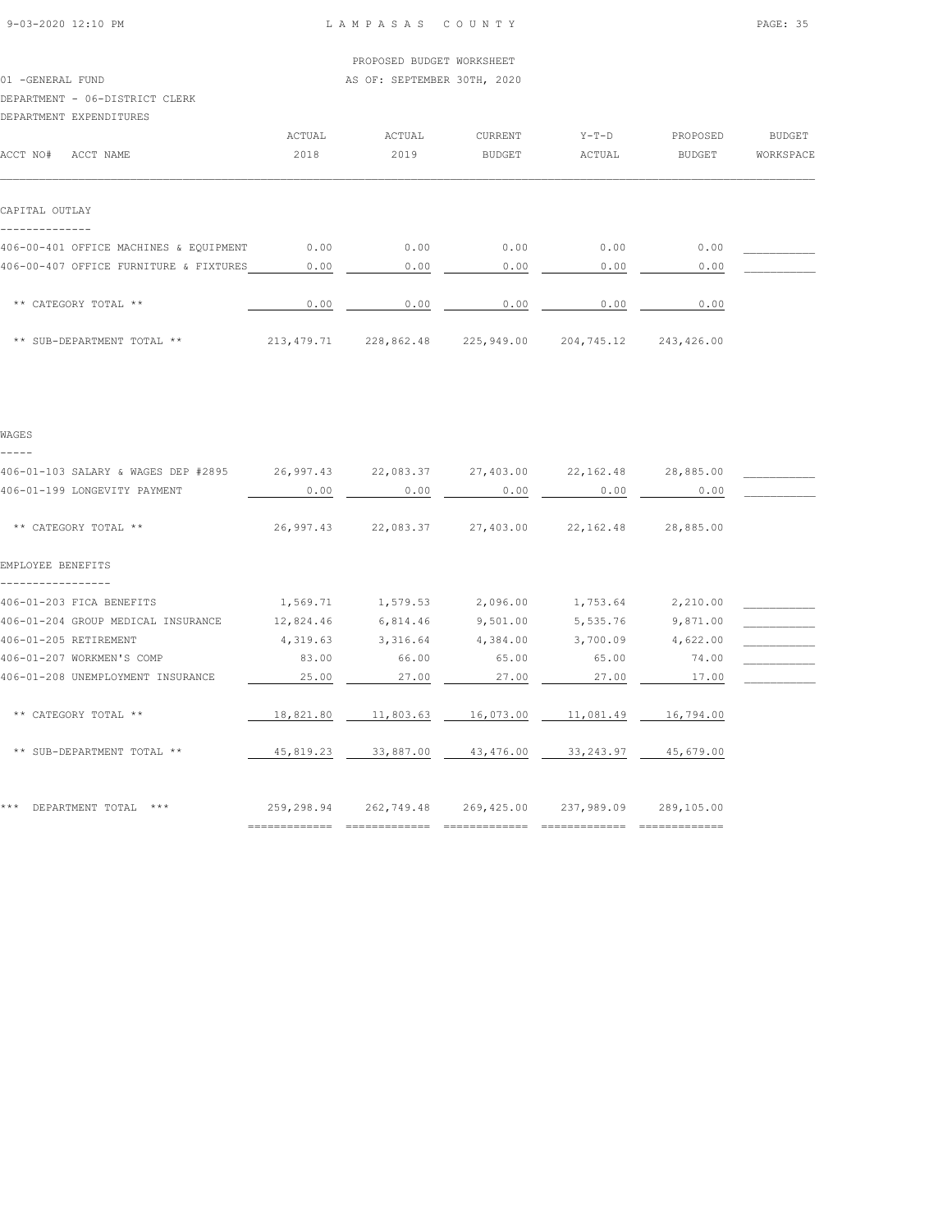01 -GENERAL FUND **AS OF: SEPTEMBER 30TH, 2020** 

#### DEPARTMENT - 06-DISTRICT CLERK

| DEPARTMENT EXPENDITURES                |              |            |            |            |            |           |
|----------------------------------------|--------------|------------|------------|------------|------------|-----------|
|                                        | ACTUAL       | ACTUAL     | CURRENT    | $Y-T-D$    | PROPOSED   | BUDGET    |
| ACCT NO#<br>ACCT NAME                  | 2018         | 2019       | BUDGET     | ACTUAL     | BUDGET     | WORKSPACE |
|                                        |              |            |            |            |            |           |
| CAPITAL OUTLAY                         |              |            |            |            |            |           |
| 406-00-401 OFFICE MACHINES & EQUIPMENT | 0.00         | 0.00       | 0.00       | 0.00       | 0.00       |           |
| 406-00-407 OFFICE FURNITURE & FIXTURES | 0.00         | 0.00       | 0.00       | 0.00       | 0.00       |           |
| ** CATEGORY TOTAL **                   | 0.00         | 0.00       | 0.00       | 0.00       | 0.00       |           |
| ** SUB-DEPARTMENT TOTAL **             | 213, 479. 71 | 228,862.48 | 225,949.00 | 204,745.12 | 243,426.00 |           |

|  | $\sim$ | ٠<br>۰, |  |
|--|--------|---------|--|
|  |        |         |  |

| 406-01-103 SALARY & WAGES DEP #2895 | 26,997.43  | 22,083.37  | 27,403.00  | 22, 162.48 | 28,885.00  |  |
|-------------------------------------|------------|------------|------------|------------|------------|--|
| 406-01-199 LONGEVITY PAYMENT        | 0.00       | 0.00       | 0.00       | 0.00       | 0.00       |  |
| ** CATEGORY TOTAL **                | 26,997.43  | 22,083.37  | 27,403.00  | 22, 162.48 | 28,885.00  |  |
| EMPLOYEE BENEFITS                   |            |            |            |            |            |  |
| 406-01-203 FICA BENEFITS            | 1,569.71   | 1,579.53   | 2,096.00   | 1,753.64   | 2,210.00   |  |
| 406-01-204 GROUP MEDICAL INSURANCE  | 12,824.46  | 6,814.46   | 9,501.00   | 5,535.76   | 9,871.00   |  |
| 406-01-205 RETIREMENT               | 4,319.63   | 3,316.64   | 4,384.00   | 3,700.09   | 4,622.00   |  |
| 406-01-207 WORKMEN'S COMP           | 83.00      | 66.00      | 65.00      | 65.00      | 74.00      |  |
| 406-01-208 UNEMPLOYMENT INSURANCE   | 25.00      | 27.00      | 27.00      | 27.00      | 17.00      |  |
| ** CATEGORY TOTAL **                | 18,821.80  | 11,803.63  | 16,073.00  | 11,081.49  | 16,794.00  |  |
| ** SUB-DEPARTMENT TOTAL **          | 45,819.23  | 33,887.00  | 43,476.00  | 33, 243.97 | 45,679.00  |  |
| ***<br>DEPARTMENT TOTAL<br>$***$    | 259,298.94 | 262,749.48 | 269,425.00 | 237,989.09 | 289,105.00 |  |

============= ============= ============= ============= =============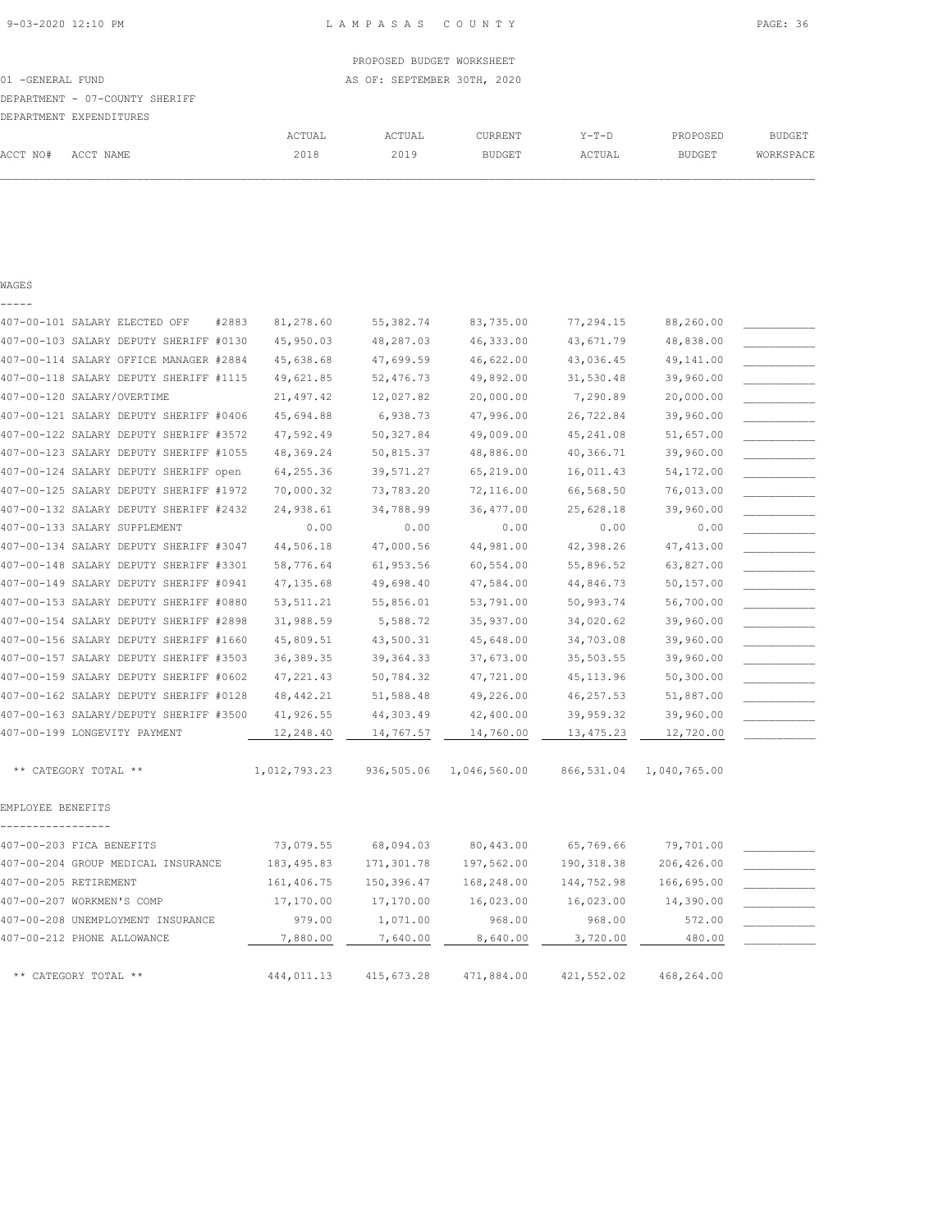|          | DEPARTMENT - 07-COUNTY SHERIFF |        |        |               |        |          |           |
|----------|--------------------------------|--------|--------|---------------|--------|----------|-----------|
|          | DEPARTMENT EXPENDITURES        |        |        |               |        |          |           |
|          |                                | ACTUAL | ACTUAL | CURRENT       | Y-T-D  | PROPOSED | BUDGET    |
| ACCT NO# | ACCT NAME                      | 2018   | 2019   | <b>BUDGET</b> | ACTUAL | BUDGET   | WORKSPACE |

 $\mathcal{L} = \{ \mathcal{L} = \{ \mathcal{L} = \{ \mathcal{L} = \{ \mathcal{L} = \{ \mathcal{L} = \{ \mathcal{L} = \{ \mathcal{L} = \{ \mathcal{L} = \{ \mathcal{L} = \{ \mathcal{L} = \{ \mathcal{L} = \{ \mathcal{L} = \{ \mathcal{L} = \{ \mathcal{L} = \{ \mathcal{L} = \{ \mathcal{L} = \{ \mathcal{L} = \{ \mathcal{L} = \{ \mathcal{L} = \{ \mathcal{L} = \{ \mathcal{L} = \{ \mathcal{L} = \{ \mathcal{L} = \{ \mathcal{$ 

WAGES

|                   | 407-00-101 SALARY ELECTED OFF          | #2883<br>81,278.60 | 55, 382.74 | 83,735.00    | 77,294.15   | 88,260.00    |  |
|-------------------|----------------------------------------|--------------------|------------|--------------|-------------|--------------|--|
|                   | 407-00-103 SALARY DEPUTY SHERIFF #0130 | 45,950.03          | 48,287.03  | 46, 333.00   | 43,671.79   | 48,838.00    |  |
|                   | 407-00-114 SALARY OFFICE MANAGER #2884 | 45,638.68          | 47,699.59  | 46,622.00    | 43,036.45   | 49,141.00    |  |
|                   | 407-00-118 SALARY DEPUTY SHERIFF #1115 | 49,621.85          | 52,476.73  | 49,892.00    | 31,530.48   | 39,960.00    |  |
|                   | 407-00-120 SALARY/OVERTIME             | 21, 497.42         | 12,027.82  | 20,000.00    | 7,290.89    | 20,000.00    |  |
|                   | 407-00-121 SALARY DEPUTY SHERIFF #0406 | 45,694.88          | 6,938.73   | 47,996.00    | 26,722.84   | 39,960.00    |  |
|                   | 407-00-122 SALARY DEPUTY SHERIFF #3572 | 47,592.49          | 50, 327.84 | 49,009.00    | 45, 241.08  | 51,657.00    |  |
|                   | 407-00-123 SALARY DEPUTY SHERIFF #1055 | 48,369.24          | 50,815.37  | 48,886.00    | 40,366.71   | 39,960.00    |  |
|                   | 407-00-124 SALARY DEPUTY SHERIFF open  | 64, 255.36         | 39,571.27  | 65,219.00    | 16,011.43   | 54,172.00    |  |
|                   | 407-00-125 SALARY DEPUTY SHERIFF #1972 | 70,000.32          | 73,783.20  | 72,116.00    | 66,568.50   | 76,013.00    |  |
|                   | 407-00-132 SALARY DEPUTY SHERIFF #2432 | 24,938.61          | 34,788.99  | 36, 477.00   | 25,628.18   | 39,960.00    |  |
|                   | 407-00-133 SALARY SUPPLEMENT           | 0.00               | 0.00       | 0.00         | 0.00        | 0.00         |  |
|                   | 407-00-134 SALARY DEPUTY SHERIFF #3047 | 44,506.18          | 47,000.56  | 44,981.00    | 42,398.26   | 47, 413.00   |  |
|                   | 407-00-148 SALARY DEPUTY SHERIFF #3301 | 58,776.64          | 61,953.56  | 60,554.00    | 55,896.52   | 63,827.00    |  |
|                   | 407-00-149 SALARY DEPUTY SHERIFF #0941 | 47, 135.68         | 49,698.40  | 47,584.00    | 44,846.73   | 50,157.00    |  |
|                   | 407-00-153 SALARY DEPUTY SHERIFF #0880 | 53, 511.21         | 55,856.01  | 53,791.00    | 50,993.74   | 56,700.00    |  |
|                   | 407-00-154 SALARY DEPUTY SHERIFF #2898 | 31,988.59          | 5,588.72   | 35,937.00    | 34,020.62   | 39,960.00    |  |
|                   | 407-00-156 SALARY DEPUTY SHERIFF #1660 | 45,809.51          | 43,500.31  | 45,648.00    | 34,703.08   | 39,960.00    |  |
|                   | 407-00-157 SALARY DEPUTY SHERIFF #3503 | 36, 389.35         | 39, 364.33 | 37,673.00    | 35,503.55   | 39,960.00    |  |
|                   | 407-00-159 SALARY DEPUTY SHERIFF #0602 | 47, 221.43         | 50,784.32  | 47,721.00    | 45, 113.96  | 50,300.00    |  |
|                   | 407-00-162 SALARY DEPUTY SHERIFF #0128 | 48, 442.21         | 51,588.48  | 49,226.00    | 46, 257.53  | 51,887.00    |  |
|                   | 407-00-163 SALARY/DEPUTY SHERIFF #3500 | 41,926.55          | 44,303.49  | 42,400.00    | 39,959.32   | 39,960.00    |  |
|                   | 407-00-199 LONGEVITY PAYMENT           | 12,248.40          | 14,767.57  | 14,760.00    | 13, 475.23  | 12,720.00    |  |
|                   |                                        |                    |            |              |             |              |  |
|                   | ** CATEGORY TOTAL **                   | 1,012,793.23       | 936,505.06 | 1,046,560.00 | 866,531.04  | 1,040,765.00 |  |
| EMPLOYEE BENEFITS |                                        |                    |            |              |             |              |  |
|                   | 407-00-203 FICA BENEFITS               | 73,079.55          | 68,094.03  | 80,443.00    | 65,769.66   | 79,701.00    |  |
|                   | 407-00-204 GROUP MEDICAL INSURANCE     | 183, 495.83        | 171,301.78 | 197,562.00   | 190, 318.38 | 206,426.00   |  |
|                   | 407-00-205 RETIREMENT                  | 161,406.75         | 150,396.47 | 168,248.00   | 144,752.98  | 166,695.00   |  |
|                   | 407-00-207 WORKMEN'S COMP              | 17,170.00          | 17,170.00  | 16,023.00    | 16,023.00   | 14,390.00    |  |
|                   | 407-00-208 UNEMPLOYMENT INSURANCE      | 979.00             | 1,071.00   | 968.00       | 968.00      | 572.00       |  |
|                   | 407-00-212 PHONE ALLOWANCE             | 7,880.00           | 7,640.00   | 8,640.00     | 3,720.00    | 480.00       |  |
|                   |                                        |                    |            |              |             |              |  |
|                   | ** CATEGORY TOTAL **                   | 444,011.13         | 415,673.28 | 471,884.00   | 421,552.02  | 468,264.00   |  |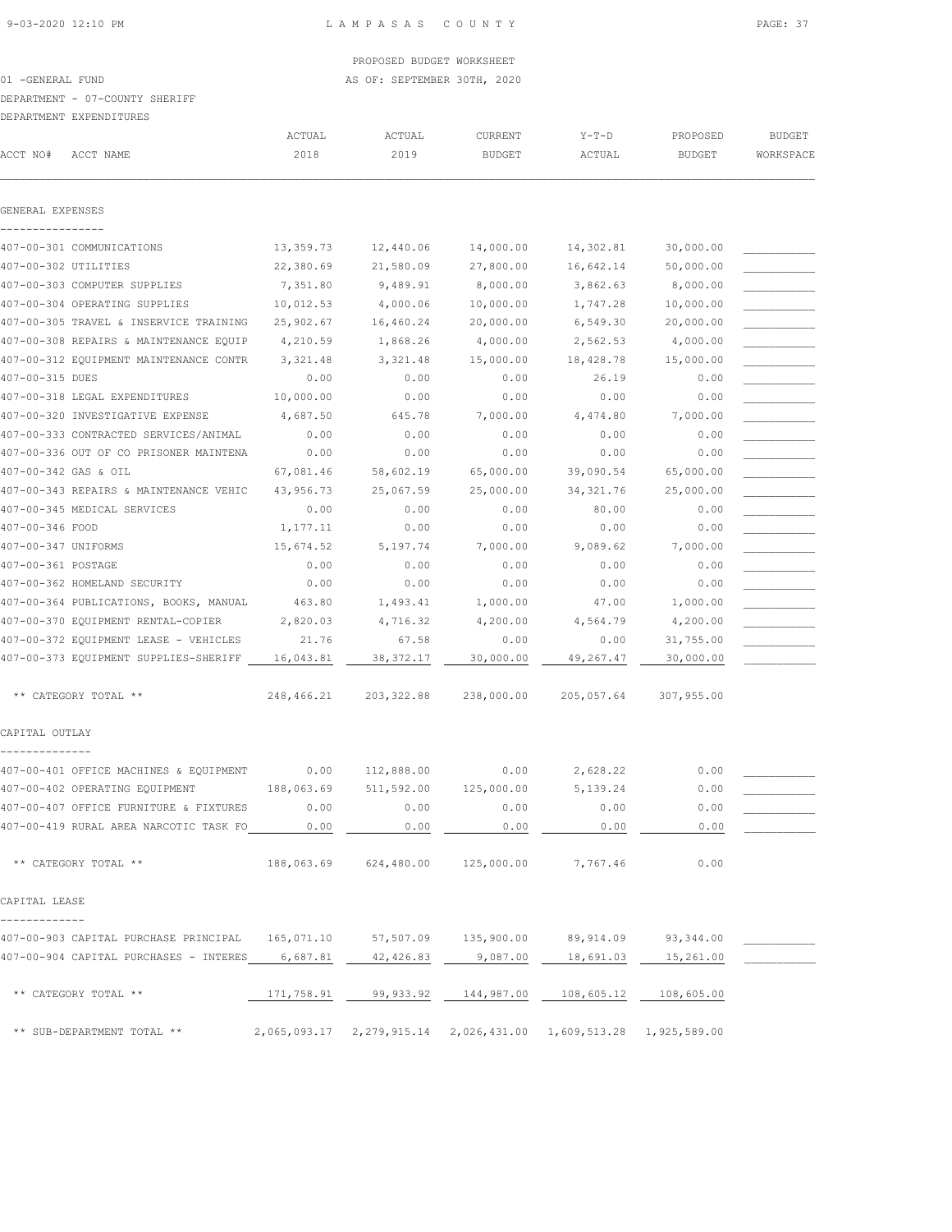01 -GENERAL FUND **AS OF: SEPTEMBER 30TH, 2020** 

### DEPARTMENT - 07-COUNTY SHERIFF

### DEPARTMENT EXPENDITURES

| ACCT NO#             | טשאט בנקוש במאפר בושפת במכ<br>ACCT NAME          | ACTUAL<br>2018 | ACTUAL<br>2019 | CURRENT<br>BUDGET                | $Y-T-D$<br>ACTUAL                                                    | PROPOSED<br><b>BUDGET</b> | <b>BUDGET</b><br>WORKSPACE |
|----------------------|--------------------------------------------------|----------------|----------------|----------------------------------|----------------------------------------------------------------------|---------------------------|----------------------------|
| GENERAL EXPENSES     |                                                  |                |                |                                  |                                                                      |                           |                            |
|                      |                                                  |                |                |                                  |                                                                      |                           |                            |
|                      | 407-00-301 COMMUNICATIONS                        | 13,359.73      | 12,440.06      | 14,000.00                        | 14,302.81                                                            | 30,000.00                 |                            |
| 407-00-302 UTILITIES |                                                  | 22,380.69      | 21,580.09      | 27,800.00                        | 16,642.14                                                            | 50,000.00                 |                            |
|                      | 407-00-303 COMPUTER SUPPLIES                     | 7,351.80       | 9,489.91       | 8,000.00                         | 3,862.63                                                             | 8,000.00                  |                            |
|                      | 407-00-304 OPERATING SUPPLIES                    | 10,012.53      | 4,000.06       | 10,000.00                        | 1,747.28                                                             | 10,000.00                 |                            |
|                      | 407-00-305 TRAVEL & INSERVICE TRAINING           | 25,902.67      | 16,460.24      | 20,000.00                        | 6,549.30                                                             | 20,000.00                 |                            |
|                      | 407-00-308 REPAIRS & MAINTENANCE EQUIP           | 4,210.59       | 1,868.26       | 4,000.00                         | 2,562.53                                                             | 4,000.00                  |                            |
|                      | 407-00-312 EQUIPMENT MAINTENANCE CONTR           | 3,321.48       | 3,321.48       | 15,000.00                        | 18,428.78                                                            | 15,000.00                 |                            |
| 407-00-315 DUES      |                                                  | 0.00           | 0.00           | 0.00                             | 26.19                                                                | 0.00                      |                            |
|                      | 407-00-318 LEGAL EXPENDITURES                    | 10,000.00      | 0.00           | 0.00                             | 0.00                                                                 | 0.00                      |                            |
|                      | 407-00-320 INVESTIGATIVE EXPENSE                 | 4,687.50       | 645.78         | 7,000.00                         | 4,474.80                                                             | 7,000.00                  |                            |
|                      | 407-00-333 CONTRACTED SERVICES/ANIMAL            | 0.00           | 0.00           | 0.00                             | 0.00                                                                 | 0.00                      |                            |
|                      | 407-00-336 OUT OF CO PRISONER MAINTENA           | 0.00           | 0.00           | 0.00                             | 0.00                                                                 | 0.00                      |                            |
| 407-00-342 GAS & OIL |                                                  | 67,081.46      | 58,602.19      | 65,000.00                        | 39,090.54                                                            | 65,000.00                 |                            |
|                      | 407-00-343 REPAIRS & MAINTENANCE VEHIC           | 43,956.73      | 25,067.59      | 25,000.00                        | 34, 321.76                                                           | 25,000.00                 |                            |
|                      | 407-00-345 MEDICAL SERVICES                      | 0.00           | 0.00           | 0.00                             | 80.00                                                                | 0.00                      |                            |
| 407-00-346 FOOD      |                                                  | 1,177.11       | 0.00           | 0.00                             | 0.00                                                                 | 0.00                      |                            |
| 407-00-347 UNIFORMS  |                                                  | 15,674.52      | 5,197.74       | 7,000.00                         | 9,089.62                                                             | 7,000.00                  |                            |
| 407-00-361 POSTAGE   |                                                  | 0.00           | 0.00           | 0.00                             | 0.00                                                                 | 0.00                      |                            |
|                      | 407-00-362 HOMELAND SECURITY                     | 0.00           | 0.00           | 0.00                             | 0.00                                                                 | 0.00                      |                            |
|                      | 407-00-364 PUBLICATIONS, BOOKS, MANUAL           | 463.80         | 1,493.41       | 1,000.00                         | 47.00                                                                | 1,000.00                  |                            |
|                      | 407-00-370 EQUIPMENT RENTAL-COPIER               | 2,820.03       | 4,716.32       | 4,200.00                         | 4,564.79                                                             | 4,200.00                  |                            |
|                      | 407-00-372 EQUIPMENT LEASE - VEHICLES            | 21.76          | 67.58          | 0.00                             | 0.00                                                                 | 31,755.00                 |                            |
|                      | 407-00-373 EQUIPMENT SUPPLIES-SHERIFF            | 16,043.81      | 38, 372.17     | 30,000.00                        | 49,267.47                                                            | 30,000.00                 |                            |
|                      | ** CATEGORY TOTAL **                             | 248,466.21     | 203, 322.88    | 238,000.00                       | 205,057.64                                                           | 307,955.00                |                            |
| CAPITAL OUTLAY       |                                                  |                |                |                                  |                                                                      |                           |                            |
|                      | 407-00-401 OFFICE MACHINES & EQUIPMENT           | 0.00           | 112,888.00     | 0.00                             | 2,628.22                                                             | 0.00                      |                            |
|                      | 407-00-402 OPERATING EQUIPMENT                   | 188,063.69     | 511,592.00     | 125,000.00                       | 5, 139.24                                                            | 0.00                      |                            |
|                      | 407-00-407 OFFICE FURNITURE & FIXTURES           | 0.00           | 0.00           | 0.00                             | 0.00                                                                 | 0.00                      |                            |
|                      | 407-00-419 RURAL AREA NARCOTIC TASK FO 6.00      |                | 0.00           | 0.00                             | 0.00                                                                 | 0.00                      |                            |
|                      | ** CATEGORY TOTAL **                             |                |                | 188,063.69 624,480.00 125,000.00 | 7,767.46                                                             | 0.00                      |                            |
| CAPITAL LEASE        |                                                  |                |                |                                  |                                                                      |                           |                            |
|                      |                                                  |                |                |                                  |                                                                      |                           |                            |
|                      | 407-00-903 CAPITAL PURCHASE PRINCIPAL 165,071.10 |                |                | 57,507.09 135,900.00             | 89,914.09                                                            | 93,344.00                 |                            |
|                      | 407-00-904 CAPITAL PURCHASES - INTERES 6,687.81  |                | 42,426.83      | 9,087.00                         | 18,691.03                                                            | 15,261.00                 |                            |
|                      | ** CATEGORY TOTAL **                             |                |                |                                  | 171,758.91  99,933.92  144,987.00  108,605.12  108,605.00            |                           |                            |
|                      | ** SUB-DEPARTMENT TOTAL **                       |                |                |                                  | 2,065,093.17  2,279,915.14  2,026,431.00  1,609,513.28  1,925,589.00 |                           |                            |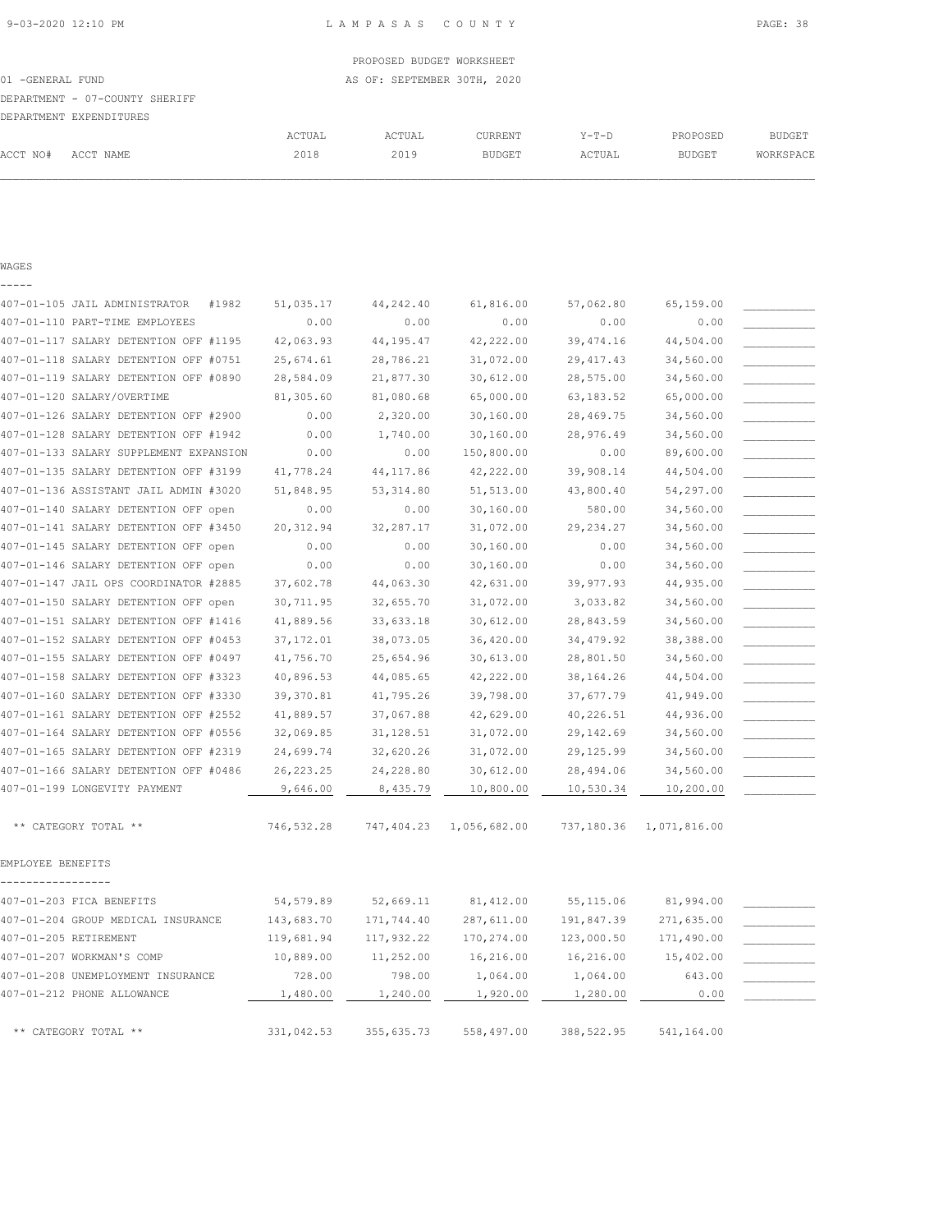|                                |        | PROPOSED BUDGET WORKSHEET   |         |       |          |               |
|--------------------------------|--------|-----------------------------|---------|-------|----------|---------------|
| 01 -GENERAL FUND               |        | AS OF: SEPTEMBER 30TH, 2020 |         |       |          |               |
| DEPARTMENT - 07-COUNTY SHERIFF |        |                             |         |       |          |               |
| DEPARTMENT EXPENDITURES        |        |                             |         |       |          |               |
|                                | ACTUAL | ACTUAL                      | CURRENT | Y-T-D | PROPOSED | <b>BUDGET</b> |

| ۰, |  |
|----|--|
|    |  |

|                   | 407-01-105 JAIL ADMINISTRATOR          | #1982 | 51,035.17  | 44, 242.40 | 61,816.00    | 57,062.80   | 65,159.00    |  |
|-------------------|----------------------------------------|-------|------------|------------|--------------|-------------|--------------|--|
|                   | 407-01-110 PART-TIME EMPLOYEES         |       | 0.00       | 0.00       | 0.00         | 0.00        | 0.00         |  |
|                   | 407-01-117 SALARY DETENTION OFF #1195  |       | 42,063.93  | 44,195.47  | 42,222.00    | 39, 474.16  | 44,504.00    |  |
|                   | 407-01-118 SALARY DETENTION OFF #0751  |       | 25,674.61  | 28,786.21  | 31,072.00    | 29, 417.43  | 34,560.00    |  |
|                   | 407-01-119 SALARY DETENTION OFF #0890  |       | 28,584.09  | 21,877.30  | 30,612.00    | 28,575.00   | 34,560.00    |  |
|                   | 407-01-120 SALARY/OVERTIME             |       | 81,305.60  | 81,080.68  | 65,000.00    | 63, 183.52  | 65,000.00    |  |
|                   | 407-01-126 SALARY DETENTION OFF #2900  |       | 0.00       | 2,320.00   | 30,160.00    | 28,469.75   | 34,560.00    |  |
|                   | 407-01-128 SALARY DETENTION OFF #1942  |       | 0.00       | 1,740.00   | 30,160.00    | 28,976.49   | 34,560.00    |  |
|                   | 407-01-133 SALARY SUPPLEMENT EXPANSION |       | 0.00       | 0.00       | 150,800.00   | 0.00        | 89,600.00    |  |
|                   | 407-01-135 SALARY DETENTION OFF #3199  |       | 41,778.24  | 44, 117.86 | 42,222.00    | 39,908.14   | 44,504.00    |  |
|                   | 407-01-136 ASSISTANT JAIL ADMIN #3020  |       | 51,848.95  | 53, 314.80 | 51, 513.00   | 43,800.40   | 54,297.00    |  |
|                   | 407-01-140 SALARY DETENTION OFF open   |       | 0.00       | 0.00       | 30,160.00    | 580.00      | 34,560.00    |  |
|                   | 407-01-141 SALARY DETENTION OFF #3450  |       | 20, 312.94 | 32,287.17  | 31,072.00    | 29, 234.27  | 34,560.00    |  |
|                   | 407-01-145 SALARY DETENTION OFF open   |       | 0.00       | 0.00       | 30,160.00    | 0.00        | 34,560.00    |  |
|                   | 407-01-146 SALARY DETENTION OFF open   |       | 0.00       | 0.00       | 30,160.00    | 0.00        | 34,560.00    |  |
|                   | 407-01-147 JAIL OPS COORDINATOR #2885  |       | 37,602.78  | 44,063.30  | 42,631.00    | 39, 977.93  | 44,935.00    |  |
|                   | 407-01-150 SALARY DETENTION OFF open   |       | 30,711.95  | 32,655.70  | 31,072.00    | 3,033.82    | 34,560.00    |  |
|                   | 407-01-151 SALARY DETENTION OFF #1416  |       | 41,889.56  | 33,633.18  | 30,612.00    | 28,843.59   | 34,560.00    |  |
|                   | 407-01-152 SALARY DETENTION OFF #0453  |       | 37, 172.01 | 38,073.05  | 36,420.00    | 34, 479.92  | 38,388.00    |  |
|                   | 407-01-155 SALARY DETENTION OFF #0497  |       | 41,756.70  | 25,654.96  | 30,613.00    | 28,801.50   | 34,560.00    |  |
|                   | 407-01-158 SALARY DETENTION OFF #3323  |       | 40,896.53  | 44,085.65  | 42,222.00    | 38,164.26   | 44,504.00    |  |
|                   | 407-01-160 SALARY DETENTION OFF #3330  |       | 39, 370.81 | 41,795.26  | 39,798.00    | 37,677.79   | 41,949.00    |  |
|                   | 407-01-161 SALARY DETENTION OFF #2552  |       | 41,889.57  | 37,067.88  | 42,629.00    | 40,226.51   | 44,936.00    |  |
|                   | 407-01-164 SALARY DETENTION OFF #0556  |       | 32,069.85  | 31,128.51  | 31,072.00    | 29, 142.69  | 34,560.00    |  |
|                   | 407-01-165 SALARY DETENTION OFF #2319  |       | 24,699.74  | 32,620.26  | 31,072.00    | 29,125.99   | 34,560.00    |  |
|                   | 407-01-166 SALARY DETENTION OFF #0486  |       | 26, 223.25 | 24,228.80  | 30,612.00    | 28,494.06   | 34,560.00    |  |
|                   | 407-01-199 LONGEVITY PAYMENT           |       | 9,646.00   | 8,435.79   | 10,800.00    | 10,530.34   | 10,200.00    |  |
|                   | ** CATEGORY TOTAL **                   |       | 746,532.28 | 747,404.23 | 1,056,682.00 | 737,180.36  | 1,071,816.00 |  |
| EMPLOYEE BENEFITS |                                        |       |            |            |              |             |              |  |
|                   | 407-01-203 FICA BENEFITS               |       | 54,579.89  | 52,669.11  | 81, 412.00   | 55, 115.06  | 81,994.00    |  |
|                   | 407-01-204 GROUP MEDICAL INSURANCE     |       | 143,683.70 | 171,744.40 | 287,611.00   | 191,847.39  | 271,635.00   |  |
|                   | 407-01-205 RETIREMENT                  |       | 119,681.94 | 117,932.22 | 170,274.00   | 123,000.50  | 171,490.00   |  |
|                   | 407-01-207 WORKMAN'S COMP              |       | 10,889.00  | 11,252.00  | 16,216.00    | 16,216.00   | 15,402.00    |  |
|                   | 407-01-208 UNEMPLOYMENT INSURANCE      |       | 728.00     | 798.00     | 1,064.00     | 1,064.00    | 643.00       |  |
|                   | 407-01-212 PHONE ALLOWANCE             |       | 1,480.00   | 1,240.00   | 1,920.00     | 1,280.00    | 0.00         |  |
|                   | ** CATEGORY TOTAL **                   |       | 331,042.53 | 355,635.73 | 558,497.00   | 388, 522.95 | 541,164.00   |  |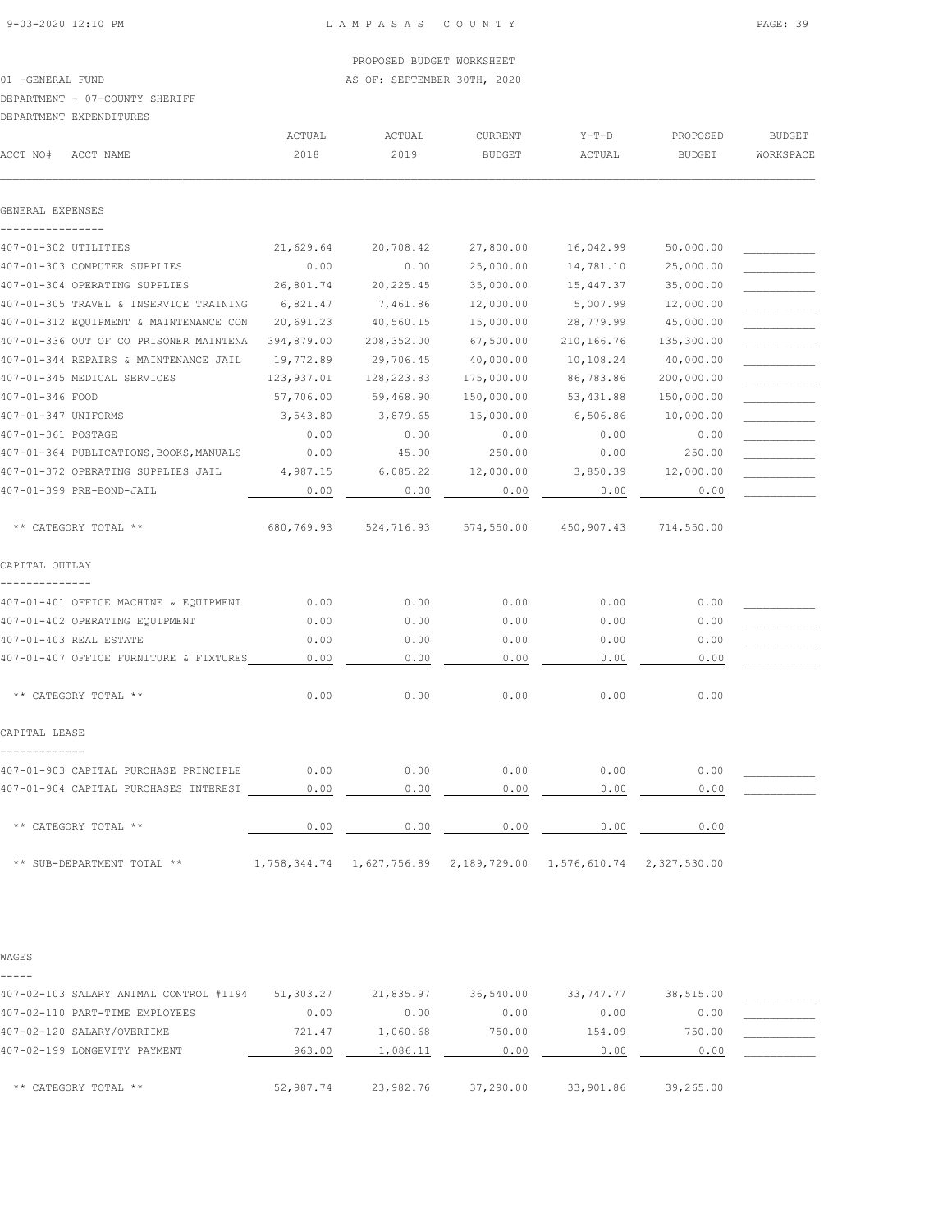01 -GENERAL FUND **AS OF: SEPTEMBER 30TH, 2020** 

### DEPARTMENT - 07-COUNTY SHERIFF

### DEPARTMENT EXPENDITURES

| ACCT NO#           | ACCT NAME                               | ACTUAL<br>2018 | ACTUAL<br>2019 | CURRENT<br><b>BUDGET</b> | $Y-T-D$<br>ACTUAL | PROPOSED<br><b>BUDGET</b> | <b>BUDGET</b><br>WORKSPACE |
|--------------------|-----------------------------------------|----------------|----------------|--------------------------|-------------------|---------------------------|----------------------------|
|                    |                                         |                |                |                          |                   |                           |                            |
| GENERAL EXPENSES   |                                         |                |                |                          |                   |                           |                            |
|                    | 407-01-302 UTILITIES                    | 21,629.64      | 20,708.42      | 27,800.00                | 16,042.99         | 50,000.00                 |                            |
|                    | 407-01-303 COMPUTER SUPPLIES            | 0.00           | 0.00           | 25,000.00                | 14,781.10         | 25,000.00                 |                            |
|                    | 407-01-304 OPERATING SUPPLIES           | 26,801.74      | 20, 225.45     | 35,000.00                | 15,447.37         | 35,000.00                 |                            |
|                    | 407-01-305 TRAVEL & INSERVICE TRAINING  | 6,821.47       | 7,461.86       | 12,000.00                | 5,007.99          | 12,000.00                 |                            |
|                    | 407-01-312 EQUIPMENT & MAINTENANCE CON  | 20,691.23      | 40,560.15      | 15,000.00                | 28,779.99         | 45,000.00                 |                            |
|                    | 407-01-336 OUT OF CO PRISONER MAINTENA  | 394,879.00     | 208,352.00     | 67,500.00                | 210,166.76        | 135,300.00                |                            |
|                    | 407-01-344 REPAIRS & MAINTENANCE JAIL   | 19,772.89      | 29,706.45      | 40,000.00                | 10,108.24         | 40,000.00                 |                            |
|                    | 407-01-345 MEDICAL SERVICES             | 123,937.01     | 128,223.83     | 175,000.00               | 86,783.86         | 200,000.00                |                            |
| 407-01-346 FOOD    |                                         | 57,706.00      | 59,468.90      | 150,000.00               | 53, 431.88        | 150,000.00                |                            |
|                    | 407-01-347 UNIFORMS                     | 3,543.80       | 3,879.65       | 15,000.00                | 6,506.86          | 10,000.00                 |                            |
| 407-01-361 POSTAGE |                                         | 0.00           | 0.00           | 0.00                     | 0.00              | 0.00                      |                            |
|                    | 407-01-364 PUBLICATIONS, BOOKS, MANUALS | 0.00           | 45.00          | 250.00                   | 0.00              | 250.00                    |                            |
|                    | 407-01-372 OPERATING SUPPLIES JAIL      | 4,987.15       | 6,085.22       | 12,000.00                | 3,850.39          | 12,000.00                 |                            |
|                    | 407-01-399 PRE-BOND-JAIL                | 0.00           | 0.00           | 0.00                     | 0.00              | 0.00                      |                            |
|                    | ** CATEGORY TOTAL **                    | 680,769.93     | 524,716.93     | 574,550.00               | 450,907.43        | 714,550.00                |                            |
| CAPITAL OUTLAY     |                                         |                |                |                          |                   |                           |                            |
|                    | 407-01-401 OFFICE MACHINE & EQUIPMENT   | 0.00           | 0.00           | 0.00                     | 0.00              | 0.00                      |                            |
|                    | 407-01-402 OPERATING EQUIPMENT          | 0.00           | 0.00           | 0.00                     | 0.00              | 0.00                      |                            |
|                    | 407-01-403 REAL ESTATE                  | 0.00           | 0.00           | 0.00                     | 0.00              | 0.00                      |                            |
|                    | 407-01-407 OFFICE FURNITURE & FIXTURES  | 0.00           | 0.00           | 0.00                     | 0.00              | 0.00                      |                            |
|                    | ** CATEGORY TOTAL **                    | 0.00           | 0.00           | 0.00                     | 0.00              | 0.00                      |                            |
| CAPITAL LEASE      |                                         |                |                |                          |                   |                           |                            |
|                    | 407-01-903 CAPITAL PURCHASE PRINCIPLE   | 0.00           | 0.00           | 0.00                     | 0.00              | 0.00                      |                            |
|                    | 407-01-904 CAPITAL PURCHASES INTEREST   | 0.00           | 0.00           | 0.00                     | 0.00              | 0.00                      |                            |
|                    | ** CATEGORY TOTAL **                    | 0.00           | 0.00           | 0.00                     | 0.00              | 0.00                      |                            |
|                    | ** SUB-DEPARTMENT TOTAL **              | 1,758,344.74   | 1,627,756.89   | 2,189,729.00             | 1,576,610.74      | 2,327,530.00              |                            |

### WAGES

| -----                                  |           |           |           |           |           |  |
|----------------------------------------|-----------|-----------|-----------|-----------|-----------|--|
| 407-02-103 SALARY ANIMAL CONTROL #1194 | 51,303.27 | 21,835.97 | 36,540.00 | 33,747.77 | 38,515.00 |  |
| 407-02-110 PART-TIME EMPLOYEES         | 0.00      | 0.00      | 0.00      | 0.00      | 0.00      |  |
| 407-02-120 SALARY/OVERTIME             | 721.47    | 1,060.68  | 750.00    | 154.09    | 750.00    |  |
| 407-02-199 LONGEVITY PAYMENT           | 963.00    | 1,086.11  | 0.00      | 0.00      | 0.00      |  |
|                                        |           |           |           |           |           |  |
| ** CATEGORY TOTAL **                   | 52,987.74 | 23,982.76 | 37,290.00 | 33,901.86 | 39,265.00 |  |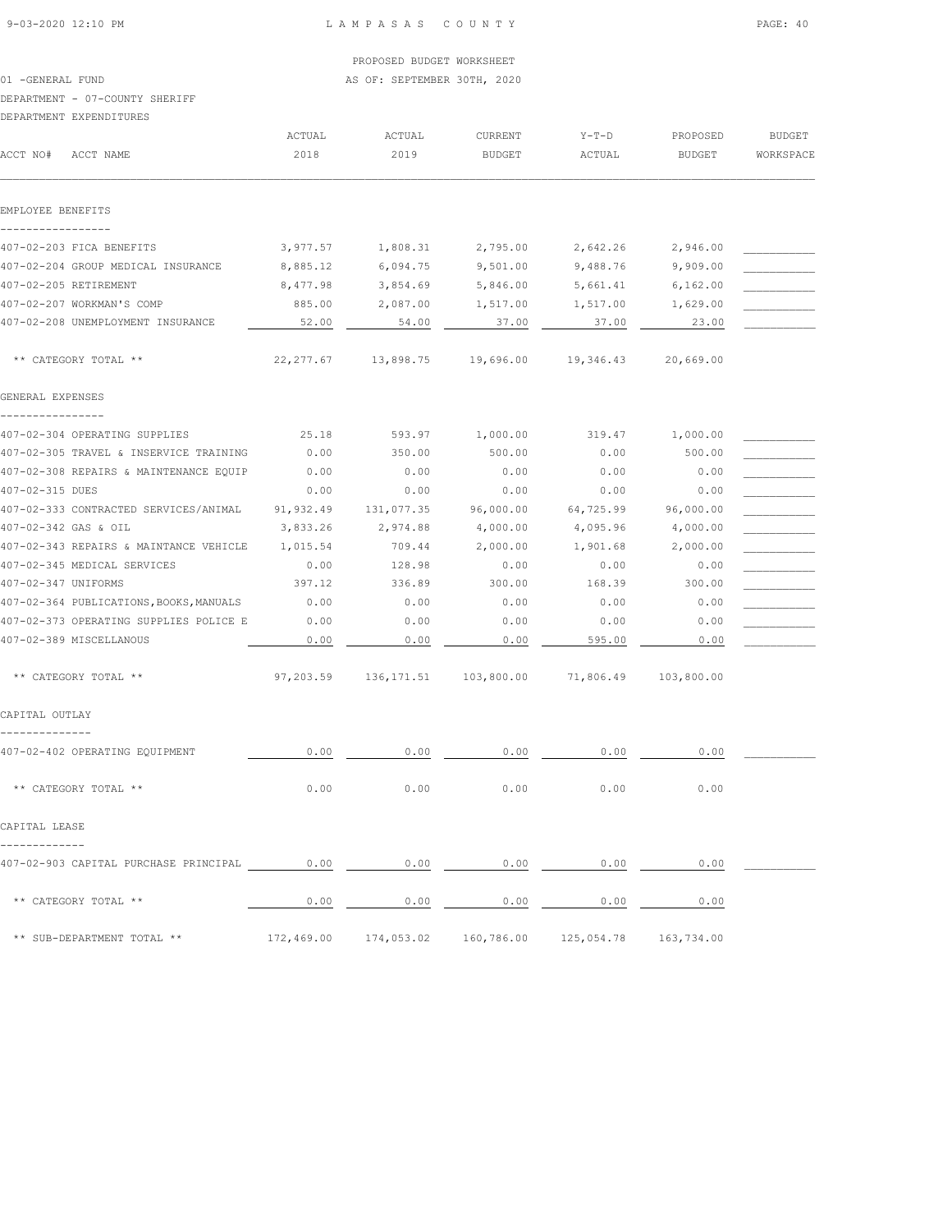01 -GENERAL FUND **AS OF: SEPTEMBER 30TH, 2020** 

## DEPARTMENT - 07-COUNTY SHERIFF

|                     | DEPARTMENT EXPENDITURES                                                                                                   |                |                                                        |                                 |                   |                    |                            |
|---------------------|---------------------------------------------------------------------------------------------------------------------------|----------------|--------------------------------------------------------|---------------------------------|-------------------|--------------------|----------------------------|
| ACCT NO#            | ACCT NAME                                                                                                                 | ACTUAL<br>2018 | ACTUAL<br>2019                                         | <b>CURRENT</b><br><b>BUDGET</b> | $Y-T-D$<br>ACTUAL | PROPOSED<br>BUDGET | <b>BUDGET</b><br>WORKSPACE |
| EMPLOYEE BENEFITS   |                                                                                                                           |                |                                                        |                                 |                   |                    |                            |
|                     |                                                                                                                           |                |                                                        |                                 |                   |                    |                            |
|                     | 407-02-203 FICA BENEFITS                                                                                                  | 3,977.57       | 1,808.31                                               | 2,795.00                        | 2,642.26          | 2,946.00           |                            |
|                     | 407-02-204 GROUP MEDICAL INSURANCE                                                                                        | 8,885.12       | 6,094.75                                               | 9,501.00                        | 9,488.76          | 9,909.00           |                            |
|                     | 407-02-205 RETIREMENT                                                                                                     | 8,477.98       | 3,854.69                                               | 5,846.00                        | 5,661.41          | 6,162.00           |                            |
|                     | 407-02-207 WORKMAN'S COMP                                                                                                 | 885.00         | 2,087.00                                               | 1,517.00                        | 1,517.00          | 1,629.00           |                            |
|                     | 407-02-208 UNEMPLOYMENT INSURANCE                                                                                         | 52.00          | 54.00                                                  | 37.00                           | 37.00             | 23.00              |                            |
|                     | ** CATEGORY TOTAL **                                                                                                      | 22, 277.67     | 13,898.75                                              | 19,696.00                       | 19,346.43         | 20,669.00          |                            |
| GENERAL EXPENSES    |                                                                                                                           |                |                                                        |                                 |                   |                    |                            |
|                     | 407-02-304 OPERATING SUPPLIES                                                                                             | 25.18          | 593.97                                                 | 1,000.00                        | 319.47            | 1,000.00           |                            |
|                     | 407-02-305 TRAVEL & INSERVICE TRAINING                                                                                    | 0.00           | 350.00                                                 | 500.00                          | 0.00              | 500.00             |                            |
|                     | 407-02-308 REPAIRS & MAINTENANCE EQUIP                                                                                    | 0.00           | 0.00                                                   | 0.00                            | 0.00              | 0.00               |                            |
| 407-02-315 DUES     |                                                                                                                           | 0.00           | 0.00                                                   | 0.00                            | 0.00              | 0.00               |                            |
|                     | 407-02-333 CONTRACTED SERVICES/ANIMAL                                                                                     | 91,932.49      | 131,077.35                                             | 96,000.00                       | 64,725.99         | 96,000.00          |                            |
|                     | 407-02-342 GAS & OIL                                                                                                      | 3,833.26       | 2,974.88                                               | 4,000.00                        | 4,095.96          | 4,000.00           |                            |
|                     | 407-02-343 REPAIRS & MAINTANCE VEHICLE                                                                                    | 1,015.54       | 709.44                                                 | 2,000.00                        | 1,901.68          | 2,000.00           |                            |
|                     | 407-02-345 MEDICAL SERVICES                                                                                               | 0.00           | 128.98                                                 | 0.00                            | 0.00              | 0.00               |                            |
| 407-02-347 UNIFORMS |                                                                                                                           | 397.12         | 336.89                                                 | 300.00                          | 168.39            | 300.00             |                            |
|                     | 407-02-364 PUBLICATIONS, BOOKS, MANUALS                                                                                   | 0.00           | 0.00                                                   | 0.00                            | 0.00              | 0.00               |                            |
|                     | 407-02-373 OPERATING SUPPLIES POLICE E                                                                                    | 0.00           | 0.00                                                   | 0.00                            | 0.00              | 0.00               |                            |
|                     | 407-02-389 MISCELLANOUS                                                                                                   | 0.00           | 0.00                                                   | 0.00                            | 595.00            | 0.00               |                            |
|                     | ** CATEGORY TOTAL **                                                                                                      | 97,203.59      | 136,171.51                                             | 103,800.00                      | 71,806.49         | 103,800.00         |                            |
| CAPITAL OUTLAY      |                                                                                                                           |                |                                                        |                                 |                   |                    |                            |
|                     | 407-02-402 OPERATING EQUIPMENT                                                                                            | 0.00           | 0.00                                                   | 0.00                            | 0.00              | 0.00               |                            |
|                     | ** CATEGORY TOTAL **                                                                                                      | 0.00           | 0.00                                                   | 0.00                            | 0.00              | 0.00               |                            |
| CAPITAL LEASE       |                                                                                                                           |                |                                                        |                                 |                   |                    |                            |
|                     | 407-02-903 CAPITAL PURCHASE PRINCIPAL $\qquad 0.00$ $\qquad 0.00$ $\qquad 0.00$ $\qquad 0.00$ $\qquad 0.00$ $\qquad 0.00$ |                |                                                        |                                 |                   | 0.00               |                            |
|                     | ** CATEGORY TOTAL **                                                                                                      | 0.00           | 0.00                                                   | 0.00                            | 0.00              | 0.00               |                            |
|                     | ** SUB-DEPARTMENT TOTAL **                                                                                                |                | 172,469.00 174,053.02 160,786.00 125,054.78 163,734.00 |                                 |                   |                    |                            |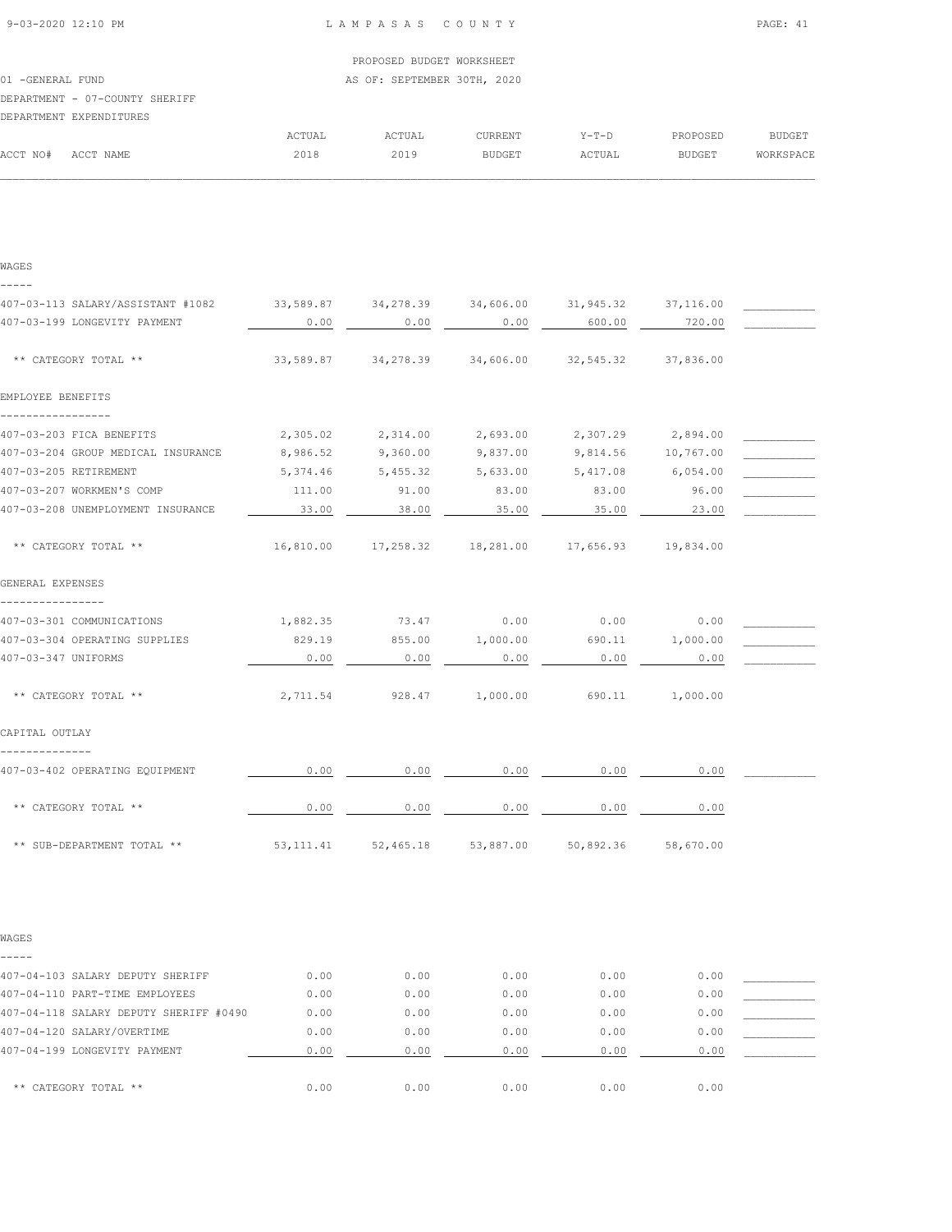| 9-03-2020 12:10 PM |  |  |
|--------------------|--|--|

### L A M P A S A S C O U N T Y PAGE: 41

# PROPOSED BUDGET WORKSHEET 01 -GENERAL FUND **AS OF: SEPTEMBER 30TH, 2020** DEPARTMENT - 07-COUNTY SHERIFF DEPARTMENT EXPENDITURES ACTUAL ACTUAL CURRENT Y-T-D PROPOSED BUDGET ACCT NO# ACCT NAME 2018 2019 BUDGET ACTUAL BUDGET WORKSPACE  $\mathcal{L} = \{ \mathcal{L} = \{ \mathcal{L} = \{ \mathcal{L} = \{ \mathcal{L} = \{ \mathcal{L} = \{ \mathcal{L} = \{ \mathcal{L} = \{ \mathcal{L} = \{ \mathcal{L} = \{ \mathcal{L} = \{ \mathcal{L} = \{ \mathcal{L} = \{ \mathcal{L} = \{ \mathcal{L} = \{ \mathcal{L} = \{ \mathcal{L} = \{ \mathcal{L} = \{ \mathcal{L} = \{ \mathcal{L} = \{ \mathcal{L} = \{ \mathcal{L} = \{ \mathcal{L} = \{ \mathcal{L} = \{ \mathcal{$

| WAGES                                  |           |                       |           |                                                       |           |  |
|----------------------------------------|-----------|-----------------------|-----------|-------------------------------------------------------|-----------|--|
|                                        |           |                       |           |                                                       |           |  |
| 407-03-113 SALARY/ASSISTANT #1082      | 33,589.87 | 34,278.39             | 34,606.00 | 31,945.32                                             | 37,116.00 |  |
| 407-03-199 LONGEVITY PAYMENT           | 0.00      | 0.00                  | 0.00      | 600.00                                                | 720.00    |  |
| ** CATEGORY TOTAL **                   | 33,589.87 | 34,278.39             | 34,606.00 | 32,545.32                                             | 37,836.00 |  |
|                                        |           |                       |           |                                                       |           |  |
| EMPLOYEE BENEFITS                      |           |                       |           |                                                       |           |  |
| 407-03-203 FICA BENEFITS               | 2,305.02  | 2,314.00              | 2,693.00  | 2,307.29                                              | 2,894.00  |  |
| 407-03-204 GROUP MEDICAL INSURANCE     | 8,986.52  | 9,360.00              | 9,837.00  | 9,814.56                                              | 10,767.00 |  |
| 407-03-205 RETIREMENT                  | 5,374.46  | 5,455.32              | 5,633.00  | 5,417.08                                              | 6,054.00  |  |
| 407-03-207 WORKMEN'S COMP              | 111.00    | 91.00                 | 83.00     | 83.00                                                 | 96.00     |  |
| 407-03-208 UNEMPLOYMENT INSURANCE      | 33.00     | 38.00                 | 35.00     | 35.00                                                 | 23.00     |  |
|                                        |           |                       |           |                                                       |           |  |
| ** CATEGORY TOTAL **                   |           |                       |           | 16,810.00  17,258.32  18,281.00  17,656.93  19,834.00 |           |  |
| GENERAL EXPENSES                       |           |                       |           |                                                       |           |  |
| 407-03-301 COMMUNICATIONS              | 1,882.35  | 73.47                 | 0.00      | 0.00                                                  | 0.00      |  |
| 407-03-304 OPERATING SUPPLIES          | 829.19    | 855.00                | 1,000.00  | 690.11                                                | 1,000.00  |  |
| 407-03-347 UNIFORMS                    | 0.00      | 0.00                  | 0.00      | 0.00                                                  | 0.00      |  |
|                                        |           |                       |           |                                                       |           |  |
| ** CATEGORY TOTAL **                   | 2,711.54  | 928.47                | 1,000.00  | 690.11                                                | 1,000.00  |  |
| CAPITAL OUTLAY                         |           |                       |           |                                                       |           |  |
| 407-03-402 OPERATING EQUIPMENT         | 0.00      | 0.00                  | 0.00      | 0.00                                                  | 0.00      |  |
| ** CATEGORY TOTAL **                   | 0.00      | 0.00                  | 0.00      | 0.00                                                  | 0.00      |  |
| ** SUB-DEPARTMENT TOTAL **             |           | 53, 111.41 52, 465.18 | 53,887.00 | 50,892.36                                             | 58,670.00 |  |
|                                        |           |                       |           |                                                       |           |  |
| WAGES<br>-----                         |           |                       |           |                                                       |           |  |
| 407-04-103 SALARY DEPUTY SHERIFF       | 0.00      | 0.00                  | 0.00      | 0.00                                                  | 0.00      |  |
| 407-04-110 PART-TIME EMPLOYEES         | 0.00      | 0.00                  | 0.00      | 0.00                                                  | 0.00      |  |
| 407-04-118 SALARY DEPUTY SHERIFF #0490 | 0.00      | 0.00                  | 0.00      | 0.00                                                  | 0.00      |  |
| 407-04-120 SALARY/OVERTIME             | 0.00      | 0.00                  | 0.00      | 0.00                                                  | 0.00      |  |
| 407-04-199 LONGEVITY PAYMENT           | 0.00      | 0.00                  | 0.00      | 0.00                                                  | 0.00      |  |
|                                        |           |                       |           |                                                       |           |  |
| ** CATEGORY TOTAL **                   | 0.00      | 0.00                  | 0.00      | 0.00                                                  | 0.00      |  |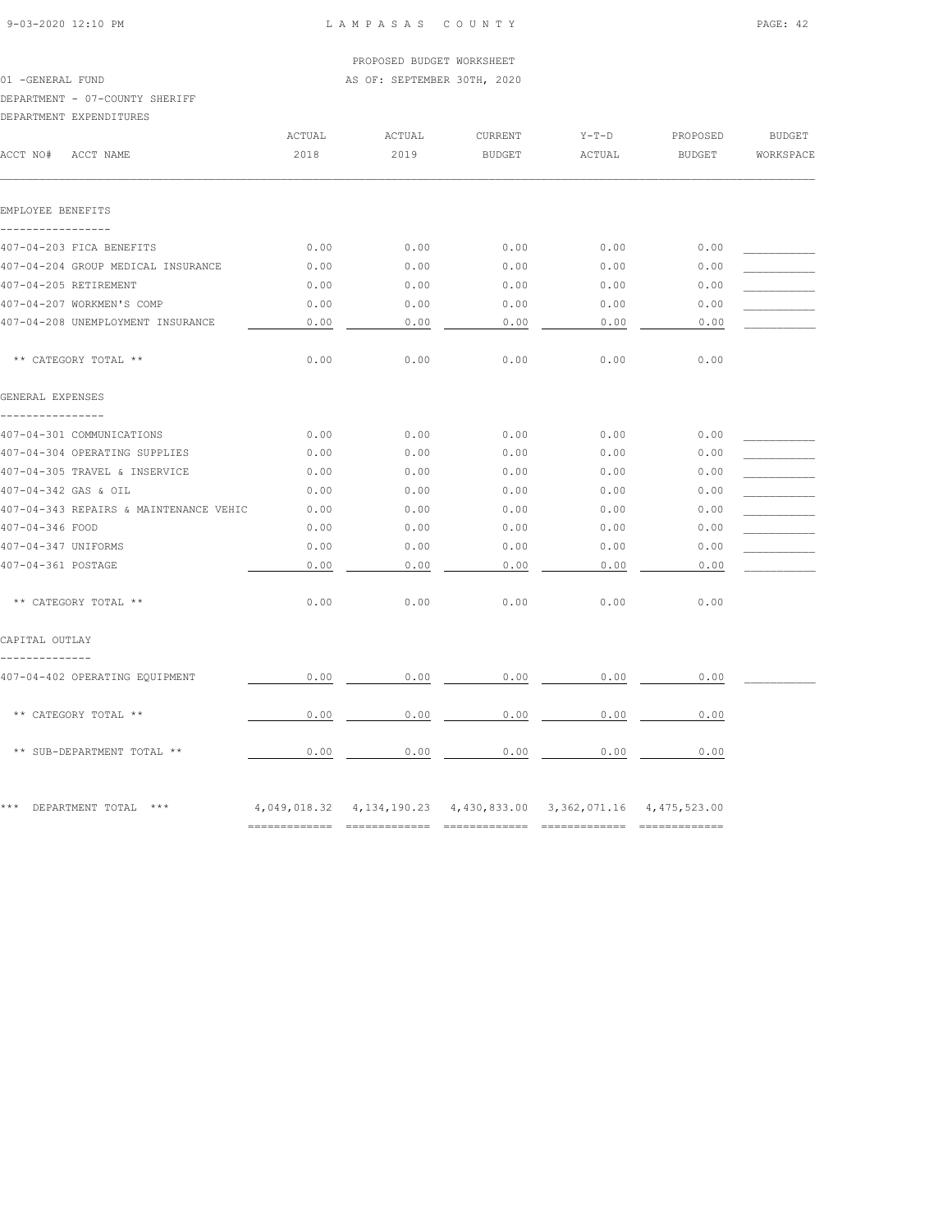01 -GENERAL FUND **AS OF: SEPTEMBER 30TH, 2020** 

# DEPARTMENT - 07-COUNTY SHERIFF

DEPARTMENT EXPENDITURES

| DEPARTMENT EXPENDITURES                |        |        |               |                                                                            |          |               |
|----------------------------------------|--------|--------|---------------|----------------------------------------------------------------------------|----------|---------------|
|                                        | ACTUAL | ACTUAL | CURRENT       | $Y-T-D$                                                                    | PROPOSED | <b>BUDGET</b> |
| ACCT NO#<br>ACCT NAME                  | 2018   | 2019   | <b>BUDGET</b> | ACTUAL                                                                     | BUDGET   | WORKSPACE     |
| EMPLOYEE BENEFITS                      |        |        |               |                                                                            |          |               |
|                                        |        |        |               |                                                                            |          |               |
| 407-04-203 FICA BENEFITS               | 0.00   | 0.00   | 0.00          | 0.00                                                                       | 0.00     |               |
| 407-04-204 GROUP MEDICAL INSURANCE     | 0.00   | 0.00   | 0.00          | 0.00                                                                       | 0.00     |               |
| 407-04-205 RETIREMENT                  | 0.00   | 0.00   | 0.00          | 0.00                                                                       | 0.00     |               |
| 407-04-207 WORKMEN'S COMP              | 0.00   | 0.00   | 0.00          | 0.00                                                                       | 0.00     |               |
| 407-04-208 UNEMPLOYMENT INSURANCE      | 0.00   | 0.00   | 0.00          | 0.00                                                                       | 0.00     |               |
| ** CATEGORY TOTAL **                   | 0.00   | 0.00   | 0.00          | 0.00                                                                       | 0.00     |               |
| GENERAL EXPENSES<br>----------------   |        |        |               |                                                                            |          |               |
| 407-04-301 COMMUNICATIONS              | 0.00   | 0.00   | 0.00          | 0.00                                                                       | 0.00     |               |
| 407-04-304 OPERATING SUPPLIES          | 0.00   | 0.00   | 0.00          | 0.00                                                                       | 0.00     |               |
| 407-04-305 TRAVEL & INSERVICE          | 0.00   | 0.00   | 0.00          | 0.00                                                                       | 0.00     |               |
| 407-04-342 GAS & OIL                   | 0.00   | 0.00   | 0.00          | 0.00                                                                       | 0.00     |               |
| 407-04-343 REPAIRS & MAINTENANCE VEHIC | 0.00   | 0.00   | 0.00          | 0.00                                                                       | 0.00     |               |
| 407-04-346 FOOD                        | 0.00   | 0.00   | 0.00          | 0.00                                                                       | 0.00     |               |
| 407-04-347 UNIFORMS                    | 0.00   | 0.00   | 0.00          | 0.00                                                                       | 0.00     |               |
| 407-04-361 POSTAGE                     | 0.00   | 0.00   | 0.00          | 0.00                                                                       | 0.00     |               |
| ** CATEGORY TOTAL **                   | 0.00   | 0.00   | 0.00          | 0.00                                                                       | 0.00     |               |
| CAPITAL OUTLAY<br>--------------       |        |        |               |                                                                            |          |               |
| 407-04-402 OPERATING EQUIPMENT         | 0.00   | 0.00   | 0.00          | 0.00                                                                       | 0.00     |               |
| ** CATEGORY TOTAL **                   | 0.00   | 0.00   | 0.00          | 0.00                                                                       | 0.00     |               |
| ** SUB-DEPARTMENT TOTAL **             | 0.00   | 0.00   | 0.00          | 0.00                                                                       | 0.00     |               |
| *** DEPARTMENT TOTAL ***               |        |        |               | 4, 049, 018.32 4, 134, 190.23 4, 430, 833.00 3, 362, 071.16 4, 475, 523.00 |          |               |
|                                        |        |        |               |                                                                            |          |               |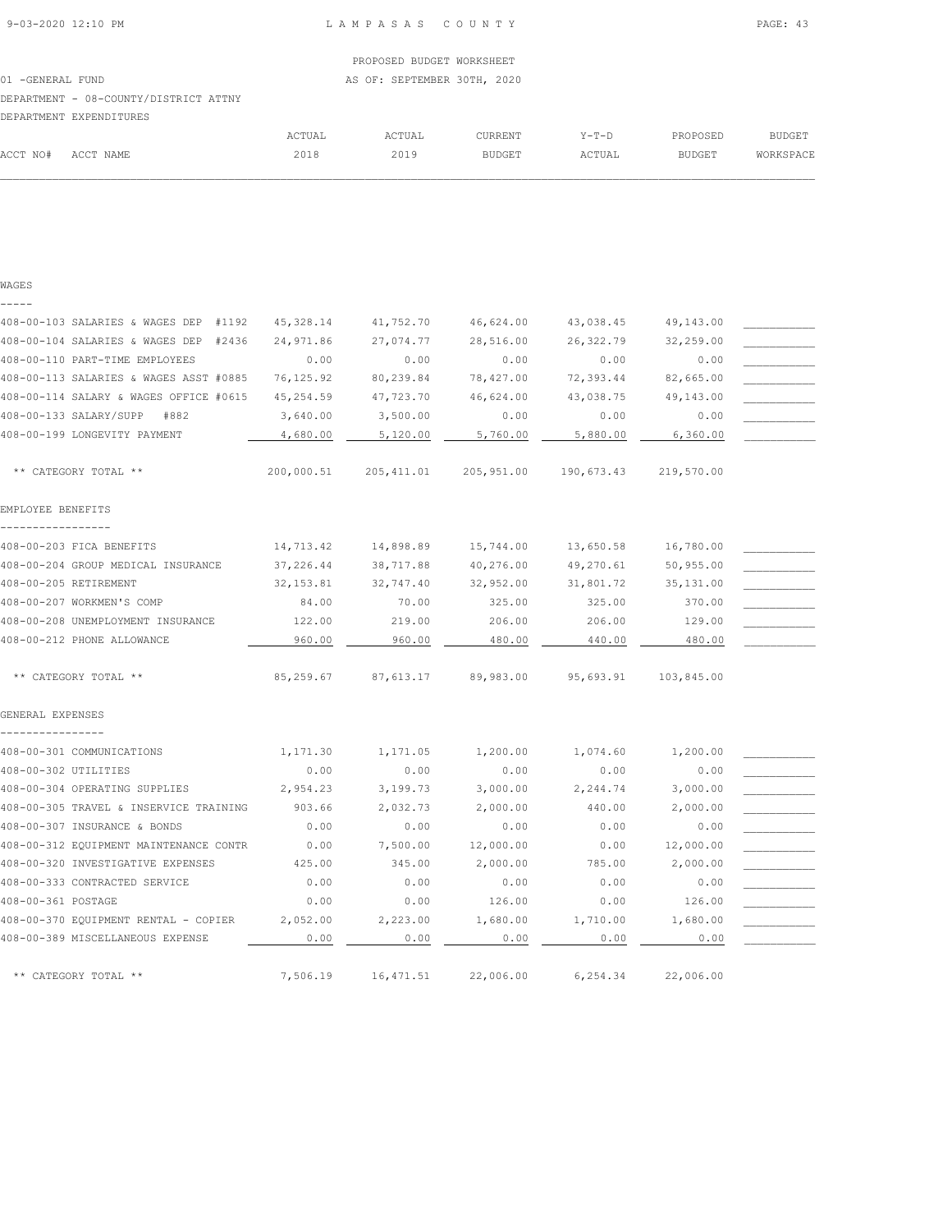|                   |                                       |        | PROPOSED BUDGET WORKSHEET   |         |         |               |           |
|-------------------|---------------------------------------|--------|-----------------------------|---------|---------|---------------|-----------|
| 01 - GENERAL FUND |                                       |        | AS OF: SEPTEMBER 30TH, 2020 |         |         |               |           |
|                   | DEPARTMENT - 08-COUNTY/DISTRICT ATTNY |        |                             |         |         |               |           |
|                   | DEPARTMENT EXPENDITURES               |        |                             |         |         |               |           |
|                   |                                       | ACTUAL | ACTUAL                      | CURRENT | $Y-T-D$ | PROPOSED      | BUDGET    |
| ACCT NO#          | ACCT NAME                             | 2018   | 2019                        | BUDGET  | ACTUAL  | <b>BUDGET</b> | WORKSPACE |

## WAGES -----

| 408-00-103 SALARIES & WAGES DEP #1192  | 45, 328.14 | 41,752.70   | 46,624.00  | 43,038.45  | 49,143.00  |  |
|----------------------------------------|------------|-------------|------------|------------|------------|--|
| 408-00-104 SALARIES & WAGES DEP #2436  | 24,971.86  | 27,074.77   | 28,516.00  | 26, 322.79 | 32,259.00  |  |
| 408-00-110 PART-TIME EMPLOYEES         | 0.00       | 0.00        | 0.00       | 0.00       | 0.00       |  |
| 408-00-113 SALARIES & WAGES ASST #0885 | 76, 125.92 | 80,239.84   | 78,427.00  | 72,393.44  | 82,665.00  |  |
| 408-00-114 SALARY & WAGES OFFICE #0615 | 45, 254.59 | 47,723.70   | 46,624.00  | 43,038.75  | 49,143.00  |  |
| 408-00-133 SALARY/SUPP<br>#882         | 3,640.00   | 3,500.00    | 0.00       | 0.00       | 0.00       |  |
| 408-00-199 LONGEVITY PAYMENT           | 4,680.00   | 5,120.00    | 5,760.00   | 5,880.00   | 6,360.00   |  |
| ** CATEGORY TOTAL **                   | 200,000.51 | 205, 411.01 | 205,951.00 | 190,673.43 | 219,570.00 |  |
| EMPLOYEE BENEFITS                      |            |             |            |            |            |  |
| 408-00-203 FICA BENEFITS               | 14,713.42  | 14,898.89   | 15,744.00  | 13,650.58  | 16,780.00  |  |
| 408-00-204 GROUP MEDICAL INSURANCE     | 37,226.44  | 38,717.88   | 40,276.00  | 49,270.61  | 50,955.00  |  |
| 408-00-205 RETIREMENT                  | 32, 153.81 | 32,747.40   | 32,952.00  | 31,801.72  | 35, 131.00 |  |
| 408-00-207 WORKMEN'S COMP              | 84.00      | 70.00       | 325.00     | 325.00     | 370.00     |  |
| 408-00-208 UNEMPLOYMENT INSURANCE      | 122.00     | 219.00      | 206.00     | 206.00     | 129.00     |  |
| 408-00-212 PHONE ALLOWANCE             | 960.00     | 960.00      | 480.00     | 440.00     | 480.00     |  |
| ** CATEGORY TOTAL **                   | 85,259.67  | 87,613.17   | 89,983.00  | 95,693.91  | 103,845.00 |  |
| GENERAL EXPENSES                       |            |             |            |            |            |  |
| 408-00-301 COMMUNICATIONS              | 1,171.30   | 1,171.05    | 1,200.00   | 1,074.60   | 1,200.00   |  |
| 408-00-302 UTILITIES                   | 0.00       | 0.00        | 0.00       | 0.00       | 0.00       |  |
| 408-00-304 OPERATING SUPPLIES          | 2,954.23   | 3,199.73    | 3,000.00   | 2,244.74   | 3,000.00   |  |
| 408-00-305 TRAVEL & INSERVICE TRAINING | 903.66     | 2,032.73    | 2,000.00   | 440.00     | 2,000.00   |  |
| 408-00-307 INSURANCE & BONDS           | 0.00       | 0.00        | 0.00       | 0.00       | 0.00       |  |
| 408-00-312 EQUIPMENT MAINTENANCE CONTR | 0.00       | 7,500.00    | 12,000.00  | 0.00       | 12,000.00  |  |
| 408-00-320 INVESTIGATIVE EXPENSES      | 425.00     | 345.00      | 2,000.00   | 785.00     | 2,000.00   |  |
| 408-00-333 CONTRACTED SERVICE          | 0.00       | 0.00        | 0.00       | 0.00       | 0.00       |  |
| 408-00-361 POSTAGE                     | 0.00       | 0.00        | 126.00     | 0.00       | 126.00     |  |
| 408-00-370 EQUIPMENT RENTAL - COPIER   | 2,052.00   | 2,223.00    | 1,680.00   | 1,710.00   | 1,680.00   |  |
| 408-00-389 MISCELLANEOUS EXPENSE       | 0.00       | 0.00        | 0.00       | 0.00       | 0.00       |  |
| ** CATEGORY TOTAL **                   | 7,506.19   | 16,471.51   | 22,006.00  | 6,254.34   | 22,006.00  |  |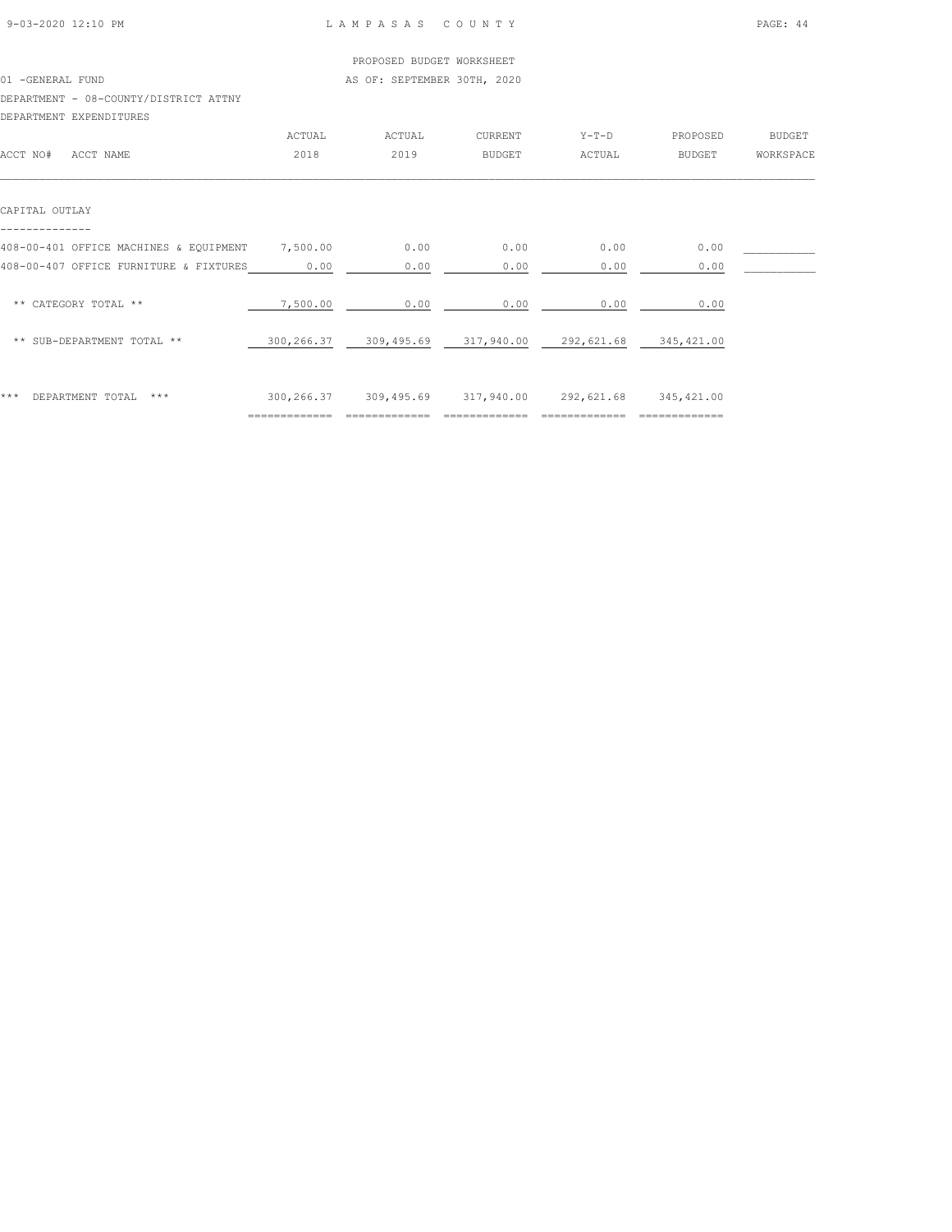|                                        |          | PROPOSED BUDGET WORKSHEET   |         |         |          |               |
|----------------------------------------|----------|-----------------------------|---------|---------|----------|---------------|
| 01 -GENERAL FUND                       |          | AS OF: SEPTEMBER 30TH, 2020 |         |         |          |               |
| DEPARTMENT - 08-COUNTY/DISTRICT ATTNY  |          |                             |         |         |          |               |
| DEPARTMENT EXPENDITURES                |          |                             |         |         |          |               |
|                                        | ACTUAL   | ACTUAL                      | CURRENT | $Y-T-D$ | PROPOSED | <b>BUDGET</b> |
| ACCT NO#<br>ACCT NAME                  | 2018     | 2019                        | BUDGET  | ACTUAL  | BUDGET   | WORKSPACE     |
| CAPITAL OUTLAY                         |          |                             |         |         |          |               |
|                                        |          |                             |         |         |          |               |
| 408-00-401 OFFICE MACHINES & EQUIPMENT | 7,500.00 | 0.00                        | 0.00    | 0.00    | 0.00     |               |
| 408-00-407 OFFICE FURNITURE & FIXTURES | 0.00     | 0.00                        | 0.00    | 0.00    | 0.00     |               |
| ** CATEGORY TOTAL **                   | 7,500.00 | 0.00                        | 0.00    | 0.00    | 0.00     |               |

| *** DEPARTMENT TOTAL *** | 300,266.37 |  | 309,495.69 317,940.00 292,621.68 | 345,421.00 |
|--------------------------|------------|--|----------------------------------|------------|
|                          |            |  |                                  |            |

\*\* SUB-DEPARTMENT TOTAL \*\* 300,266.37 309,495.69 317,940.00 292,621.68 345,421.00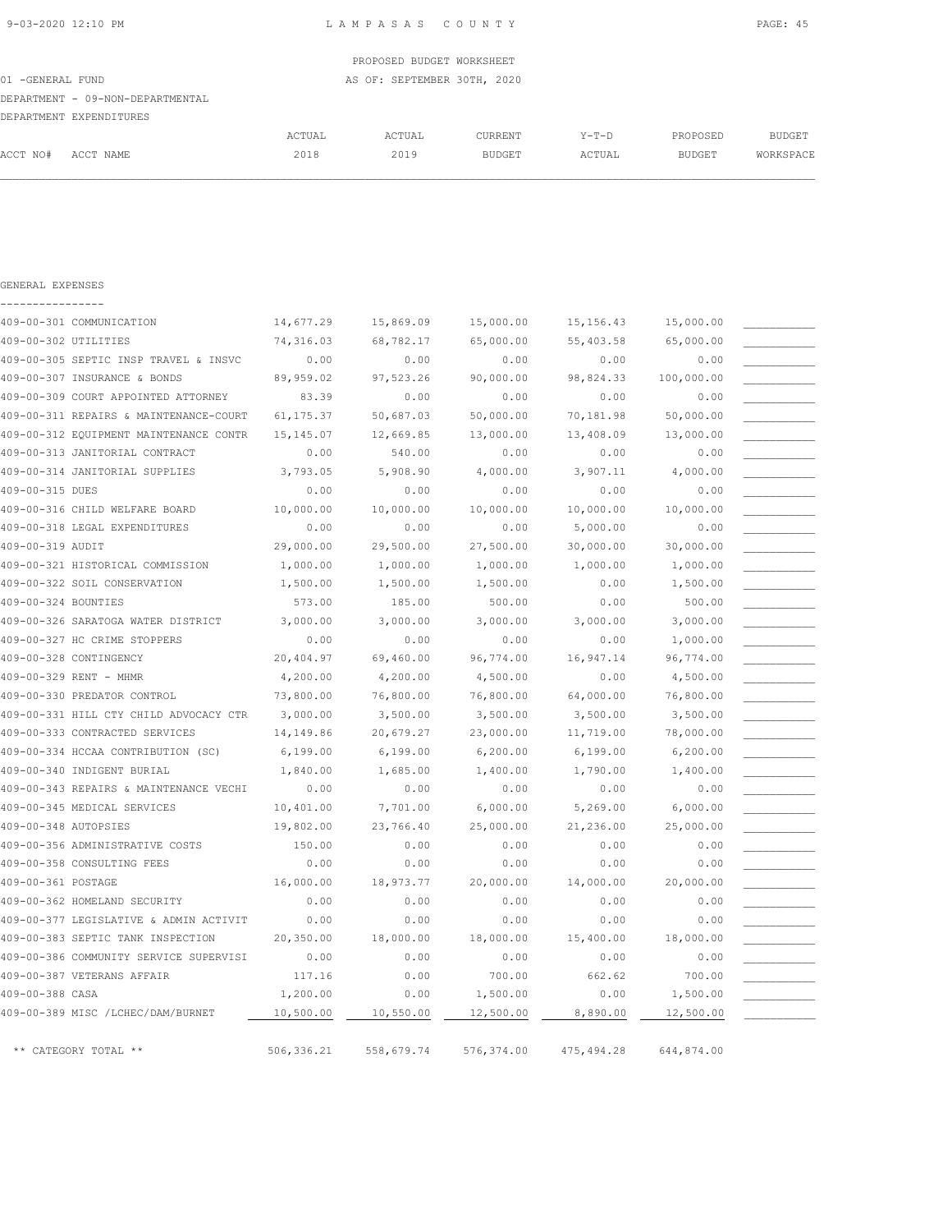|                   |                                  |        | PROPOSED BUDGET WORKSHEET   |         |         |               |           |
|-------------------|----------------------------------|--------|-----------------------------|---------|---------|---------------|-----------|
| 01 - GENERAL FUND |                                  |        | AS OF: SEPTEMBER 30TH, 2020 |         |         |               |           |
|                   | DEPARTMENT - 09-NON-DEPARTMENTAL |        |                             |         |         |               |           |
|                   | DEPARTMENT EXPENDITURES          |        |                             |         |         |               |           |
|                   |                                  | ACTUAL | ACTUAL                      | CURRENT | $Y-T-D$ | PROPOSED      | BUDGET    |
| ACCT NO#          | ACCT NAME                        | 2018   | 2019                        | BUDGET  | ACTUAL  | <b>BUDGET</b> | WORKSPACE |
|                   |                                  |        |                             |         |         |               |           |

| GENERAL EXPENSES |
|------------------|
|                  |

| 409-00-301 COMMUNICATION               | 14,677.29  | 15,869.09  | 15,000.00   | 15, 156.43  | 15,000.00  |  |
|----------------------------------------|------------|------------|-------------|-------------|------------|--|
| 409-00-302 UTILITIES                   | 74,316.03  | 68,782.17  | 65,000.00   | 55,403.58   | 65,000.00  |  |
| 409-00-305 SEPTIC INSP TRAVEL & INSVC  | 0.00       | 0.00       | 0.00        | 0.00        | 0.00       |  |
| 409-00-307 INSURANCE & BONDS           | 89,959.02  | 97,523.26  | 90,000.00   | 98,824.33   | 100,000.00 |  |
| 409-00-309 COURT APPOINTED ATTORNEY    | 83.39      | 0.00       | 0.00        | 0.00        | 0.00       |  |
| 409-00-311 REPAIRS & MAINTENANCE-COURT | 61, 175.37 | 50,687.03  | 50,000.00   | 70,181.98   | 50,000.00  |  |
| 409-00-312 EQUIPMENT MAINTENANCE CONTR | 15, 145.07 | 12,669.85  | 13,000.00   | 13,408.09   | 13,000.00  |  |
| 409-00-313 JANITORIAL CONTRACT         | 0.00       | 540.00     | 0.00        | 0.00        | 0.00       |  |
| 409-00-314 JANITORIAL SUPPLIES         | 3,793.05   | 5,908.90   | 4,000.00    | 3,907.11    | 4,000.00   |  |
| 409-00-315 DUES                        | 0.00       | 0.00       | 0.00        | 0.00        | 0.00       |  |
| 409-00-316 CHILD WELFARE BOARD         | 10,000.00  | 10,000.00  | 10,000.00   | 10,000.00   | 10,000.00  |  |
| 409-00-318 LEGAL EXPENDITURES          | 0.00       | 0.00       | 0.00        | 5,000.00    | 0.00       |  |
| 409-00-319 AUDIT                       | 29,000.00  | 29,500.00  | 27,500.00   | 30,000.00   | 30,000.00  |  |
| 409-00-321 HISTORICAL COMMISSION       | 1,000.00   | 1,000.00   | 1,000.00    | 1,000.00    | 1,000.00   |  |
| 409-00-322 SOIL CONSERVATION           | 1,500.00   | 1,500.00   | 1,500.00    | 0.00        | 1,500.00   |  |
| 409-00-324 BOUNTIES                    | 573.00     | 185.00     | 500.00      | 0.00        | 500.00     |  |
| 409-00-326 SARATOGA WATER DISTRICT     | 3,000.00   | 3,000.00   | 3,000.00    | 3,000.00    | 3,000.00   |  |
| 409-00-327 HC CRIME STOPPERS           | 0.00       | 0.00       | 0.00        | 0.00        | 1,000.00   |  |
| 409-00-328 CONTINGENCY                 | 20,404.97  | 69,460.00  | 96,774.00   | 16,947.14   | 96,774.00  |  |
| 409-00-329 RENT - MHMR                 | 4,200.00   | 4,200.00   | 4,500.00    | 0.00        | 4,500.00   |  |
| 409-00-330 PREDATOR CONTROL            | 73,800.00  | 76,800.00  | 76,800.00   | 64,000.00   | 76,800.00  |  |
| 409-00-331 HILL CTY CHILD ADVOCACY CTR | 3,000.00   | 3,500.00   | 3,500.00    | 3,500.00    | 3,500.00   |  |
| 409-00-333 CONTRACTED SERVICES         | 14,149.86  | 20,679.27  | 23,000.00   | 11,719.00   | 78,000.00  |  |
| 409-00-334 HCCAA CONTRIBUTION (SC)     | 6, 199.00  | 6,199.00   | 6, 200.00   | 6, 199.00   | 6, 200.00  |  |
| 409-00-340 INDIGENT BURIAL             | 1,840.00   | 1,685.00   | 1,400.00    | 1,790.00    | 1,400.00   |  |
| 409-00-343 REPAIRS & MAINTENANCE VECHI | 0.00       | 0.00       | 0.00        | 0.00        | 0.00       |  |
| 409-00-345 MEDICAL SERVICES            | 10,401.00  | 7,701.00   | 6,000.00    | 5,269.00    | 6,000.00   |  |
| 409-00-348 AUTOPSIES                   | 19,802.00  | 23,766.40  | 25,000.00   | 21,236.00   | 25,000.00  |  |
| 409-00-356 ADMINISTRATIVE COSTS        | 150.00     | 0.00       | 0.00        | 0.00        | 0.00       |  |
| 409-00-358 CONSULTING FEES             | 0.00       | 0.00       | 0.00        | 0.00        | 0.00       |  |
| 409-00-361 POSTAGE                     | 16,000.00  | 18,973.77  | 20,000.00   | 14,000.00   | 20,000.00  |  |
| 409-00-362 HOMELAND SECURITY           | 0.00       | 0.00       | 0.00        | 0.00        | 0.00       |  |
| 409-00-377 LEGISLATIVE & ADMIN ACTIVIT | 0.00       | 0.00       | 0.00        | 0.00        | 0.00       |  |
| 409-00-383 SEPTIC TANK INSPECTION      | 20,350.00  | 18,000.00  | 18,000.00   | 15,400.00   | 18,000.00  |  |
| 409-00-386 COMMUNITY SERVICE SUPERVISI | 0.00       | 0.00       | 0.00        | 0.00        | 0.00       |  |
| 409-00-387 VETERANS AFFAIR             | 117.16     | 0.00       | 700.00      | 662.62      | 700.00     |  |
| 409-00-388 CASA                        | 1,200.00   | 0.00       | 1,500.00    | 0.00        | 1,500.00   |  |
| 409-00-389 MISC /LCHEC/DAM/BURNET      | 10,500.00  | 10,550.00  | 12,500.00   | 8,890.00    | 12,500.00  |  |
| ** CATEGORY TOTAL **                   | 506,336.21 | 558,679.74 | 576, 374.00 | 475, 494.28 | 644,874.00 |  |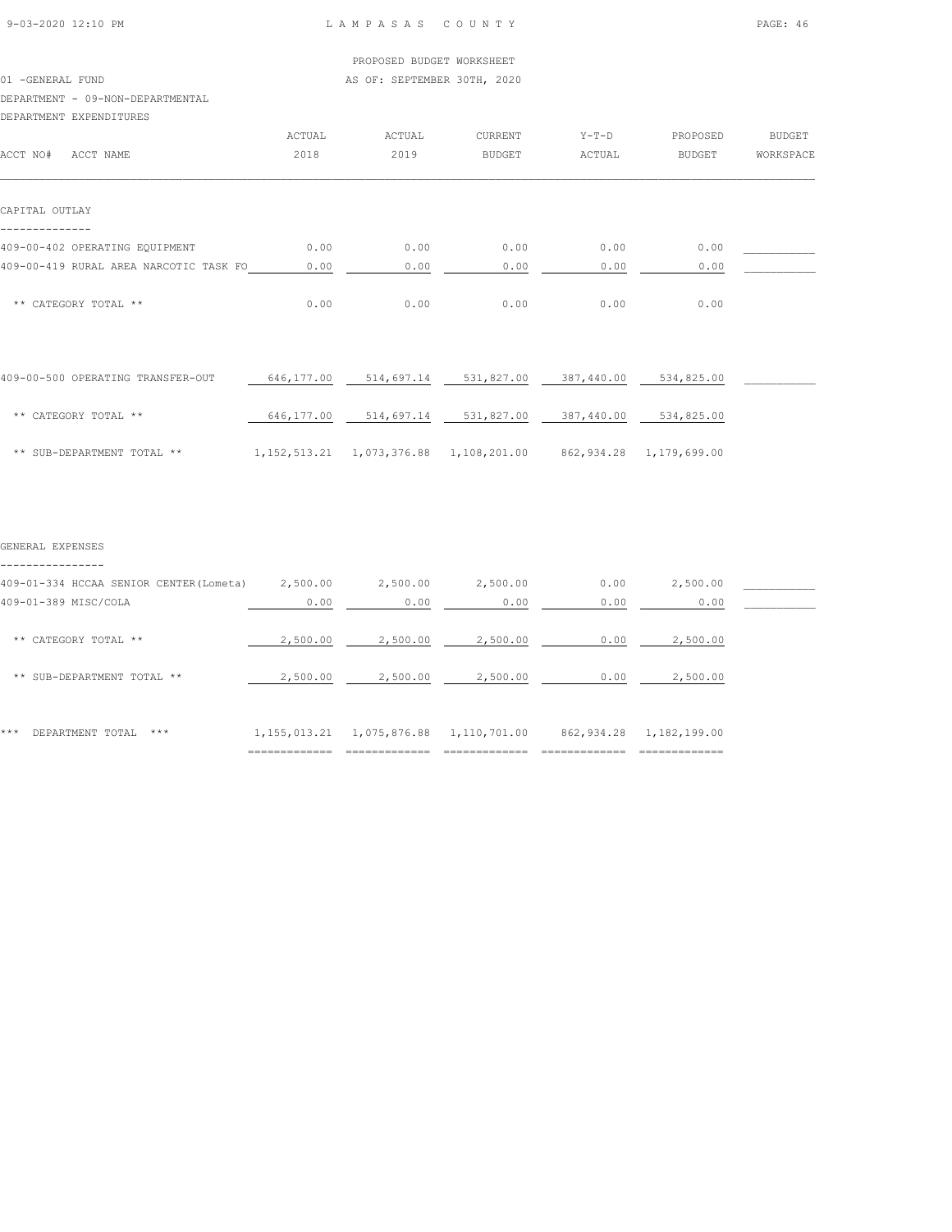01 -GENERAL FUND **AS OF: SEPTEMBER 30TH, 2020** 

### DEPARTMENT - 09-NON-DEPARTMENTAL

DEPARTMENT EXPENDITURES

| DEFARTMENT EXFENDITURES                |        |        |               |         |               |               |
|----------------------------------------|--------|--------|---------------|---------|---------------|---------------|
|                                        | ACTUAL | ACTUAL | CURRENT       | $Y-T-D$ | PROPOSED      | <b>BUDGET</b> |
| ACCT NO#<br>ACCT NAME                  | 2018   | 2019   | <b>BUDGET</b> | ACTUAL  | <b>BUDGET</b> | WORKSPACE     |
|                                        |        |        |               |         |               |               |
|                                        |        |        |               |         |               |               |
| CAPITAL OUTLAY                         |        |        |               |         |               |               |
|                                        |        |        |               |         |               |               |
| 409-00-402 OPERATING EQUIPMENT         | 0.00   | 0.00   | 0.00          | 0.00    | 0.00          |               |
| 409-00-419 RURAL AREA NARCOTIC TASK FO | 0.00   | 0.00   | 0.00          | 0.00    | 0.00          |               |
|                                        |        |        |               |         |               |               |
| ** CATEGORY TOTAL **                   | 0.00   | 0.00   | 0.00          | 0.00    | 0.00          |               |
|                                        |        |        |               |         |               |               |

| 409-00-500 OPERATING TRANSFER-OUT | 646,177.00 | 514,697.14                                      | 531,827.00 | 387,440.00 | 534,825.00              |  |
|-----------------------------------|------------|-------------------------------------------------|------------|------------|-------------------------|--|
| ** CATEGORY TOTAL **              | 646,177.00 | 514,697.14                                      | 531,827.00 | 387,440.00 | 534,825.00              |  |
| ** SUB-DEPARTMENT TOTAL **        |            | 1, 152, 513, 21 1, 073, 376, 88 1, 108, 201, 00 |            |            | 862,934.28 1,179,699.00 |  |

### GENERAL EXPENSES ----------------

| 409-01-334 HCCAA SENIOR CENTER (Lometa)<br>409-01-389 MISC/COLA | 2,500.00<br>0.00                   | 2,500.00<br>0.00                | 2,500.00<br>0.00              | 0.00<br>0.00                | 2,500.00<br>0.00                     |  |
|-----------------------------------------------------------------|------------------------------------|---------------------------------|-------------------------------|-----------------------------|--------------------------------------|--|
| ** CATEGORY TOTAL **                                            | 2,500.00                           | 2,500.00                        | 2,500.00                      | 0.00                        | 2,500.00                             |  |
| ** SUB-DEPARTMENT TOTAL **                                      | 2,500.00                           | 2,500.00                        | 2,500.00                      | 0.00                        | 2,500.00                             |  |
| ***<br>DEPARTMENT TOTAL<br>$***$                                | 1, 155, 013.21<br>---------------- | 1,075,876.88<br>--------------- | 1,110,701.00<br>_____________ | 862, 934.28<br>____________ | 1,182,199.00<br>---------------<br>. |  |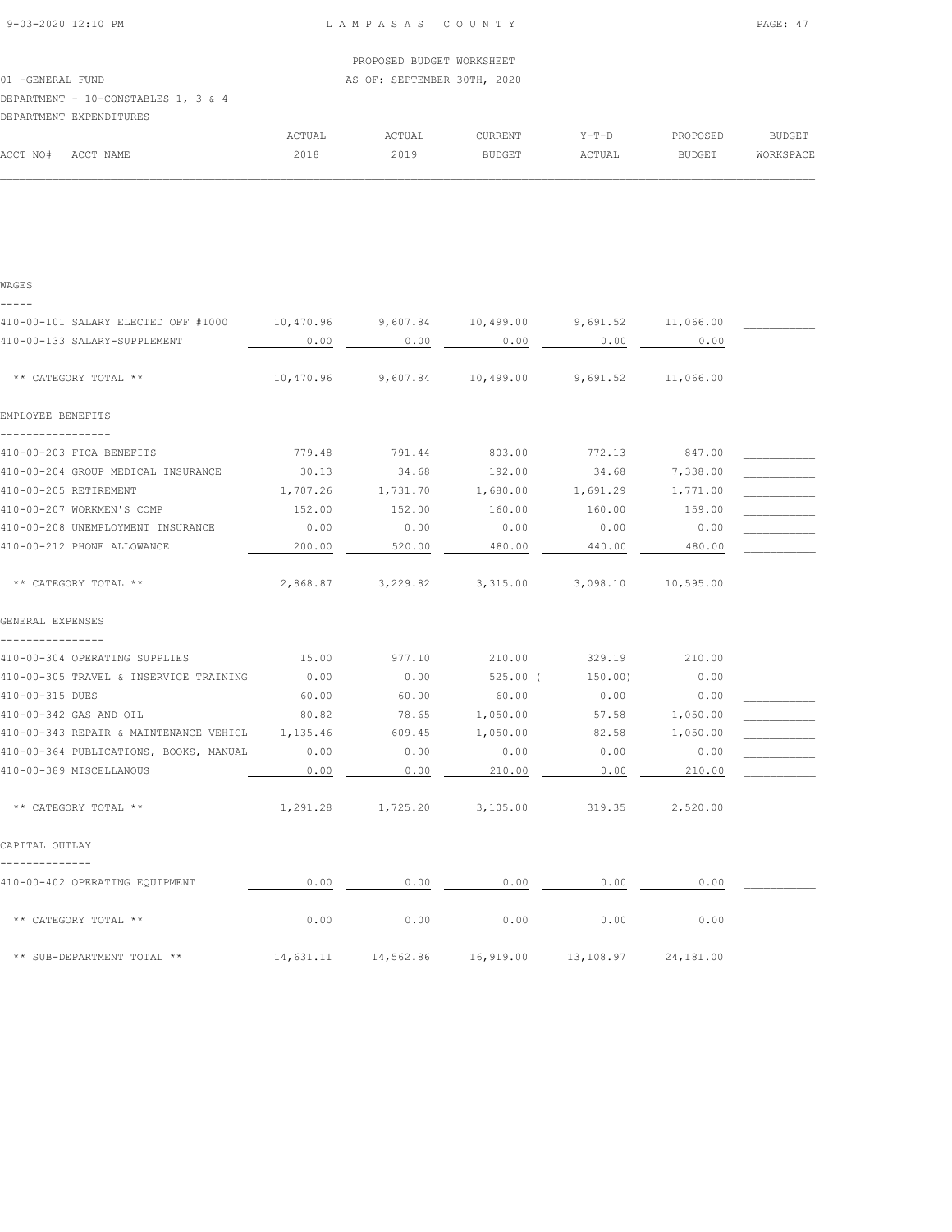WAGES

|                   |                                     |        | PROPOSED BUDGET WORKSHEET   |         |         |          |               |
|-------------------|-------------------------------------|--------|-----------------------------|---------|---------|----------|---------------|
| 01 - GENERAL FUND |                                     |        | AS OF: SEPTEMBER 30TH, 2020 |         |         |          |               |
|                   | DEPARTMENT - 10-CONSTABLES 1, 3 & 4 |        |                             |         |         |          |               |
|                   | DEPARTMENT EXPENDITURES             |        |                             |         |         |          |               |
|                   |                                     | ACTUAL | ACTUAL                      | CURRENT | $Y-T-D$ | PROPOSED | <b>BUDGET</b> |
| ACCT NO#          | ACCT NAME                           | 2018   | 2019                        | BUDGET  | ACTUAL  | BUDGET   | WORKSPACE     |

| 410-00-101 SALARY ELECTED OFF #1000               |           |           | $10,470.96$ $9,607.84$ $10,499.00$ $9,691.52$ $11,066.00$ |           |           |  |
|---------------------------------------------------|-----------|-----------|-----------------------------------------------------------|-----------|-----------|--|
| 410-00-133 SALARY-SUPPLEMENT                      | 0.00      | 0.00      | 0.00                                                      | 0.00      | 0.00      |  |
| ** CATEGORY TOTAL **                              | 10,470.96 |           | $9,607.84$ 10,499.00 9,691.52 11,066.00                   |           |           |  |
| EMPLOYEE BENEFITS                                 |           |           |                                                           |           |           |  |
| --------------                                    |           |           |                                                           |           |           |  |
| 410-00-203 FICA BENEFITS                          | 779.48    | 791.44    | 803.00                                                    | 772.13    | 847.00    |  |
| 410-00-204 GROUP MEDICAL INSURANCE                | 30.13     | 34.68     | 192.00                                                    | 34.68     | 7,338.00  |  |
| 410-00-205 RETIREMENT                             | 1,707.26  | 1,731.70  | 1,680.00                                                  | 1,691.29  | 1,771.00  |  |
| 410-00-207 WORKMEN'S COMP                         | 152.00    | 152.00    | 160.00                                                    | 160.00    | 159.00    |  |
| 410-00-208 UNEMPLOYMENT INSURANCE                 | 0.00      | 0.00      | 0.00                                                      | 0.00      | 0.00      |  |
| 410-00-212 PHONE ALLOWANCE                        | 200.00    | 520.00    | 480.00                                                    | 440.00    | 480.00    |  |
| ** CATEGORY TOTAL **                              |           |           | 2,868.87 3,229.82 3,315.00 3,098.10 10,595.00             |           |           |  |
| GENERAL EXPENSES                                  |           |           |                                                           |           |           |  |
| ----------------<br>410-00-304 OPERATING SUPPLIES | 15.00     | 977.10    | 210.00                                                    | 329.19    | 210.00    |  |
| 410-00-305 TRAVEL & INSERVICE TRAINING            | 0.00      | 0.00      | 525.00 (                                                  | 150.00)   | 0.00      |  |
| 410-00-315 DUES                                   | 60.00     | 60.00     | 60.00                                                     | 0.00      | 0.00      |  |
| 410-00-342 GAS AND OIL                            | 80.82     | 78.65     | 1,050.00                                                  | 57.58     | 1,050.00  |  |
| 410-00-343 REPAIR & MAINTENANCE VEHICL            | 1,135.46  | 609.45    | 1,050.00                                                  | 82.58     | 1,050.00  |  |
| 410-00-364 PUBLICATIONS, BOOKS, MANUAL            | 0.00      | 0.00      | 0.00                                                      | 0.00      | 0.00      |  |
| 410-00-389 MISCELLANOUS                           | 0.00      | 0.00      | 210.00                                                    | 0.00      | 210.00    |  |
| ** CATEGORY TOTAL **                              |           |           | 1,291.28 1,725.20 3,105.00 319.35 2,520.00                |           |           |  |
| CAPITAL OUTLAY                                    |           |           |                                                           |           |           |  |
| 410-00-402 OPERATING EQUIPMENT                    | 0.00      | 0.00      | 0.00                                                      | 0.00      | 0.00      |  |
| ** CATEGORY TOTAL **                              | 0.00      | 0.00      | 0.00                                                      | 0.00      | 0.00      |  |
| ** SUB-DEPARTMENT TOTAL **                        | 14,631.11 | 14,562.86 | 16,919.00                                                 | 13,108.97 | 24,181.00 |  |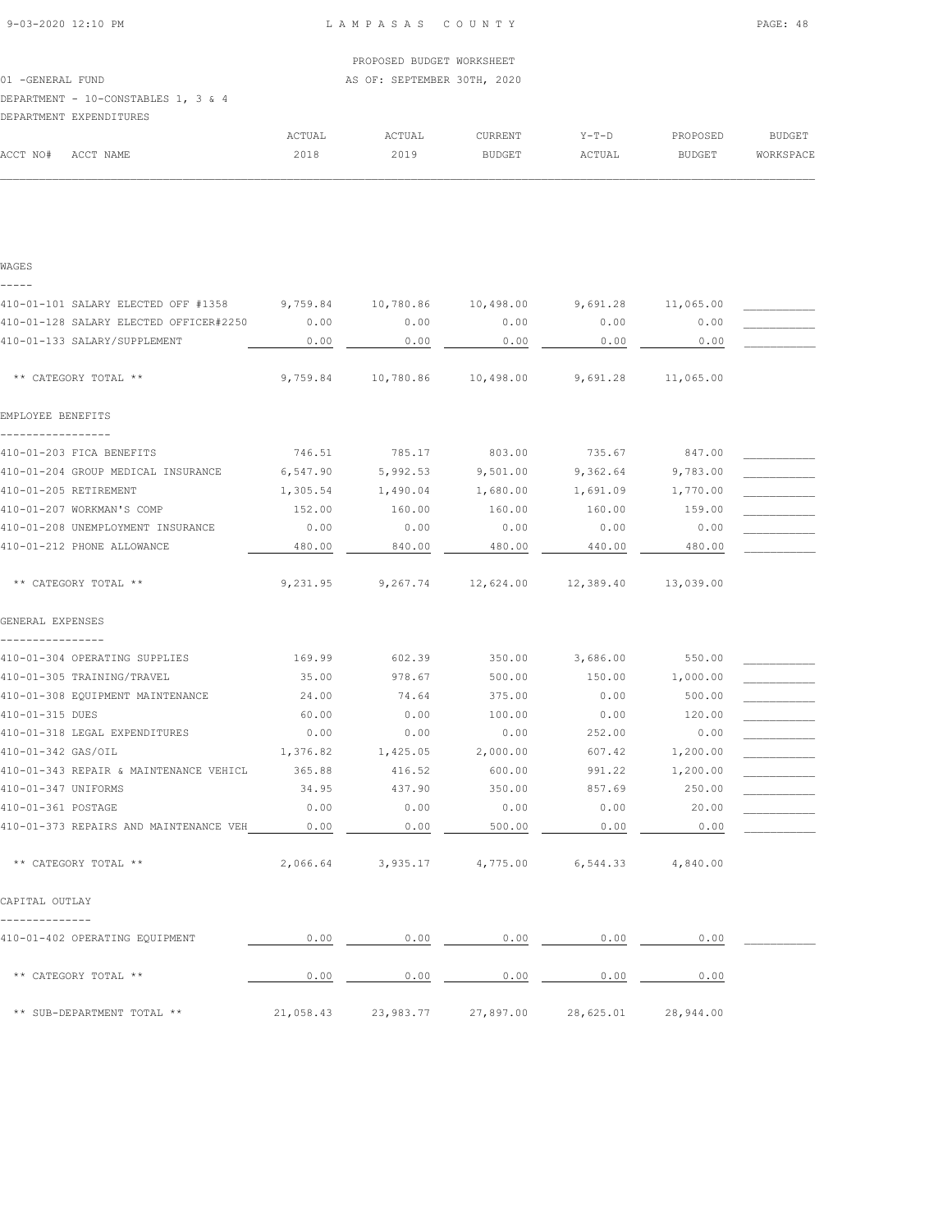|                      |                                     |        | PROPOSED BUDGET WORKSHEET   |               |         |               |           |
|----------------------|-------------------------------------|--------|-----------------------------|---------------|---------|---------------|-----------|
| -GENERAL FUND<br>01. |                                     |        | AS OF: SEPTEMBER 30TH, 2020 |               |         |               |           |
|                      | DEPARTMENT - 10-CONSTABLES 1, 3 & 4 |        |                             |               |         |               |           |
|                      | DEPARTMENT EXPENDITURES             |        |                             |               |         |               |           |
|                      |                                     | ACTUAL | ACTUAL                      | CURRENT       | $Y-T-D$ | PROPOSED      | BUDGET    |
| ACCT NO#             | ACCT NAME                           | 2018   | 2019                        | <b>BUDGET</b> | ACTUAL  | <b>BUDGET</b> | WORKSPACE |

| WAGES                                        |           |                                     |                     |           |           |  |
|----------------------------------------------|-----------|-------------------------------------|---------------------|-----------|-----------|--|
|                                              |           |                                     |                     |           |           |  |
| 410-01-101 SALARY ELECTED OFF #1358 9,759.84 |           | 10,780.86                           | 10,498.00           | 9,691.28  | 11,065.00 |  |
| 410-01-128 SALARY ELECTED OFFICER#2250       | 0.00      | 0.00                                | 0.00                | 0.00      | 0.00      |  |
| 410-01-133 SALARY/SUPPLEMENT                 | 0.00      | 0.00                                | 0.00                | 0.00      | 0.00      |  |
| ** CATEGORY TOTAL **                         | 9,759.84  | 10,780.86                           | 10,498.00           | 9,691.28  | 11,065.00 |  |
| EMPLOYEE BENEFITS                            |           |                                     |                     |           |           |  |
| 410-01-203 FICA BENEFITS                     | 746.51    | 785.17                              | 803.00              | 735.67    | 847.00    |  |
| 410-01-204 GROUP MEDICAL INSURANCE           | 6,547.90  | 5,992.53                            | 9,501.00            | 9,362.64  | 9,783.00  |  |
| 410-01-205 RETIREMENT                        | 1,305.54  | 1,490.04                            | 1,680.00            | 1,691.09  | 1,770.00  |  |
| 410-01-207 WORKMAN'S COMP                    | 152.00    | 160.00                              | 160.00              | 160.00    | 159.00    |  |
| 410-01-208 UNEMPLOYMENT INSURANCE            | 0.00      | 0.00                                | 0.00                | 0.00      | 0.00      |  |
| 410-01-212 PHONE ALLOWANCE                   | 480.00    | 840.00                              | 480.00              | 440.00    | 480.00    |  |
| ** CATEGORY TOTAL **                         | 9,231.95  | 9,267.74                            | 12,624.00 12,389.40 |           | 13,039.00 |  |
| GENERAL EXPENSES<br>----------------         |           |                                     |                     |           |           |  |
| 410-01-304 OPERATING SUPPLIES                | 169.99    | 602.39                              | 350.00              | 3,686.00  | 550.00    |  |
| 410-01-305 TRAINING/TRAVEL                   | 35.00     | 978.67                              | 500.00              | 150.00    | 1,000.00  |  |
| 410-01-308 EQUIPMENT MAINTENANCE             | 24.00     | 74.64                               | 375.00              | 0.00      | 500.00    |  |
| 410-01-315 DUES                              | 60.00     | 0.00                                | 100.00              | 0.00      | 120.00    |  |
| 410-01-318 LEGAL EXPENDITURES                | 0.00      | 0.00                                | 0.00                | 252.00    | 0.00      |  |
| 410-01-342 GAS/OIL                           | 1,376.82  | 1,425.05                            | 2,000.00            | 607.42    | 1,200.00  |  |
| 410-01-343 REPAIR & MAINTENANCE VEHICL       | 365.88    | 416.52                              | 600.00              | 991.22    | 1,200.00  |  |
| 410-01-347 UNIFORMS                          | 34.95     | 437.90                              | 350.00              | 857.69    | 250.00    |  |
| 410-01-361 POSTAGE                           | 0.00      | 0.00                                | 0.00                | 0.00      | 20.00     |  |
| 410-01-373 REPAIRS AND MAINTENANCE VEH       | 0.00      | 0.00                                | 500.00              | 0.00      | 0.00      |  |
| ** CATEGORY TOTAL **                         |           | 2,066.64 3,935.17 4,775.00 6,544.33 |                     |           | 4,840.00  |  |
| CAPITAL OUTLAY                               |           |                                     |                     |           |           |  |
|                                              |           |                                     |                     |           |           |  |
| 410-01-402 OPERATING EQUIPMENT               | 0.00      | 0.00                                | 0.00                | 0.00      | 0.00      |  |
| ** CATEGORY TOTAL **                         | 0.00      | 0.00                                | 0.00                | 0.00      | 0.00      |  |
| ** SUB-DEPARTMENT TOTAL **                   | 21,058.43 | 23,983.77                           | 27,897.00           | 28,625.01 | 28,944.00 |  |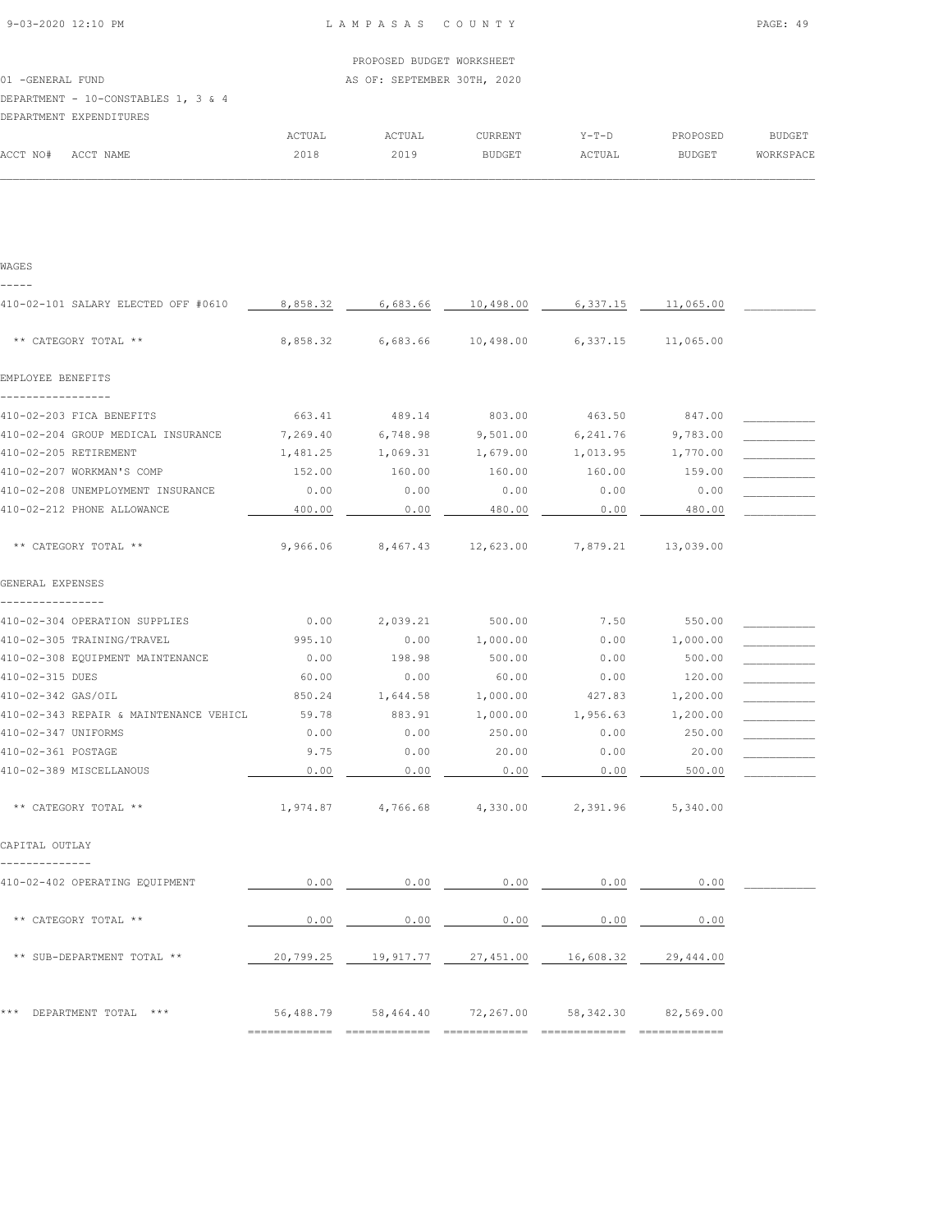|                   |                                     |        | PROPOSED BUDGET WORKSHEET   |         |         |          |               |
|-------------------|-------------------------------------|--------|-----------------------------|---------|---------|----------|---------------|
| 01 - GENERAL FUND |                                     |        | AS OF: SEPTEMBER 30TH, 2020 |         |         |          |               |
|                   | DEPARTMENT - 10-CONSTABLES 1, 3 & 4 |        |                             |         |         |          |               |
|                   | DEPARTMENT EXPENDITURES             |        |                             |         |         |          |               |
|                   |                                     | ACTUAL | ACTUAL                      | CURRENT | $Y-T-D$ | PROPOSED | <b>BUDGET</b> |
| ACCT NO#          | ACCT NAME                           | 2018   | 2019                        | BUDGET  | ACTUAL  | BUDGET   | WORKSPACE     |

| WAGES                                         |           |           |           |           |                 |  |
|-----------------------------------------------|-----------|-----------|-----------|-----------|-----------------|--|
| 410-02-101 SALARY ELECTED OFF #0610           | 8,858.32  | 6,683.66  | 10,498.00 | 6,337.15  | 11,065.00       |  |
| ** CATEGORY TOTAL **                          | 8,858.32  | 6,683.66  | 10,498.00 | 6,337.15  | 11,065.00       |  |
| EMPLOYEE BENEFITS                             |           |           |           |           |                 |  |
| -------------<br>410-02-203 FICA BENEFITS     | 663.41    | 489.14    | 803.00    | 463.50    | 847.00          |  |
| 410-02-204 GROUP MEDICAL INSURANCE            | 7,269.40  | 6,748.98  | 9,501.00  | 6,241.76  | 9,783.00        |  |
| 410-02-205 RETIREMENT                         | 1,481.25  | 1,069.31  | 1,679.00  | 1,013.95  | 1,770.00        |  |
| 410-02-207 WORKMAN'S COMP                     | 152.00    | 160.00    | 160.00    | 160.00    | 159.00          |  |
| 410-02-208 UNEMPLOYMENT INSURANCE             | 0.00      | 0.00      | 0.00      | 0.00      | 0.00            |  |
| 410-02-212 PHONE ALLOWANCE                    | 400.00    | 0.00      | 480.00    | 0.00      | 480.00          |  |
| ** CATEGORY TOTAL **                          | 9,966.06  | 8,467.43  | 12,623.00 | 7,879.21  | 13,039.00       |  |
| GENERAL EXPENSES                              |           |           |           |           |                 |  |
| . <u>.</u> .<br>410-02-304 OPERATION SUPPLIES | 0.00      | 2,039.21  | 500.00    | 7.50      | 550.00          |  |
| 410-02-305 TRAINING/TRAVEL                    | 995.10    | 0.00      | 1,000.00  | 0.00      | 1,000.00        |  |
| 410-02-308 EQUIPMENT MAINTENANCE              | 0.00      | 198.98    | 500.00    | 0.00      | 500.00          |  |
| 410-02-315 DUES                               | 60.00     | 0.00      | 60.00     | 0.00      | 120.00          |  |
| 410-02-342 GAS/OIL                            | 850.24    | 1,644.58  | 1,000.00  | 427.83    | 1,200.00        |  |
| 410-02-343 REPAIR & MAINTENANCE VEHICL        | 59.78     | 883.91    | 1,000.00  | 1,956.63  | 1,200.00        |  |
| 410-02-347 UNIFORMS                           | 0.00      | 0.00      | 250.00    | 0.00      | 250.00          |  |
| 410-02-361 POSTAGE                            | 9.75      | 0.00      | 20.00     | 0.00      | 20.00           |  |
| 410-02-389 MISCELLANOUS                       | 0.00      | 0.00      | 0.00      | 0.00      | 500.00          |  |
| ** CATEGORY TOTAL **                          | 1,974.87  | 4,766.68  | 4,330.00  | 2,391.96  | 5,340.00        |  |
| CAPITAL OUTLAY                                |           |           |           |           |                 |  |
| 410-02-402 OPERATING EQUIPMENT                | 0.00      | 0.00      | 0.00      | 0.00      | 0.00            |  |
| ** CATEGORY TOTAL **                          | 0.00      | 0.00      | 0.00      | 0.00      | 0.00            |  |
| ** SUB-DEPARTMENT TOTAL **                    | 20,799.25 | 19,917.77 | 27,451.00 | 16,608.32 | 29,444.00       |  |
| *** DEPARTMENT TOTAL ***                      | 56,488.79 | 58,464.40 | 72,267.00 | 58,342.30 | 82,569.00       |  |
|                                               |           |           |           |           | _______________ |  |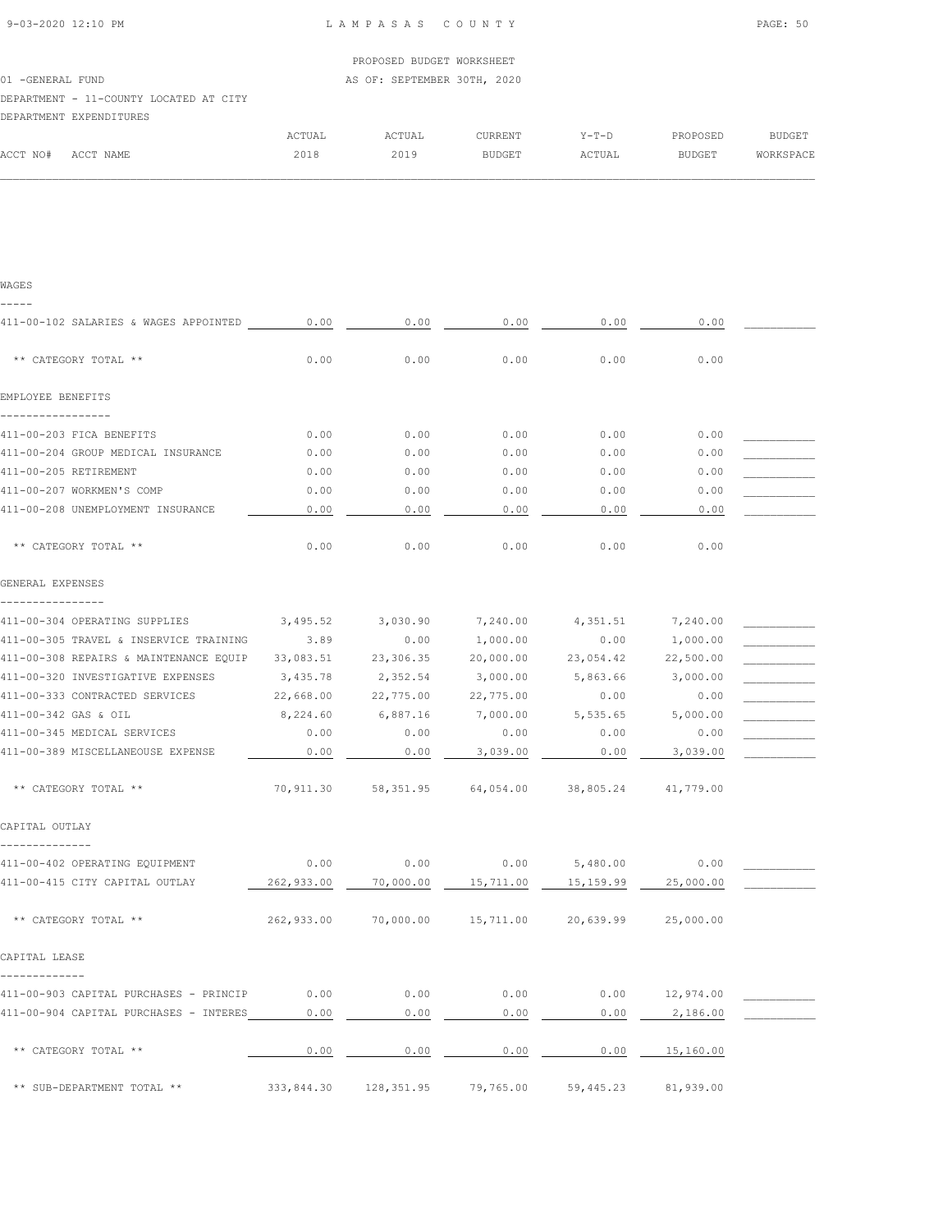|               |                                        |        | PROPOSED BUDGET WORKSHEET   |         |         |               |           |
|---------------|----------------------------------------|--------|-----------------------------|---------|---------|---------------|-----------|
| -GENERAL FUND |                                        |        | AS OF: SEPTEMBER 30TH, 2020 |         |         |               |           |
|               | DEPARTMENT - 11-COUNTY LOCATED AT CITY |        |                             |         |         |               |           |
|               | DEPARTMENT EXPENDITURES                |        |                             |         |         |               |           |
|               |                                        | ACTUAL | ACTUAL                      | CURRENT | $Y-T-D$ | PROPOSED      | BUDGET    |
| ACCT NO#      | ACCT NAME                              | 2018   | 2019                        | BUDGET  | ACTUAL  | <b>BUDGET</b> | WORKSPACE |

| WAGES<br>-----                             |            |            |           |           |           |  |
|--------------------------------------------|------------|------------|-----------|-----------|-----------|--|
| 411-00-102 SALARIES & WAGES APPOINTED 0.00 |            | 0.00       | 0.00      | 0.00      | 0.00      |  |
| ** CATEGORY TOTAL **                       | 0.00       | 0.00       | 0.00      | 0.00      | 0.00      |  |
| EMPLOYEE BENEFITS                          |            |            |           |           |           |  |
| 411-00-203 FICA BENEFITS                   | 0.00       | 0.00       | 0.00      | 0.00      | 0.00      |  |
| 411-00-204 GROUP MEDICAL INSURANCE         | 0.00       | 0.00       | 0.00      | 0.00      | 0.00      |  |
| 411-00-205 RETIREMENT                      | 0.00       | 0.00       | 0.00      | 0.00      | 0.00      |  |
| 411-00-207 WORKMEN'S COMP                  | 0.00       | 0.00       | 0.00      | 0.00      | 0.00      |  |
| 411-00-208 UNEMPLOYMENT INSURANCE          | 0.00       | 0.00       | 0.00      | 0.00      | 0.00      |  |
| ** CATEGORY TOTAL **                       | 0.00       | 0.00       | 0.00      | 0.00      | 0.00      |  |
| GENERAL EXPENSES                           |            |            |           |           |           |  |
|                                            |            |            |           |           |           |  |
| 411-00-304 OPERATING SUPPLIES              | 3,495.52   | 3,030.90   | 7,240.00  | 4,351.51  | 7,240.00  |  |
| 411-00-305 TRAVEL & INSERVICE TRAINING     | 3.89       | 0.00       | 1,000.00  | 0.00      | 1,000.00  |  |
| 411-00-308 REPAIRS & MAINTENANCE EQUIP     | 33,083.51  | 23,306.35  | 20,000.00 | 23,054.42 | 22,500.00 |  |
| 411-00-320 INVESTIGATIVE EXPENSES          | 3,435.78   | 2,352.54   | 3,000.00  | 5,863.66  | 3,000.00  |  |
| 411-00-333 CONTRACTED SERVICES             | 22,668.00  | 22,775.00  | 22,775.00 | 0.00      | 0.00      |  |
| 411-00-342 GAS & OIL                       | 8,224.60   | 6,887.16   | 7,000.00  | 5,535.65  | 5,000.00  |  |
| 411-00-345 MEDICAL SERVICES                | 0.00       | 0.00       | 0.00      | 0.00      | 0.00      |  |
| 411-00-389 MISCELLANEOUSE EXPENSE          | 0.00       | 0.00       | 3,039.00  | 0.00      | 3,039.00  |  |
| ** CATEGORY TOTAL **                       | 70,911.30  | 58,351.95  | 64,054.00 | 38,805.24 | 41,779.00 |  |
| CAPITAL OUTLAY<br>--------------           |            |            |           |           |           |  |
| 411-00-402 OPERATING EQUIPMENT             | 0.00       | 0.00       | 0.00      | 5,480.00  | 0.00      |  |
| 411-00-415 CITY CAPITAL OUTLAY             | 262,933.00 | 70,000.00  | 15,711.00 | 15,159.99 | 25,000.00 |  |
| ** CATEGORY TOTAL **                       | 262,933.00 | 70,000.00  | 15,711.00 | 20,639.99 | 25,000.00 |  |
| CAPITAL LEASE                              |            |            |           |           |           |  |
| -------------                              |            |            |           |           |           |  |
| 411-00-903 CAPITAL PURCHASES - PRINCIP     | 0.00       | 0.00       | 0.00      | 0.00      | 12,974.00 |  |
| 411-00-904 CAPITAL PURCHASES - INTERES     | 0.00       | 0.00       | 0.00      | 0.00      | 2,186.00  |  |
| ** CATEGORY TOTAL **                       | 0.00       | 0.00       | 0.00      | 0.00      | 15,160.00 |  |
| ** SUB-DEPARTMENT TOTAL **                 | 333,844.30 | 128,351.95 | 79,765.00 | 59,445.23 | 81,939.00 |  |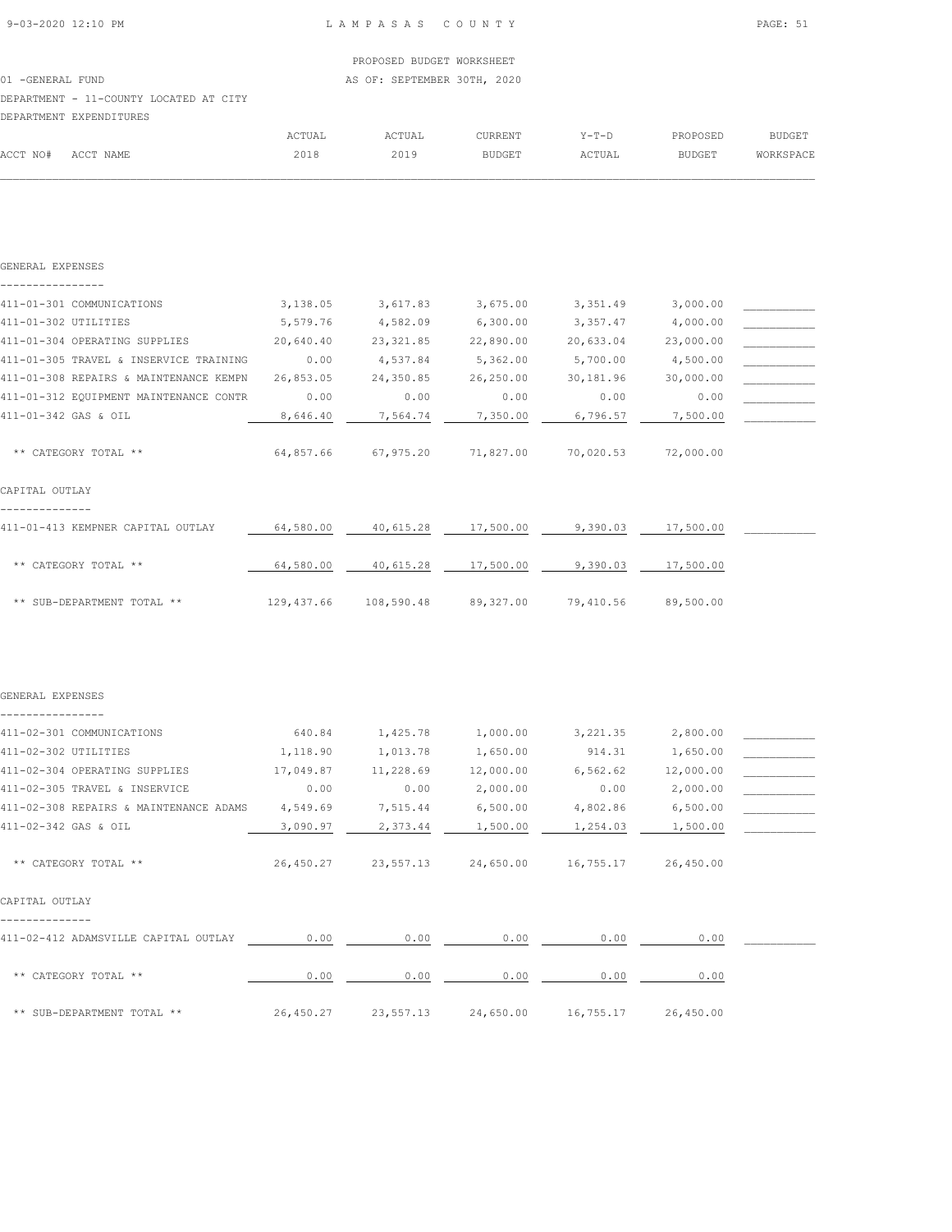# PROPOSED BUDGET WORKSHEET 01 -GENERAL FUND **AS OF: SEPTEMBER 30TH, 2020** DEPARTMENT - 11-COUNTY LOCATED AT CITY DEPARTMENT EXPENDITURES

|          |           | <b>ACTUAL</b> | ACTUAL | CURRENT       | $Y-T-D$ | PROPOSED      | <b>BUDGET</b> |
|----------|-----------|---------------|--------|---------------|---------|---------------|---------------|
| ACCT NO# | ACCT NAME | 2018          | 2019   | <b>BUDGET</b> | ACTUAL  | <b>BUDGET</b> | WORKSPACE     |
|          |           |               |        |               |         |               |               |

| GENERAL EXPENSES                                       |           |                       |                              |           |           |  |
|--------------------------------------------------------|-----------|-----------------------|------------------------------|-----------|-----------|--|
| 411-01-301 COMMUNICATIONS                              | 3,138.05  | 3,617.83              | 3,675.00                     | 3,351.49  | 3,000.00  |  |
| 411-01-302 UTILITIES                                   | 5,579.76  | 4,582.09              | 6,300.00                     | 3,357.47  | 4,000.00  |  |
| 411-01-304 OPERATING SUPPLIES                          | 20,640.40 | 23,321.85             | 22,890.00                    | 20,633.04 | 23,000.00 |  |
| 411-01-305 TRAVEL & INSERVICE TRAINING                 | 0.00      | 4,537.84              | 5,362.00                     | 5,700.00  | 4,500.00  |  |
| 411-01-308 REPAIRS & MAINTENANCE KEMPN                 | 26,853.05 | 24,350.85             | 26,250.00                    | 30,181.96 | 30,000.00 |  |
| 411-01-312 EQUIPMENT MAINTENANCE CONTR                 | 0.00      | 0.00                  | 0.00                         | 0.00      | 0.00      |  |
| 411-01-342 GAS & OIL                                   | 8,646.40  | 7,564.74              | 7,350.00                     | 6,796.57  | 7,500.00  |  |
| ** CATEGORY TOTAL **                                   | 64,857.66 | 67,975.20             | 71,827.00                    | 70,020.53 | 72,000.00 |  |
| CAPITAL OUTLAY<br>----------                           |           |                       |                              |           |           |  |
| 411-01-413 KEMPNER CAPITAL OUTLAY                      | 64,580.00 |                       | 40,615.28 17,500.00 9,390.03 |           | 17,500.00 |  |
| ** CATEGORY TOTAL **                                   | 64,580.00 | 40,615.28             | 17,500.00                    | 9,390.03  | 17,500.00 |  |
| ** SUB-DEPARTMENT TOTAL **                             |           | 129,437.66 108,590.48 | 89,327.00 79,410.56          |           | 89,500.00 |  |
|                                                        |           |                       |                              |           |           |  |
| GENERAL EXPENSES                                       |           |                       |                              |           |           |  |
| ----------------                                       |           |                       |                              |           |           |  |
| 411-02-301 COMMUNICATIONS                              | 640.84    | 1,425.78              | 1,000.00                     | 3,221.35  | 2,800.00  |  |
| 411-02-302 UTILITIES                                   | 1,118.90  | 1,013.78              | 1,650.00                     | 914.31    | 1,650.00  |  |
| 411-02-304 OPERATING SUPPLIES                          | 17,049.87 | 11,228.69             | 12,000.00                    | 6,562.62  | 12,000.00 |  |
| 411-02-305 TRAVEL & INSERVICE                          | 0.00      | 0.00                  | 2,000.00                     | 0.00      | 2,000.00  |  |
| 411-02-308 REPAIRS & MAINTENANCE ADAMS                 | 4,549.69  | 7,515.44              | 6,500.00                     | 4,802.86  | 6,500.00  |  |
| 411-02-342 GAS & OIL                                   | 3,090.97  | 2,373.44              | 1,500.00                     | 1,254.03  | 1,500.00  |  |
| ** CATEGORY TOTAL **                                   | 26,450.27 | 23,557.13             | 24,650.00                    | 16,755.17 | 26,450.00 |  |
| CAPITAL OUTLAY                                         |           |                       |                              |           |           |  |
| --------------<br>411-02-412 ADAMSVILLE CAPITAL OUTLAY | 0.00      | 0.00                  | 0.00                         | 0.00      | 0.00      |  |
| ** CATEGORY TOTAL **                                   | 0.00      | 0.00                  | 0.00                         | 0.00      | 0.00      |  |
| ** SUB-DEPARTMENT TOTAL **                             | 26,450.27 | 23,557.13             | 24,650.00                    | 16,755.17 | 26,450.00 |  |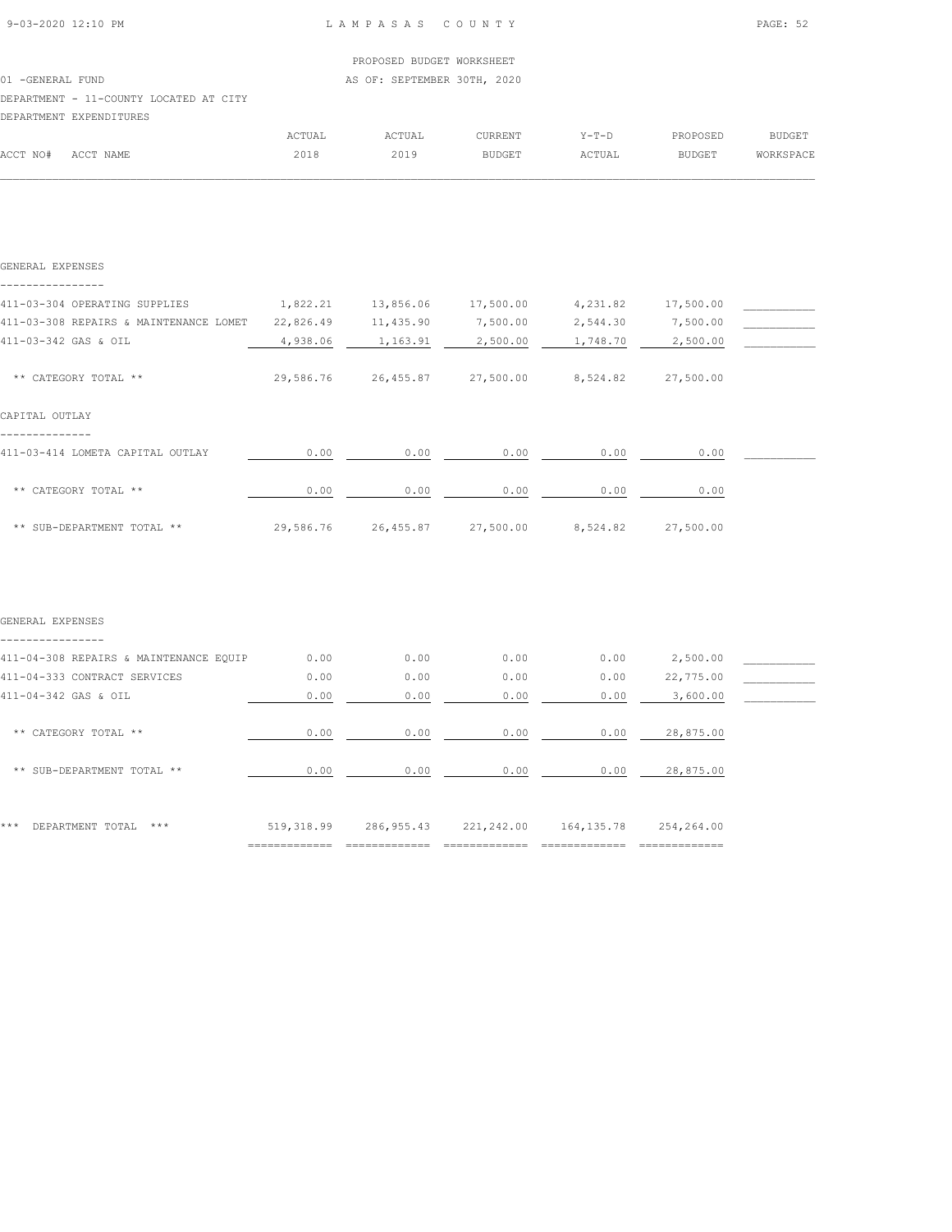# PROPOSED BUDGET WORKSHEET 01 -GENERAL FUND **AS OF: SEPTEMBER 30TH, 2020** DEPARTMENT - 11-COUNTY LOCATED AT CITY DEPARTMENT EXPENDITURES ACTUAL ACTUAL CURRENT Y-T-D PROPOSED BUDGET

| GENERAL EXPENSES                       |           |           |           |          |           |  |
|----------------------------------------|-----------|-----------|-----------|----------|-----------|--|
| 411-03-304 OPERATING SUPPLIES          | 1,822.21  | 13,856.06 | 17,500.00 | 4,231.82 | 17,500.00 |  |
| 411-03-308 REPAIRS & MAINTENANCE LOMET | 22,826.49 | 11,435.90 | 7,500.00  | 2,544.30 | 7,500.00  |  |
| 411-03-342 GAS & OIL                   | 4,938.06  | 1,163.91  | 2,500.00  | 1,748.70 | 2,500.00  |  |
| ** CATEGORY TOTAL **                   | 29,586.76 | 26,455.87 | 27,500.00 | 8,524.82 | 27,500.00 |  |
| CAPITAL OUTLAY                         |           |           |           |          |           |  |
| 411-03-414 LOMETA CAPITAL OUTLAY       | 0.00      | 0.00      | 0.00      | 0.00     | 0.00      |  |
| ** CATEGORY TOTAL **                   | 0.00      | 0.00      | 0.00      | 0.00     | 0.00      |  |
| ** SUB-DEPARTMENT TOTAL **             | 29,586.76 | 26,455.87 | 27,500.00 | 8,524.82 | 27,500.00 |  |

| ***<br>DEPARTMENT TOTAL<br>$* * *$     | 519, 318.99 | 286,955.43 | 221,242.00 | 164, 135.78 | 254,264.00 |  |
|----------------------------------------|-------------|------------|------------|-------------|------------|--|
| ** SUB-DEPARTMENT TOTAL **             | 0.00        | 0.00       | 0.00       | 0.00        | 28,875.00  |  |
| ** CATEGORY TOTAL **                   | 0.00        | 0.00       | 0.00       | 0.00        | 28,875.00  |  |
| 411-04-342 GAS & OIL                   | 0.00        | 0.00       | 0.00       | 0.00        | 3,600.00   |  |
| 411-04-333 CONTRACT SERVICES           | 0.00        | 0.00       | 0.00       | 0.00        | 22,775.00  |  |
| 411-04-308 REPAIRS & MAINTENANCE EQUIP | 0.00        | 0.00       | 0.00       | 0.00        | 2,500.00   |  |
|                                        |             |            |            |             |            |  |
| GENERAL EXPENSES                       |             |            |            |             |            |  |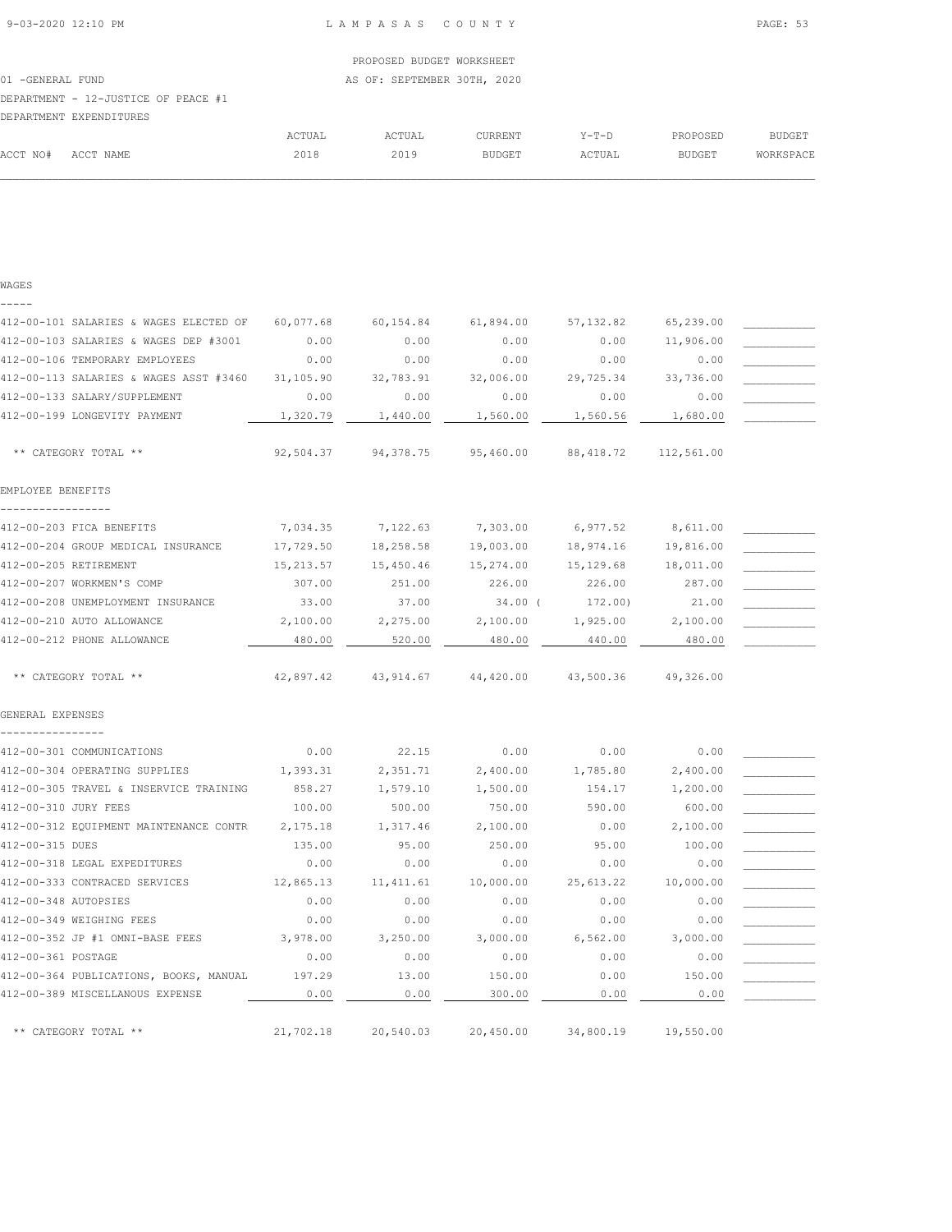WAGES

|          | DEPARTMENT EXPENDITURES |        |        |               |         |               |               |
|----------|-------------------------|--------|--------|---------------|---------|---------------|---------------|
|          |                         | ACTUAL | ACTUAL | CURRENT       | $Y-T-D$ | PROPOSED      | <b>BUDGET</b> |
| ACCT NO# | ACCT NAME               | 2018   | 2019   | <b>BUDGET</b> | ACTUAL  | <b>BUDGET</b> | WORKSPACE     |
|          |                         |        |        |               |         |               |               |

| $- - - -$                              |            |           |           |            |            |  |
|----------------------------------------|------------|-----------|-----------|------------|------------|--|
| 412-00-101 SALARIES & WAGES ELECTED OF | 60,077.68  | 60,154.84 | 61,894.00 | 57, 132.82 | 65,239.00  |  |
| 412-00-103 SALARIES & WAGES DEP #3001  | 0.00       | 0.00      | 0.00      | 0.00       | 11,906.00  |  |
| 412-00-106 TEMPORARY EMPLOYEES         | 0.00       | 0.00      | 0.00      | 0.00       | 0.00       |  |
| 412-00-113 SALARIES & WAGES ASST #3460 | 31,105.90  | 32,783.91 | 32,006.00 | 29,725.34  | 33,736.00  |  |
| 412-00-133 SALARY/SUPPLEMENT           | 0.00       | 0.00      | 0.00      | 0.00       | 0.00       |  |
| 412-00-199 LONGEVITY PAYMENT           | 1,320.79   | 1,440.00  | 1,560.00  | 1,560.56   | 1,680.00   |  |
| ** CATEGORY TOTAL **                   | 92,504.37  | 94,378.75 | 95,460.00 | 88, 418.72 | 112,561.00 |  |
| EMPLOYEE BENEFITS                      |            |           |           |            |            |  |
| .<br>412-00-203 FICA BENEFITS          | 7,034.35   | 7,122.63  | 7,303.00  | 6,977.52   | 8,611.00   |  |
| 412-00-204 GROUP MEDICAL INSURANCE     | 17,729.50  | 18,258.58 | 19,003.00 | 18,974.16  | 19,816.00  |  |
| 412-00-205 RETIREMENT                  | 15, 213.57 | 15,450.46 | 15,274.00 | 15,129.68  | 18,011.00  |  |
| 412-00-207 WORKMEN'S COMP              | 307.00     | 251.00    | 226.00    | 226.00     | 287.00     |  |
| 412-00-208 UNEMPLOYMENT INSURANCE      | 33.00      | 37.00     | $34.00$ ( | 172.00)    | 21,00      |  |
| 412-00-210 AUTO ALLOWANCE              | 2,100.00   | 2,275.00  | 2,100.00  | 1,925.00   | 2,100.00   |  |
| 412-00-212 PHONE ALLOWANCE             | 480.00     | 520.00    | 480.00    | 440.00     | 480.00     |  |
| ** CATEGORY TOTAL **                   | 42,897.42  | 43,914.67 | 44,420.00 | 43,500.36  | 49,326.00  |  |
| GENERAL EXPENSES                       |            |           |           |            |            |  |
|                                        |            |           |           |            |            |  |
| 412-00-301 COMMUNICATIONS              | 0.00       | 22.15     | 0.00      | 0.00       | 0.00       |  |
| 412-00-304 OPERATING SUPPLIES          | 1,393.31   | 2,351.71  | 2,400.00  | 1,785.80   | 2,400.00   |  |
| 412-00-305 TRAVEL & INSERVICE TRAINING | 858.27     | 1,579.10  | 1,500.00  | 154.17     | 1,200.00   |  |
| 412-00-310 JURY FEES                   | 100.00     | 500.00    | 750.00    | 590.00     | 600.00     |  |
| 412-00-312 EQUIPMENT MAINTENANCE CONTR | 2,175.18   | 1,317.46  | 2,100.00  | 0.00       | 2,100.00   |  |
| 412-00-315 DUES                        | 135.00     | 95.00     | 250.00    | 95.00      | 100.00     |  |
| 412-00-318 LEGAL EXPEDITURES           | 0.00       | 0.00      | 0.00      | 0.00       | 0.00       |  |
| 412-00-333 CONTRACED SERVICES          | 12,865.13  | 11,411.61 | 10,000.00 | 25,613.22  | 10,000.00  |  |
| 412-00-348 AUTOPSIES                   | 0.00       | 0.00      | 0.00      | 0.00       | 0.00       |  |
| 412-00-349 WEIGHING FEES               | 0.00       | 0.00      | 0.00      | 0.00       | 0.00       |  |
| 412-00-352 JP #1 OMNI-BASE FEES        | 3,978.00   | 3,250.00  | 3,000.00  | 6,562.00   | 3,000.00   |  |
| 412-00-361 POSTAGE                     | 0.00       | 0.00      | 0.00      | 0.00       | 0.00       |  |
| 412-00-364 PUBLICATIONS, BOOKS, MANUAL | 197.29     | 13.00     | 150.00    | 0.00       | 150.00     |  |
| 412-00-389 MISCELLANOUS EXPENSE        | 0.00       | 0.00      | 300.00    | 0.00       | 0.00       |  |
| ** CATEGORY TOTAL **                   | 21,702.18  | 20,540.03 | 20,450.00 | 34,800.19  | 19,550.00  |  |
|                                        |            |           |           |            |            |  |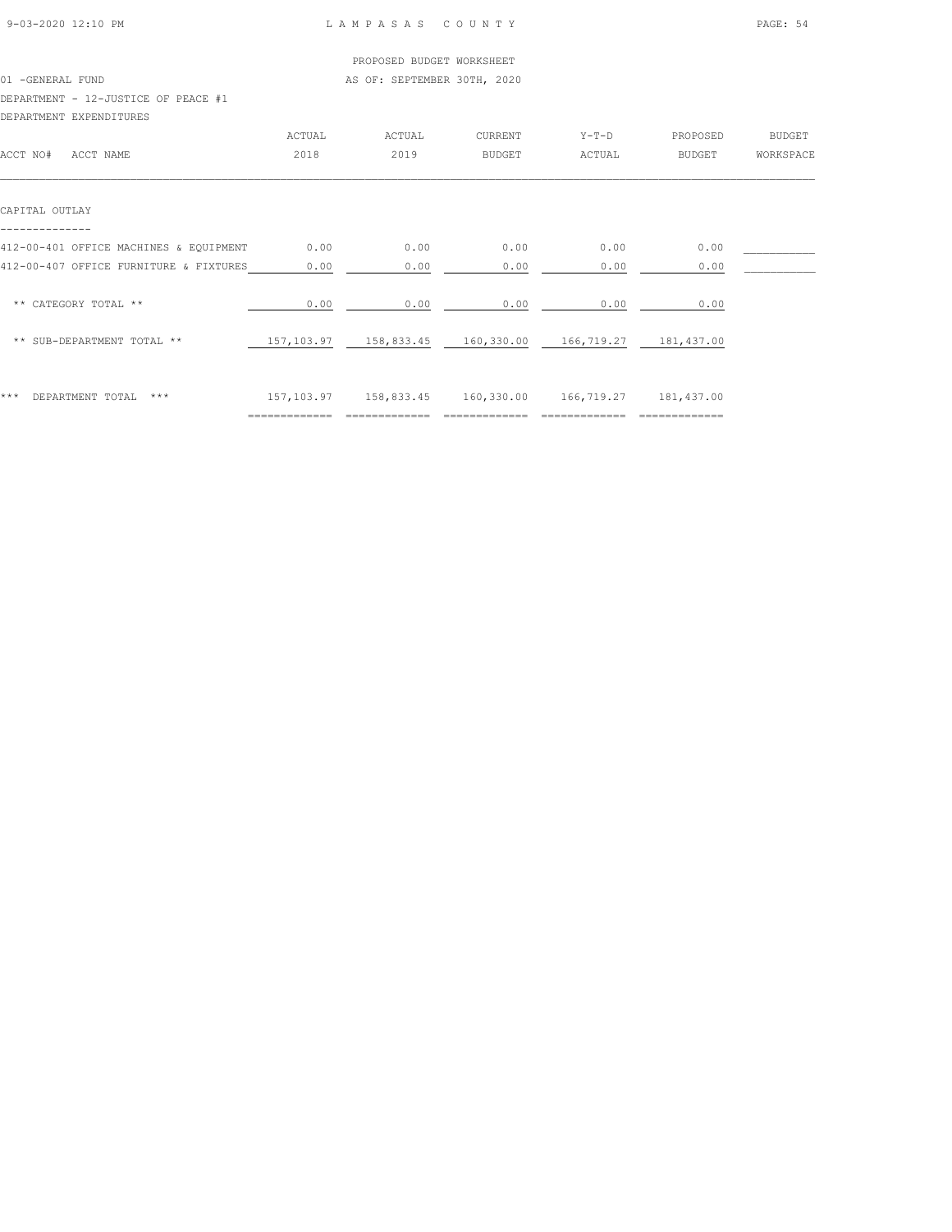|                                        |        | PROPOSED BUDGET WORKSHEET   |               |                       |               |               |
|----------------------------------------|--------|-----------------------------|---------------|-----------------------|---------------|---------------|
| 01 -GENERAL FUND                       |        | AS OF: SEPTEMBER 30TH, 2020 |               |                       |               |               |
| DEPARTMENT - 12-JUSTICE OF PEACE #1    |        |                             |               |                       |               |               |
| DEPARTMENT EXPENDITURES                |        |                             |               |                       |               |               |
|                                        | ACTUAL | ACTUAL                      | CURRENT       | $Y-T-D$               | PROPOSED      | <b>BUDGET</b> |
| ACCT NO#<br>ACCT NAME                  | 2018   | 2019                        | <b>BUDGET</b> | ACTUAL                | <b>BUDGET</b> | WORKSPACE     |
| CAPITAL OUTLAY                         |        |                             |               |                       |               |               |
| 412-00-401 OFFICE MACHINES & EQUIPMENT | 0.00   | 0.00                        | 0.00          | 0.00                  | 0.00          |               |
| 412-00-407 OFFICE FURNITURE & FIXTURES | 0.00   | 0.00                        | 0.00          | 0.00                  | 0.00          |               |
| ** CATEGORY TOTAL **                   | 0.00   | 0.00                        | 0.00          | 0.00                  | 0.00          |               |
| ** SUB-DEPARTMENT TOTAL **             |        |                             |               | 166,719.27 181,437.00 |               |               |
|                                        |        |                             |               |                       |               |               |
|                                        |        |                             |               |                       |               |               |

\*\*\* DEPARTMENT TOTAL \*\*\* 157,103.97 158,833.45 160,330.00 166,719.27 181,437.00 ============= ============= ============= ============= =============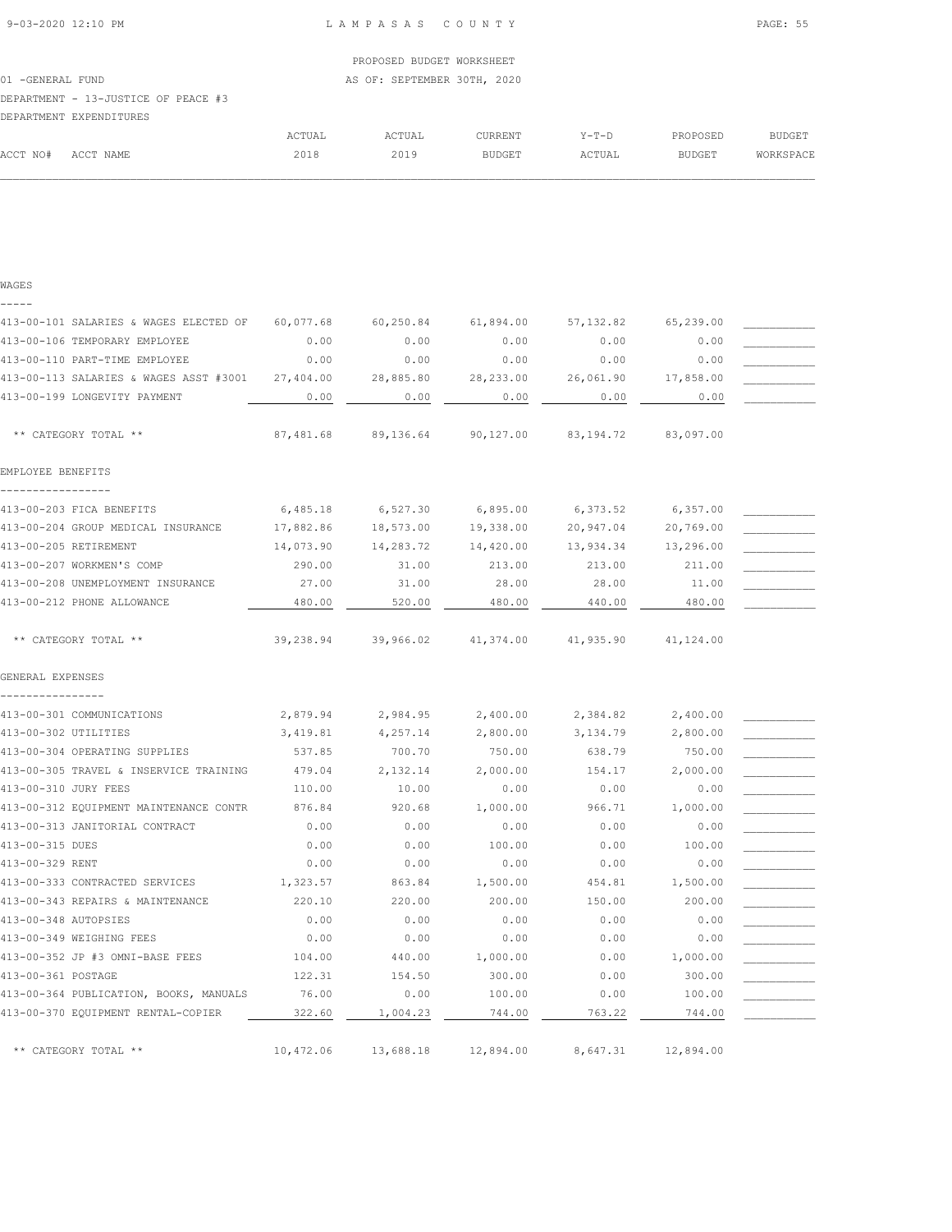01 -GENERAL FUND **AS OF: SEPTEMBER 30TH, 2020** 

# DEPARTMENT - 13-JUSTICE OF PEACE #3

|          | DEPARTMENT EXPENDITURES |        |               |               |         |               |               |
|----------|-------------------------|--------|---------------|---------------|---------|---------------|---------------|
|          |                         | ACTUAL | <b>ACTUAL</b> | CURRENT       | $Y-T-D$ | PROPOSED      | <b>BUDGET</b> |
| ACCT NO# | ACCT NAME               | 2018   | 2019          | <b>BUDGET</b> | ACTUAL  | <b>BUDGET</b> | WORKSPACE     |
|          |                         |        |               |               |         |               |               |

### WAGES -----

| 413-00-101 SALARIES & WAGES ELECTED OF | 60,077.68 | 60,250.84 | 61,894.00  | 57, 132.82 | 65,239.00 |  |
|----------------------------------------|-----------|-----------|------------|------------|-----------|--|
| 413-00-106 TEMPORARY EMPLOYEE          | 0.00      | 0.00      | 0.00       | 0.00       | 0.00      |  |
| 413-00-110 PART-TIME EMPLOYEE          | 0.00      | 0.00      | 0.00       | 0.00       | 0.00      |  |
| 413-00-113 SALARIES & WAGES ASST #3001 | 27,404.00 | 28,885.80 | 28, 233.00 | 26,061.90  | 17,858.00 |  |
| 413-00-199 LONGEVITY PAYMENT           | 0.00      | 0.00      | 0.00       | 0.00       | 0.00      |  |
|                                        |           |           |            |            |           |  |
| ** CATEGORY TOTAL **                   | 87,481.68 | 89,136.64 | 90,127.00  | 83, 194.72 | 83,097.00 |  |
| EMPLOYEE BENEFITS                      |           |           |            |            |           |  |
| 413-00-203 FICA BENEFITS               | 6,485.18  | 6,527.30  | 6,895.00   | 6,373.52   | 6,357.00  |  |
| 413-00-204 GROUP MEDICAL INSURANCE     | 17,882.86 | 18,573.00 | 19,338.00  | 20,947.04  | 20,769.00 |  |
| 413-00-205 RETIREMENT                  | 14,073.90 | 14,283.72 | 14,420.00  | 13,934.34  | 13,296.00 |  |
| 413-00-207 WORKMEN'S COMP              | 290.00    | 31.00     | 213.00     | 213.00     | 211.00    |  |
| 413-00-208 UNEMPLOYMENT INSURANCE      | 27.00     | 31.00     | 28.00      | 28.00      | 11.00     |  |
| 413-00-212 PHONE ALLOWANCE             | 480.00    | 520.00    | 480.00     | 440.00     | 480.00    |  |
| ** CATEGORY TOTAL **                   | 39,238.94 | 39,966.02 | 41,374.00  | 41,935.90  | 41,124.00 |  |
| GENERAL EXPENSES                       |           |           |            |            |           |  |
| 413-00-301 COMMUNICATIONS              | 2,879.94  | 2,984.95  | 2,400.00   | 2,384.82   | 2,400.00  |  |
| 413-00-302 UTILITIES                   | 3,419.81  | 4,257.14  | 2,800.00   | 3,134.79   | 2,800.00  |  |
| 413-00-304 OPERATING SUPPLIES          | 537.85    | 700.70    | 750.00     | 638.79     | 750.00    |  |
| 413-00-305 TRAVEL & INSERVICE TRAINING | 479.04    | 2,132.14  | 2,000.00   | 154.17     | 2,000.00  |  |
| 413-00-310 JURY FEES                   | 110.00    | 10.00     | 0.00       | 0.00       | 0.00      |  |
| 413-00-312 EQUIPMENT MAINTENANCE CONTR | 876.84    | 920.68    | 1,000.00   | 966.71     | 1,000.00  |  |
| 413-00-313 JANITORIAL CONTRACT         | 0.00      | 0.00      | 0.00       | 0.00       | 0.00      |  |
| 413-00-315 DUES                        | 0.00      | 0.00      | 100.00     | 0.00       | 100.00    |  |
| 413-00-329 RENT                        | 0.00      | 0.00      | 0.00       | 0.00       | 0.00      |  |
| 413-00-333 CONTRACTED SERVICES         | 1,323.57  | 863.84    | 1,500.00   | 454.81     | 1,500.00  |  |
| 413-00-343 REPAIRS & MAINTENANCE       | 220.10    | 220.00    | 200.00     | 150.00     | 200.00    |  |
| 413-00-348 AUTOPSIES                   | 0.00      | 0.00      | 0.00       | 0.00       | 0.00      |  |
| 413-00-349 WEIGHING FEES               | 0.00      | 0.00      | 0.00       | 0.00       | 0.00      |  |
| 413-00-352 JP #3 OMNI-BASE FEES        | 104.00    | 440.00    | 1,000.00   | 0.00       | 1,000.00  |  |
| 413-00-361 POSTAGE                     | 122.31    | 154.50    | 300.00     | 0.00       | 300.00    |  |
| 413-00-364 PUBLICATION, BOOKS, MANUALS | 76.00     | 0.00      | 100.00     | 0.00       | 100.00    |  |
| 413-00-370 EQUIPMENT RENTAL-COPIER     | 322.60    | 1,004.23  | 744.00     | 763.22     | 744.00    |  |
| ** CATEGORY TOTAL **                   | 10,472.06 | 13,688.18 | 12,894.00  | 8,647.31   | 12,894.00 |  |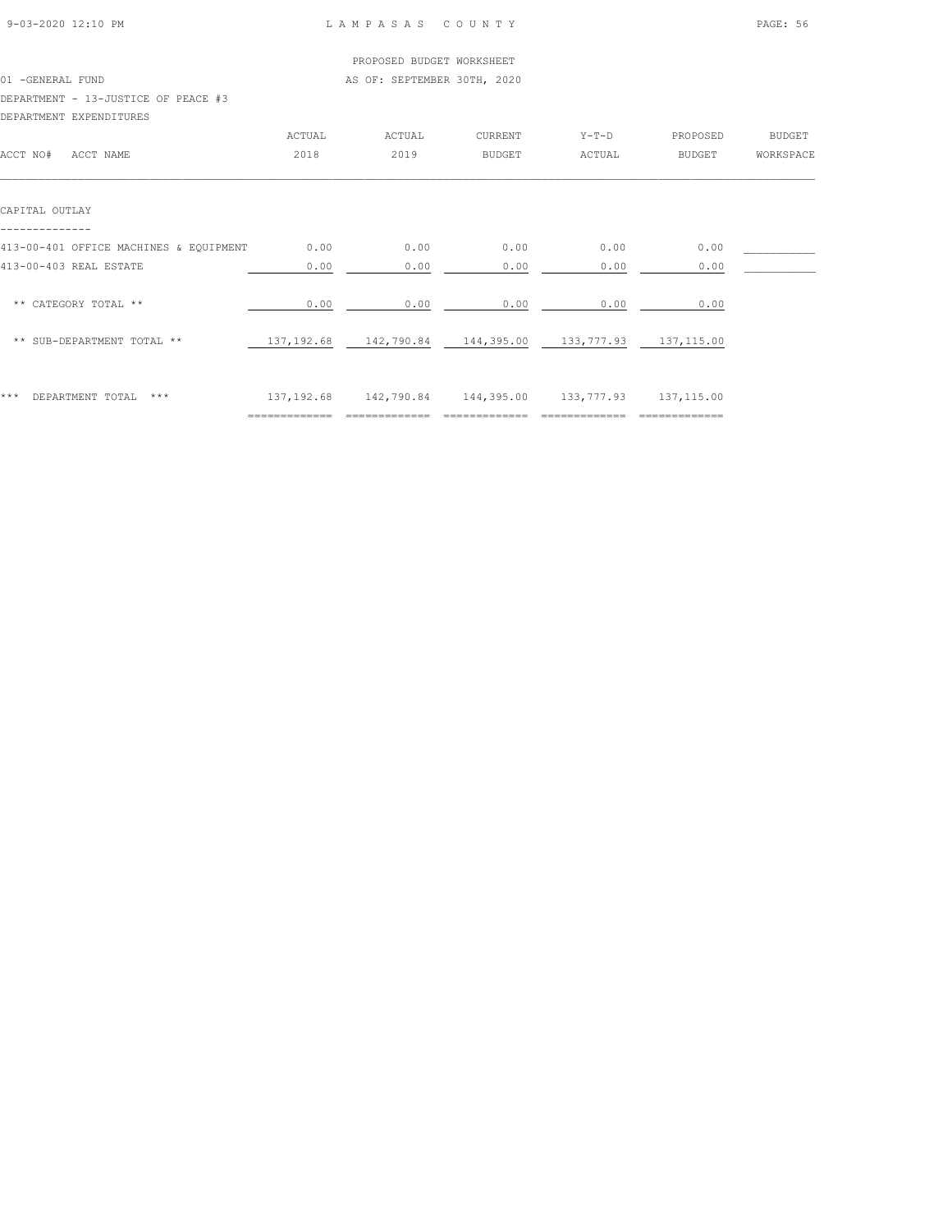| 9-03-2020 12:10 PM |  |
|--------------------|--|

## LAMPASAS COUNTY PAGE: 56

|                                        |        | PROPOSED BUDGET WORKSHEET                                   |         |         |               |               |
|----------------------------------------|--------|-------------------------------------------------------------|---------|---------|---------------|---------------|
| 01 -GENERAL FUND                       |        | AS OF: SEPTEMBER 30TH, 2020                                 |         |         |               |               |
| DEPARTMENT - 13-JUSTICE OF PEACE #3    |        |                                                             |         |         |               |               |
| DEPARTMENT EXPENDITURES                |        |                                                             |         |         |               |               |
|                                        | ACTUAL | ACTUAL                                                      | CURRENT | $Y-T-D$ | PROPOSED      | <b>BUDGET</b> |
| ACCT NO#<br>ACCT NAME                  | 2018   | 2019                                                        | BUDGET  | ACTUAL  | <b>BUDGET</b> | WORKSPACE     |
| CAPITAL OUTLAY                         |        |                                                             |         |         |               |               |
|                                        |        |                                                             |         |         |               |               |
| 413-00-401 OFFICE MACHINES & EQUIPMENT | 0.00   | 0.00                                                        | 0.00    | 0.00    | 0.00          |               |
| 413-00-403 REAL ESTATE                 | 0.00   | 0.00                                                        | 0.00    | 0.00    | 0.00          |               |
| ** CATEGORY TOTAL **                   | 0.00   | 0.00                                                        | 0.00    | 0.00    | 0.00          |               |
| ** SUB-DEPARTMENT TOTAL **             |        | 137, 192.68 142, 790.84 144, 395.00 133, 777.93 137, 115.00 |         |         |               |               |
|                                        |        |                                                             |         |         |               |               |

|     |                     |     | _____________<br>-------------- | _______                  | __________ | _________          | ______<br>_____ |
|-----|---------------------|-----|---------------------------------|--------------------------|------------|--------------------|-----------------|
| *** | TOTAL<br>DEPARTMENT | *** | $\sim$ $-$<br>192<br>92.68      | .790.84<br>142<br>⊥ ≒∠ , | 144,395.00 | ・ママーツ<br>.<br>---- | , 115.00        |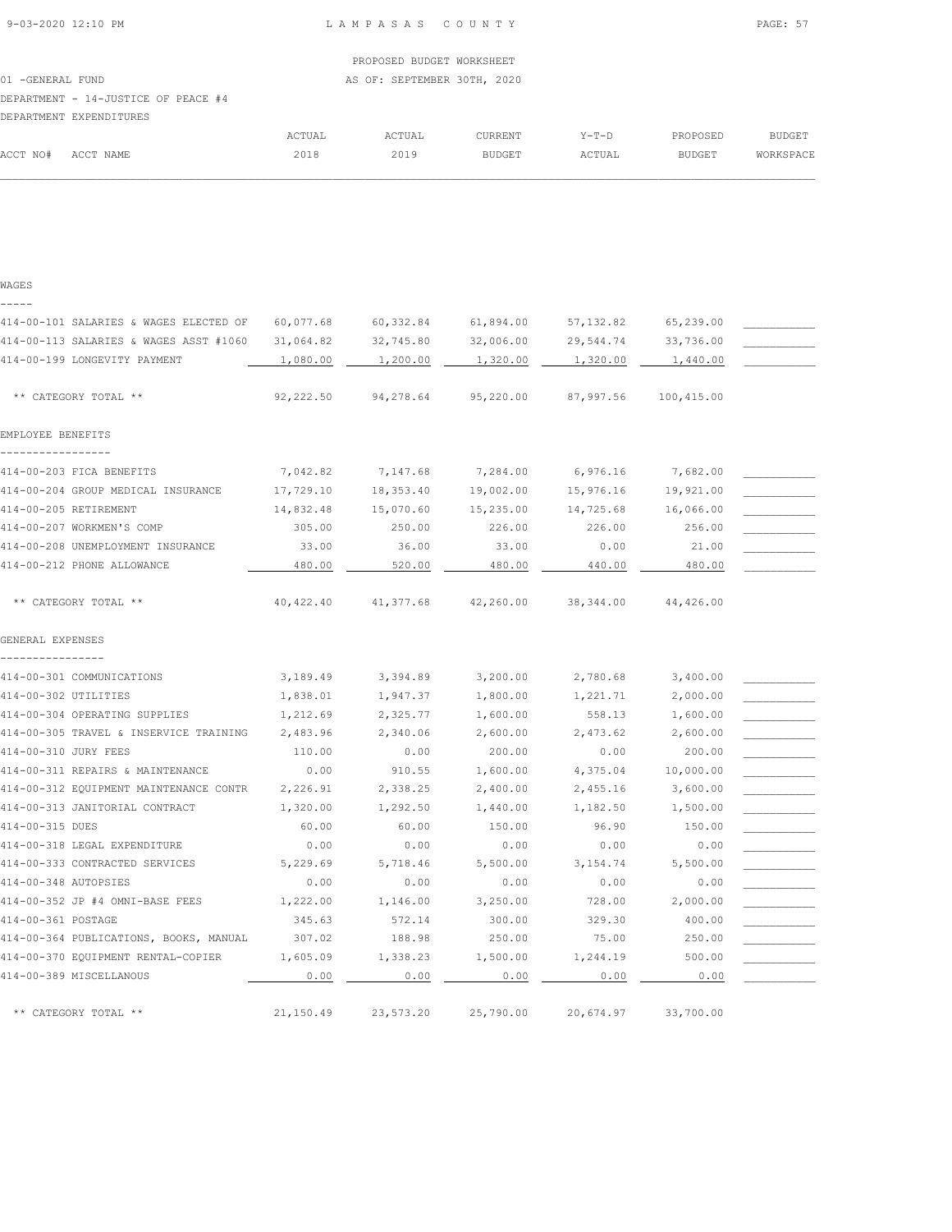| WAGES                                  |            |            |           |            |            |  |
|----------------------------------------|------------|------------|-----------|------------|------------|--|
| 414-00-101 SALARIES & WAGES ELECTED OF | 60,077.68  | 60,332.84  | 61,894.00 | 57, 132.82 | 65,239.00  |  |
| 414-00-113 SALARIES & WAGES ASST #1060 | 31,064.82  | 32,745.80  | 32,006.00 | 29,544.74  | 33,736.00  |  |
| 414-00-199 LONGEVITY PAYMENT           | 1,080.00   | 1,200.00   | 1,320.00  | 1,320.00   | 1,440.00   |  |
|                                        |            |            |           |            |            |  |
| ** CATEGORY TOTAL **                   | 92,222.50  | 94,278.64  | 95,220.00 | 87,997.56  | 100,415.00 |  |
| EMPLOYEE BENEFITS                      |            |            |           |            |            |  |
|                                        |            |            |           |            |            |  |
| 414-00-203 FICA BENEFITS               | 7,042.82   | 7,147.68   | 7,284.00  | 6,976.16   | 7,682.00   |  |
| 414-00-204 GROUP MEDICAL INSURANCE     | 17,729.10  | 18,353.40  | 19,002.00 | 15,976.16  | 19,921.00  |  |
| 414-00-205 RETIREMENT                  | 14,832.48  | 15,070.60  | 15,235.00 | 14,725.68  | 16,066.00  |  |
| 414-00-207 WORKMEN'S COMP              | 305.00     | 250.00     | 226.00    | 226.00     | 256.00     |  |
| 414-00-208 UNEMPLOYMENT INSURANCE      | 33.00      | 36.00      | 33.00     | 0.00       | 21.00      |  |
| 414-00-212 PHONE ALLOWANCE             | 480.00     | 520.00     | 480.00    | 440.00     | 480.00     |  |
|                                        |            |            |           |            |            |  |
| ** CATEGORY TOTAL **                   | 40, 422.40 | 41, 377.68 | 42,260.00 | 38, 344.00 | 44,426.00  |  |
| GENERAL EXPENSES                       |            |            |           |            |            |  |
| 414-00-301 COMMUNICATIONS              | 3,189.49   | 3,394.89   | 3,200.00  | 2,780.68   | 3,400.00   |  |
| 414-00-302 UTILITIES                   | 1,838.01   | 1,947.37   | 1,800.00  | 1,221.71   | 2,000.00   |  |
| 414-00-304 OPERATING SUPPLIES          | 1,212.69   | 2,325.77   | 1,600.00  | 558.13     | 1,600.00   |  |
| 414-00-305 TRAVEL & INSERVICE TRAINING | 2,483.96   | 2,340.06   | 2,600.00  | 2,473.62   | 2,600.00   |  |
| 414-00-310 JURY FEES                   | 110.00     | 0.00       | 200.00    | 0.00       | 200.00     |  |
| 414-00-311 REPAIRS & MAINTENANCE       | 0.00       | 910.55     | 1,600.00  | 4,375.04   | 10,000.00  |  |
| 414-00-312 EQUIPMENT MAINTENANCE CONTR | 2,226.91   | 2,338.25   | 2,400.00  | 2,455.16   | 3,600.00   |  |
| 414-00-313 JANITORIAL CONTRACT         | 1,320.00   | 1,292.50   | 1,440.00  | 1,182.50   | 1,500.00   |  |
| 414-00-315 DUES                        | 60.00      | 60.00      | 150.00    | 96.90      | 150.00     |  |
| 414-00-318 LEGAL EXPENDITURE           | 0.00       | 0.00       | 0.00      | 0.00       | 0.00       |  |
| 414-00-333 CONTRACTED SERVICES         | 5,229.69   | 5,718.46   | 5,500.00  | 3, 154.74  | 5,500.00   |  |
| 414-00-348 AUTOPSIES                   | 0.00       | 0.00       | 0.00      | 0.00       | 0.00       |  |
| 414-00-352 JP #4 OMNI-BASE FEES        | 1,222.00   | 1,146.00   | 3,250.00  | 728.00     | 2,000.00   |  |
| 414-00-361 POSTAGE                     | 345.63     | 572.14     | 300.00    | 329.30     | 400.00     |  |
| 414-00-364 PUBLICATIONS, BOOKS, MANUAL | 307.02     | 188.98     | 250.00    | 75.00      | 250.00     |  |
| 414-00-370 EQUIPMENT RENTAL-COPIER     | 1,605.09   | 1,338.23   | 1,500.00  | 1,244.19   | 500.00     |  |
| 414-00-389 MISCELLANOUS                | 0.00       | 0.00       | 0.00      | 0.00       | 0.00       |  |
| ** CATEGORY TOTAL **                   | 21,150.49  | 23,573.20  | 25,790.00 | 20,674.97  | 33,700.00  |  |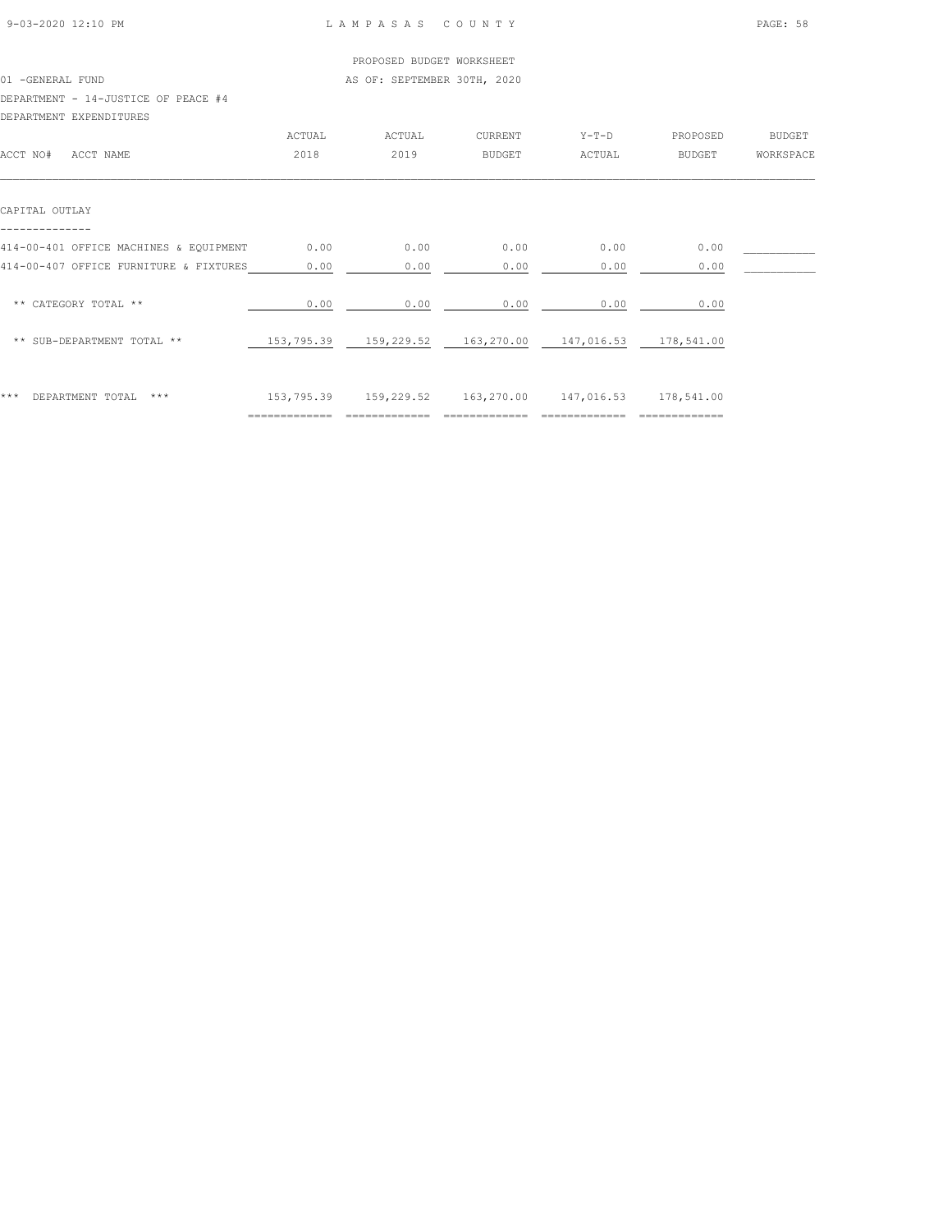|                                        |        | PROPOSED BUDGET WORKSHEET                              |               |         |               |               |
|----------------------------------------|--------|--------------------------------------------------------|---------------|---------|---------------|---------------|
| 01 -GENERAL FUND                       |        | AS OF: SEPTEMBER 30TH, 2020                            |               |         |               |               |
| DEPARTMENT - 14-JUSTICE OF PEACE #4    |        |                                                        |               |         |               |               |
| DEPARTMENT EXPENDITURES                |        |                                                        |               |         |               |               |
|                                        | ACTUAL | ACTUAL                                                 | CURRENT       | $Y-T-D$ | PROPOSED      | <b>BUDGET</b> |
| ACCT NO#<br>ACCT NAME                  | 2018   | 2019                                                   | <b>BUDGET</b> | ACTUAL  | <b>BUDGET</b> | WORKSPACE     |
| CAPITAL OUTLAY                         |        |                                                        |               |         |               |               |
| 414-00-401 OFFICE MACHINES & EQUIPMENT | 0.00   | 0.00                                                   | 0.00          | 0.00    | 0.00          |               |
| 414-00-407 OFFICE FURNITURE & FIXTURES | 0.00   | 0.00                                                   | 0.00          | 0.00    | 0.00          |               |
| ** CATEGORY TOTAL **                   | 0.00   | 0.00                                                   | 0.00          | 0.00    | 0.00          |               |
| ** SUB-DEPARTMENT TOTAL **             |        | 153,795.39 159,229.52 163,270.00 147,016.53 178,541.00 |               |         |               |               |
|                                        |        |                                                        |               |         |               |               |
|                                        |        |                                                        |               |         |               |               |

\*\*\* DEPARTMENT TOTAL \*\*\* 153,795.39 159,229.52 163,270.00 147,016.53 178,541.00 ============= ============= ============= ============= =============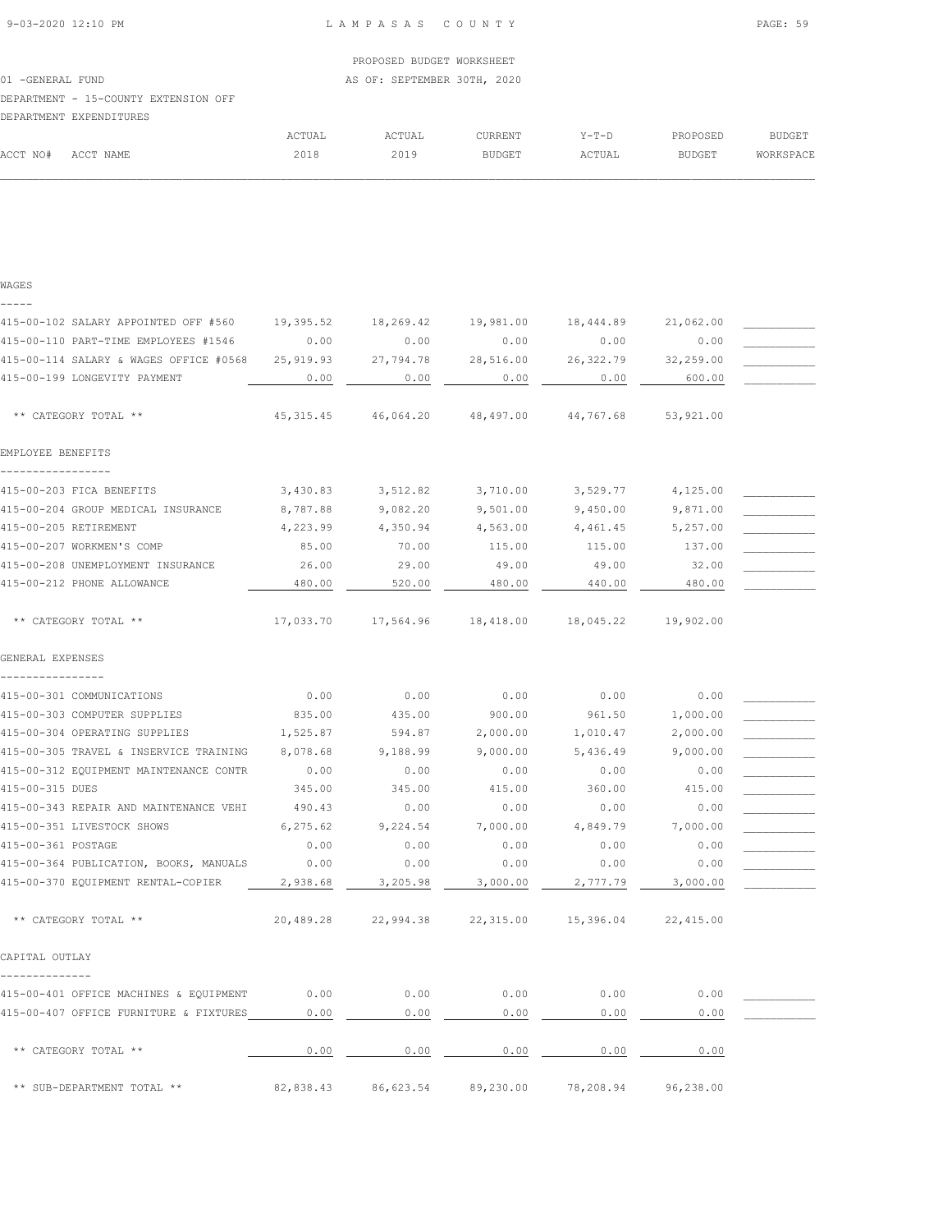| ACCT NO# | ACCT NAME                            | 2018   | 2019   | RUDCET  | ACTILAT | RIIDCFT  |
|----------|--------------------------------------|--------|--------|---------|---------|----------|
|          |                                      | ACTUAL | ACTUAL | CURRENT | $Y-T-D$ | PROPOSED |
|          | DEPARTMENT EXPENDITURES              |        |        |         |         |          |
|          | DBEANIMBNI - IJ-COUNII BAIBNJION OFF |        |        |         |         |          |

|          |           | ACTUAL | ACTUAL | <b>CURRENT</b> | $Y-T-D$ | PROPOSED | BUDGET    |
|----------|-----------|--------|--------|----------------|---------|----------|-----------|
| ACCT NO# | ACCT NAME | 2018   | 2019   | <b>BUDGET</b>  | ACTUAL  | BUDGET   | WORKSPACE |
|          |           |        |        |                |         |          |           |
|          |           |        |        |                |         |          |           |
|          |           |        |        |                |         |          |           |

415-00-102 SALARY APPOINTED OFF #560 19,395.52 18,269.42 19,981.00 18,444.89 21,062.00 \_\_\_\_\_\_\_\_\_\_\_\_\_\_\_\_\_\_\_\_\_\_\_ 415-00-110 PART-TIME EMPLOYEES #1546 0.00 0.00 0.00 0.00 0.00 \_\_\_\_\_\_\_\_\_\_\_ 415-00-114 SALARY & WAGES OFFICE #0568 25,919.93 27,794.78 28,516.00 26,322.79 32,259.00 \_\_\_\_\_\_\_\_\_\_\_ 415-00-199 LONGEVITY PAYMENT  $0.00$   $0.00$   $0.00$   $0.00$   $0.00$   $0.00$   $0.00$   $0.00$   $0.00$   $0.00$   $0.00$   $0.00$   $0.00$   $0.00$   $0.00$   $0.00$   $0.00$   $0.00$   $0.00$   $0.00$   $0.00$   $0.00$   $0.00$   $0.00$   $0.00$   $0.00$   $0.00$   $0.0$ 

\*\* CATEGORY TOTAL \*\* 45,315.45 46,064.20 48,497.00 44,767.68 53,921.00

415-00-203 FICA BENEFITS  $3,430.83$   $3,512.82$   $3,710.00$   $3,529.77$   $4,125.00$ 415-00-204 GROUP MEDICAL INSURANCE  $8,787.88$  9,082.20 9,501.00 9,450.00 9,871.00 415-00-205 RETIREMENT 4,223.99 4,350.94 4,563.00 4,461.45 5,257.00 4 415-00-207 WORKMEN'S COMP 65.00 70.00 115.00 115.00 137.00 415-00-208 UNEMPLOYMENT INSURANCE <br>415-00-212 PHONE ALLOWANCE <br>480.00 29.00 29.00 49.00 49.00 49.00 49.00 480.00 480.00 480.00 415-00-212 PHONE ALLOWANCE 480.00 480.00 520.00 480.00 480.00 440.00 480.00

\*\* CATEGORY TOTAL \*\* 17,033.70 17,564.96 18,418.00 18,045.22 19,902.00

415-00-301 COMMUNICATIONS<br>415-00-303 COMPUTER SUPPLIES<br>415-00-303 COMPUTER SUPPLIES<br> $\begin{array}{cccccc} & & & & 0.00 & & & 0.00 & & & 0.00 & & & 0.00 & & & 0.00 & & & 0.00 & & & 0.00 & & & 0.00 & & & 0.00 & & & 0.00 & & & 0.00 & & 0.00 & & & 0.00 & & & 0.00 & & 0.00 & & & 0.00 & &$ 415-00-303 COMPUTER SUPPLIES 635.00 435.00 900.00 900.00 961.50 1,000.00 415-00-304 OPERATING SUPPLIES  $1,525.87$   $594.87$   $2,000.00$   $1,010.47$   $2,000.00$ 415-00-305 TRAVEL & INSERVICE TRAINING 8,078.68 9,188.99 9,000.00 5,436.49 9,000.00 \_\_\_\_\_\_\_\_\_\_\_ 415-00-312 EQUIPMENT MAINTENANCE CONTR 0.00 0.00 0.00 0.00 0.00 \_\_\_\_\_\_\_\_\_\_\_

415-00-343 REPAIR AND MAINTENANCE VEHI 490.43 0.00 0.00 0.00 0.00 0.00 0.00 415-00-351 LIVESTOCK SHOWS 6,275.62 9,224.54 7,000.00 4,849.79 7,000.00<br>415-00-361 POSTAGE 6,00 0.00 0.00 0.00 0.00 0.00  $415-00-361$  POSTAGE  $0.00$   $0.00$   $0.00$   $0.00$   $0.00$   $0.00$   $0.00$ 415-00-364 PUBLICATION, BOOKS, MANUALS 0.00 0.00 0.00 0.00 0.00 \_\_\_\_\_\_\_\_\_\_\_ 415-00-370 EQUIPMENT RENTAL-COPIER 2,938.68 3,205.98 3,000.00 2,777.79 3,000.00

\*\* CATEGORY TOTAL \*\* 20,489.28 22,994.38 22,315.00 15,396.04 22,415.00

\*\* CATEGORY TOTAL \*\* 0.00 0.00 0.00 0.00 0.00

\*\* SUB-DEPARTMENT TOTAL \*\* 82,838.43 86,623.54 89,230.00 78,208.94 96,238.00

415-00-315 DUES 345.00 345.00 415.00 360.00 415.00 \_\_\_\_\_\_\_\_\_\_\_

415-00-401 OFFICE MACHINES & EQUIPMENT 0.00 0.00 0.00 0.00 0.00 0.00 0.00 415-00-407 OFFICE FURNITURE & FIXTURES  $0.00$  0.00 0.00 0.00 0.00 0.00

|              | ___________                      |  | -------------        |  |
|--------------|----------------------------------|--|----------------------|--|
|              | RTMENT EXPENDITURES              |  |                      |  |
|              | RTMENT - 15-COUNTY EXTENSION OFF |  |                      |  |
| UBNBRAB FUND |                                  |  | AU VI. ULLILLULU JVI |  |

WAGES -----

EMPLOYEE BENEFITS -----------------

GENERAL EXPENSES ----------------

CAPITAL OUTLAY --------------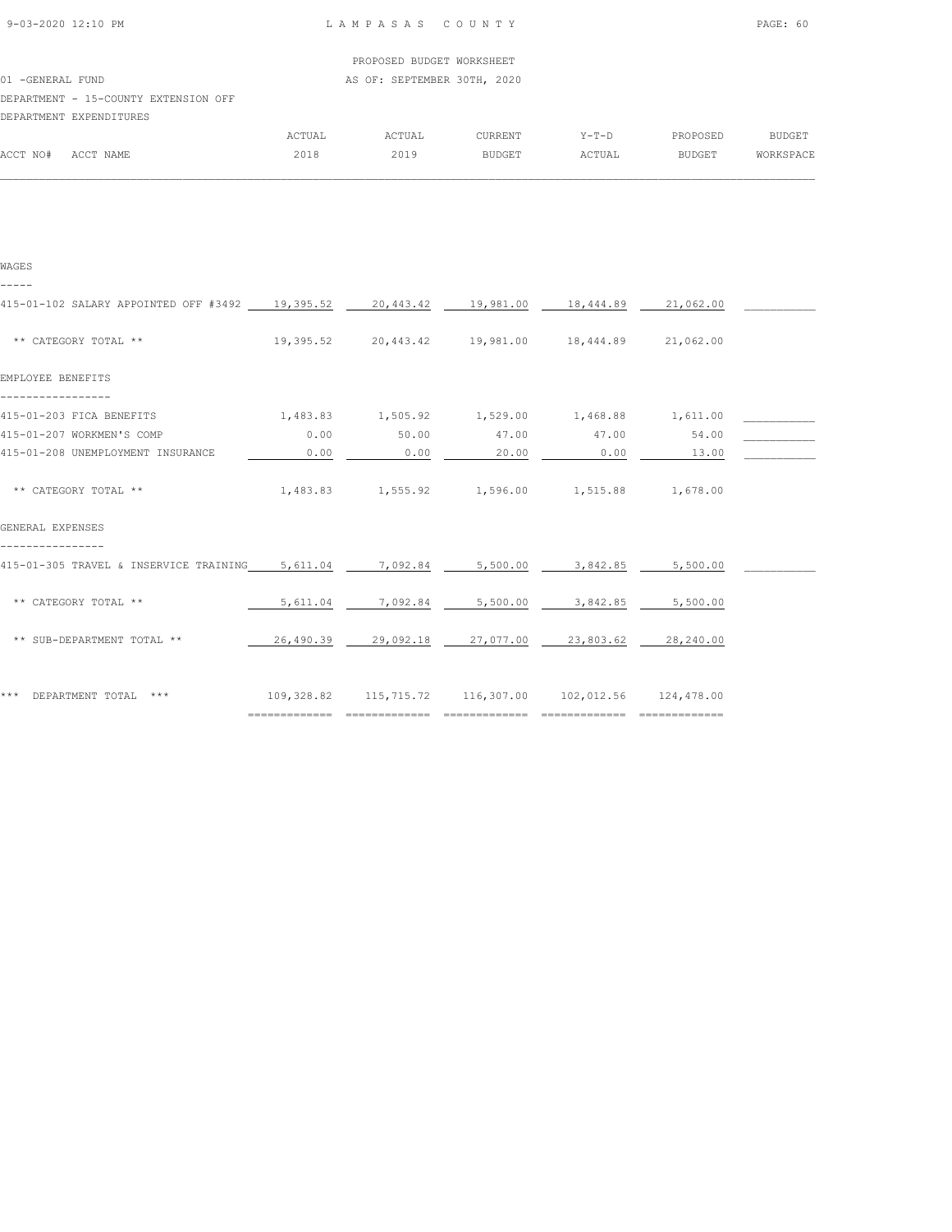| $9 - 0.3 - 2.020$ 12:10 PM |  |
|----------------------------|--|
|                            |  |

| PROPOSED BUDGET WORKSHEET |  |
|---------------------------|--|

01 -GENERAL FUND **AS OF: SEPTEMBER 30TH, 2020** 

DEPARTMENT - 15-COUNTY EXTENSION OFF

|          | DEPARTMENT EXPENDITURES |        |        |               |         |               |               |
|----------|-------------------------|--------|--------|---------------|---------|---------------|---------------|
|          |                         | ACTUAL | ACTUAL | CURRENT       | $Y-T-D$ | PROPOSED      | <b>BUDGET</b> |
| ACCT NO# | ACCT NAME               | 2018   | 2019   | <b>BUDGET</b> | ACTUAL  | <b>BUDGET</b> | WORKSPACE     |
|          |                         |        |        |               |         |               |               |

| WAGES                                                                                   |           |                                                        |                   |                                            |                     |  |
|-----------------------------------------------------------------------------------------|-----------|--------------------------------------------------------|-------------------|--------------------------------------------|---------------------|--|
| 415-01-102 SALARY APPOINTED OFF #3492 19,395.52 20,443.42 19,981.00 18,444.89 21,062.00 |           |                                                        |                   |                                            |                     |  |
| ** CATEGORY TOTAL **                                                                    | 19,395.52 |                                                        |                   | 20,443.42  19,981.00  18,444.89  21,062.00 |                     |  |
| EMPLOYEE BENEFITS                                                                       |           |                                                        |                   |                                            |                     |  |
| 415-01-203 FICA BENEFITS                                                                |           | $1,483.83$ $1,505.92$ $1,529.00$ $1,468.88$ $1,611.00$ |                   |                                            |                     |  |
| 415-01-207 WORKMEN'S COMP                                                               | 0.00      | 50.00                                                  | 47.00             | 47.00                                      | 54.00               |  |
| 415-01-208 UNEMPLOYMENT INSURANCE                                                       | 0.00      | 0.00                                                   | 20.00             | 0.00                                       | 13.00               |  |
| ** CATEGORY TOTAL **                                                                    |           | 1,483.83 1,555.92 1,596.00 1,515.88 1,678.00           |                   |                                            |                     |  |
| GENERAL EXPENSES                                                                        |           |                                                        |                   |                                            |                     |  |
| 415-01-305 TRAVEL & INSERVICE TRAINING 5,611.04                                         |           | 7,092.84                                               | 5,500.00          | 3,842.85                                   | 5,500.00            |  |
| ** CATEGORY TOTAL **                                                                    | 5,611.04  |                                                        | 7,092.84 5,500.00 | 3,842.85                                   | 5,500.00            |  |
| ** SUB-DEPARTMENT TOTAL **                                                              | 26,490.39 | 29,092.18 27,077.00                                    |                   |                                            | 23,803.62 28,240.00 |  |
| *** DEPARTMENT TOTAL ***                                                                |           | 109,328.82 115,715.72 116,307.00 102,012.56 124,478.00 |                   |                                            |                     |  |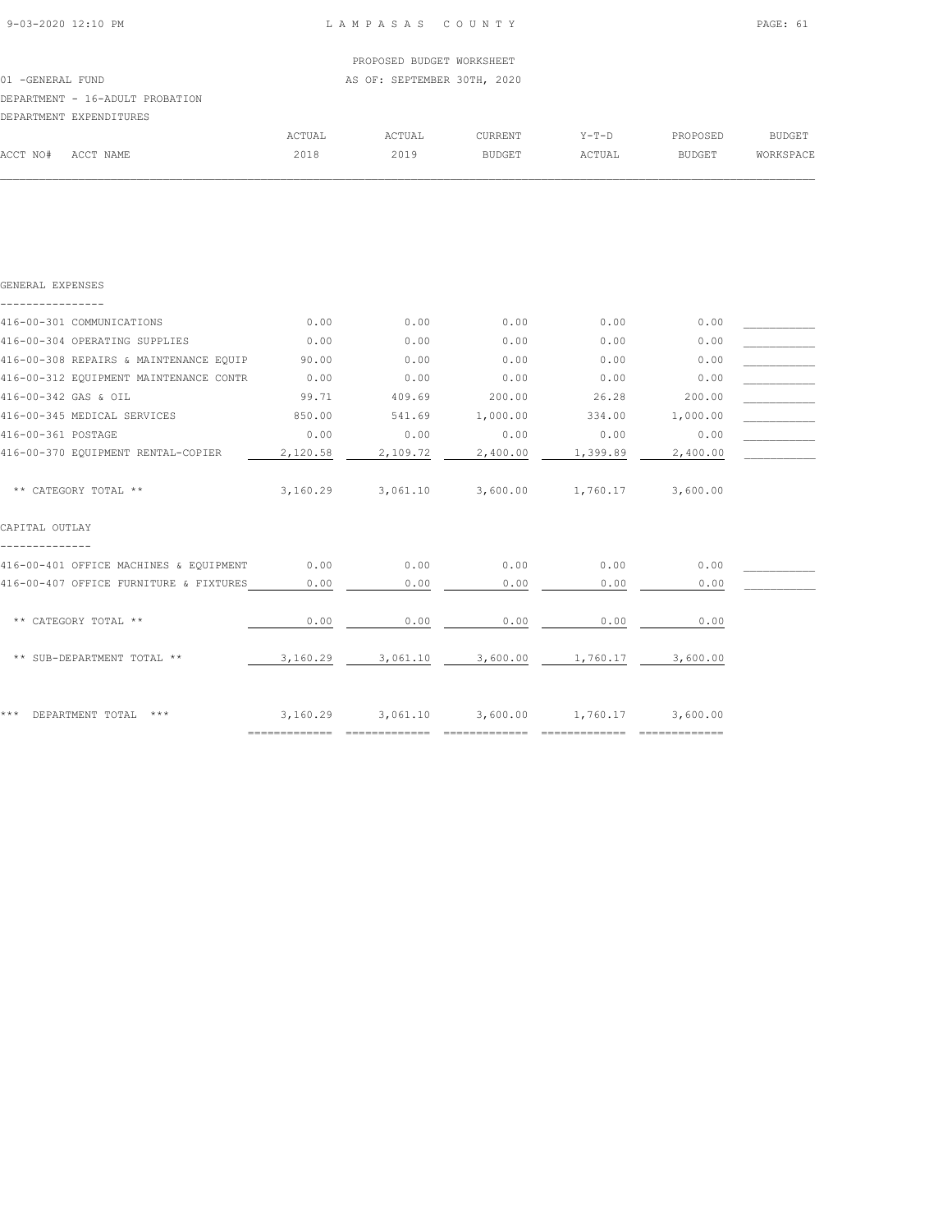|                  |                                 |        | PROPOSED BUDGET WORKSHEET   |         |         |               |           |
|------------------|---------------------------------|--------|-----------------------------|---------|---------|---------------|-----------|
| 01 -GENERAL FUND |                                 |        | AS OF: SEPTEMBER 30TH, 2020 |         |         |               |           |
|                  | DEPARTMENT - 16-ADULT PROBATION |        |                             |         |         |               |           |
|                  | DEPARTMENT EXPENDITURES         |        |                             |         |         |               |           |
|                  |                                 | ACTUAL | ACTUAL                      | CURRENT | $Y-T-D$ | PROPOSED      | BUDGET    |
| ACCT NO#         | ACCT NAME                       | 2018   | 2019                        | BUDGET  | ACTUAL  | <b>BUDGET</b> | WORKSPACE |
|                  |                                 |        |                             |         |         |               |           |

| GENERAL EXPENSES                       |                            |          |          |          |          |  |
|----------------------------------------|----------------------------|----------|----------|----------|----------|--|
| 416-00-301 COMMUNICATIONS              | 0.00                       | 0.00     | 0.00     | 0.00     | 0.00     |  |
| 416-00-304 OPERATING SUPPLIES          | 0.00                       | 0.00     | 0.00     | 0.00     | 0.00     |  |
| 416-00-308 REPAIRS & MAINTENANCE EQUIP | 90.00                      | 0.00     | 0.00     | 0.00     | 0.00     |  |
| 416-00-312 EQUIPMENT MAINTENANCE CONTR | 0.00                       | 0.00     | 0.00     | 0.00     | 0.00     |  |
| 416-00-342 GAS & OIL                   | 99.71                      | 409.69   | 200.00   | 26.28    | 200.00   |  |
| 416-00-345 MEDICAL SERVICES            | 850.00                     | 541.69   | 1,000.00 | 334.00   | 1,000.00 |  |
| 416-00-361 POSTAGE                     | 0.00                       | 0.00     | 0.00     | 0.00     | 0.00     |  |
| 416-00-370 EQUIPMENT RENTAL-COPIER     | 2,120.58                   | 2,109.72 | 2,400.00 | 1,399.89 | 2,400.00 |  |
| ** CATEGORY TOTAL **                   | 3,160.29                   | 3,061.10 | 3,600.00 | 1,760.17 | 3,600.00 |  |
| CAPITAL OUTLAY                         |                            |          |          |          |          |  |
| 416-00-401 OFFICE MACHINES & EQUIPMENT | 0.00                       | 0.00     | 0.00     | 0.00     | 0.00     |  |
| 416-00-407 OFFICE FURNITURE & FIXTURES | 0.00                       | 0.00     | 0.00     | 0.00     | 0.00     |  |
| ** CATEGORY TOTAL **                   | 0.00                       | 0.00     | 0.00     | 0.00     | 0.00     |  |
| ** SUB-DEPARTMENT TOTAL **             | 3,160.29                   | 3,061.10 | 3,600.00 | 1,760.17 | 3,600.00 |  |
| * * *<br>DEPARTMENT TOTAL<br>$***$     | 3,160.29<br>============== | 3,061.10 | 3,600.00 | 1,760.17 | 3,600.00 |  |
|                                        |                            |          |          |          |          |  |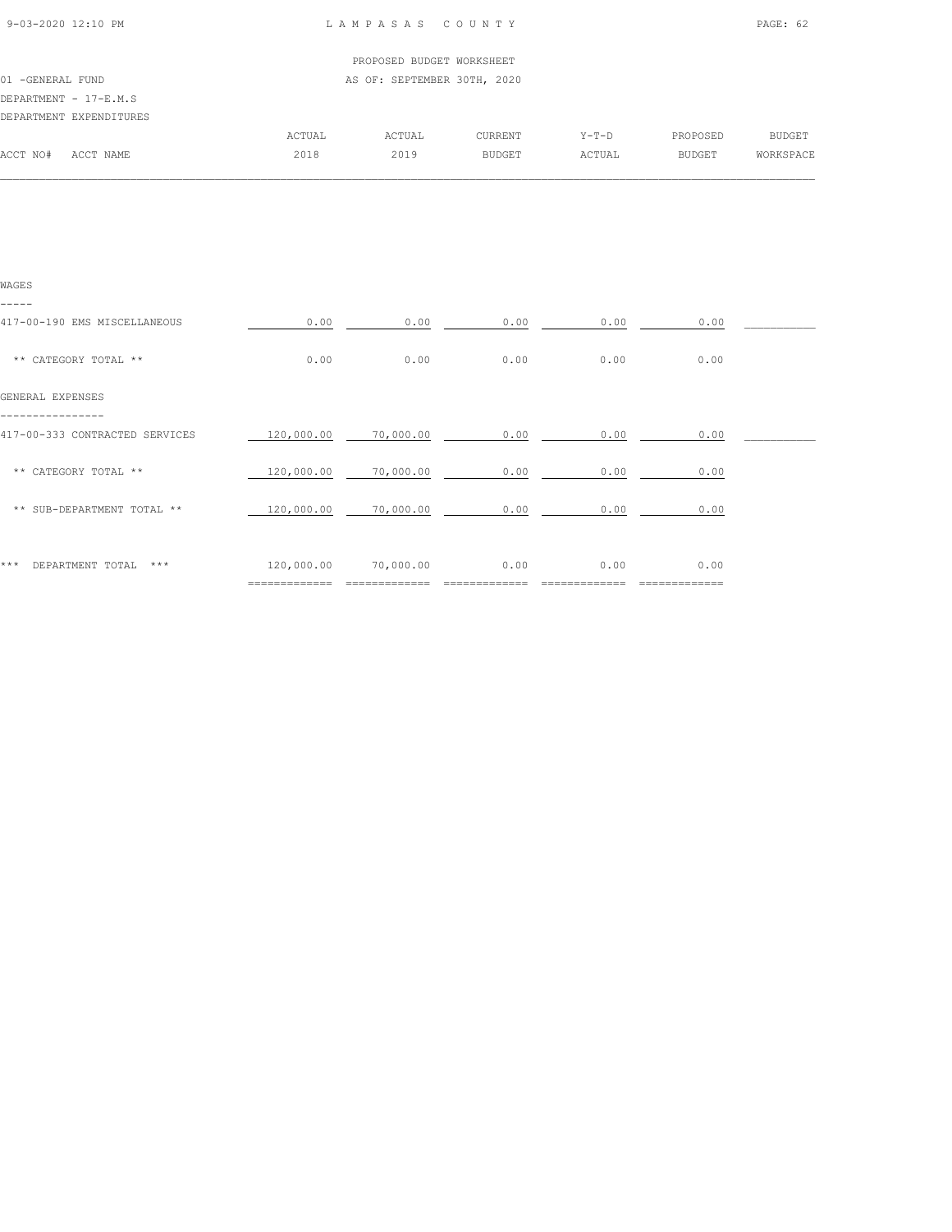| 9-03-2020 12:10 PM |  |
|--------------------|--|

## LAMPASAS COUNTY PAGE: 62

|                  |                         |        | PROPOSED BUDGET WORKSHEET   |                |         |               |           |
|------------------|-------------------------|--------|-----------------------------|----------------|---------|---------------|-----------|
| 01 -GENERAL FUND |                         |        | AS OF: SEPTEMBER 30TH, 2020 |                |         |               |           |
|                  | DEPARTMENT - 17-E.M.S   |        |                             |                |         |               |           |
|                  | DEPARTMENT EXPENDITURES |        |                             |                |         |               |           |
|                  |                         | ACTUAL | ACTUAL                      | <b>CURRENT</b> | $Y-T-D$ | PROPOSED      | BUDGET    |
| ACCT NO#         | ACCT NAME               | 2018   | 2019                        | <b>BUDGET</b>  | ACTUAL  | <b>BUDGET</b> | WORKSPACE |
|                  |                         |        |                             |                |         |               |           |

| WAGES                                 |                              |           |      |      |              |  |
|---------------------------------------|------------------------------|-----------|------|------|--------------|--|
| -----<br>417-00-190 EMS MISCELLANEOUS | 0.00                         | 0.00      | 0.00 | 0.00 | 0.00         |  |
| ** CATEGORY TOTAL **                  | 0.00                         | 0.00      | 0.00 | 0.00 | 0.00         |  |
| GENERAL EXPENSES                      |                              |           |      |      |              |  |
| 417-00-333 CONTRACTED SERVICES        | 120,000.00                   | 70,000.00 | 0.00 | 0.00 | 0.00         |  |
| ** CATEGORY TOTAL **                  | 120,000.00                   | 70,000.00 | 0.00 | 0.00 | 0.00         |  |
| ** SUB-DEPARTMENT TOTAL **            | 120,000.00                   | 70,000.00 | 0.00 | 0.00 | 0.00         |  |
| ***<br>$***$                          |                              | 70,000.00 | 0.00 |      | 0.00         |  |
| DEPARTMENT TOTAL                      | 120,000.00<br>============== |           |      | 0.00 | ============ |  |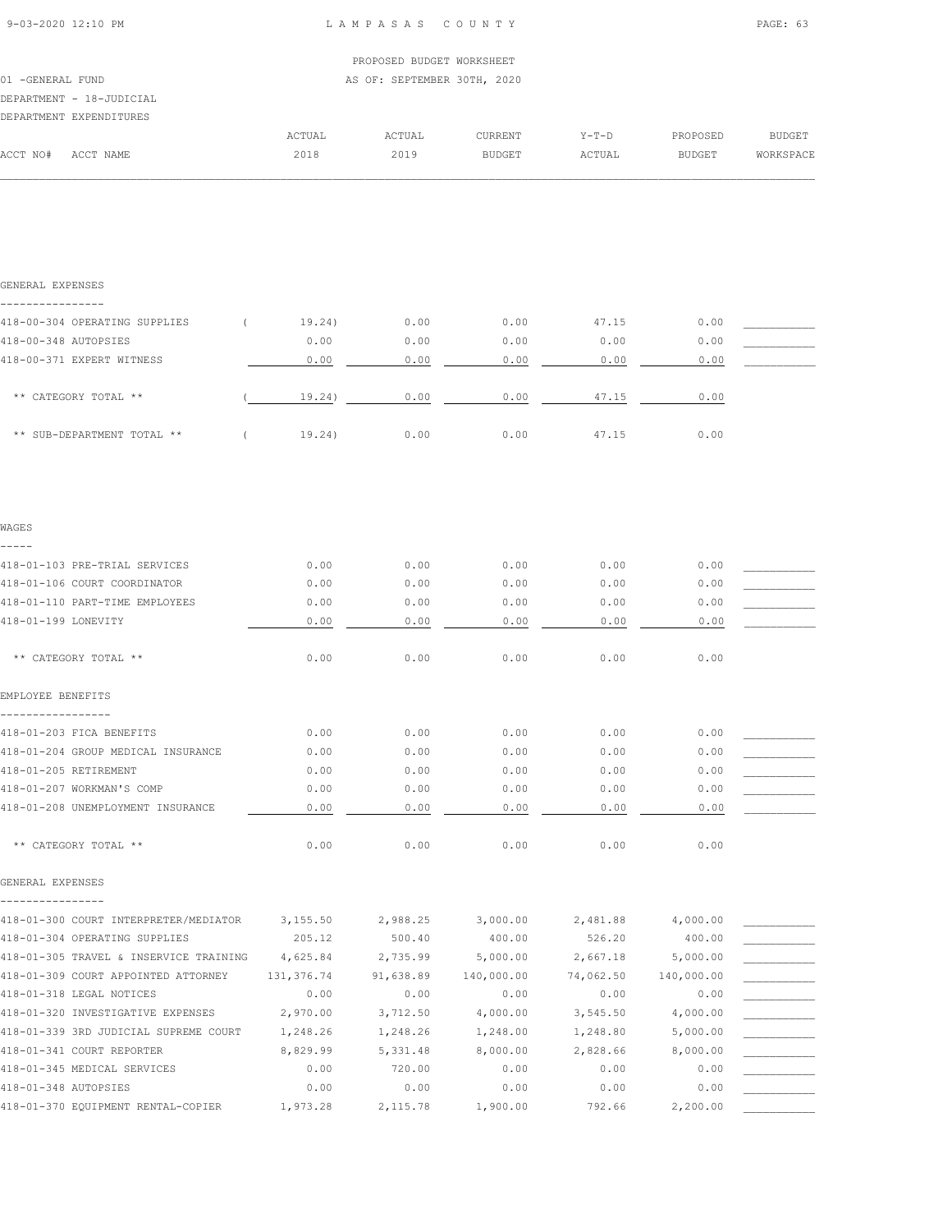|                  |                          |        | PROPOSED BUDGET WORKSHEET   |               |         |               |           |
|------------------|--------------------------|--------|-----------------------------|---------------|---------|---------------|-----------|
| 01 -GENERAL FUND |                          |        | AS OF: SEPTEMBER 30TH, 2020 |               |         |               |           |
|                  | DEPARTMENT - 18-JUDICIAL |        |                             |               |         |               |           |
|                  | DEPARTMENT EXPENDITURES  |        |                             |               |         |               |           |
|                  |                          | ACTUAL | ACTUAL                      | CURRENT       | $Y-T-D$ | PROPOSED      | BUDGET    |
| ACCT NO#         | ACCT NAME                | 2018   | 2019                        | <b>BUDGET</b> | ACTUAL  | <b>BUDGET</b> | WORKSPACE |
|                  |                          |        |                             |               |         |               |           |

| GENERAL EXPENSES                       |                    |                    |                    |                    |                        |  |
|----------------------------------------|--------------------|--------------------|--------------------|--------------------|------------------------|--|
| 418-00-304 OPERATING SUPPLIES<br>€.    | 19.24)             | 0.00               | 0.00               | 47.15              | 0.00                   |  |
| 418-00-348 AUTOPSIES                   | 0.00               | 0.00               | 0.00               | 0.00               | 0.00                   |  |
| 418-00-371 EXPERT WITNESS              | 0.00               | 0.00               | 0.00               | 0.00               | 0.00                   |  |
|                                        |                    |                    |                    |                    |                        |  |
| ** CATEGORY TOTAL **                   | 19.24)             | 0.00               | 0.00               | 47.15              | 0.00                   |  |
| ** SUB-DEPARTMENT TOTAL **<br>$\left($ | 19.24)             | 0.00               | 0.00               | 47.15              | 0.00                   |  |
|                                        |                    |                    |                    |                    |                        |  |
| WAGES                                  |                    |                    |                    |                    |                        |  |
| 418-01-103 PRE-TRIAL SERVICES          | 0.00               | 0.00               | 0.00               | 0.00               | 0.00                   |  |
| 418-01-106 COURT COORDINATOR           | 0.00               | 0.00               | 0.00               | 0.00               | 0.00                   |  |
| 418-01-110 PART-TIME EMPLOYEES         | 0.00               | 0.00               | 0.00               | 0.00               | 0.00                   |  |
| 418-01-199 LONEVITY                    | 0.00               | 0.00               | 0.00               | 0.00               | 0.00                   |  |
| ** CATEGORY TOTAL **                   | 0.00               | 0.00               | 0.00               | 0.00               | 0.00                   |  |
| EMPLOYEE BENEFITS                      |                    |                    |                    |                    |                        |  |
| 418-01-203 FICA BENEFITS               | 0.00               | 0.00               | 0.00               | 0.00               | 0.00                   |  |
| 418-01-204 GROUP MEDICAL INSURANCE     | 0.00               | 0.00               | 0.00               | 0.00               | 0.00                   |  |
| 418-01-205 RETIREMENT                  | 0.00               | 0.00               | 0.00               | 0.00               | 0.00                   |  |
| 418-01-207 WORKMAN'S COMP              | 0.00               | 0.00               | 0.00               | 0.00               | 0.00                   |  |
| 418-01-208 UNEMPLOYMENT INSURANCE      | 0.00               | 0.00               | 0.00               | 0.00               | 0.00                   |  |
| ** CATEGORY TOTAL **                   | 0.00               | 0.00               | 0.00               | 0.00               | 0.00                   |  |
| GENERAL EXPENSES                       |                    |                    |                    |                    |                        |  |
| 418-01-300 COURT INTERPRETER/MEDIATOR  |                    |                    |                    |                    |                        |  |
| 418-01-304 OPERATING SUPPLIES          | 3,155.50<br>205.12 | 2,988.25<br>500.40 | 3,000.00<br>400.00 | 2,481.88<br>526.20 | 4,000.00<br>400.00     |  |
| 418-01-305 TRAVEL & INSERVICE TRAINING | 4,625.84           | 2,735.99           | 5,000.00           | 2,667.18           |                        |  |
| 418-01-309 COURT APPOINTED ATTORNEY    | 131,376.74         | 91,638.89          | 140,000.00         | 74,062.50          | 5,000.00<br>140,000.00 |  |
| 418-01-318 LEGAL NOTICES               | 0.00               | 0.00               | 0.00               | 0.00               | 0.00                   |  |
| 418-01-320 INVESTIGATIVE EXPENSES      | 2,970.00           | 3,712.50           | 4,000.00           | 3,545.50           | 4,000.00               |  |
| 418-01-339 3RD JUDICIAL SUPREME COURT  | 1,248.26           | 1,248.26           | 1,248.00           | 1,248.80           | 5,000.00               |  |
| 418-01-341 COURT REPORTER              | 8,829.99           | 5,331.48           | 8,000.00           | 2,828.66           | 8,000.00               |  |
| 418-01-345 MEDICAL SERVICES            | 0.00               | 720.00             | 0.00               | 0.00               | 0.00                   |  |
| 418-01-348 AUTOPSIES                   | 0.00               | 0.00               | 0.00               | 0.00               | 0.00                   |  |
| 418-01-370 EQUIPMENT RENTAL-COPIER     | 1,973.28           | 2,115.78           | 1,900.00           | 792.66             | 2,200.00               |  |
|                                        |                    |                    |                    |                    |                        |  |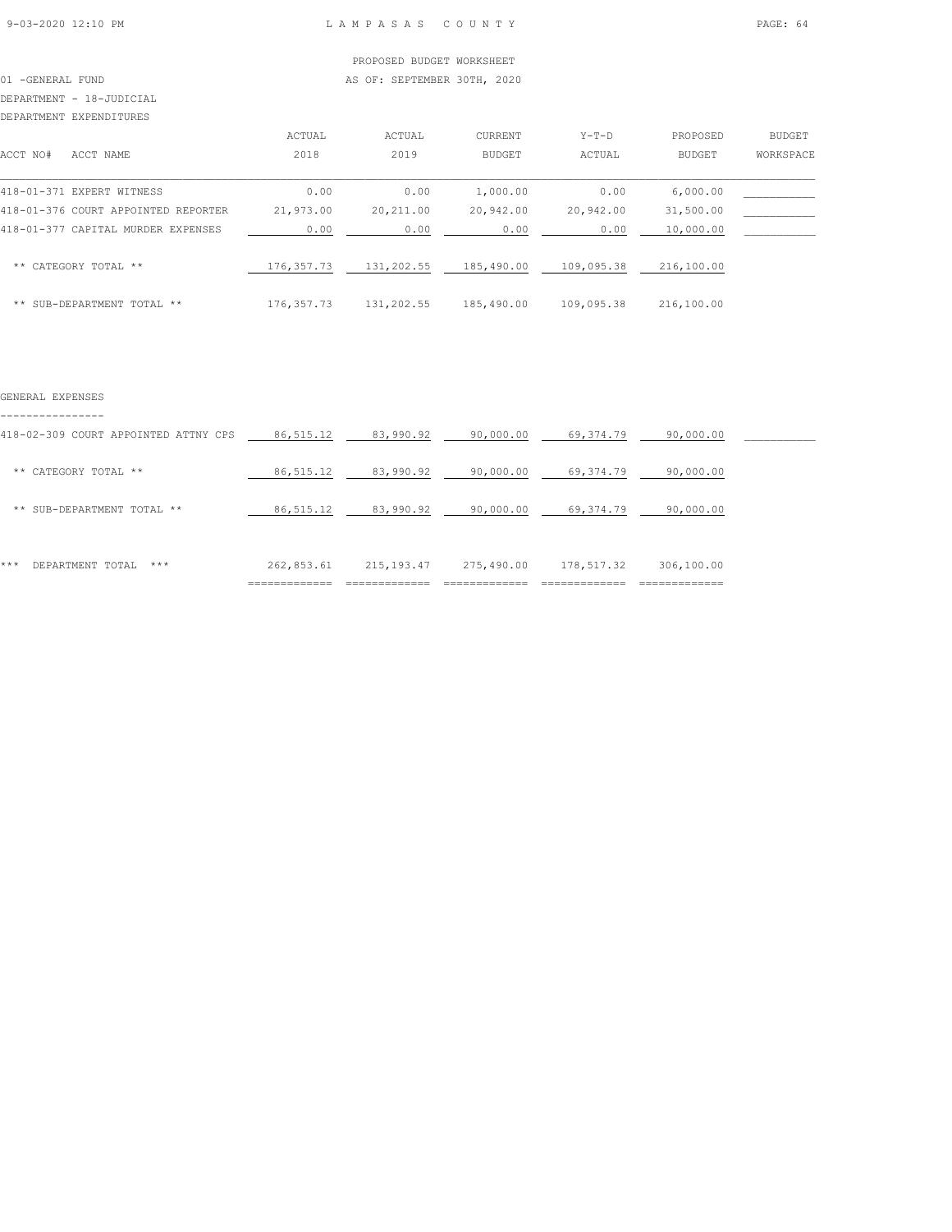# 01 -GENERAL FUND **AS OF: SEPTEMBER 30TH, 2020**

# DEPARTMENT - 18-JUDICIAL

DEPARTMENT EXPENDITURES

| DEPARTMENT EXPENDITURES             |             |            |                |            |               |           |
|-------------------------------------|-------------|------------|----------------|------------|---------------|-----------|
|                                     | ACTUAL      | ACTUAL     | <b>CURRENT</b> | $Y-T-D$    | PROPOSED      | BUDGET    |
| ACCT NO#<br>ACCT NAME               | 2018        | 2019       | BUDGET         | ACTUAL     | <b>BUDGET</b> | WORKSPACE |
| 418-01-371 EXPERT WITNESS           | 0.00        | 0.00       | 1,000.00       | 0.00       | 6,000.00      |           |
| 418-01-376 COURT APPOINTED REPORTER | 21,973.00   | 20,211.00  | 20,942.00      | 20,942.00  | 31,500.00     |           |
| 418-01-377 CAPITAL MURDER EXPENSES  | 0.00        | 0.00       | 0.00           | 0.00       | 10,000.00     |           |
| ** CATEGORY TOTAL **                | 176, 357.73 | 131,202.55 | 185,490.00     | 109,095.38 | 216,100.00    |           |
| ** SUB-DEPARTMENT TOTAL **          | 176, 357.73 | 131,202.55 | 185,490.00     | 109,095.38 | 216,100.00    |           |

### GENERAL EXPENSES

----------------

|                                      | ============= |             |            |            | ----------- |  |
|--------------------------------------|---------------|-------------|------------|------------|-------------|--|
| ***<br>***<br>DEPARTMENT TOTAL       | 262,853.61    | 215, 193.47 | 275,490.00 | 178,517.32 | 306,100.00  |  |
| ** SUB-DEPARTMENT TOTAL **           | 86, 515.12    | 83,990.92   | 90,000.00  | 69,374.79  | 90,000.00   |  |
| ** CATEGORY TOTAL **                 | 86, 515.12    | 83,990.92   | 90,000.00  | 69,374.79  | 90,000.00   |  |
| 418-02-309 COURT APPOINTED ATTNY CPS | 86, 515.12    | 83,990.92   | 90,000.00  | 69,374.79  | 90,000.00   |  |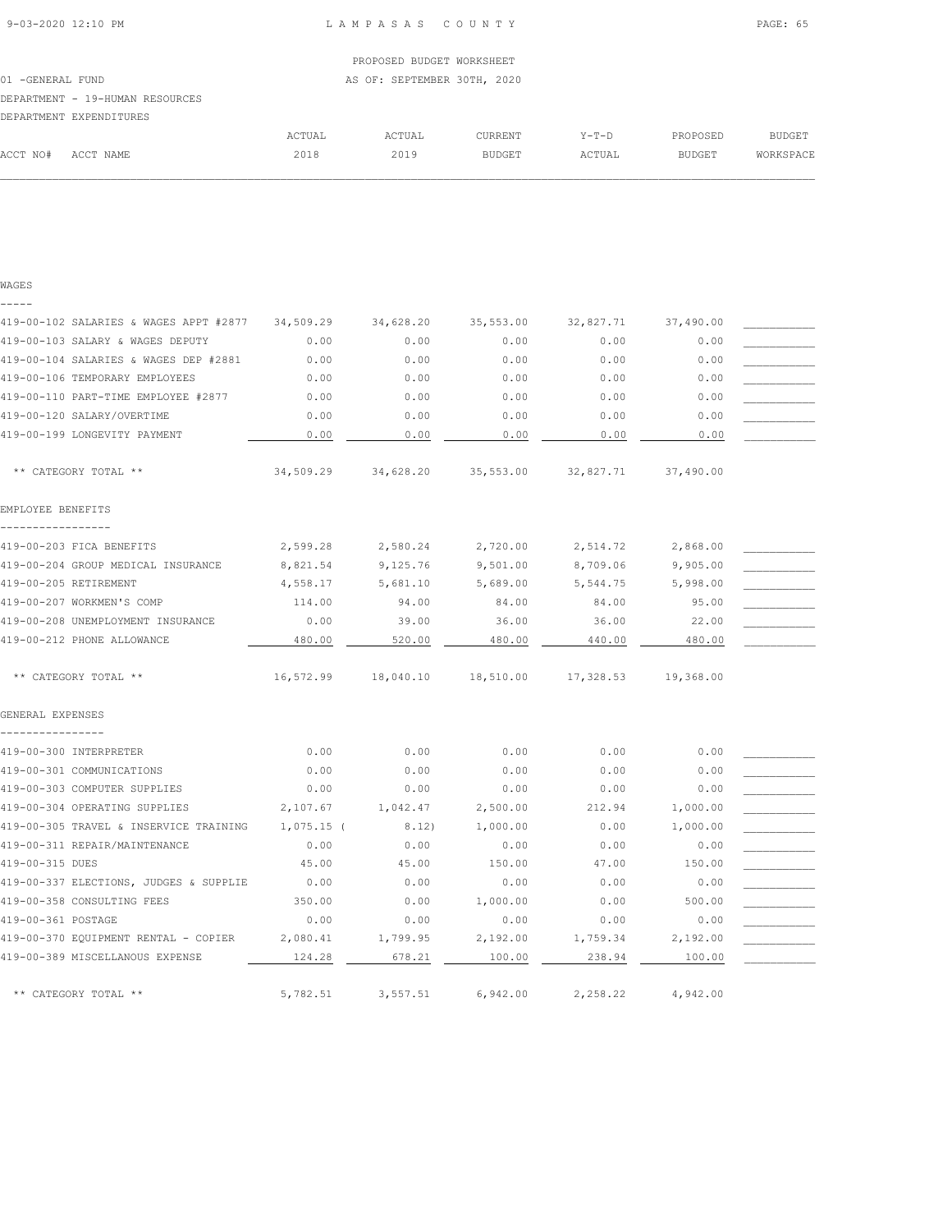|               |                                 |        | PROPOSED BUDGET WORKSHEET   |         |         |          |           |
|---------------|---------------------------------|--------|-----------------------------|---------|---------|----------|-----------|
| -GENERAL FUND |                                 |        | AS OF: SEPTEMBER 30TH, 2020 |         |         |          |           |
|               | DEPARTMENT - 19-HUMAN RESOURCES |        |                             |         |         |          |           |
|               | DEPARTMENT EXPENDITURES         |        |                             |         |         |          |           |
|               |                                 | ACTUAL | ACTUAL                      | CURRENT | $Y-T-D$ | PROPOSED | BUDGET    |
| ACCT NO#      | ACCT NAME                       | 2018   | 2019                        | BUDGET  | ACTUAL  | BUDGET   | WORKSPACE |

| $\sim$<br>٠<br>۰, |  |
|-------------------|--|
|                   |  |

| 419-00-102 SALARIES & WAGES APPT #2877 | 34,509.29  | 34,628.20 | 35,553.00 | 32,827.71 | 37,490.00 |  |
|----------------------------------------|------------|-----------|-----------|-----------|-----------|--|
| 419-00-103 SALARY & WAGES DEPUTY       | 0.00       | 0.00      | 0.00      | 0.00      | 0.00      |  |
| 419-00-104 SALARIES & WAGES DEP #2881  | 0.00       | 0.00      | 0.00      | 0.00      | 0.00      |  |
| 419-00-106 TEMPORARY EMPLOYEES         | 0.00       | 0.00      | 0.00      | 0.00      | 0.00      |  |
| 419-00-110 PART-TIME EMPLOYEE #2877    | 0.00       | 0.00      | 0.00      | 0.00      | 0.00      |  |
| 419-00-120 SALARY/OVERTIME             | 0.00       | 0.00      | 0.00      | 0.00      | 0.00      |  |
| 419-00-199 LONGEVITY PAYMENT           | 0.00       | 0.00      | 0.00      | 0.00      | 0.00      |  |
| ** CATEGORY TOTAL **                   | 34,509.29  | 34,628.20 | 35,553.00 | 32,827.71 | 37,490.00 |  |
| EMPLOYEE BENEFITS                      |            |           |           |           |           |  |
|                                        |            |           |           |           |           |  |
| 419-00-203 FICA BENEFITS               | 2,599.28   | 2,580.24  | 2,720.00  | 2,514.72  | 2,868.00  |  |
| 419-00-204 GROUP MEDICAL INSURANCE     | 8,821.54   | 9,125.76  | 9,501.00  | 8,709.06  | 9,905.00  |  |
| 419-00-205 RETIREMENT                  | 4,558.17   | 5,681.10  | 5,689.00  | 5,544.75  | 5,998.00  |  |
| 419-00-207 WORKMEN'S COMP              | 114.00     | 94.00     | 84.00     | 84.00     | 95.00     |  |
| 419-00-208 UNEMPLOYMENT INSURANCE      | 0.00       | 39.00     | 36.00     | 36.00     | 22.00     |  |
| 419-00-212 PHONE ALLOWANCE             | 480.00     | 520.00    | 480.00    | 440.00    | 480.00    |  |
| ** CATEGORY TOTAL **                   | 16,572.99  | 18,040.10 | 18,510.00 | 17,328.53 | 19,368.00 |  |
| GENERAL EXPENSES                       |            |           |           |           |           |  |
| ---------                              |            |           |           |           |           |  |
| 419-00-300 INTERPRETER                 | 0.00       | 0.00      | 0.00      | 0.00      | 0.00      |  |
| 419-00-301 COMMUNICATIONS              | 0.00       | 0.00      | 0.00      | 0.00      | 0.00      |  |
| 419-00-303 COMPUTER SUPPLIES           | 0.00       | 0.00      | 0.00      | 0.00      | 0.00      |  |
| 419-00-304 OPERATING SUPPLIES          | 2,107.67   | 1,042.47  | 2,500.00  | 212.94    | 1,000.00  |  |
| 419-00-305 TRAVEL & INSERVICE TRAINING | 1,075.15 ( | 8.12)     | 1,000.00  | 0.00      | 1,000.00  |  |
| 419-00-311 REPAIR/MAINTENANCE          | 0.00       | 0.00      | 0.00      | 0.00      | 0.00      |  |
| 419-00-315 DUES                        | 45.00      | 45.00     | 150.00    | 47.00     | 150.00    |  |
| 419-00-337 ELECTIONS, JUDGES & SUPPLIE | 0.00       | 0.00      | 0.00      | 0.00      | 0.00      |  |
| 419-00-358 CONSULTING FEES             | 350.00     | 0.00      | 1,000.00  | 0.00      | 500.00    |  |
| 419-00-361 POSTAGE                     | 0.00       | 0.00      | 0.00      | 0.00      | 0.00      |  |
| 419-00-370 EQUIPMENT RENTAL - COPIER   | 2,080.41   | 1,799.95  | 2,192.00  | 1,759.34  | 2,192.00  |  |
| 419-00-389 MISCELLANOUS EXPENSE        | 124.28     | 678.21    | 100.00    | 238.94    | 100.00    |  |
| ** CATEGORY TOTAL **                   | 5,782.51   | 3,557.51  | 6,942.00  | 2,258.22  | 4,942.00  |  |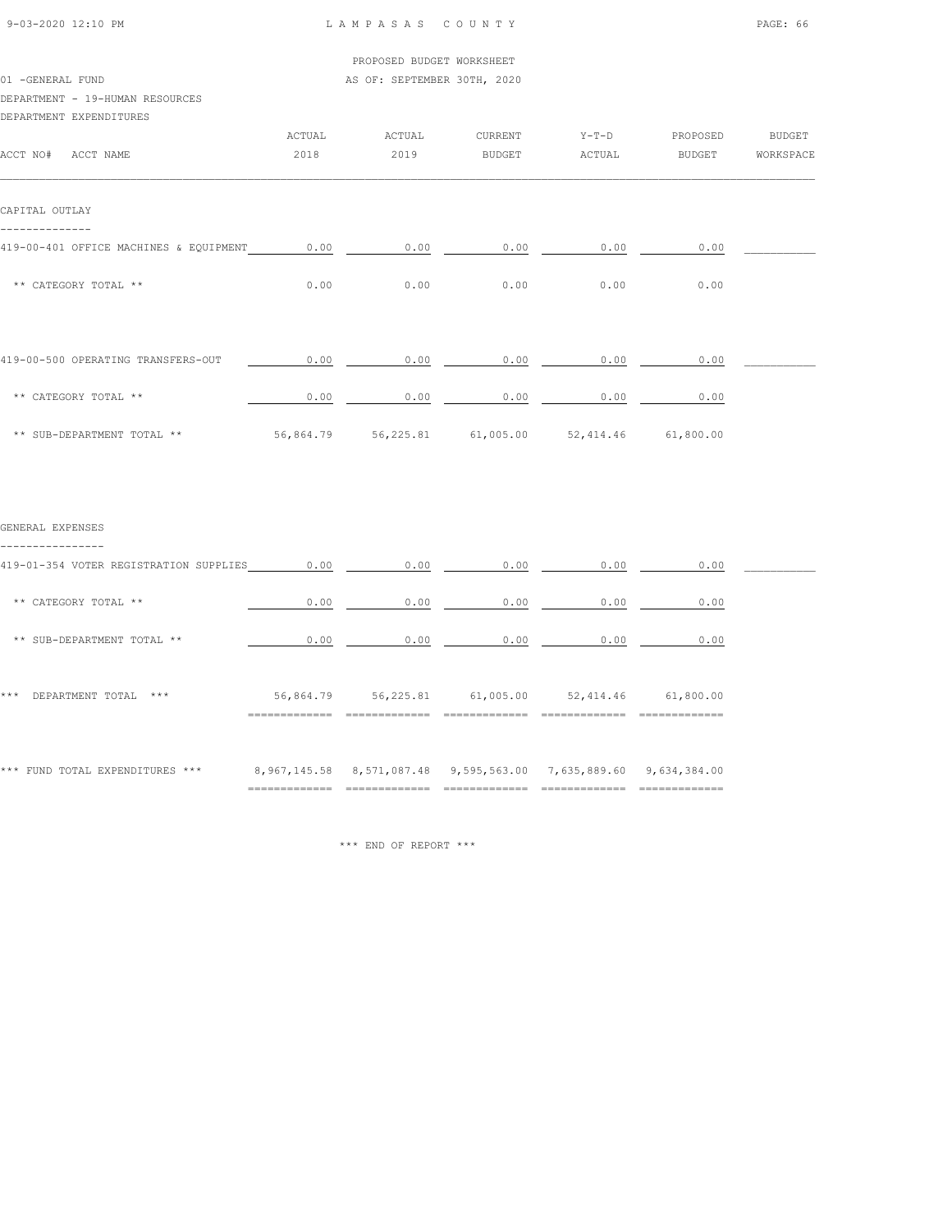| 9-03-2020 12:10 PM |  |
|--------------------|--|

L A M P A S A S C O U N T Y PAGE: 66

|  | PROPOSED BUDGET WORKSHEET |  |
|--|---------------------------|--|
|  |                           |  |

| 01 - GENERAL FUND<br>AS OF: SEPTEMBER 30TH, 2020 |
|--------------------------------------------------|
|--------------------------------------------------|

# DEPARTMENT - 19-HUMAN RESOURCES

| DBEARINBNI - IJ-HUMAN RBJOURCBJ        |        |        |               |         |          |               |
|----------------------------------------|--------|--------|---------------|---------|----------|---------------|
| DEPARTMENT EXPENDITURES                |        |        |               |         |          |               |
|                                        | ACTUAL | ACTUAL | CURRENT       | $Y-T-D$ | PROPOSED | <b>BUDGET</b> |
| ACCT NO#<br>ACCT NAME                  | 2018   | 2019   | <b>BUDGET</b> | ACTUAL  | BUDGET   | WORKSPACE     |
| CAPITAL OUTLAY                         |        |        |               |         |          |               |
| 419-00-401 OFFICE MACHINES & EQUIPMENT | 0.00   | 0.00   | 0.00          | 0.00    | 0.00     |               |
| ** CATEGORY TOTAL **                   | 0.00   | 0.00   | 0.00          | 0.00    | 0.00     |               |
|                                        |        |        |               |         |          |               |
|                                        |        |        |               |         |          |               |

| 419-00-500 OPERATING TRANSFERS-OUT | 0.00      | 0.00      | 0.00                | 0.00 | 0.00      |  |
|------------------------------------|-----------|-----------|---------------------|------|-----------|--|
| ** CATEGORY TOTAL **               | 0.00      | 0.00      | 0.00                | 0.00 | 0.00      |  |
| ** SUB-DEPARTMENT TOTAL **         | 56,864.79 | 56,225.81 | 61,005.00 52,414.46 |      | 61,800.00 |  |

| GENERAL EXPENSES |  |
|------------------|--|
|                  |  |

| -----------                            |                |           |                                                                  |           |                |  |
|----------------------------------------|----------------|-----------|------------------------------------------------------------------|-----------|----------------|--|
| 419-01-354 VOTER REGISTRATION SUPPLIES | 0.00           | 0.00      | 0.00                                                             | 0.00      | 0.00           |  |
| CATEGORY TOTAL **<br>**                | 0.00           | 0.00      | 0.00                                                             | 0.00      | 0.00           |  |
| ** SUB-DEPARTMENT TOTAL **             | 0.00           | 0.00      | 0.00                                                             | 0.00      | 0.00           |  |
| ***<br>DEPARTMENT TOTAL<br>$* * *$     | 56,864.79      | 56,225.81 | 61,005.00                                                        | 52,414.46 | 61,800.00      |  |
| *** FUND TOTAL EXPENDITURES ***        | -------------- |           | 8,967,145.58 8,571,087.48 9,595,563.00 7,635,889.60 9,634,384.00 |           | ______________ |  |

\*\*\* END OF REPORT \*\*\*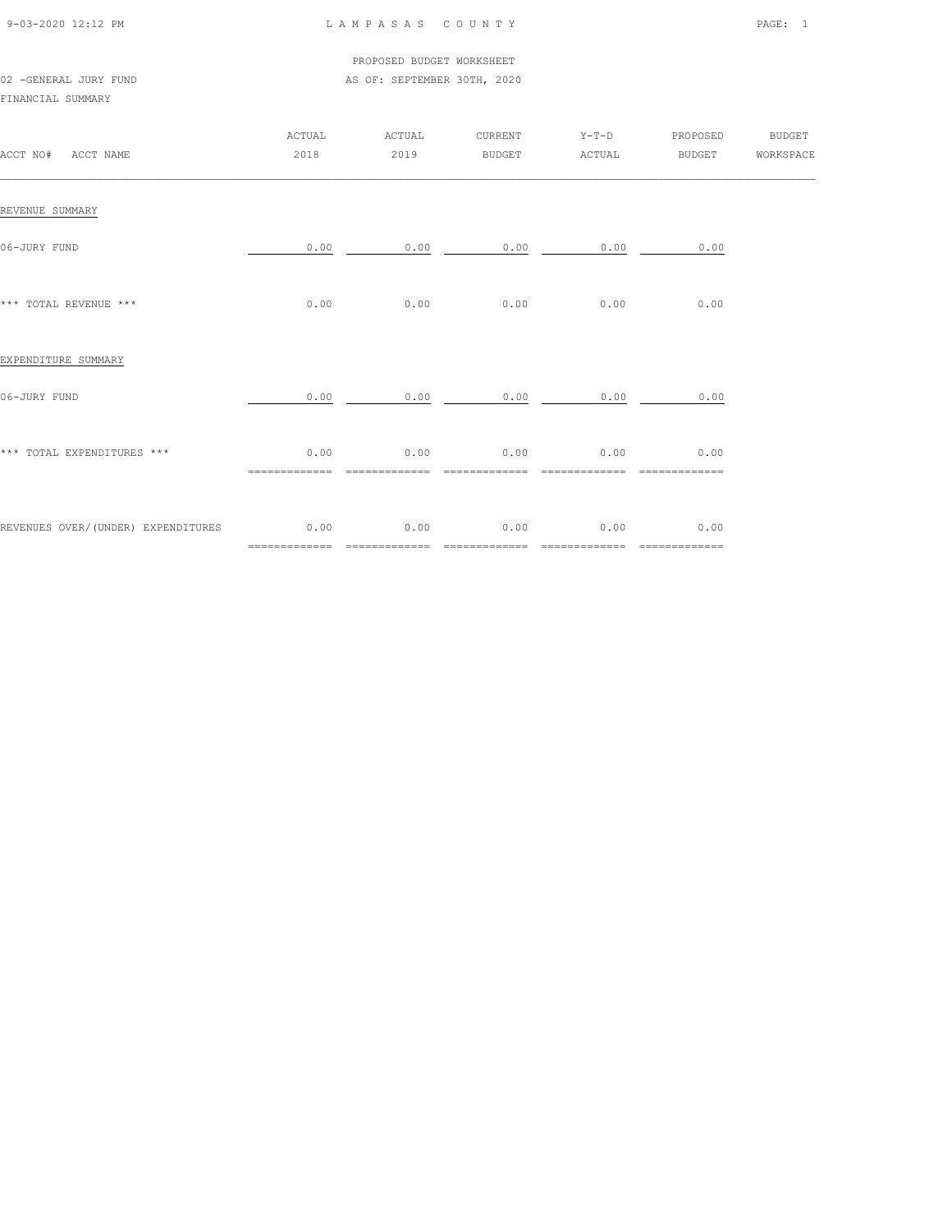| 9-03-2020 12:12 PM |  |
|--------------------|--|

## L A M P A S A S C O U N T Y PAGE: 1

### PROPOSED BUDGET WORKSHEET 02 -GENERAL JURY FUND **AS OF: SEPTEMBER 30TH, 2020**

FINANCIAL SUMMARY

| ACCT NO# ACCT NAME                 | ACTUAL<br>2018        | ACTUAL<br>2019         | CURRENT<br><b>BUDGET</b> | $Y-T-D$<br>ACTUAL               | PROPOSED<br>BUDGET WORKSPACE | <b>BUDGET</b> |
|------------------------------------|-----------------------|------------------------|--------------------------|---------------------------------|------------------------------|---------------|
| REVENUE SUMMARY                    |                       |                        |                          |                                 |                              |               |
| 06-JURY FUND                       |                       |                        |                          | $0.00$ 0.00 0.00 0.00 0.00 0.00 |                              |               |
| *** TOTAL REVENUE ***              | 0.00                  | 0.00                   | 0.00                     | 0.00                            | 0.00                         |               |
| EXPENDITURE SUMMARY                |                       |                        |                          |                                 |                              |               |
| 06-JURY FUND                       | 0.00                  | 0.00                   |                          | $0.00$ 0.00                     | 0.00                         |               |
| *** TOTAL EXPENDITURES ***         | 0.00                  | 0.00<br>============== | 0.00<br>==============   | 0.00<br>==============          | 0.00<br>=============        |               |
| REVENUES OVER/(UNDER) EXPENDITURES | 0.00<br>============= | 0.00<br>=============  | 0.00                     | 0.00<br>=============           | 0.00<br>=============        |               |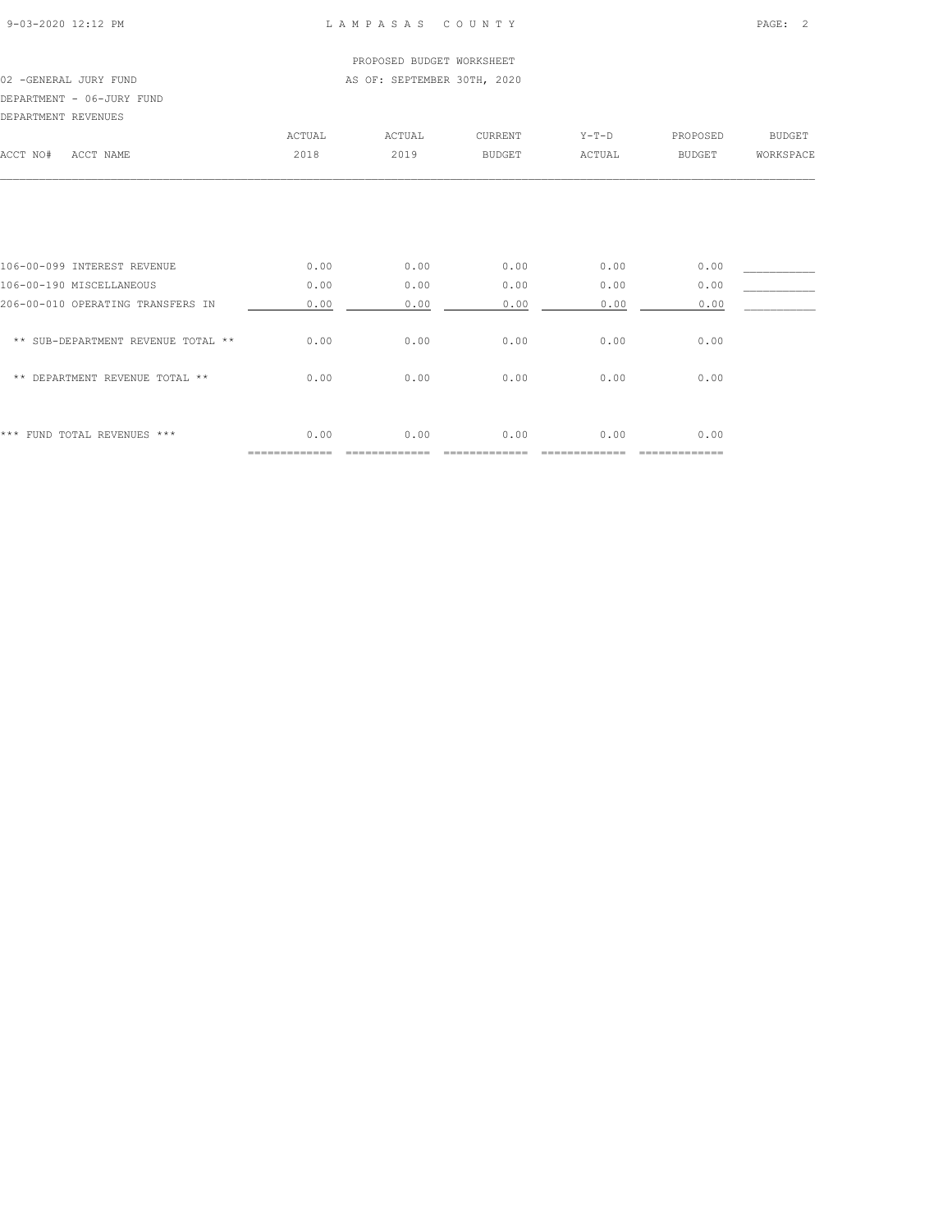## PROPOSED BUDGET WORKSHEET 02 -GENERAL JURY FUND **AS OF: SEPTEMBER 30TH, 2020** DEPARTMENT - 06-JURY FUND

| DEPARTMENT REVENUES |           |        |        |               |             |               |           |
|---------------------|-----------|--------|--------|---------------|-------------|---------------|-----------|
|                     |           | ACTUAL | ACTUAL | CURRENT       | $Y - T - D$ | PROPOSED      | BUDGET    |
| ACCT NO#            | ACCT NAME | 2018   | 2019   | <b>BUDGET</b> | ACTUAL      | <b>BUDGET</b> | WORKSPACE |

| 106-00-099 INTEREST REVENUE          | 0.00 | 0.00 | 0.00 | 0.00 | 0.00 |  |
|--------------------------------------|------|------|------|------|------|--|
| 106-00-190 MISCELLANEOUS             | 0.00 | 0.00 | 0.00 | 0.00 | 0.00 |  |
| 206-00-010 OPERATING TRANSFERS IN    | 0.00 | 0.00 | 0.00 | 0.00 | 0.00 |  |
| ** SUB-DEPARTMENT REVENUE TOTAL **   | 0.00 | 0.00 | 0.00 | 0.00 | 0.00 |  |
| DEPARTMENT REVENUE TOTAL **<br>$* *$ | 0.00 | 0.00 | 0.00 | 0.00 | 0.00 |  |
|                                      |      |      |      |      |      |  |
|                                      |      |      |      |      |      |  |
| *** FUND TOTAL REVENUES ***          | 0.00 | 0.00 | 0.00 | 0.00 | 0.00 |  |
|                                      |      |      |      |      |      |  |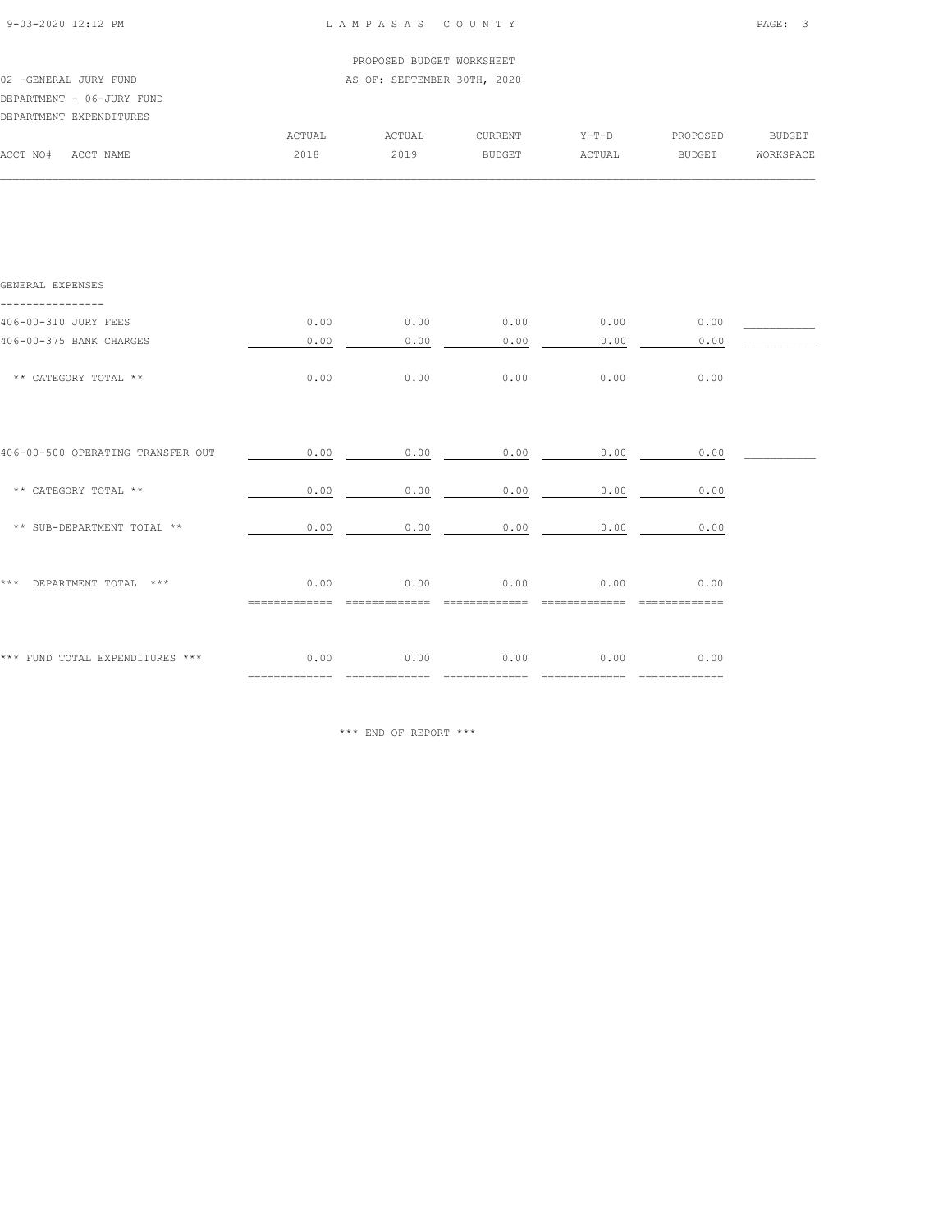|                             |      |                |                                              |                  | PAGE: 3                                                                                                                                        |
|-----------------------------|------|----------------|----------------------------------------------|------------------|------------------------------------------------------------------------------------------------------------------------------------------------|
|                             |      |                |                                              |                  |                                                                                                                                                |
| AS OF: SEPTEMBER 30TH, 2020 |      |                |                                              |                  |                                                                                                                                                |
| ACTUAL                      |      | CURRENT        |                                              |                  |                                                                                                                                                |
| 2018                        | 2019 | <b>BUDGET</b>  | ACTUAL                                       | <b>BUDGET</b>    | WORKSPACE                                                                                                                                      |
|                             |      |                |                                              |                  |                                                                                                                                                |
|                             |      |                |                                              |                  |                                                                                                                                                |
|                             |      |                |                                              |                  |                                                                                                                                                |
|                             |      |                |                                              |                  |                                                                                                                                                |
|                             |      |                |                                              | 0.00             |                                                                                                                                                |
| 0.00                        | 0.00 | 0.00           | 0.00                                         | 0.00             |                                                                                                                                                |
| 0.00                        | 0.00 | 0.00           | 0.00                                         | 0.00             |                                                                                                                                                |
|                             |      |                |                                              |                  |                                                                                                                                                |
|                             |      |                |                                              | 0.00             |                                                                                                                                                |
|                             |      |                |                                              | 0.00             |                                                                                                                                                |
|                             |      |                |                                              |                  |                                                                                                                                                |
|                             |      | 0.00<br>0.00   | 0.00                                         | 0.00             |                                                                                                                                                |
|                             |      | ACTUAL<br>0.00 | LAMPASAS COUNTY<br>PROPOSED BUDGET WORKSHEET | $0.00$ 0.00 0.00 | Y-T-D PROPOSED BUDGET<br>$0.00$ $0.00$ $0.00$ $0.00$ $0.00$<br>$0.00$ 0.00 0.00 0.00 0.00<br>$0.00$ $0.00$ $0.00$ $0.00$ $0.00$ $0.00$<br>0.00 |

\*\*\* FUND TOTAL EXPENDITURES \*\*\*  $0.00$  0.00 0.00 0.00 0.00 0.00 0.00 ============= ============= ============= ============= =============

\*\*\* END OF REPORT \*\*\*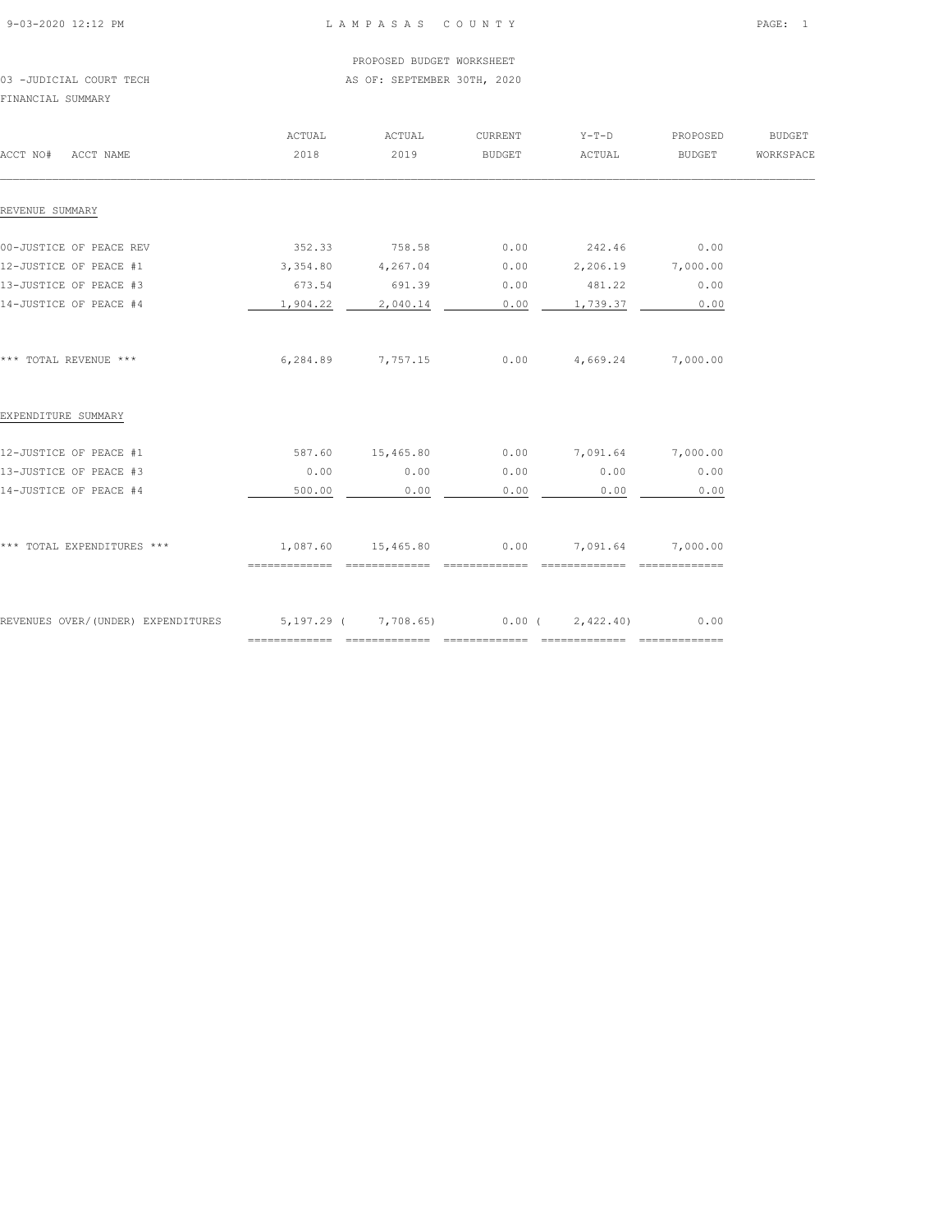## PROPOSED BUDGET WORKSHEET 03 -JUDICIAL COURT TECH **AS OF: SEPTEMBER 30TH, 2020**

FINANCIAL SUMMARY

| ACCT NO#<br>ACCT NAME              | ACTUAL<br>2018                                | ACTUAL<br>2019 | CURRENT<br><b>BUDGET</b> | $Y-T-D$<br>ACTUAL | PROPOSED<br>BUDGET | <b>BUDGET</b><br>WORKSPACE |
|------------------------------------|-----------------------------------------------|----------------|--------------------------|-------------------|--------------------|----------------------------|
|                                    |                                               |                |                          |                   |                    |                            |
| REVENUE SUMMARY                    |                                               |                |                          |                   |                    |                            |
| 00-JUSTICE OF PEACE REV            | 352.33                                        | 758.58         | 0.00                     | 242.46            | 0.00               |                            |
| 12-JUSTICE OF PEACE #1             | 3,354.80                                      | 4,267.04       | 0.00                     | 2,206.19 7,000.00 |                    |                            |
| 13-JUSTICE OF PEACE #3             | 673.54                                        | 691.39         | 0.00                     | 481.22            | 0.00               |                            |
| 14-JUSTICE OF PEACE #4             | 1,904.22                                      | 2,040.14       | 0.00                     | 1,739.37          | 0.00               |                            |
|                                    |                                               |                |                          |                   |                    |                            |
| *** TOTAL REVENUE ***              | 6,284.89                                      | 7,757.15       | 0.00                     | 4,669.24          | 7,000.00           |                            |
| EXPENDITURE SUMMARY                |                                               |                |                          |                   |                    |                            |
| 12-JUSTICE OF PEACE #1             | 587.60                                        | 15,465.80      | 0.00                     | 7,091.64          | 7,000.00           |                            |
| 13-JUSTICE OF PEACE #3             | 0.00                                          | 0.00           | 0.00                     | 0.00              | 0.00               |                            |
| 14-JUSTICE OF PEACE #4             | 500.00                                        | 0.00           | 0.00                     | 0.00              | 0.00               |                            |
|                                    |                                               |                |                          |                   |                    |                            |
| *** TOTAL EXPENDITURES ***         | 1,087.60                                      | 15,465.80      | 0.00                     | 7,091.64          | 7,000.00           |                            |
|                                    | ==============                                | ============== | ==============           |                   |                    |                            |
| REVENUES OVER/(UNDER) EXPENDITURES | $5,197.29$ ( $7,708.65$ ) 0.00 ( $2,422.40$ ) |                |                          |                   | 0.00               |                            |
|                                    |                                               | -------------- | =============            | --------------    | ==============     |                            |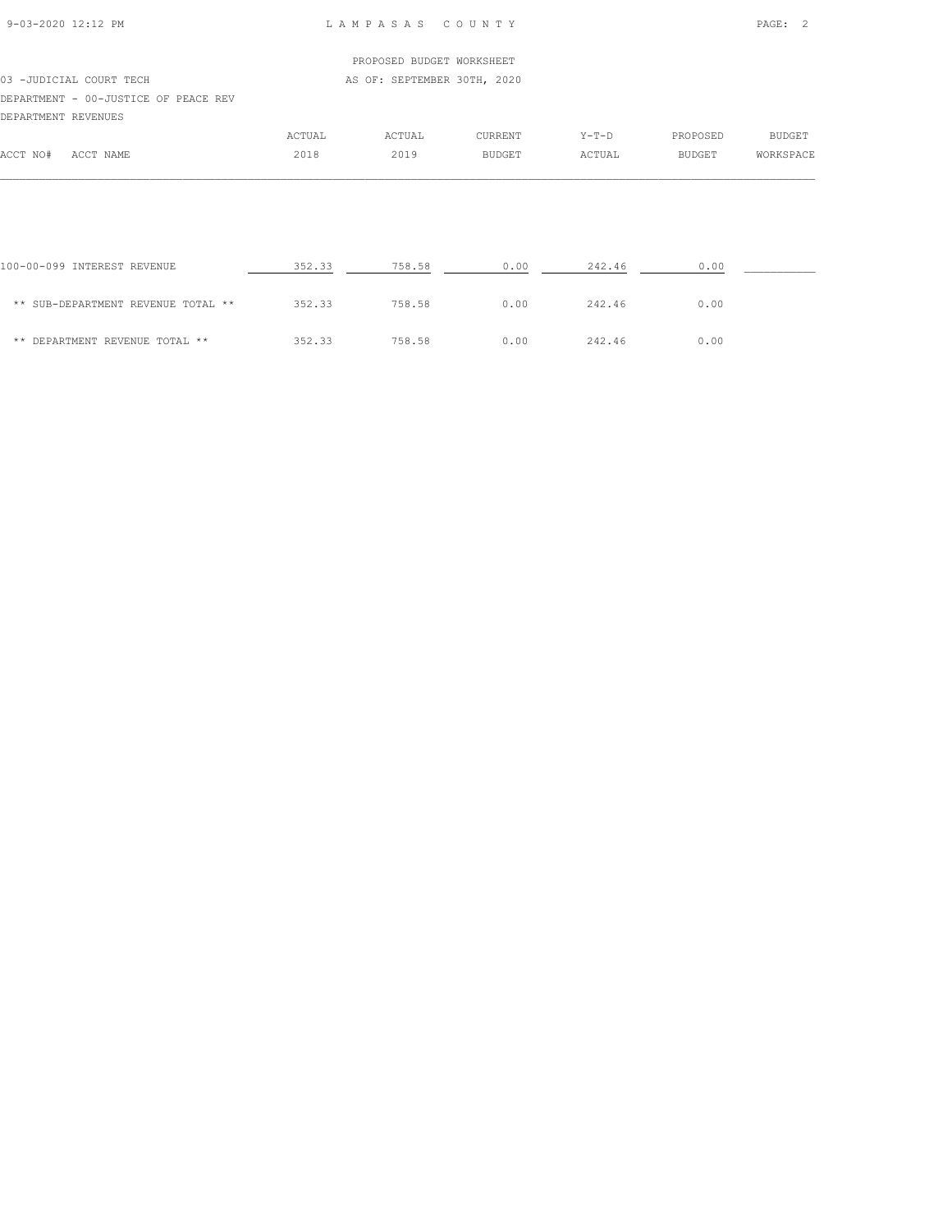# PROPOSED BUDGET WORKSHEET 03 -JUDICIAL COURT TECH AS OF: SEPTEMBER 30TH, 2020 DEPARTMENT - 00-JUSTICE OF PEACE REV DEPARTMENT REVENUES ACTUAL ACTUAL CURRENT Y-T-D PROPOSED BUDGET ACCT NO# ACCT NAME 2018 2019 BUDGET ACTUAL BUDGET WORKSPACE

| 100-00-099 INTEREST REVENUE        | 352.33 | 758.58 | 0.00 | 242.46 | 0.00 |  |
|------------------------------------|--------|--------|------|--------|------|--|
| ** SUB-DEPARTMENT REVENUE TOTAL ** | 352.33 | 758.58 | 0.00 | 242.46 | 0.00 |  |
| ** DEPARTMENT REVENUE TOTAL **     | 352.33 | 758.58 | 0.00 | 242.46 | 0.00 |  |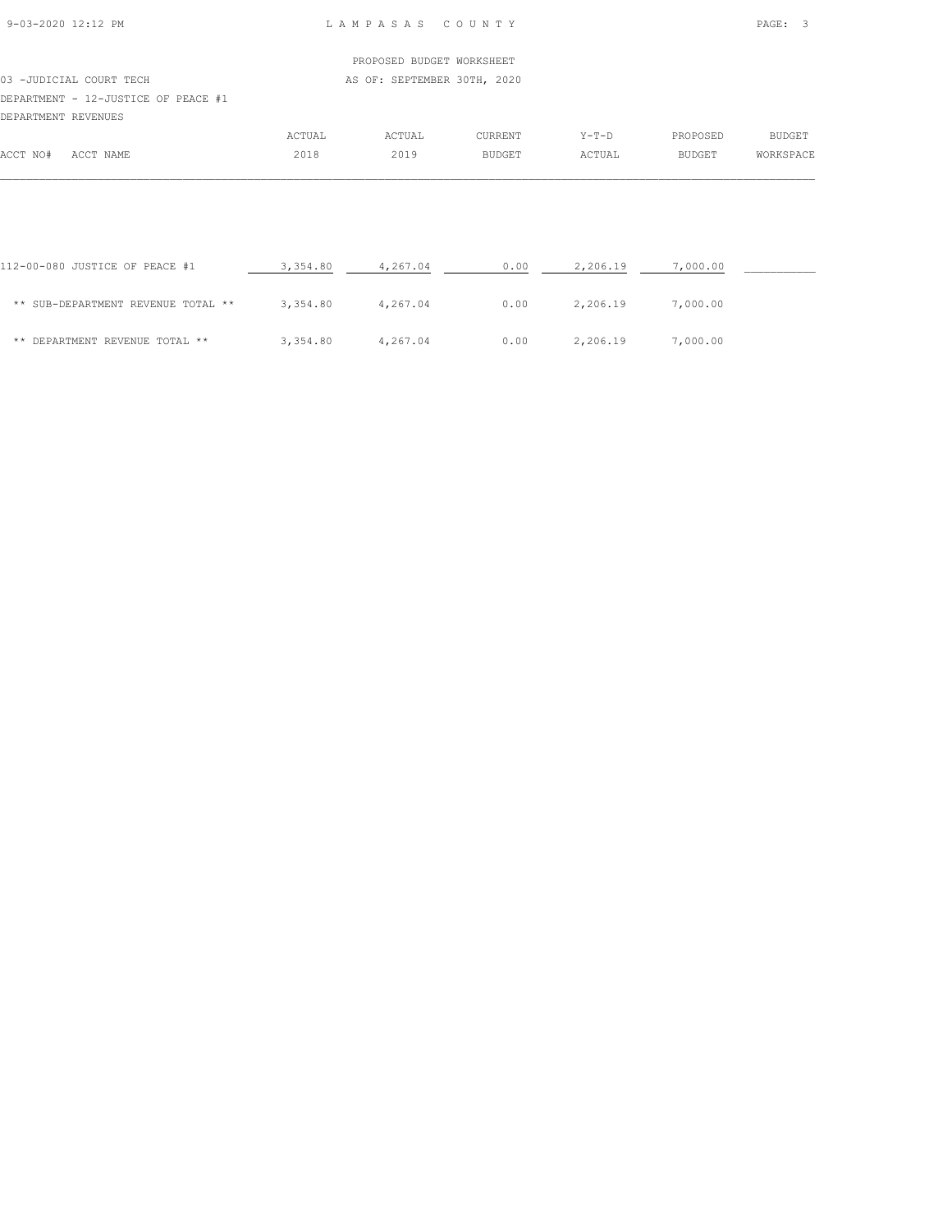# PROPOSED BUDGET WORKSHEET 03 -JUDICIAL COURT TECH AS OF: SEPTEMBER 30TH, 2020 DEPARTMENT - 12-JUSTICE OF PEACE #1 DEPARTMENT REVENUES ACTUAL ACTUAL CURRENT Y-T-D PROPOSED BUDGET ACCT NO# ACCT NAME 2018 2019 BUDGET ACTUAL BUDGET WORKSPACE

| 112-00-080 JUSTICE OF PEACE #1     | 3,354.80 | 4,267.04 | 0.00 | 2,206.19 | 7,000.00 |  |
|------------------------------------|----------|----------|------|----------|----------|--|
| ** SUB-DEPARTMENT REVENUE TOTAL ** | 3,354.80 | 4,267.04 | 0.00 | 2,206.19 | 7,000.00 |  |
| ** DEPARTMENT REVENUE TOTAL **     | 3,354.80 | 4,267.04 | 0.00 | 2,206.19 | 7,000.00 |  |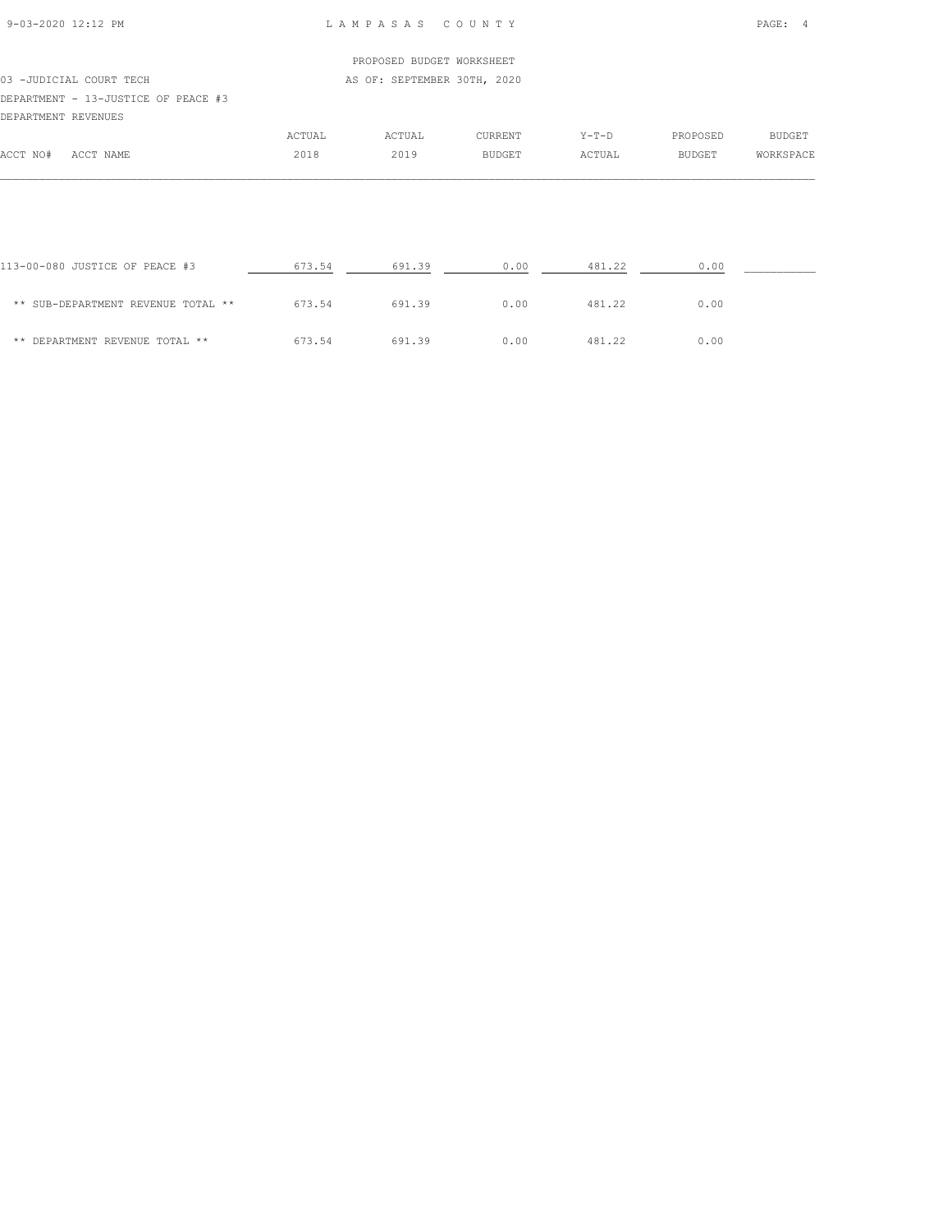## PROPOSED BUDGET WORKSHEET 03 -JUDICIAL COURT TECH AS OF: SEPTEMBER 30TH, 2020 DEPARTMENT - 13-JUSTICE OF PEACE #3 DEPARTMENT REVENUES ACTUAL ACTUAL CURRENT Y-T-D PROPOSED BUDGET ACCT NO# ACCT NAME 2018 2019 BUDGET ACTUAL BUDGET WORKSPACE

| 113-00-080 JUSTICE OF PEACE #3     | 673.54 | 691.39 | 0.00 | 481.22 | 0.00 |  |
|------------------------------------|--------|--------|------|--------|------|--|
| ** SUB-DEPARTMENT REVENUE TOTAL ** | 673.54 | 691.39 | 0.00 | 481.22 | 0.00 |  |
| ** DEPARTMENT REVENUE TOTAL **     | 673.54 | 691.39 | 0.00 | 481.22 | 0.00 |  |

 $\mathcal{L} = \{ \mathcal{L} = \{ \mathcal{L} = \{ \mathcal{L} = \{ \mathcal{L} = \{ \mathcal{L} = \{ \mathcal{L} = \{ \mathcal{L} = \{ \mathcal{L} = \{ \mathcal{L} = \{ \mathcal{L} = \{ \mathcal{L} = \{ \mathcal{L} = \{ \mathcal{L} = \{ \mathcal{L} = \{ \mathcal{L} = \{ \mathcal{L} = \{ \mathcal{L} = \{ \mathcal{L} = \{ \mathcal{L} = \{ \mathcal{L} = \{ \mathcal{L} = \{ \mathcal{L} = \{ \mathcal{L} = \{ \mathcal{$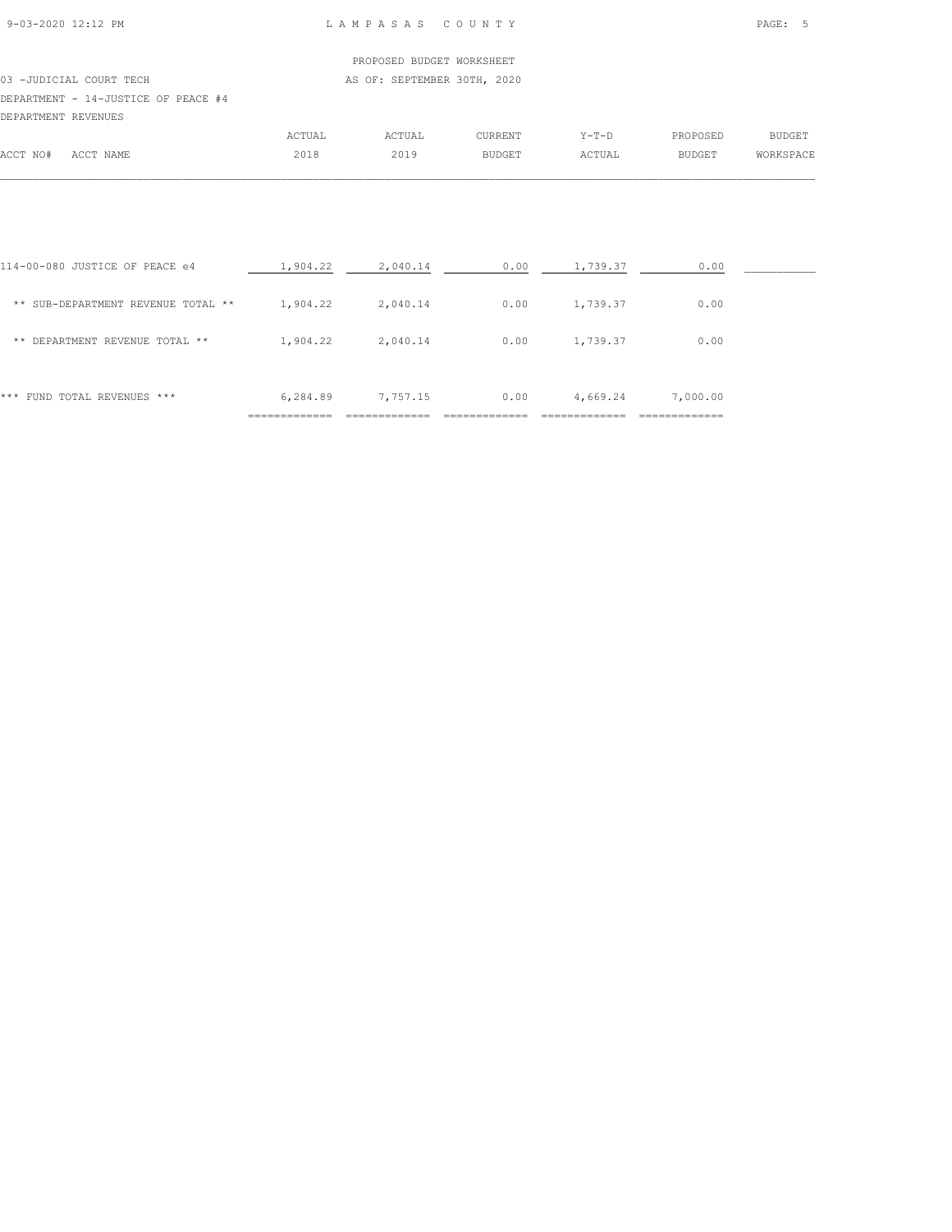## PROPOSED BUDGET WORKSHEET 03 -JUDICIAL COURT TECH AS OF: SEPTEMBER 30TH, 2020 DEPARTMENT - 14-JUSTICE OF PEACE #4 DEPARTMENT REVENUES ACTUAL ACTUAL CURRENT Y-T-D PROPOSED BUDGET

|                                    |                                                    | 1101111 | 110111 | <b>UULUULIL</b> |        | -------       | ------ |
|------------------------------------|----------------------------------------------------|---------|--------|-----------------|--------|---------------|--------|
| $\sqrt{2}$<br>$M \cap H$<br>– IN∪∓ | NAME<br>$\sim$ $\sim$ $\sim$ $\sim$<br>AUU 1<br>__ | 2018    | つの     | <b>BUDGET</b>   | ACTUAL | <b>BUDGET</b> | SPACI  |
|                                    |                                                    |         |        |                 |        |               |        |

| FUND TOTAL REVENUES ***<br>***     | 6,284.89 | 7,757.15 | 0.00 | 4,669.24 | 7,000.00 |  |
|------------------------------------|----------|----------|------|----------|----------|--|
| DEPARTMENT REVENUE TOTAL **<br>**  | 1,904.22 | 2,040.14 | 0.00 | 1,739.37 | 0.00     |  |
| ** SUB-DEPARTMENT REVENUE TOTAL ** | 1,904.22 | 2,040.14 | 0.00 | 1,739.37 | 0.00     |  |
| 114-00-080 JUSTICE OF PEACE e4     | 1,904.22 | 2,040.14 | 0.00 | 1,739.37 | 0.00     |  |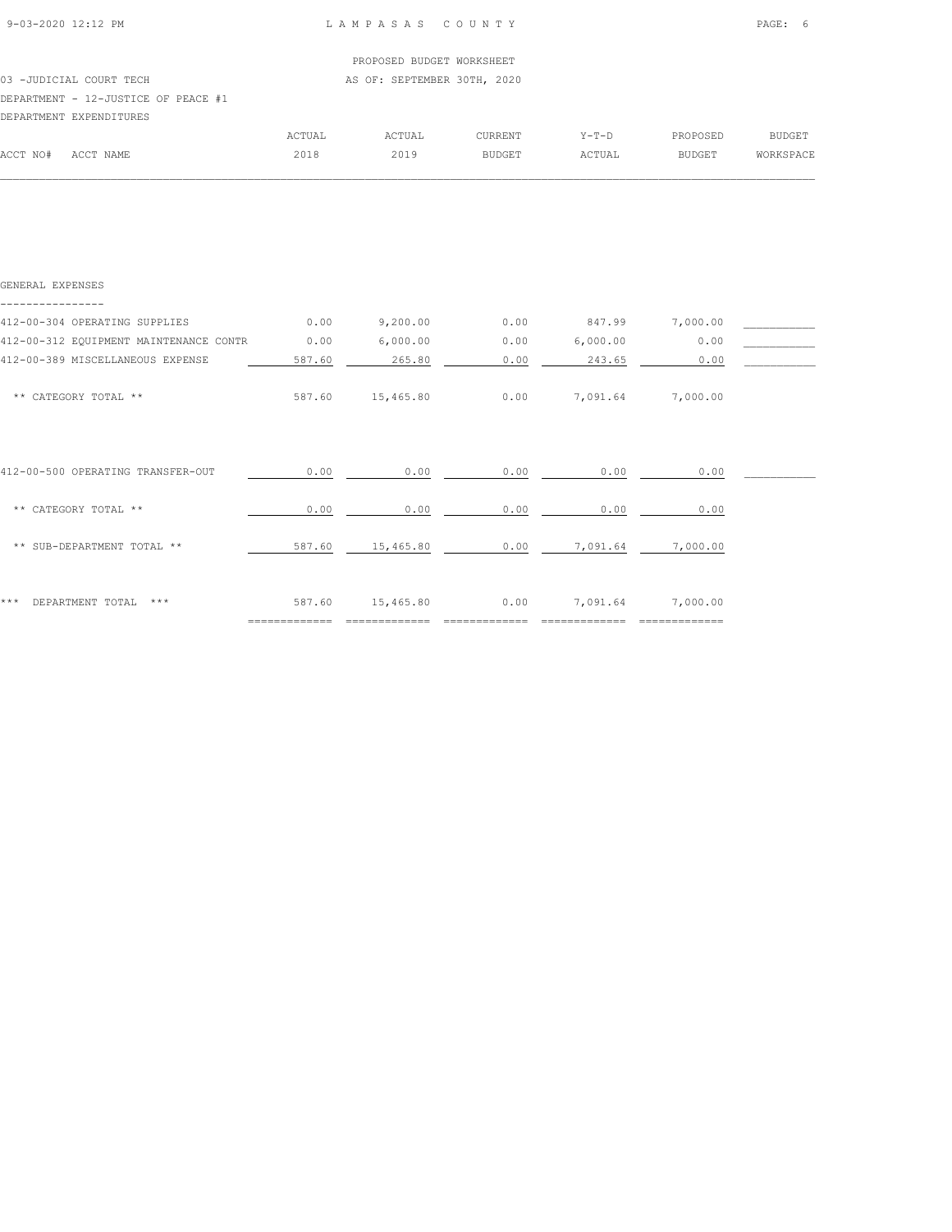03 -JUDICIAL COURT TECH AS OF: SEPTEMBER 30TH, 2020

## DEPARTMENT - 12-JUSTICE OF PEACE #1

|          | DEPARTMENT EXPENDITURES |        |               |                |         |               |               |
|----------|-------------------------|--------|---------------|----------------|---------|---------------|---------------|
|          |                         | ACTUAL | <b>ACTUAL</b> | <b>CURRENT</b> | $Y-T-D$ | PROPOSED      | <b>BUDGET</b> |
| ACCT NO# | ACCT NAME               | 2018   | 2019          | <b>BUDGET</b>  | ACTUAL  | <b>BUDGET</b> | WORKSPACE     |
|          |                         |        |               |                |         |               |               |

| GENERAL EXPENSES                       |        |           |      |          |          |  |
|----------------------------------------|--------|-----------|------|----------|----------|--|
| 412-00-304 OPERATING SUPPLIES          | 0.00   | 9,200.00  | 0.00 | 847.99   | 7,000.00 |  |
| 412-00-312 EQUIPMENT MAINTENANCE CONTR | 0.00   | 6,000.00  | 0.00 | 6,000.00 | 0.00     |  |
| 412-00-389 MISCELLANEOUS EXPENSE       | 587.60 | 265.80    | 0.00 | 243.65   | 0.00     |  |
| ** CATEGORY TOTAL **                   | 587.60 | 15,465.80 | 0.00 | 7,091.64 | 7,000.00 |  |
| 412-00-500 OPERATING TRANSFER-OUT      | 0.00   | 0.00      | 0.00 | 0.00     | 0.00     |  |
| ** CATEGORY TOTAL **                   | 0.00   | 0.00      | 0.00 | 0.00     | 0.00     |  |
| ** SUB-DEPARTMENT TOTAL **             | 587.60 | 15,465.80 | 0.00 | 7,091.64 | 7,000.00 |  |
| DEPARTMENT TOTAL<br>* * *<br>$***$     | 587.60 | 15,465.80 | 0.00 | 7,091.64 | 7,000.00 |  |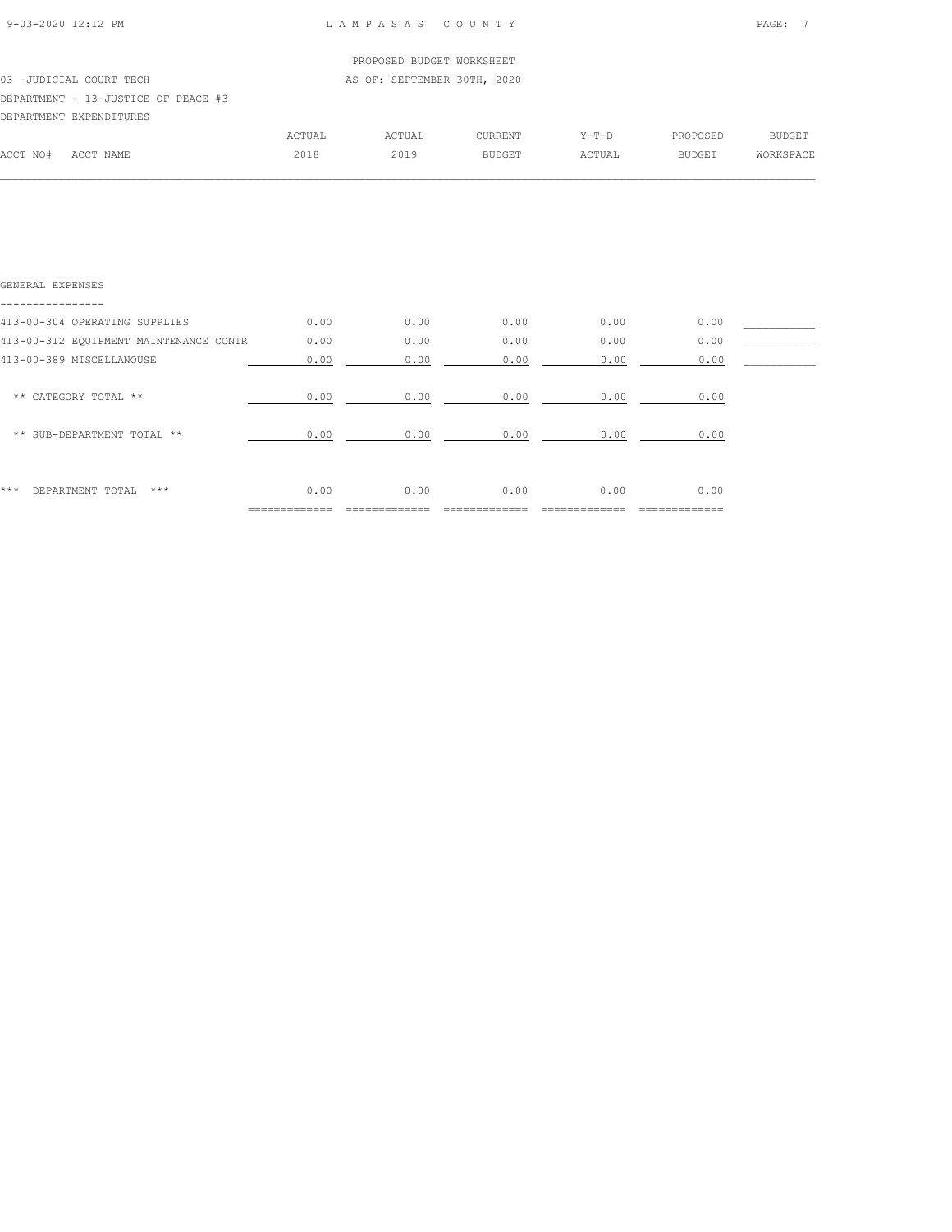$\mathcal{L} = \{ \mathcal{L} = \{ \mathcal{L} = \{ \mathcal{L} = \{ \mathcal{L} = \{ \mathcal{L} = \{ \mathcal{L} = \{ \mathcal{L} = \{ \mathcal{L} = \{ \mathcal{L} = \{ \mathcal{L} = \{ \mathcal{L} = \{ \mathcal{L} = \{ \mathcal{L} = \{ \mathcal{L} = \{ \mathcal{L} = \{ \mathcal{L} = \{ \mathcal{L} = \{ \mathcal{L} = \{ \mathcal{L} = \{ \mathcal{L} = \{ \mathcal{L} = \{ \mathcal{L} = \{ \mathcal{L} = \{ \mathcal{$ 

|          |                                     |        | PROPOSED BUDGET WORKSHEET   |               |         |               |                  |
|----------|-------------------------------------|--------|-----------------------------|---------------|---------|---------------|------------------|
|          | 03 -JUDICIAL COURT TECH             |        | AS OF: SEPTEMBER 30TH, 2020 |               |         |               |                  |
|          | DEPARTMENT - 13-JUSTICE OF PEACE #3 |        |                             |               |         |               |                  |
|          | DEPARTMENT EXPENDITURES             |        |                             |               |         |               |                  |
|          |                                     | ACTUAL | ACTUAL                      | CURRENT       | $Y-T-D$ | PROPOSED      | BUDGET           |
| ACCT NO# | ACCT NAME                           | 2018   | 2019                        | <b>BUDGET</b> | ACTUAL  | <b>BUDGET</b> | <b>WORKSPACE</b> |
|          |                                     |        |                             |               |         |               |                  |

| GENERAL EXPENSES                       |      |      |      |      |      |  |
|----------------------------------------|------|------|------|------|------|--|
|                                        |      |      |      |      |      |  |
| 413-00-304 OPERATING SUPPLIES          | 0.00 | 0.00 | 0.00 | 0.00 | 0.00 |  |
| 413-00-312 EQUIPMENT MAINTENANCE CONTR | 0.00 | 0.00 | 0.00 | 0.00 | 0.00 |  |
| 413-00-389 MISCELLANOUSE               | 0.00 | 0.00 | 0.00 | 0.00 | 0.00 |  |
|                                        |      |      |      |      |      |  |
| ** CATEGORY TOTAL **                   | 0.00 | 0.00 | 0.00 | 0.00 | 0.00 |  |
|                                        |      |      |      |      |      |  |
| ** SUB-DEPARTMENT TOTAL **             | 0.00 | 0.00 | 0.00 | 0.00 | 0.00 |  |
|                                        |      |      |      |      |      |  |
|                                        |      |      |      |      |      |  |
| ***<br>DEPARTMENT TOTAL<br>$***$       | 0.00 | 0.00 | 0.00 | 0.00 | 0.00 |  |
|                                        |      |      |      |      |      |  |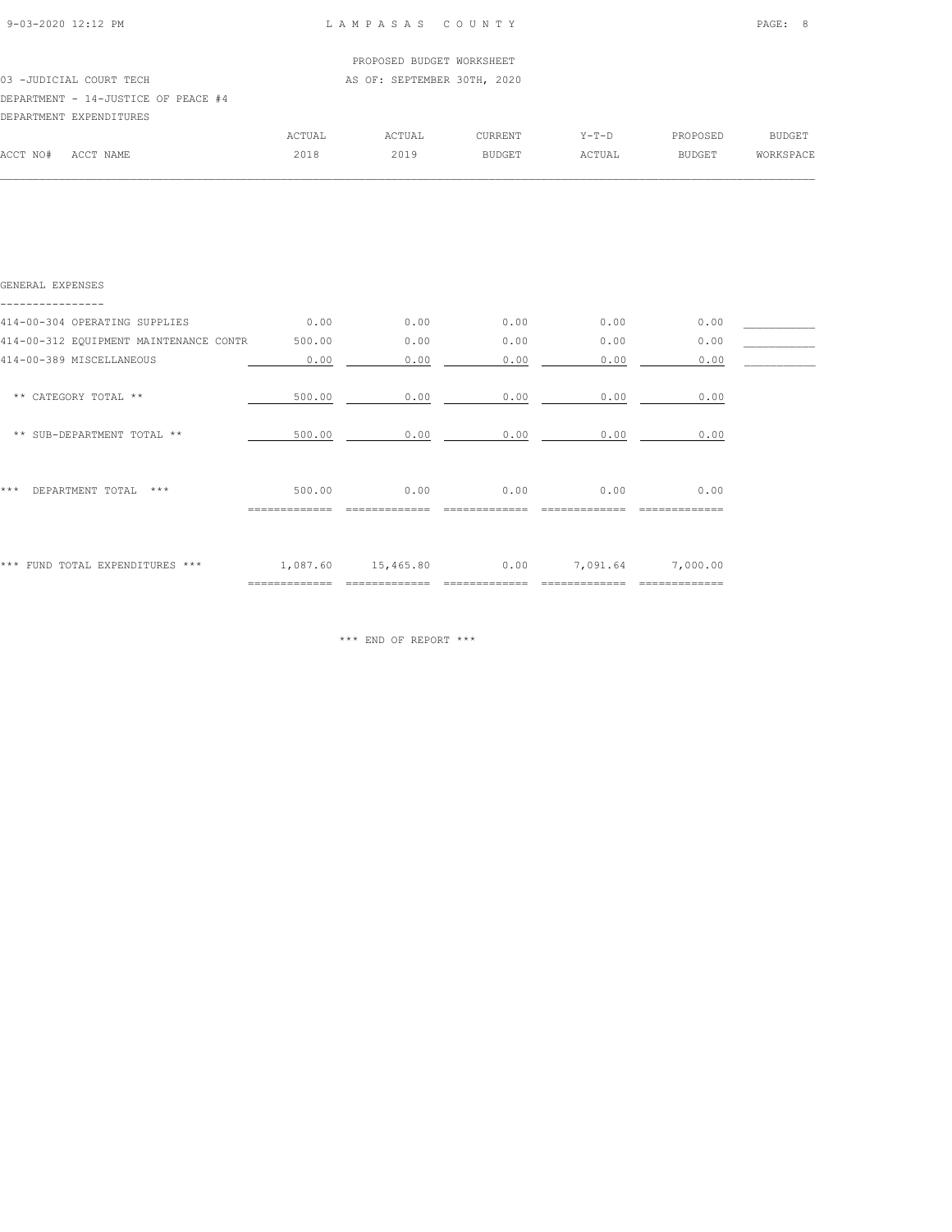$\mathcal{L} = \{ \mathcal{L} = \{ \mathcal{L} = \{ \mathcal{L} = \{ \mathcal{L} = \{ \mathcal{L} = \{ \mathcal{L} = \{ \mathcal{L} = \{ \mathcal{L} = \{ \mathcal{L} = \{ \mathcal{L} = \{ \mathcal{L} = \{ \mathcal{L} = \{ \mathcal{L} = \{ \mathcal{L} = \{ \mathcal{L} = \{ \mathcal{L} = \{ \mathcal{L} = \{ \mathcal{L} = \{ \mathcal{L} = \{ \mathcal{L} = \{ \mathcal{L} = \{ \mathcal{L} = \{ \mathcal{L} = \{ \mathcal{$ 

|          |                                     |        | PROPOSED BUDGET WORKSHEET   |         |         |               |               |
|----------|-------------------------------------|--------|-----------------------------|---------|---------|---------------|---------------|
|          | 03 -JUDICIAL COURT TECH             |        | AS OF: SEPTEMBER 30TH, 2020 |         |         |               |               |
|          | DEPARTMENT - 14-JUSTICE OF PEACE #4 |        |                             |         |         |               |               |
|          | DEPARTMENT EXPENDITURES             |        |                             |         |         |               |               |
|          |                                     | ACTUAL | ACTUAL                      | CURRENT | $Y-T-D$ | PROPOSED      | <b>BUDGET</b> |
| ACCT NO# | ACCT NAME                           | 2018   | 2019                        | BUDGET  | ACTUAL  | <b>BUDGET</b> | WORKSPACE     |
|          |                                     |        |                             |         |         |               |               |

| GENERAL EXPENSES                       |                            |           |      |          |                         |  |
|----------------------------------------|----------------------------|-----------|------|----------|-------------------------|--|
| 414-00-304 OPERATING SUPPLIES          | 0.00                       | 0.00      | 0.00 | 0.00     | 0.00                    |  |
| 414-00-312 EQUIPMENT MAINTENANCE CONTR | 500.00                     | 0.00      | 0.00 | 0.00     | 0.00                    |  |
| 414-00-389 MISCELLANEOUS               | 0.00                       | 0.00      | 0.00 | 0.00     | 0.00                    |  |
| ** CATEGORY TOTAL **                   | 500.00                     | 0.00      | 0.00 | 0.00     | 0.00                    |  |
| ** SUB-DEPARTMENT TOTAL **             | 500.00                     | 0.00      | 0.00 | 0.00     | 0.00                    |  |
| ***<br>DEPARTMENT TOTAL<br>$* * *$     | 500.00                     | 0.00      | 0.00 | 0.00     | 0.00                    |  |
| FUND TOTAL EXPENDITURES ***<br>***     | 1,087.60<br>============== | 15,465.80 | 0.00 | 7,091.64 | 7,000.00<br>----------- |  |

\*\*\* END OF REPORT \*\*\*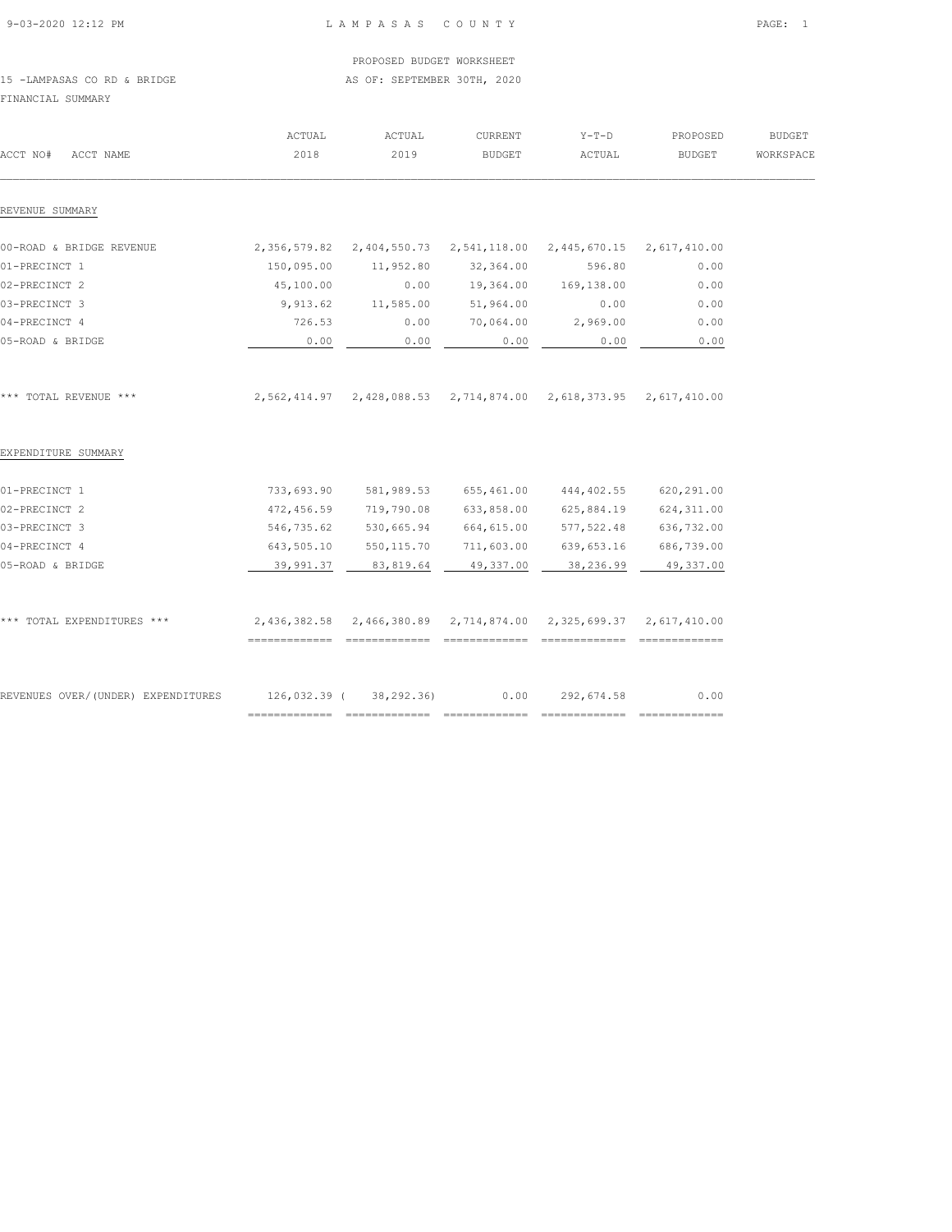|  | 9-03-2020 12:12 PM |  |
|--|--------------------|--|

## L A M P A S A S C O U N T Y PAGE: 1

#### PROPOSED BUDGET WORKSHEET 15 -LAMPASAS CO RD & BRIDGE AS OF: SEPTEMBER 30TH, 2020

FINANCIAL SUMMARY

| ACCT NO#<br>ACCT NAME              | ACTUAL<br>2018         | ACTUAL<br>2019                                                       | <b>CURRENT</b><br><b>BUDGET</b> | $Y-T-D$<br>ACTUAL              | PROPOSED<br><b>BUDGET</b>     | <b>BUDGET</b><br>WORKSPACE |
|------------------------------------|------------------------|----------------------------------------------------------------------|---------------------------------|--------------------------------|-------------------------------|----------------------------|
|                                    |                        |                                                                      |                                 |                                |                               |                            |
| REVENUE SUMMARY                    |                        |                                                                      |                                 |                                |                               |                            |
| 00-ROAD & BRIDGE REVENUE           | 2,356,579.82           |                                                                      | 2,404,550.73 2,541,118.00       |                                | 2, 445, 670.15 2, 617, 410.00 |                            |
| 01-PRECINCT 1                      | 150,095.00             | 11,952.80                                                            | 32,364.00                       | 596.80                         | 0.00                          |                            |
| 02-PRECINCT 2                      | 45,100.00              | 0.00                                                                 | 19,364.00                       | 169,138.00                     | 0.00                          |                            |
| 03-PRECINCT 3                      | 9,913.62               | 11,585.00                                                            | 51,964.00                       | 0.00                           | 0.00                          |                            |
| 04-PRECINCT 4                      | 726.53                 | 0.00                                                                 | 70,064.00                       | 2,969.00                       | 0.00                          |                            |
| 05-ROAD & BRIDGE                   | 0.00                   | 0.00                                                                 | 0.00                            | 0.00                           | 0.00                          |                            |
|                                    |                        |                                                                      |                                 |                                |                               |                            |
| *** TOTAL REVENUE ***              |                        | 2,562,414.97  2,428,088.53  2,714,874.00  2,618,373.95  2,617,410.00 |                                 |                                |                               |                            |
| EXPENDITURE SUMMARY                |                        |                                                                      |                                 |                                |                               |                            |
| 01-PRECINCT 1                      | 733,693.90             | 581,989.53                                                           | 655,461.00                      | 444,402.55                     | 620,291.00                    |                            |
| 02-PRECINCT 2                      | 472,456.59             | 719,790.08                                                           | 633,858.00                      | 625,884.19                     | 624,311.00                    |                            |
| 03-PRECINCT 3                      | 546,735.62             | 530,665.94                                                           | 664,615.00                      | 577, 522.48                    | 636,732.00                    |                            |
| 04-PRECINCT 4                      | 643,505.10             | 550, 115.70                                                          | 711,603.00                      | 639,653.16                     | 686,739.00                    |                            |
| 05-ROAD & BRIDGE                   | 39,991.37              | 83,819.64                                                            | 49,337.00                       | 38,236.99                      | 49,337.00                     |                            |
|                                    |                        |                                                                      |                                 |                                |                               |                            |
| *** TOTAL EXPENDITURES ***         |                        | 2,436,382.58 2,466,380.89 2,714,874.00 2,325,699.37 2,617,410.00     |                                 |                                |                               |                            |
|                                    |                        |                                                                      |                                 |                                |                               |                            |
| REVENUES OVER/(UNDER) EXPENDITURES | 126,032.39 (38,292.36) |                                                                      | 0.00                            | 292,674.58                     | 0.00                          |                            |
|                                    | ==============         | ==============                                                       |                                 | ============================== | _______________               |                            |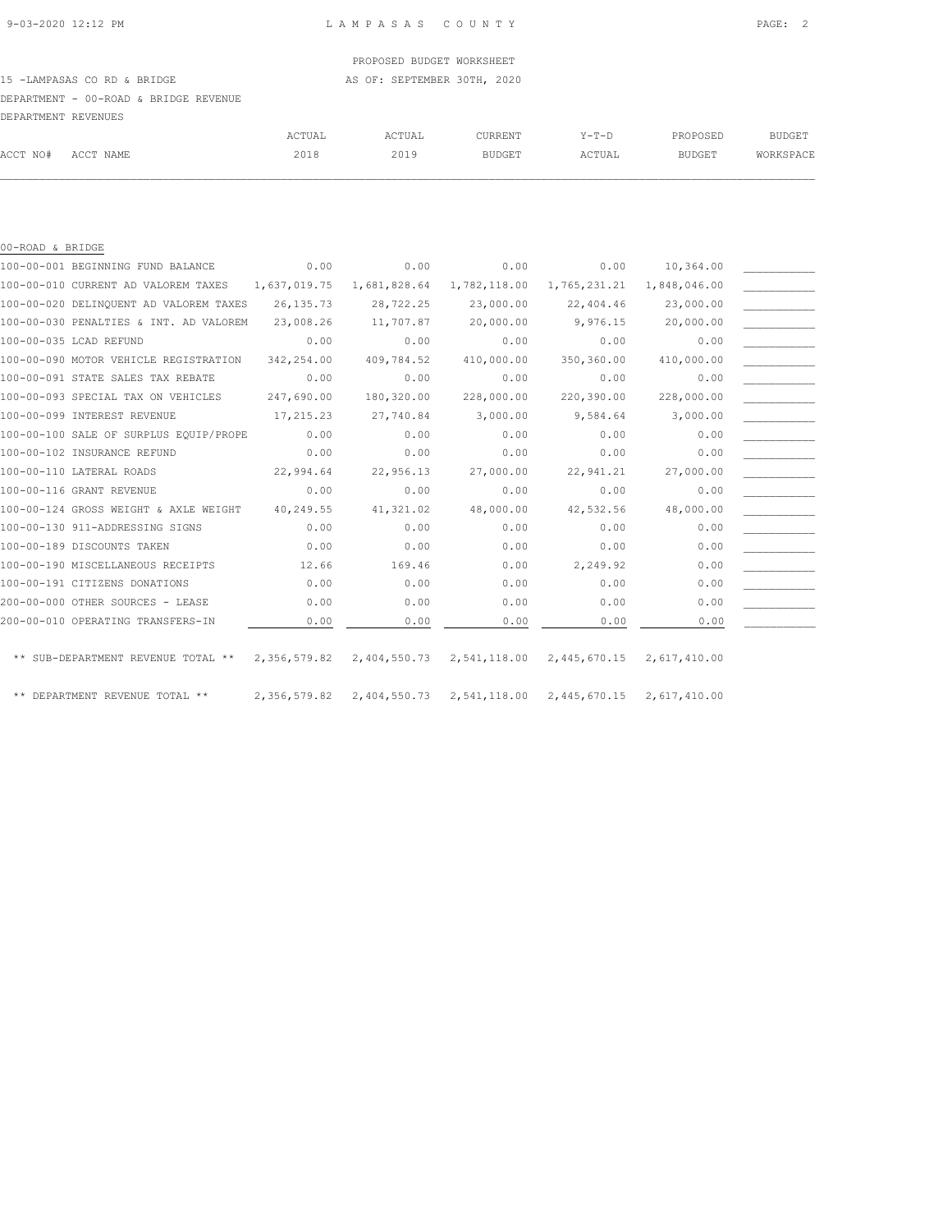15 -LAMPASAS CO RD & BRIDGE AS OF: SEPTEMBER 30TH, 2020

## DEPARTMENT - 00-ROAD & BRIDGE REVENUE

| DEPARTMENT REVENUES |           |        |        |                |        |               |           |
|---------------------|-----------|--------|--------|----------------|--------|---------------|-----------|
|                     |           | ACTUAL | ACTUAL | <b>CURRENT</b> | Y-T-D  | PROPOSED      | BUDGET    |
| ACCT NO#            | ACCT NAME | 2018   | 2019   | <b>BUDGET</b>  | ACTUAL | <b>BUDGET</b> | WORKSPACE |
|                     |           |        |        |                |        |               |           |

| 00-ROAD & BRIDGE |                                        |              |              |                           |              |                           |  |
|------------------|----------------------------------------|--------------|--------------|---------------------------|--------------|---------------------------|--|
|                  | 100-00-001 BEGINNING FUND BALANCE      | 0.00         | 0.00         | 0.00                      | 0.00         | 10,364.00                 |  |
|                  | 100-00-010 CURRENT AD VALOREM TAXES    | 1,637,019.75 | 1,681,828.64 | 1,782,118.00              | 1,765,231.21 | 1,848,046.00              |  |
|                  | 100-00-020 DELINQUENT AD VALOREM TAXES | 26, 135.73   | 28,722.25    | 23,000.00                 | 22,404.46    | 23,000.00                 |  |
|                  | 100-00-030 PENALTIES & INT. AD VALOREM | 23,008.26    | 11,707.87    | 20,000.00                 | 9,976.15     | 20,000.00                 |  |
|                  | 100-00-035 LCAD REFUND                 | 0.00         | 0.00         | 0.00                      | 0.00         | 0.00                      |  |
|                  | 100-00-090 MOTOR VEHICLE REGISTRATION  | 342,254.00   | 409,784.52   | 410,000.00                | 350,360.00   | 410,000.00                |  |
|                  | 100-00-091 STATE SALES TAX REBATE      | 0.00         | 0.00         | 0.00                      | 0.00         | 0.00                      |  |
|                  | 100-00-093 SPECIAL TAX ON VEHICLES     | 247,690.00   | 180,320.00   | 228,000.00                | 220,390.00   | 228,000.00                |  |
|                  | 100-00-099 INTEREST REVENUE            | 17,215.23    | 27,740.84    | 3,000.00                  | 9,584.64     | 3,000.00                  |  |
|                  | 100-00-100 SALE OF SURPLUS EQUIP/PROPE | 0.00         | 0.00         | 0.00                      | 0.00         | 0.00                      |  |
|                  | 100-00-102 INSURANCE REFUND            | 0.00         | 0.00         | 0.00                      | 0.00         | 0.00                      |  |
|                  | 100-00-110 LATERAL ROADS               | 22,994.64    | 22,956.13    | 27,000.00                 | 22,941.21    | 27,000.00                 |  |
|                  | 100-00-116 GRANT REVENUE               | 0.00         | 0.00         | 0.00                      | 0.00         | 0.00                      |  |
|                  | 100-00-124 GROSS WEIGHT & AXLE WEIGHT  | 40,249.55    | 41,321.02    | 48,000.00                 | 42,532.56    | 48,000.00                 |  |
|                  | 100-00-130 911-ADDRESSING SIGNS        | 0.00         | 0.00         | 0.00                      | 0.00         | 0.00                      |  |
|                  | 100-00-189 DISCOUNTS TAKEN             | 0.00         | 0.00         | 0.00                      | 0.00         | 0.00                      |  |
|                  | 100-00-190 MISCELLANEOUS RECEIPTS      | 12.66        | 169.46       | 0.00                      | 2,249.92     | 0.00                      |  |
|                  | 100-00-191 CITIZENS DONATIONS          | 0.00         | 0.00         | 0.00                      | 0.00         | 0.00                      |  |
|                  | 200-00-000 OTHER SOURCES - LEASE       | 0.00         | 0.00         | 0.00                      | 0.00         | 0.00                      |  |
|                  | 200-00-010 OPERATING TRANSFERS-IN      | 0.00         | 0.00         | 0.00                      | 0.00         | 0.00                      |  |
|                  | ** SUB-DEPARTMENT REVENUE TOTAL **     | 2,356,579.82 |              | 2,404,550.73 2,541,118.00 |              | 2,445,670.15 2,617,410.00 |  |
|                  | ** DEPARTMENT REVENUE TOTAL **         | 2,356,579.82 | 2,404,550.73 | 2,541,118.00              | 2,445,670.15 | 2,617,410.00              |  |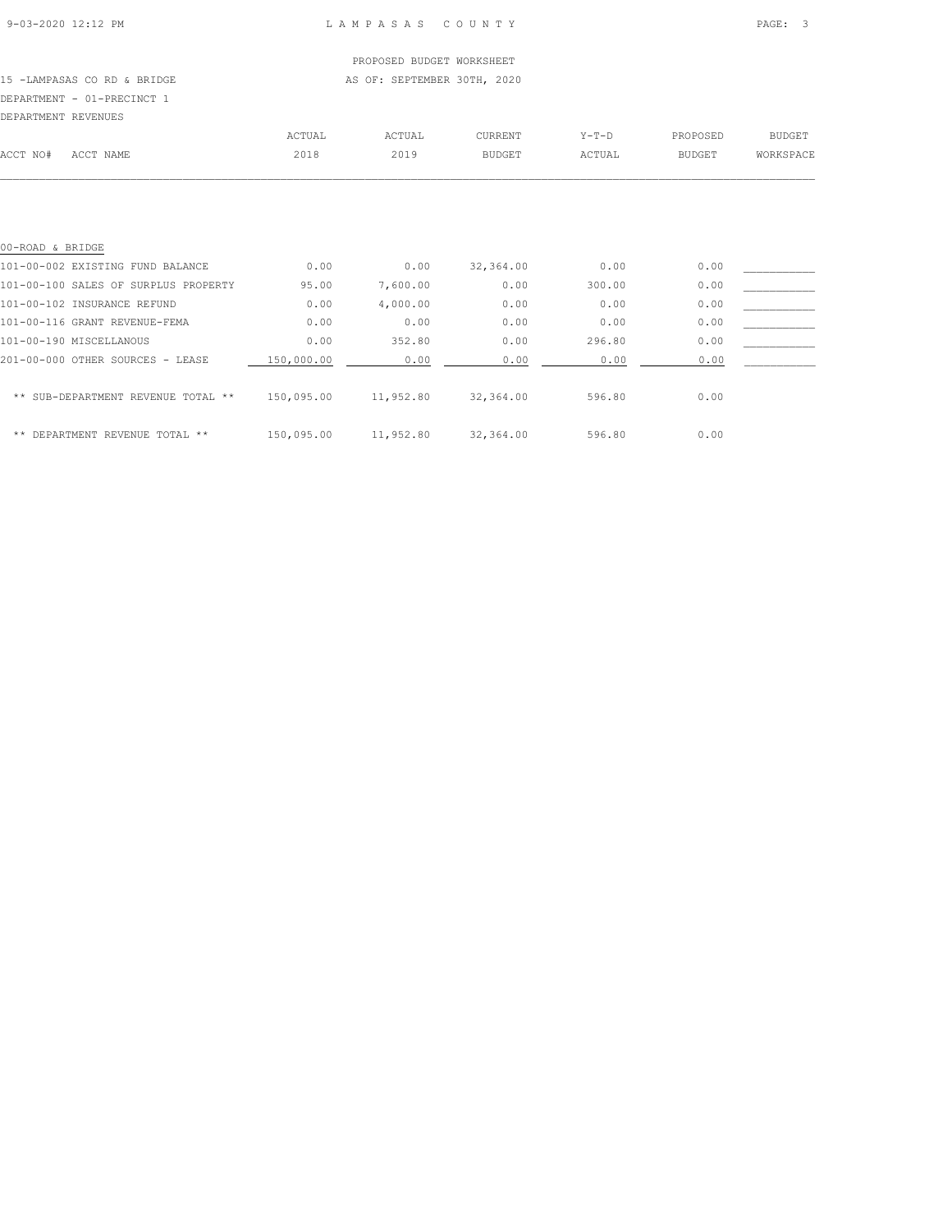## PROPOSED BUDGET WORKSHEET

15 -LAMPASAS CO RD & BRIDGE AS OF: SEPTEMBER 30TH, 2020

## DEPARTMENT - 01-PRECINCT 1

| DEPARTMENT REVENUES |           |        |        |               |         |               |               |
|---------------------|-----------|--------|--------|---------------|---------|---------------|---------------|
|                     |           | ACTUAL | ACTUAL | CURRENT       | $Y-T-D$ | PROPOSED      | <b>BUDGET</b> |
| ACCT NO#            | ACCT NAME | 2018   | 2019   | <b>BUDGET</b> | ACTUAL  | <b>BUDGET</b> | WORKSPACE     |
|                     |           |        |        |               |         |               |               |

| 00-ROAD & BRIDGE                     |            |           |           |        |      |  |
|--------------------------------------|------------|-----------|-----------|--------|------|--|
| 101-00-002 EXISTING FUND BALANCE     | 0.00       | 0.00      | 32,364.00 | 0.00   | 0.00 |  |
| 101-00-100 SALES OF SURPLUS PROPERTY | 95.00      | 7,600.00  | 0.00      | 300.00 | 0.00 |  |
| 101-00-102 INSURANCE REFUND          | 0.00       | 4,000.00  | 0.00      | 0.00   | 0.00 |  |
| 101-00-116 GRANT REVENUE-FEMA        | 0.00       | 0.00      | 0.00      | 0.00   | 0.00 |  |
| 101-00-190 MISCELLANOUS              | 0.00       | 352.80    | 0.00      | 296.80 | 0.00 |  |
| 201-00-000 OTHER SOURCES - LEASE     | 150,000.00 | 0.00      | 0.00      | 0.00   | 0.00 |  |
| ** SUB-DEPARTMENT REVENUE TOTAL **   | 150,095.00 | 11,952.80 | 32,364.00 | 596.80 | 0.00 |  |
| ** DEPARTMENT REVENUE<br>TOTAL **    | 150,095.00 | 11,952.80 | 32,364.00 | 596.80 | 0.00 |  |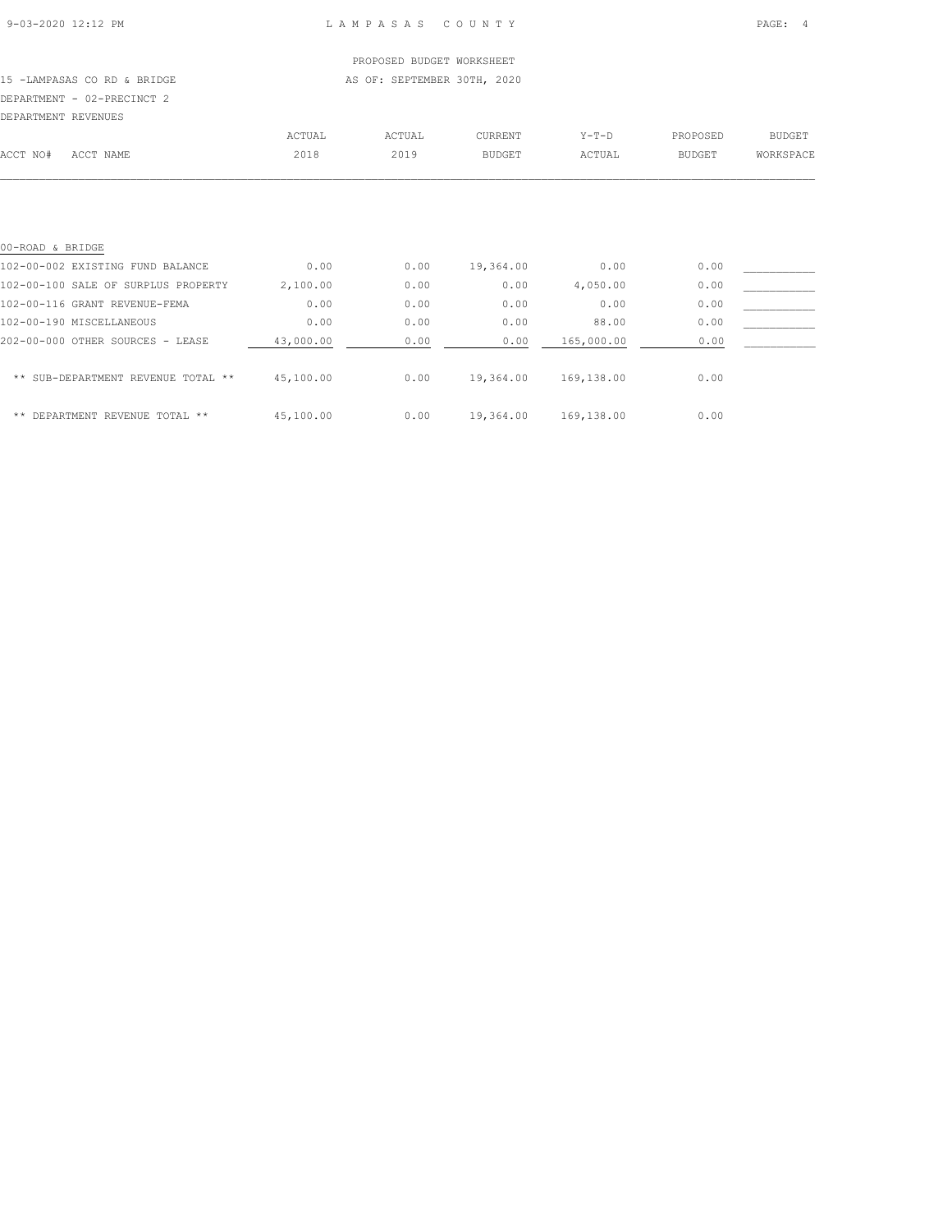## PROPOSED BUDGET WORKSHEET

15 -LAMPASAS CO RD & BRIDGE AS OF: SEPTEMBER 30TH, 2020 DEPARTMENT - 02-PRECINCT 2

| DEPARTMENT REVENUES |           |        |        |         |        |               |           |
|---------------------|-----------|--------|--------|---------|--------|---------------|-----------|
|                     |           | ACTUAL | ACTUAL | CURRENT | Y-T-D  | PROPOSED      | BUDGET    |
| ACCT NO#            | ACCT NAME | 2018   | 2019   | BUDGET  | ACTUAL | <b>BUDGET</b> | WORKSPACE |
|                     |           |        |        |         |        |               |           |
|                     |           |        |        |         |        |               |           |

| 00-ROAD & BRIDGE                    |           |      |           |            |      |  |
|-------------------------------------|-----------|------|-----------|------------|------|--|
| 102-00-002 EXISTING FUND BALANCE    | 0.00      | 0.00 | 19,364.00 | 0.00       | 0.00 |  |
| 102-00-100 SALE OF SURPLUS PROPERTY | 2,100.00  | 0.00 | 0.00      | 4,050.00   | 0.00 |  |
| 102-00-116 GRANT REVENUE-FEMA       | 0.00      | 0.00 | 0.00      | 0.00       | 0.00 |  |
| 102-00-190 MISCELLANEOUS            | 0.00      | 0.00 | 0.00      | 88.00      | 0.00 |  |
| 202-00-000 OTHER SOURCES - LEASE    | 43,000.00 | 0.00 | 0.00      | 165,000.00 | 0.00 |  |
| ** SUB-DEPARTMENT REVENUE TOTAL **  | 45,100.00 | 0.00 | 19,364.00 | 169,138.00 | 0.00 |  |
| ** DEPARTMENT REVENUE TOTAL **      | 45,100.00 | 0.00 | 19,364.00 | 169,138.00 | 0.00 |  |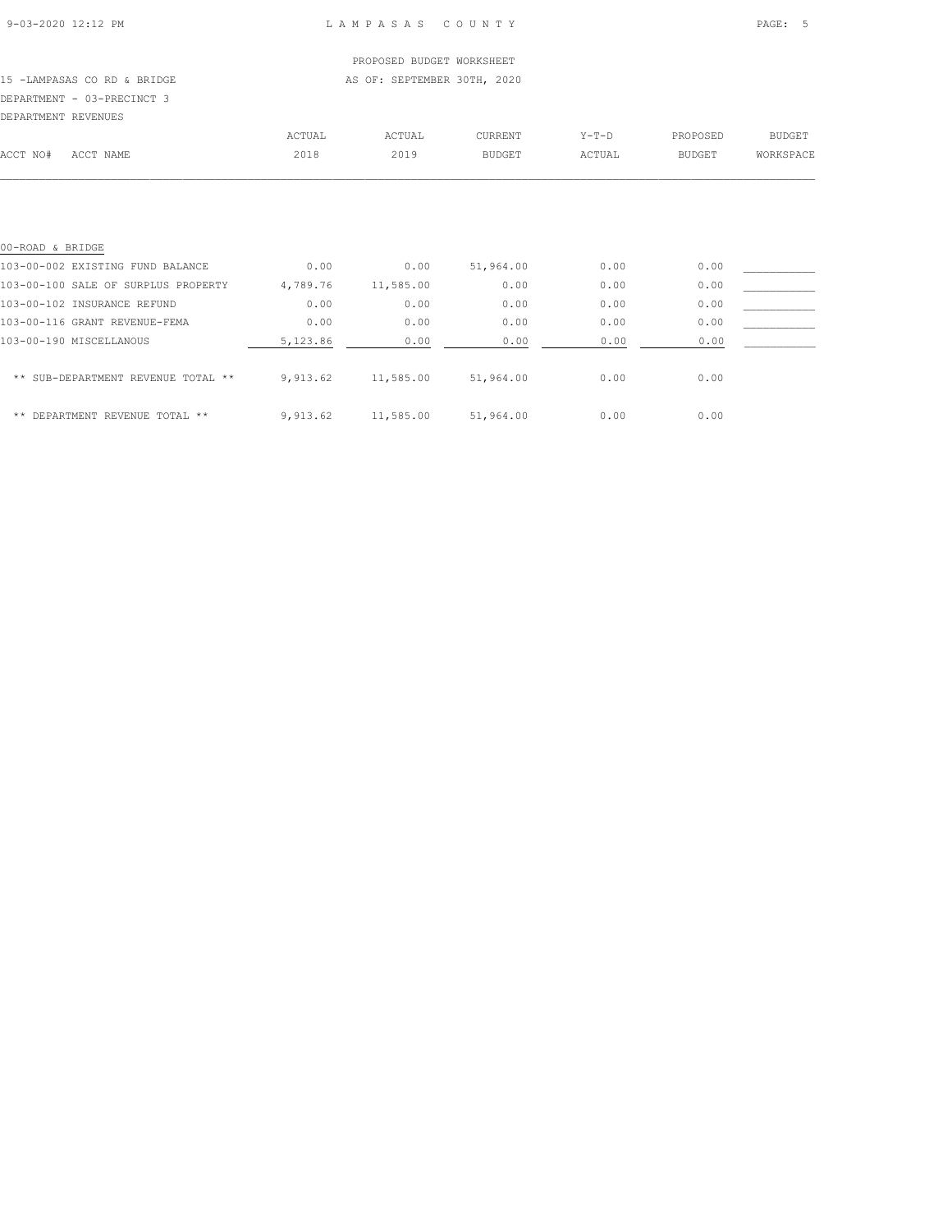## PROPOSED BUDGET WORKSHEET

15 -LAMPASAS CO RD & BRIDGE AS OF: SEPTEMBER 30TH, 2020 DEPARTMENT - 03-PRECINCT 3

| DEPARTMENT REVENUES |           |        |        |                |         |               |               |
|---------------------|-----------|--------|--------|----------------|---------|---------------|---------------|
|                     |           | ACTUAL | ACTUAL | <b>CURRENT</b> | $Y-T-D$ | PROPOSED      | <b>BUDGET</b> |
| ACCT NO#            | ACCT NAME | 2018   | 2019   | BUDGET         | ACTUAL  | <b>BUDGET</b> | WORKSPACE     |
|                     |           |        |        |                |         |               |               |

| 00-ROAD & BRIDGE                    |          |           |           |      |      |  |
|-------------------------------------|----------|-----------|-----------|------|------|--|
| 103-00-002 EXISTING FUND BALANCE    | 0.00     | 0.00      | 51,964.00 | 0.00 | 0.00 |  |
| 103-00-100 SALE OF SURPLUS PROPERTY | 4,789.76 | 11,585.00 | 0.00      | 0.00 | 0.00 |  |
| 103-00-102 INSURANCE REFUND         | 0.00     | 0.00      | 0.00      | 0.00 | 0.00 |  |
| 103-00-116 GRANT REVENUE-FEMA       | 0.00     | 0.00      | 0.00      | 0.00 | 0.00 |  |
| 103-00-190 MISCELLANOUS             | 5,123.86 | 0.00      | 0.00      | 0.00 | 0.00 |  |
| ** SUB-DEPARTMENT REVENUE TOTAL **  | 9,913.62 | 11,585.00 | 51,964.00 | 0.00 | 0.00 |  |
| ** DEPARTMENT REVENUE TOTAL **      | 9.913.62 | 11,585.00 | 51,964.00 | 0.00 | 0.00 |  |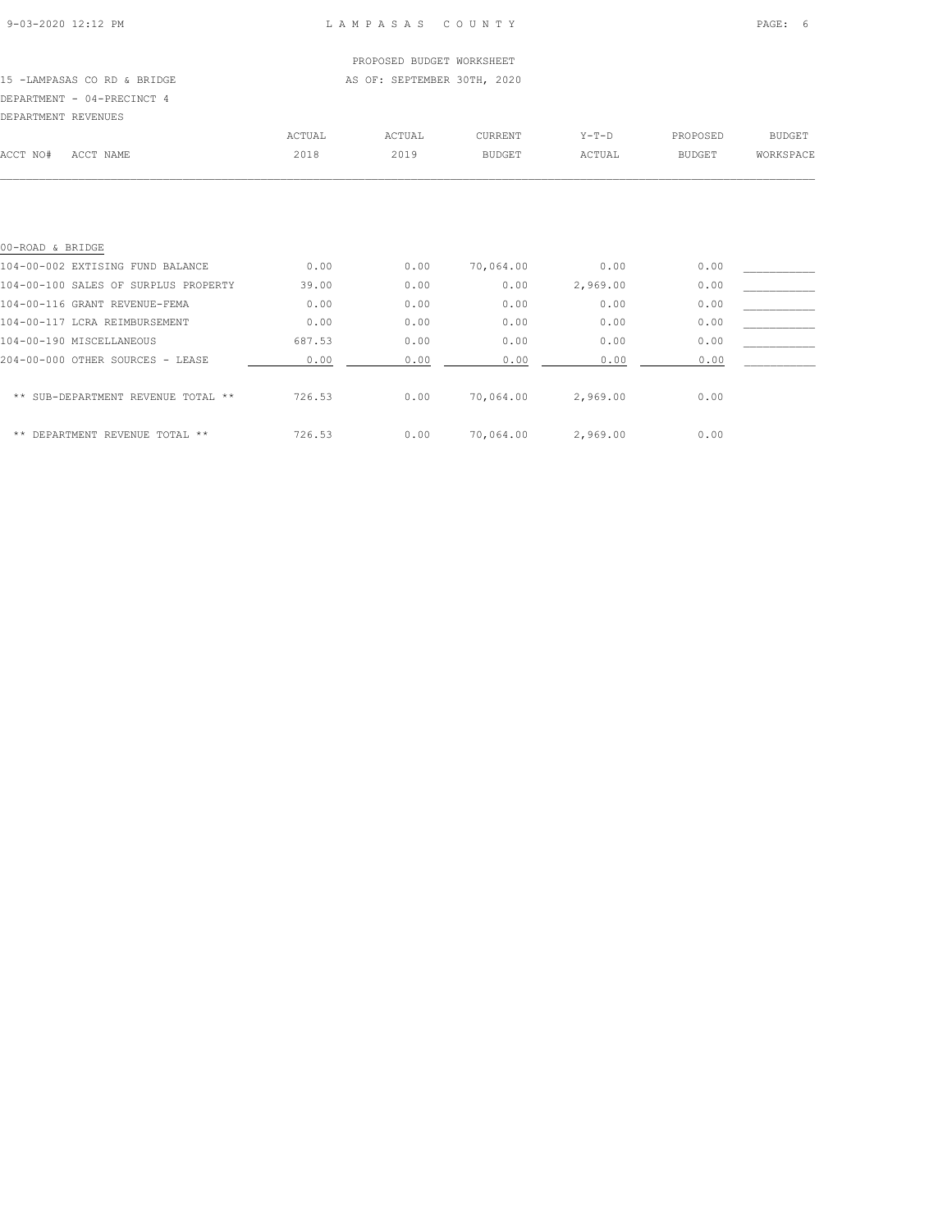## PROPOSED BUDGET WORKSHEET

15 -LAMPASAS CO RD & BRIDGE AS OF: SEPTEMBER 30TH, 2020

# DEPARTMENT - 04-PRECINCT 4

| DEPARTMENT REVENUES |           |        |        |               |         |               |               |
|---------------------|-----------|--------|--------|---------------|---------|---------------|---------------|
|                     |           | ACTUAL | ACTUAL | CURRENT       | $Y-T-D$ | PROPOSED      | <b>BUDGET</b> |
| ACCT NO#            | ACCT NAME | 2018   | 2019   | <b>BUDGET</b> | ACTUAL  | <b>BUDGET</b> | WORKSPACE     |
|                     |           |        |        |               |         |               |               |

| 00-ROAD & BRIDGE                     |        |      |           |          |      |  |
|--------------------------------------|--------|------|-----------|----------|------|--|
| 104-00-002 EXTISING FUND BALANCE     | 0.00   | 0.00 | 70,064.00 | 0.00     | 0.00 |  |
| 104-00-100 SALES OF SURPLUS PROPERTY | 39.00  | 0.00 | 0.00      | 2,969.00 | 0.00 |  |
| 104-00-116 GRANT REVENUE-FEMA        | 0.00   | 0.00 | 0.00      | 0.00     | 0.00 |  |
| 104-00-117 LCRA REIMBURSEMENT        | 0.00   | 0.00 | 0.00      | 0.00     | 0.00 |  |
| 104-00-190 MISCELLANEOUS             | 687.53 | 0.00 | 0.00      | 0.00     | 0.00 |  |
| 204-00-000 OTHER SOURCES - LEASE     | 0.00   | 0.00 | 0.00      | 0.00     | 0.00 |  |
| ** SUB-DEPARTMENT REVENUE TOTAL **   | 726.53 | 0.00 | 70,064.00 | 2,969.00 | 0.00 |  |
| ** DEPARTMENT REVENUE TOTAL **       | 726.53 | 0.00 | 70,064.00 | 2,969.00 | 0.00 |  |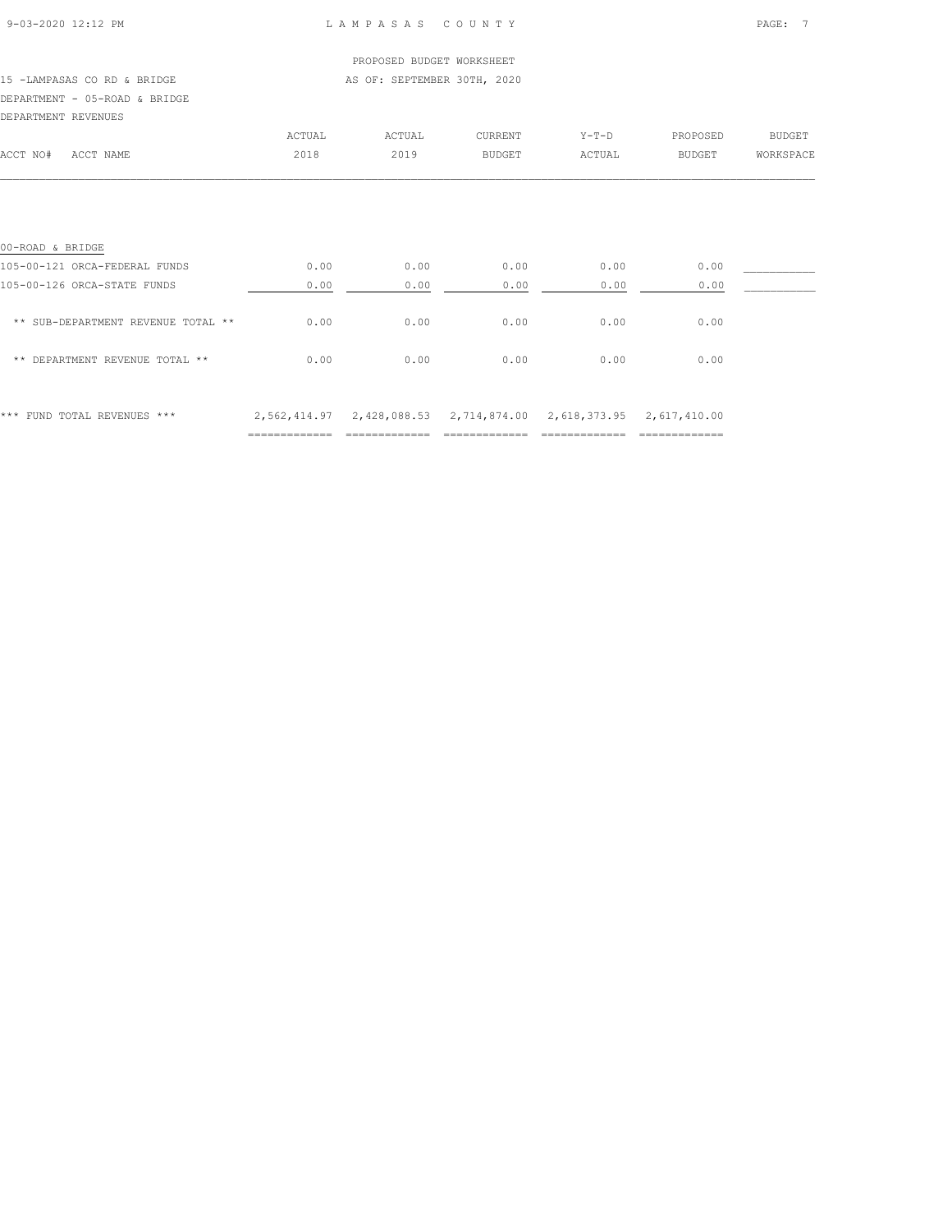| 9-03-2020 12:12 PM |  |
|--------------------|--|
|                    |  |

#### L A M P A S A S C O U N T Y PAGE: 7

## PROPOSED BUDGET WORKSHEET 15 -LAMPASAS CO RD & BRIDGE **AS OF: SEPTEMBER 30TH, 2020** DEPARTMENT - 05-ROAD & BRIDGE DEPARTMENT REVENUES ACTUAL ACTUAL CURRENT Y-T-D PROPOSED BUDGET ACCT NO# ACCT NAME 2018 2019 BUDGET ACTUAL BUDGET WORKSPACE  $\mathcal{L} = \{ \mathcal{L} = \{ \mathcal{L} = \{ \mathcal{L} = \{ \mathcal{L} = \{ \mathcal{L} = \{ \mathcal{L} = \{ \mathcal{L} = \{ \mathcal{L} = \{ \mathcal{L} = \{ \mathcal{L} = \{ \mathcal{L} = \{ \mathcal{L} = \{ \mathcal{L} = \{ \mathcal{L} = \{ \mathcal{L} = \{ \mathcal{L} = \{ \mathcal{L} = \{ \mathcal{L} = \{ \mathcal{L} = \{ \mathcal{L} = \{ \mathcal{L} = \{ \mathcal{L} = \{ \mathcal{L} = \{ \mathcal{$ 00-ROAD & BRIDGE 105-00-121 ORCA-FEDERAL FUNDS 0.00 0.00 0.00 0.00 0.00 \_\_\_\_\_\_\_\_\_\_\_ 105-00-126 ORCA-STATE FUNDS 0.00 0.00 0.00 0.00 0.00  $**$  SUB-DEPARTMENT REVENUE TOTAL  $**$  0.00 0.00 0.00 0.00 0.00 0.00 0.00 \*\* DEPARTMENT REVENUE TOTAL \*\* 0.00 0.00 0.00 0.00 0.00

\*\*\* FUND TOTAL REVENUES \*\*\* 2,562,414.97 2,428,088.53 2,714,874.00 2,618,373.95 2,617,410.00 ============= ============= ============= ============= =============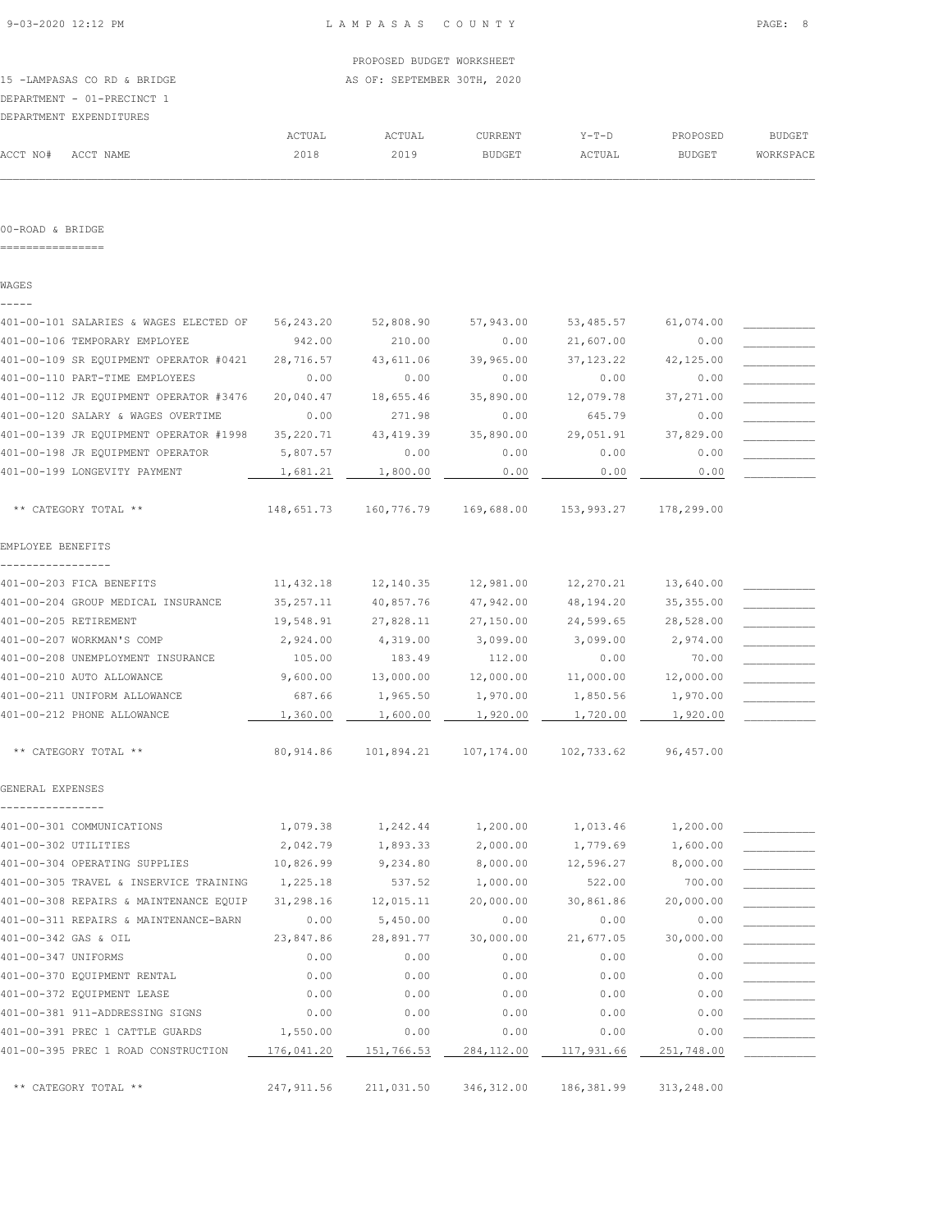15 -LAMPASAS CO RD & BRIDGE AS OF: SEPTEMBER 30TH, 2020 DEPARTMENT - 01-PRECINCT 1

|          | DEPARTMENT EXPENDITURES |        |        |                |         |               |               |
|----------|-------------------------|--------|--------|----------------|---------|---------------|---------------|
|          |                         | ACTUAL | ACTUAL | <b>CURRENT</b> | $Y-T-D$ | PROPOSED      | <b>BUDGET</b> |
| ACCT NO# | ACCT NAME               | 2018   | 2019   | <b>BUDGET</b>  | ACTUAL  | <b>BUDGET</b> | WORKSPACE     |

#### 00-ROAD & BRIDGE

================

WAGES -----

| 401-00-101 SALARIES & WAGES ELECTED OF      | 56,243.20   | 52,808.90  | 57,943.00   | 53,485.57  | 61,074.00  |  |
|---------------------------------------------|-------------|------------|-------------|------------|------------|--|
| 401-00-106 TEMPORARY EMPLOYEE               | 942.00      | 210.00     | 0.00        | 21,607.00  | 0.00       |  |
| 401-00-109 SR EQUIPMENT OPERATOR #0421      | 28,716.57   | 43,611.06  | 39,965.00   | 37, 123.22 | 42,125.00  |  |
| 401-00-110 PART-TIME EMPLOYEES              | 0.00        | 0.00       | 0.00        | 0.00       | 0.00       |  |
| 401-00-112 JR EQUIPMENT OPERATOR #3476      | 20,040.47   | 18,655.46  | 35,890.00   | 12,079.78  | 37,271.00  |  |
| 401-00-120 SALARY & WAGES OVERTIME          | 0.00        | 271.98     | 0.00        | 645.79     | 0.00       |  |
| 401-00-139 JR EQUIPMENT OPERATOR #1998      | 35, 220.71  | 43, 419.39 | 35,890.00   | 29,051.91  | 37,829.00  |  |
| 401-00-198 JR EQUIPMENT OPERATOR            | 5,807.57    | 0.00       | 0.00        | 0.00       | 0.00       |  |
| 401-00-199 LONGEVITY PAYMENT                | 1,681.21    | 1,800.00   | 0.00        | 0.00       | 0.00       |  |
|                                             |             |            |             |            |            |  |
| ** CATEGORY TOTAL **                        | 148,651.73  | 160,776.79 | 169,688.00  | 153,993.27 | 178,299.00 |  |
| EMPLOYEE BENEFITS                           |             |            |             |            |            |  |
| 401-00-203 FICA BENEFITS                    | 11,432.18   | 12,140.35  | 12,981.00   | 12,270.21  | 13,640.00  |  |
| 401-00-204 GROUP MEDICAL INSURANCE          | 35, 257.11  | 40,857.76  | 47,942.00   | 48,194.20  | 35, 355.00 |  |
| 401-00-205 RETIREMENT                       | 19,548.91   | 27,828.11  | 27,150.00   | 24,599.65  | 28,528.00  |  |
| 401-00-207 WORKMAN'S COMP                   | 2,924.00    | 4,319.00   | 3,099.00    | 3,099.00   | 2,974.00   |  |
| 401-00-208 UNEMPLOYMENT INSURANCE           | 105.00      | 183.49     | 112.00      | 0.00       | 70.00      |  |
| 401-00-210 AUTO ALLOWANCE                   | 9,600.00    | 13,000.00  | 12,000.00   | 11,000.00  | 12,000.00  |  |
| 401-00-211 UNIFORM ALLOWANCE                | 687.66      | 1,965.50   | 1,970.00    | 1,850.56   | 1,970.00   |  |
| 401-00-212 PHONE ALLOWANCE                  | 1,360.00    | 1,600.00   | 1,920.00    | 1,720.00   | 1,920.00   |  |
| ** CATEGORY TOTAL **                        | 80, 914.86  | 101,894.21 | 107,174.00  | 102,733.62 | 96,457.00  |  |
| GENERAL EXPENSES                            |             |            |             |            |            |  |
| --------------<br>401-00-301 COMMUNICATIONS | 1,079.38    | 1,242.44   | 1,200.00    | 1,013.46   | 1,200.00   |  |
| 401-00-302 UTILITIES                        | 2,042.79    | 1,893.33   | 2,000.00    | 1,779.69   | 1,600.00   |  |
| 401-00-304 OPERATING SUPPLIES               | 10,826.99   | 9,234.80   | 8,000.00    | 12,596.27  | 8,000.00   |  |
| 401-00-305 TRAVEL & INSERVICE TRAINING      | 1,225.18    | 537.52     | 1,000.00    | 522.00     | 700.00     |  |
| 401-00-308 REPAIRS & MAINTENANCE EQUIP      | 31,298.16   | 12,015.11  | 20,000.00   | 30,861.86  | 20,000.00  |  |
| 401-00-311 REPAIRS & MAINTENANCE-BARN       | 0.00        | 5,450.00   | 0.00        | 0.00       | 0.00       |  |
| 401-00-342 GAS & OIL                        | 23,847.86   | 28,891.77  | 30,000.00   | 21,677.05  | 30,000.00  |  |
| 401-00-347 UNIFORMS                         | 0.00        | 0.00       | 0.00        | 0.00       | 0.00       |  |
| 401-00-370 EQUIPMENT RENTAL                 | 0.00        | 0.00       | 0.00        | 0.00       | 0.00       |  |
| 401-00-372 EQUIPMENT LEASE                  | 0.00        | 0.00       | 0.00        | 0.00       | 0.00       |  |
| 401-00-381 911-ADDRESSING SIGNS             | 0.00        | 0.00       | 0.00        | 0.00       | 0.00       |  |
| 401-00-391 PREC 1 CATTLE GUARDS             | 1,550.00    | 0.00       | 0.00        | 0.00       | 0.00       |  |
| 401-00-395 PREC 1 ROAD CONSTRUCTION         | 176,041.20  | 151,766.53 | 284,112.00  | 117,931.66 | 251,748.00 |  |
| ** CATEGORY TOTAL **                        | 247, 911.56 | 211,031.50 | 346, 312.00 | 186,381.99 | 313,248.00 |  |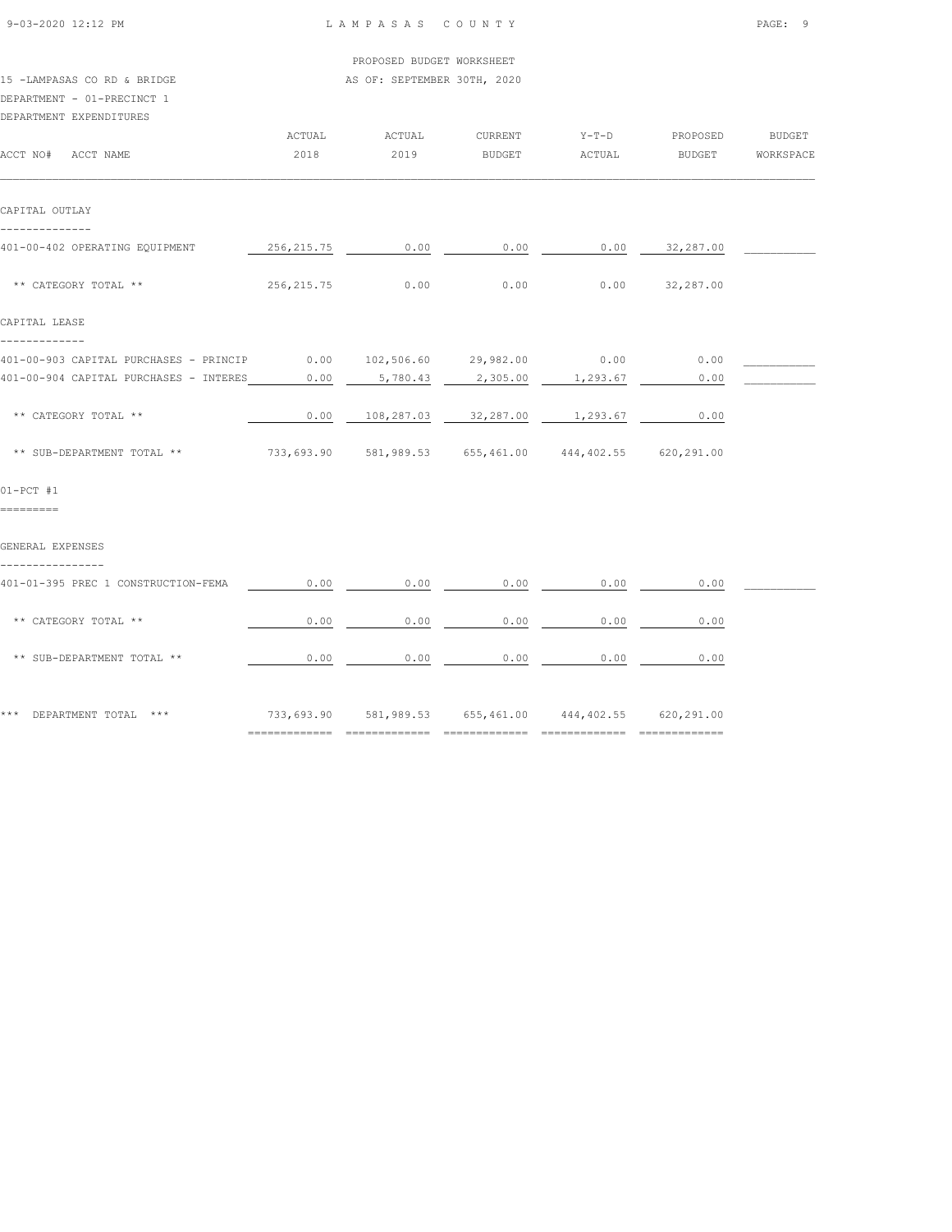| 9-03-2020 12:12 PM |  |
|--------------------|--|

----------------

|                                                                                   |             | PROPOSED BUDGET WORKSHEET                  |                |         |                  |               |
|-----------------------------------------------------------------------------------|-------------|--------------------------------------------|----------------|---------|------------------|---------------|
| 15 -LAMPASAS CO RD & BRIDGE                                                       |             | AS OF: SEPTEMBER 30TH, 2020                |                |         |                  |               |
| DEPARTMENT - 01-PRECINCT 1                                                        |             |                                            |                |         |                  |               |
| DEPARTMENT EXPENDITURES                                                           |             |                                            |                |         |                  |               |
|                                                                                   | ACTUAL      | ACTUAL                                     | <b>CURRENT</b> | $Y-T-D$ | PROPOSED         | <b>BUDGET</b> |
| ACCT NO# ACCT NAME                                                                | 2018        | 2019                                       | BUDGET         | ACTUAL  | BUDGET           | WORKSPACE     |
| CAPITAL OUTLAY                                                                    |             |                                            |                |         |                  |               |
| 401-00-402 OPERATING EQUIPMENT                                                    |             | $256,215.75$ 0.00 0.00 0.00 0.00 32,287.00 |                |         |                  |               |
| ** CATEGORY TOTAL **                                                              | 256, 215.75 | 0.00                                       | 0.00           |         | $0.00$ 32,287.00 |               |
| CAPITAL LEASE                                                                     |             |                                            |                |         |                  |               |
| 401-00-903 CAPITAL PURCHASES - PRINCIP                                            |             | $0.00$ $102,506.60$ $29,982.00$ 0.00       |                |         | 0.00             |               |
| 401-00-904 CAPITAL PURCHASES - INTERES 0.00 5,780.43 2,305.00 1,293.67            |             |                                            |                |         | 0.00             |               |
| ** CATEGORY TOTAL **                                                              |             | $0.00$ $108,287.03$ $32,287.00$ $1,293.67$ |                |         | 0.00             |               |
| ** SUB-DEPARTMENT TOTAL ** 733,693.90 581,989.53 655,461.00 444,402.55 620,291.00 |             |                                            |                |         |                  |               |
| $01-PCT$ #1                                                                       |             |                                            |                |         |                  |               |
| =========                                                                         |             |                                            |                |         |                  |               |
| GENERAL EXPENSES                                                                  |             |                                            |                |         |                  |               |

401-01-395 PREC 1 CONSTRUCTION-FEMA  $\qquad 0.00 \qquad 0.00 \qquad 0.00 \qquad 0.00 \qquad 0.00 \qquad 0.00$ 

============= ============= ============= ============= =============

\*\* CATEGORY TOTAL \*\* 0.00 0.00 0.00 0.00 0.00

\*\* SUB-DEPARTMENT TOTAL \*\* 0.00 0.00 0.00 0.00 0.00

\*\*\* DEPARTMENT TOTAL \*\*\* <br>
733,693.90 581,989.53 655,461.00 444,402.55 620,291.00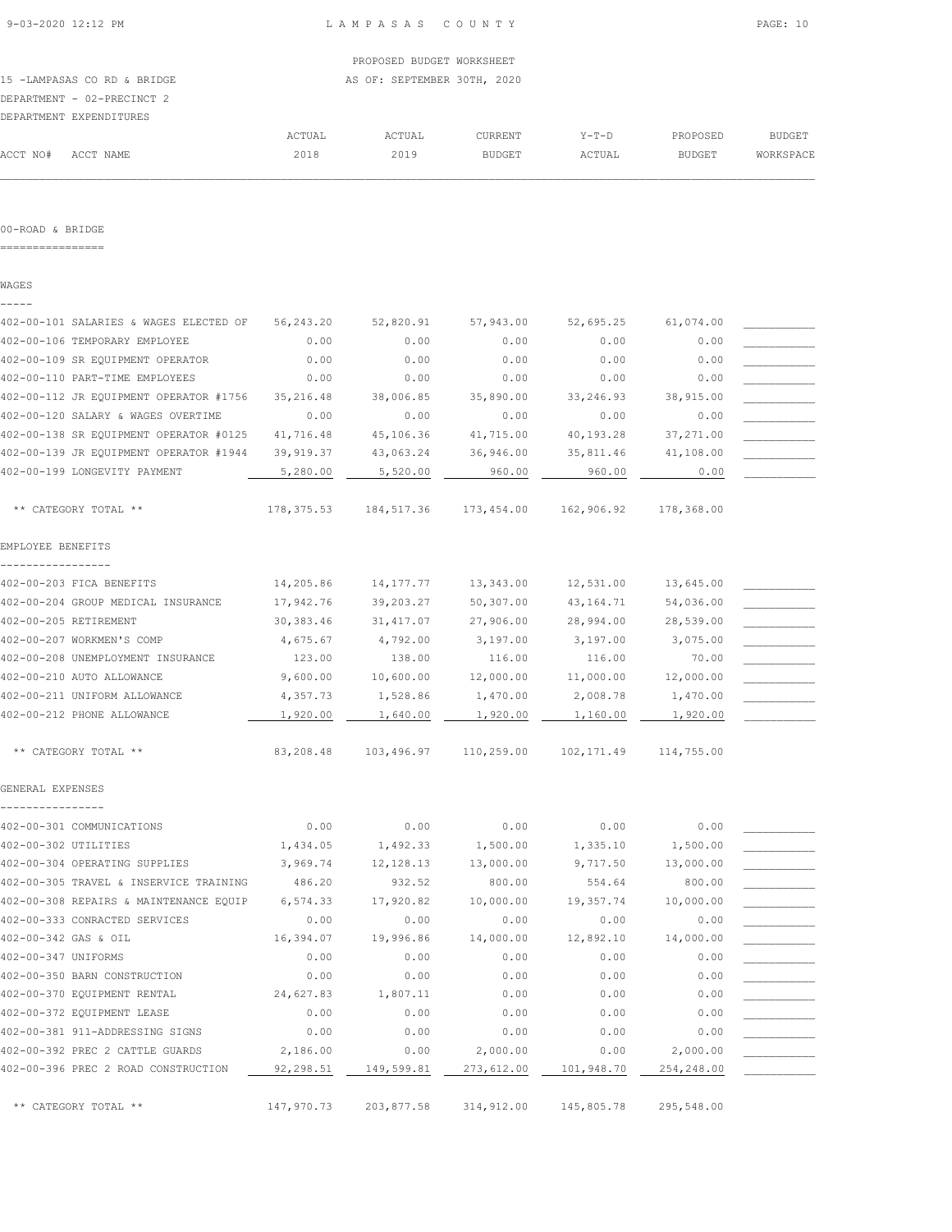PROPOSED BUDGET WORKSHEET 15 -LAMPASAS CO RD & BRIDGE AS OF: SEPTEMBER 30TH, 2020

DEPARTMENT - 02-PRECINCT 2

|          | DEPARTMENT EXPENDITURES |        |        |               |        |               |               |
|----------|-------------------------|--------|--------|---------------|--------|---------------|---------------|
|          |                         | ACTUAL | ACTUAL | CURRENT       | Y-T-D  | PROPOSED      | <b>BUDGET</b> |
| ACCT NO# | ACCT NAME               | 2018   | 2019   | <b>BUDGET</b> | ACTUAL | <b>BUDGET</b> | WORKSPACE     |
|          |                         |        |        |               |        |               |               |

#### 00-ROAD & BRIDGE

================

WAGES

| 402-00-101 SALARIES & WAGES ELECTED OF | 56, 243.20 | 52,820.91          | 57,943.00  | 52,695.25             | 61,074.00             |  |
|----------------------------------------|------------|--------------------|------------|-----------------------|-----------------------|--|
| 402-00-106 TEMPORARY EMPLOYEE          | 0.00       | 0.00               | 0.00       | 0.00                  | 0.00                  |  |
| 402-00-109 SR EQUIPMENT OPERATOR       | 0.00       | 0.00               | 0.00       | 0.00                  | 0.00                  |  |
| 402-00-110 PART-TIME EMPLOYEES         | 0.00       | 0.00               | 0.00       | 0.00                  | 0.00                  |  |
| 402-00-112 JR EQUIPMENT OPERATOR #1756 | 35, 216.48 | 38,006.85          | 35,890.00  | 33,246.93             | 38,915.00             |  |
| 402-00-120 SALARY & WAGES OVERTIME     | 0.00       | 0.00               | 0.00       | 0.00                  | 0.00                  |  |
| 402-00-138 SR EQUIPMENT OPERATOR #0125 | 41,716.48  | 45,106.36          | 41,715.00  | 40,193.28             | 37,271.00             |  |
| 402-00-139 JR EQUIPMENT OPERATOR #1944 | 39, 919.37 | 43,063.24          | 36,946.00  | 35,811.46             | 41,108.00             |  |
| 402-00-199 LONGEVITY PAYMENT           | 5,280.00   | 5,520.00           | 960.00     | 960.00                | 0.00                  |  |
| ** CATEGORY TOTAL **                   | 178,375.53 | 184,517.36         | 173,454.00 | 162,906.92            | 178,368.00            |  |
| EMPLOYEE BENEFITS                      |            |                    |            |                       |                       |  |
| 402-00-203 FICA BENEFITS               | 14,205.86  | 14,177.77          | 13,343.00  | 12,531.00             | 13,645.00             |  |
| 402-00-204 GROUP MEDICAL INSURANCE     | 17,942.76  | 39,203.27          | 50,307.00  | 43, 164. 71           | 54,036.00             |  |
| 402-00-205 RETIREMENT                  | 30, 383.46 | 31, 417.07         | 27,906.00  | 28,994.00             | 28,539.00             |  |
| 402-00-207 WORKMEN'S COMP              | 4,675.67   |                    | 3,197.00   | 3,197.00              |                       |  |
| 402-00-208 UNEMPLOYMENT INSURANCE      | 123.00     | 4,792.00<br>138.00 | 116.00     | 116.00                | 3,075.00<br>70.00     |  |
| 402-00-210 AUTO ALLOWANCE              | 9,600.00   | 10,600.00          | 12,000.00  |                       |                       |  |
| 402-00-211 UNIFORM ALLOWANCE           | 4,357.73   | 1,528.86           | 1,470.00   | 11,000.00<br>2,008.78 | 12,000.00<br>1,470.00 |  |
| 402-00-212 PHONE ALLOWANCE             | 1,920.00   | 1,640.00           | 1,920.00   | 1,160.00              | 1,920.00              |  |
|                                        |            |                    |            |                       |                       |  |
| ** CATEGORY TOTAL **                   | 83,208.48  | 103,496.97         | 110,259.00 | 102,171.49            | 114,755.00            |  |
| GENERAL EXPENSES                       |            |                    |            |                       |                       |  |
|                                        |            |                    |            |                       |                       |  |
| 402-00-301 COMMUNICATIONS              | 0.00       | 0.00               | 0.00       | 0.00                  | 0.00                  |  |
| 402-00-302 UTILITIES                   | 1,434.05   | 1,492.33           | 1,500.00   | 1,335.10              | 1,500.00              |  |
| 402-00-304 OPERATING SUPPLIES          | 3,969.74   | 12, 128.13         | 13,000.00  | 9,717.50              | 13,000.00             |  |
| 402-00-305 TRAVEL & INSERVICE TRAINING | 486.20     | 932.52             | 800.00     | 554.64                | 800.00                |  |
| 402-00-308 REPAIRS & MAINTENANCE EQUIP | 6,574.33   | 17,920.82          | 10,000.00  | 19,357.74             | 10,000.00             |  |
| 402-00-333 CONRACTED SERVICES          | 0.00       | 0.00               | 0.00       | 0.00                  | 0.00                  |  |
| 402-00-342 GAS & OIL                   | 16,394.07  | 19,996.86          | 14,000.00  | 12,892.10             | 14,000.00             |  |
| 402-00-347 UNIFORMS                    | 0.00       | 0.00               | 0.00       | 0.00                  | 0.00                  |  |
| 402-00-350 BARN CONSTRUCTION           | 0.00       | 0.00               | 0.00       | 0.00                  | 0.00                  |  |
| 402-00-370 EQUIPMENT RENTAL            | 24,627.83  | 1,807.11           | 0.00       | 0.00                  | 0.00                  |  |
| 402-00-372 EQUIPMENT LEASE             | 0.00       | 0.00               | 0.00       | 0.00                  | 0.00                  |  |
| 402-00-381 911-ADDRESSING SIGNS        | 0.00       | 0.00               | 0.00       | 0.00                  | 0.00                  |  |
| 402-00-392 PREC 2 CATTLE GUARDS        | 2,186.00   | 0.00               | 2,000.00   | 0.00                  | 2,000.00              |  |
| 402-00-396 PREC 2 ROAD CONSTRUCTION    | 92,298.51  | 149,599.81         | 273,612.00 | 101,948.70            | 254,248.00            |  |
| ** CATEGORY TOTAL **                   | 147,970.73 | 203,877.58         | 314,912.00 | 145,805.78            | 295,548.00            |  |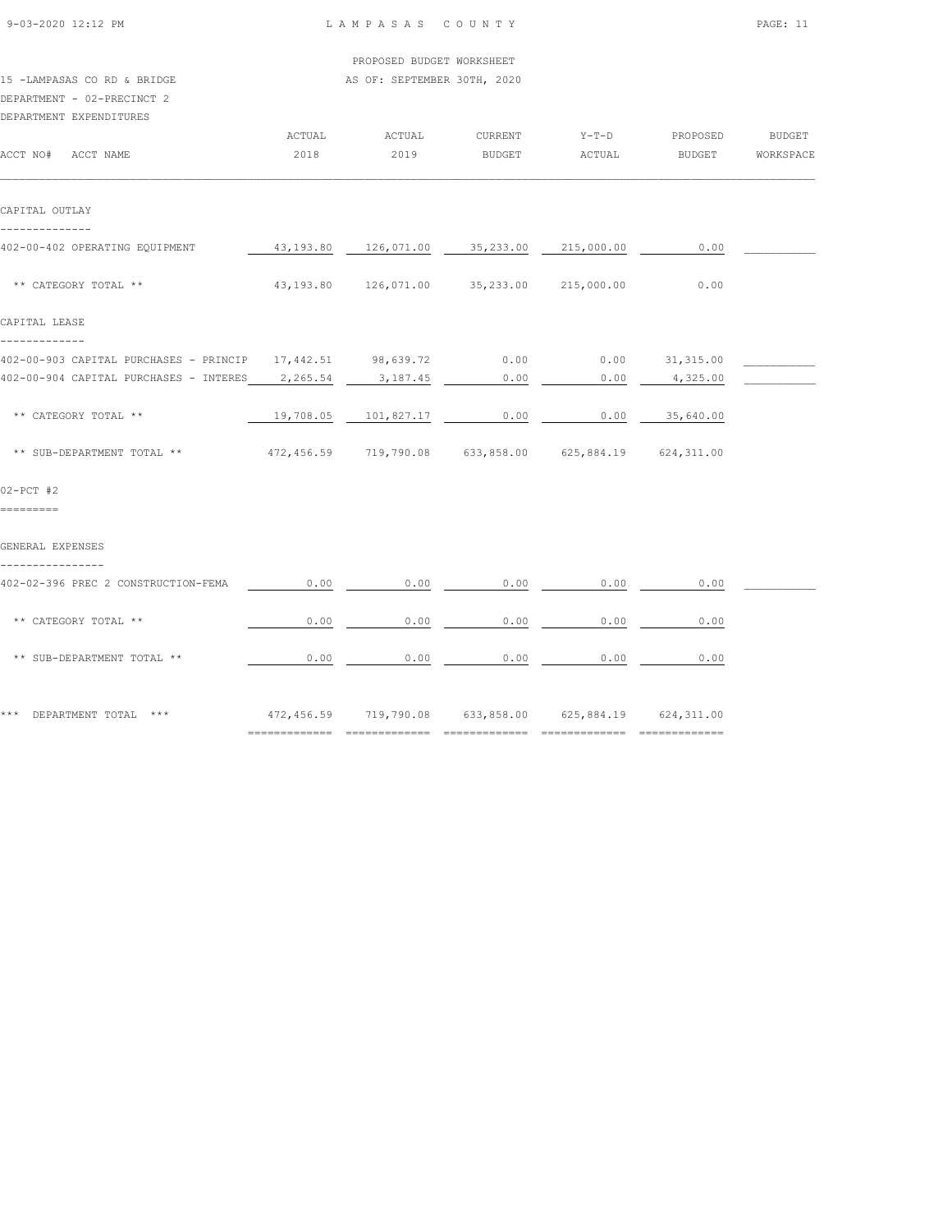| 9-03-2020 12:12 PM                                                                                   |                             | LAMPASAS COUNTY                                                                                            | PAGE: 11                           |                  |                |                  |
|------------------------------------------------------------------------------------------------------|-----------------------------|------------------------------------------------------------------------------------------------------------|------------------------------------|------------------|----------------|------------------|
|                                                                                                      |                             | PROPOSED BUDGET WORKSHEET                                                                                  |                                    |                  |                |                  |
| 15 -LAMPASAS CO RD & BRIDGE<br>DEPARTMENT - 02-PRECINCT 2<br>DEPARTMENT EXPENDITURES                 | AS OF: SEPTEMBER 30TH, 2020 |                                                                                                            |                                    |                  |                |                  |
|                                                                                                      | ACTUAL                      | ACTUAL                                                                                                     | CURRENT                            |                  | Y-T-D PROPOSED | <b>BUDGET</b>    |
| ACCT NO# ACCT NAME                                                                                   | 2018                        | 2019                                                                                                       | <b>BUDGET</b>                      | ACTUAL           |                | BUDGET WORKSPACE |
| CAPITAL OUTLAY                                                                                       |                             |                                                                                                            |                                    |                  |                |                  |
| --------------                                                                                       |                             |                                                                                                            |                                    |                  |                |                  |
| 402-00-402 OPERATING EQUIPMENT                                                                       |                             | $\frac{43,193.80}{0.00}$ $\frac{126,071.00}{0.00}$ $\frac{35,233.00}{0.00}$ $\frac{215,000.00}{0.00}$ 0.00 |                                    |                  |                |                  |
| ** CATEGORY TOTAL **                                                                                 |                             | 43,193.80  126,071.00  35,233.00  215,000.00                                                               |                                    |                  | 0.00           |                  |
| CAPITAL LEASE                                                                                        |                             |                                                                                                            |                                    |                  |                |                  |
| -------------<br>402-00-903 CAPITAL PURCHASES - PRINCIP 17,442.51 98,639.72 0.00 0.00 0.00 31,315.00 |                             |                                                                                                            |                                    |                  |                |                  |
| 402-00-904 CAPITAL PURCHASES - INTERES 2,265.54                                                      |                             | 3,187.45                                                                                                   | 0.00                               | 0.00             | 4,325.00       |                  |
|                                                                                                      |                             |                                                                                                            |                                    |                  |                |                  |
| ** CATEGORY TOTAL **                                                                                 |                             | 19,708.05 101,827.17                                                                                       | 0.00                               | $0.00$ 35,640.00 |                |                  |
| ** SUB-DEPARTMENT TOTAL **                                                                           |                             | 472,456.59 719,790.08 633,858.00 625,884.19 624,311.00                                                     |                                    |                  |                |                  |
| $02-PCT$ #2                                                                                          |                             |                                                                                                            |                                    |                  |                |                  |
| =========                                                                                            |                             |                                                                                                            |                                    |                  |                |                  |
| GENERAL EXPENSES<br>----------------                                                                 |                             |                                                                                                            |                                    |                  |                |                  |
| 402-02-396 PREC 2 CONSTRUCTION-FEMA                                                                  | 0.00                        | 0.00                                                                                                       | 0.00                               | 0.00             | 0.00           |                  |
| ** CATEGORY TOTAL **                                                                                 | 0.00                        | 0.00                                                                                                       | 0.00                               | 0.00             | 0.00           |                  |
| ** SUB-DEPARTMENT TOTAL **                                                                           | 0.00                        |                                                                                                            | $0.00$ $0.00$ $0.00$ $0.00$ $0.00$ |                  |                |                  |
| *** DEPARTMENT TOTAL ***                                                                             |                             | 472,456.59 719,790.08 633,858.00 625,884.19 624,311.00                                                     |                                    |                  |                |                  |
|                                                                                                      |                             |                                                                                                            |                                    |                  |                |                  |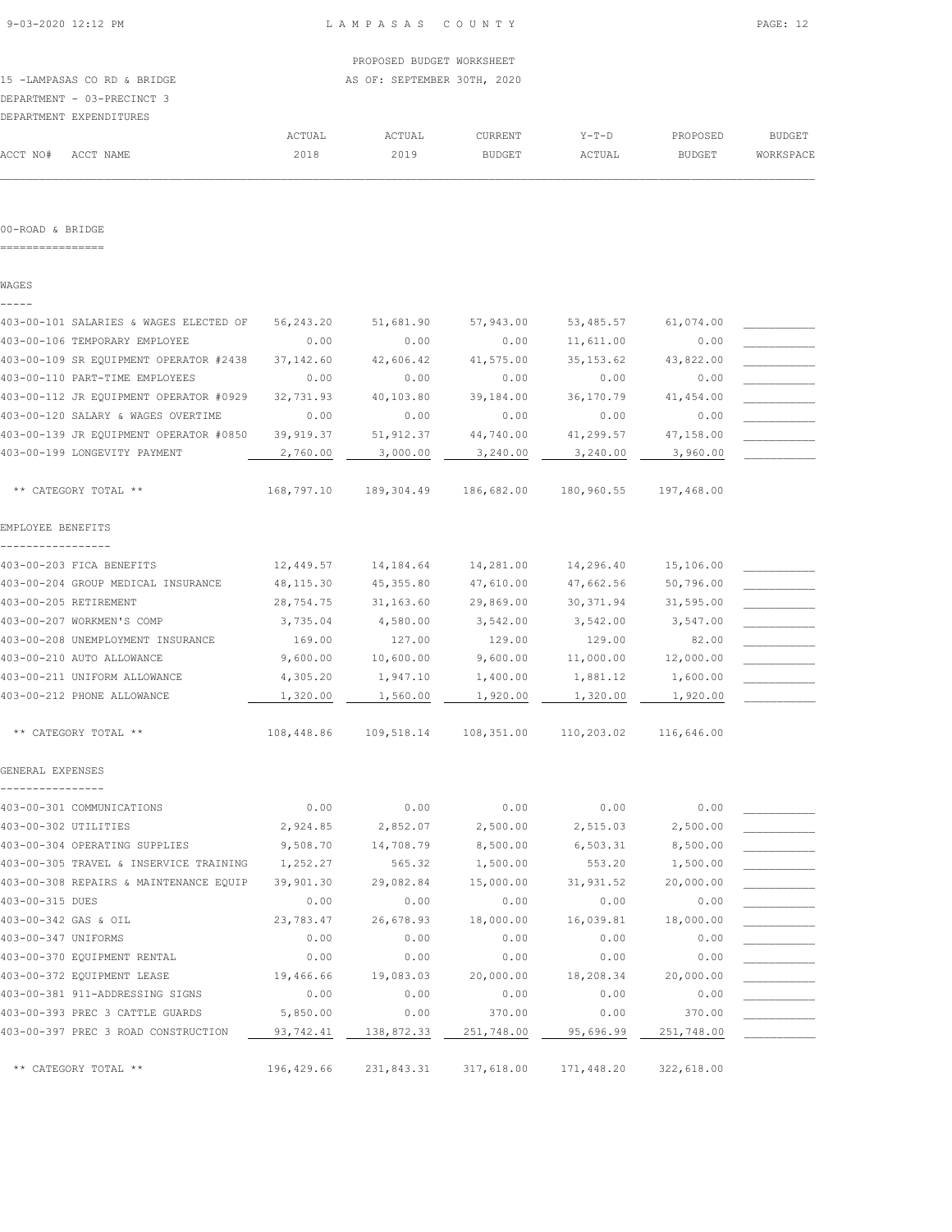## 15 -LAMPASAS CO RD & BRIDGE AS OF: SEPTEMBER 30TH, 2020 DEPARTMENT - 03-PRECINCT 3

|          | DEPARTMENT EXPENDITURES |        |        |               |        |               |               |
|----------|-------------------------|--------|--------|---------------|--------|---------------|---------------|
|          |                         | ACTUAL | ACTUAL | CURRENT       | Y-T-D  | PROPOSED      | <b>BUDGET</b> |
| ACCT NO# | ACCT NAME               | 2018   | 2019   | <b>BUDGET</b> | ACTUAL | <b>BUDGET</b> | WORKSPACE     |
|          |                         |        |        |               |        |               |               |

#### 00-ROAD & BRIDGE

================

WAGES -----

| 403-00-101 SALARIES & WAGES ELECTED OF | 56, 243.20 | 51,681.90  | 57,943.00  | 53,485.57  | 61,074.00  |  |
|----------------------------------------|------------|------------|------------|------------|------------|--|
| 403-00-106 TEMPORARY EMPLOYEE          | 0.00       | 0.00       | 0.00       | 11,611.00  | 0.00       |  |
| 403-00-109 SR EQUIPMENT OPERATOR #2438 | 37, 142.60 | 42,606.42  | 41,575.00  | 35, 153.62 | 43,822.00  |  |
| 403-00-110 PART-TIME EMPLOYEES         | 0.00       | 0.00       | 0.00       | 0.00       | 0.00       |  |
| 403-00-112 JR EQUIPMENT OPERATOR #0929 | 32,731.93  | 40,103.80  | 39,184.00  | 36,170.79  | 41,454.00  |  |
| 403-00-120 SALARY & WAGES OVERTIME     | 0.00       | 0.00       | 0.00       | 0.00       | 0.00       |  |
| 403-00-139 JR EQUIPMENT OPERATOR #0850 | 39, 919.37 | 51, 912.37 | 44,740.00  | 41,299.57  | 47,158.00  |  |
| 403-00-199 LONGEVITY PAYMENT           | 2,760.00   | 3,000.00   | 3,240.00   | 3,240.00   | 3,960.00   |  |
| ** CATEGORY TOTAL **                   | 168,797.10 | 189,304.49 | 186,682.00 | 180,960.55 | 197,468.00 |  |
| EMPLOYEE BENEFITS                      |            |            |            |            |            |  |
|                                        |            |            |            |            |            |  |
| 403-00-203 FICA BENEFITS               | 12,449.57  | 14,184.64  | 14,281.00  | 14,296.40  | 15,106.00  |  |
| 403-00-204 GROUP MEDICAL INSURANCE     | 48, 115.30 | 45, 355.80 | 47,610.00  | 47,662.56  | 50,796.00  |  |
| 403-00-205 RETIREMENT                  | 28,754.75  | 31,163.60  | 29,869.00  | 30, 371.94 | 31,595.00  |  |
| 403-00-207 WORKMEN'S COMP              | 3,735.04   | 4,580.00   | 3,542.00   | 3,542.00   | 3,547.00   |  |
| 403-00-208 UNEMPLOYMENT INSURANCE      | 169.00     | 127.00     | 129.00     | 129.00     | 82.00      |  |
| 403-00-210 AUTO ALLOWANCE              | 9,600.00   | 10,600.00  | 9,600.00   | 11,000.00  | 12,000.00  |  |
| 403-00-211 UNIFORM ALLOWANCE           | 4,305.20   | 1,947.10   | 1,400.00   | 1,881.12   | 1,600.00   |  |
| 403-00-212 PHONE ALLOWANCE             | 1,320.00   | 1,560.00   | 1,920.00   | 1,320.00   | 1,920.00   |  |
| ** CATEGORY TOTAL **                   | 108,448.86 | 109,518.14 | 108,351.00 | 110,203.02 | 116,646.00 |  |
| GENERAL EXPENSES                       |            |            |            |            |            |  |
| 403-00-301 COMMUNICATIONS              | 0.00       | 0.00       | 0.00       | 0.00       | 0.00       |  |
| 403-00-302 UTILITIES                   | 2,924.85   | 2,852.07   | 2,500.00   | 2,515.03   | 2,500.00   |  |
| 403-00-304 OPERATING SUPPLIES          | 9,508.70   | 14,708.79  | 8,500.00   | 6,503.31   | 8,500.00   |  |
| 403-00-305 TRAVEL & INSERVICE TRAINING | 1,252.27   | 565.32     | 1,500.00   | 553.20     | 1,500.00   |  |
| 403-00-308 REPAIRS & MAINTENANCE EQUIP | 39,901.30  | 29,082.84  | 15,000.00  | 31,931.52  | 20,000.00  |  |
| 403-00-315 DUES                        | 0.00       | 0.00       | 0.00       | 0.00       | 0.00       |  |
| 403-00-342 GAS & OIL                   | 23,783.47  | 26,678.93  | 18,000.00  | 16,039.81  | 18,000.00  |  |
| 403-00-347 UNIFORMS                    | 0.00       | 0.00       | 0.00       | 0.00       | 0.00       |  |
| 403-00-370 EQUIPMENT RENTAL            | 0.00       | 0.00       | 0.00       | 0.00       | 0.00       |  |
| 403-00-372 EQUIPMENT LEASE             | 19,466.66  | 19,083.03  | 20,000.00  | 18,208.34  | 20,000.00  |  |
| 403-00-381 911-ADDRESSING SIGNS        | 0.00       | 0.00       | 0.00       | 0.00       | 0.00       |  |
| 403-00-393 PREC 3 CATTLE GUARDS        | 5,850.00   | 0.00       | 370.00     | 0.00       | 370.00     |  |
| 403-00-397 PREC 3 ROAD CONSTRUCTION    |            |            |            |            |            |  |
|                                        | 93,742.41  | 138,872.33 | 251,748.00 | 95,696.99  | 251,748.00 |  |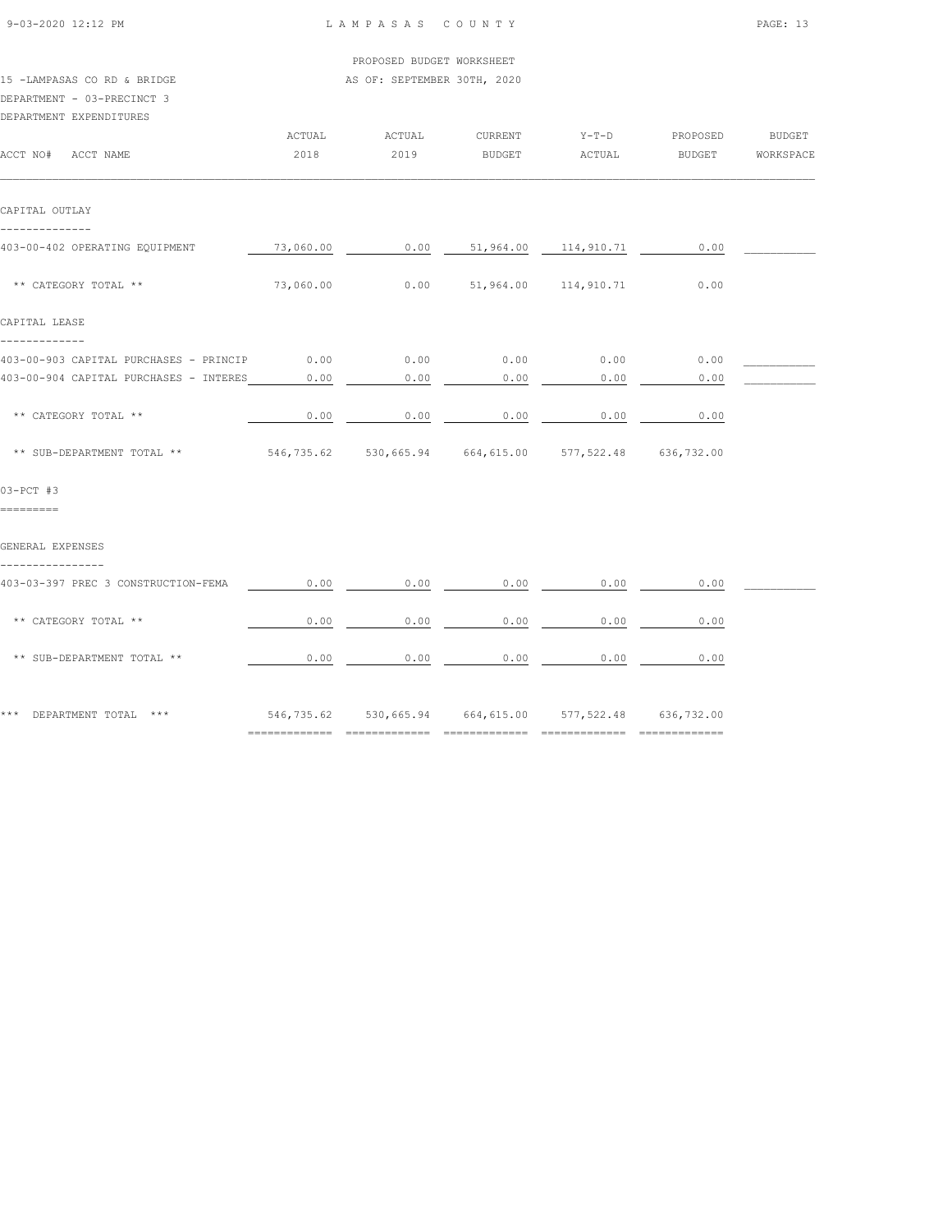| 9-03-2020 12:12 PM                                                                   | LAMPASAS COUNTY |                                                        | PAGE: 13          |                   |                              |               |
|--------------------------------------------------------------------------------------|-----------------|--------------------------------------------------------|-------------------|-------------------|------------------------------|---------------|
|                                                                                      |                 | PROPOSED BUDGET WORKSHEET                              |                   |                   |                              |               |
| 15 -LAMPASAS CO RD & BRIDGE<br>DEPARTMENT - 03-PRECINCT 3<br>DEPARTMENT EXPENDITURES |                 | AS OF: SEPTEMBER 30TH, 2020                            |                   |                   |                              |               |
| ACCT NO# ACCT NAME                                                                   | ACTUAL<br>2018  | ACTUAL<br>2019                                         | CURRENT<br>BUDGET | $Y-T-D$<br>ACTUAL | PROPOSED<br>BUDGET WORKSPACE | <b>BUDGET</b> |
| CAPITAL OUTLAY<br>--------------                                                     |                 |                                                        |                   |                   |                              |               |
| 403-00-402 OPERATING EQUIPMENT                                                       |                 | $73,060.00$ $0.00$ $51,964.00$ $114,910.71$ $0.00$     |                   |                   |                              |               |
| ** CATEGORY TOTAL **                                                                 |                 |                                                        |                   |                   |                              |               |
| CAPITAL LEASE<br>-------------                                                       |                 |                                                        |                   |                   |                              |               |
|                                                                                      |                 |                                                        |                   |                   | 0.00                         |               |
| 403-00-904 CAPITAL PURCHASES - INTERES 0.00                                          |                 | 0.00                                                   | 0.00              | 0.00              | 0.00                         |               |
| ** CATEGORY TOTAL **                                                                 | 0.00            | 0.00                                                   |                   | $0.00$ 0.00       | 0.00                         |               |
| ** SUB-DEPARTMENT TOTAL ** 546,735.62 530,665.94 664,615.00 577,522.48 636,732.00    |                 |                                                        |                   |                   |                              |               |
| $03-PCT$ #3<br>=========                                                             |                 |                                                        |                   |                   |                              |               |
| GENERAL EXPENSES<br>----------------                                                 |                 |                                                        |                   |                   |                              |               |
| 403-03-397 PREC 3 CONSTRUCTION-FEMA                                                  |                 | $0.00$ $0.00$ $0.00$ $0.00$ $0.00$                     |                   |                   | 0.00                         |               |
| ** CATEGORY TOTAL **                                                                 |                 | $0.00$ 0.00 0.00 0.00 0.00                             |                   |                   | 0.00                         |               |
| ** SUB-DEPARTMENT TOTAL **                                                           |                 | $0.00$ $0.00$ $0.00$ $0.00$ $0.00$                     |                   |                   | 0.00                         |               |
| *** DEPARTMENT TOTAL ***                                                             |                 | 546,735.62 530,665.94 664,615.00 577,522.48 636,732.00 |                   |                   |                              |               |

============= ============= ============= ============= =============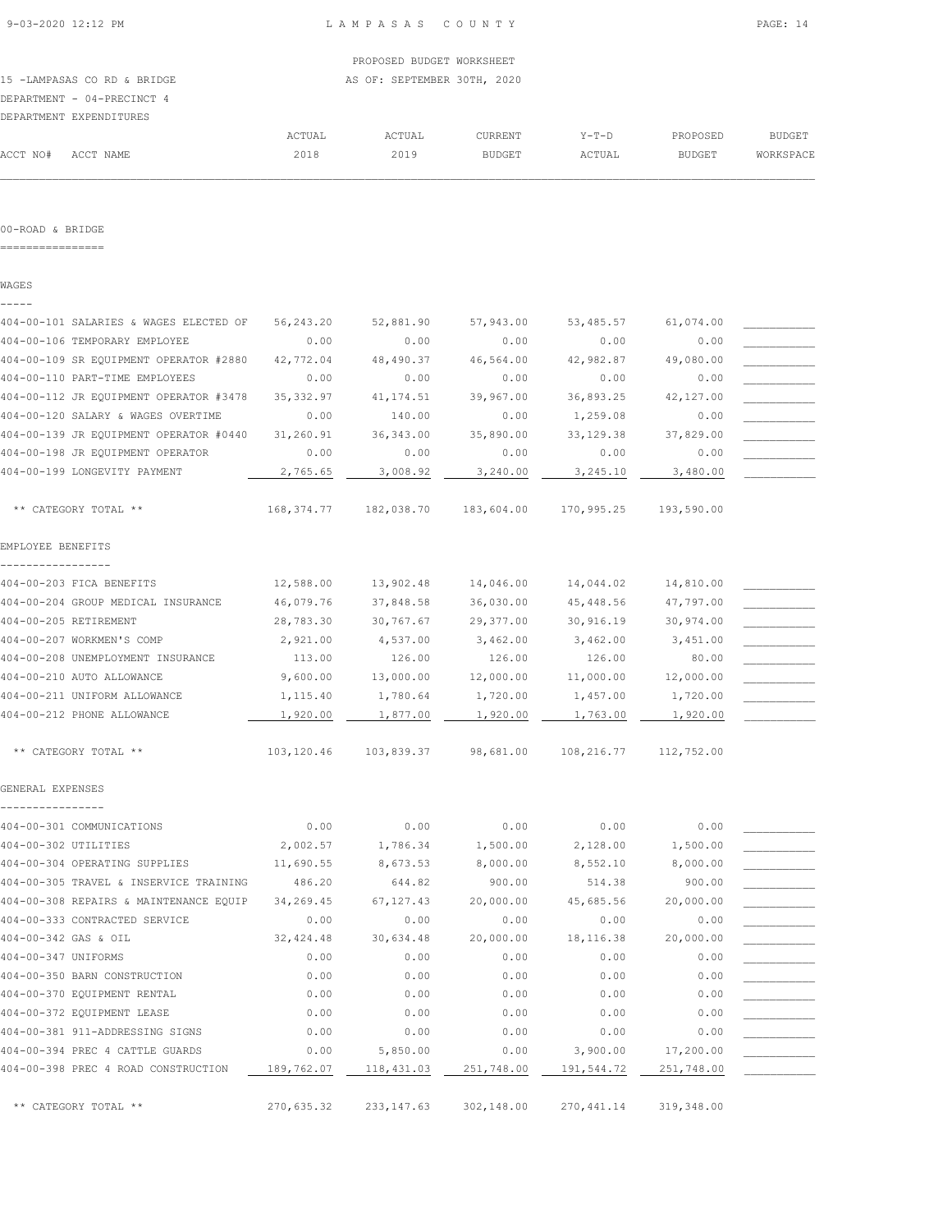15 -LAMPASAS CO RD & BRIDGE AS OF: SEPTEMBER 30TH, 2020 DEPARTMENT - 04-PRECINCT 4

|          | DEPARTMENT EXPENDITURES |        |        |                |         |               |               |
|----------|-------------------------|--------|--------|----------------|---------|---------------|---------------|
|          |                         | ACTUAL | ACTUAL | <b>CURRENT</b> | $Y-T-D$ | PROPOSED      | <b>BUDGET</b> |
| ACCT NO# | ACCT NAME               | 2018   | 2019   | <b>BUDGET</b>  | ACTUAL  | <b>BUDGET</b> | WORKSPACE     |

#### 00-ROAD & BRIDGE

================

WAGES

| 404-00-101 SALARIES & WAGES ELECTED OF | 56,243.20  | 52,881.90   | 57,943.00  | 53,485.57   | 61,074.00  |  |
|----------------------------------------|------------|-------------|------------|-------------|------------|--|
| 404-00-106 TEMPORARY EMPLOYEE          | 0.00       | 0.00        | 0.00       | 0.00        | 0.00       |  |
| 404-00-109 SR EQUIPMENT OPERATOR #2880 | 42,772.04  | 48,490.37   | 46,564.00  | 42,982.87   | 49,080.00  |  |
| 404-00-110 PART-TIME EMPLOYEES         | 0.00       | 0.00        | 0.00       | 0.00        | 0.00       |  |
| 404-00-112 JR EQUIPMENT OPERATOR #3478 | 35, 332.97 | 41, 174.51  | 39,967.00  | 36,893.25   | 42,127.00  |  |
| 404-00-120 SALARY & WAGES OVERTIME     | 0.00       | 140.00      | 0.00       | 1,259.08    | 0.00       |  |
| 404-00-139 JR EQUIPMENT OPERATOR #0440 | 31,260.91  | 36, 343.00  | 35,890.00  | 33, 129.38  | 37,829.00  |  |
| 404-00-198 JR EQUIPMENT OPERATOR       | 0.00       | 0.00        | 0.00       | 0.00        | 0.00       |  |
| 404-00-199 LONGEVITY PAYMENT           | 2,765.65   | 3,008.92    | 3,240.00   | 3,245.10    | 3,480.00   |  |
| ** CATEGORY TOTAL **                   | 168,374.77 | 182,038.70  | 183,604.00 | 170,995.25  | 193,590.00 |  |
| EMPLOYEE BENEFITS                      |            |             |            |             |            |  |
| 404-00-203 FICA BENEFITS               | 12,588.00  | 13,902.48   | 14,046.00  | 14,044.02   | 14,810.00  |  |
| 404-00-204 GROUP MEDICAL INSURANCE     | 46,079.76  | 37,848.58   | 36,030.00  | 45, 448.56  | 47,797.00  |  |
| 404-00-205 RETIREMENT                  | 28,783.30  | 30,767.67   | 29,377.00  | 30,916.19   | 30,974.00  |  |
| 404-00-207 WORKMEN'S COMP              | 2,921.00   | 4,537.00    | 3,462.00   | 3,462.00    | 3,451.00   |  |
| 404-00-208 UNEMPLOYMENT INSURANCE      | 113.00     | 126.00      | 126.00     | 126.00      | 80.00      |  |
| 404-00-210 AUTO ALLOWANCE              | 9,600.00   | 13,000.00   | 12,000.00  | 11,000.00   | 12,000.00  |  |
| 404-00-211 UNIFORM ALLOWANCE           | 1,115.40   | 1,780.64    | 1,720.00   | 1,457.00    | 1,720.00   |  |
| 404-00-212 PHONE ALLOWANCE             | 1,920.00   | 1,877.00    | 1,920.00   | 1,763.00    | 1,920.00   |  |
| ** CATEGORY TOTAL **                   | 103,120.46 | 103,839.37  | 98,681.00  | 108,216.77  | 112,752.00 |  |
| GENERAL EXPENSES                       |            |             |            |             |            |  |
| 404-00-301 COMMUNICATIONS              | 0.00       | 0.00        | 0.00       | 0.00        | 0.00       |  |
| 404-00-302 UTILITIES                   | 2,002.57   | 1,786.34    | 1,500.00   | 2,128.00    | 1,500.00   |  |
| 404-00-304 OPERATING SUPPLIES          | 11,690.55  | 8,673.53    | 8,000.00   | 8,552.10    | 8,000.00   |  |
| 404-00-305 TRAVEL & INSERVICE TRAINING | 486.20     | 644.82      | 900.00     | 514.38      | 900.00     |  |
| 404-00-308 REPAIRS & MAINTENANCE EQUIP | 34,269.45  | 67, 127.43  | 20,000.00  | 45,685.56   | 20,000.00  |  |
| 404-00-333 CONTRACTED SERVICE          | 0.00       | 0.00        | 0.00       | 0.00        | 0.00       |  |
| 404-00-342 GAS & OIL                   | 32, 424.48 | 30,634.48   | 20,000.00  | 18,116.38   | 20,000.00  |  |
| 404-00-347 UNIFORMS                    | 0.00       | 0.00        | 0.00       | 0.00        | 0.00       |  |
| 404-00-350 BARN CONSTRUCTION           | 0.00       | 0.00        | 0.00       | 0.00        | 0.00       |  |
| 404-00-370 EQUIPMENT RENTAL            | 0.00       | 0.00        | 0.00       | 0.00        | 0.00       |  |
| 404-00-372 EQUIPMENT LEASE             | 0.00       | 0.00        | 0.00       | 0.00        | 0.00       |  |
| 404-00-381 911-ADDRESSING SIGNS        | 0.00       | 0.00        | 0.00       | 0.00        | 0.00       |  |
| 404-00-394 PREC 4 CATTLE GUARDS        | 0.00       | 5,850.00    | 0.00       | 3,900.00    | 17,200.00  |  |
| 404-00-398 PREC 4 ROAD CONSTRUCTION    | 189,762.07 | 118,431.03  | 251,748.00 | 191,544.72  | 251,748.00 |  |
| ** CATEGORY TOTAL **                   | 270,635.32 | 233, 147.63 | 302,148.00 | 270, 441.14 | 319,348.00 |  |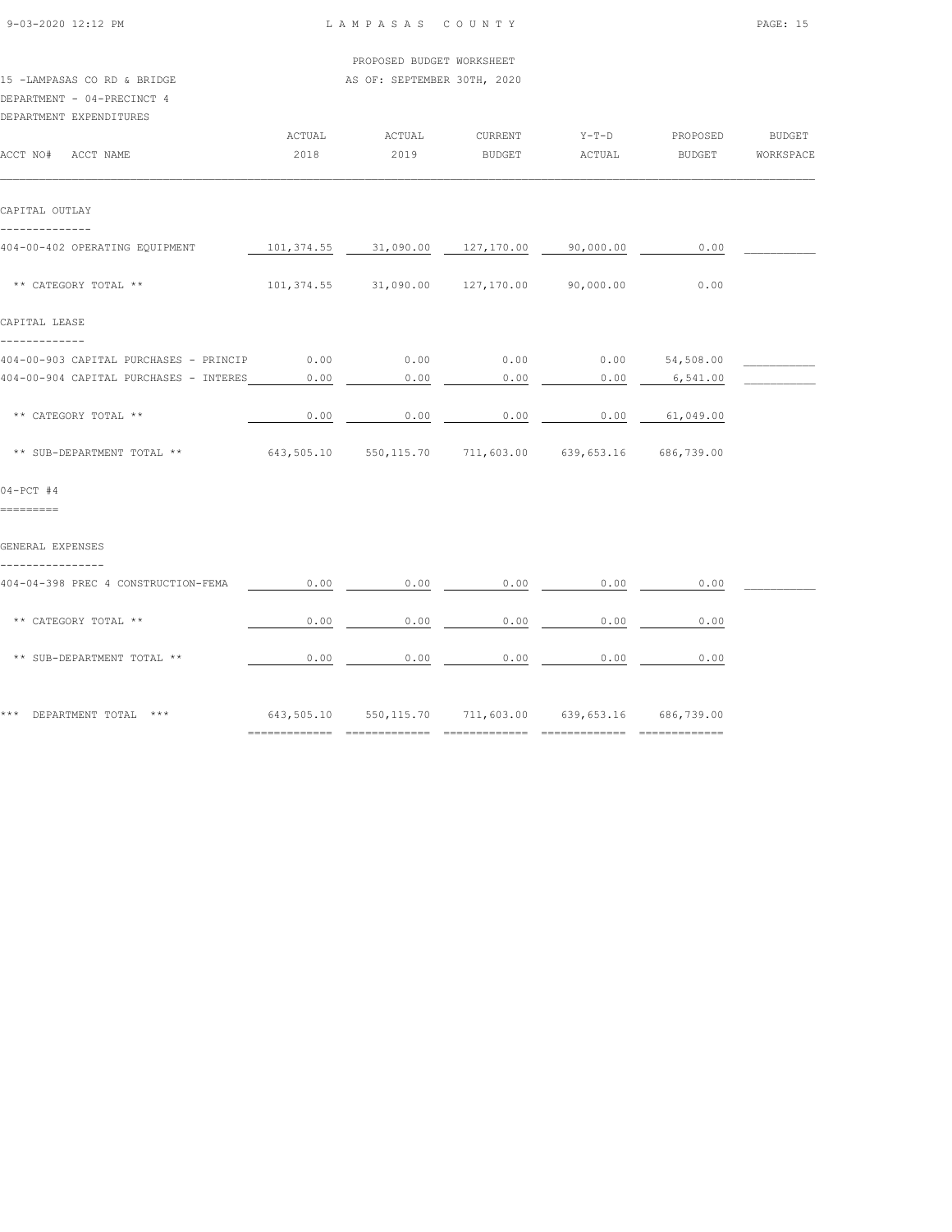| 9-03-2020 12:12 PM                                                                   |        | LAMPASAS COUNTY                                                                                                    | PAGE: 15                                  |                  |                       |                  |
|--------------------------------------------------------------------------------------|--------|--------------------------------------------------------------------------------------------------------------------|-------------------------------------------|------------------|-----------------------|------------------|
|                                                                                      |        | PROPOSED BUDGET WORKSHEET                                                                                          |                                           |                  |                       |                  |
| 15 -LAMPASAS CO RD & BRIDGE<br>DEPARTMENT - 04-PRECINCT 4<br>DEPARTMENT EXPENDITURES |        | AS OF: SEPTEMBER 30TH, 2020                                                                                        |                                           |                  |                       |                  |
|                                                                                      | ACTUAL | ACTUAL                                                                                                             | CURRENT                                   |                  | Y-T-D PROPOSED BUDGET |                  |
| ACCT NO# ACCT NAME                                                                   | 2018   | 2019                                                                                                               | <b>BUDGET</b>                             | ACTUAL           |                       | BUDGET WORKSPACE |
| CAPITAL OUTLAY                                                                       |        |                                                                                                                    |                                           |                  |                       |                  |
| --------------                                                                       |        |                                                                                                                    |                                           |                  |                       |                  |
| 404-00-402 OPERATING EQUIPMENT                                                       |        | $\begin{array}{c cccccccc} 101,374.55 & . & 31,090.00 & . & 127,170.00 & . & 90,000.00 & . & . & 0.00 \end{array}$ |                                           |                  |                       |                  |
| ** CATEGORY TOTAL **                                                                 |        | $101, 374.55$ $31, 090.00$ $127, 170.00$ $90, 000.00$                                                              |                                           |                  | 0.00                  |                  |
| CAPITAL LEASE                                                                        |        |                                                                                                                    |                                           |                  |                       |                  |
| -------------<br>404-00-903 CAPITAL PURCHASES - PRINCIP 0.00                         |        | $0.00$ 0.00 0.00 54,508.00                                                                                         |                                           |                  |                       |                  |
| 404-00-904 CAPITAL PURCHASES - INTERES                                               | 0.00   | 0.00                                                                                                               | 0.00                                      | 0.00             | 6,541.00              |                  |
| ** CATEGORY TOTAL **                                                                 | 0.00   | 0.00                                                                                                               | 0.00                                      | $0.00$ 61,049.00 |                       |                  |
| ** SUB-DEPARTMENT TOTAL ** 643,505.10 550,115.70 711,603.00 639,653.16 686,739.00    |        |                                                                                                                    |                                           |                  |                       |                  |
| $04-PCT$ #4                                                                          |        |                                                                                                                    |                                           |                  |                       |                  |
| =========                                                                            |        |                                                                                                                    |                                           |                  |                       |                  |
| GENERAL EXPENSES<br>----------------                                                 |        |                                                                                                                    |                                           |                  |                       |                  |
| 404-04-398 PREC 4 CONSTRUCTION-FEMA                                                  | 0.00   |                                                                                                                    | $0.00$ $0.00$ $0.00$ $0.00$               |                  | 0.00                  |                  |
| ** CATEGORY TOTAL **                                                                 | 0.00   | 0.00                                                                                                               | 0.00                                      | 0.00             | 0.00                  |                  |
| ** SUB-DEPARTMENT TOTAL **                                                           | 0.00   |                                                                                                                    | $0.00$ $0.00$ $0.00$ $0.00$ $0.00$ $0.00$ |                  |                       |                  |
| *** DEPARTMENT TOTAL ***                                                             |        | 643,505.10 550,115.70 711,603.00 639,653.16 686,739.00                                                             |                                           |                  |                       |                  |
|                                                                                      |        |                                                                                                                    |                                           |                  |                       |                  |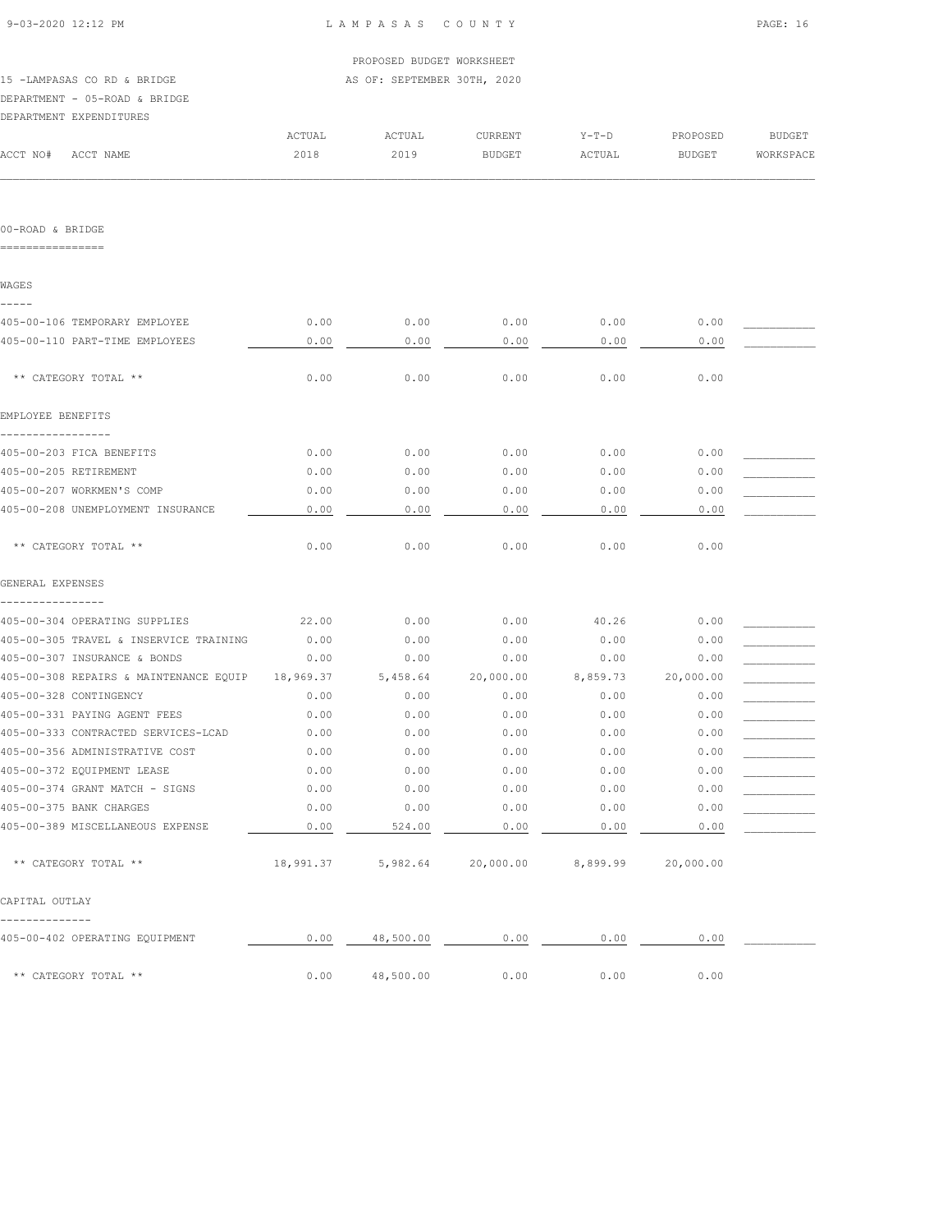|                                                  |           | PROPOSED BUDGET WORKSHEET   |                                                 |          |                                                                              |               |
|--------------------------------------------------|-----------|-----------------------------|-------------------------------------------------|----------|------------------------------------------------------------------------------|---------------|
| 15 -LAMPASAS CO RD & BRIDGE                      |           | AS OF: SEPTEMBER 30TH, 2020 |                                                 |          |                                                                              |               |
| DEPARTMENT - 05-ROAD & BRIDGE                    |           |                             |                                                 |          |                                                                              |               |
| DEPARTMENT EXPENDITURES                          |           |                             |                                                 |          |                                                                              |               |
|                                                  | ACTUAL    | ACTUAL                      | CURRENT                                         | Y-T-D    | PROPOSED                                                                     | <b>BUDGET</b> |
| ACCT NO#<br>ACCT NAME                            | 2018      | 2019                        | BUDGET                                          | ACTUAL   | <b>BUDGET</b>                                                                | WORKSPACE     |
|                                                  |           |                             |                                                 |          |                                                                              |               |
| 00-ROAD & BRIDGE<br>================             |           |                             |                                                 |          |                                                                              |               |
|                                                  |           |                             |                                                 |          |                                                                              |               |
| WAGES                                            |           |                             |                                                 |          |                                                                              |               |
| 405-00-106 TEMPORARY EMPLOYEE                    | 0.00      | 0.00                        | 0.00                                            | 0.00     | 0.00                                                                         |               |
| 405-00-110 PART-TIME EMPLOYEES                   | 0.00      | 0.00                        | 0.00                                            | 0.00     | 0.00                                                                         |               |
| ** CATEGORY TOTAL **                             | 0.00      | 0.00                        | 0.00                                            | 0.00     | 0.00                                                                         |               |
| EMPLOYEE BENEFITS                                |           |                             |                                                 |          |                                                                              |               |
| 405-00-203 FICA BENEFITS                         | 0.00      | 0.00                        | 0.00                                            | 0.00     | 0.00                                                                         |               |
| 405-00-205 RETIREMENT                            | 0.00      | 0.00                        | 0.00                                            | 0.00     | 0.00                                                                         |               |
| 405-00-207 WORKMEN'S COMP                        | 0.00      | 0.00                        | 0.00                                            | 0.00     | 0.00                                                                         |               |
| 405-00-208 UNEMPLOYMENT INSURANCE                | 0.00      | 0.00                        | 0.00                                            | 0.00     | 0.00                                                                         |               |
| ** CATEGORY TOTAL **                             | 0.00      | 0.00                        | 0.00                                            | 0.00     | 0.00                                                                         |               |
| GENERAL EXPENSES                                 |           |                             |                                                 |          |                                                                              |               |
| 405-00-304 OPERATING SUPPLIES                    | 22,00     | 0.00                        | 0.00                                            | 40.26    | 0.00                                                                         |               |
| 405-00-305 TRAVEL & INSERVICE TRAINING           | 0.00      | 0.00                        | 0.00                                            | 0.00     | 0.00                                                                         |               |
| 405-00-307 INSURANCE & BONDS                     | 0.00      | 0.00                        | 0.00                                            | 0.00     | 0.00                                                                         |               |
| 405-00-308 REPAIRS & MAINTENANCE EQUIP           | 18,969.37 | 5,458.64                    | 20,000.00                                       | 8,859.73 | 20,000.00                                                                    |               |
| 405-00-328 CONTINGENCY                           | 0.00      | 0.00                        | 0.00                                            | 0.00     | 0.00                                                                         |               |
| 405-00-331 PAYING AGENT FEES                     | 0.00      | 0.00                        | 0.00                                            | 0.00     | 0.00                                                                         |               |
| 405-00-333 CONTRACTED SERVICES-LCAD              | 0.00      | 0.00                        | 0.00                                            | 0.00     | $\ensuremath{\mathsf{0}}$ . $\ensuremath{\mathsf{0}}\ensuremath{\mathsf{0}}$ |               |
| 405-00-356 ADMINISTRATIVE COST                   | 0.00      | 0.00                        | 0.00                                            | 0.00     | 0.00                                                                         |               |
| 405-00-372 EQUIPMENT LEASE                       | 0.00      | 0.00                        | 0.00                                            | 0.00     | 0.00                                                                         |               |
| 405-00-374 GRANT MATCH - SIGNS                   | 0.00      | 0.00                        | 0.00                                            | 0.00     | 0.00                                                                         |               |
| 405-00-375 BANK CHARGES                          | 0.00      | 0.00                        | 0.00                                            | 0.00     | 0.00                                                                         |               |
| 405-00-389 MISCELLANEOUS EXPENSE                 | 0.00      | 524.00                      | 0.00                                            | 0.00     | 0.00                                                                         |               |
| ** CATEGORY TOTAL **                             |           |                             | 18,991.37 5,982.64 20,000.00 8,899.99 20,000.00 |          |                                                                              |               |
| CAPITAL OUTLAY                                   |           |                             |                                                 |          |                                                                              |               |
| --------------<br>405-00-402 OPERATING EQUIPMENT | 0.00      |                             | 48,500.00 0.00 0.00                             |          | 0.00                                                                         |               |
| ** CATEGORY TOTAL **                             | 0.00      | 48,500.00                   | 0.00                                            | 0.00     | 0.00                                                                         |               |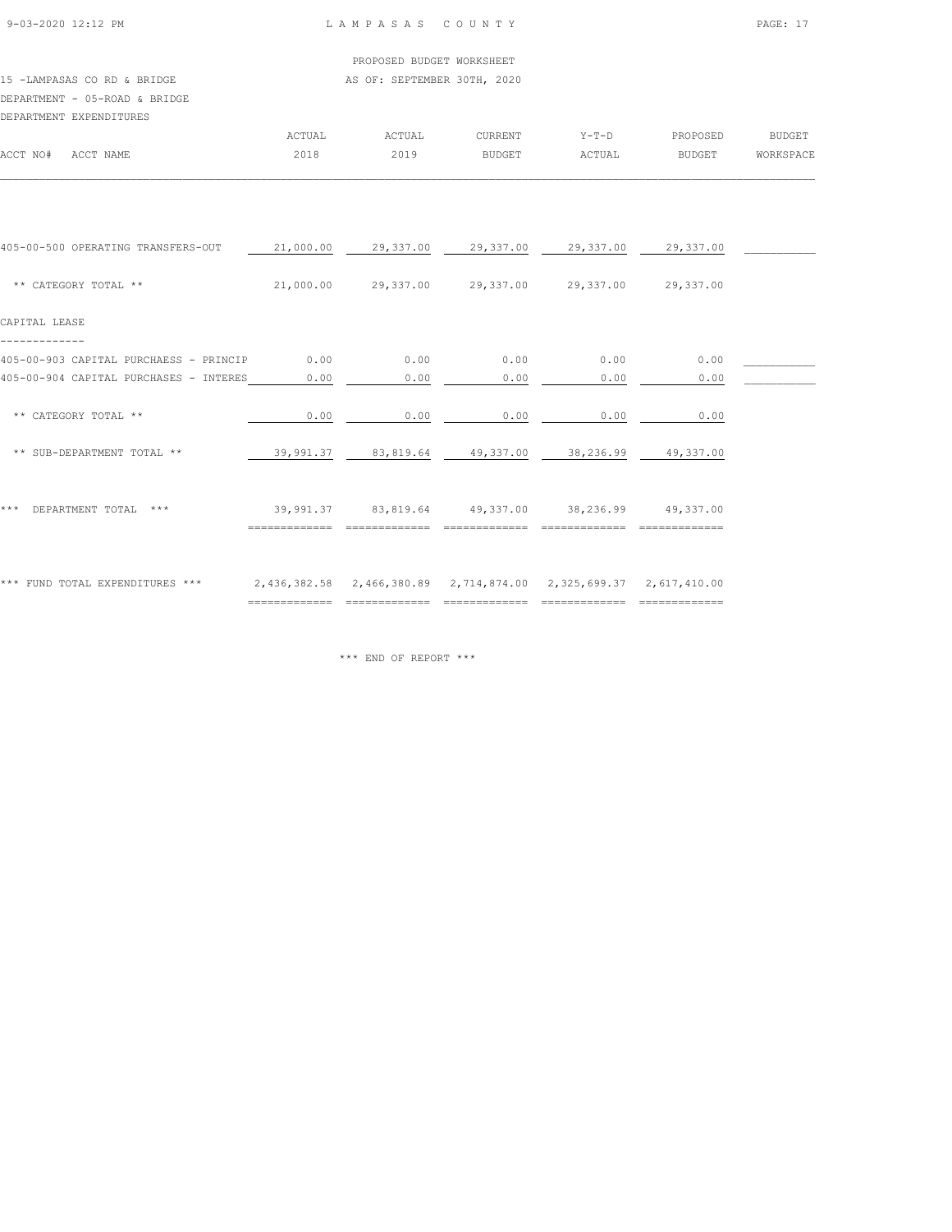## 15 -LAMPASAS CO RD & BRIDGE AS OF: SEPTEMBER 30TH, 2020 DEPARTMENT - 05-ROAD & BRIDGE

|          | DEPARTMENT EXPENDITURES |        |               |               |         |               |               |
|----------|-------------------------|--------|---------------|---------------|---------|---------------|---------------|
|          |                         | ACTUAL | <b>ACTUAL</b> | CURRENT       | $Y-T-D$ | PROPOSED      | <b>BUDGET</b> |
| ACCT NO# | ACCT NAME               | 2018   | 2019          | <b>BUDGET</b> | ACTUAL  | <b>BUDGET</b> | WORKSPACE     |
|          |                         |        |               |               |         |               |               |

| 405-00-500 OPERATING TRANSFERS-OUT     | 21,000.00 | 29,337.00                                                        | 29,337.00 | 29,337.00 | 29,337.00 |  |
|----------------------------------------|-----------|------------------------------------------------------------------|-----------|-----------|-----------|--|
| ** CATEGORY TOTAL **                   | 21,000.00 | 29,337.00                                                        | 29,337.00 | 29,337.00 | 29,337.00 |  |
| CAPITAL LEASE                          |           |                                                                  |           |           |           |  |
| 405-00-903 CAPITAL PURCHAESS - PRINCIP | 0.00      | 0.00                                                             | 0.00      | 0.00      | 0.00      |  |
| 405-00-904 CAPITAL PURCHASES - INTERES | 0.00      | 0.00                                                             | 0.00      | 0.00      | 0.00      |  |
| ** CATEGORY TOTAL **                   | 0.00      | 0.00                                                             | 0.00      | 0.00      | 0.00      |  |
| ** SUB-DEPARTMENT TOTAL **             | 39,991.37 | 83,819.64                                                        | 49,337.00 | 38,236.99 | 49,337.00 |  |
| DEPARTMENT TOTAL<br>$***$<br>* * *     | 39,991.37 | 83,819.64                                                        | 49,337.00 | 38,236.99 | 49,337.00 |  |
| *** FUND TOTAL EXPENDITURES ***        |           | 2,436,382.58 2,466,380.89 2,714,874.00 2,325,699.37 2,617,410.00 |           |           |           |  |

\*\*\* END OF REPORT \*\*\*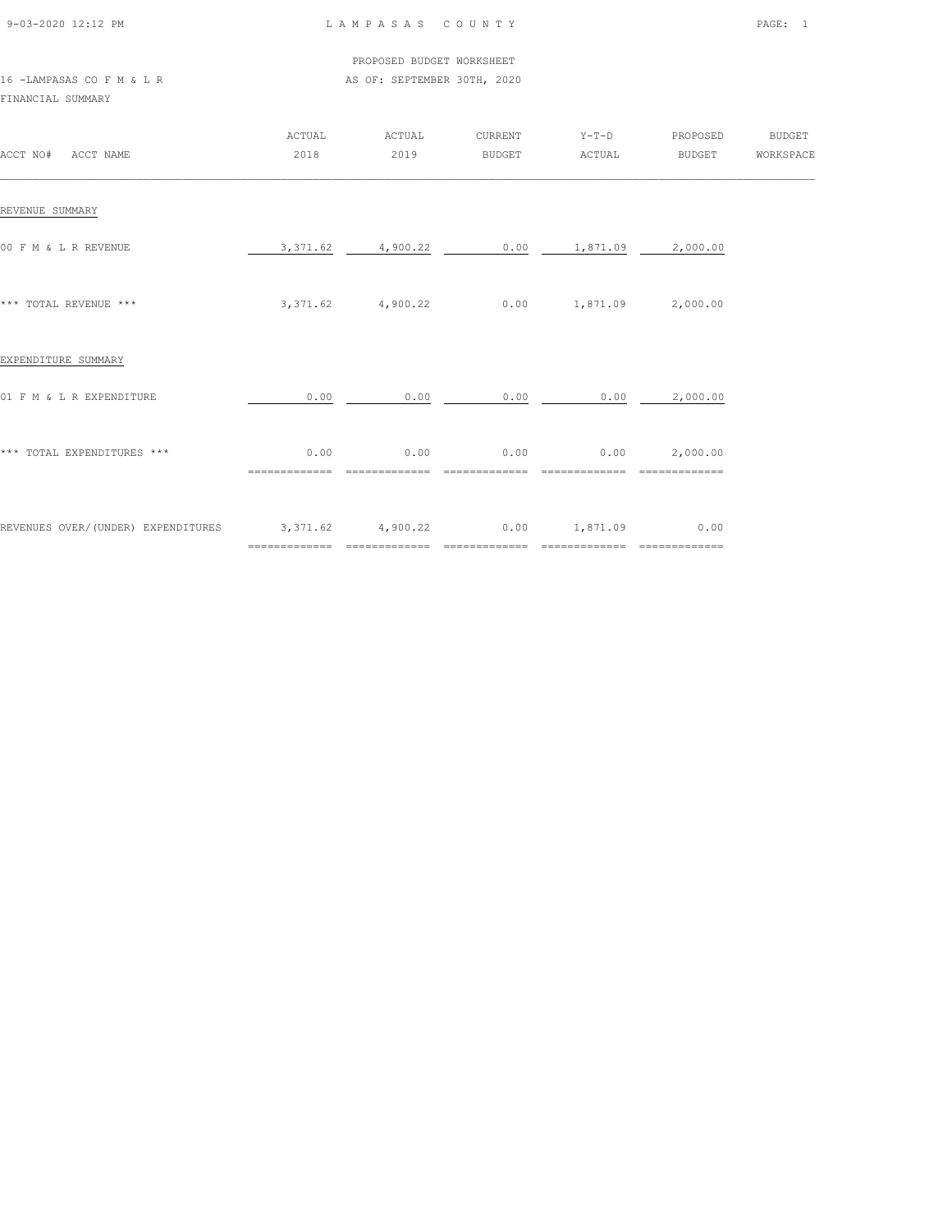| 9-03-2020 12:12 PM |  |
|--------------------|--|

## L A M P A S A S C O U N T Y PAGE: 1

 PROPOSED BUDGET WORKSHEET 16 -LAMPASAS CO F M & L R AS OF: SEPTEMBER 30TH, 2020

FINANCIAL SUMMARY

| ACCT NO#<br>ACCT NAME              | <b>ACTUAL</b><br>2018 | ACTUAL<br>2019    | CURRENT<br><b>BUDGET</b>  | $Y-T-D$<br>ACTUAL          | PROPOSED<br>BUDGET    | <b>BUDGET</b><br>WORKSPACE |
|------------------------------------|-----------------------|-------------------|---------------------------|----------------------------|-----------------------|----------------------------|
| REVENUE SUMMARY                    |                       |                   |                           |                            |                       |                            |
| 00 F M & L R REVENUE               |                       | 3,371.62 4,900.22 |                           | $0.00$ 1,871.09            | 2,000.00              |                            |
| *** TOTAL REVENUE ***              |                       | 3,371.62 4,900.22 |                           | $0.00$ 1,871.09 2,000.00   |                       |                            |
| EXPENDITURE SUMMARY                |                       |                   |                           |                            |                       |                            |
| 01 F M & L R EXPENDITURE           | 0.00                  | 0.00              | 0.00                      | 0.00                       | 2,000.00              |                            |
| *** TOTAL EXPENDITURES ***         | 0.00                  | 0.00              | 0.00<br>=============     | 0.00                       | 2,000.00              |                            |
| REVENUES OVER/(UNDER) EXPENDITURES | 3, 371.62 4, 900.22   |                   | 0.00<br>$=$ ============= | 1,871.09<br>============== | 0.00<br>============= |                            |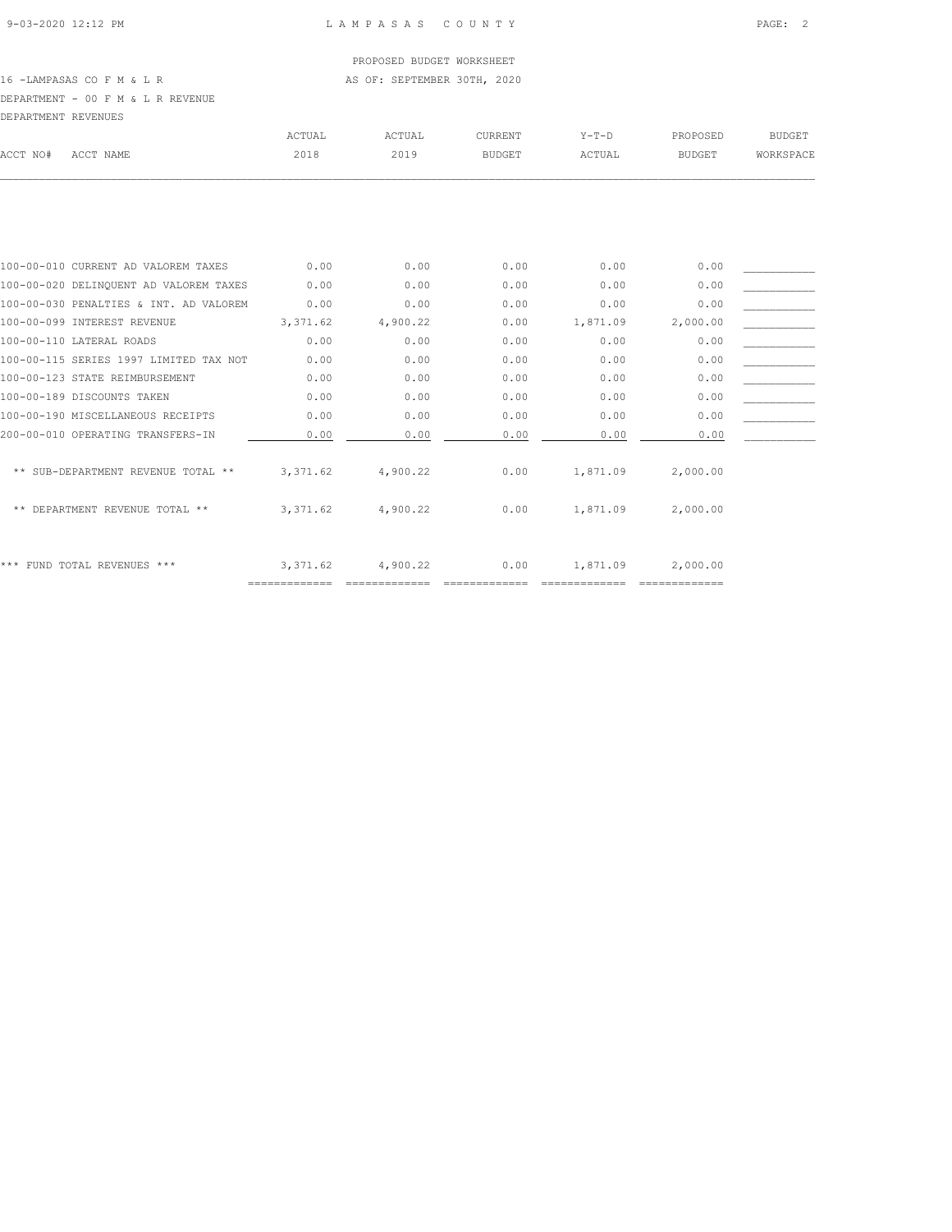16 -LAMPASAS CO F M & L R AS OF: SEPTEMBER 30TH, 2020

## DEPARTMENT - 00 F M & L R REVENUE

| DEPARTMENT REVENUES |                                        |           |          |               |          |               |               |
|---------------------|----------------------------------------|-----------|----------|---------------|----------|---------------|---------------|
|                     |                                        | ACTUAL    | ACTUAL   | CURRENT       | $Y-T-D$  | PROPOSED      | <b>BUDGET</b> |
| ACCT NO#            | ACCT NAME                              | 2018      | 2019     | <b>BUDGET</b> | ACTUAL   | <b>BUDGET</b> | WORKSPACE     |
|                     |                                        |           |          |               |          |               |               |
|                     |                                        |           |          |               |          |               |               |
|                     | 100-00-010 CURRENT AD VALOREM TAXES    | 0.00      | 0.00     | 0.00          | 0.00     | 0.00          |               |
|                     | 100-00-020 DELINOUENT AD VALOREM TAXES | 0.00      | 0.00     | 0.00          | 0.00     | 0.00          |               |
|                     | 100-00-030 PENALTIES & INT. AD VALOREM | 0.00      | 0.00     | 0.00          | 0.00     | 0.00          |               |
|                     | 100-00-099 INTEREST REVENUE            | 3,371.62  | 4,900.22 | 0.00          | 1,871.09 | 2,000.00      |               |
|                     | 100-00-110 LATERAL ROADS               | 0.00      | 0.00     | 0.00          | 0.00     | 0.00          |               |
|                     | 100-00-115 SERIES 1997 LIMITED TAX NOT | 0.00      | 0.00     | 0.00          | 0.00     | 0.00          |               |
|                     | 100-00-123 STATE REIMBURSEMENT         | 0.00      | 0.00     | 0.00          | 0.00     | 0.00          |               |
|                     | 100-00-189 DISCOUNTS TAKEN             | 0.00      | 0.00     | 0.00          | 0.00     | 0.00          |               |
|                     | 100-00-190 MISCELLANEOUS RECEIPTS      | 0.00      | 0.00     | 0.00          | 0.00     | 0.00          |               |
|                     | 200-00-010 OPERATING TRANSFERS-IN      | 0.00      | 0.00     | 0.00          | 0.00     | 0.00          |               |
|                     | ** SUB-DEPARTMENT REVENUE TOTAL **     | 3, 371.62 | 4,900.22 | 0.00          | 1,871.09 | 2,000.00      |               |
|                     | ** DEPARTMENT REVENUE TOTAL **         | 3,371.62  | 4,900.22 | 0.00          | 1,871.09 | 2,000.00      |               |
|                     | *** FUND TOTAL REVENUES ***            | 3,371.62  | 4,900.22 | 0.00          | 1,871.09 | 2,000.00      |               |

============= ============= ============= ============= =============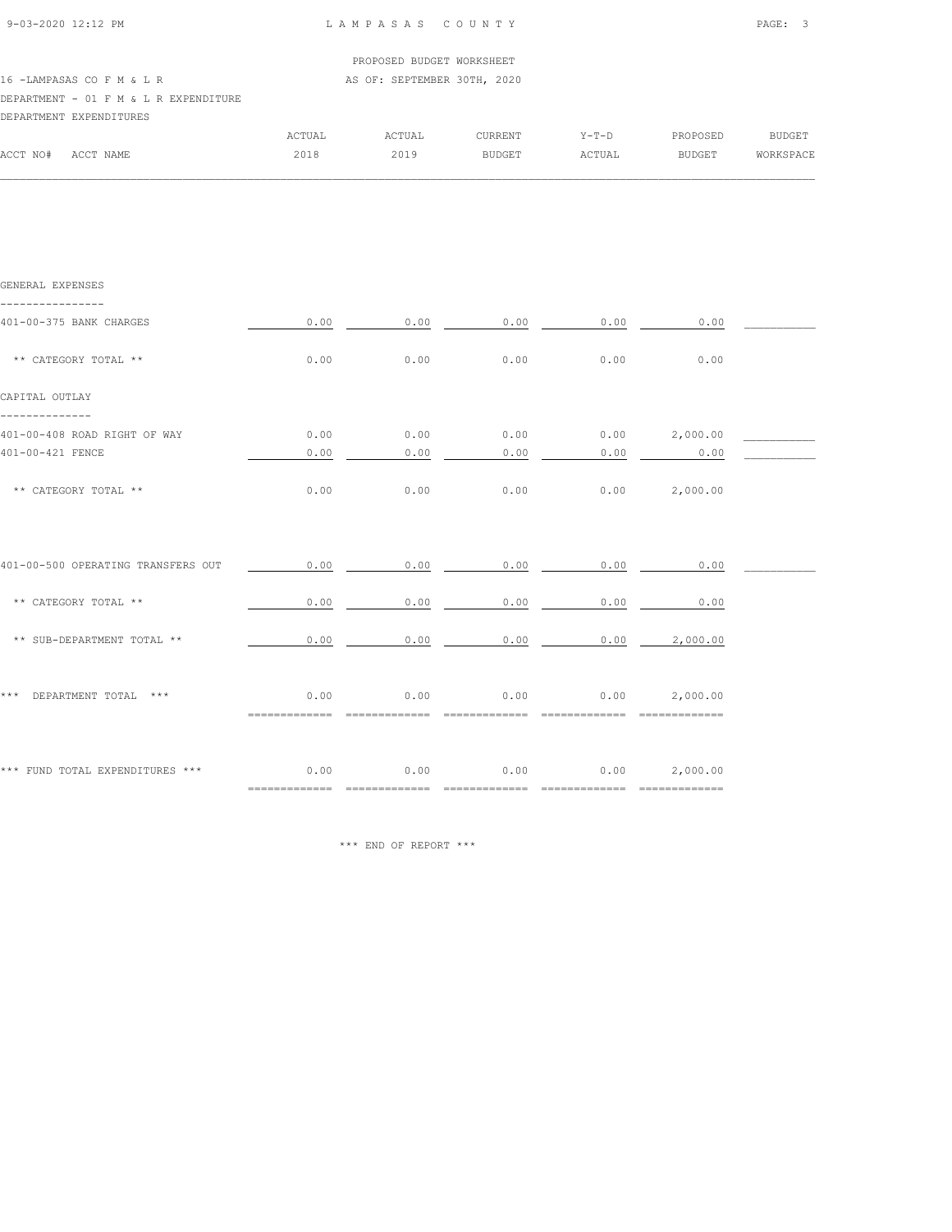|                                       |        | PROPOSED BUDGET WORKSHEET   |               |         |               |           |
|---------------------------------------|--------|-----------------------------|---------------|---------|---------------|-----------|
| 16 - LAMPASAS CO F M & L R            |        | AS OF: SEPTEMBER 30TH, 2020 |               |         |               |           |
| DEPARTMENT - 01 F M & L R EXPENDITURE |        |                             |               |         |               |           |
| DEPARTMENT EXPENDITURES               |        |                             |               |         |               |           |
|                                       | ACTUAL | ACTUAL                      | CURRENT       | $Y-T-D$ | PROPOSED      | BUDGET    |
| ACCT NO#<br>ACCT NAME                 | 2018   | 2019                        | <b>BUDGET</b> | ACTUAL  | <b>BUDGET</b> | WORKSPACE |

 $\mathcal{L} = \{ \mathcal{L} = \{ \mathcal{L} = \{ \mathcal{L} = \{ \mathcal{L} = \{ \mathcal{L} = \{ \mathcal{L} = \{ \mathcal{L} = \{ \mathcal{L} = \{ \mathcal{L} = \{ \mathcal{L} = \{ \mathcal{L} = \{ \mathcal{L} = \{ \mathcal{L} = \{ \mathcal{L} = \{ \mathcal{L} = \{ \mathcal{L} = \{ \mathcal{L} = \{ \mathcal{L} = \{ \mathcal{L} = \{ \mathcal{L} = \{ \mathcal{L} = \{ \mathcal{L} = \{ \mathcal{L} = \{ \mathcal{$ 

| GENERAL EXPENSES                   |                       |                              |                            |               |                                      |  |
|------------------------------------|-----------------------|------------------------------|----------------------------|---------------|--------------------------------------|--|
| 401-00-375 BANK CHARGES            | 0.00                  | 0.00                         | 0.00                       | 0.00          | 0.00                                 |  |
| ** CATEGORY TOTAL **               | 0.00                  | 0.00                         | 0.00                       | 0.00          | 0.00                                 |  |
| CAPITAL OUTLAY                     |                       |                              |                            |               |                                      |  |
| 401-00-408 ROAD RIGHT OF WAY       | 0.00                  | 0.00                         | 0.00                       |               | $0.00$ 2,000.00                      |  |
| 401-00-421 FENCE                   | 0.00                  | 0.00                         | 0.00                       | 0.00          | 0.00                                 |  |
| ** CATEGORY TOTAL **               | 0.00                  | 0.00                         | 0.00                       | 0.00          | 2,000.00                             |  |
| 401-00-500 OPERATING TRANSFERS OUT | 0.00                  | 0.00                         | 0.00                       | 0.00          | 0.00                                 |  |
| ** CATEGORY TOTAL **               | 0.00                  | 0.00                         | 0.00                       | 0.00          | 0.00                                 |  |
| ** SUB-DEPARTMENT TOTAL **         | 0.00                  | 0.00                         | 0.00                       | 0.00          | 2,000.00                             |  |
| *** DEPARTMENT TOTAL ***           | 0.00<br>============= | 0.00<br>$= 2222222222222222$ | 0.00<br>$=$ ============== | 0.00          | 2,000.00                             |  |
| *** FUND TOTAL EXPENDITURES ***    | 0.00<br>============= | 0.00                         | 0.00<br>==============     | ============= | $0.00$ 2,000.00<br>$=$ ============= |  |

\*\*\* END OF REPORT \*\*\*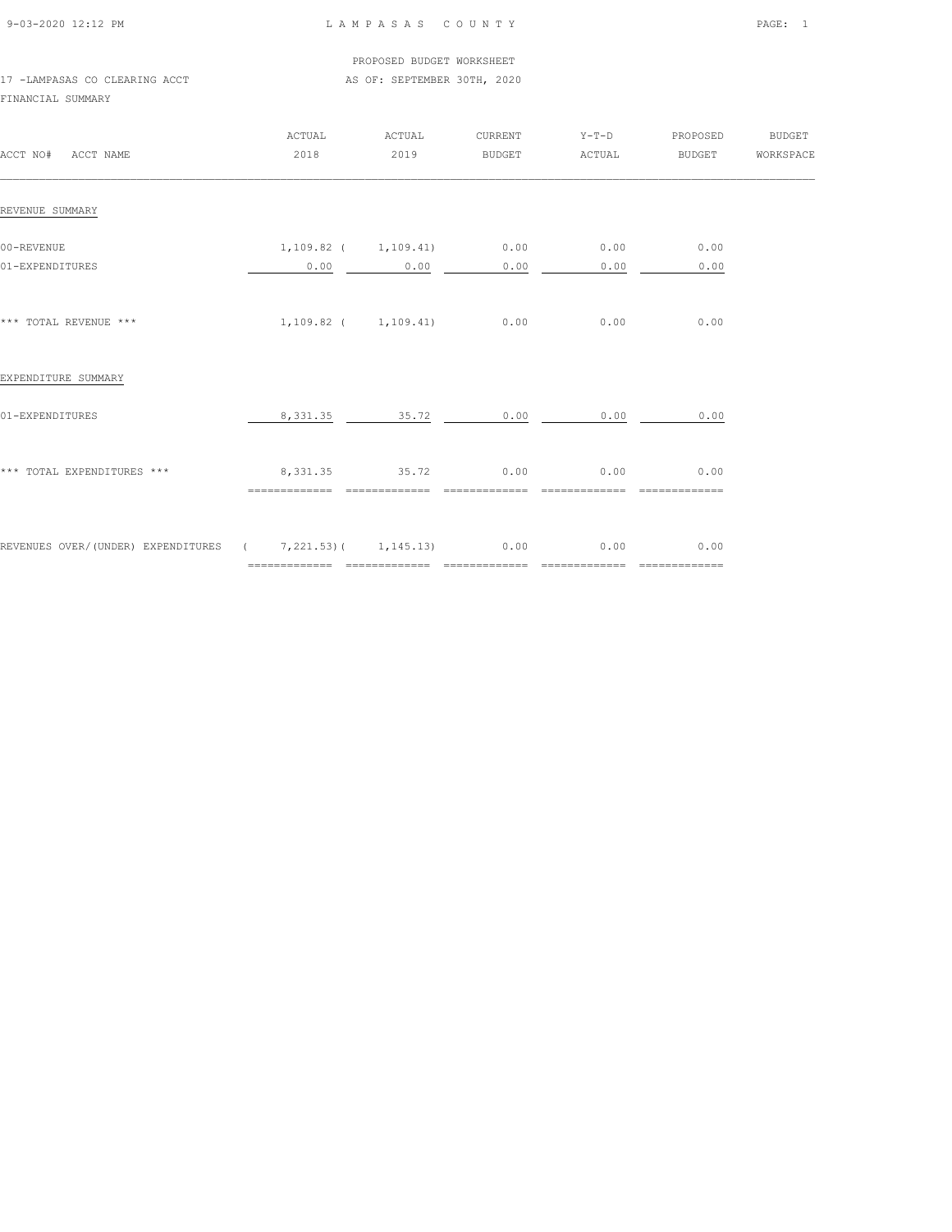| 9-03-2020 12:12 PM |  |
|--------------------|--|

## L A M P A S A S C O U N T Y PAGE: 1

#### PROPOSED BUDGET WORKSHEET 17 -LAMPASAS CO CLEARING ACCT AS OF: SEPTEMBER 30TH, 2020

FINANCIAL SUMMARY

| ACCT NO# ACCT NAME                                              | ACTUAL<br>2018                                     | ACTUAL<br>2019 | BUDGET ACTUAL                               | CURRENT Y-T-D PROPOSED | BUDGET                | <b>BUDGET</b><br>WORKSPACE |
|-----------------------------------------------------------------|----------------------------------------------------|----------------|---------------------------------------------|------------------------|-----------------------|----------------------------|
| REVENUE SUMMARY                                                 |                                                    |                |                                             |                        |                       |                            |
| 00-REVENUE<br>01-EXPENDITURES                                   | 0.00                                               | 0.00           | $1,109.82$ ( $1,109.41$ ) 0.00 0.00<br>0.00 | 0.00                   | 0.00<br>0.00          |                            |
| *** TOTAL REVENUE ***                                           | $1,109.82$ ( $1,109.41$ ) 0.00 0.00                |                |                                             |                        | 0.00                  |                            |
| EXPENDITURE SUMMARY                                             |                                                    |                |                                             |                        |                       |                            |
| 01-EXPENDITURES                                                 | 8, 331.35 35.72                                    |                | 0.00                                        | 0.00                   | 0.00                  |                            |
| *** TOTAL EXPENDITURES ***                                      | 8,331.35 35.72 0.00<br>============= ============= |                |                                             | 0.00<br>=============  | 0.00<br>============= |                            |
| REVENUES OVER/(UNDER) EXPENDITURES ( 7,221.53) ( 1,145.13) 0.00 |                                                    |                |                                             | 0.00                   | 0.00                  |                            |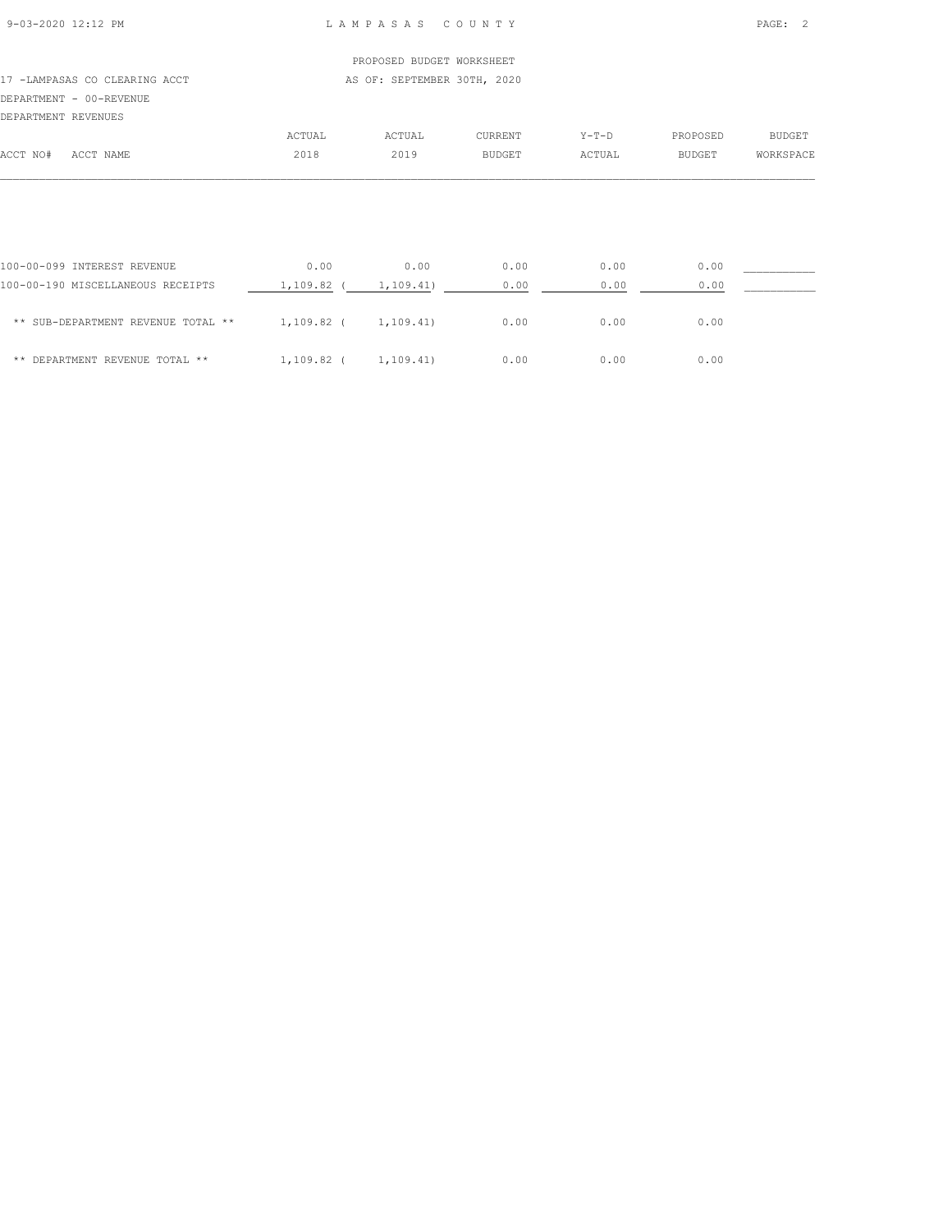## PROPOSED BUDGET WORKSHEET 17 -LAMPASAS CO CLEARING ACCT AS OF: SEPTEMBER 30TH, 2020 DEPARTMENT - 00-REVENUE DEPARTMENT REVENUES ACTUAL ACTUAL CURRENT Y-T-D PROPOSED BUDGET ACCT NO# ACCT NAME 2018 2019 BUDGET ACTUAL BUDGET WORKSPACE  $\mathcal{L} = \{ \mathcal{L} = \{ \mathcal{L} = \{ \mathcal{L} = \{ \mathcal{L} = \{ \mathcal{L} = \{ \mathcal{L} = \{ \mathcal{L} = \{ \mathcal{L} = \{ \mathcal{L} = \{ \mathcal{L} = \{ \mathcal{L} = \{ \mathcal{L} = \{ \mathcal{L} = \{ \mathcal{L} = \{ \mathcal{L} = \{ \mathcal{L} = \{ \mathcal{L} = \{ \mathcal{L} = \{ \mathcal{L} = \{ \mathcal{L} = \{ \mathcal{L} = \{ \mathcal{L} = \{ \mathcal{L} = \{ \mathcal{$

| 100-00-099 INTEREST REVENUE        | 0.00       | 0.00      | 0.00 | 0.00 | 0.00 |  |
|------------------------------------|------------|-----------|------|------|------|--|
| 100-00-190 MISCELLANEOUS RECEIPTS  | 1,109.82   | 1,109.41) | 0.00 | 0.00 | 0.00 |  |
| ** SUB-DEPARTMENT REVENUE TOTAL ** | 1,109.82 ( | 1,109.41) | 0.00 | 0.00 | 0.00 |  |
| ** DEPARTMENT REVENUE TOTAL **     | 1,109.82   | 1,109.41) | 0.00 | 0.00 | 0.00 |  |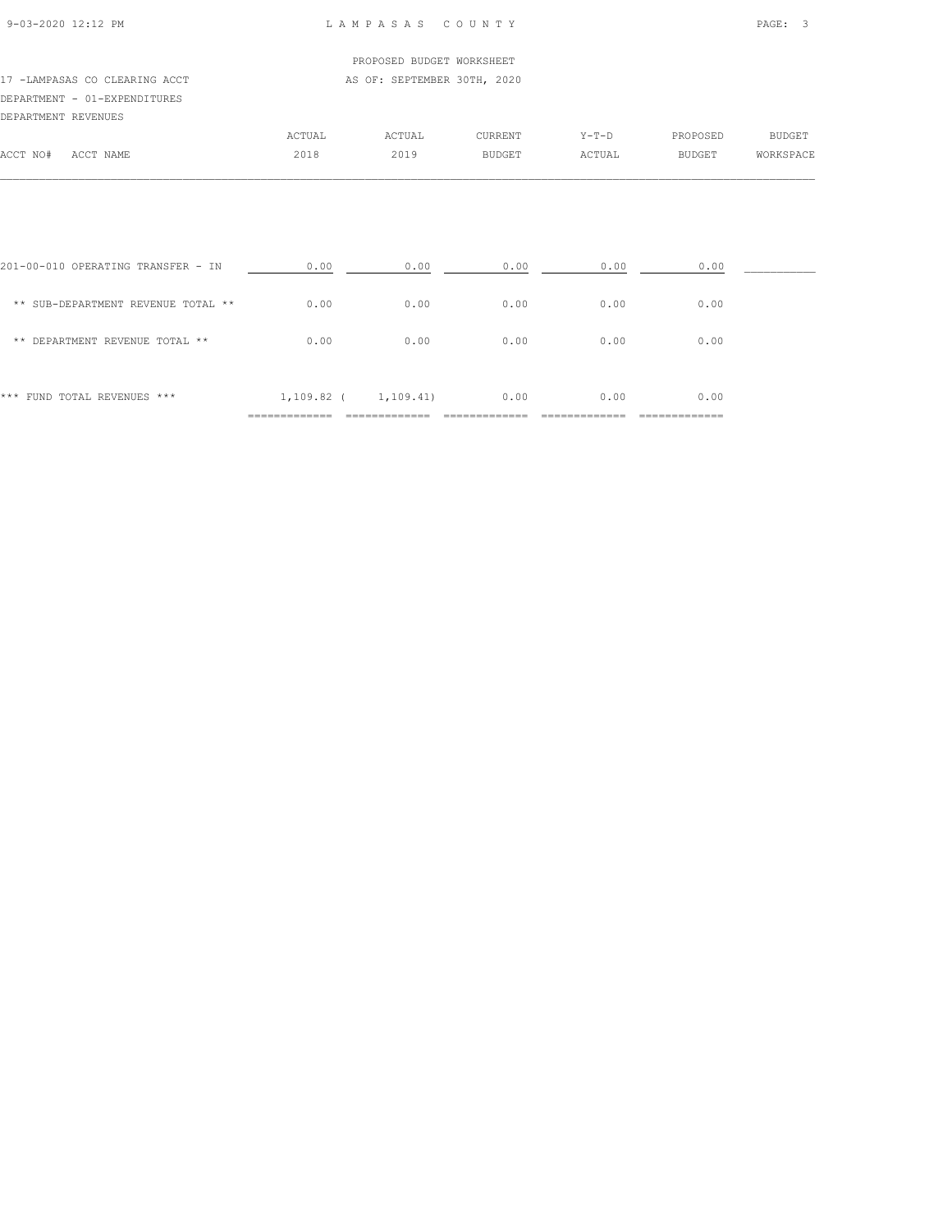| 9-03-2020 12:12 PM |  |
|--------------------|--|

|                               |         | PROPOSED BUDGET WORKSHEET   |         |       |  |
|-------------------------------|---------|-----------------------------|---------|-------|--|
| 17 -LAMPASAS CO CLEARING ACCT |         | AS OF: SEPTEMBER 30TH, 2020 |         |       |  |
| DEPARTMENT - 01-EXPENDITURES  |         |                             |         |       |  |
| DEPARTMENT REVENUES           |         |                             |         |       |  |
|                               | ACTUAL. | ACTIJAI.                    | CURRENT | Y-T-D |  |

|          |             | ACTUAL | ACTUAL | CURRENT       | $Y - T - D$ | PROPOSED<br>$ -$ | <b>BUDGET</b> |
|----------|-------------|--------|--------|---------------|-------------|------------------|---------------|
| ACCT NO# | ユーワ<br>NAME | 2018   | 2019   | <b>BUDGET</b> | ACTUAL      | <b>BUDGET</b>    | WORKSPACE     |
|          |             |        |        |               |             |                  |               |

| *** FUND TOTAL REVENUES ***        | 1,109.82 ( | 1,109.41) | 0.00 | 0.00 | 0.00 |  |
|------------------------------------|------------|-----------|------|------|------|--|
|                                    |            |           |      |      |      |  |
| ** DEPARTMENT REVENUE TOTAL **     | 0.00       | 0.00      | 0.00 | 0.00 | 0.00 |  |
| ** SUB-DEPARTMENT REVENUE TOTAL ** | 0.00       | 0.00      | 0.00 | 0.00 | 0.00 |  |
| 201-00-010 OPERATING TRANSFER - IN | 0.00       | 0.00      | 0.00 | 0.00 | 0.00 |  |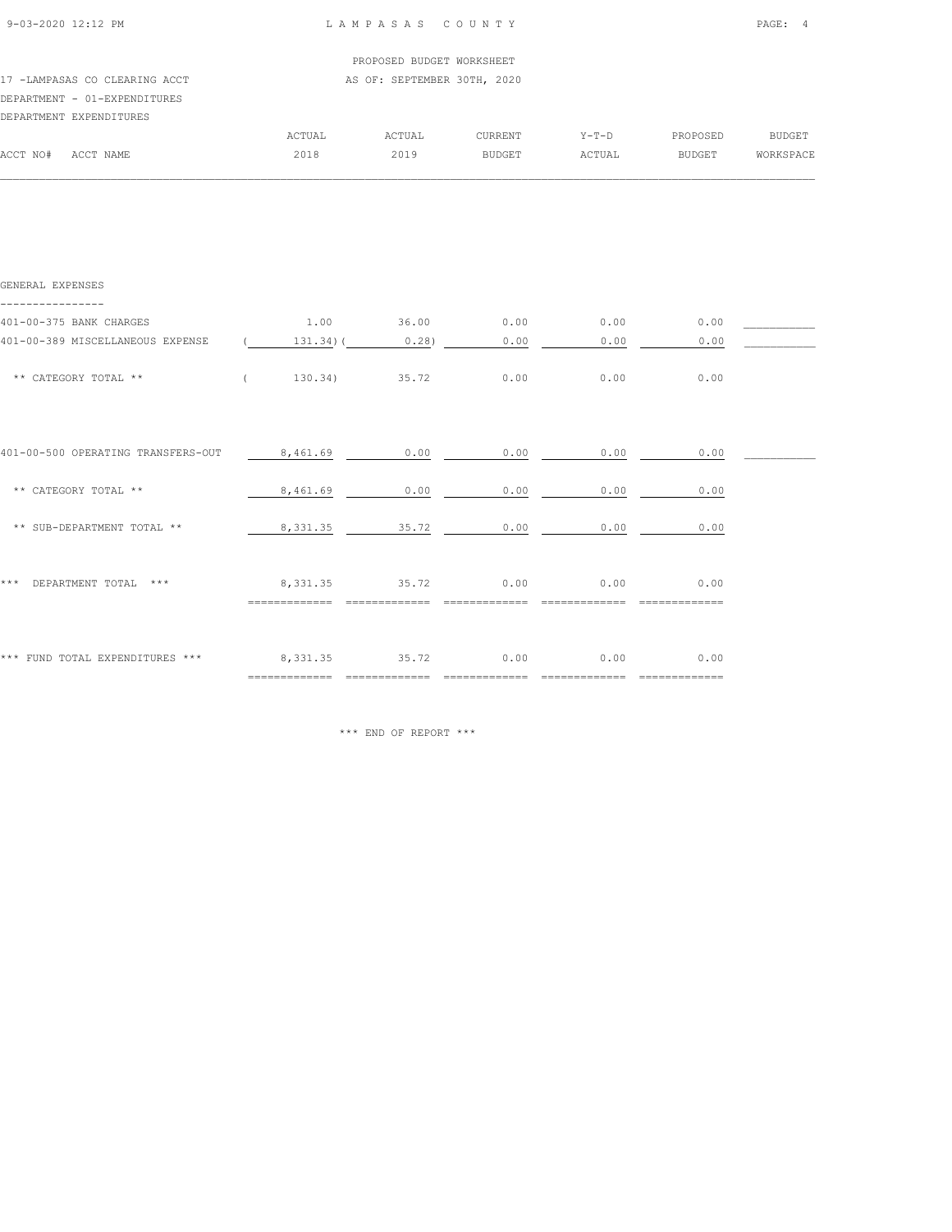| 9-03-2020 12:12 PM            |        | LAMPASAS COUNTY             |               |         |          | PAGE: 4   |
|-------------------------------|--------|-----------------------------|---------------|---------|----------|-----------|
|                               |        | PROPOSED BUDGET WORKSHEET   |               |         |          |           |
| 17 -LAMPASAS CO CLEARING ACCT |        | AS OF: SEPTEMBER 30TH, 2020 |               |         |          |           |
| DEPARTMENT - 01-EXPENDITURES  |        |                             |               |         |          |           |
| DEPARTMENT EXPENDITURES       |        |                             |               |         |          |           |
|                               | ACTUAL | ACTUAL                      | CURRENT       | $Y-T-D$ | PROPOSED | BUDGET    |
| ACCT NO#<br>ACCT NAME         | 2018   | 2019                        | <b>BUDGET</b> | ACTUAL  | BUDGET   | WORKSPACE |
|                               |        |                             |               |         |          |           |
|                               |        |                             |               |         |          |           |
|                               |        |                             |               |         |          |           |

| GENERAL EXPENSES                   |                               |                  |         |      |                |  |
|------------------------------------|-------------------------------|------------------|---------|------|----------------|--|
| 401-00-375 BANK CHARGES            | 1.00                          | 36.00            | 0.00    | 0.00 | 0.00           |  |
| 401-00-389 MISCELLANEOUS EXPENSE   | $131.34$ ) (                  | 0.28             | 0.00    | 0.00 | 0.00           |  |
| ** CATEGORY TOTAL **               | $\left($<br>130.34)           | 35.72            | 0.00    | 0.00 | 0.00           |  |
|                                    |                               |                  |         |      |                |  |
| 401-00-500 OPERATING TRANSFERS-OUT | 8,461.69                      | 0.00             | 0.00    | 0.00 | 0.00           |  |
| ** CATEGORY TOTAL **               | 8,461.69                      | 0.00             | 0.00    | 0.00 | 0.00           |  |
| ** SUB-DEPARTMENT TOTAL **         | 8,331.35                      | 35.72            | 0.00    | 0.00 | 0.00           |  |
| * * *<br>DEPARTMENT TOTAL ***      | 8,331.35                      | 35.72            | 0.00    | 0.00 | 0.00           |  |
|                                    |                               |                  |         |      |                |  |
| *** FUND TOTAL EXPENDITURES ***    | 8,331.35                      | 35.72            | 0.00    | 0.00 | 0.00           |  |
|                                    | $=$ = = = = = = = = = = = = = | $=$ ============ | ------- |      | ============== |  |

\*\*\* END OF REPORT \*\*\*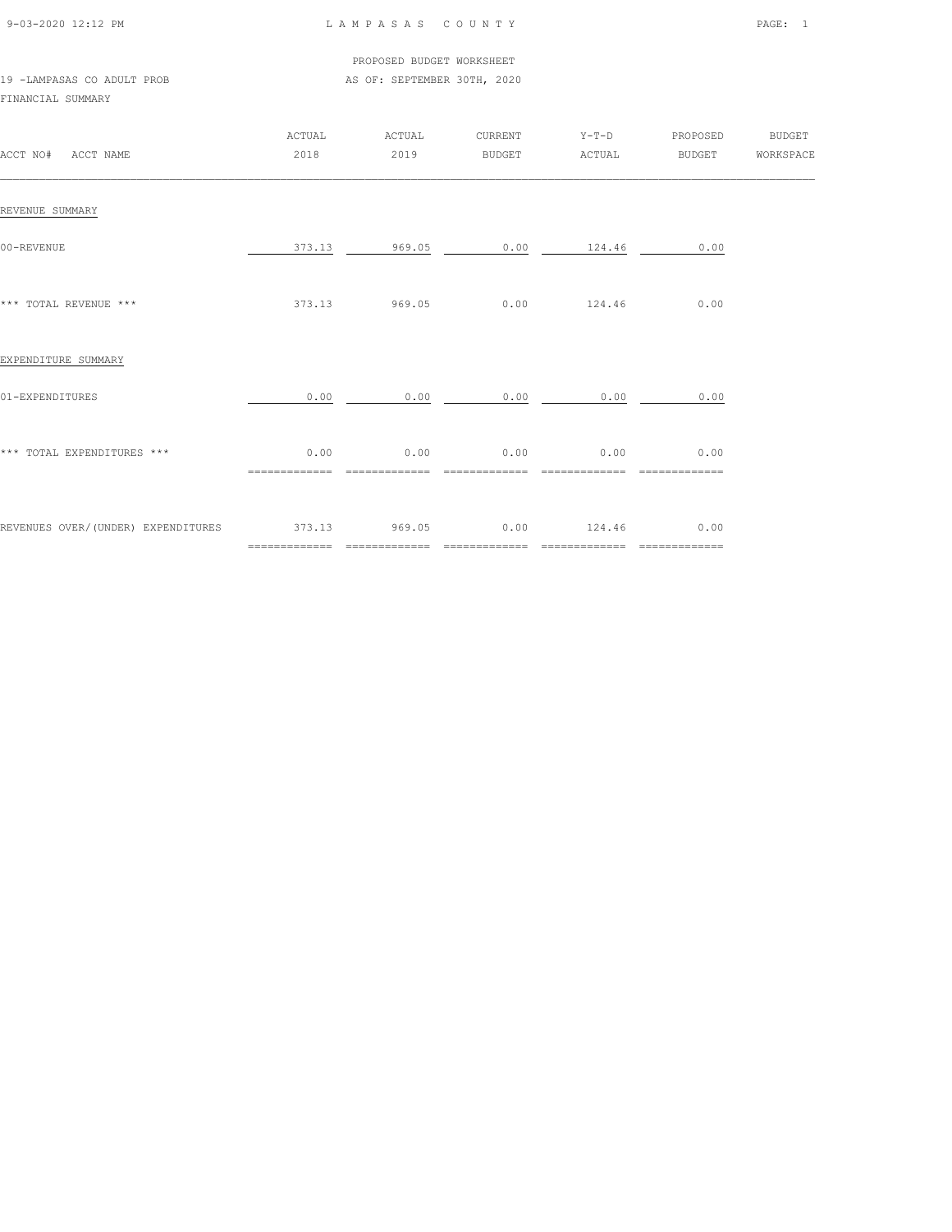| 9-03-2020 12:12 PM |  |
|--------------------|--|

## LAMPASAS COUNTY PAGE: 1

 PROPOSED BUDGET WORKSHEET 19 -LAMPASAS CO ADULT PROB **AS OF: SEPTEMBER 30TH, 2020** 

## FINANCIAL SUMMARY

| ACCT NO# ACCT NAME                               | ACTUAL<br>2018         | ACTUAL<br>2019         | CURRENT                | $Y-T-D$<br>BUDGET ACTUAL | PROPOSED                              | <b>BUDGET</b><br>BUDGET WORKSPACE |
|--------------------------------------------------|------------------------|------------------------|------------------------|--------------------------|---------------------------------------|-----------------------------------|
| REVENUE SUMMARY                                  |                        |                        |                        |                          |                                       |                                   |
| 00-REVENUE                                       | 373.13                 | 969.05                 |                        | $0.00$ 124.46            | 0.00                                  |                                   |
| *** TOTAL REVENUE ***                            |                        | 373.13 969.05          |                        | $0.00$ 124.46            | 0.00                                  |                                   |
| EXPENDITURE SUMMARY                              |                        |                        |                        |                          |                                       |                                   |
| 01-EXPENDITURES                                  | 0.00                   | 0.00                   | 0.00                   | 0.00                     | 0.00                                  |                                   |
| *** TOTAL EXPENDITURES ***                       | 0.00<br>============== | 0.00<br>============== | 0.00<br>============== | 0.00<br>==============   | 0.00<br>$=$ = = = = = = = = = = = = = |                                   |
| REVENUES OVER/(UNDER) EXPENDITURES 373.13 969.05 | =============          | ==============         | 0.00                   | 124.46<br>============== | 0.00<br>=============                 |                                   |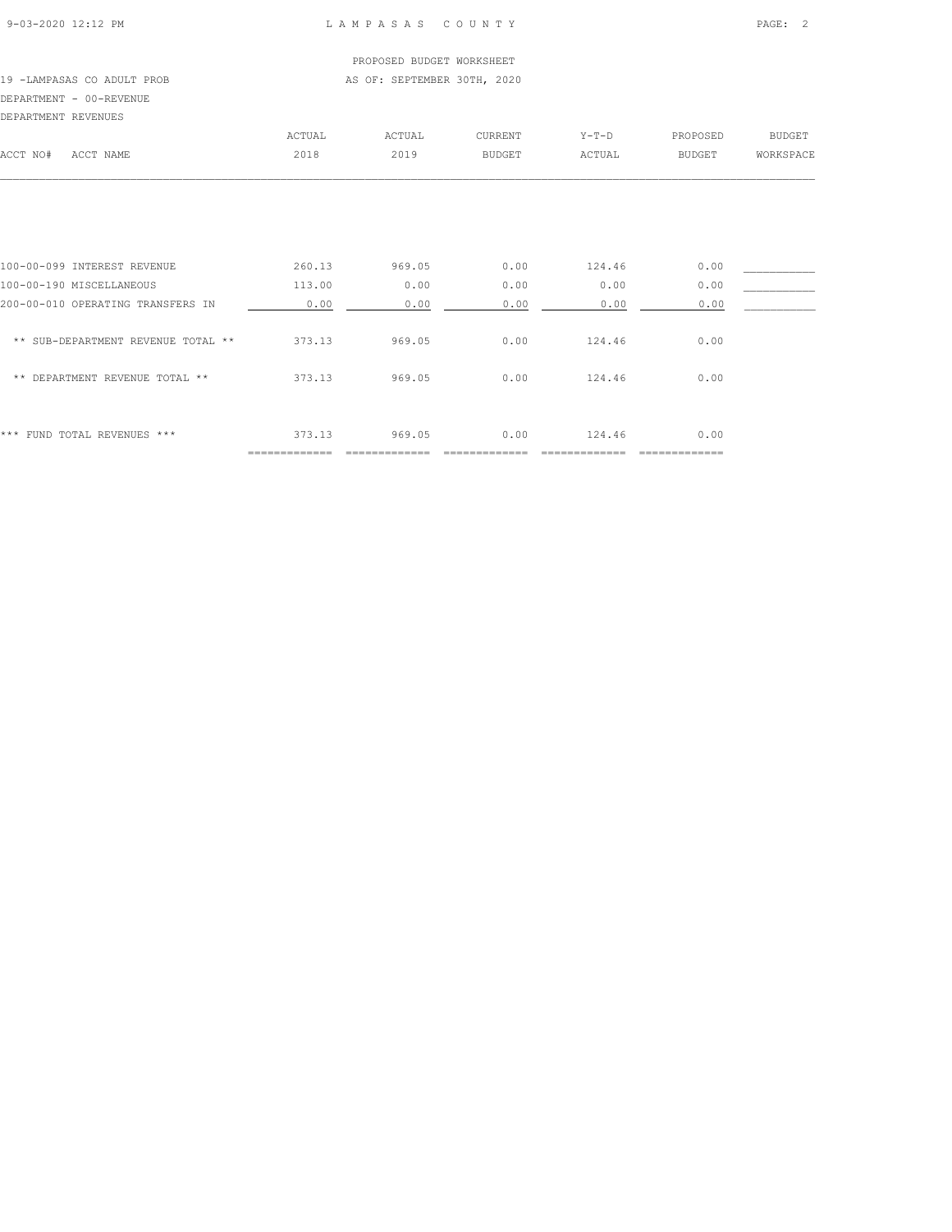## PROPOSED BUDGET WORKSHEET 19 -LAMPASAS CO ADULT PROB **AS OF: SEPTEMBER 30TH, 2020** DEPARTMENT - 00-REVENUE

| DEPARTMENT REVENUES |           |        |        |         |         |          |           |
|---------------------|-----------|--------|--------|---------|---------|----------|-----------|
|                     |           | ACTUAL | ACTUAL | CURRENT | $Y-T-D$ | PROPOSED | BUDGET    |
| ACCT NO#            | ACCT NAME | 2018   | 2019   | BUDGET  | ACTUAL  | BUDGET   | WORKSPACE |
|                     |           |        |        |         |         |          |           |
|                     |           |        |        |         |         |          |           |

| *** FUND TOTAL REVENUES ***        | 373.13 | 969.05 | 0.00 | 124.46 | 0.00 |  |
|------------------------------------|--------|--------|------|--------|------|--|
| DEPARTMENT REVENUE TOTAL **<br>**  | 373.13 | 969.05 | 0.00 | 124.46 | 0.00 |  |
| ** SUB-DEPARTMENT REVENUE TOTAL ** | 373.13 | 969.05 | 0.00 | 124.46 | 0.00 |  |
| 200-00-010 OPERATING TRANSFERS IN  | 0.00   | 0.00   | 0.00 | 0.00   | 0.00 |  |
| 100-00-190 MISCELLANEOUS           | 113.00 | 0.00   | 0.00 | 0.00   | 0.00 |  |
| 100-00-099 INTEREST REVENUE        | 260.13 | 969.05 | 0.00 | 124.46 | 0.00 |  |
|                                    |        |        |      |        |      |  |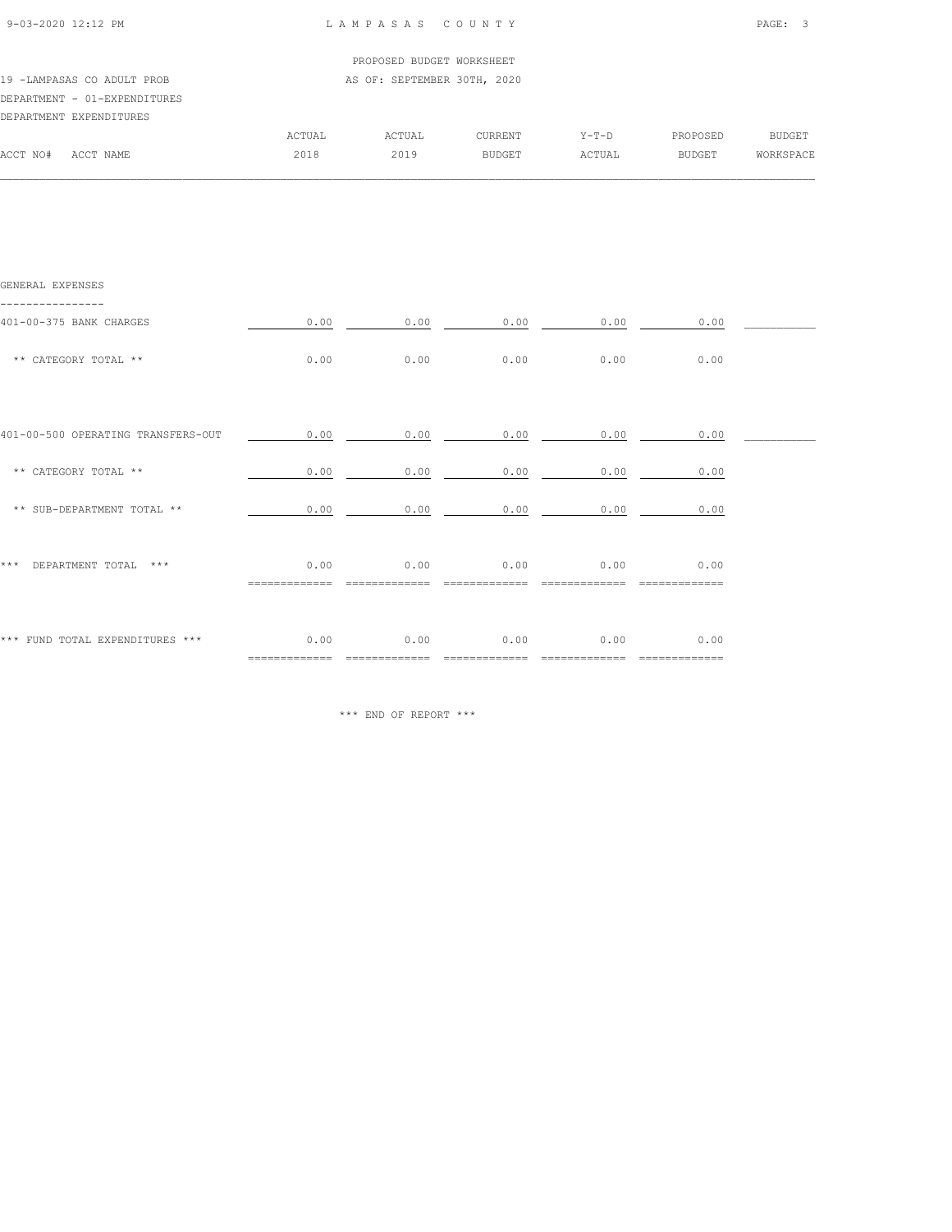|                              |        | PROPOSED BUDGET WORKSHEET   |                |         |          |           |
|------------------------------|--------|-----------------------------|----------------|---------|----------|-----------|
| 19 -LAMPASAS CO ADULT PROB   |        | AS OF: SEPTEMBER 30TH, 2020 |                |         |          |           |
| DEPARTMENT - 01-EXPENDITURES |        |                             |                |         |          |           |
| DEPARTMENT EXPENDITURES      |        |                             |                |         |          |           |
|                              | ACTUAL | ACTUAL                      | <b>CURRENT</b> | $Y-T-D$ | PROPOSED | BUDGET    |
| ACCT NO#<br>ACCT NAME        | 2018   | 2019                        | <b>BUDGET</b>  | ACTUAL  | BUDGET   | WORKSPACE |

 $\mathcal{L} = \{ \mathcal{L} = \{ \mathcal{L} = \{ \mathcal{L} = \{ \mathcal{L} = \{ \mathcal{L} = \{ \mathcal{L} = \{ \mathcal{L} = \{ \mathcal{L} = \{ \mathcal{L} = \{ \mathcal{L} = \{ \mathcal{L} = \{ \mathcal{L} = \{ \mathcal{L} = \{ \mathcal{L} = \{ \mathcal{L} = \{ \mathcal{L} = \{ \mathcal{L} = \{ \mathcal{L} = \{ \mathcal{L} = \{ \mathcal{L} = \{ \mathcal{L} = \{ \mathcal{L} = \{ \mathcal{L} = \{ \mathcal{$ 

| GENERAL EXPENSES                   |                        |      |              |      |                  |  |
|------------------------------------|------------------------|------|--------------|------|------------------|--|
| 401-00-375 BANK CHARGES            | 0.00                   |      | 0.00<br>0.00 | 0.00 | 0.00             |  |
| ** CATEGORY TOTAL **               | 0.00                   | 0.00 | 0.00         | 0.00 | 0.00             |  |
|                                    |                        |      |              |      |                  |  |
| 401-00-500 OPERATING TRANSFERS-OUT | 0.00                   | 0.00 | 0.00         | 0.00 | 0.00             |  |
| ** CATEGORY TOTAL **               | 0.00                   | 0.00 | 0.00         | 0.00 | 0.00             |  |
| ** SUB-DEPARTMENT TOTAL **         | 0.00                   | 0.00 | 0.00         | 0.00 | 0.00             |  |
| ***<br>DEPARTMENT TOTAL ***        | 0.00                   | 0.00 | 0.00         | 0.00 | 0.00             |  |
| *** FUND TOTAL EXPENDITURES ***    | 0.00<br>============== | 0.00 | 0.00         | 0.00 | 0.00<br>======== |  |

\*\*\* END OF REPORT \*\*\*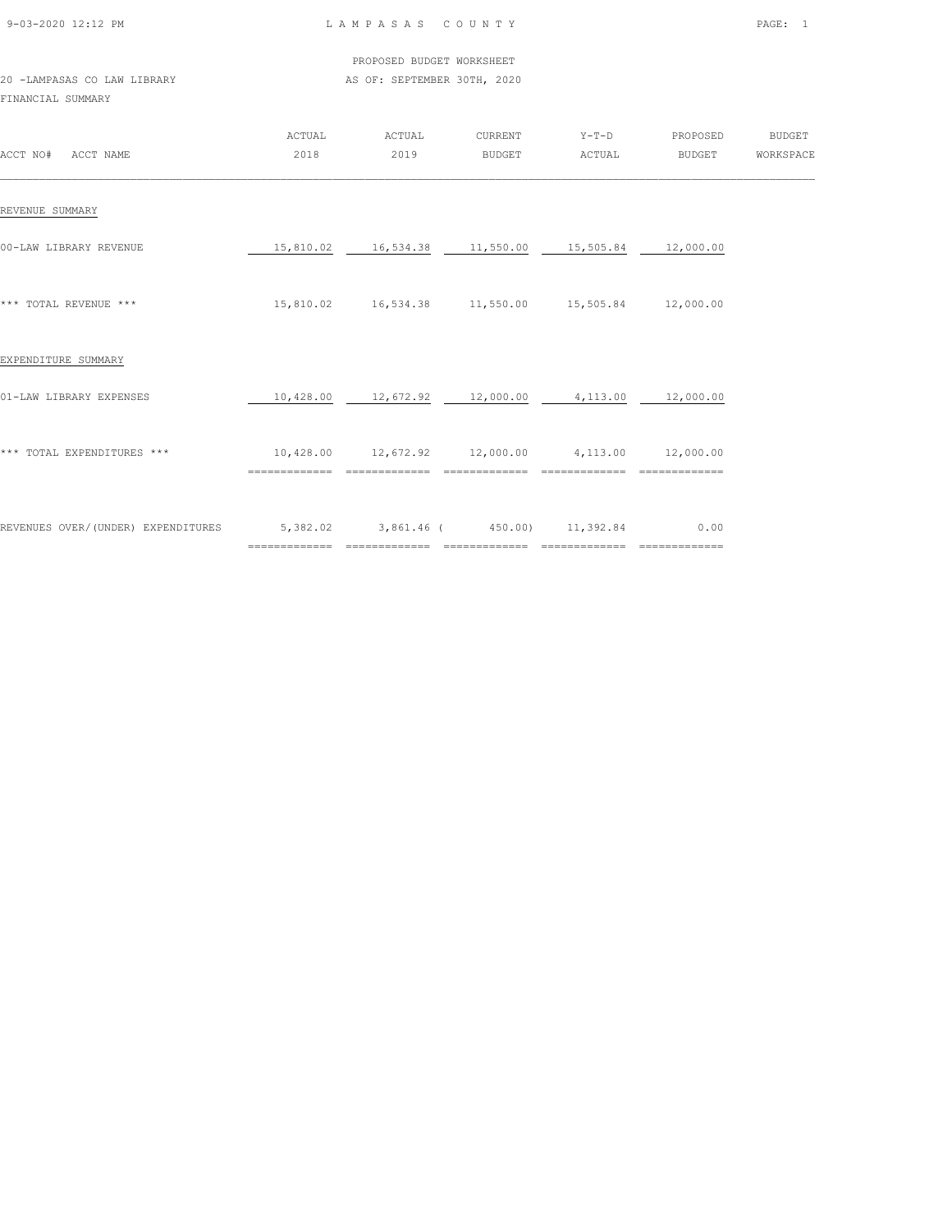| 9-03-2020 12:12 PM |  |
|--------------------|--|
|                    |  |

## LAMPASAS COUNTY PAGE: 1

 PROPOSED BUDGET WORKSHEET 20 -LAMPASAS CO LAW LIBRARY **AS OF: SEPTEMBER 30TH, 2020** 

FINANCIAL SUMMARY

| ACCT NO#<br>ACCT NAME              | ACTUAL<br>2018            | ACTUAL<br>2019                                   | CURRENT<br><b>BUDGET</b>           | $Y-T-D$<br>ACTUAL           | PROPOSED<br>BUDGET                    | <b>BUDGET</b><br>WORKSPACE |
|------------------------------------|---------------------------|--------------------------------------------------|------------------------------------|-----------------------------|---------------------------------------|----------------------------|
| REVENUE SUMMARY                    |                           |                                                  |                                    |                             |                                       |                            |
| 00-LAW LIBRARY REVENUE             | 15,810.02                 | 16,534.38                                        | 11,550.00                          | 15,505.84                   | 12,000.00                             |                            |
| *** TOTAL REVENUE ***              |                           | 15,810.02    16,534.38    11,550.00    15,505.84 |                                    |                             | 12,000.00                             |                            |
| EXPENDITURE SUMMARY                |                           |                                                  |                                    |                             |                                       |                            |
| 01-LAW LIBRARY EXPENSES            | 10,428.00                 | 12,672.92                                        | 12,000.00                          | 4,113.00                    | 12,000.00                             |                            |
| *** TOTAL EXPENDITURES ***         | 10,428.00                 | 12,672.92 12,000.00                              | ==============                     | 4,113.00                    | 12,000.00                             |                            |
| REVENUES OVER/(UNDER) EXPENDITURES | 5,382.02<br>============= | =============                                    | 3,861.46 (450.00)<br>============= | 11,392.84<br>============== | 0.00<br>$=$ = = = = = = = = = = = = = |                            |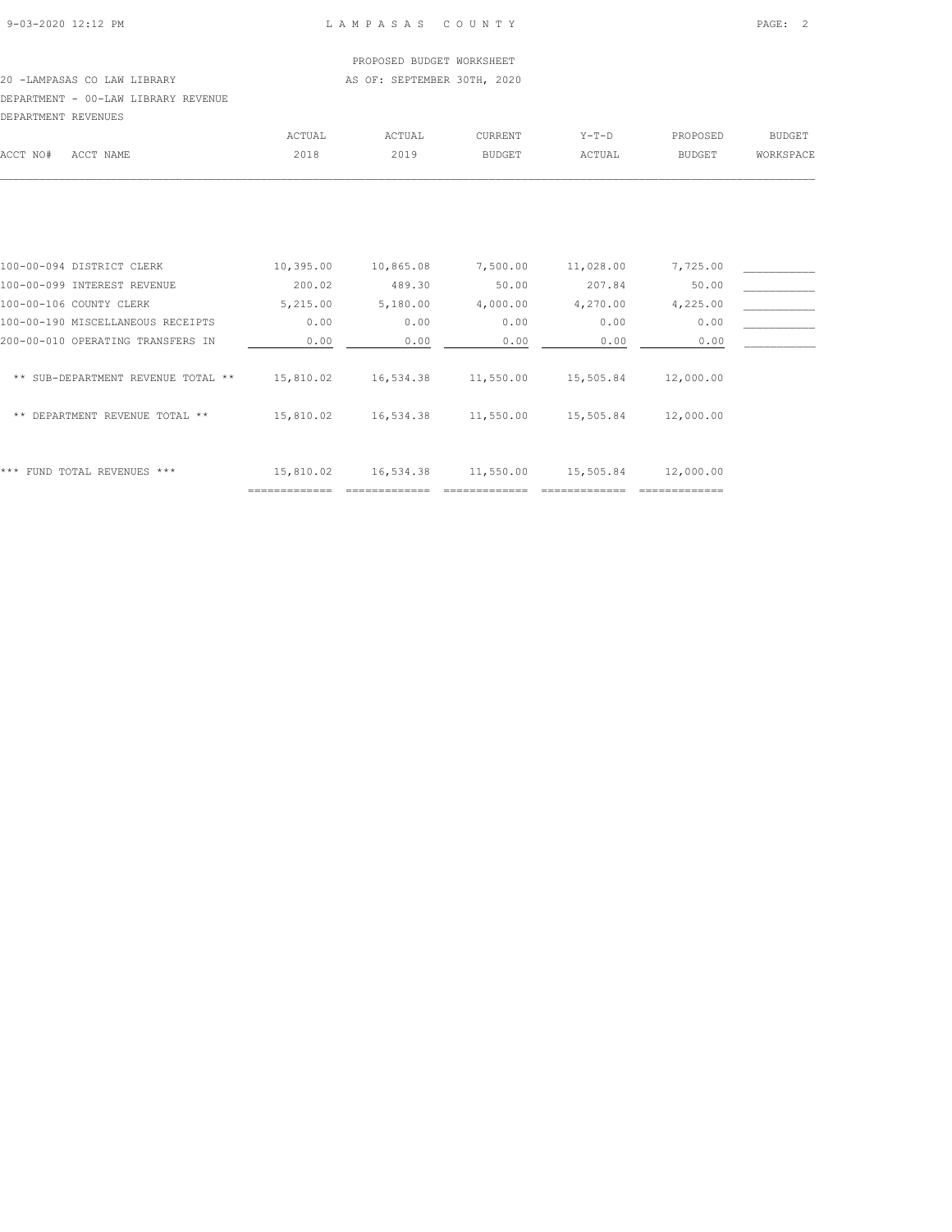#### PROPOSED BUDGET WORKSHEET 20 -LAMPASAS CO LAW LIBRARY **AS OF: SEPTEMBER 30TH, 2020**

## DEPARTMENT - 00-LAW LIBRARY REVENUE

|          | DEPARTMENT REVENUES |        |        |         |         |          |           |
|----------|---------------------|--------|--------|---------|---------|----------|-----------|
|          |                     | ACTUAL | ACTUAL | CURRENT | $Y-T-D$ | PROPOSED | BUDGET    |
| ACCT NO# | ACCT NAME           | 2018   | 2019   | BUDGET  | ACTUAL  | BUDGET   | WORKSPACE |
|          |                     |        |        |         |         |          |           |
|          |                     |        |        |         |         |          |           |
|          |                     |        |        |         |         |          |           |
|          |                     |        |        |         |         |          |           |
|          |                     |        |        |         |         |          |           |

| ***<br>FUND TOTAL REVENUES ***     | 15,810.02 | 16,534.38 | 11,550.00 | 15,505.84 | 12,000.00 |  |
|------------------------------------|-----------|-----------|-----------|-----------|-----------|--|
| DEPARTMENT REVENUE TOTAL **<br>**  | 15,810.02 | 16,534.38 | 11,550.00 | 15,505.84 | 12,000.00 |  |
| ** SUB-DEPARTMENT REVENUE TOTAL ** | 15,810.02 | 16,534.38 | 11,550.00 | 15,505.84 | 12,000.00 |  |
| 200-00-010 OPERATING TRANSFERS IN  | 0.00      | 0.00      | 0.00      | 0.00      | 0.00      |  |
| 100-00-190 MISCELLANEOUS RECEIPTS  | 0.00      | 0.00      | 0.00      | 0.00      | 0.00      |  |
| 100-00-106 COUNTY CLERK            | 5,215.00  | 5,180.00  | 4,000.00  | 4,270.00  | 4,225.00  |  |
| 100-00-099 INTEREST REVENUE        | 200.02    | 489.30    | 50.00     | 207.84    | 50.00     |  |
| 100-00-094 DISTRICT CLERK          | 10,395.00 | 10,865.08 | 7,500.00  | 11,028.00 | 7,725.00  |  |
|                                    |           |           |           |           |           |  |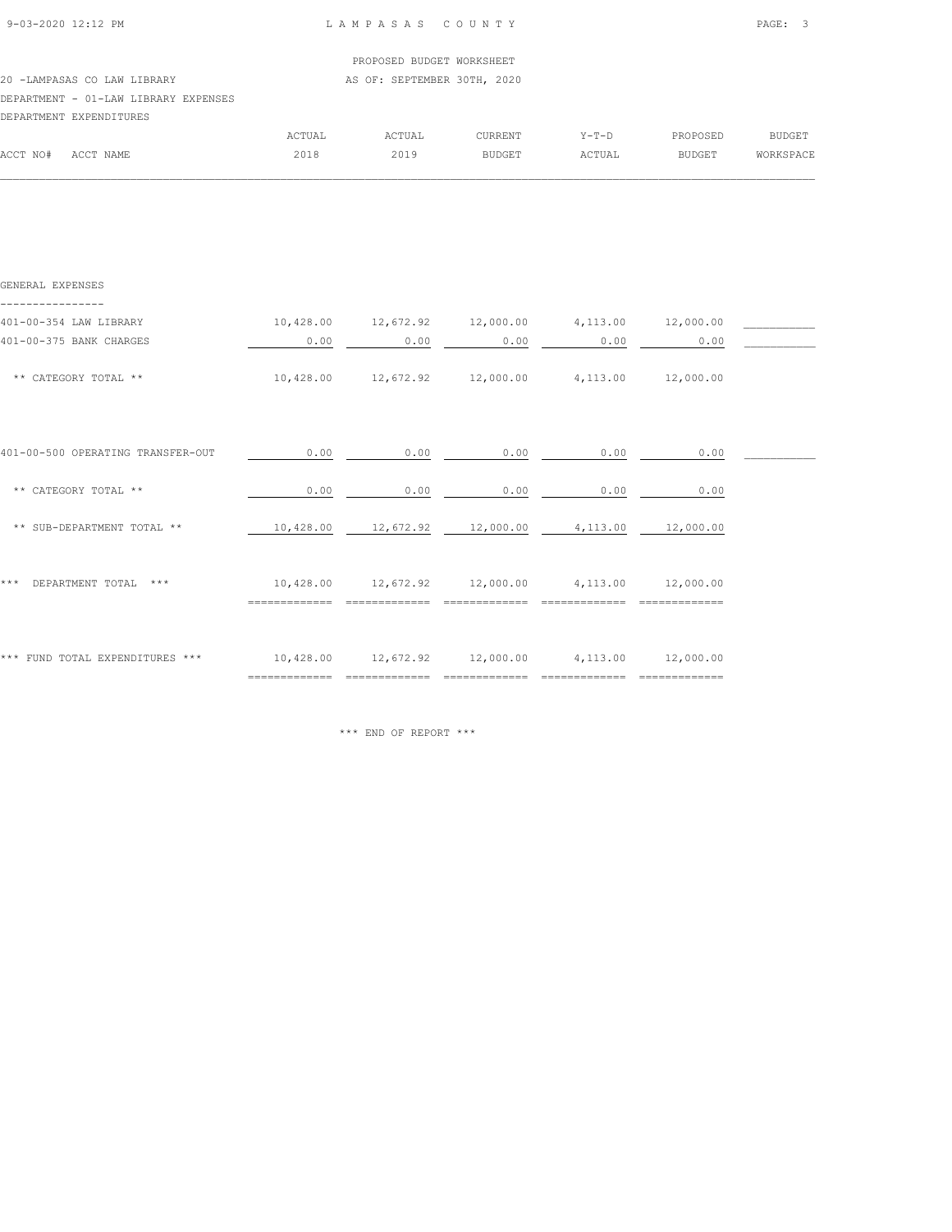| 9-03-2020 12:12 PM |  |
|--------------------|--|

 $\mathcal{L} = \{ \mathcal{L} = \{ \mathcal{L} = \{ \mathcal{L} = \{ \mathcal{L} = \{ \mathcal{L} = \{ \mathcal{L} = \{ \mathcal{L} = \{ \mathcal{L} = \{ \mathcal{L} = \{ \mathcal{L} = \{ \mathcal{L} = \{ \mathcal{L} = \{ \mathcal{L} = \{ \mathcal{L} = \{ \mathcal{L} = \{ \mathcal{L} = \{ \mathcal{L} = \{ \mathcal{L} = \{ \mathcal{L} = \{ \mathcal{L} = \{ \mathcal{L} = \{ \mathcal{L} = \{ \mathcal{L} = \{ \mathcal{$ 

| PROPOSED BUDGET WORKSHEET<br>AS OF: SEPTEMBER 30TH, 2020<br>20 -LAMPASAS CO LAW LIBRARY<br>DEPARTMENT - 01-LAW LIBRARY EXPENSES<br>DEPARTMENT EXPENDITURES<br>ACTUAL<br>BUDGET<br><b>ACTUAL</b><br><b>CURRENT</b><br>PROPOSED<br>$Y-T-D$<br>2018<br>2019<br>ACCT NO#<br>ACTUAL<br>BUDGET<br>ACCT NAME<br>BUDGET |  |  |  |                  |
|-----------------------------------------------------------------------------------------------------------------------------------------------------------------------------------------------------------------------------------------------------------------------------------------------------------------|--|--|--|------------------|
|                                                                                                                                                                                                                                                                                                                 |  |  |  |                  |
|                                                                                                                                                                                                                                                                                                                 |  |  |  |                  |
|                                                                                                                                                                                                                                                                                                                 |  |  |  |                  |
|                                                                                                                                                                                                                                                                                                                 |  |  |  |                  |
|                                                                                                                                                                                                                                                                                                                 |  |  |  |                  |
|                                                                                                                                                                                                                                                                                                                 |  |  |  | <b>WORKSPACE</b> |

| GENERAL EXPENSES                  |           |                                                            |                                                |      |      |  |
|-----------------------------------|-----------|------------------------------------------------------------|------------------------------------------------|------|------|--|
| 401-00-354 LAW LIBRARY            |           | $10,428.00$ $12,672.92$ $12,000.00$ $4,113.00$ $12,000.00$ |                                                |      |      |  |
| 401-00-375 BANK CHARGES           | 0.00      | 0.00                                                       | 0.00                                           | 0.00 | 0.00 |  |
| ** CATEGORY TOTAL **              |           | $10,428.00$ $12,672.92$ $12,000.00$ $4,113.00$ $12,000.00$ |                                                |      |      |  |
| 401-00-500 OPERATING TRANSFER-OUT | 0.00      | 0.00                                                       | 0.00                                           | 0.00 | 0.00 |  |
| ** CATEGORY TOTAL **              | 0.00      | 0.00                                                       | 0.00                                           | 0.00 | 0.00 |  |
| ** SUB-DEPARTMENT TOTAL **        | 10,428.00 |                                                            | $12,672.92$ $12,000.00$ $4,113.00$ $12,000.00$ |      |      |  |
| DEPARTMENT TOTAL ***<br>* * *     |           | $10,428.00$ $12,672.92$ $12,000.00$ $4,113.00$ $12,000.00$ |                                                |      |      |  |
| *** FUND TOTAL EXPENDITURES ***   |           | $10,428.00$ $12,672.92$ $12,000.00$ $4,113.00$ $12,000.00$ |                                                |      |      |  |

\*\*\* END OF REPORT \*\*\*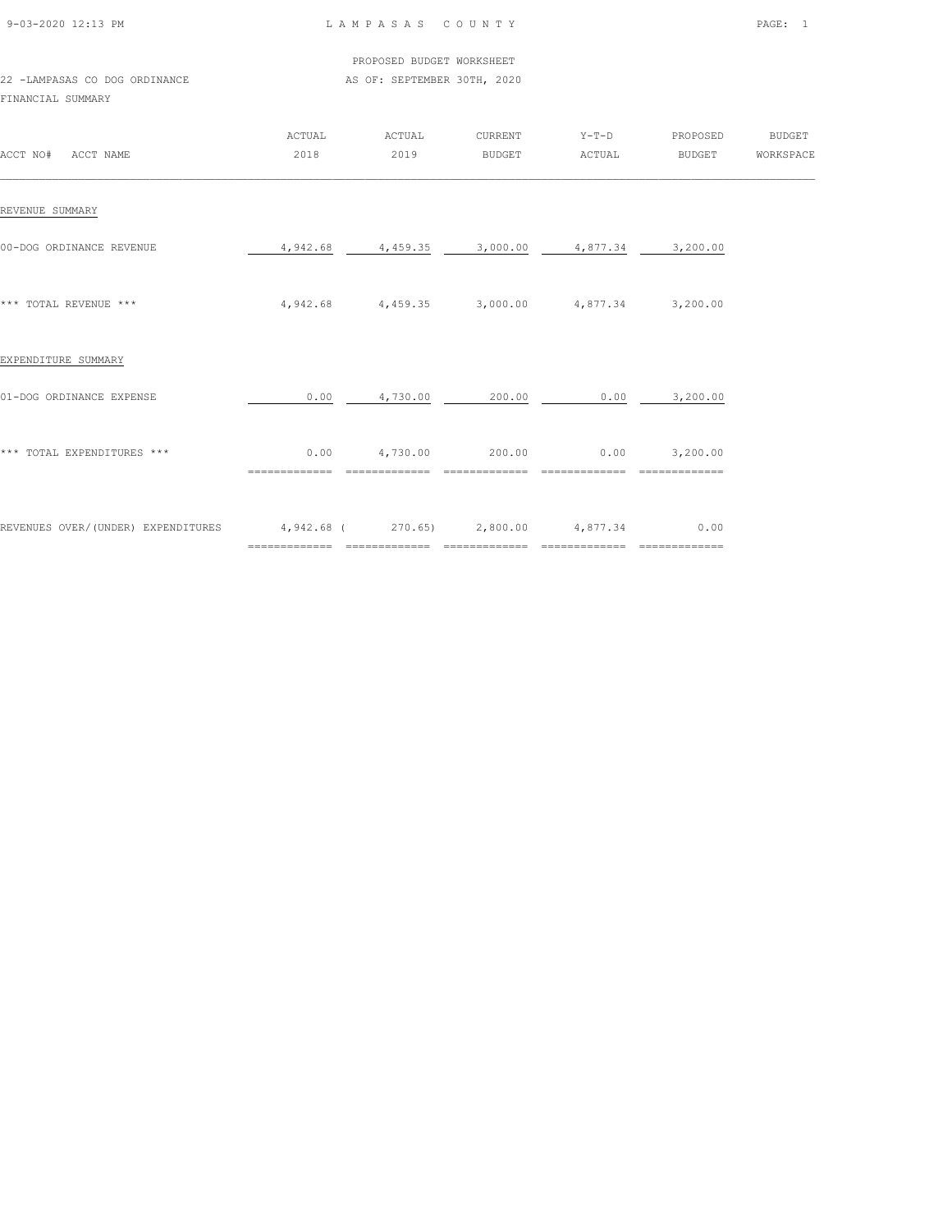| 9-03-2020 12:13 PM |  |
|--------------------|--|

L A M P A S A S C O U N T Y PAGE: 1

 PROPOSED BUDGET WORKSHEET 22 -LAMPASAS CO DOG ORDINANCE AS OF: SEPTEMBER 30TH, 2020

FINANCIAL SUMMARY

| ACCT NO#<br>ACCT NAME              | ACTUAL<br>2018                                            | ACTUAL<br>2019                                         | CURRENT<br><b>BUDGET</b> | $Y-T-D$<br>ACTUAL | PROPOSED<br>BUDGET                    | <b>BUDGET</b><br>WORKSPACE |
|------------------------------------|-----------------------------------------------------------|--------------------------------------------------------|--------------------------|-------------------|---------------------------------------|----------------------------|
| REVENUE SUMMARY                    |                                                           |                                                        |                          |                   |                                       |                            |
| 00-DOG ORDINANCE REVENUE           | 4,942.68                                                  | 4,459.35                                               | 3,000.00                 | 4,877.34          | 3,200.00                              |                            |
| *** TOTAL REVENUE ***              |                                                           | $4,942.68$ $4,459.35$ $3,000.00$ $4,877.34$ $3,200.00$ |                          |                   |                                       |                            |
| EXPENDITURE SUMMARY                |                                                           |                                                        |                          |                   |                                       |                            |
| 01-DOG ORDINANCE EXPENSE           | 0.00                                                      | 4,730.00                                               | 200.00                   | 0.00              | 3,200.00                              |                            |
| *** TOTAL EXPENDITURES ***         | 0.00                                                      | 4,730.00                                               | 200.00                   |                   | $0.00$ $3,200.00$                     |                            |
| REVENUES OVER/(UNDER) EXPENDITURES | $4,942.68$ ( 270.65) 2,800.00 $4,877.34$<br>============= | ==============                                         | $- - - - - -$            | ==========        | 0.00<br>$=$ = = = = = = = = = = = = = |                            |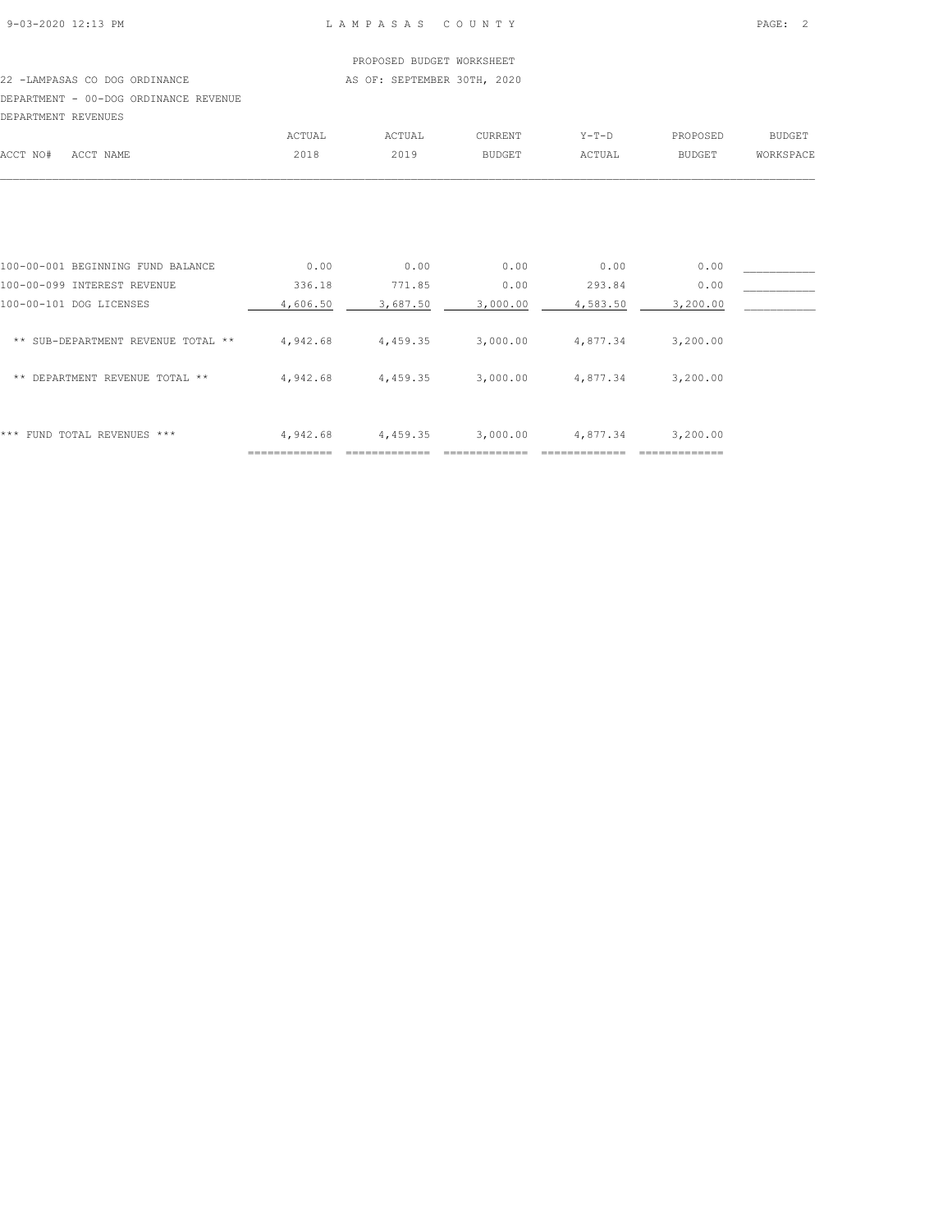#### PROPOSED BUDGET WORKSHEET 22 -LAMPASAS CO DOG ORDINANCE AS OF: SEPTEMBER 30TH, 2020

## DEPARTMENT - 00-DOG ORDINANCE REVENUE

| DEPARTMENT REVENUES |           |        |        |         |         |          |           |
|---------------------|-----------|--------|--------|---------|---------|----------|-----------|
|                     |           | ACTUAL | ACTUAL | CURRENT | $Y-T-D$ | PROPOSED | BUDGET    |
| ACCT NO#            | ACCT NAME | 2018   | 2019   | BUDGET  | ACTUAL  | BUDGET   | WORKSPACE |
|                     |           |        |        |         |         |          |           |
|                     |           |        |        |         |         |          |           |

| * * *<br>FUND TOTAL REVENUES ***      | 4,942.68 | 4,459.35 | 3,000.00 | 4,877.34 | 3,200.00 |  |
|---------------------------------------|----------|----------|----------|----------|----------|--|
| $* *$<br>DEPARTMENT REVENUE TOTAL **  | 4,942.68 | 4,459.35 | 3,000.00 | 4,877.34 | 3,200.00 |  |
| SUB-DEPARTMENT REVENUE TOTAL **<br>** | 4,942.68 | 4,459.35 | 3,000.00 | 4,877.34 | 3,200.00 |  |
| 100-00-101 DOG LICENSES               | 4,606.50 | 3,687.50 | 3,000.00 | 4,583.50 | 3,200.00 |  |
| 100-00-099 INTEREST REVENUE           | 336.18   | 771.85   | 0.00     | 293.84   | 0.00     |  |
| 100-00-001 BEGINNING FUND BALANCE     | 0.00     | 0.00     | 0.00     | 0.00     | 0.00     |  |
|                                       |          |          |          |          |          |  |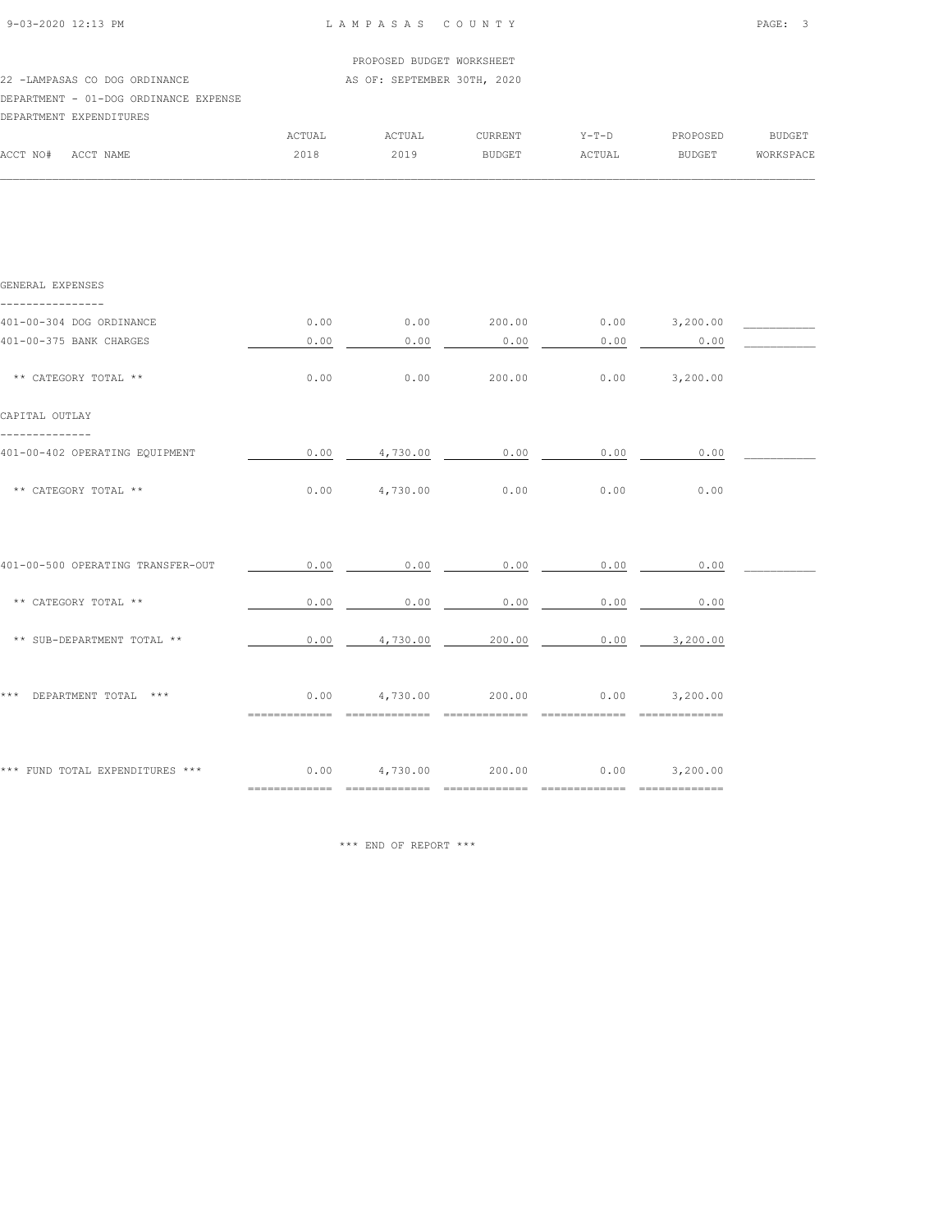| ACCT NO#                | ACCT NAME                             | 2018   | 2019                        | BUDGET         | ACTUAL  | <b>BUDGET</b> | <b>WORKSPACE</b> |
|-------------------------|---------------------------------------|--------|-----------------------------|----------------|---------|---------------|------------------|
|                         |                                       | ACTUAL | ACTUAL                      | <b>CURRENT</b> | $Y-T-D$ | PROPOSED      | BUDGET           |
| DEPARTMENT EXPENDITURES |                                       |        |                             |                |         |               |                  |
|                         | DEPARTMENT - 01-DOG ORDINANCE EXPENSE |        |                             |                |         |               |                  |
|                         | 22 -LAMPASAS CO DOG ORDINANCE         |        | AS OF: SEPTEMBER 30TH, 2020 |                |         |               |                  |
|                         |                                       |        | PROPOSED BUDGET WORKSHEET   |                |         |               |                  |
| 9-03-2020 12:13 PM      |                                       |        | LAMPASAS COUNTY             |                |         |               | PAGE: 3          |
|                         |                                       |        |                             |                |         |               |                  |

| GENERAL EXPENSES                     |                               |                        |                 |                                     |                             |  |
|--------------------------------------|-------------------------------|------------------------|-----------------|-------------------------------------|-----------------------------|--|
| 401-00-304 DOG ORDINANCE             | 0.00                          |                        |                 |                                     | $0.00$ 200.00 0.00 3,200.00 |  |
| 401-00-375 BANK CHARGES              | 0.00                          | 0.00                   | 0.00            | 0.00                                | 0.00                        |  |
| ** CATEGORY TOTAL **                 | 0.00                          | 0.00                   | 200.00          | 0.00                                | 3,200.00                    |  |
| CAPITAL OUTLAY                       |                               |                        |                 |                                     |                             |  |
| 401-00-402 OPERATING EQUIPMENT       | 0.00                          | 4,730.00               | 0.00            | 0.00                                | 0.00                        |  |
| ** CATEGORY TOTAL **                 | 0.00                          | 4,730.00               | 0.00            | 0.00                                | 0.00                        |  |
|                                      |                               |                        |                 |                                     |                             |  |
| 401-00-500 OPERATING TRANSFER-OUT    | 0.00                          | 0.00                   | 0.00            | 0.00                                | 0.00                        |  |
| ** CATEGORY TOTAL **                 | 0.00                          | 0.00                   | 0.00            | 0.00                                | 0.00                        |  |
| ** SUB-DEPARTMENT TOTAL **           | 0.00                          |                        | 4,730.00 200.00 | 0.00                                | 3,200.00                    |  |
| * * *<br>DEPARTMENT TOTAL ***        |                               | $0.00$ 4,730.00 200.00 |                 |                                     | $0.00$ $3.200.00$           |  |
|                                      | ==============                | =============          | --------------- | ---------------                     | ==============              |  |
|                                      |                               |                        |                 |                                     |                             |  |
| *** FUND TOTAL EXPENDITURES *** 0.00 | $=$ = = = = = = = = = = = = = | 4,730.00 200.00        | ==============  | $0.00$ $3,200.00$<br>============== |                             |  |

\*\*\* END OF REPORT \*\*\*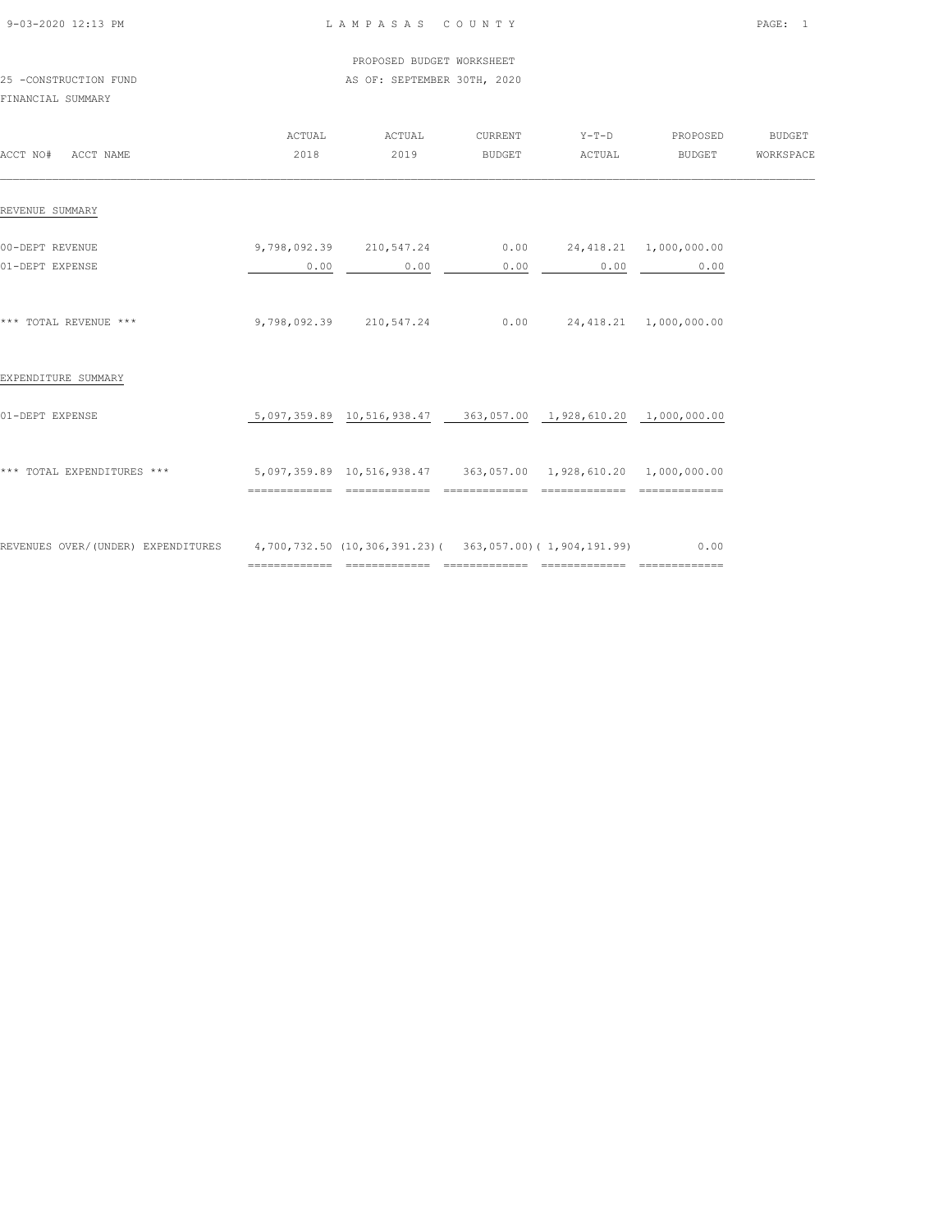| 9-03-2020 12:13 PM |  |
|--------------------|--|

#### PROPOSED BUDGET WORKSHEET 25 -CONSTRUCTION FUND **AS OF: SEPTEMBER 30TH, 2020**

#### FINANCIAL SUMMARY

| ACCT NO#<br>ACCT NAME                                                                       | ACTUAL<br>2018 | ACTUAL<br>2019                                                  | CURRENT<br><b>BUDGET</b> | $Y-T-D$<br>ACTUAL                | PROPOSED<br><b>BUDGET</b> | <b>BUDGET</b><br>WORKSPACE |
|---------------------------------------------------------------------------------------------|----------------|-----------------------------------------------------------------|--------------------------|----------------------------------|---------------------------|----------------------------|
| REVENUE SUMMARY                                                                             |                |                                                                 |                          |                                  |                           |                            |
| 00-DEPT REVENUE<br>01-DEPT EXPENSE                                                          | 0.00           | 9,798,092.39 210,547.24<br>0.00                                 | 0.00                     | $0.00$ 24, 418.21 1, 000, 000.00 | $0.00$ 0.00               |                            |
| *** TOTAL REVENUE ***                                                                       |                | 9,798,092.39 210,547.24                                         |                          | $0.00$ 24, 418.21 1, 000, 000.00 |                           |                            |
| EXPENDITURE SUMMARY                                                                         |                |                                                                 |                          |                                  |                           |                            |
| 01-DEPT EXPENSE                                                                             |                | 5,097,359.89 10,516,938.47 363,057.00 1,928,610.20 1,000,000.00 |                          |                                  |                           |                            |
| *** TOTAL EXPENDITURES ***                                                                  |                | 5,097,359.89 10,516,938.47 363,057.00 1,928,610.20 1,000,000.00 |                          |                                  |                           |                            |
| REVENUES OVER/(UNDER) EXPENDITURES 4,700,732.50 (10,306,391.23) (363,057.00) (1,904,191.99) |                |                                                                 |                          |                                  | 0.00                      |                            |

============= ============= ============= ============= =============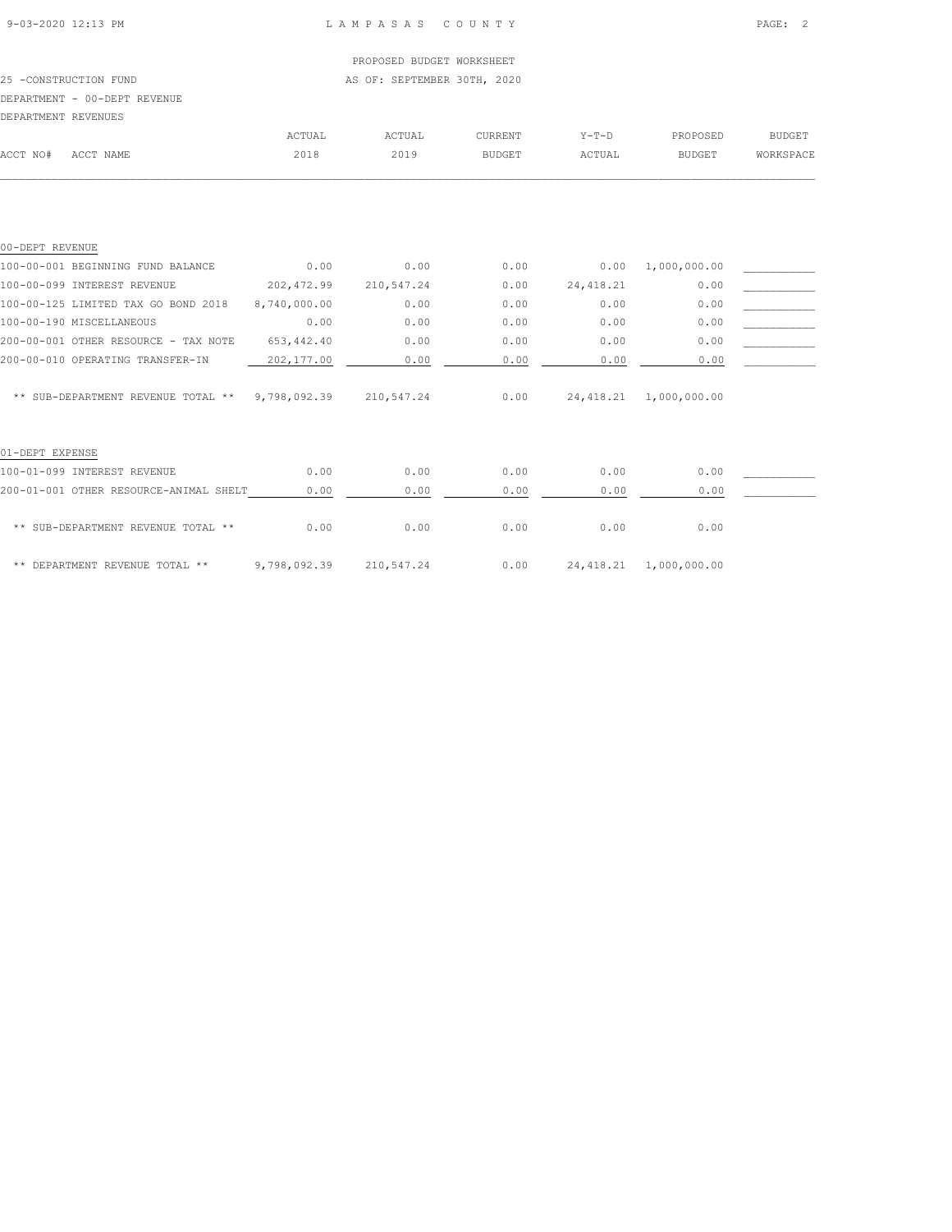#### 25 -CONSTRUCTION FUND **AS OF: SEPTEMBER 30TH, 2020**

PROPOSED BUDGET WORKSHEET

#### DEPARTMENT - 00-DEPT REVENUE

#### DEPARTMENT REVENUES

| DEFARIMENT KEVENUES |           |        |        |               |         |               |               |
|---------------------|-----------|--------|--------|---------------|---------|---------------|---------------|
|                     |           | ™CTUAL | ↑CTUAL | CURRENT       | $Y-T-D$ | PROPOSED      | <b>BUDGET</b> |
| ACCT NO#            | ACCT NAME | 2018   | 2019   | <b>BUDGET</b> | ACTUAL  | <b>BUDGET</b> | WORKSPACE     |
|                     |           |        |        |               |         |               |               |

| 00-DEPT REVENUE                        |              |            |      |            |              |  |
|----------------------------------------|--------------|------------|------|------------|--------------|--|
| 100-00-001 BEGINNING FUND BALANCE      | 0.00         | 0.00       | 0.00 | 0.00       | 1,000,000.00 |  |
| 100-00-099 INTEREST REVENUE            | 202, 472.99  | 210,547.24 | 0.00 | 24, 418.21 | 0.00         |  |
| 100-00-125 LIMITED TAX GO BOND 2018    | 8,740,000.00 | 0.00       | 0.00 | 0.00       | 0.00         |  |
| 100-00-190 MISCELLANEOUS               | 0.00         | 0.00       | 0.00 | 0.00       | 0.00         |  |
| 200-00-001 OTHER RESOURCE - TAX NOTE   | 653, 442.40  | 0.00       | 0.00 | 0.00       | 0.00         |  |
| 200-00-010 OPERATING TRANSFER-IN       | 202, 177.00  | 0.00       | 0.00 | 0.00       | 0.00         |  |
| ** SUB-DEPARTMENT REVENUE TOTAL **     | 9,798,092.39 | 210,547.24 | 0.00 | 24,418.21  | 1,000,000.00 |  |
| 01-DEPT EXPENSE                        |              |            |      |            |              |  |
| 100-01-099 INTEREST REVENUE            | 0.00         | 0.00       | 0.00 | 0.00       | 0.00         |  |
| 200-01-001 OTHER RESOURCE-ANIMAL SHELT | 0.00         | 0.00       | 0.00 | 0.00       | 0.00         |  |
| ** SUB-DEPARTMENT REVENUE TOTAL **     | 0.00         | 0.00       | 0.00 | 0.00       | 0.00         |  |

\*\* DEPARTMENT REVENUE TOTAL \*\* 9,798,092.39 210,547.24 0.00 24,418.21 1,000,000.00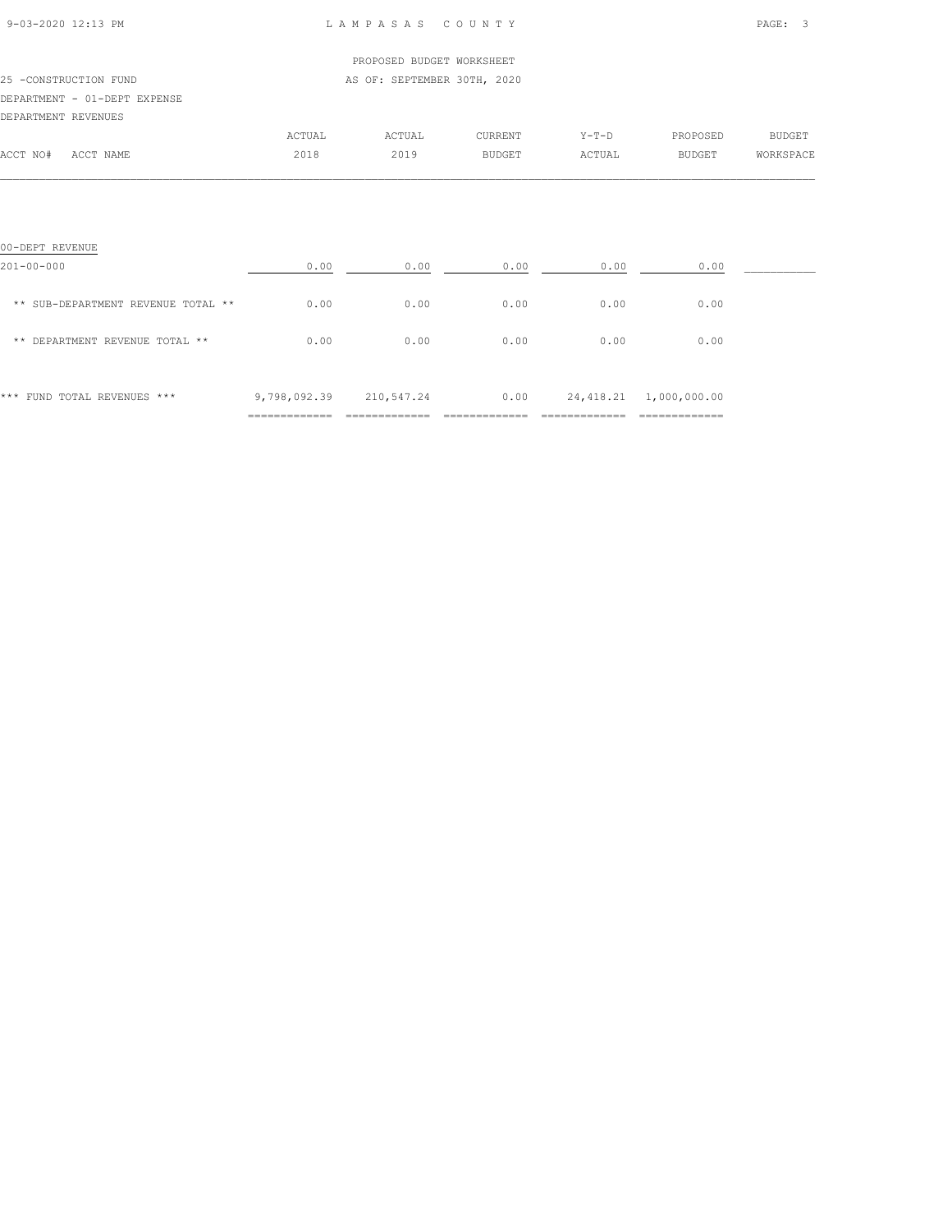| 9-03-2020 12:13 PM |  |
|--------------------|--|
|                    |  |

## PROPOSED BUDGET WORKSHEET 25 -CONSTRUCTION FUND AS OF: SEPTEMBER 30TH, 2020 DEPARTMENT - 01-DEPT EXPENSE DEPARTMENT REVENUES ACTUAL ACTUAL CURRENT Y-T-D PROPOSED BUDGET ACCT NO# ACCT NAME 2018 2019 BUDGET ACTUAL BUDGET WORKSPACE  $\mathcal{L} = \{ \mathcal{L} = \{ \mathcal{L} = \{ \mathcal{L} = \{ \mathcal{L} = \{ \mathcal{L} = \{ \mathcal{L} = \{ \mathcal{L} = \{ \mathcal{L} = \{ \mathcal{L} = \{ \mathcal{L} = \{ \mathcal{L} = \{ \mathcal{L} = \{ \mathcal{L} = \{ \mathcal{L} = \{ \mathcal{L} = \{ \mathcal{L} = \{ \mathcal{L} = \{ \mathcal{L} = \{ \mathcal{L} = \{ \mathcal{L} = \{ \mathcal{L} = \{ \mathcal{L} = \{ \mathcal{L} = \{ \mathcal{$

| 00-DEPT REVENUE                    |                                                 |                             |      |           |                                                |  |
|------------------------------------|-------------------------------------------------|-----------------------------|------|-----------|------------------------------------------------|--|
| $201 - 00 - 000$                   | 0.00                                            | 0.00                        | 0.00 | 0.00      | 0.00                                           |  |
| ** SUB-DEPARTMENT REVENUE TOTAL ** | 0.00                                            | 0.00                        | 0.00 | 0.00      | 0.00                                           |  |
| ** DEPARTMENT REVENUE TOTAL **     | 0.00                                            | 0.00                        | 0.00 | 0.00      | 0.00                                           |  |
| * * *<br>FUND TOTAL REVENUES ***   | 9,798,092.39<br>-------------<br>-------------- | 210,547.24<br>------------- | 0.00 | 24,418.21 | 1,000,000.00<br>_____________<br>_____________ |  |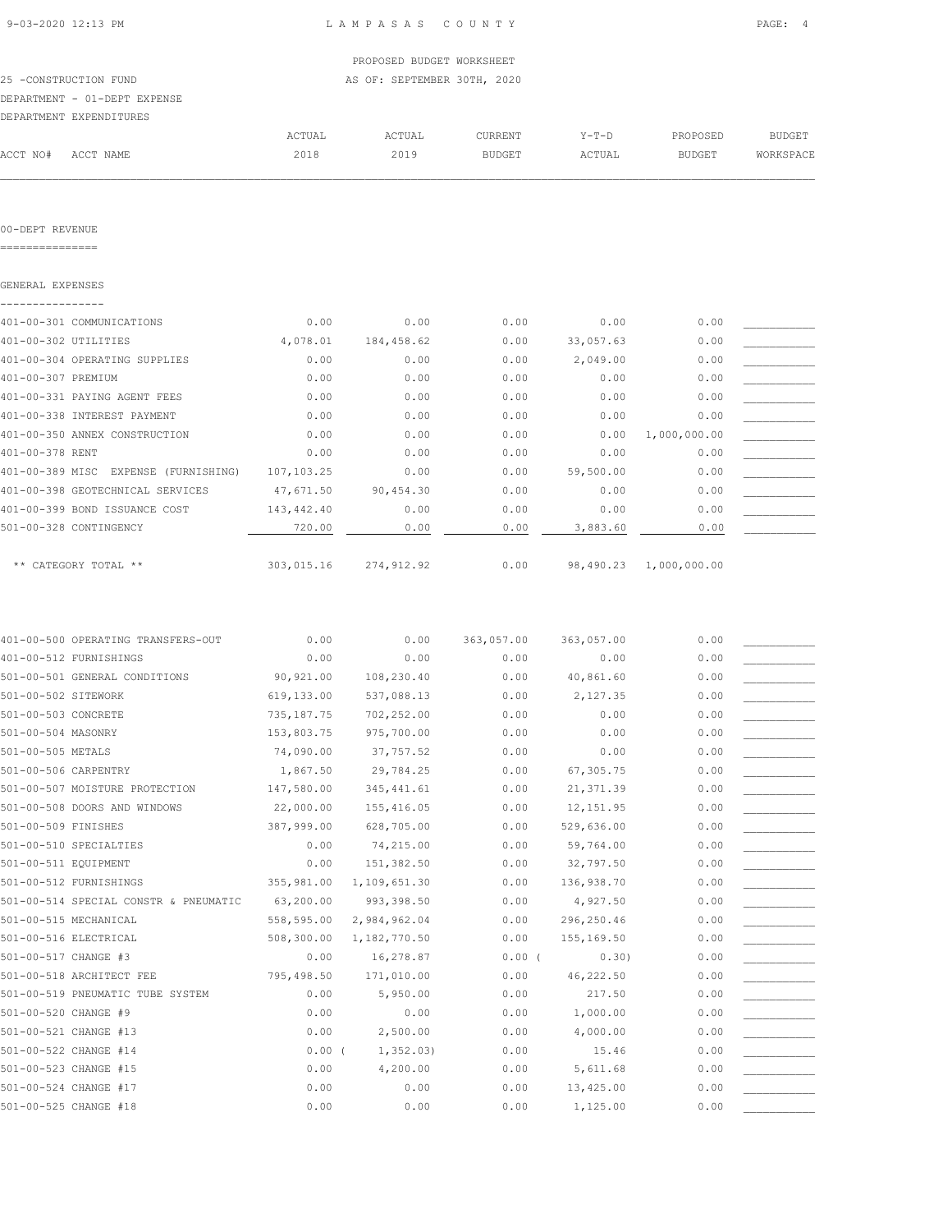| 9-03-2020 12:13 PM |  |
|--------------------|--|

 $\mathcal{L} = \{ \mathcal{L} = \{ \mathcal{L} = \{ \mathcal{L} = \{ \mathcal{L} = \{ \mathcal{L} = \{ \mathcal{L} = \{ \mathcal{L} = \{ \mathcal{L} = \{ \mathcal{L} = \{ \mathcal{L} = \{ \mathcal{L} = \{ \mathcal{L} = \{ \mathcal{L} = \{ \mathcal{L} = \{ \mathcal{L} = \{ \mathcal{L} = \{ \mathcal{L} = \{ \mathcal{L} = \{ \mathcal{L} = \{ \mathcal{L} = \{ \mathcal{L} = \{ \mathcal{L} = \{ \mathcal{L} = \{ \mathcal{$ 

|          |                              |        | PROPOSED BUDGET WORKSHEET   |         |         |               |           |
|----------|------------------------------|--------|-----------------------------|---------|---------|---------------|-----------|
|          | 25 -CONSTRUCTION FUND        |        | AS OF: SEPTEMBER 30TH, 2020 |         |         |               |           |
|          | DEPARTMENT - 01-DEPT EXPENSE |        |                             |         |         |               |           |
|          | DEPARTMENT EXPENDITURES      |        |                             |         |         |               |           |
|          |                              | ACTUAL | ACTUAL                      | CURRENT | $Y-T-D$ | PROPOSED      | BUDGET    |
| ACCT NO# | ACCT NAME                    | 2018   | 2019                        | BUDGET  | ACTUAL  | <b>BUDGET</b> | WORKSPACE |

00-DEPT REVENUE

===============

| GENERAL EXPENSES                     |            |            |      |           |              |  |
|--------------------------------------|------------|------------|------|-----------|--------------|--|
| 401-00-301 COMMUNICATIONS            | 0.00       | 0.00       | 0.00 | 0.00      | 0.00         |  |
| 401-00-302 UTILITIES                 | 4,078.01   | 184,458.62 | 0.00 | 33,057.63 | 0.00         |  |
| 401-00-304 OPERATING SUPPLIES        | 0.00       | 0.00       | 0.00 | 2,049.00  | 0.00         |  |
| 401-00-307 PREMIUM                   | 0.00       | 0.00       | 0.00 | 0.00      | 0.00         |  |
| 401-00-331 PAYING AGENT FEES         | 0.00       | 0.00       | 0.00 | 0.00      | 0.00         |  |
| 401-00-338 INTEREST PAYMENT          | 0.00       | 0.00       | 0.00 | 0.00      | 0.00         |  |
| 401-00-350 ANNEX CONSTRUCTION        | 0.00       | 0.00       | 0.00 | 0.00      | 1,000,000.00 |  |
| 401-00-378 RENT                      | 0.00       | 0.00       | 0.00 | 0.00      | 0.00         |  |
| 401-00-389 MISC EXPENSE (FURNISHING) | 107,103.25 | 0.00       | 0.00 | 59,500.00 | 0.00         |  |
| 401-00-398 GEOTECHNICAL SERVICES     | 47,671.50  | 90,454.30  | 0.00 | 0.00      | 0.00         |  |
| 401-00-399 BOND ISSUANCE COST        | 143,442.40 | 0.00       | 0.00 | 0.00      | 0.00         |  |
| 501-00-328 CONTINGENCY               | 720.00     | 0.00       | 0.00 | 3,883.60  | 0.00         |  |
|                                      |            |            |      |           |              |  |
| ** CATEGORY TOTAL **                 | 303,015.16 | 274,912.92 | 0.00 | 98,490.23 | 1,000,000.00 |  |

| 401-00-500 OPERATING TRANSFERS-OUT    | 0.00        | 0.00         | 363,057.00 | 363,057.00 | 0.00 |  |
|---------------------------------------|-------------|--------------|------------|------------|------|--|
| 401-00-512 FURNISHINGS                | 0.00        | 0.00         | 0.00       | 0.00       | 0.00 |  |
| 501-00-501 GENERAL CONDITIONS         | 90,921.00   | 108,230.40   | 0.00       | 40,861.60  | 0.00 |  |
| 501-00-502 SITEWORK                   | 619,133.00  | 537,088.13   | 0.00       | 2,127.35   | 0.00 |  |
| 501-00-503 CONCRETE                   | 735, 187.75 | 702,252.00   | 0.00       | 0.00       | 0.00 |  |
| 501-00-504 MASONRY                    | 153,803.75  | 975,700.00   | 0.00       | 0.00       | 0.00 |  |
| 501-00-505 METALS                     | 74,090.00   | 37,757.52    | 0.00       | 0.00       | 0.00 |  |
| 501-00-506 CARPENTRY                  | 1,867.50    | 29,784.25    | 0.00       | 67,305.75  | 0.00 |  |
| 501-00-507 MOISTURE PROTECTION        | 147,580.00  | 345, 441.61  | 0.00       | 21, 371.39 | 0.00 |  |
| 501-00-508 DOORS AND WINDOWS          | 22,000.00   | 155,416.05   | 0.00       | 12, 151.95 | 0.00 |  |
| 501-00-509 FINISHES                   | 387,999.00  | 628,705.00   | 0.00       | 529,636.00 | 0.00 |  |
| 501-00-510 SPECIALTIES                | 0.00        | 74,215.00    | 0.00       | 59,764.00  | 0.00 |  |
| 501-00-511 EQUIPMENT                  | 0.00        | 151,382.50   | 0.00       | 32,797.50  | 0.00 |  |
| 501-00-512 FURNISHINGS                | 355,981.00  | 1,109,651.30 | 0.00       | 136,938.70 | 0.00 |  |
| 501-00-514 SPECIAL CONSTR & PNEUMATIC | 63,200.00   | 993,398.50   | 0.00       | 4,927.50   | 0.00 |  |
| 501-00-515 MECHANICAL                 | 558,595.00  | 2,984,962.04 | 0.00       | 296,250.46 | 0.00 |  |
| 501-00-516 ELECTRICAL                 | 508,300.00  | 1,182,770.50 | 0.00       | 155,169.50 | 0.00 |  |
| 501-00-517 CHANGE #3                  | 0.00        | 16,278.87    | $0.00$ (   | 0.30)      | 0.00 |  |
| 501-00-518 ARCHITECT FEE              | 795,498.50  | 171,010.00   | 0.00       | 46,222.50  | 0.00 |  |
| 501-00-519 PNEUMATIC TUBE SYSTEM      | 0.00        | 5,950.00     | 0.00       | 217.50     | 0.00 |  |
| 501-00-520 CHANGE #9                  | 0.00        | 0.00         | 0.00       | 1,000.00   | 0.00 |  |
| 501-00-521 CHANGE #13                 | 0.00        | 2,500.00     | 0.00       | 4,000.00   | 0.00 |  |
| 501-00-522 CHANGE #14                 | $0.00$ (    | 1, 352.03)   | 0.00       | 15.46      | 0.00 |  |
| 501-00-523 CHANGE #15                 | 0.00        | 4,200.00     | 0.00       | 5,611.68   | 0.00 |  |
| 501-00-524 CHANGE #17                 | 0.00        | 0.00         | 0.00       | 13,425.00  | 0.00 |  |
| 501-00-525 CHANGE #18                 | 0.00        | 0.00         | 0.00       | 1,125.00   | 0.00 |  |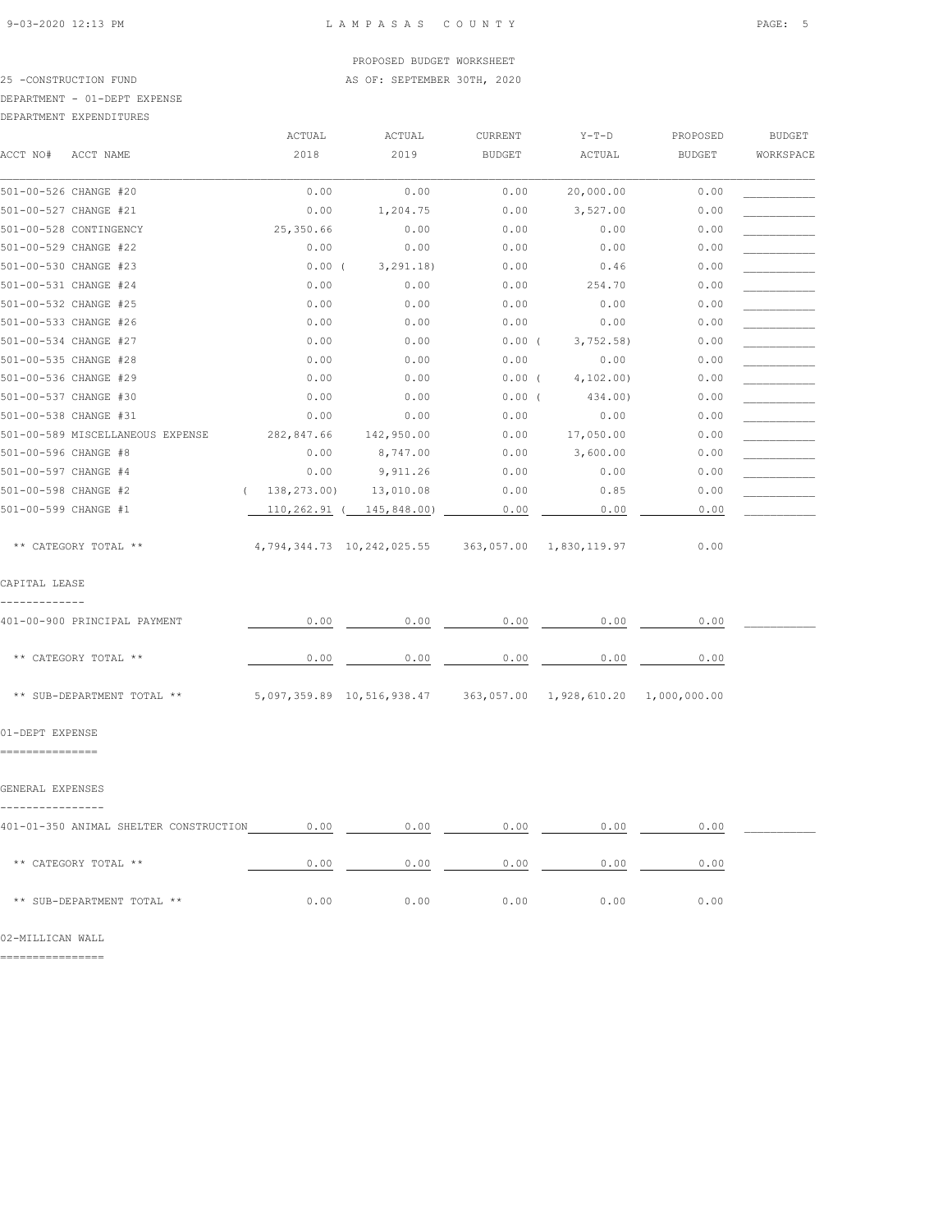#### PROPOSED BUDGET WORKSHEET 25 -CONSTRUCTION FUND **AS OF: SEPTEMBER 30TH, 2020**

## DEPARTMENT - 01-DEPT EXPENSE

| DEPARTMENT EXPENDITURES |
|-------------------------|
|                         |

|                                        | ACTUAL       | ACTUAL                                             | CURRENT       | $Y-T-D$                 | PROPOSED      | <b>BUDGET</b> |
|----------------------------------------|--------------|----------------------------------------------------|---------------|-------------------------|---------------|---------------|
| ACCT NO#<br>ACCT NAME                  | 2018         | 2019                                               | <b>BUDGET</b> | ACTUAL                  | <b>BUDGET</b> | WORKSPACE     |
| 501-00-526 CHANGE #20                  | 0.00         | 0.00                                               | 0.00          | 20,000.00               | 0.00          |               |
| 501-00-527 CHANGE #21                  | 0.00         | 1,204.75                                           | 0.00          | 3,527.00                | 0.00          |               |
| 501-00-528 CONTINGENCY                 | 25,350.66    | 0.00                                               | 0.00          | 0.00                    | 0.00          |               |
| 501-00-529 CHANGE #22                  | 0.00         | 0.00                                               | 0.00          | 0.00                    | 0.00          |               |
| 501-00-530 CHANGE #23                  | $0.00$ (     | 3, 291.18)                                         | 0.00          | 0.46                    | 0.00          |               |
| 501-00-531 CHANGE #24                  | 0.00         | 0.00                                               | 0.00          | 254.70                  | 0.00          |               |
| 501-00-532 CHANGE #25                  | 0.00         | 0.00                                               | 0.00          | 0.00                    | 0.00          |               |
| 501-00-533 CHANGE #26                  | 0.00         | 0.00                                               | 0.00          | 0.00                    | 0.00          |               |
| 501-00-534 CHANGE #27                  | 0.00         | 0.00                                               | $0.00$ (      | 3,752.58                | 0.00          |               |
| 501-00-535 CHANGE #28                  | 0.00         | 0.00                                               | 0.00          | 0.00                    | 0.00          |               |
| 501-00-536 CHANGE #29                  | 0.00         | 0.00                                               | $0.00$ (      | 4, 102.00               | 0.00          |               |
| 501-00-537 CHANGE #30                  | 0.00         | 0.00                                               | 0.00(         | 434.00)                 | 0.00          |               |
| 501-00-538 CHANGE #31                  | 0.00         | 0.00                                               | 0.00          | 0.00                    | 0.00          |               |
| 501-00-589 MISCELLANEOUS EXPENSE       | 282,847.66   | 142,950.00                                         | 0.00          | 17,050.00               | 0.00          |               |
| 501-00-596 CHANGE #8                   | 0.00         | 8,747.00                                           | 0.00          | 3,600.00                | 0.00          |               |
| 501-00-597 CHANGE #4                   | 0.00         | 9,911.26                                           | 0.00          | 0.00                    | 0.00          |               |
| 501-00-598 CHANGE #2                   | 138,273.00)  | 13,010.08                                          | 0.00          | 0.85                    | 0.00          |               |
| 501-00-599 CHANGE #1                   | 110,262.91 ( | 145,848.00)                                        | 0.00          | 0.00                    | 0.00          |               |
| ** CATEGORY TOTAL **                   |              | 4,794,344.73 10,242,025.55 363,057.00 1,830,119.97 |               |                         | 0.00          |               |
| CAPITAL LEASE                          |              |                                                    |               |                         |               |               |
| 401-00-900 PRINCIPAL PAYMENT           | 0.00         | 0.00                                               | 0.00          | 0.00                    | 0.00          |               |
| ** CATEGORY TOTAL **                   | 0.00         | 0.00                                               | 0.00          | 0.00                    | 0.00          |               |
| ** SUB-DEPARTMENT TOTAL **             |              | 5,097,359.89 10,516,938.47                         |               | 363,057.00 1,928,610.20 | 1,000,000.00  |               |
| 01-DEPT EXPENSE<br>===============     |              |                                                    |               |                         |               |               |
|                                        |              |                                                    |               |                         |               |               |
| GENERAL EXPENSES                       |              |                                                    |               |                         |               |               |
| 401-01-350 ANIMAL SHELTER CONSTRUCTION | 0.00         | 0.00                                               | 0.00          | 0.00                    | 0.00          |               |
| ** CATEGORY TOTAL **                   | 0.00         | 0.00                                               | 0.00          | 0.00                    | 0.00          |               |
| ** SUB-DEPARTMENT TOTAL **             | 0.00         | 0.00                                               | 0.00          | 0.00                    | 0.00          |               |

02-MILLICAN WALL

================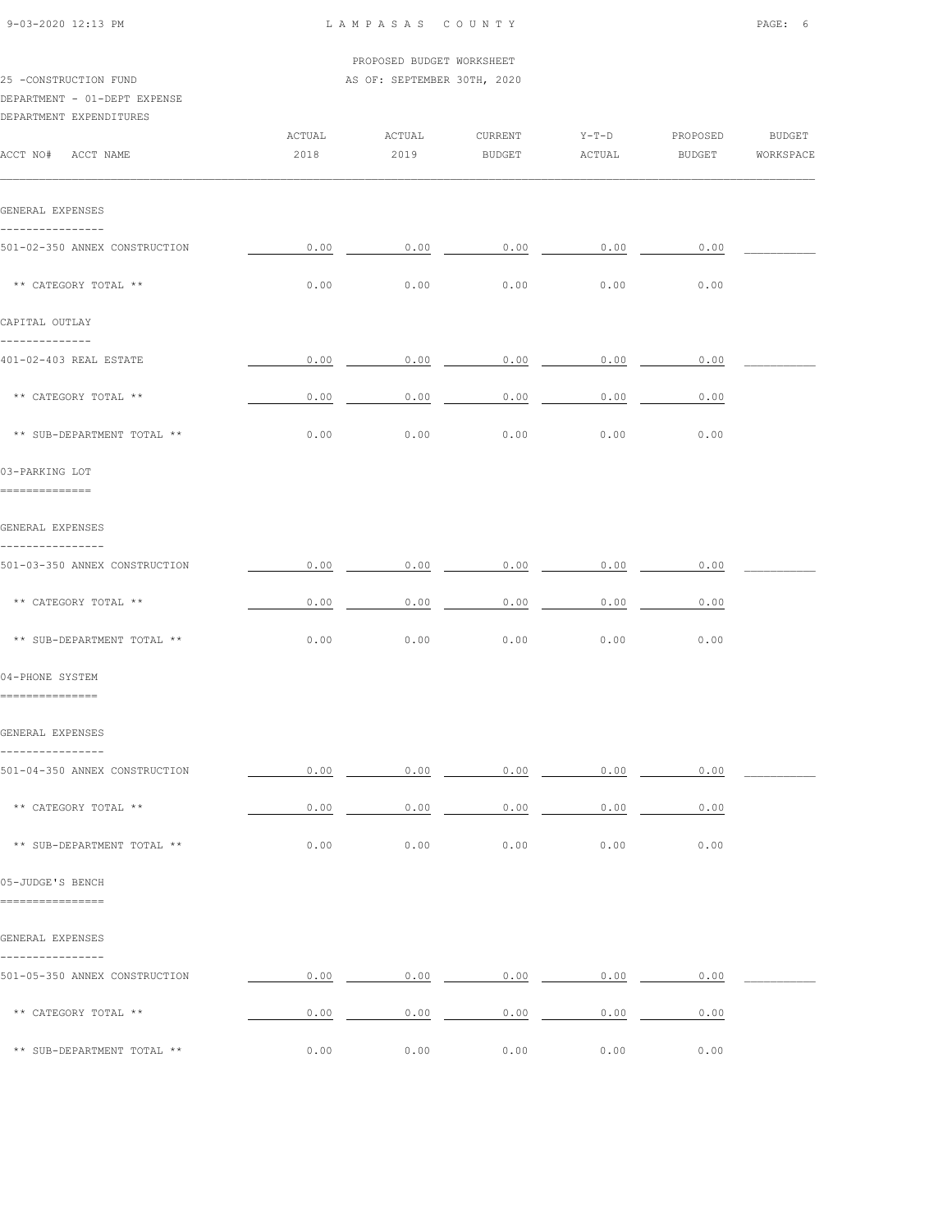|                                      |        | PROPOSED BUDGET WORKSHEET   |                            |         |                  |  |
|--------------------------------------|--------|-----------------------------|----------------------------|---------|------------------|--|
| 25 -CONSTRUCTION FUND                |        | AS OF: SEPTEMBER 30TH, 2020 |                            |         |                  |  |
| DEPARTMENT - 01-DEPT EXPENSE         |        |                             |                            |         |                  |  |
| DEPARTMENT EXPENDITURES              |        |                             |                            |         |                  |  |
|                                      | ACTUAL | ACTUAL                      | CURRENT                    | $Y-T-D$ | PROPOSED BUDGET  |  |
| ACCT NO# ACCT NAME                   | 2018   | 2019                        | <b>BUDGET</b>              | ACTUAL  | BUDGET WORKSPACE |  |
| GENERAL EXPENSES                     |        |                             |                            |         |                  |  |
| ----------------                     |        |                             |                            |         |                  |  |
| 501-02-350 ANNEX CONSTRUCTION        | 0.00   | 0.00                        | 0.00                       | 0.00    | 0.00             |  |
| ** CATEGORY TOTAL **                 | 0.00   | 0.00                        | 0.00                       | 0.00    | 0.00             |  |
| CAPITAL OUTLAY<br>--------------     |        |                             |                            |         |                  |  |
| 401-02-403 REAL ESTATE               | 0.00   | 0.00                        | 0.00                       | 0.00    | 0.00             |  |
| ** CATEGORY TOTAL **                 | 0.00   | 0.00                        | 0.00                       | 0.00    | 0.00             |  |
| ** SUB-DEPARTMENT TOTAL **           | 0.00   | 0.00                        | 0.00                       | 0.00    | 0.00             |  |
| 03-PARKING LOT<br>==============     |        |                             |                            |         |                  |  |
| GENERAL EXPENSES<br>---------------- |        |                             |                            |         |                  |  |
| 501-03-350 ANNEX CONSTRUCTION        | 0.00   | 0.00                        | 0.00                       | 0.00    | 0.00             |  |
| ** CATEGORY TOTAL **                 | 0.00   | 0.00                        | 0.00                       | 0.00    | 0.00             |  |
| ** SUB-DEPARTMENT TOTAL **           | 0.00   | 0.00                        | 0.00                       | 0.00    | 0.00             |  |
| 04-PHONE SYSTEM<br>===============   |        |                             |                            |         |                  |  |
| GENERAL EXPENSES                     |        |                             |                            |         |                  |  |
| 501-04-350 ANNEX CONSTRUCTION        | 0.00   |                             | $0.00$ 0.00 0.00           |         | 0.00             |  |
| ** CATEGORY TOTAL **                 | 0.00   | 0.00                        | 0.00                       | 0.00    | 0.00             |  |
| ** SUB-DEPARTMENT TOTAL **           | 0.00   | 0.00                        | 0.00                       | 0.00    | 0.00             |  |
| 05-JUDGE'S BENCH<br>================ |        |                             |                            |         |                  |  |
| GENERAL EXPENSES<br>----------       |        |                             |                            |         |                  |  |
| 501-05-350 ANNEX CONSTRUCTION        |        |                             | $0.00$ 0.00 0.00 0.00 0.00 |         | 0.00             |  |
| ** CATEGORY TOTAL **                 | 0.00   |                             | $0.00$ 0.00 0.00           |         | 0.00             |  |

\*\* SUB-DEPARTMENT TOTAL \*\* 0.00 0.00 0.00 0.00 0.00

9-03-2020 12:13 PM L A M P A S A S C O U N T Y PAGE: 6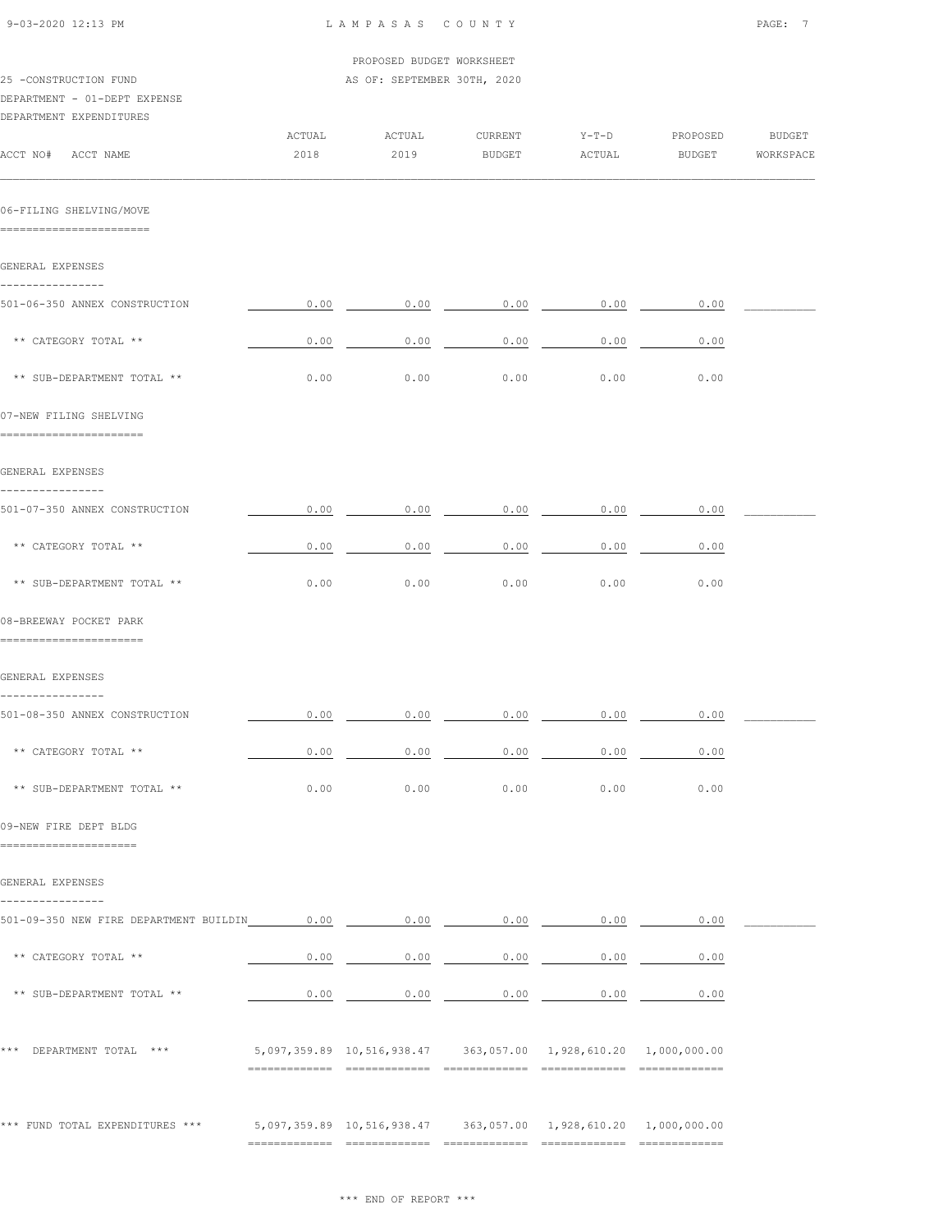| 9-03-2020 12:13 PM                                                                                     | LAMPASAS COUNTY           |                                                                     |                   |                             |                           |                            |  |
|--------------------------------------------------------------------------------------------------------|---------------------------|---------------------------------------------------------------------|-------------------|-----------------------------|---------------------------|----------------------------|--|
|                                                                                                        | PROPOSED BUDGET WORKSHEET |                                                                     |                   |                             |                           |                            |  |
| 25 -CONSTRUCTION FUND<br>DEPARTMENT - 01-DEPT EXPENSE<br>DEPARTMENT EXPENDITURES<br>ACCT NO# ACCT NAME | ACTUAL<br>2018            | AS OF: SEPTEMBER 30TH, 2020<br>ACTUAL<br>2019                       | CURRENT<br>BUDGET | $Y-T-D$<br>ACTUAL           | PROPOSED<br><b>BUDGET</b> | <b>BUDGET</b><br>WORKSPACE |  |
|                                                                                                        |                           |                                                                     |                   |                             |                           |                            |  |
| 06-FILING SHELVING/MOVE<br>=========================                                                   |                           |                                                                     |                   |                             |                           |                            |  |
| GENERAL EXPENSES                                                                                       |                           |                                                                     |                   |                             |                           |                            |  |
| ----------------<br>501-06-350 ANNEX CONSTRUCTION                                                      | 0.00                      | 0.00                                                                | 0.00              | 0.00                        | 0.00                      |                            |  |
| ** CATEGORY TOTAL **                                                                                   | 0.00                      | 0.00                                                                | 0.00              | 0.00                        | 0.00                      |                            |  |
| ** SUB-DEPARTMENT TOTAL **                                                                             | 0.00                      | 0.00                                                                | 0.00              | 0.00                        | 0.00                      |                            |  |
| 07-NEW FILING SHELVING<br>========================                                                     |                           |                                                                     |                   |                             |                           |                            |  |
| GENERAL EXPENSES                                                                                       |                           |                                                                     |                   |                             |                           |                            |  |
| ----------------<br>501-07-350 ANNEX CONSTRUCTION                                                      | 0.00                      | 0.00                                                                |                   | $0.00$ 0.00                 | 0.00                      |                            |  |
| ** CATEGORY TOTAL **                                                                                   | 0.00                      | 0.00                                                                | 0.00              | 0.00                        | 0.00                      |                            |  |
| ** SUB-DEPARTMENT TOTAL **                                                                             | 0.00                      | 0.00                                                                | 0.00              | 0.00                        | 0.00                      |                            |  |
| 08-BREEWAY POCKET PARK<br>========================                                                     |                           |                                                                     |                   |                             |                           |                            |  |
| GENERAL EXPENSES                                                                                       |                           |                                                                     |                   |                             |                           |                            |  |
| ----------------<br>501-08-350 ANNEX CONSTRUCTION                                                      |                           | $0.00$ $0.00$ $0.00$ $0.00$ $0.00$ $0.00$ $0.00$ $0.00$             |                   |                             |                           |                            |  |
| ** CATEGORY TOTAL **                                                                                   | 0.00                      |                                                                     |                   | $0.00$ 0.00 0.00            | 0.00                      |                            |  |
| ** SUB-DEPARTMENT TOTAL **                                                                             | 0.00                      | 0.00                                                                | 0.00              | 0.00                        | 0.00                      |                            |  |
| 09-NEW FIRE DEPT BLDG<br>======================                                                        |                           |                                                                     |                   |                             |                           |                            |  |
| GENERAL EXPENSES                                                                                       |                           |                                                                     |                   |                             |                           |                            |  |
| ----------------<br>501-09-350 NEW FIRE DEPARTMENT BUILDIN 0.00 0.00 0.00 0.00 0.00 0.00 0.00          |                           |                                                                     |                   |                             |                           |                            |  |
| ** CATEGORY TOTAL **                                                                                   |                           | $0.00$ 0.00 0.00 0.00 0.00                                          |                   |                             | 0.00                      |                            |  |
| ** SUB-DEPARTMENT TOTAL **                                                                             | 0.00                      |                                                                     |                   | $0.00$ $0.00$ $0.00$ $0.00$ | 0.00                      |                            |  |
| *** DEPARTMENT TOTAL ***                                                                               |                           | 5,097,359.89  10,516,938.47  363,057.00  1,928,610.20  1,000,000.00 |                   |                             |                           |                            |  |
| *** FUND TOTAL EXPENDITURES ***                                                                        |                           | 5,097,359.89  10,516,938.47  363,057.00  1,928,610.20  1,000,000.00 |                   |                             |                           |                            |  |
|                                                                                                        |                           |                                                                     |                   |                             |                           |                            |  |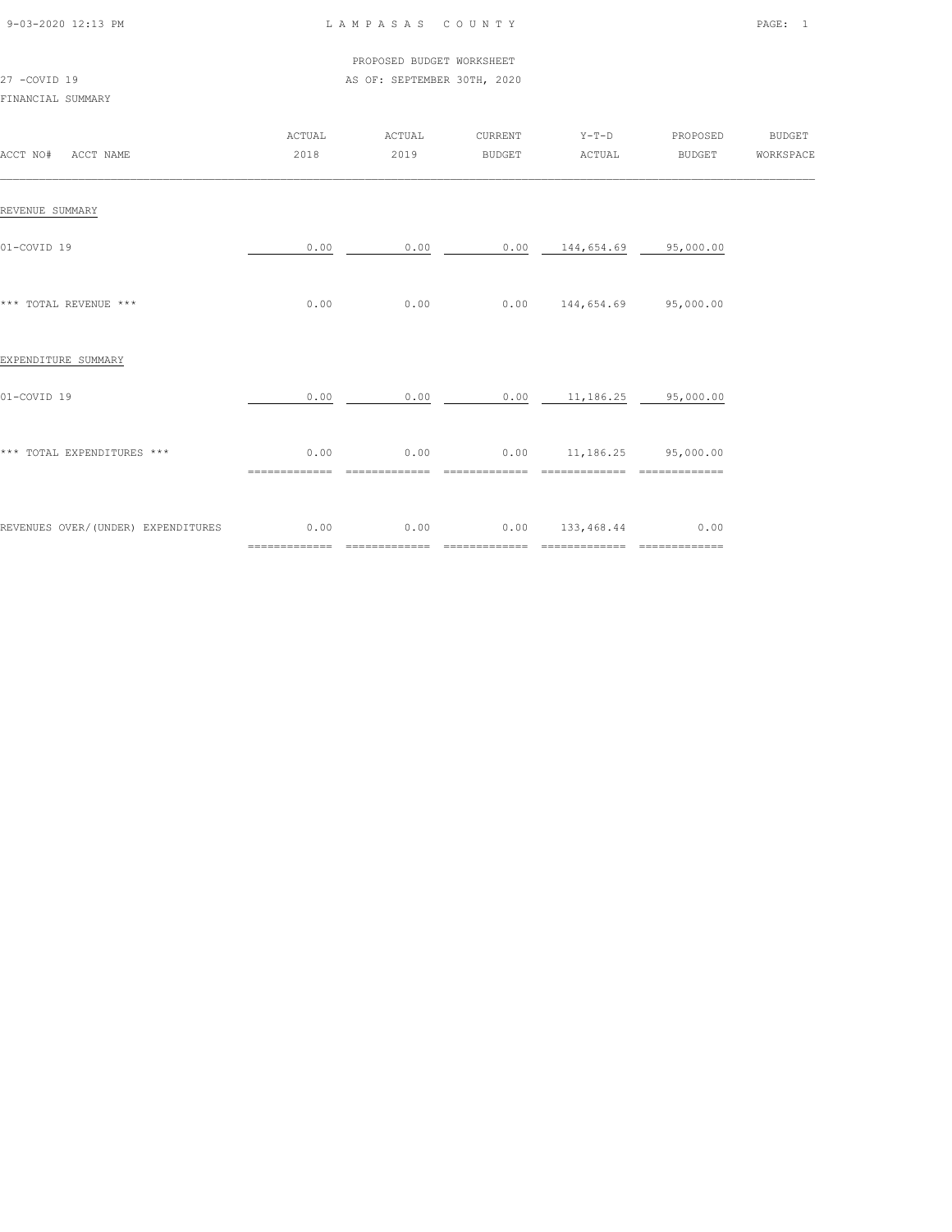| 9-03-2020 12:13 PM |  |
|--------------------|--|

#### L A M P A S A S C O U N T Y PAGE: 1

#### PROPOSED BUDGET WORKSHEET 27 -COVID 19 AS OF: SEPTEMBER 30TH, 2020

| ACCT NO#<br>ACCT NAME               | ACTUAL<br>2018         | ACTUAL<br>2019        | CURRENT<br><b>BUDGET</b> | $Y-T-D$<br>ACTUAL                   | PROPOSED<br>BUDGET    | <b>BUDGET</b><br>WORKSPACE |
|-------------------------------------|------------------------|-----------------------|--------------------------|-------------------------------------|-----------------------|----------------------------|
| REVENUE SUMMARY                     |                        |                       |                          |                                     |                       |                            |
| 01-COVID 19                         | 0.00                   | 0.00                  |                          | $0.00$ 144,654.69 95,000.00         |                       |                            |
| *** TOTAL REVENUE ***               | 0.00                   | 0.00                  |                          | $0.00$ 144,654.69 95,000.00         |                       |                            |
| EXPENDITURE SUMMARY                 |                        |                       |                          |                                     |                       |                            |
| 01-COVID 19                         | 0.00                   | 0.00                  |                          | $0.00$ 11,186.25 95,000.00          |                       |                            |
| *** TOTAL EXPENDITURES ***          | 0.00<br>============== | 0.00                  |                          | $0.00$ 11, 186.25 95, 000.00        |                       |                            |
| REVENUES OVER/ (UNDER) EXPENDITURES | 0.00<br>=============  | 0.00<br>============= | ==============           | $0.00$ 133,468.44<br>============== | 0.00<br>============= |                            |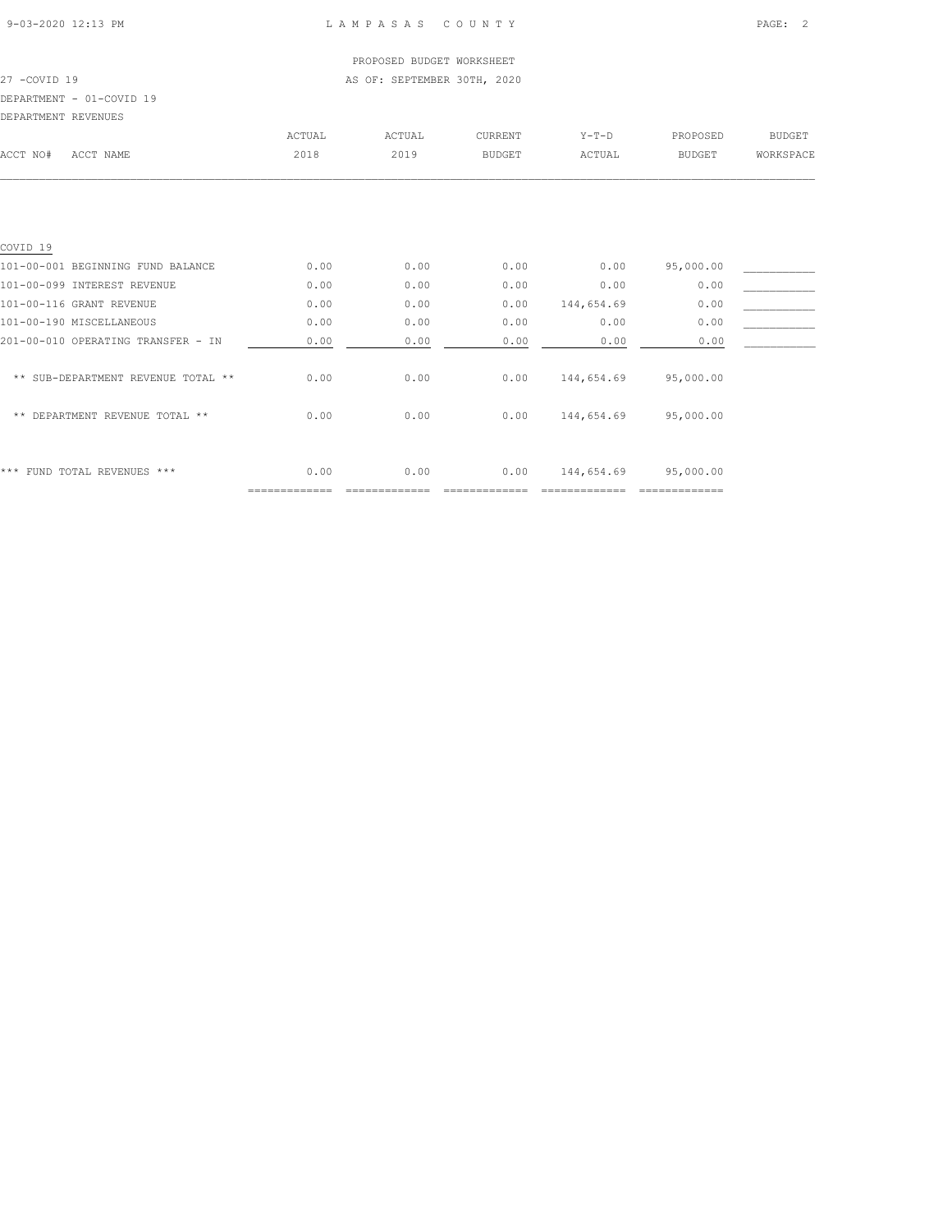## PROPOSED BUDGET WORKSHEET

27 -COVID 19 AS OF: SEPTEMBER 30TH, 2020

## DEPARTMENT - 01-COVID 19

| DEPARTMENT REVENUES                |        |        |               |            |               |               |
|------------------------------------|--------|--------|---------------|------------|---------------|---------------|
|                                    | ACTUAL | ACTUAL | CURRENT       | $Y-T-D$    | PROPOSED      | <b>BUDGET</b> |
| ACCT NAME<br>ACCT NO#              | 2018   | 2019   | <b>BUDGET</b> | ACTUAL     | <b>BUDGET</b> | WORKSPACE     |
|                                    |        |        |               |            |               |               |
|                                    |        |        |               |            |               |               |
| COVID <sub>19</sub>                |        |        |               |            |               |               |
| 101-00-001 BEGINNING FUND BALANCE  | 0.00   | 0.00   | 0.00          | 0.00       | 95,000.00     |               |
| 101-00-099 INTEREST REVENUE        | 0.00   | 0.00   | 0.00          | 0.00       | 0.00          |               |
| 101-00-116 GRANT REVENUE           | 0.00   | 0.00   | 0.00          | 144,654.69 | 0.00          |               |
| 101-00-190 MISCELLANEOUS           | 0.00   | 0.00   | 0.00          | 0.00       | 0.00          |               |
| 201-00-010 OPERATING TRANSFER - IN | 0.00   | 0.00   | 0.00          | 0.00       | 0.00          |               |
| ** SUB-DEPARTMENT REVENUE TOTAL ** | 0.00   | 0.00   | 0.00          | 144,654.69 | 95,000.00     |               |
| DEPARTMENT REVENUE TOTAL **<br>**  | 0.00   | 0.00   | 0.00          | 144,654.69 | 95,000.00     |               |
|                                    |        |        |               |            |               |               |

\*\*\* FUND TOTAL REVENUES \*\*\* 0.00 0.00 0.00 144,654.69 95,000.00

============= ============= ============= ============= =============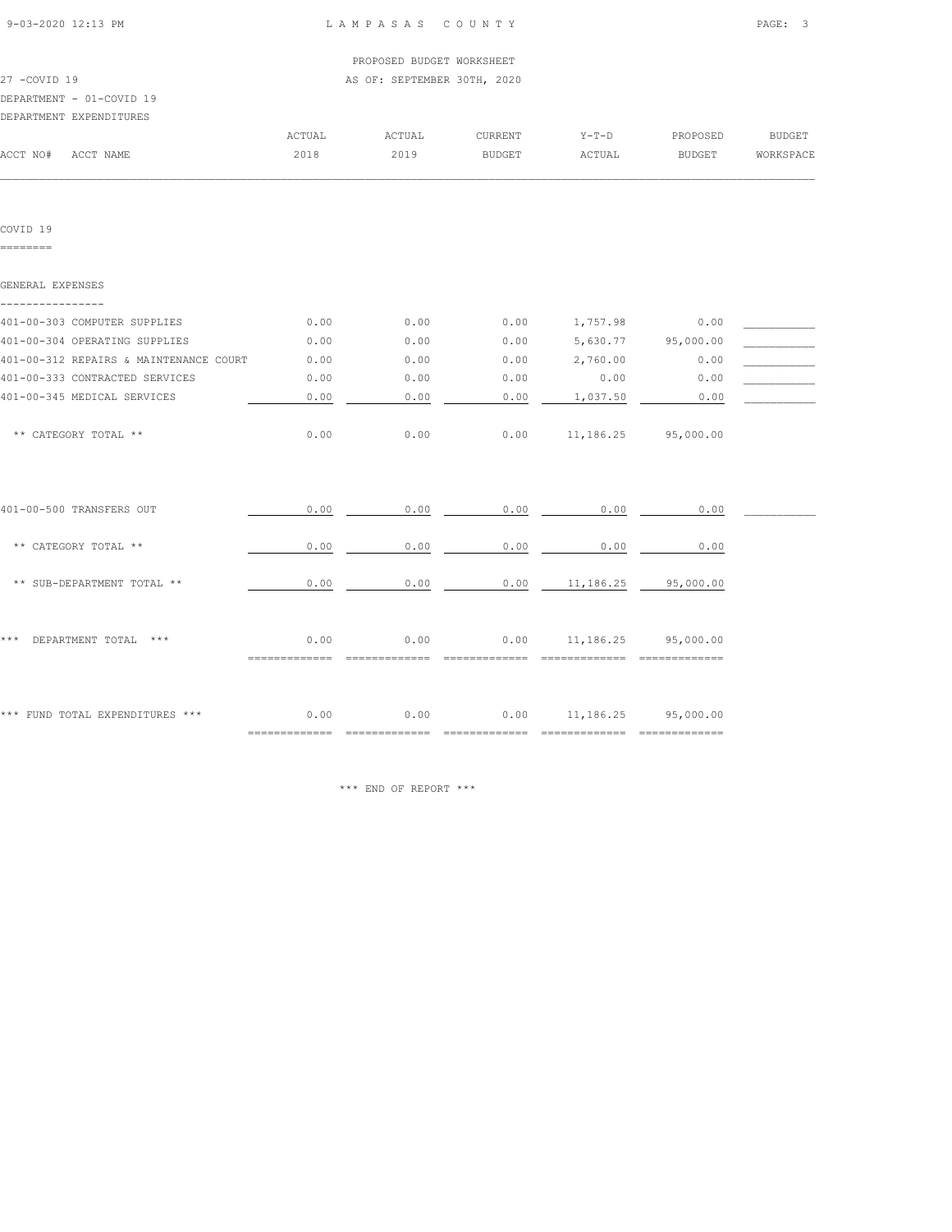| 9-03-2020 12:13 PM |  |
|--------------------|--|
|                    |  |

| 27 -COVID 19<br>DEPARTMENT - 01-COVID 19 |        | AS OF: SEPTEMBER 30TH, 2020 |         |         |          |           |
|------------------------------------------|--------|-----------------------------|---------|---------|----------|-----------|
| DEPARTMENT EXPENDITURES                  |        |                             |         |         |          |           |
|                                          | ACTUAL | ACTUAL                      | CURRENT | $Y-T-D$ | PROPOSED | BUDGET    |
| ACCT NAME<br>ACCT NO#                    | 2018   | 2019                        | BUDGET  | ACTUAL  | BUDGET   | WORKSPACE |
|                                          |        |                             |         |         |          |           |
| COVID <sub>19</sub>                      |        |                             |         |         |          |           |

========

| GENERAL EXPENSES                       |      |      |      |                             |           |  |
|----------------------------------------|------|------|------|-----------------------------|-----------|--|
| 401-00-303 COMPUTER SUPPLIES           | 0.00 | 0.00 | 0.00 | 1,757.98                    | 0.00      |  |
| 401-00-304 OPERATING SUPPLIES          | 0.00 | 0.00 | 0.00 | 5,630.77                    | 95,000.00 |  |
| 401-00-312 REPAIRS & MAINTENANCE COURT | 0.00 | 0.00 | 0.00 | 2,760.00                    | 0.00      |  |
| 401-00-333 CONTRACTED SERVICES         | 0.00 | 0.00 | 0.00 | 0.00                        | 0.00      |  |
| 401-00-345 MEDICAL SERVICES            | 0.00 | 0.00 | 0.00 | 1,037.50                    | 0.00      |  |
| ** CATEGORY TOTAL **                   | 0.00 | 0.00 | 0.00 | 11,186.25 95,000.00         |           |  |
| 401-00-500 TRANSFERS OUT               | 0.00 | 0.00 | 0.00 | 0.00                        | 0.00      |  |
| ** CATEGORY TOTAL **                   | 0.00 | 0.00 | 0.00 | 0.00                        | 0.00      |  |
| ** SUB-DEPARTMENT TOTAL **             | 0.00 | 0.00 | 0.00 | 11,186.25                   | 95,000.00 |  |
| DEPARTMENT TOTAL<br>* * *<br>$***$     | 0.00 | 0.00 | 0.00 | 11,186.25 95,000.00         |           |  |
| *** FUND TOTAL EXPENDITURES ***        | 0.00 | 0.00 |      | $0.00$ 11, 186.25 95,000.00 |           |  |

\*\*\* END OF REPORT \*\*\*

============= ============= ============= ============= =============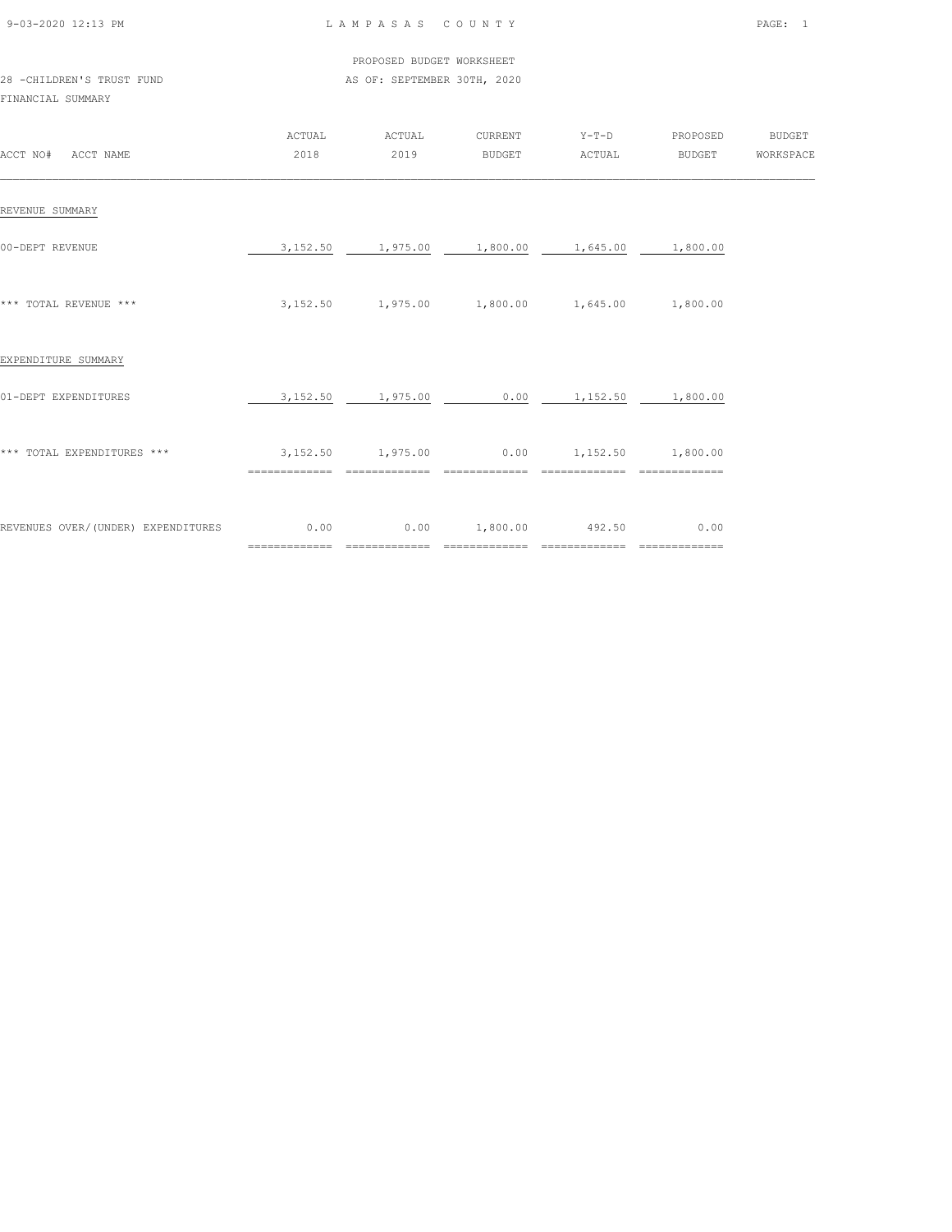|  | 9-03-2020 12:13 PM |  |
|--|--------------------|--|

28 -CHILDREN'S TRUST FUND

#### LAMPASAS COUNTY PAGE: 1

|                           | PROPOSED BUDGET WORKSHEET   |
|---------------------------|-----------------------------|
| 28 -CHILDREN'S TRUST FUND | AS OF: SEPTEMBER 30TH, 2020 |

| ACCT NO#<br>ACCT NAME              | ACTUAL<br>2018            | ACTUAL<br>2019         | CURRENT<br><b>BUDGET</b> | $Y-T-D$<br>ACTUAL                           | PROPOSED<br>BUDGET    | <b>BUDGET</b><br>WORKSPACE |
|------------------------------------|---------------------------|------------------------|--------------------------|---------------------------------------------|-----------------------|----------------------------|
| REVENUE SUMMARY                    |                           |                        |                          |                                             |                       |                            |
| 00-DEPT REVENUE                    | 3,152.50                  | 1,975.00               | 1,800.00                 | 1,645.00                                    | 1,800.00              |                            |
| *** TOTAL REVENUE ***              | 3,152.50                  |                        |                          | $1,975.00$ $1,800.00$ $1,645.00$ $1,800.00$ |                       |                            |
| EXPENDITURE SUMMARY                |                           |                        |                          |                                             |                       |                            |
| 01-DEPT EXPENDITURES               | 3,152.50                  | 1,975.00               | 0.00                     | 1,152.50                                    | 1,800.00              |                            |
| *** TOTAL EXPENDITURES ***         | 3, 152.50                 | 1,975.00               | 0.00<br>==============   |                                             | 1,152.50 1,800.00     |                            |
| REVENUES OVER/(UNDER) EXPENDITURES | 0.00<br>$=$ ============= | 0.00<br>============== | 1,800.00<br>-------      | 492.50<br>==============                    | 0.00<br>============= |                            |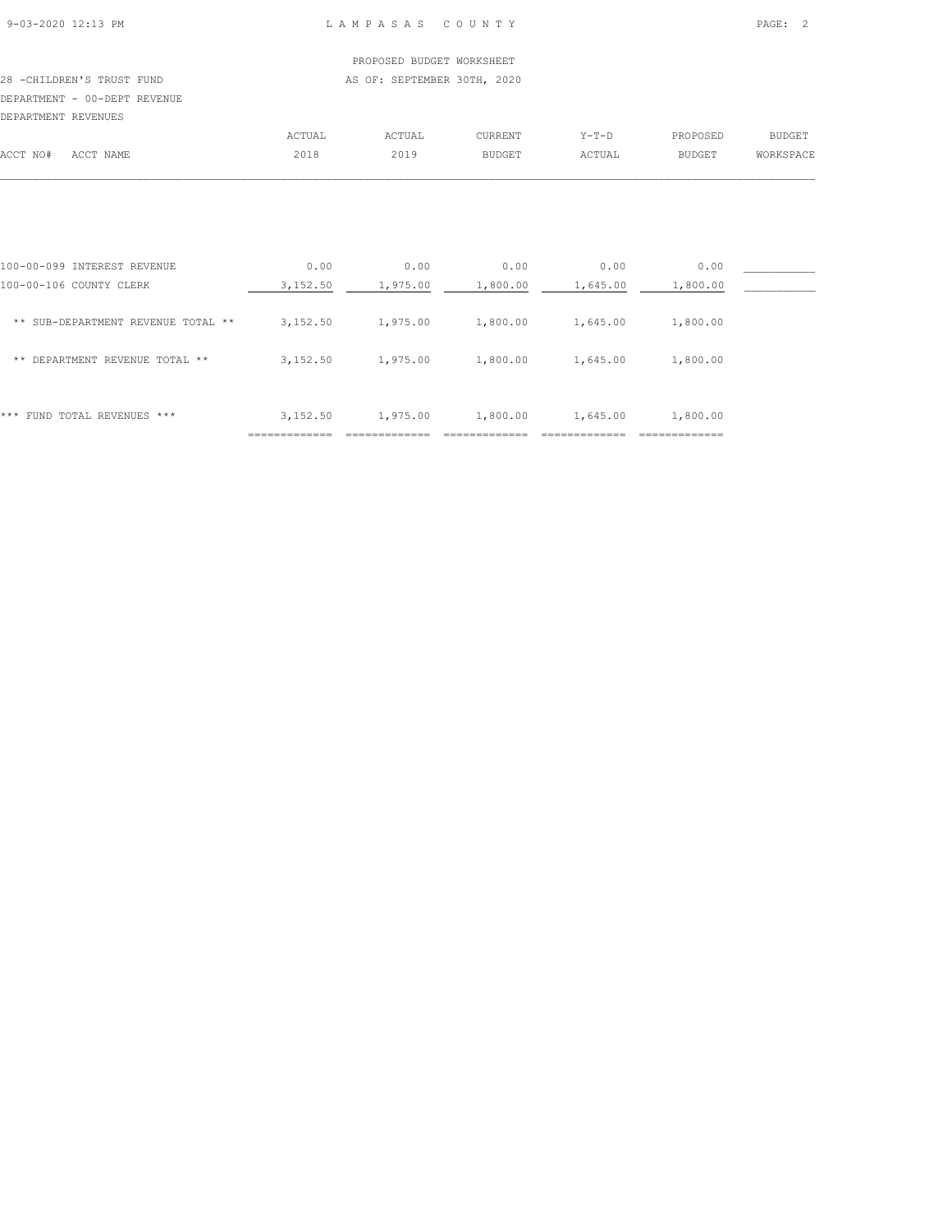#### PROPOSED BUDGET WORKSHEET 28 -CHILDREN'S TRUST FUND **AS OF: SEPTEMBER 30TH, 2020**

DEPARTMENT - 00-DEPT REVENUE

|          |           | <b>ACTUAL</b> | ACTUAL | CURRENT       | $Y-T-D$ | PROPOSED      | <b>BUDGET</b> |
|----------|-----------|---------------|--------|---------------|---------|---------------|---------------|
| ACCT NO# | ACCT NAME | 2018          | 2019   | <b>BUDGET</b> | ACTUAL  | <b>BUDGET</b> | WORKSPACE     |
|          |           |               |        |               |         |               |               |

| 100-00-099 INTEREST REVENUE        | 0.00          | 0.00          | 0.00     | 0.00     | 0.00                       |  |
|------------------------------------|---------------|---------------|----------|----------|----------------------------|--|
| 100-00-106 COUNTY CLERK            | 3,152.50      | 1,975.00      | 1,800.00 | 1,645.00 | 1,800.00                   |  |
| ** SUB-DEPARTMENT REVENUE TOTAL ** | 3,152.50      | 1,975.00      | 1,800.00 | 1,645.00 | 1,800.00                   |  |
| DEPARTMENT REVENUE TOTAL **<br>**  | 3,152.50      | 1,975.00      | 1,800.00 | 1,645.00 | 1,800.00                   |  |
|                                    |               |               |          |          |                            |  |
| FUND TOTAL REVENUES ***<br>***     | 3,152.50      | 1,975.00      | 1,800.00 | 1,645.00 | 1,800.00                   |  |
|                                    | _____________ | ------------- |          |          | _____________<br>--------- |  |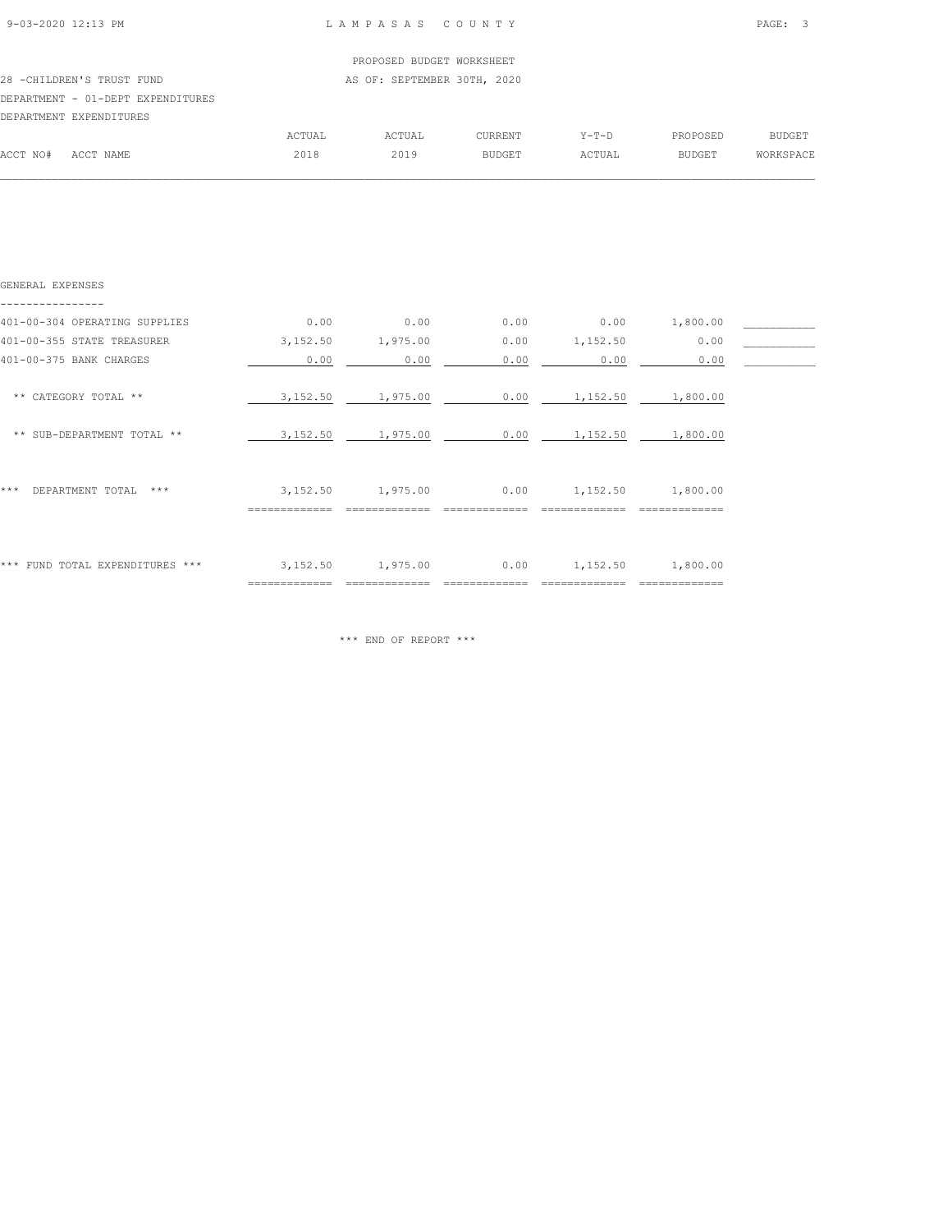| 9-03-2020 12:13 PM |  |
|--------------------|--|

|                                   |                             | PROPOSED BUDGET WORKSHEET |         |         |          |               |  |
|-----------------------------------|-----------------------------|---------------------------|---------|---------|----------|---------------|--|
| 28 - CHILDREN'S TRUST FUND        | AS OF: SEPTEMBER 30TH, 2020 |                           |         |         |          |               |  |
| DEPARTMENT - 01-DEPT EXPENDITURES |                             |                           |         |         |          |               |  |
| DEPARTMENT EXPENDITURES           |                             |                           |         |         |          |               |  |
|                                   | ACTUAL                      | ACTUAL                    | CURRENT | $Y-T-D$ | PROPOSED | <b>BUDGET</b> |  |
| ACCT NO#<br>ACCT NAME             | 2018                        | 2019                      | BUDGET  | ACTUAL  | BUDGET   | WORKSPACE     |  |
|                                   |                             |                           |         |         |          |               |  |

| GENERAL EXPENSES                 |                           |          |      |          |                            |  |
|----------------------------------|---------------------------|----------|------|----------|----------------------------|--|
| 401-00-304 OPERATING SUPPLIES    | 0.00                      | 0.00     | 0.00 | 0.00     | 1,800.00                   |  |
| 401-00-355 STATE TREASURER       | 3,152.50                  | 1,975.00 | 0.00 | 1,152.50 | 0.00                       |  |
| 401-00-375 BANK CHARGES          | 0.00                      | 0.00     | 0.00 | 0.00     | 0.00                       |  |
| ** CATEGORY TOTAL **             | 3,152.50                  | 1,975.00 | 0.00 | 1,152.50 | 1,800.00                   |  |
| ** SUB-DEPARTMENT TOTAL **       | 3,152.50                  | 1,975.00 | 0.00 | 1,152.50 | 1,800.00                   |  |
| ***<br>DEPARTMENT TOTAL<br>$***$ | 3,152.50                  | 1,975.00 | 0.00 | 1,152.50 | 1,800.00                   |  |
| *** FUND TOTAL EXPENDITURES ***  | 3,152.50<br>============= | 1,975.00 | 0.00 | 1,152.50 | 1,800.00<br>============== |  |

\*\*\* END OF REPORT \*\*\*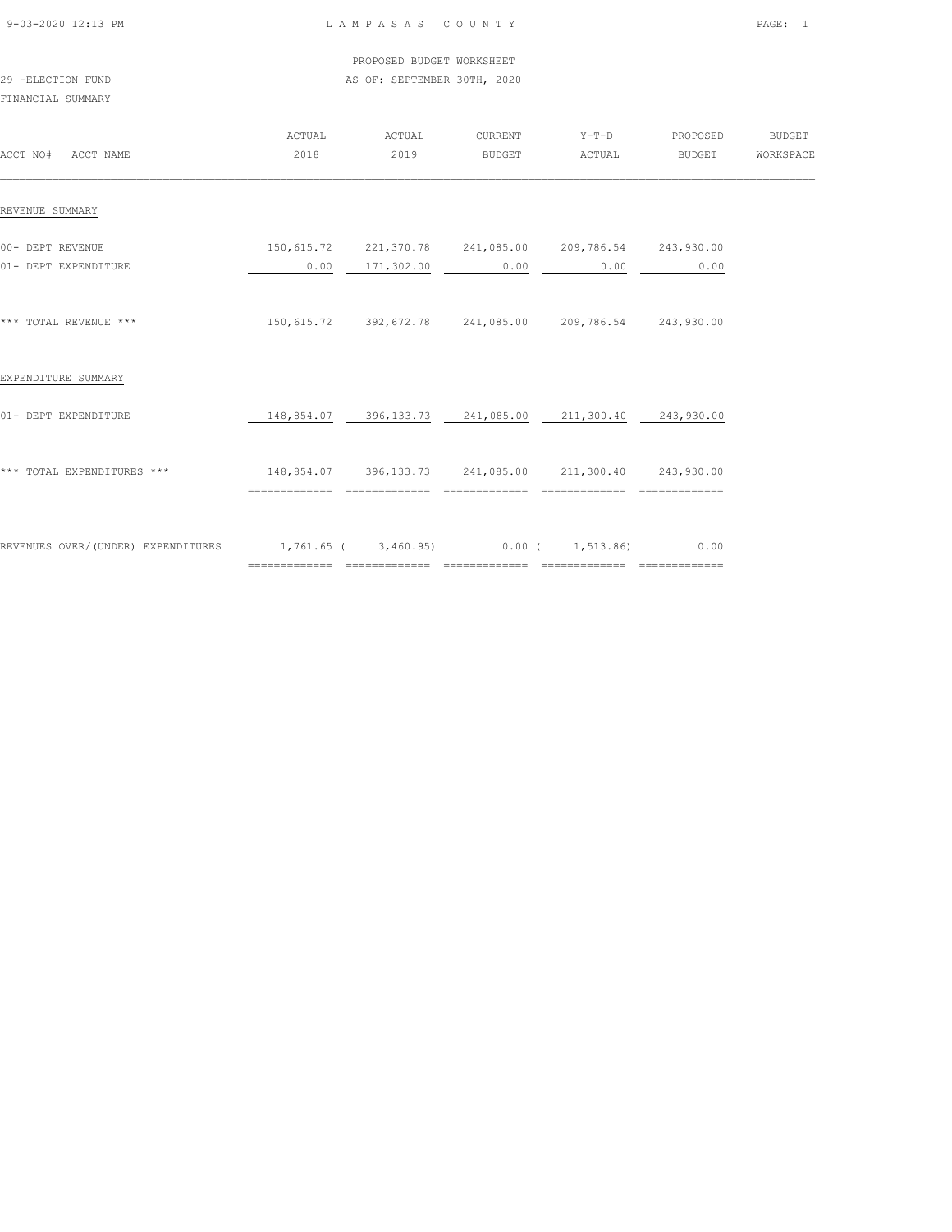|                                                                                  |                                                            | PROPOSED BUDGET WORKSHEET   |                                                                    |        |                  |  |
|----------------------------------------------------------------------------------|------------------------------------------------------------|-----------------------------|--------------------------------------------------------------------|--------|------------------|--|
| 29 -ELECTION FUND<br>FINANCIAL SUMMARY                                           |                                                            | AS OF: SEPTEMBER 30TH, 2020 |                                                                    |        |                  |  |
| ACCT NO# ACCT NAME                                                               | 2018                                                       | ACTUAL ACTUAL<br>2019       | CURRENT Y-T-D PROPOSED BUDGET<br><b>BUDGET</b>                     | ACTUAL | BUDGET WORKSPACE |  |
| REVENUE SUMMARY                                                                  |                                                            |                             |                                                                    |        |                  |  |
| 00- DEPT REVENUE<br>01- DEPT EXPENDITURE                                         |                                                            | $0.00$ $171,302.00$         | 150,615.72  221,370.78  241,085.00  209,786.54  243,930.00<br>0.00 | 0.00   | 0.00             |  |
| *** TOTAL REVENUE ***                                                            |                                                            |                             | 150,615.72 392,672.78 241,085.00 209,786.54 243,930.00             |        |                  |  |
| EXPENDITURE SUMMARY                                                              |                                                            |                             |                                                                    |        |                  |  |
| 01- DEPT EXPENDITURE                                                             |                                                            |                             | 148,854.07  396,133.73  241,085.00  211,300.40  243,930.00         |        |                  |  |
| *** TOTAL EXPENDITURES ***                                                       | 148,854.07  396,133.73  241,085.00  211,300.40  243,930.00 |                             |                                                                    |        |                  |  |
| REVENUES OVER/(UNDER) EXPENDITURES $1,761.65$ ( $3,460.95$ ) 0.00 ( $1,513.86$ ) |                                                            |                             |                                                                    |        | 0.00             |  |

============= ============= ============= ============= =============

9-03-2020 12:13 PM L A M P A S A S C O U N T Y PAGE: 1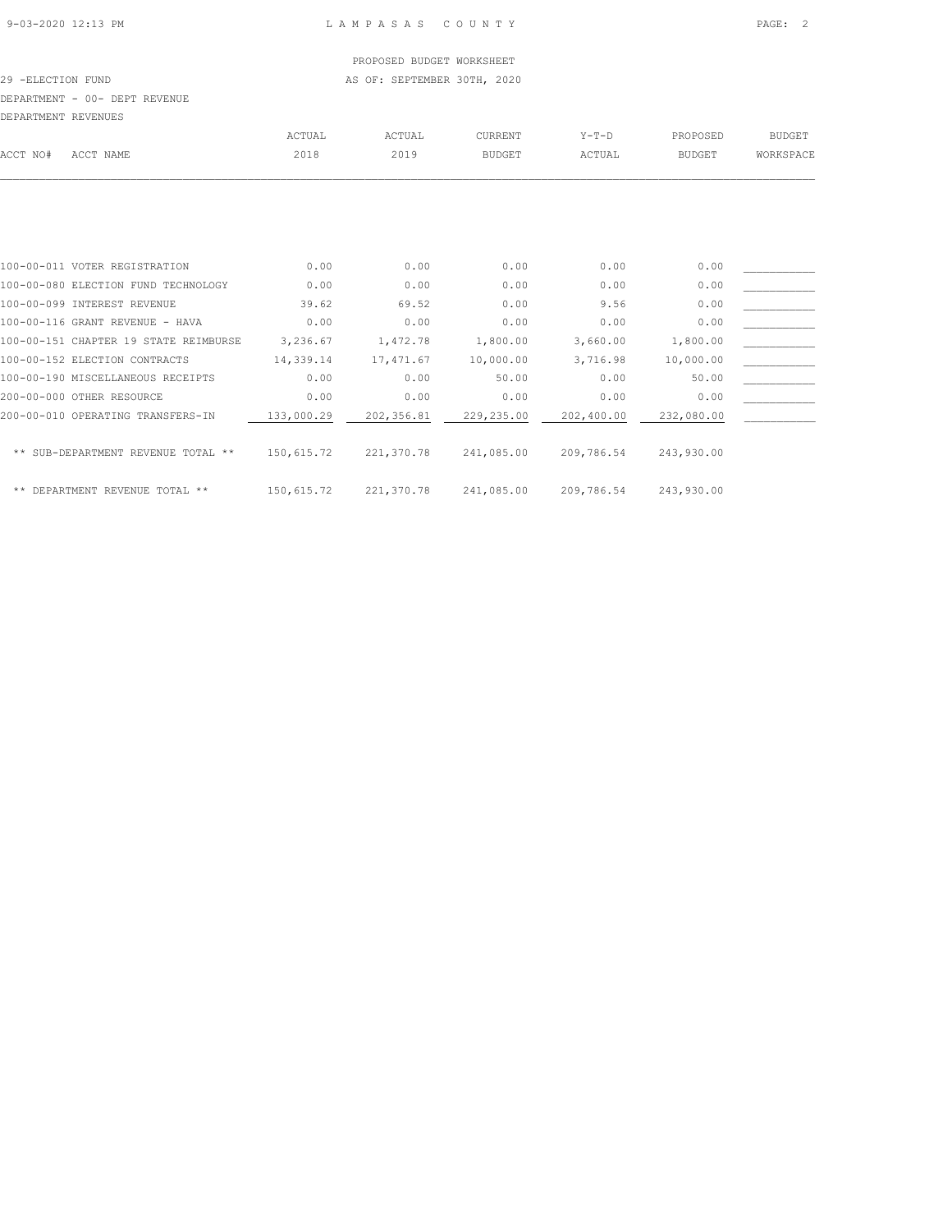## PROPOSED BUDGET WORKSHEET

29 -ELECTION FUND **AS OF: SEPTEMBER 30TH, 2020** 

#### DEPARTMENT - 00- DEPT REVENUE

| DEPARTMENT REVENUES |                                       |           |           |               |          |               |               |
|---------------------|---------------------------------------|-----------|-----------|---------------|----------|---------------|---------------|
|                     |                                       | ACTUAL    | ACTUAL    | CURRENT       | $Y-T-D$  | PROPOSED      | <b>BUDGET</b> |
| ACCT NO#            | ACCT NAME                             | 2018      | 2019      | <b>BUDGET</b> | ACTUAL   | <b>BUDGET</b> | WORKSPACE     |
|                     |                                       |           |           |               |          |               |               |
|                     |                                       |           |           |               |          |               |               |
|                     | 100-00-011 VOTER REGISTRATION         | 0.00      | 0.00      | 0.00          | 0.00     | 0.00          |               |
|                     | 100-00-080 ELECTION FUND TECHNOLOGY   | 0.00      | 0.00      | 0.00          | 0.00     | 0.00          |               |
|                     | 100-00-099 INTEREST REVENUE           | 39.62     | 69.52     | 0.00          | 9.56     | 0.00          |               |
|                     | 100-00-116 GRANT REVENUE - HAVA       | 0.00      | 0.00      | 0.00          | 0.00     | 0.00          |               |
|                     | 100-00-151 CHAPTER 19 STATE REIMBURSE | 3,236.67  | 1,472.78  | 1,800.00      | 3,660.00 | 1,800.00      |               |
|                     | 100-00-152 ELECTION CONTRACTS         | 14,339.14 | 17,471.67 | 10,000.00     | 3,716.98 | 10,000.00     |               |
|                     | 100-00-190 MISCELLANEOUS RECEIPTS     | 0.00      | 0.00      | 50.00         | 0.00     | 50.00         |               |
|                     | 200-00-000 OTHER RESOURCE             | 0.00      | 0.00      | 0.00          | 0.00     | 0.00          |               |

| 200-00-010 OPERATING TRANSFERS-IN  | 133,000.29 | 202,356.81 | 229,235.00 | 202,400.00 | 232,080.00 |  |
|------------------------------------|------------|------------|------------|------------|------------|--|
| ** SUB-DEPARTMENT REVENUE TOTAL ** | 150,615.72 | 221,370.78 | 241,085.00 | 209,786.54 | 243,930.00 |  |
| ** DEPARTMENT REVENUE TOTAL **     | 150,615.72 | 221,370.78 | 241,085.00 | 209,786.54 | 243,930.00 |  |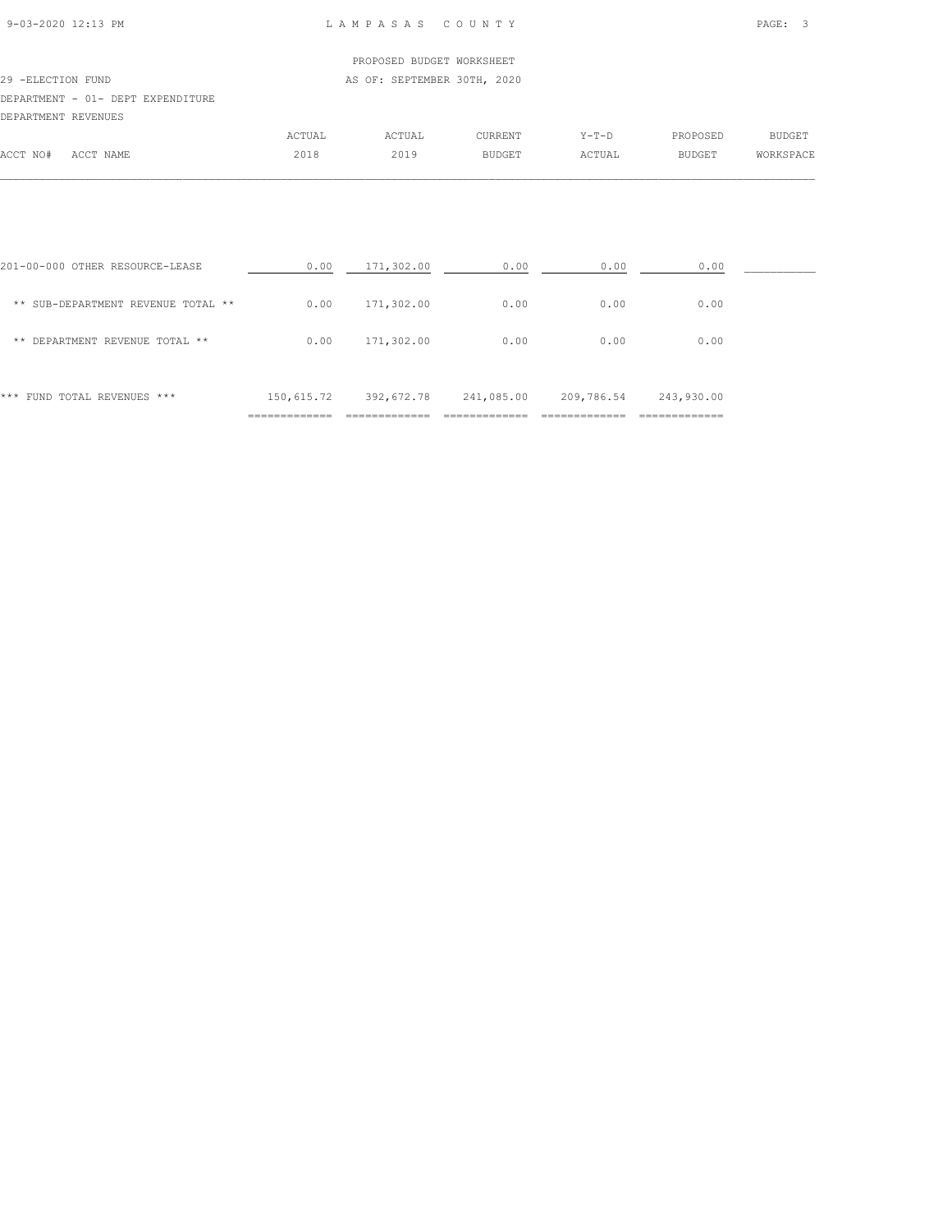| 9-03-2020 12:13 PM |  |
|--------------------|--|

#### L A M P A S A S C O U N T Y PAGE: 3

|                     |                                   |        | PROPOSED BUDGET WORKSHEET   |                |         |               |               |
|---------------------|-----------------------------------|--------|-----------------------------|----------------|---------|---------------|---------------|
| 29 -ELECTION FUND   |                                   |        | AS OF: SEPTEMBER 30TH, 2020 |                |         |               |               |
|                     | DEPARTMENT - 01- DEPT EXPENDITURE |        |                             |                |         |               |               |
| DEPARTMENT REVENUES |                                   |        |                             |                |         |               |               |
|                     |                                   | ACTUAL | ACTUAL                      | <b>CURRENT</b> | $Y-T-D$ | PROPOSED      | <b>BUDGET</b> |
| ACCT NO#            | ACCT NAME                         | 2018   | 2019                        | <b>BUDGET</b>  | ACTUAL  | <b>BUDGET</b> | WORKSPACE     |

| FUND TOTAL REVENUES ***<br>***           | 150,615.72 | 392,672.78 | 241,085.00 | 209,786.54 | 243,930.00 |  |
|------------------------------------------|------------|------------|------------|------------|------------|--|
| DEPARTMENT REVENUE TOTAL **<br>**        | 0.00       | 171,302.00 | 0.00       | 0.00       | 0.00       |  |
| SUB-DEPARTMENT REVENUE TOTAL **<br>$* *$ | 0.00       | 171,302.00 | 0.00       | 0.00       | 0.00       |  |
| 201-00-000 OTHER RESOURCE-LEASE          | 0.00       | 171,302.00 | 0.00       | 0.00       | 0.00       |  |

 $\mathcal{L} = \{ \mathcal{L} = \{ \mathcal{L} = \{ \mathcal{L} = \{ \mathcal{L} = \{ \mathcal{L} = \{ \mathcal{L} = \{ \mathcal{L} = \{ \mathcal{L} = \{ \mathcal{L} = \{ \mathcal{L} = \{ \mathcal{L} = \{ \mathcal{L} = \{ \mathcal{L} = \{ \mathcal{L} = \{ \mathcal{L} = \{ \mathcal{L} = \{ \mathcal{L} = \{ \mathcal{L} = \{ \mathcal{L} = \{ \mathcal{L} = \{ \mathcal{L} = \{ \mathcal{L} = \{ \mathcal{L} = \{ \mathcal{$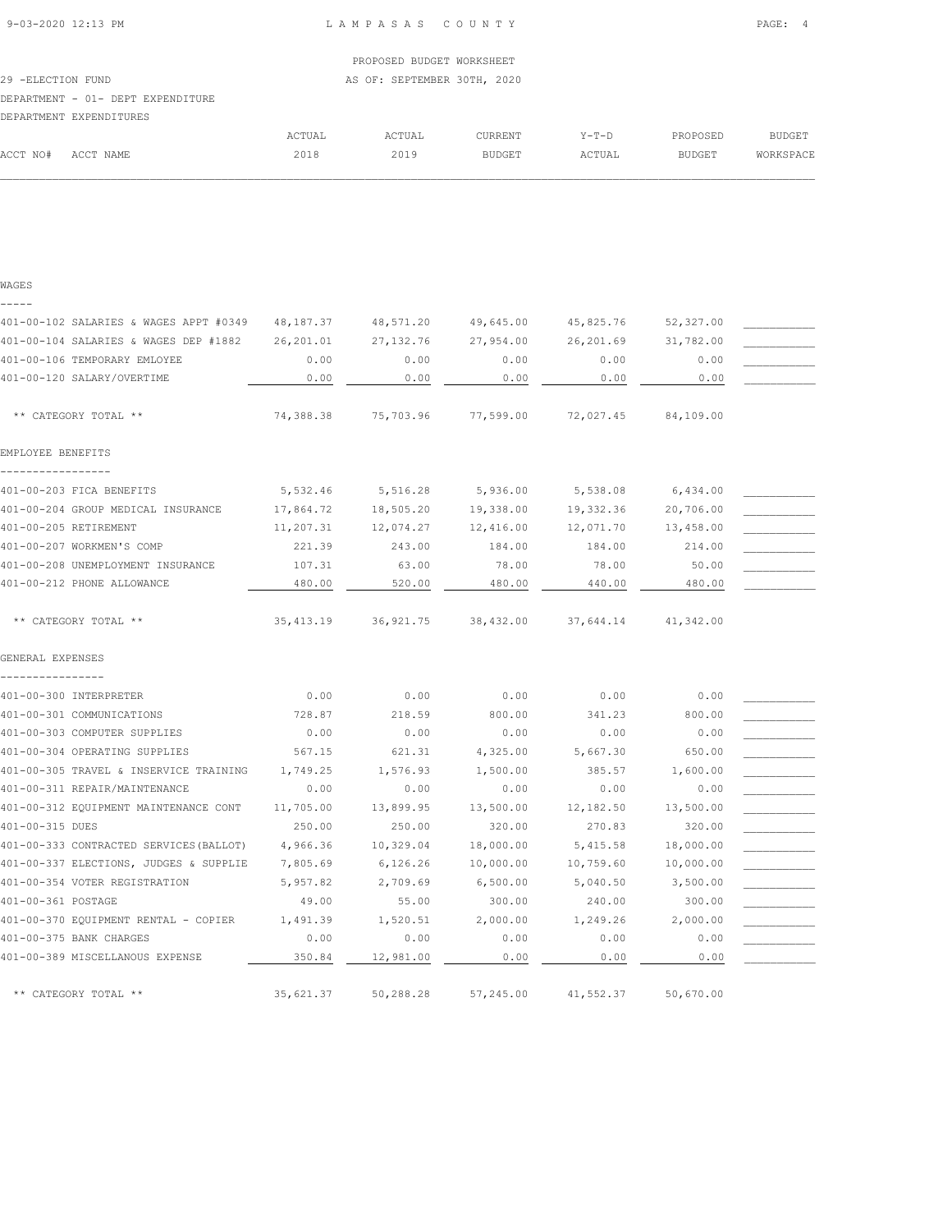$\mathcal{L} = \{ \mathcal{L} = \{ \mathcal{L} = \{ \mathcal{L} = \{ \mathcal{L} = \{ \mathcal{L} = \{ \mathcal{L} = \{ \mathcal{L} = \{ \mathcal{L} = \{ \mathcal{L} = \{ \mathcal{L} = \{ \mathcal{L} = \{ \mathcal{L} = \{ \mathcal{L} = \{ \mathcal{L} = \{ \mathcal{L} = \{ \mathcal{L} = \{ \mathcal{L} = \{ \mathcal{L} = \{ \mathcal{L} = \{ \mathcal{L} = \{ \mathcal{L} = \{ \mathcal{L} = \{ \mathcal{L} = \{ \mathcal{$ 

WAGES

9-03-2020 12:13 PM L A M P A S A S C O U N T Y PAGE: 4

| -----                                   |            |            |           |           |           |  |
|-----------------------------------------|------------|------------|-----------|-----------|-----------|--|
| 401-00-102 SALARIES & WAGES APPT #0349  | 48, 187.37 | 48,571.20  | 49,645.00 | 45,825.76 | 52,327.00 |  |
| 401-00-104 SALARIES & WAGES DEP #1882   | 26, 201.01 | 27, 132.76 | 27,954.00 | 26,201.69 | 31,782.00 |  |
| 401-00-106 TEMPORARY EMLOYEE            | 0.00       | 0.00       | 0.00      | 0.00      | 0.00      |  |
| 401-00-120 SALARY/OVERTIME              | 0.00       | 0.00       | 0.00      | 0.00      | 0.00      |  |
| ** CATEGORY TOTAL **                    | 74,388.38  | 75,703.96  | 77,599.00 | 72,027.45 | 84,109.00 |  |
| EMPLOYEE BENEFITS                       |            |            |           |           |           |  |
| 401-00-203 FICA BENEFITS                | 5,532.46   | 5,516.28   | 5,936.00  | 5,538.08  | 6,434.00  |  |
| 401-00-204 GROUP MEDICAL INSURANCE      | 17,864.72  | 18,505.20  | 19,338.00 | 19,332.36 | 20,706.00 |  |
| 401-00-205 RETIREMENT                   | 11,207.31  | 12,074.27  | 12,416.00 | 12,071.70 | 13,458.00 |  |
| 401-00-207 WORKMEN'S COMP               | 221.39     | 243.00     | 184.00    | 184.00    | 214.00    |  |
| 401-00-208 UNEMPLOYMENT INSURANCE       | 107.31     | 63.00      | 78.00     | 78.00     | 50.00     |  |
| 401-00-212 PHONE ALLOWANCE              | 480.00     | 520.00     | 480.00    | 440.00    | 480.00    |  |
| ** CATEGORY TOTAL **                    | 35, 413.19 | 36,921.75  | 38,432.00 | 37,644.14 | 41,342.00 |  |
| GENERAL EXPENSES                        |            |            |           |           |           |  |
| 401-00-300 INTERPRETER                  | 0.00       | 0.00       | 0.00      | 0.00      | 0.00      |  |
| 401-00-301 COMMUNICATIONS               | 728.87     | 218.59     | 800.00    | 341.23    | 800.00    |  |
| 401-00-303 COMPUTER SUPPLIES            | 0.00       | 0.00       | 0.00      | 0.00      | 0.00      |  |
| 401-00-304 OPERATING SUPPLIES           | 567.15     | 621.31     | 4,325.00  | 5,667.30  | 650.00    |  |
| 401-00-305 TRAVEL & INSERVICE TRAINING  | 1,749.25   | 1,576.93   | 1,500.00  | 385.57    | 1,600.00  |  |
| 401-00-311 REPAIR/MAINTENANCE           | 0.00       | 0.00       | 0.00      | 0.00      | 0.00      |  |
| 401-00-312 EQUIPMENT MAINTENANCE CONT   | 11,705.00  | 13,899.95  | 13,500.00 | 12,182.50 | 13,500.00 |  |
| 401-00-315 DUES                         | 250.00     | 250.00     | 320.00    | 270.83    | 320.00    |  |
| 401-00-333 CONTRACTED SERVICES (BALLOT) | 4,966.36   | 10,329.04  | 18,000.00 | 5,415.58  | 18,000.00 |  |
| 401-00-337 ELECTIONS, JUDGES & SUPPLIE  | 7,805.69   | 6,126.26   | 10,000.00 | 10,759.60 | 10,000.00 |  |
| 401-00-354 VOTER REGISTRATION           | 5,957.82   | 2,709.69   | 6,500.00  | 5,040.50  | 3,500.00  |  |
| 401-00-361 POSTAGE                      | 49.00      | 55.00      | 300.00    | 240.00    | 300.00    |  |
| 401-00-370 EQUIPMENT RENTAL - COPIER    | 1,491.39   | 1,520.51   | 2,000.00  | 1,249.26  | 2,000.00  |  |
| 401-00-375 BANK CHARGES                 | 0.00       | 0.00       | 0.00      | 0.00      | 0.00      |  |
| 401-00-389 MISCELLANOUS EXPENSE         | 350.84     | 12,981.00  | 0.00      | 0.00      | 0.00      |  |
| ** CATEGORY TOTAL **                    | 35,621.37  | 50,288.28  | 57,245.00 | 41,552.37 | 50,670.00 |  |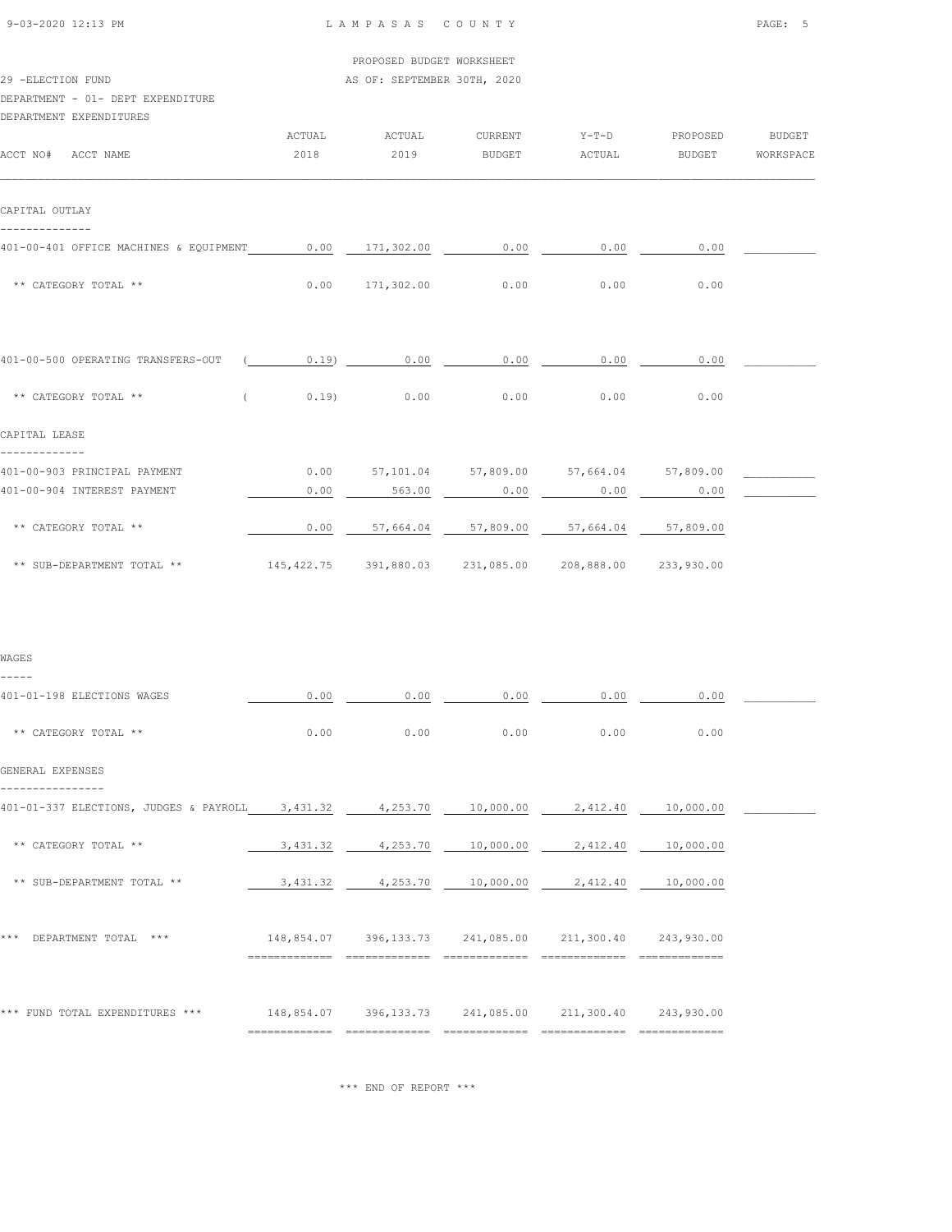| 9-03-2020 12:13 PM |  |
|--------------------|--|

|  | PROPOSED BUDGET WORKSHEET |
|--|---------------------------|
|  |                           |

| 29 -ELECTION FUND |  | AS OF: SEPTEMBER 30TH, 2020 |  |
|-------------------|--|-----------------------------|--|
|                   |  |                             |  |

## DEPARTMENT - 01- DEPT EXPENDITURE

| DEPARTMENT EXPENDITURES                                |          |             |                        |                                         |        |               |
|--------------------------------------------------------|----------|-------------|------------------------|-----------------------------------------|--------|---------------|
|                                                        | ACTUAL   | ACTUAL      |                        | CURRENT Y-T-D PROPOSED                  |        | <b>BUDGET</b> |
| ACCT NO# ACCT NAME                                     | 2018     | 2019        | BUDGET                 | ACTUAL                                  | BUDGET | WORKSPACE     |
| CAPITAL OUTLAY                                         |          |             |                        |                                         |        |               |
| 401-00-401 OFFICE MACHINES & EQUIPMENT 0.00 171,302.00 |          |             |                        | $0.00$ 0.00                             | 0.00   |               |
| ** CATEGORY TOTAL **                                   |          |             | $0.00$ 171,302.00 0.00 | 0.00                                    | 0.00   |               |
| 401-00-500 OPERATING TRANSFERS-OUT                     | $0.19$ ) | 0.00        | 0.00                   | 0.00                                    | 0.00   |               |
| ** CATEGORY TOTAL **                                   |          | $0.19$ 0.00 | 0.00                   | 0.00                                    | 0.00   |               |
| CAPITAL LEASE<br>-------------                         |          |             |                        |                                         |        |               |
| 401-00-903 PRINCIPAL PAYMENT                           | 0.00     |             |                        | 57,101.04 57,809.00 57,664.04 57,809.00 |        |               |
| 401-00-904 INTEREST PAYMENT                            | 0.00     | 563.00      | 0.00                   | 0.00                                    | 0.00   |               |
| ** CATEGORY TOTAL **                                   | 0.00     |             |                        | 57,664.04 57,809.00 57,664.04 57,809.00 |        |               |
|                                                        |          |             |                        |                                         |        |               |

| WAGES                                           |                |                                                            |                    |                    |           |  |
|-------------------------------------------------|----------------|------------------------------------------------------------|--------------------|--------------------|-----------|--|
| -----<br>401-01-198 ELECTIONS WAGES             | 0.00           | 0.00                                                       | 0.00               | 0.00               | 0.00      |  |
| ** CATEGORY TOTAL **                            | 0.00           | 0.00                                                       | 0.00               | 0.00               | 0.00      |  |
| GENERAL EXPENSES                                |                |                                                            |                    |                    |           |  |
| 401-01-337 ELECTIONS, JUDGES & PAYROLL 3,431.32 |                |                                                            | 4,253.70 10,000.00 | 2,412.40           | 10,000.00 |  |
| ** CATEGORY TOTAL **                            | 3,431.32       | 4,253.70                                                   | 10,000.00          | 2,412.40           | 10,000.00 |  |
| ** SUB-DEPARTMENT TOTAL **                      |                | 3,431.32 4,253.70                                          |                    | 10,000.00 2,412.40 | 10,000.00 |  |
|                                                 |                |                                                            |                    |                    |           |  |
| DEPARTMENT TOTAL ***<br>***                     |                | 148,854.07 396,133.73 241,085.00 211,300.40 243,930.00     |                    |                    |           |  |
|                                                 |                |                                                            |                    |                    |           |  |
| *** FUND TOTAL EXPENDITURES ***                 |                | 148,854.07  396,133.73  241,085.00  211,300.40  243,930.00 |                    |                    |           |  |
|                                                 | ============== |                                                            |                    |                    |           |  |

\*\*\* END OF REPORT \*\*\*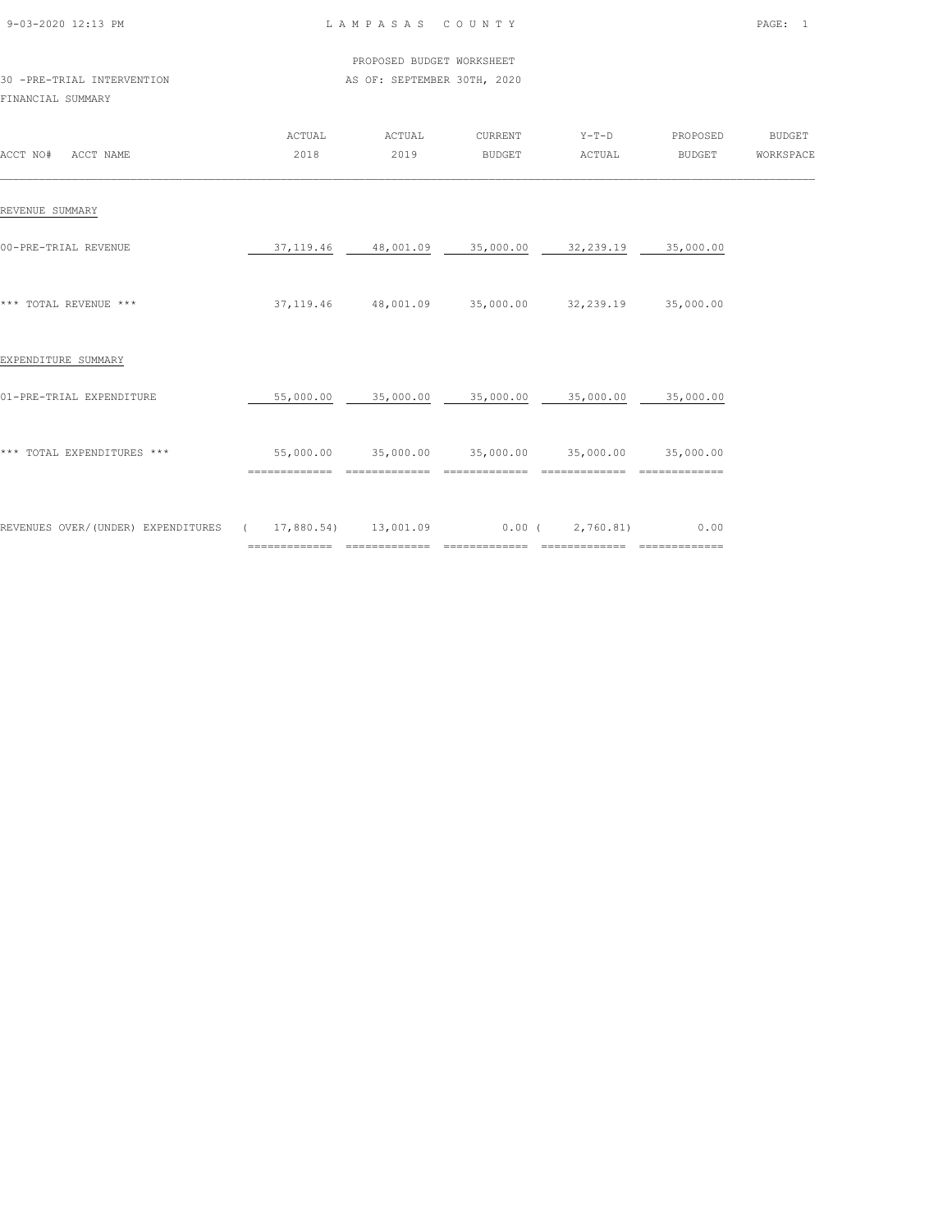| 9-03-2020 12:13 PM |  |
|--------------------|--|
|                    |  |

 PROPOSED BUDGET WORKSHEET 30 -PRE-TRIAL INTERVENTION **AS OF: SEPTEMBER 30TH, 2020** 

| ACCT NO#<br>ACCT NAME                                    | ACTUAL<br>2018 | ACTUAL<br>2019      | CURRENT<br><b>BUDGET</b>   | $Y-T-D$<br>ACTUAL       | PROPOSED<br>BUDGET     | <b>BUDGET</b><br>WORKSPACE |
|----------------------------------------------------------|----------------|---------------------|----------------------------|-------------------------|------------------------|----------------------------|
| REVENUE SUMMARY                                          |                |                     |                            |                         |                        |                            |
| 00-PRE-TRIAL REVENUE                                     | 37, 119.46     | 48,001.09           | 35,000.00                  | 32,239.19               | 35,000.00              |                            |
| *** TOTAL REVENUE ***                                    | 37, 119.46     | 48,001.09           | 35,000.00                  | 32,239.19               | 35,000.00              |                            |
| EXPENDITURE SUMMARY                                      |                |                     |                            |                         |                        |                            |
| 01-PRE-TRIAL EXPENDITURE                                 | 55,000.00      | 35,000.00           | 35,000.00                  | 35,000.00               | 35,000.00              |                            |
| *** TOTAL EXPENDITURES ***                               | 55,000.00      | 35,000.00           | 35,000.00                  | 35,000.00               | 35,000.00              |                            |
| REVENUES OVER/(UNDER) EXPENDITURES (17,880.54) 13,001.09 | ============== | $=$ = = = = = = = = | $0.00$ (<br>============== | 2,760.81)<br>========== | 0.00<br>============== |                            |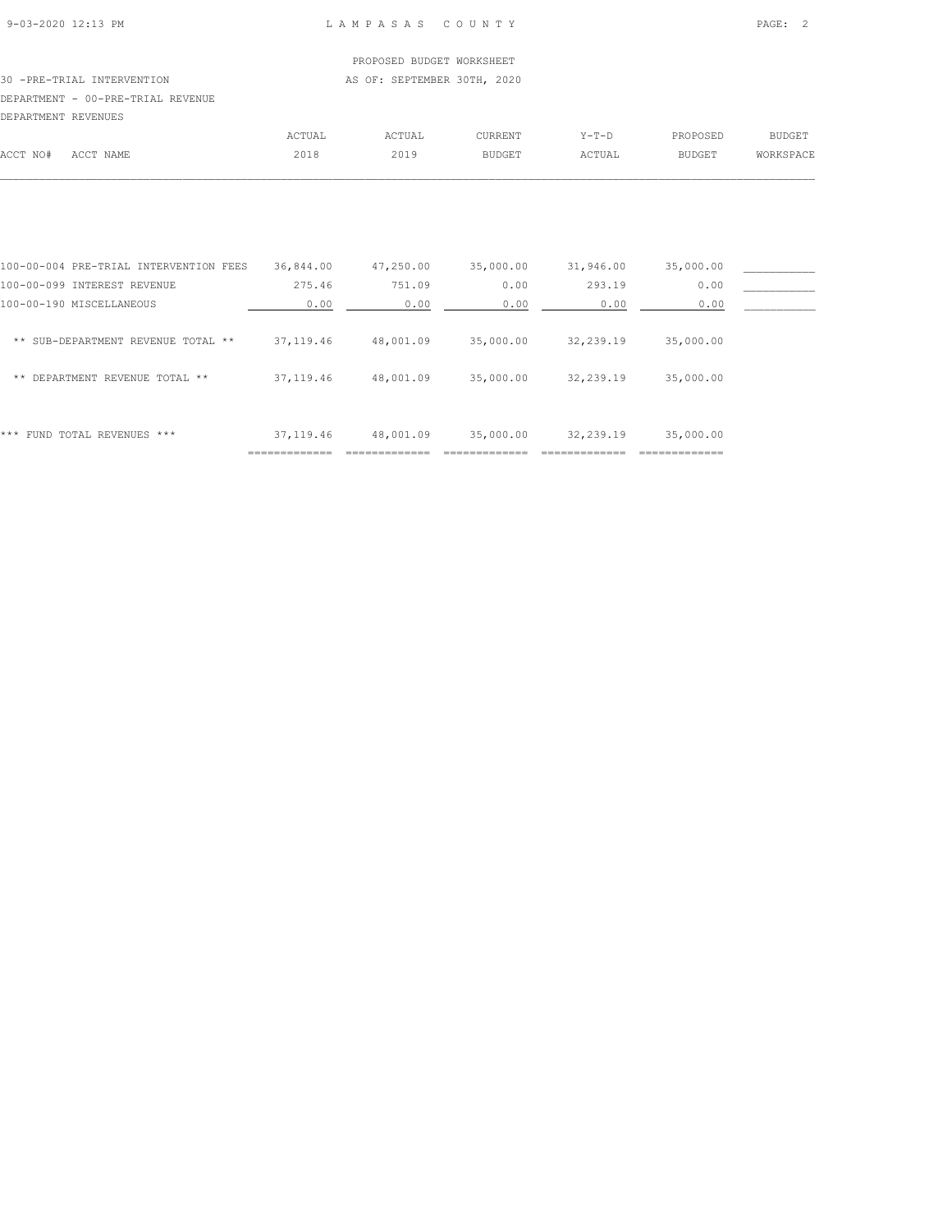## PROPOSED BUDGET WORKSHEET

#### 30 -PRE-TRIAL INTERVENTION **AS OF: SEPTEMBER 30TH, 2020** DEPARTMENT - 00-PRE-TRIAL REVENUE

| DEPARTMENT REVENUES |           |        |        |                |        |               |           |
|---------------------|-----------|--------|--------|----------------|--------|---------------|-----------|
|                     |           | ACTUAL | ACTUAL | <b>CURRENT</b> | Y-T-D  | PROPOSED      | BUDGET    |
| ACCT NO#            | ACCT NAME | 2018   | 2019   | <b>BUDGET</b>  | ACTUAL | <b>BUDGET</b> | WORKSPACE |
|                     |           |        |        |                |        |               |           |

|                                        | -------------- |           |           |           |           |  |
|----------------------------------------|----------------|-----------|-----------|-----------|-----------|--|
| FUND TOTAL REVENUES ***<br>***         | 37, 119.46     | 48,001.09 | 35,000.00 | 32,239.19 | 35,000.00 |  |
| DEPARTMENT REVENUE TOTAL **<br>$* *$   | 37, 119.46     | 48,001.09 | 35,000.00 | 32,239.19 | 35,000.00 |  |
| ** SUB-DEPARTMENT REVENUE TOTAL **     | 37, 119.46     | 48,001.09 | 35,000.00 | 32,239.19 | 35,000.00 |  |
| 100-00-190 MISCELLANEOUS               | 0.00           | 0.00      | 0.00      | 0.00      | 0.00      |  |
| 100-00-099 INTEREST REVENUE            | 275.46         | 751.09    | 0.00      | 293.19    | 0.00      |  |
| 100-00-004 PRE-TRIAL INTERVENTION FEES | 36,844.00      | 47,250.00 | 35,000.00 | 31,946.00 | 35,000.00 |  |
|                                        |                |           |           |           |           |  |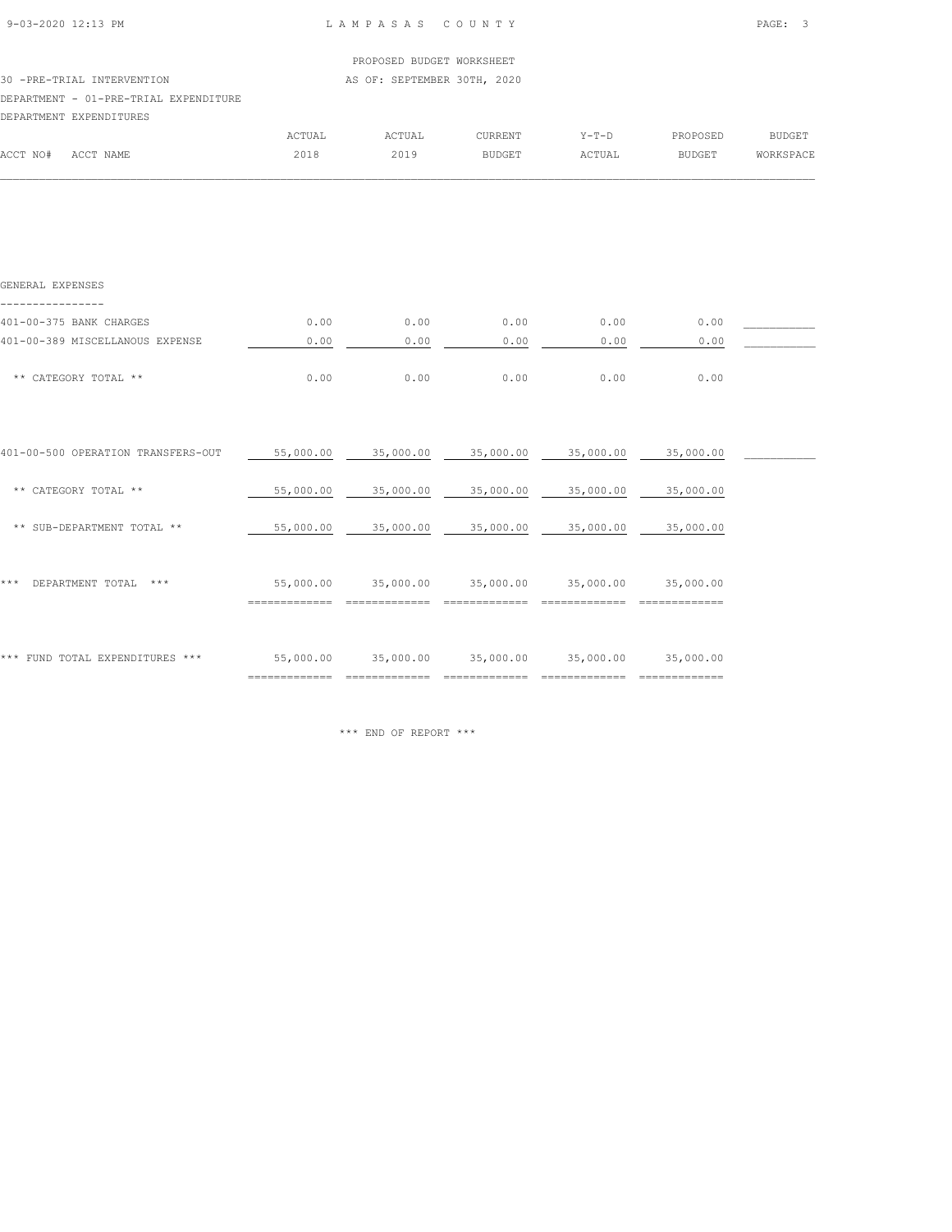| 9-03-2020 12:13 PM |  |
|--------------------|--|

 $\mathcal{L} = \{ \mathcal{L} = \{ \mathcal{L} = \{ \mathcal{L} = \{ \mathcal{L} = \{ \mathcal{L} = \{ \mathcal{L} = \{ \mathcal{L} = \{ \mathcal{L} = \{ \mathcal{L} = \{ \mathcal{L} = \{ \mathcal{L} = \{ \mathcal{L} = \{ \mathcal{L} = \{ \mathcal{L} = \{ \mathcal{L} = \{ \mathcal{L} = \{ \mathcal{L} = \{ \mathcal{L} = \{ \mathcal{L} = \{ \mathcal{L} = \{ \mathcal{L} = \{ \mathcal{L} = \{ \mathcal{L} = \{ \mathcal{$ 

|          |                                       |        | PROPOSED BUDGET WORKSHEET   |                |         |               |           |
|----------|---------------------------------------|--------|-----------------------------|----------------|---------|---------------|-----------|
|          | 30 -PRE-TRIAL INTERVENTION            |        | AS OF: SEPTEMBER 30TH, 2020 |                |         |               |           |
|          | DEPARTMENT - 01-PRE-TRIAL EXPENDITURE |        |                             |                |         |               |           |
|          | DEPARTMENT EXPENDITURES               |        |                             |                |         |               |           |
|          |                                       | ACTUAL | ACTUAL                      | <b>CURRENT</b> | $Y-T-D$ | PROPOSED      | BUDGET    |
| ACCT NO# | ACCT NAME                             | 2018   | 2019                        | <b>BUDGET</b>  | ACTUAL  | <b>BUDGET</b> | WORKSPACE |

| GENERAL EXPENSES                   |                            |           |           |           |           |  |
|------------------------------------|----------------------------|-----------|-----------|-----------|-----------|--|
| 401-00-375 BANK CHARGES            | 0.00                       | 0.00      | 0.00      | 0.00      | 0.00      |  |
| 401-00-389 MISCELLANOUS EXPENSE    | 0.00                       | 0.00      | 0.00      | 0.00      | 0.00      |  |
| ** CATEGORY TOTAL **               | 0.00                       | 0.00      | 0.00      | 0.00      | 0.00      |  |
|                                    |                            |           |           |           |           |  |
| 401-00-500 OPERATION TRANSFERS-OUT | 55,000.00                  | 35,000.00 | 35,000.00 | 35,000.00 | 35,000.00 |  |
| ** CATEGORY TOTAL **               | 55,000.00                  | 35,000.00 | 35,000.00 | 35,000.00 | 35,000.00 |  |
| ** SUB-DEPARTMENT TOTAL **         | 55,000.00                  | 35,000.00 | 35,000.00 | 35,000.00 | 35,000.00 |  |
| DEPARTMENT TOTAL<br>$***$<br>* * * | 55,000.00                  | 35,000.00 | 35,000.00 | 35,000.00 | 35,000.00 |  |
| *** FUND TOTAL EXPENDITURES ***    | 55,000.00<br>============= | 35,000.00 | 35,000.00 | 35,000.00 | 35,000.00 |  |

\*\*\* END OF REPORT \*\*\*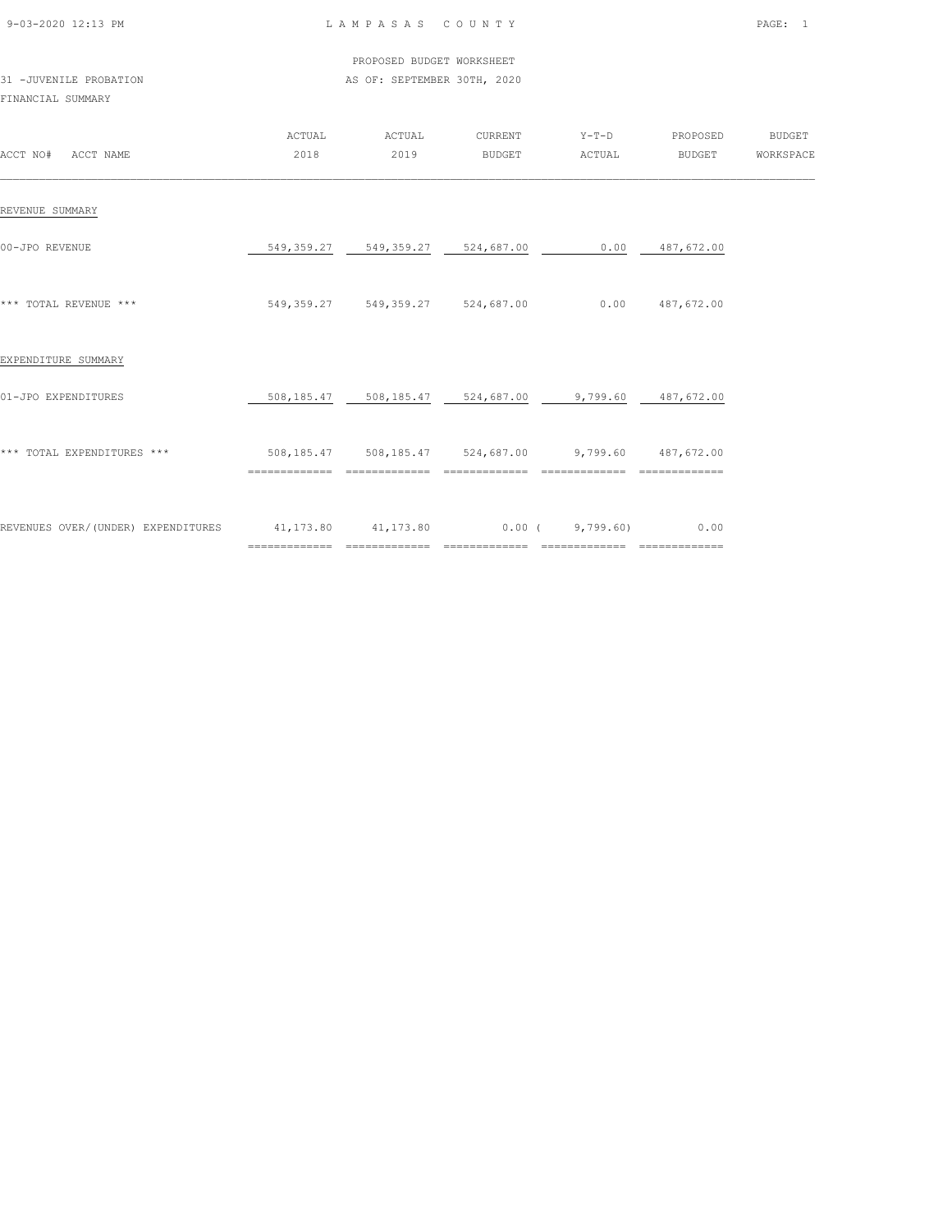| 9-03-2020 12:13 PM |  |
|--------------------|--|

#### L A M P A S A S C O U N T Y PAGE: 1

#### PROPOSED BUDGET WORKSHEET 31 -JUVENILE PROBATION **AS OF: SEPTEMBER 30TH, 2020**

| ACCT NO# ACCT NAME                                                          | ACTUAL<br>2018 | ACTUAL<br>2019                      | CURRENT<br>BUDGET | Y-T-D PROPOSED<br>ACTUAL                             | <b>BUDGET</b>     | <b>BUDGET</b><br>WORKSPACE |
|-----------------------------------------------------------------------------|----------------|-------------------------------------|-------------------|------------------------------------------------------|-------------------|----------------------------|
| REVENUE SUMMARY                                                             |                |                                     |                   |                                                      |                   |                            |
| 00-JPO REVENUE                                                              |                | 549, 359.27 549, 359.27 524, 687.00 |                   |                                                      | $0.00$ 487,672.00 |                            |
| *** TOTAL REVENUE ***                                                       |                | 549, 359.27 549, 359.27 524, 687.00 |                   |                                                      | $0.00$ 487,672.00 |                            |
| EXPENDITURE SUMMARY                                                         |                |                                     |                   |                                                      |                   |                            |
| 01-JPO EXPENDITURES                                                         |                |                                     |                   | 508,185.47 508,185.47 524,687.00 9,799.60 487,672.00 |                   |                            |
| *** TOTAL EXPENDITURES ***                                                  |                |                                     |                   | 508,185.47 508,185.47 524,687.00 9,799.60 487,672.00 |                   |                            |
| REVENUES OVER/(UNDER) EXPENDITURES 41,173.80 41,173.80 0.00 (9,799.60) 0.00 |                | ============================        | =============     | ==============                                       | _______________   |                            |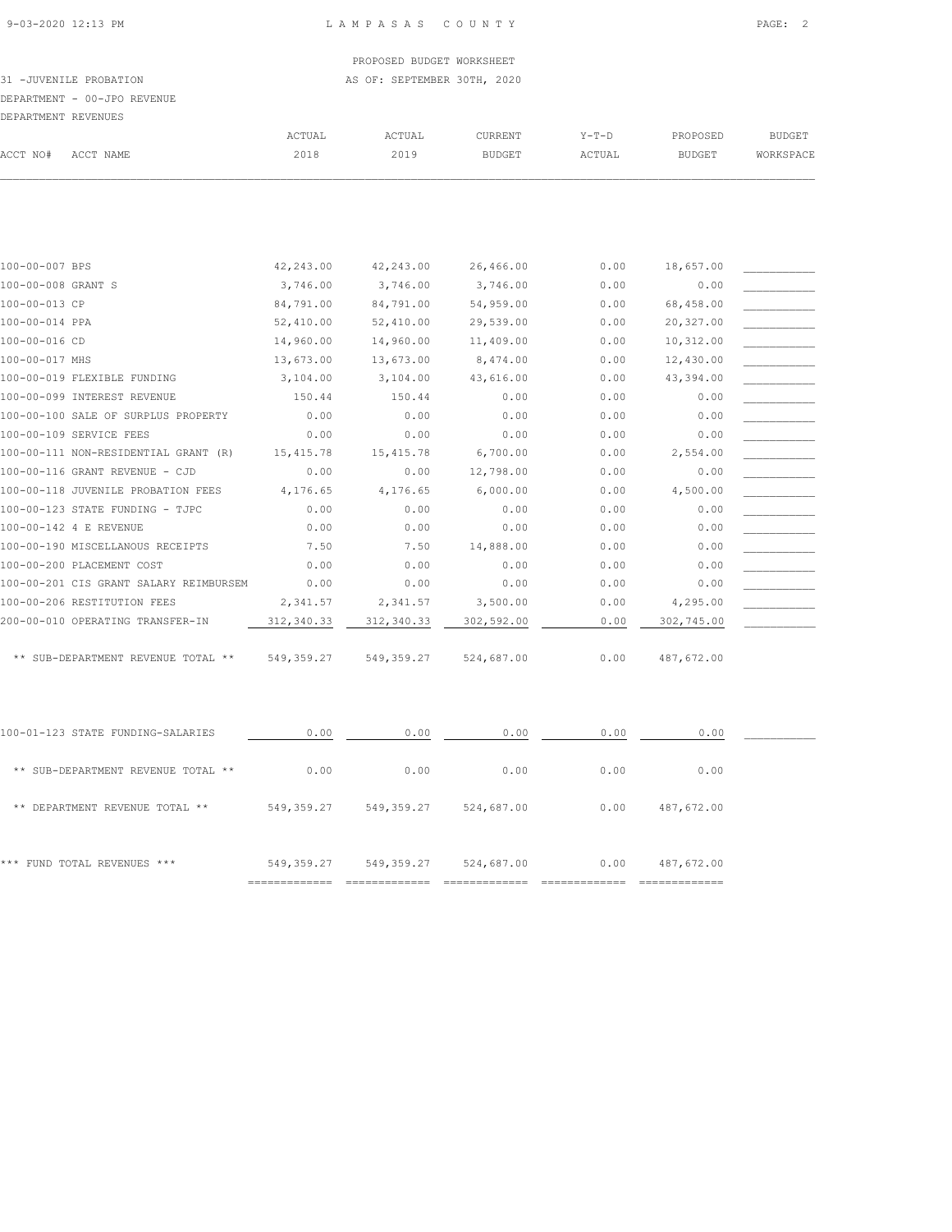#### PROPOSED BUDGET WORKSHEET 31 -JUVENILE PROBATION **AS OF: SEPTEMBER 30TH, 2020**

|                     | DEPARTMENT - 00-JPO REVENUE |        |        |         |        |          |           |
|---------------------|-----------------------------|--------|--------|---------|--------|----------|-----------|
| DEPARTMENT REVENUES |                             |        |        |         |        |          |           |
|                     |                             | ACTUAL | ACTUAL | CURRENT | Y-T-D  | PROPOSED | BUDGET    |
| ACCT NO#            | ACCT NAME                   | 2018   | 2019   | BUDGET  | ACTUAL | BUDGET   | WORKSPACE |
|                     |                             |        |        |         |        |          |           |

| 100-00-007 BPS                         | 42,243.00   | 42,243.00  | 26,466.00  | 0.00 | 18,657.00  |  |
|----------------------------------------|-------------|------------|------------|------|------------|--|
| 100-00-008 GRANT S                     | 3,746.00    | 3,746.00   | 3,746.00   | 0.00 | 0.00       |  |
| 100-00-013 CP                          | 84,791.00   | 84,791.00  | 54,959.00  | 0.00 | 68,458.00  |  |
| 100-00-014 PPA                         | 52,410.00   | 52,410.00  | 29,539.00  | 0.00 | 20,327.00  |  |
| 100-00-016 CD                          | 14,960.00   | 14,960.00  | 11,409.00  | 0.00 | 10,312.00  |  |
| 100-00-017 MHS                         | 13,673.00   | 13,673.00  | 8,474.00   | 0.00 | 12,430.00  |  |
| 100-00-019 FLEXIBLE FUNDING            | 3,104.00    | 3,104.00   | 43,616.00  | 0.00 | 43,394.00  |  |
| 100-00-099 INTEREST REVENUE            | 150.44      | 150.44     | 0.00       | 0.00 | 0.00       |  |
| 100-00-100 SALE OF SURPLUS PROPERTY    | 0.00        | 0.00       | 0.00       | 0.00 | 0.00       |  |
| 100-00-109 SERVICE FEES                | 0.00        | 0.00       | 0.00       | 0.00 | 0.00       |  |
| 100-00-111 NON-RESIDENTIAL GRANT (R)   | 15, 415.78  | 15, 415.78 | 6,700.00   | 0.00 | 2,554.00   |  |
| 100-00-116 GRANT REVENUE - CJD         | 0.00        | 0.00       | 12,798.00  | 0.00 | 0.00       |  |
| 100-00-118 JUVENILE PROBATION FEES     | 4,176.65    | 4,176.65   | 6,000.00   | 0.00 | 4,500.00   |  |
| 100-00-123 STATE FUNDING - TJPC        | 0.00        | 0.00       | 0.00       | 0.00 | 0.00       |  |
| 100-00-142 4 E REVENUE                 | 0.00        | 0.00       | 0.00       | 0.00 | 0.00       |  |
| 100-00-190 MISCELLANOUS RECEIPTS       | 7.50        | 7.50       | 14,888.00  | 0.00 | 0.00       |  |
| 100-00-200 PLACEMENT COST              | 0.00        | 0.00       | 0.00       | 0.00 | 0.00       |  |
| 100-00-201 CIS GRANT SALARY REIMBURSEM | 0.00        | 0.00       | 0.00       | 0.00 | 0.00       |  |
| 100-00-206 RESTITUTION FEES            | 2,341.57    | 2,341.57   | 3,500.00   | 0.00 | 4,295.00   |  |
| 200-00-010 OPERATING TRANSFER-IN       | 312, 340.33 | 312,340.33 | 302,592.00 | 0.00 | 302,745.00 |  |
|                                        |             |            |            |      |            |  |
| ** SUB-DEPARTMENT REVENUE TOTAL **     | 549, 359.27 | 549,359.27 | 524,687.00 | 0.00 | 487,672.00 |  |

| 100-01-123 STATE FUNDING-SALARIES  | 0.00       | 0.00       | 0.00       | 0.00 | 0.00       |  |
|------------------------------------|------------|------------|------------|------|------------|--|
| ** SUB-DEPARTMENT REVENUE TOTAL ** | 0.00       | 0.00       | 0.00       | 0.00 | 0.00       |  |
| ** DEPARTMENT REVENUE TOTAL **     | 549,359.27 | 549,359.27 | 524,687.00 | 0.00 | 487,672.00 |  |
| FUND TOTAL REVENUES ***<br>***     | 549,359.27 | 549,359.27 | 524,687.00 | 0.00 | 487,672.00 |  |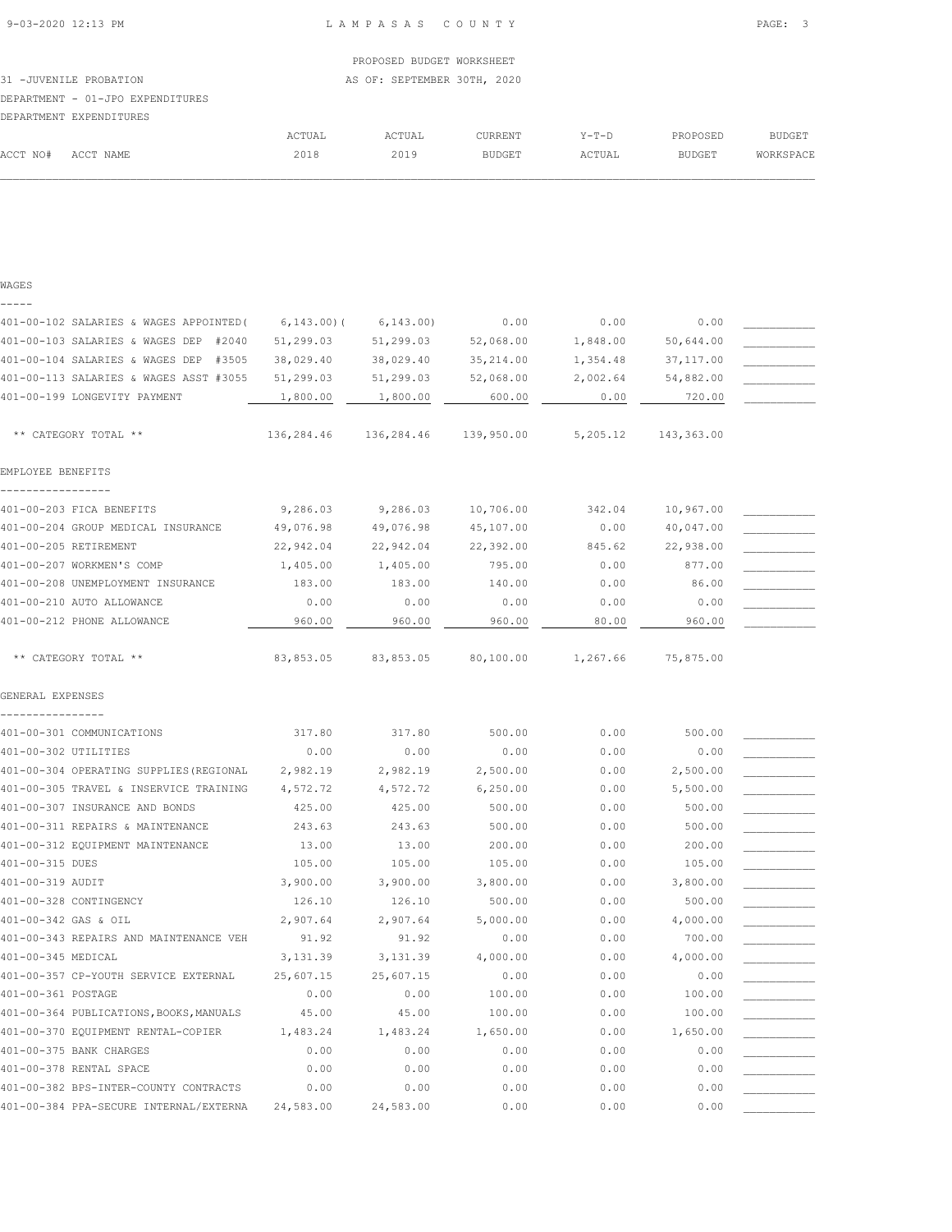ACCT NO# ACCT NAME 2018 2019 BUDGET ACTUAL BUDGET WORKSPACE  $\mathcal{L} = \{ \mathcal{L} = \{ \mathcal{L} = \{ \mathcal{L} = \{ \mathcal{L} = \{ \mathcal{L} = \{ \mathcal{L} = \{ \mathcal{L} = \{ \mathcal{L} = \{ \mathcal{L} = \{ \mathcal{L} = \{ \mathcal{L} = \{ \mathcal{L} = \{ \mathcal{L} = \{ \mathcal{L} = \{ \mathcal{L} = \{ \mathcal{L} = \{ \mathcal{L} = \{ \mathcal{L} = \{ \mathcal{L} = \{ \mathcal{L} = \{ \mathcal{L} = \{ \mathcal{L} = \{ \mathcal{L} = \{ \mathcal{$ 

## PROPOSED BUDGET WORKSHEET 31 -JUVENILE PROBATION AS OF: SEPTEMBER 30TH, 2020 DEPARTMENT - 01-JPO EXPENDITURES DEPARTMENT EXPENDITURES ACTUAL ACTUAL CURRENT Y-T-D PROPOSED BUDGET

#### WAGES -----

| 401-00-102 SALARIES & WAGES APPOINTED ( | $6, 143.00$ ) ( | 6, 143.00  | 0.00       | 0.00     | 0.00       |  |
|-----------------------------------------|-----------------|------------|------------|----------|------------|--|
| 401-00-103 SALARIES & WAGES DEP #2040   | 51,299.03       | 51,299.03  | 52,068.00  | 1,848.00 | 50,644.00  |  |
| 401-00-104 SALARIES & WAGES DEP #3505   | 38,029.40       | 38,029.40  | 35, 214.00 | 1,354.48 | 37,117.00  |  |
| 401-00-113 SALARIES & WAGES ASST #3055  | 51,299.03       | 51,299.03  | 52,068.00  | 2,002.64 | 54,882.00  |  |
| 401-00-199 LONGEVITY PAYMENT            | 1,800.00        | 1,800.00   | 600.00     | 0.00     | 720.00     |  |
| ** CATEGORY TOTAL **                    | 136,284.46      | 136,284.46 | 139,950.00 | 5,205.12 | 143,363.00 |  |
| EMPLOYEE BENEFITS                       |                 |            |            |          |            |  |
| 401-00-203 FICA BENEFITS                | 9,286.03        | 9,286.03   | 10,706.00  | 342.04   | 10,967.00  |  |
| 401-00-204 GROUP MEDICAL INSURANCE      | 49,076.98       | 49,076.98  | 45,107.00  | 0.00     | 40,047.00  |  |
| 401-00-205 RETIREMENT                   | 22,942.04       | 22,942.04  | 22,392.00  | 845.62   | 22,938.00  |  |
| 401-00-207 WORKMEN'S COMP               | 1,405.00        | 1,405.00   | 795.00     | 0.00     | 877.00     |  |
| 401-00-208 UNEMPLOYMENT INSURANCE       | 183.00          | 183.00     | 140.00     | 0.00     | 86.00      |  |
| 401-00-210 AUTO ALLOWANCE               | 0.00            | 0.00       | 0.00       | 0.00     | 0.00       |  |
| 401-00-212 PHONE ALLOWANCE              | 960.00          | 960.00     | 960.00     | 80.00    | 960.00     |  |
|                                         |                 |            |            |          |            |  |
| ** CATEGORY TOTAL **                    | 83,853.05       | 83,853.05  | 80,100.00  | 1,267.66 | 75,875.00  |  |
| GENERAL EXPENSES                        |                 |            |            |          |            |  |
| ----------------                        |                 |            |            |          |            |  |
| 401-00-301 COMMUNICATIONS               | 317.80          | 317.80     | 500.00     | 0.00     | 500.00     |  |
| 401-00-302 UTILITIES                    | 0.00            | 0.00       | 0.00       | 0.00     | 0.00       |  |
| 401-00-304 OPERATING SUPPLIES (REGIONAL | 2,982.19        | 2,982.19   | 2,500.00   | 0.00     | 2,500.00   |  |
| 401-00-305 TRAVEL & INSERVICE TRAINING  | 4,572.72        | 4,572.72   | 6, 250.00  | 0.00     | 5,500.00   |  |
| 401-00-307 INSURANCE AND BONDS          | 425.00          | 425.00     | 500.00     | 0.00     | 500.00     |  |
| 401-00-311 REPAIRS & MAINTENANCE        | 243.63          | 243.63     | 500.00     | 0.00     | 500.00     |  |
| 401-00-312 EQUIPMENT MAINTENANCE        | 13.00           | 13.00      | 200.00     | 0.00     | 200.00     |  |
| 401-00-315 DUES                         | 105.00          | 105.00     | 105.00     | 0.00     | 105.00     |  |
| 401-00-319 AUDIT                        | 3,900.00        | 3,900.00   | 3,800.00   | 0.00     | 3,800.00   |  |
| 401-00-328 CONTINGENCY                  | 126.10          | 126.10     | 500.00     | 0.00     | 500.00     |  |
| 401-00-342 GAS & OIL                    | 2,907.64        | 2,907.64   | 5,000.00   | 0.00     | 4,000.00   |  |
| 401-00-343 REPAIRS AND MAINTENANCE VEH  | 91.92           | 91.92      | 0.00       | 0.00     | 700.00     |  |
| 401-00-345 MEDICAL                      | 3,131.39        | 3,131.39   | 4,000.00   | 0.00     | 4,000.00   |  |
| 401-00-357 CP-YOUTH SERVICE EXTERNAL    | 25,607.15       | 25,607.15  | 0.00       | 0.00     | 0.00       |  |
| 401-00-361 POSTAGE                      | 0.00            | 0.00       | 100.00     | 0.00     | 100.00     |  |
| 401-00-364 PUBLICATIONS, BOOKS, MANUALS | 45.00           | 45.00      | 100.00     | 0.00     | 100.00     |  |
| 401-00-370 EQUIPMENT RENTAL-COPIER      | 1,483.24        | 1,483.24   | 1,650.00   | 0.00     | 1,650.00   |  |
| 401-00-375 BANK CHARGES                 | 0.00            | 0.00       | 0.00       | 0.00     | 0.00       |  |
| 401-00-378 RENTAL SPACE                 | 0.00            | 0.00       | 0.00       | 0.00     | 0.00       |  |
| 401-00-382 BPS-INTER-COUNTY CONTRACTS   | 0.00            | 0.00       | 0.00       | 0.00     | 0.00       |  |
| 401-00-384 PPA-SECURE INTERNAL/EXTERNA  | 24,583.00       | 24,583.00  | 0.00       | 0.00     | 0.00       |  |
|                                         |                 |            |            |          |            |  |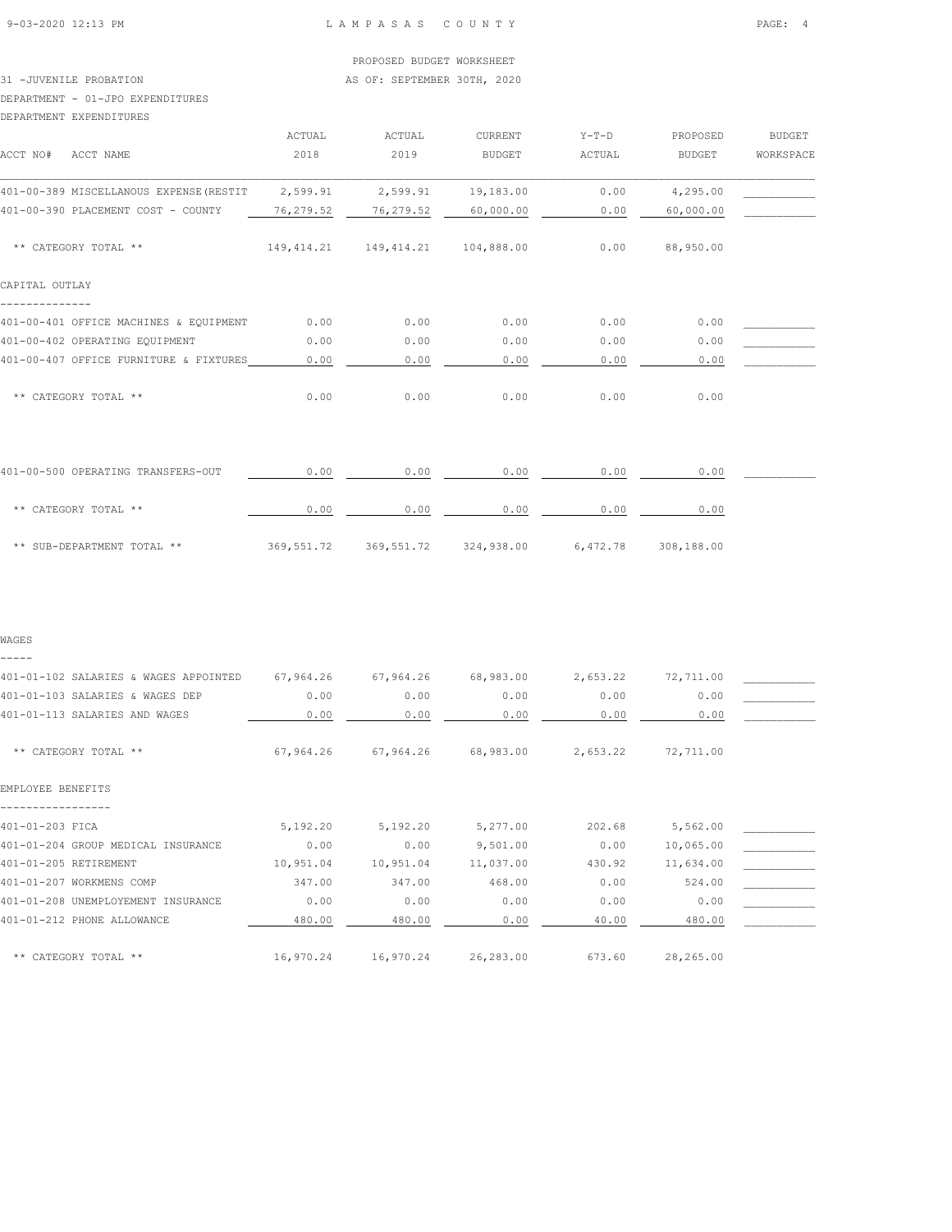#### PROPOSED BUDGET WORKSHEET

31 -JUVENILE PROBATION **AS OF: SEPTEMBER 30TH, 2020** 

#### DEPARTMENT - 01-JPO EXPENDITURES

DEPARTMENT EXPENDITURES

| ACCT NO#<br>ACCT NAME                   | ACTUAL<br>2018 | ACTUAL<br>2019 | CURRENT<br><b>BUDGET</b> | $Y-T-D$<br>ACTUAL | PROPOSED<br><b>BUDGET</b> | <b>BUDGET</b><br>WORKSPACE |
|-----------------------------------------|----------------|----------------|--------------------------|-------------------|---------------------------|----------------------------|
| 401-00-389 MISCELLANOUS EXPENSE (RESTIT | 2,599.91       | 2,599.91       | 19,183.00                | 0.00              | 4,295.00                  |                            |
| 401-00-390 PLACEMENT COST - COUNTY      | 76,279.52      | 76,279.52      | 60,000.00                | 0.00              | 60,000.00                 |                            |
| ** CATEGORY TOTAL **                    | 149,414.21     | 149,414.21     | 104,888.00               | 0.00              | 88,950.00                 |                            |
| CAPITAL OUTLAY                          |                |                |                          |                   |                           |                            |
| 401-00-401 OFFICE MACHINES & EQUIPMENT  | 0.00           | 0.00           | 0.00                     | 0.00              | 0.00                      |                            |
| 401-00-402 OPERATING EOUIPMENT          | 0.00           | 0.00           | 0.00                     | 0.00              | 0.00                      |                            |
| 401-00-407 OFFICE FURNITURE & FIXTURES  | 0.00           | 0.00           | 0.00                     | 0.00              | 0.00                      |                            |
| ** CATEGORY TOTAL **                    | 0.00           | 0.00           | 0.00                     | 0.00              | 0.00                      |                            |
| 401-00-500 OPERATING TRANSFERS-OUT      | 0.00           | 0.00           | 0.00                     | 0.00              | 0.00                      |                            |
| ** CATEGORY TOTAL **                    | 0.00           | 0.00           | 0.00                     | 0.00              | 0.00                      |                            |

\*\* SUB-DEPARTMENT TOTAL \*\* 369,551.72 369,551.72 324,938.00 6,472.78 308,188.00

#### WAGES

-----

| 401-01-102 SALARIES & WAGES APPOINTED | 67,964.26 | 67,964.26 | 68,983.00 | 2,653.22 | 72,711.00 |  |
|---------------------------------------|-----------|-----------|-----------|----------|-----------|--|
| 401-01-103 SALARIES & WAGES DEP       | 0.00      | 0.00      | 0.00      | 0.00     | 0.00      |  |
| 401-01-113 SALARIES AND WAGES         | 0.00      | 0.00      | 0.00      | 0.00     | 0.00      |  |
| ** CATEGORY TOTAL **                  | 67,964.26 | 67,964.26 | 68,983.00 | 2,653.22 | 72,711.00 |  |
| EMPLOYEE BENEFITS                     |           |           |           |          |           |  |
| 401-01-203 FICA                       | 5,192.20  | 5,192.20  | 5,277.00  | 202.68   | 5,562.00  |  |
| 401-01-204 GROUP MEDICAL INSURANCE    | 0.00      | 0.00      | 9,501.00  | 0.00     | 10,065.00 |  |
| 401-01-205 RETIREMENT                 | 10,951.04 | 10,951.04 | 11,037.00 | 430.92   | 11,634.00 |  |
| 401-01-207 WORKMENS COMP              | 347.00    | 347.00    | 468.00    | 0.00     | 524.00    |  |
| 401-01-208 UNEMPLOYEMENT INSURANCE    | 0.00      | 0.00      | 0.00      | 0.00     | 0.00      |  |
| 401-01-212 PHONE ALLOWANCE            | 480.00    | 480.00    | 0.00      | 40.00    | 480.00    |  |
| ** CATEGORY TOTAL **                  | 16,970.24 | 16,970.24 | 26,283.00 | 673.60   | 28,265.00 |  |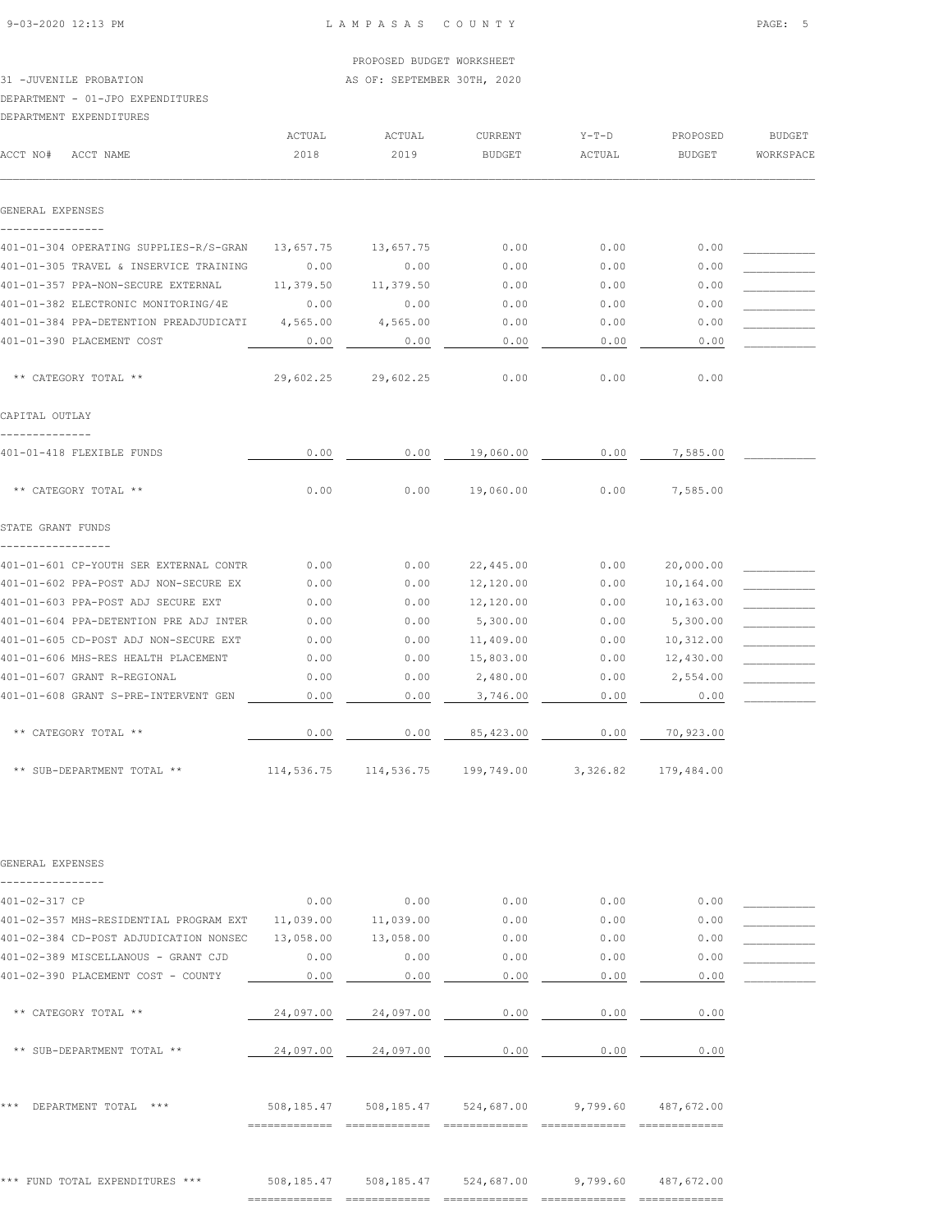PROPOSED BUDGET WORKSHEET

## 31 -JUVENILE PROBATION AS OF: SEPTEMBER 30TH, 2020

DEPARTMENT - 01-JPO EXPENDITURES

| DEPARTMENT EXPENDITURES                                    |           |                       |                |          |               |               |
|------------------------------------------------------------|-----------|-----------------------|----------------|----------|---------------|---------------|
|                                                            | ACTUAL    | ACTUAL                | <b>CURRENT</b> | $Y-T-D$  | PROPOSED      | <b>BUDGET</b> |
| ACCT NO#<br>ACCT NAME                                      | 2018      | 2019                  | <b>BUDGET</b>  | ACTUAL   | <b>BUDGET</b> | WORKSPACE     |
| GENERAL EXPENSES                                           |           |                       |                |          |               |               |
| ----------------<br>401-01-304 OPERATING SUPPLIES-R/S-GRAN | 13,657.75 | 13,657.75             | 0.00           | 0.00     | 0.00          |               |
| 401-01-305 TRAVEL & INSERVICE TRAINING                     | 0.00      | 0.00                  | 0.00           | 0.00     | 0.00          |               |
| 401-01-357 PPA-NON-SECURE EXTERNAL                         | 11,379.50 | 11,379.50             | 0.00           | 0.00     | 0.00          |               |
| 401-01-382 ELECTRONIC MONITORING/4E                        | 0.00      | 0.00                  | 0.00           | 0.00     | 0.00          |               |
| 401-01-384 PPA-DETENTION PREADJUDICATI                     | 4,565.00  | 4,565.00              | 0.00           | 0.00     | 0.00          |               |
| 401-01-390 PLACEMENT COST                                  | 0.00      | 0.00                  | 0.00           | 0.00     | 0.00          |               |
| ** CATEGORY TOTAL **                                       | 29,602.25 | 29,602.25             | 0.00           | 0.00     | 0.00          |               |
| CAPITAL OUTLAY                                             |           |                       |                |          |               |               |
| --------------<br>401-01-418 FLEXIBLE FUNDS                | 0.00      | 0.00                  | 19,060.00      | 0.00     | 7,585.00      |               |
| ** CATEGORY TOTAL **                                       | 0.00      | 0.00                  | 19,060.00      | 0.00     | 7,585.00      |               |
| STATE GRANT FUNDS<br>-----------------                     |           |                       |                |          |               |               |
| 401-01-601 CP-YOUTH SER EXTERNAL CONTR                     | 0.00      | 0.00                  | 22,445.00      | 0.00     | 20,000.00     |               |
| 401-01-602 PPA-POST ADJ NON-SECURE EX                      | 0.00      | 0.00                  | 12,120.00      | 0.00     | 10,164.00     |               |
| 401-01-603 PPA-POST ADJ SECURE EXT                         | 0.00      | 0.00                  | 12,120.00      | 0.00     | 10,163.00     |               |
| 401-01-604 PPA-DETENTION PRE ADJ INTER                     | 0.00      | 0.00                  | 5,300.00       | 0.00     | 5,300.00      |               |
| 401-01-605 CD-POST ADJ NON-SECURE EXT                      | 0.00      | 0.00                  | 11,409.00      | 0.00     | 10,312.00     |               |
| 401-01-606 MHS-RES HEALTH PLACEMENT                        | 0.00      | 0.00                  | 15,803.00      | 0.00     | 12,430.00     |               |
| 401-01-607 GRANT R-REGIONAL                                | 0.00      | 0.00                  | 2,480.00       | 0.00     | 2,554.00      |               |
| 401-01-608 GRANT S-PRE-INTERVENT GEN                       | 0.00      | 0.00                  | 3,746.00       | 0.00     | 0.00          |               |
| ** CATEGORY TOTAL **                                       | 0.00      | 0.00                  | 85,423.00      | 0.00     | 70,923.00     |               |
| ** SUB-DEPARTMENT TOTAL **                                 |           | 114,536.75 114,536.75 | 199,749.00     | 3,326.82 | 179,484.00    |               |
|                                                            |           |                       |                |          |               |               |
| GENERAL EXPENSES                                           |           |                       |                |          |               |               |
| 401-02-317 CP                                              | 0.00      | 0.00                  | 0.00           | 0.00     | 0.00          |               |
| 401-02-357 MHS-RESIDENTIAL PROGRAM EXT                     | 11,039.00 | 11,039.00             | 0.00           | 0.00     | 0.00          |               |
| 401-02-384 CD-POST ADJUDICATION NONSEC                     | 13,058.00 | 13,058.00             | 0.00           | 0.00     | 0.00          |               |
| 401-02-389 MISCELLANOUS - GRANT CJD                        | 0.00      | 0.00                  | 0.00           | 0.00     | 0.00          |               |
| 401-02-390 PLACEMENT COST - COUNTY                         | 0.00      | 0.00                  | 0.00           | 0.00     | 0.00          |               |
|                                                            |           |                       |                |          |               |               |
| ** CATEGORY TOTAL **                                       | 24,097.00 | 24,097.00             | 0.00           | 0.00     | 0.00          |               |
| ** SUB-DEPARTMENT TOTAL **                                 | 24,097.00 | 24,097.00             | 0.00           | 0.00     | 0.00          |               |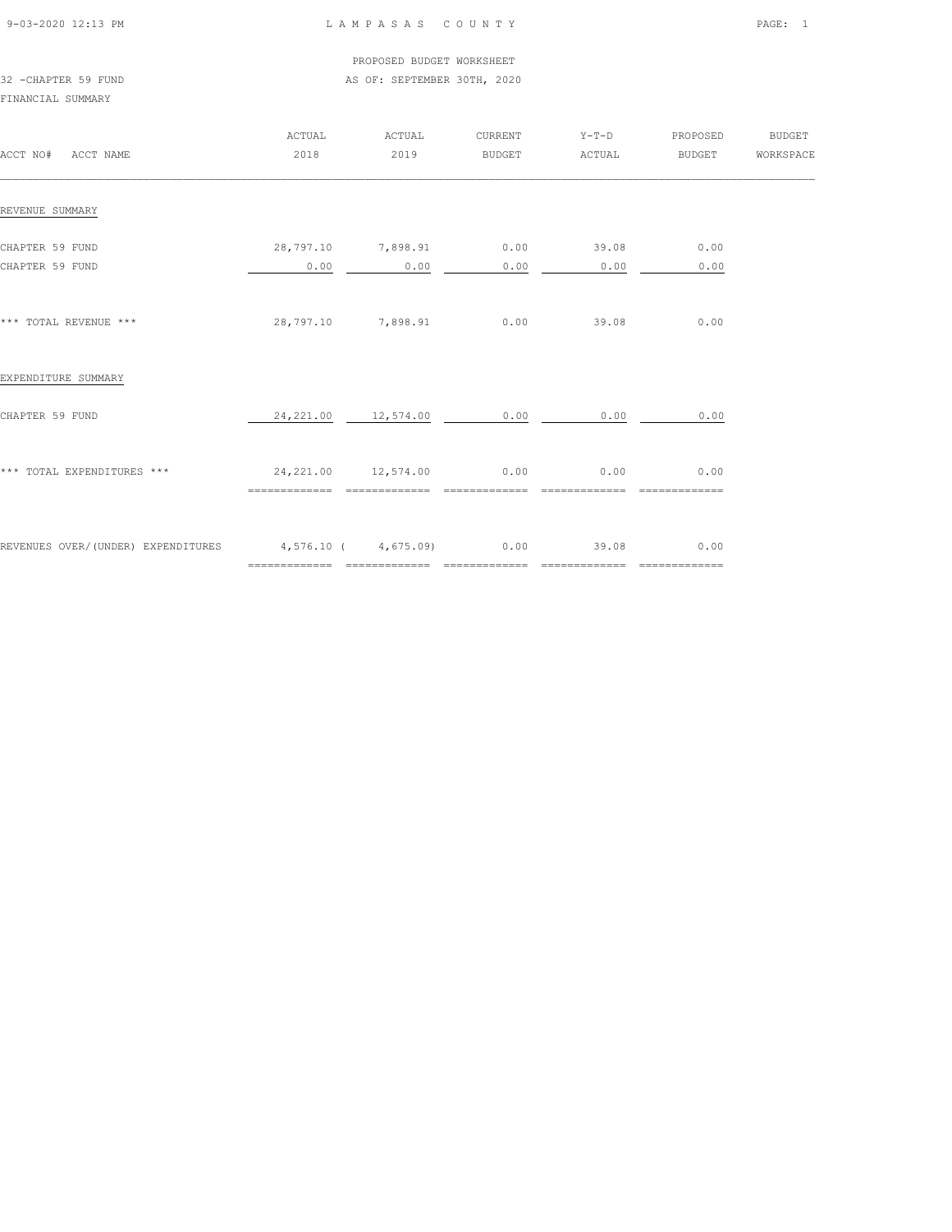| 9-03-2020 12:13 PM |  |
|--------------------|--|

#### PROPOSED BUDGET WORKSHEET 32 -CHAPTER 59 FUND AS OF: SEPTEMBER 30TH, 2020

| ACCT NO# ACCT NAME                                          | <b>ACTUAL</b><br>2018                         | ACTUAL<br>2019                        | CURRENT<br>BUDGET                                                                                                                                                                                                                                                                                                                                                                                                                                                                      | $Y-T-D$<br>ACTUAL                         | PROPOSED<br><b>BUDGET</b> | BUDGET<br>WORKSPACE |
|-------------------------------------------------------------|-----------------------------------------------|---------------------------------------|----------------------------------------------------------------------------------------------------------------------------------------------------------------------------------------------------------------------------------------------------------------------------------------------------------------------------------------------------------------------------------------------------------------------------------------------------------------------------------------|-------------------------------------------|---------------------------|---------------------|
| REVENUE SUMMARY                                             |                                               |                                       |                                                                                                                                                                                                                                                                                                                                                                                                                                                                                        |                                           |                           |                     |
| CHAPTER 59 FUND<br>CHAPTER 59 FUND                          | 28,797.10 7,898.91<br>0.00                    | 0.00                                  | 0.00<br>0.00                                                                                                                                                                                                                                                                                                                                                                                                                                                                           | 39.08<br>0.00                             | 0.00<br>0.00              |                     |
| *** TOTAL REVENUE ***                                       |                                               | 28,797.10 7,898.91                    | 0.00                                                                                                                                                                                                                                                                                                                                                                                                                                                                                   | 39.08                                     | 0.00                      |                     |
| EXPENDITURE SUMMARY                                         |                                               |                                       |                                                                                                                                                                                                                                                                                                                                                                                                                                                                                        |                                           |                           |                     |
| CHAPTER 59 FUND                                             |                                               | $24,221.00$ $12,574.00$ $0.00$ $0.00$ |                                                                                                                                                                                                                                                                                                                                                                                                                                                                                        |                                           | 0.00                      |                     |
| *** TOTAL EXPENDITURES ***                                  | 24, 221.00  12, 574.00  0.00<br>============= | ==============                        | $\begin{array}{cccccccccccccc} \multicolumn{2}{c}{} & \multicolumn{2}{c}{} & \multicolumn{2}{c}{} & \multicolumn{2}{c}{} & \multicolumn{2}{c}{} & \multicolumn{2}{c}{} & \multicolumn{2}{c}{} & \multicolumn{2}{c}{} & \multicolumn{2}{c}{} & \multicolumn{2}{c}{} & \multicolumn{2}{c}{} & \multicolumn{2}{c}{} & \multicolumn{2}{c}{} & \multicolumn{2}{c}{} & \multicolumn{2}{c}{} & \multicolumn{2}{c}{} & \multicolumn{2}{c}{} & \multicolumn{2}{c}{} & \multicolumn{2}{c}{} & \$ | 0.00<br>==============                    | 0.00<br>=============     |                     |
| REVENUES OVER/(UNDER) EXPENDITURES 4,576.10 (4,675.09) 0.00 |                                               |                                       |                                                                                                                                                                                                                                                                                                                                                                                                                                                                                        | 39.08<br>________________________________ | 0.00                      |                     |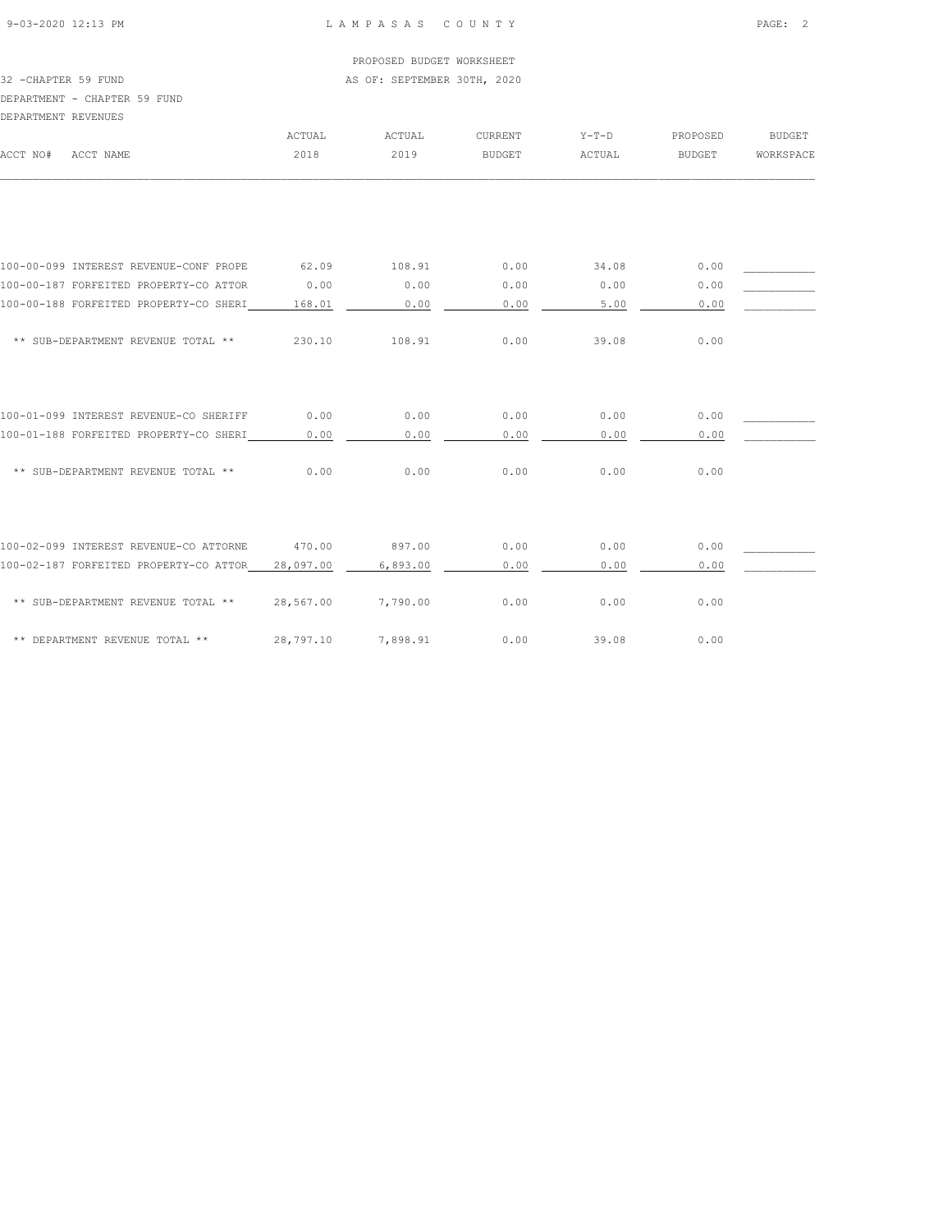## PROPOSED BUDGET WORKSHEET

32 -CHAPTER 59 FUND AS OF: SEPTEMBER 30TH, 2020

## DEPARTMENT - CHAPTER 59 FUND

| DEPARTMENT REVENUES |                                        |           |          |                |         |               |               |
|---------------------|----------------------------------------|-----------|----------|----------------|---------|---------------|---------------|
|                     |                                        | ACTUAL    | ACTUAL   | <b>CURRENT</b> | $Y-T-D$ | PROPOSED      | <b>BUDGET</b> |
| ACCT NO#            | ACCT NAME                              | 2018      | 2019     | <b>BUDGET</b>  | ACTUAL  | <b>BUDGET</b> | WORKSPACE     |
|                     |                                        |           |          |                |         |               |               |
|                     | 100-00-099 INTEREST REVENUE-CONF PROPE | 62.09     | 108.91   | 0.00           | 34.08   | 0.00          |               |
|                     | 100-00-187 FORFEITED PROPERTY-CO ATTOR | 0.00      | 0.00     | 0.00           | 0.00    | 0.00          |               |
|                     | 100-00-188 FORFEITED PROPERTY-CO SHERI | 168.01    | 0.00     | 0.00           | 5.00    | 0.00          |               |
|                     | ** SUB-DEPARTMENT REVENUE TOTAL **     | 230.10    | 108.91   | 0.00           | 39.08   | 0.00          |               |
|                     | 100-01-099 INTEREST REVENUE-CO SHERIFF | 0.00      | 0.00     | 0.00           | 0.00    | 0.00          |               |
|                     | 100-01-188 FORFEITED PROPERTY-CO SHERI | 0.00      | 0.00     | 0.00           | 0.00    | 0.00          |               |
|                     | ** SUB-DEPARTMENT REVENUE TOTAL **     | 0.00      | 0.00     | 0.00           | 0.00    | 0.00          |               |
|                     | 100-02-099 INTEREST REVENUE-CO ATTORNE | 470.00    | 897.00   | 0.00           | 0.00    | 0.00          |               |
|                     | 100-02-187 FORFEITED PROPERTY-CO ATTOR | 28,097.00 | 6,893.00 | 0.00           | 0.00    | 0.00          |               |
|                     | ** SUB-DEPARTMENT REVENUE TOTAL **     | 28,567.00 | 7,790.00 | 0.00           | 0.00    | 0.00          |               |
|                     | ** DEPARTMENT REVENUE TOTAL **         | 28,797.10 | 7,898.91 | 0.00           | 39.08   | 0.00          |               |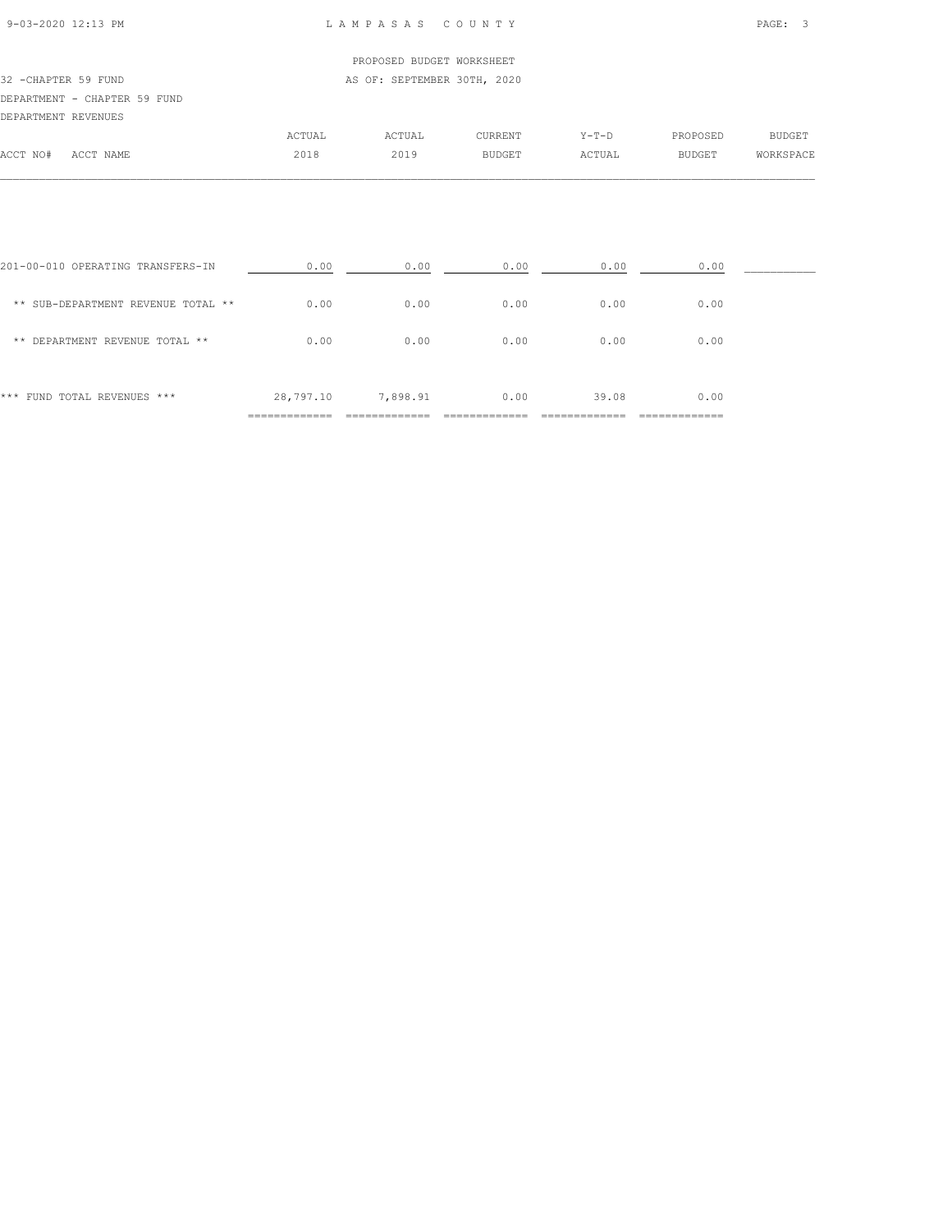| 9-03-2020 12:13 PM |  |  |
|--------------------|--|--|

#### L A M P A S A S C O U N T Y PAGE: 3

|                      |                              |        | PROPOSED BUDGET WORKSHEET   |                |         |               |           |
|----------------------|------------------------------|--------|-----------------------------|----------------|---------|---------------|-----------|
| 32 - CHAPTER 59 FUND |                              |        | AS OF: SEPTEMBER 30TH, 2020 |                |         |               |           |
|                      | DEPARTMENT - CHAPTER 59 FUND |        |                             |                |         |               |           |
| DEPARTMENT REVENUES  |                              |        |                             |                |         |               |           |
|                      |                              | ACTUAL | ACTUAL                      | <b>CURRENT</b> | $Y-T-D$ | PROPOSED      | BUDGET    |
| ACCT NO#             | ACCT NAME                    | 2018   | 2019                        | <b>BUDGET</b>  | ACTUAL  | <b>BUDGET</b> | WORKSPACE |
|                      |                              |        |                             |                |         |               |           |

 $\mathcal{L} = \{ \mathcal{L} = \{ \mathcal{L} = \{ \mathcal{L} = \{ \mathcal{L} = \{ \mathcal{L} = \{ \mathcal{L} = \{ \mathcal{L} = \{ \mathcal{L} = \{ \mathcal{L} = \{ \mathcal{L} = \{ \mathcal{L} = \{ \mathcal{L} = \{ \mathcal{L} = \{ \mathcal{L} = \{ \mathcal{L} = \{ \mathcal{L} = \{ \mathcal{L} = \{ \mathcal{L} = \{ \mathcal{L} = \{ \mathcal{L} = \{ \mathcal{L} = \{ \mathcal{L} = \{ \mathcal{L} = \{ \mathcal{$ 

| *** FUND TOTAL REVENUES ***        | 28,797.10 | 7,898.91 | 0.00 | 39.08 | 0.00 |  |
|------------------------------------|-----------|----------|------|-------|------|--|
| ** DEPARTMENT REVENUE TOTAL **     | 0.00      | 0.00     | 0.00 | 0.00  | 0.00 |  |
| ** SUB-DEPARTMENT REVENUE TOTAL ** | 0.00      | 0.00     | 0.00 | 0.00  | 0.00 |  |
| 201-00-010 OPERATING TRANSFERS-IN  | 0.00      | 0.00     | 0.00 | 0.00  | 0.00 |  |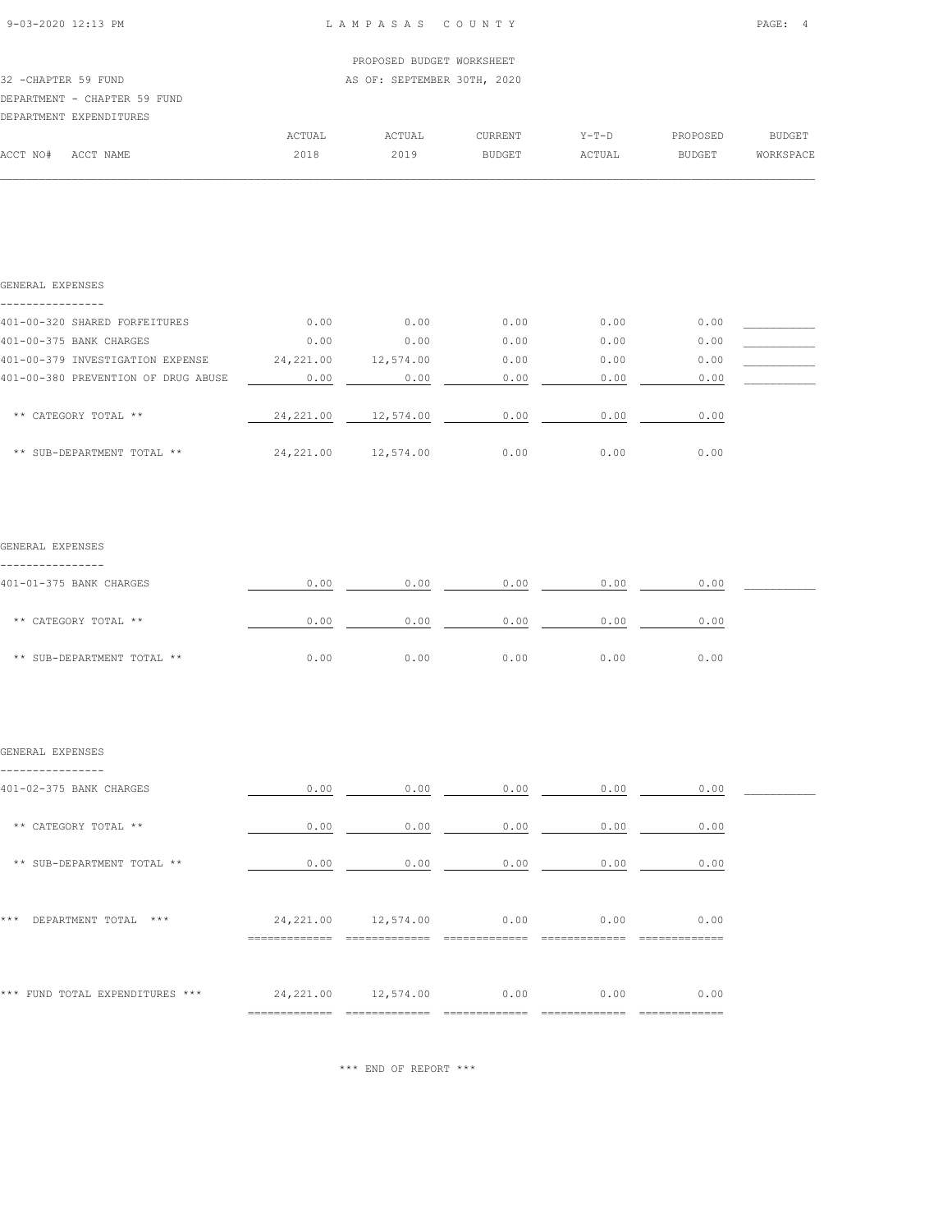|  | 9-03-2020 12:13 PM |  |
|--|--------------------|--|
|  |                    |  |

|                      |                              |        | PROPOSED BUDGET WORKSHEET   |                |         |          |           |
|----------------------|------------------------------|--------|-----------------------------|----------------|---------|----------|-----------|
| 32 - CHAPTER 59 FUND |                              |        | AS OF: SEPTEMBER 30TH, 2020 |                |         |          |           |
|                      | DEPARTMENT - CHAPTER 59 FUND |        |                             |                |         |          |           |
|                      | DEPARTMENT EXPENDITURES      |        |                             |                |         |          |           |
|                      |                              | ACTUAL | ACTUAL                      | <b>CURRENT</b> | $Y-T-D$ | PROPOSED | BUDGET    |
| ACCT NO#             | ACCT NAME                    | 2018   | 2019                        | <b>BUDGET</b>  | ACTUAL  | BUDGET   | WORKSPACE |
|                      |                              |        |                             |                |         |          |           |

| GENERAL EXPENSES                    |            |           |      |      |      |  |
|-------------------------------------|------------|-----------|------|------|------|--|
|                                     |            |           |      |      |      |  |
| 401-00-320 SHARED FORFEITURES       | 0.00       | 0.00      | 0.00 | 0.00 | 0.00 |  |
| 401-00-375 BANK CHARGES             | 0.00       | 0.00      | 0.00 | 0.00 | 0.00 |  |
| 401-00-379 INVESTIGATION EXPENSE    | 24, 221.00 | 12,574.00 | 0.00 | 0.00 | 0.00 |  |
| 401-00-380 PREVENTION OF DRUG ABUSE | 0.00       | 0.00      | 0.00 | 0.00 | 0.00 |  |
|                                     |            |           |      |      |      |  |
| ** CATEGORY TOTAL **                | 24,221.00  | 12,574.00 | 0.00 | 0.00 | 0.00 |  |
|                                     |            |           |      |      |      |  |
| ** SUB-DEPARTMENT TOTAL **          | 24, 221.00 | 12,574.00 | 0.00 | 0.00 | 0.00 |  |

#### GENERAL EXPENSES

| 401-01-375 BANK CHARGES    | 0.00 | 0.00 | 0.00 | 0.00 | 0.00 |  |
|----------------------------|------|------|------|------|------|--|
| ** CATEGORY TOTAL **       | 0.00 | 0.00 | 0.00 | 0.00 | 0.00 |  |
| ** SUB-DEPARTMENT TOTAL ** | 0.00 | 0.00 | 0.00 | 0.00 | 0.00 |  |

#### GENERAL EXPENSES

| 401-02-375 BANK CHARGES         | 0.00       | 0.00                  | 0.00 | 0.00 | 0.00 |  |
|---------------------------------|------------|-----------------------|------|------|------|--|
| ** CATEGORY TOTAL **            | 0.00       | 0.00                  | 0.00 | 0.00 | 0.00 |  |
| ** SUB-DEPARTMENT TOTAL **      | 0.00       | 0.00                  | 0.00 | 0.00 | 0.00 |  |
| ***<br>DEPARTMENT TOTAL<br>***  |            | 24, 221.00 12, 574.00 | 0.00 | 0.00 | 0.00 |  |
| *** FUND TOTAL EXPENDITURES *** | __________ | 24, 221.00 12, 574.00 | 0.00 | 0.00 | 0.00 |  |

\*\*\* END OF REPORT \*\*\*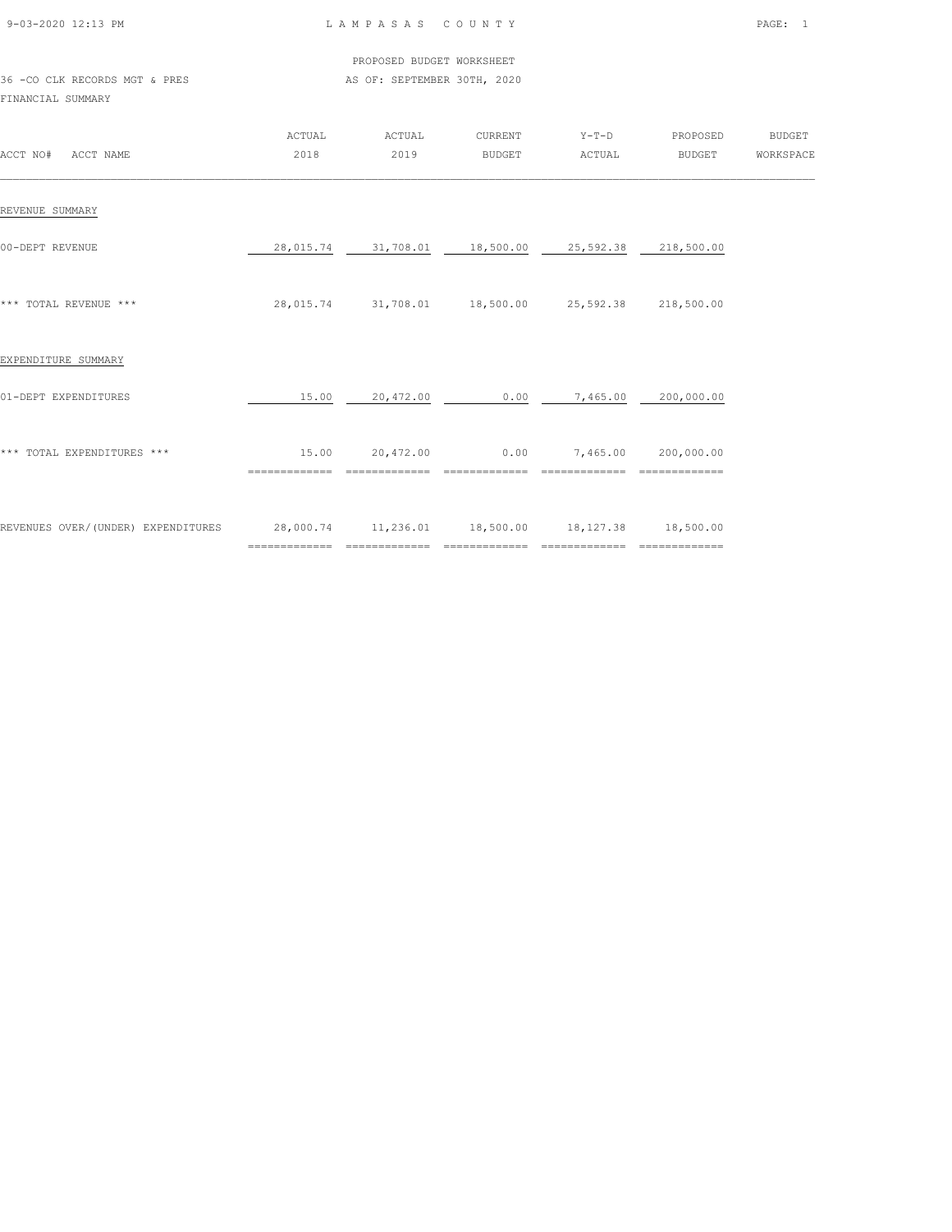| 9-03-2020 12:13 PM |  |
|--------------------|--|

 PROPOSED BUDGET WORKSHEET 36 -CO CLK RECORDS MGT & PRES AS OF: SEPTEMBER 30TH, 2020

| ACCT NO#<br>ACCT NAME              | ACTUAL<br>2018                                               | ACTUAL<br>2019    | CURRENT<br><b>BUDGET</b> | $Y-T-D$<br>ACTUAL                           | PROPOSED<br><b>BUDGET</b>   | <b>BUDGET</b><br>WORKSPACE |
|------------------------------------|--------------------------------------------------------------|-------------------|--------------------------|---------------------------------------------|-----------------------------|----------------------------|
| REVENUE SUMMARY                    |                                                              |                   |                          |                                             |                             |                            |
| 00-DEPT REVENUE                    | 28,015.74                                                    | 31,708.01         | 18,500.00                | 25,592.38                                   | 218,500.00                  |                            |
| *** TOTAL REVENUE ***              | 28,015.74                                                    |                   |                          | 31,708.01  18,500.00  25,592.38  218,500.00 |                             |                            |
| EXPENDITURE SUMMARY                |                                                              |                   |                          |                                             |                             |                            |
| 01-DEPT EXPENDITURES               | 15.00                                                        | 20,472.00         | 0.00                     | 7,465.00                                    | 200,000.00                  |                            |
| *** TOTAL EXPENDITURES ***         | 15.00<br>==============                                      | 20,472.00         | 0.00<br>=============    | 7,465.00<br>=============                   | 200,000.00                  |                            |
| REVENUES OVER/(UNDER) EXPENDITURES | 28,000.74  11,236.01  18,500.00  18,127.38<br>============== | $=$ ============= | =============            | ==============                              | 18,500.00<br>============== |                            |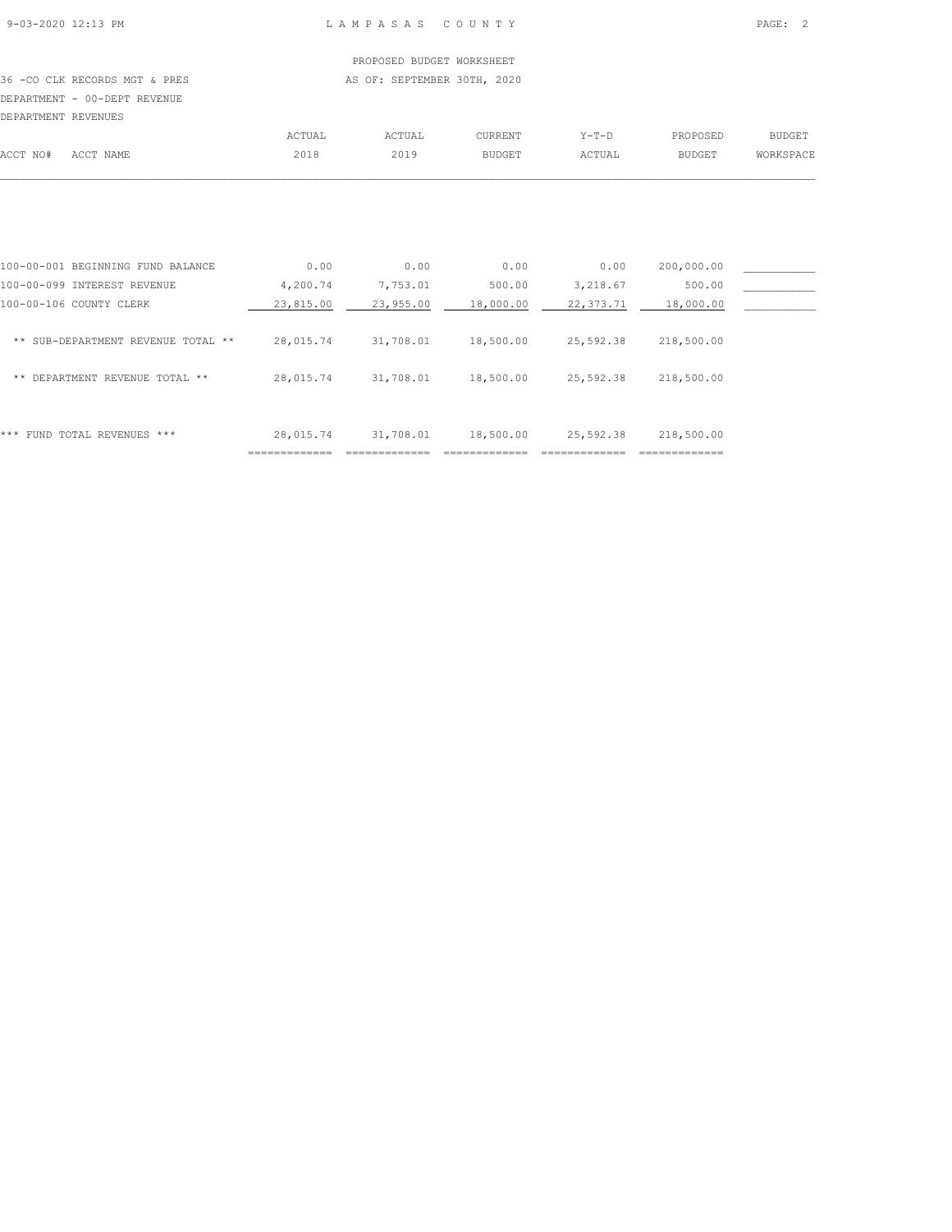# PROPOSED BUDGET WORKSHEET

36 -CO CLK RECORDS MGT & PRES AS OF: SEPTEMBER 30TH, 2020 DEPARTMENT - 00-DEPT REVENUE

| DEPARTMENT REVENUES |           |        |        |               |         |               |               |
|---------------------|-----------|--------|--------|---------------|---------|---------------|---------------|
|                     |           | ACTUAL | ACTUAL | CURRENT       | Y-T-D   | PROPOSED      | <b>BUDGET</b> |
| ACCT NO#            | ACCT NAME | 2018   | 2019   | <b>BUDGET</b> | ACTUAL. | <b>BUDGET</b> | WORKSPACE     |
|                     |           |        |        |               |         |               |               |

|                                       | ---------------- | ---------------- |           |           | ============== |  |
|---------------------------------------|------------------|------------------|-----------|-----------|----------------|--|
| ***<br>FUND TOTAL REVENUES ***        | 28,015.74        | 31,708.01        | 18,500.00 | 25,592.38 | 218,500.00     |  |
| DEPARTMENT REVENUE TOTAL **<br>**     | 28,015.74        | 31,708.01        | 18,500.00 | 25,592.38 | 218,500.00     |  |
| SUB-DEPARTMENT REVENUE TOTAL **<br>** | 28,015.74        | 31,708.01        | 18,500.00 | 25,592.38 | 218,500.00     |  |
| 100-00-106 COUNTY CLERK               | 23,815.00        | 23,955.00        | 18,000.00 | 22,373.71 | 18,000.00      |  |
| 100-00-099 INTEREST REVENUE           | 4,200.74         | 7,753.01         | 500.00    | 3,218.67  | 500.00         |  |
| 100-00-001 BEGINNING FUND BALANCE     | 0.00             | 0.00             | 0.00      | 0.00      | 200,000.00     |  |
|                                       |                  |                  |           |           |                |  |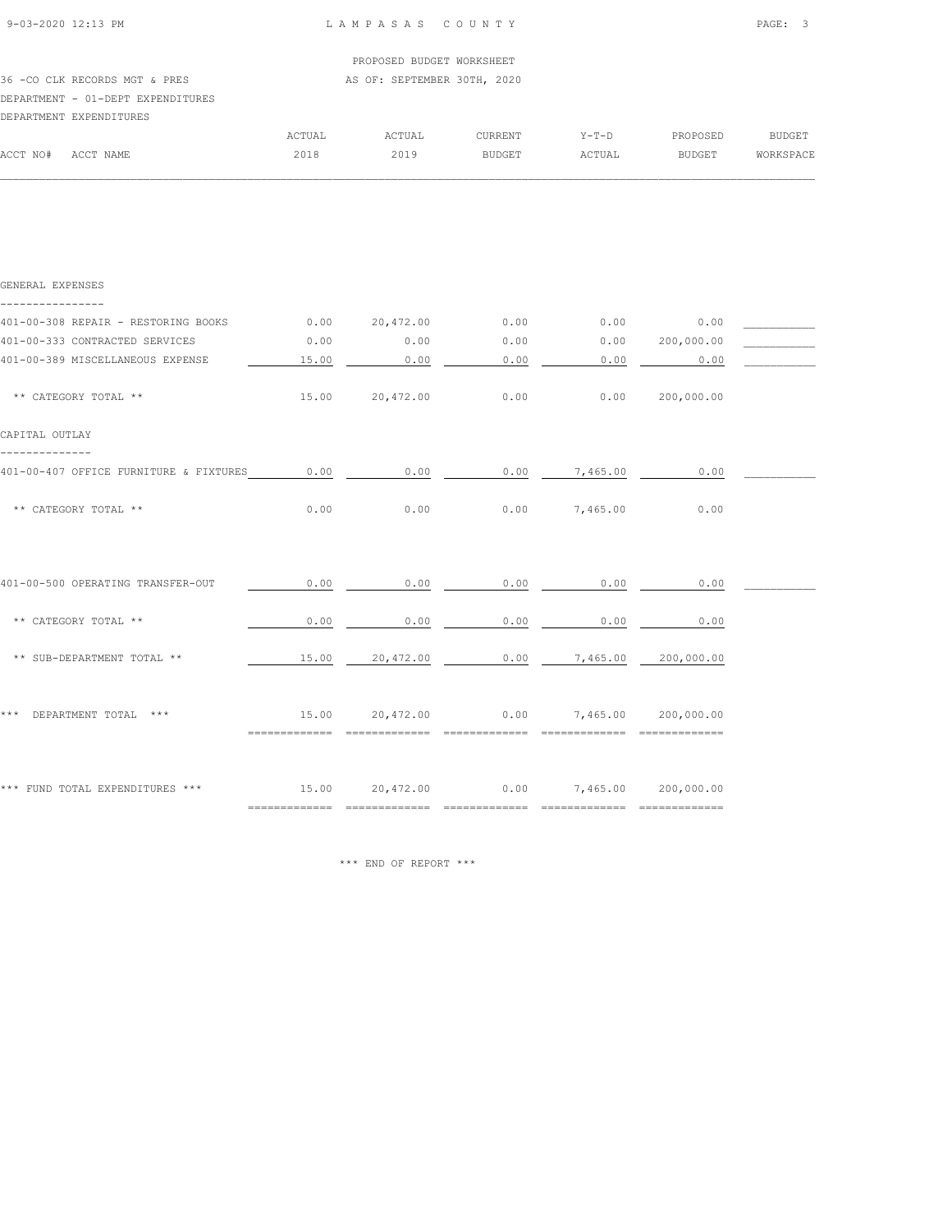| 9-03-2020 12:13 PM |  |
|--------------------|--|

|          |                                   |        | PROPOSED BUDGET WORKSHEET   |         |         |          |           |
|----------|-----------------------------------|--------|-----------------------------|---------|---------|----------|-----------|
|          | 36 -CO CLK RECORDS MGT & PRES     |        | AS OF: SEPTEMBER 30TH, 2020 |         |         |          |           |
|          | DEPARTMENT - 01-DEPT EXPENDITURES |        |                             |         |         |          |           |
|          | DEPARTMENT EXPENDITURES           |        |                             |         |         |          |           |
|          |                                   | ACTUAL | ACTUAL                      | CURRENT | $Y-T-D$ | PROPOSED | BUDGET    |
| ACCT NO# | ACCT NAME                         | 2018   | 2019                        | BUDGET  | ACTUAL  | BUDGET   | WORKSPACE |
|          |                                   |        |                             |         |         |          |           |

| GENERAL EXPENSES                                                                   |       |                                              |                    |                 |                 |  |
|------------------------------------------------------------------------------------|-------|----------------------------------------------|--------------------|-----------------|-----------------|--|
| 401-00-308 REPAIR - RESTORING BOOKS 0.00 20,472.00                                 |       |                                              | 0.00               |                 | $0.00$ 0.00     |  |
| 401-00-333 CONTRACTED SERVICES                                                     | 0.00  | 0.00                                         | 0.00               | 0.00 200,000.00 |                 |  |
| 401-00-389 MISCELLANEOUS EXPENSE                                                   | 15.00 | 0.00                                         | 0.00               | 0.00            | 0.00            |  |
| ** CATEGORY TOTAL **                                                               |       | 15.00 20,472.00                              | 0.00               |                 | 0.00 200,000.00 |  |
| CAPITAL OUTLAY                                                                     |       |                                              |                    |                 |                 |  |
| 401-00-407 OFFICE FURNITURE & FIXTURES $0.00$ 0.00 0.00 0.00 7,465.00 0.00         |       |                                              |                    |                 |                 |  |
| ** CATEGORY TOTAL **                                                               | 0.00  | 0.00                                         |                    | $0.00$ 7,465.00 | 0.00            |  |
|                                                                                    |       |                                              |                    |                 |                 |  |
| 401-00-500 OPERATING TRANSFER-OUT                                                  | 0.00  | 0.00                                         | 0.00               | 0.00            | 0.00            |  |
| ** CATEGORY TOTAL **                                                               | 0.00  | 0.00                                         | 0.00               | 0.00            | 0.00            |  |
| ** SUB-DEPARTMENT TOTAL **                                                         |       | 15.00  20,472.00  0.00  7,465.00  200,000.00 |                    |                 |                 |  |
| *** DEPARTMENT TOTAL ***                                                           |       | 15.00  20,472.00  0.00  7,465.00  200,000.00 | $=$ ============== |                 |                 |  |
| *** FUND TOTAL EXPENDITURES *** $15.00$ $20,472.00$ $0.00$ $7,465.00$ $200,000.00$ |       |                                              |                    |                 |                 |  |

\*\*\* END OF REPORT \*\*\*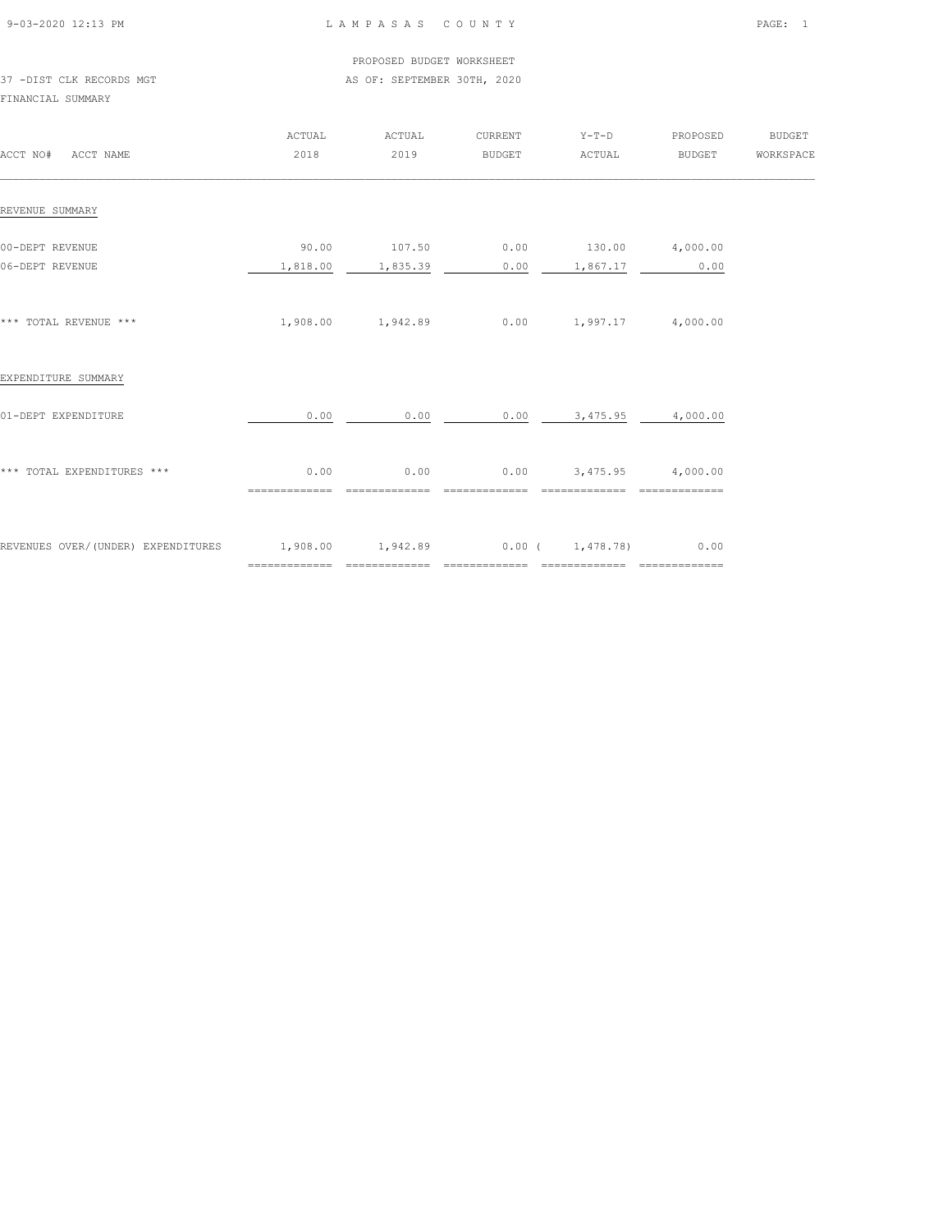| 9-03-2020 12:13 PM |  |
|--------------------|--|

#### PROPOSED BUDGET WORKSHEET 37 -DIST CLK RECORDS MGT AS OF: SEPTEMBER 30TH, 2020

| ACCT NO# ACCT NAME                 | ACTUAL<br>2018                                  | ACTUAL<br>2019                     | CURRENT<br>BUDGET | $Y-T-D$<br>ACTUAL                              | PROPOSED<br><b>BUDGET</b> | BUDGET<br>WORKSPACE |
|------------------------------------|-------------------------------------------------|------------------------------------|-------------------|------------------------------------------------|---------------------------|---------------------|
| REVENUE SUMMARY                    |                                                 |                                    |                   |                                                |                           |                     |
| 00-DEPT REVENUE<br>06-DEPT REVENUE | 90.00                                           | $107.50$ 0.00<br>1,818.00 1,835.39 |                   | 130.00 4,000.00<br>$0.00$ 1,867.17             | 0.00                      |                     |
| *** TOTAL REVENUE ***              |                                                 | 1,908.00 1,942.89                  |                   | $0.00$ 1,997.17 4,000.00                       |                           |                     |
| EXPENDITURE SUMMARY                |                                                 |                                    |                   |                                                |                           |                     |
| 01-DEPT EXPENDITURE                | 0.00                                            | 0.00                               |                   | $0.00$ 3,475.95 4,000.00                       |                           |                     |
| *** TOTAL EXPENDITURES ***         | 0.00<br>==============                          | 0.00<br>==============             | ==============    | $0.00$ $3,475.95$ $4,000.00$<br>============== | $=$ ==============        |                     |
| REVENUES OVER/(UNDER) EXPENDITURES | $1,908.00$ $1,942.89$ $0.00$ $1,478.78)$ $0.00$ |                                    |                   |                                                |                           |                     |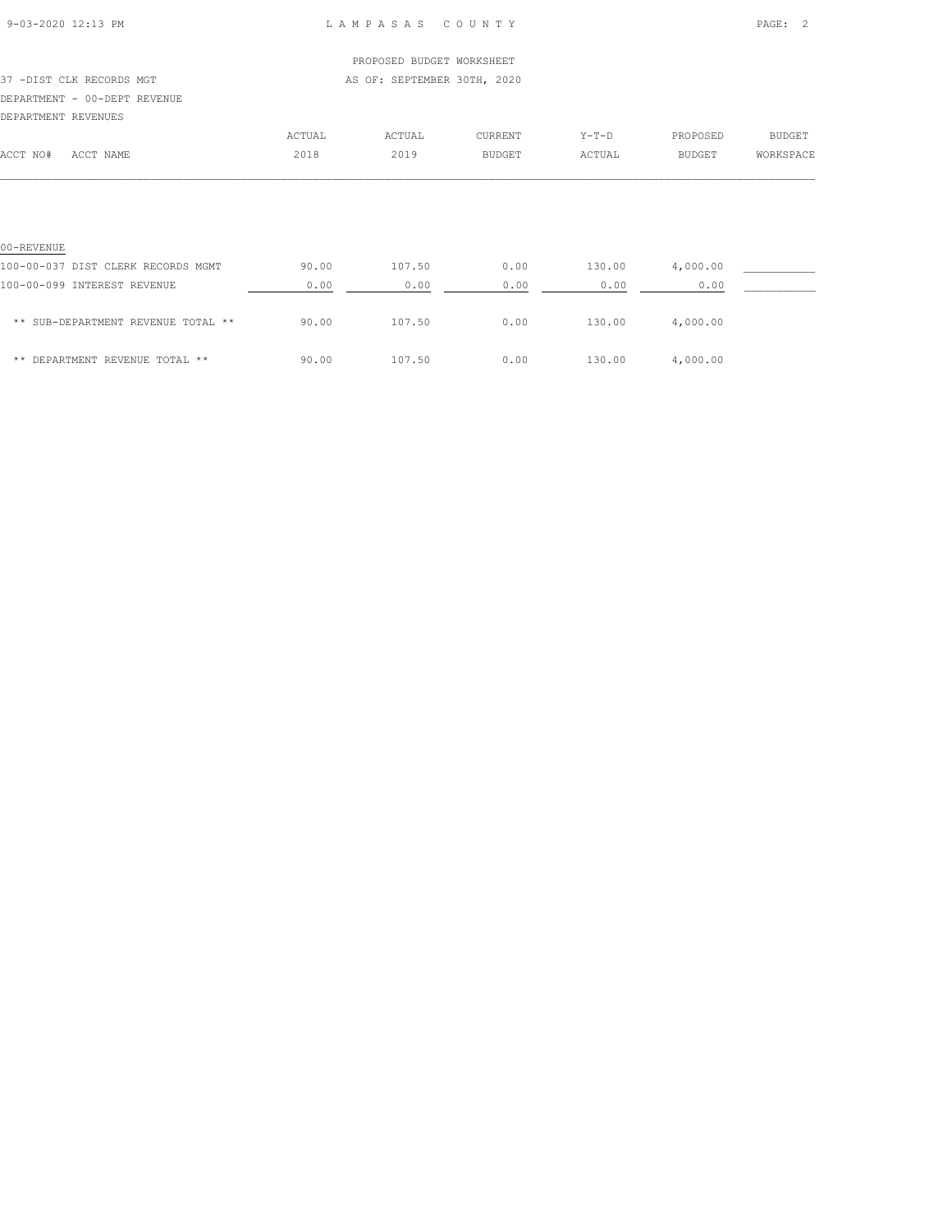| 9-03-2020 12:13 PM |  |
|--------------------|--|

### L A M P A S A S C O U N T Y PAGE: 2

|                                    |        | PROPOSED BUDGET WORKSHEET   |               |         |               |           |
|------------------------------------|--------|-----------------------------|---------------|---------|---------------|-----------|
| 37 -DIST CLK RECORDS MGT           |        | AS OF: SEPTEMBER 30TH, 2020 |               |         |               |           |
| DEPARTMENT - 00-DEPT REVENUE       |        |                             |               |         |               |           |
| DEPARTMENT REVENUES                |        |                             |               |         |               |           |
|                                    | ACTUAL | ACTUAL                      | CURRENT       | $Y-T-D$ | PROPOSED      | BUDGET    |
| ACCT NO#<br>ACCT NAME              | 2018   | 2019                        | <b>BUDGET</b> | ACTUAL  | <b>BUDGET</b> | WORKSPACE |
|                                    |        |                             |               |         |               |           |
| 00-REVENUE                         |        |                             |               |         |               |           |
| 100-00-037 DIST CLERK RECORDS MGMT | 90.00  | 107.50                      | 0.00          | 130.00  | 4,000.00      |           |
| 100-00-099 INTEREST REVENUE        | 0.00   | 0.00                        | 0.00          | 0.00    | 0.00          |           |
| ** SUB-DEPARTMENT REVENUE TOTAL ** | 90.00  | 107.50                      | 0.00          | 130.00  | 4,000.00      |           |

\*\* DEPARTMENT REVENUE TOTAL \*\* 90.00 107.50 0.00 130.00 4,000.00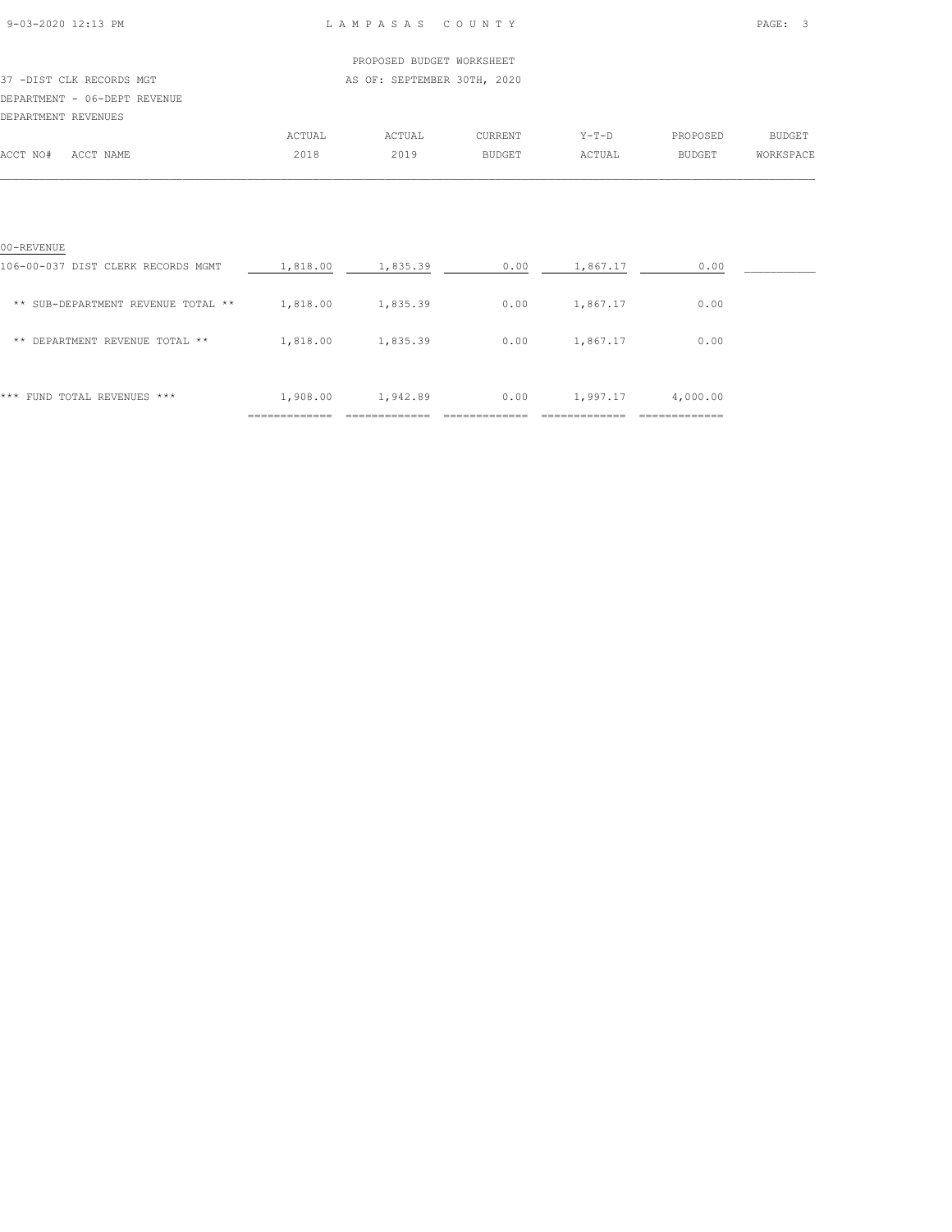### 9-03-2020 12:13 PM L A M P A S A S C O U N T Y PAGE: 3

### PROPOSED BUDGET WORKSHEET 37 -DIST CLK RECORDS MGT AS OF: SEPTEMBER 30TH, 2020 DEPARTMENT - 06-DEPT REVENUE DEPARTMENT REVENUES ACTUAL ACTUAL CURRENT Y-T-D PROPOSED BUDGET ACCT NO# ACCT NAME 2018 2019 BUDGET ACTUAL BUDGET WORKSPACE

| 00-REVENUE                         |               |               |               |                |               |  |
|------------------------------------|---------------|---------------|---------------|----------------|---------------|--|
| 106-00-037 DIST CLERK RECORDS MGMT | 1,818.00      | 1,835.39      | 0.00          | 1,867.17       | 0.00          |  |
| ** SUB-DEPARTMENT REVENUE TOTAL ** | 1,818.00      | 1,835.39      | 0.00          | 1,867.17       | 0.00          |  |
| DEPARTMENT REVENUE TOTAL **<br>**  | 1,818.00      | 1,835.39      | 0.00          | 1,867.17       | 0.00          |  |
|                                    |               |               |               |                |               |  |
| FUND TOTAL REVENUES ***<br>***     | 1,908.00      | 1,942.89      | 0.00          | 1,997.17       | 4,000.00      |  |
|                                    | ------------- | ------------- | _____________ | -------------- | ------------- |  |

 $\mathcal{L} = \{ \mathcal{L} = \{ \mathcal{L} = \{ \mathcal{L} = \{ \mathcal{L} = \{ \mathcal{L} = \{ \mathcal{L} = \{ \mathcal{L} = \{ \mathcal{L} = \{ \mathcal{L} = \{ \mathcal{L} = \{ \mathcal{L} = \{ \mathcal{L} = \{ \mathcal{L} = \{ \mathcal{L} = \{ \mathcal{L} = \{ \mathcal{L} = \{ \mathcal{L} = \{ \mathcal{L} = \{ \mathcal{L} = \{ \mathcal{L} = \{ \mathcal{L} = \{ \mathcal{L} = \{ \mathcal{L} = \{ \mathcal{$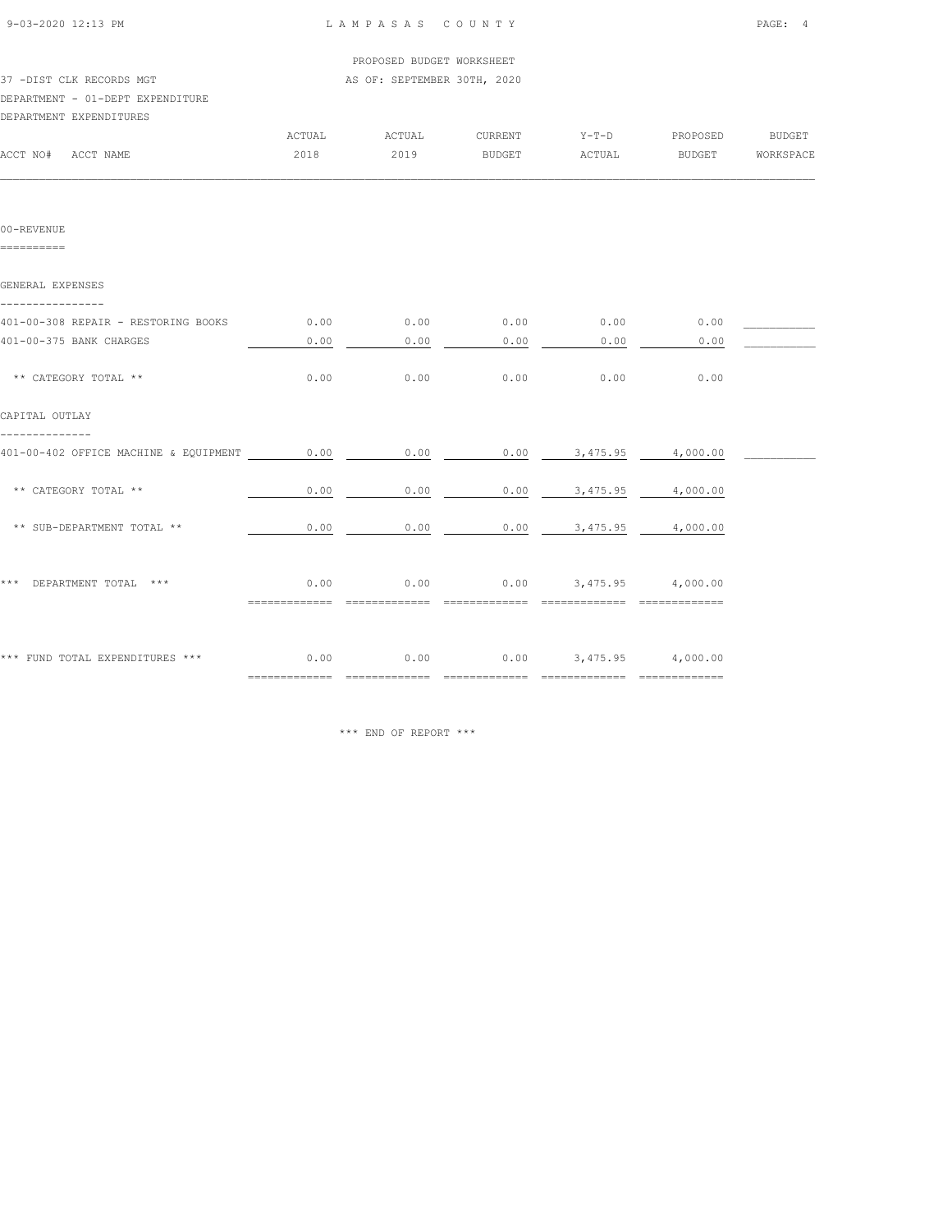| 9-03-2020 12:13 PM                                                    |        | LAMPASAS COUNTY             |                                            |                          |          | PAGE: 4          |
|-----------------------------------------------------------------------|--------|-----------------------------|--------------------------------------------|--------------------------|----------|------------------|
|                                                                       |        | PROPOSED BUDGET WORKSHEET   |                                            |                          |          |                  |
| 37 -DIST CLK RECORDS MGT                                              |        | AS OF: SEPTEMBER 30TH, 2020 |                                            |                          |          |                  |
| DEPARTMENT - 01-DEPT EXPENDITURE                                      |        |                             |                                            |                          |          |                  |
| DEPARTMENT EXPENDITURES                                               |        |                             |                                            |                          |          |                  |
|                                                                       | ACTUAL | ACTUAL                      | CURRENT                                    | $Y-T-D$                  | PROPOSED | BUDGET           |
| ACCT NO# ACCT NAME                                                    | 2018   | 2019                        | BUDGET                                     | ACTUAL                   |          | BUDGET WORKSPACE |
|                                                                       |        |                             |                                            |                          |          |                  |
| 00-REVENUE<br>==========                                              |        |                             |                                            |                          |          |                  |
| GENERAL EXPENSES                                                      |        |                             |                                            |                          |          |                  |
|                                                                       |        |                             |                                            |                          |          |                  |
| 401-00-308 REPAIR - RESTORING BOOKS                                   | 0.00   | 0.00                        | 0.00                                       | 0.00                     | 0.00     |                  |
| 401-00-375 BANK CHARGES                                               | 0.00   | 0.00                        | 0.00                                       | 0.00                     | 0.00     |                  |
| ** CATEGORY TOTAL **                                                  | 0.00   | 0.00                        | 0.00                                       | 0.00                     | 0.00     |                  |
| CAPITAL OUTLAY                                                        |        |                             |                                            |                          |          |                  |
| -------------- <i>-</i><br>401-00-402 OFFICE MACHINE & EQUIPMENT 0.00 |        | 0.00                        |                                            | $0.00$ 3,475.95 4,000.00 |          |                  |
| ** CATEGORY TOTAL **                                                  | 0.00   | 0.00                        | 0.00                                       | 3,475.95                 | 4,000.00 |                  |
| ** SUB-DEPARTMENT TOTAL **                                            | 0.00   | 0.00                        |                                            | $0.00$ 3,475.95          | 4,000.00 |                  |
| *** DEPARTMENT TOTAL ***                                              | 0.00   | 0.00                        |                                            | $0.00$ 3,475.95 4,000.00 |          |                  |
| *** FUND TOTAL EXPENDITURES ***                                       |        |                             | $0.00$ $0.00$ $0.00$ $0.475.95$ $4,000.00$ |                          |          |                  |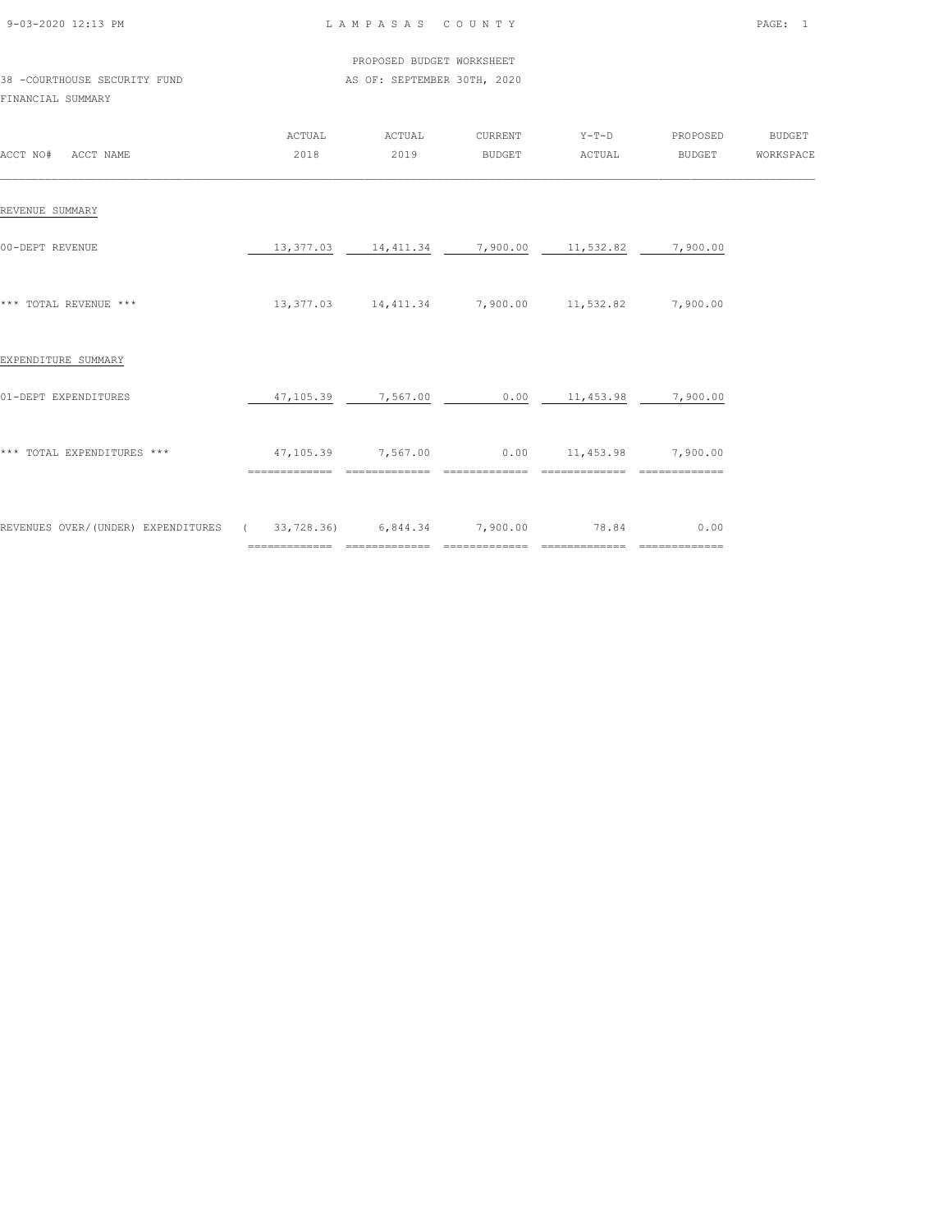| 9-03-2020 12:13 PM |  |
|--------------------|--|

### LAMPASAS COUNTY PAGE: 1

|                              |  | PROPOSED BUDGET WORKSHEET   |  |  |
|------------------------------|--|-----------------------------|--|--|
| 38 -COURTHOUSE SECURITY FUND |  | AS OF: SEPTEMBER 30TH, 2020 |  |  |

### FINANCIAL SUMMARY

| ACCT NO#<br>ACCT NAME                                   | ACTUAL<br>2018              | ACTUAL<br>2019             | CURRENT<br><b>BUDGET</b>   | $Y-T-D$<br>ACTUAL                  | PROPOSED<br>BUDGET                                                                                                                                                                                                                                                                                                                                                                                                                                                                    | <b>BUDGET</b><br>WORKSPACE |
|---------------------------------------------------------|-----------------------------|----------------------------|----------------------------|------------------------------------|---------------------------------------------------------------------------------------------------------------------------------------------------------------------------------------------------------------------------------------------------------------------------------------------------------------------------------------------------------------------------------------------------------------------------------------------------------------------------------------|----------------------------|
| REVENUE SUMMARY                                         |                             |                            |                            |                                    |                                                                                                                                                                                                                                                                                                                                                                                                                                                                                       |                            |
| 00-DEPT REVENUE                                         | 13,377.03                   | 14,411.34                  | 7,900.00                   | 11,532.82                          | 7,900.00                                                                                                                                                                                                                                                                                                                                                                                                                                                                              |                            |
| *** TOTAL REVENUE ***                                   |                             | 13, 377.03 14, 411.34      | 7,900.00 11,532.82         |                                    | 7,900.00                                                                                                                                                                                                                                                                                                                                                                                                                                                                              |                            |
| EXPENDITURE SUMMARY                                     |                             |                            |                            |                                    |                                                                                                                                                                                                                                                                                                                                                                                                                                                                                       |                            |
| 01-DEPT EXPENDITURES                                    | 47,105.39                   | 7,567.00                   | 0.00                       | 11,453.98                          | 7,900.00                                                                                                                                                                                                                                                                                                                                                                                                                                                                              |                            |
| *** TOTAL EXPENDITURES ***                              | 47,105.39<br>============== | 7,567.00<br>============== | ==============             | $0.00$ 11,453.98<br>============== | 7,900.00<br>==============                                                                                                                                                                                                                                                                                                                                                                                                                                                            |                            |
| REVENUES OVER/(UNDER) EXPENDITURES (33,728.36) 6,844.34 | ==============              | ==============             | 7,900.00<br>============== | 78.84<br>==============            | 0.00<br>$\begin{array}{c} \multicolumn{3}{c} {\textbf 2} & \multicolumn{3}{c} {\textbf 3} & \multicolumn{3}{c} {\textbf 4} & \multicolumn{3}{c} {\textbf 5} & \multicolumn{3}{c} {\textbf 6} & \multicolumn{3}{c} {\textbf 7} & \multicolumn{3}{c} {\textbf 8} & \multicolumn{3}{c} {\textbf 9} & \multicolumn{3}{c} {\textbf 1} & \multicolumn{3}{c} {\textbf 1} & \multicolumn{3}{c} {\textbf 1} & \multicolumn{3}{c} {\textbf 1} & \multicolumn{3}{c} {\textbf 1} & \multicolumn{$ |                            |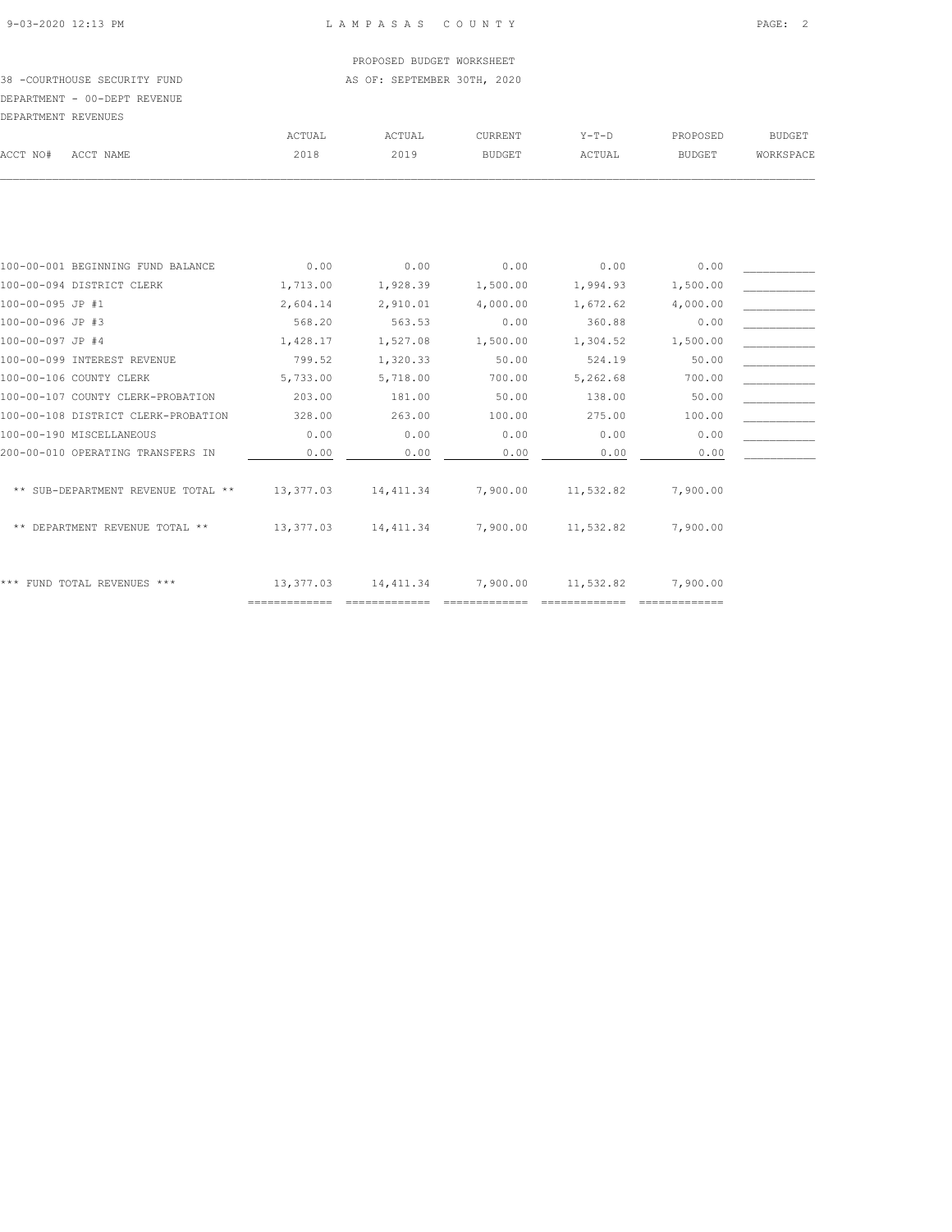# PROPOSED BUDGET WORKSHEET

38 -COURTHOUSE SECURITY FUND AS OF: SEPTEMBER 30TH, 2020 DEPARTMENT - 00-DEPT REVENUE

| DEPARTMENT REVENUES |                                     |           |            |               |           |               |               |
|---------------------|-------------------------------------|-----------|------------|---------------|-----------|---------------|---------------|
|                     |                                     | ACTUAL    | ACTUAL     | CURRENT       | $Y-T-D$   | PROPOSED      | <b>BUDGET</b> |
| ACCT NO#            | ACCT NAME                           | 2018      | 2019       | <b>BUDGET</b> | ACTUAL    | <b>BUDGET</b> | WORKSPACE     |
|                     |                                     |           |            |               |           |               |               |
|                     | 100-00-001 BEGINNING FUND BALANCE   | 0.00      | 0.00       | 0.00          | 0.00      | 0.00          |               |
|                     | 100-00-094 DISTRICT CLERK           | 1,713.00  | 1,928.39   | 1,500.00      | 1,994.93  |               |               |
|                     |                                     |           |            |               |           | 1,500.00      |               |
| 100-00-095 JP #1    |                                     | 2,604.14  | 2,910.01   | 4,000.00      | 1,672.62  | 4,000.00      |               |
| 100-00-096 JP #3    |                                     | 568.20    | 563.53     | 0.00          | 360.88    | 0.00          |               |
| 100-00-097 JP #4    |                                     | 1,428.17  | 1,527.08   | 1,500.00      | 1,304.52  | 1,500.00      |               |
|                     | 100-00-099 INTEREST REVENUE         | 799.52    | 1,320.33   | 50.00         | 524.19    | 50.00         |               |
|                     | 100-00-106 COUNTY CLERK             | 5,733.00  | 5,718.00   | 700.00        | 5,262.68  | 700.00        |               |
|                     | 100-00-107 COUNTY CLERK-PROBATION   | 203.00    | 181.00     | 50.00         | 138.00    | 50.00         |               |
|                     | 100-00-108 DISTRICT CLERK-PROBATION | 328.00    | 263.00     | 100.00        | 275.00    | 100.00        |               |
|                     | 100-00-190 MISCELLANEOUS            | 0.00      | 0.00       | 0.00          | 0.00      | 0.00          |               |
|                     | 200-00-010 OPERATING TRANSFERS IN   | 0.00      | 0.00       | 0.00          | 0.00      | 0.00          |               |
|                     | ** SUB-DEPARTMENT REVENUE TOTAL **  | 13,377.03 | 14, 411.34 | 7,900.00      | 11,532.82 | 7,900.00      |               |
|                     | ** DEPARTMENT REVENUE TOTAL **      | 13,377.03 | 14, 411.34 | 7,900.00      | 11,532.82 | 7,900.00      |               |
|                     | *** FUND TOTAL REVENUES ***         | 13,377.03 | 14, 411.34 | 7,900.00      | 11,532.82 | 7,900.00      |               |

============= ============= ============= ============= =============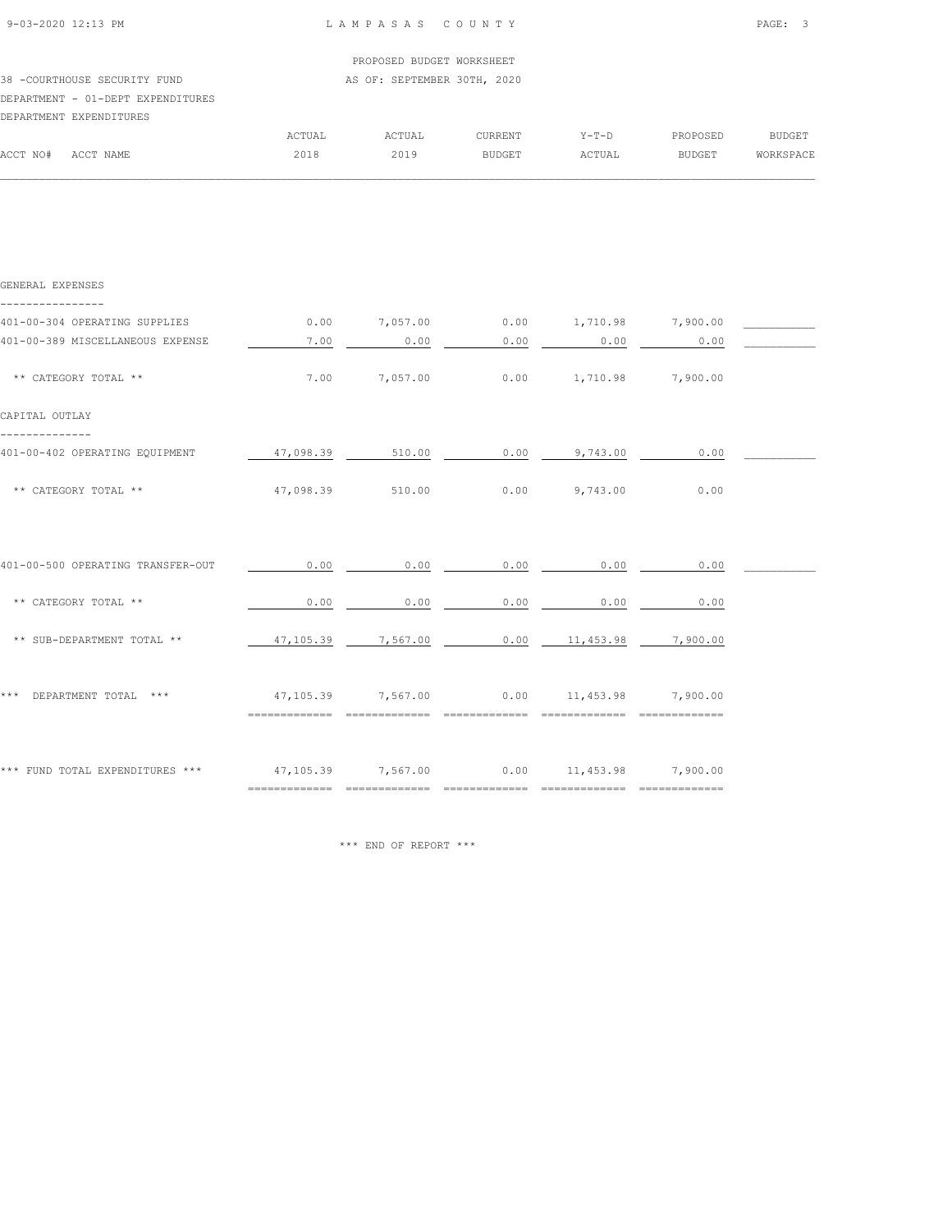| 9-03-2020 12:13 PM                |           | LAMPASAS COUNTY             |               |                          |          | PAGE: 3       |
|-----------------------------------|-----------|-----------------------------|---------------|--------------------------|----------|---------------|
|                                   |           | PROPOSED BUDGET WORKSHEET   |               |                          |          |               |
| 38 -COURTHOUSE SECURITY FUND      |           | AS OF: SEPTEMBER 30TH, 2020 |               |                          |          |               |
| DEPARTMENT - 01-DEPT EXPENDITURES |           |                             |               |                          |          |               |
| DEPARTMENT EXPENDITURES           |           |                             |               |                          |          |               |
|                                   | ACTUAL    | ACTUAL                      | CURRENT       | $Y-T-D$                  | PROPOSED | <b>BUDGET</b> |
| ACCT NO# ACCT NAME                | 2018      | 2019                        | <b>BUDGET</b> | ACTUAL                   | BUDGET   | WORKSPACE     |
|                                   |           |                             |               |                          |          |               |
|                                   |           |                             |               |                          |          |               |
| GENERAL EXPENSES                  |           |                             |               |                          |          |               |
| 401-00-304 OPERATING SUPPLIES     | 0.00      | 7,057.00                    |               | $0.00$ 1,710.98 7,900.00 |          |               |
| 401-00-389 MISCELLANEOUS EXPENSE  | 7.00      | 0.00                        | 0.00          | 0.00                     | 0.00     |               |
| ** CATEGORY TOTAL **              | 7.00      | 7,057.00                    | 0.00          | 1,710.98                 | 7,900.00 |               |
| CAPITAL OUTLAY                    |           |                             |               |                          |          |               |
| 401-00-402 OPERATING EQUIPMENT    | 47,098.39 | 510.00                      | 0.00          | 9,743.00                 | 0.00     |               |
| ** CATEGORY TOTAL **              | 47,098.39 | 510.00                      | 0.00          | 9,743.00                 | 0.00     |               |

| 401-00-500 OPERATING TRANSFER-OUT | 0.00                        | 0.00                      | 0.00 | 0.00                        | 0.00                      |  |
|-----------------------------------|-----------------------------|---------------------------|------|-----------------------------|---------------------------|--|
| CATEGORY TOTAL **<br>$* *$        | 0.00                        | 0.00                      | 0.00 | 0.00                        | 0.00                      |  |
| ** SUB-DEPARTMENT TOTAL **        | 47,105.39                   | 7,567.00                  | 0.00 | 11,453.98                   | 7,900.00                  |  |
| ***<br>DEPARTMENT TOTAL<br>***    | 47,105.39<br>:============  | 7,567.00<br>------------- | 0.00 | 11,453.98<br>-------------- | 7,900.00<br>============= |  |
| *** FUND TOTAL EXPENDITURES ***   | 47,105.39<br>-------------- | 7,567.00                  | 0.00 | 11,453.98                   | 7,900.00<br>------------- |  |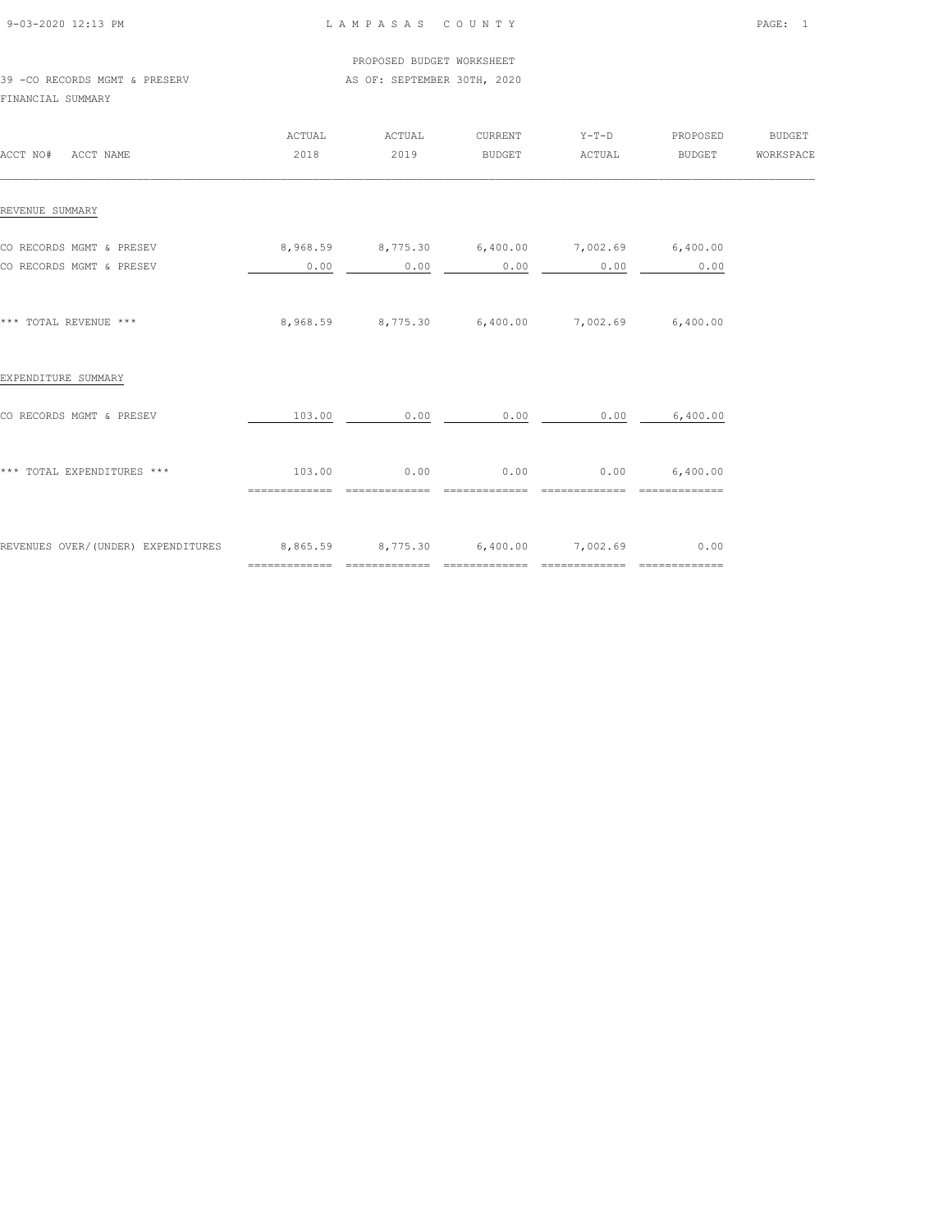| 9-03-2020 12:13 PM |  |
|--------------------|--|

### LAMPASAS COUNTY PAGE: 1

 PROPOSED BUDGET WORKSHEET 39 -CO RECORDS MGMT & PRESERV AS OF: SEPTEMBER 30TH, 2020

FINANCIAL SUMMARY

| ACCT NO# ACCT NAME                                                     | ACTUAL<br>2018                                                 | ACTUAL<br>2019         | CURRENT<br>BUDGET      | $Y-T-D$<br>ACTUAL                            | PROPOSED<br><b>BUDGET</b>         | BUDGET<br>WORKSPACE |
|------------------------------------------------------------------------|----------------------------------------------------------------|------------------------|------------------------|----------------------------------------------|-----------------------------------|---------------------|
| REVENUE SUMMARY                                                        |                                                                |                        |                        |                                              |                                   |                     |
| CO RECORDS MGMT & PRESEV<br>CO RECORDS MGMT & PRESEV                   | $8,968.59$ $8,775.30$ $6,400.00$ $7,002.69$ $6,400.00$<br>0.00 | 0.00                   | 0.00                   |                                              | $0.00$ 0.00                       |                     |
| *** TOTAL REVENUE ***                                                  |                                                                |                        |                        | 8,968.59 8,775.30 6,400.00 7,002.69 6,400.00 |                                   |                     |
| EXPENDITURE SUMMARY                                                    |                                                                |                        |                        |                                              |                                   |                     |
| CO RECORDS MGMT & PRESEV                                               | 103.00                                                         | 0.00                   | 0.00                   |                                              | $0.00$ 6,400.00                   |                     |
| *** TOTAL EXPENDITURES ***                                             | 103.00<br>=============                                        | 0.00<br>============== | 0.00<br>============== | ==============                               | $0.00$ 6.400.00<br>============== |                     |
| REVENUES OVER/(UNDER) EXPENDITURES 8,865.59 8,775.30 6,400.00 7,002.69 |                                                                |                        |                        |                                              | 0.00                              |                     |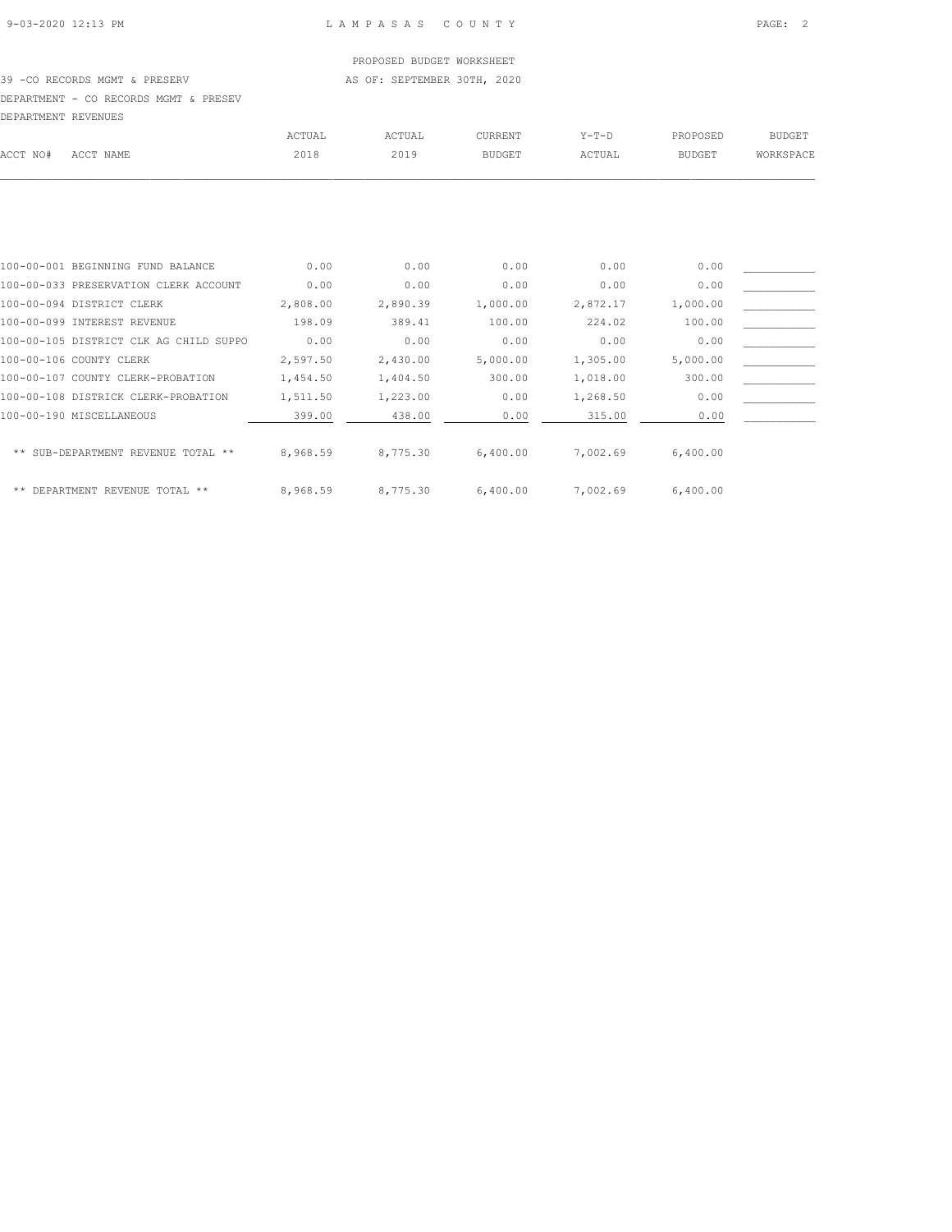## PROPOSED BUDGET WORKSHEET

39 -CO RECORDS MGMT & PRESERV AS OF: SEPTEMBER 30TH, 2020

DEPARTMENT - CO RECORDS MGMT & PRESEV

| DEPARTMENT REVENUES |                                        |               |          |                |          |               |               |
|---------------------|----------------------------------------|---------------|----------|----------------|----------|---------------|---------------|
|                     |                                        | <b>ACTUAL</b> | ACTUAL   | <b>CURRENT</b> | $Y-T-D$  | PROPOSED      | <b>BUDGET</b> |
| ACCT NO#            | ACCT NAME                              | 2018          | 2019     | <b>BUDGET</b>  | ACTUAL   | <b>BUDGET</b> | WORKSPACE     |
|                     |                                        |               |          |                |          |               |               |
|                     |                                        |               |          |                |          |               |               |
|                     | 100-00-001 BEGINNING FUND BALANCE      | 0.00          | 0.00     | 0.00           | 0.00     | 0.00          |               |
|                     | 100-00-033 PRESERVATION CLERK ACCOUNT  | 0.00          | 0.00     | 0.00           | 0.00     | 0.00          |               |
|                     | 100-00-094 DISTRICT CLERK              | 2,808.00      | 2,890.39 | 1,000.00       | 2,872.17 | 1,000.00      |               |
|                     | 100-00-099 INTEREST REVENUE            | 198.09        | 389.41   | 100.00         | 224.02   | 100.00        |               |
|                     | 100-00-105 DISTRICT CLK AG CHILD SUPPO | 0.00          | 0.00     | 0.00           | 0.00     | 0.00          |               |
|                     | 100-00-106 COUNTY CLERK                | 2,597.50      | 2,430.00 | 5,000.00       | 1,305.00 | 5,000.00      |               |
|                     | 100-00-107 COUNTY CLERK-PROBATION      | 1,454.50      | 1,404.50 | 300.00         | 1,018.00 | 300.00        |               |
|                     | 100-00-108 DISTRICK CLERK-PROBATION    | 1,511.50      | 1,223.00 | 0.00           | 1,268.50 | 0.00          |               |
|                     | 100-00-190 MISCELLANEOUS               | 399.00        | 438.00   | 0.00           | 315.00   | 0.00          |               |
|                     | ** SUB-DEPARTMENT REVENUE TOTAL **     | 8,968.59      | 8,775.30 | 6,400.00       | 7,002.69 | 6,400.00      |               |
|                     | ** DEPARTMENT REVENUE TOTAL **         | 8,968.59      | 8,775.30 | 6,400.00       | 7,002.69 | 6,400.00      |               |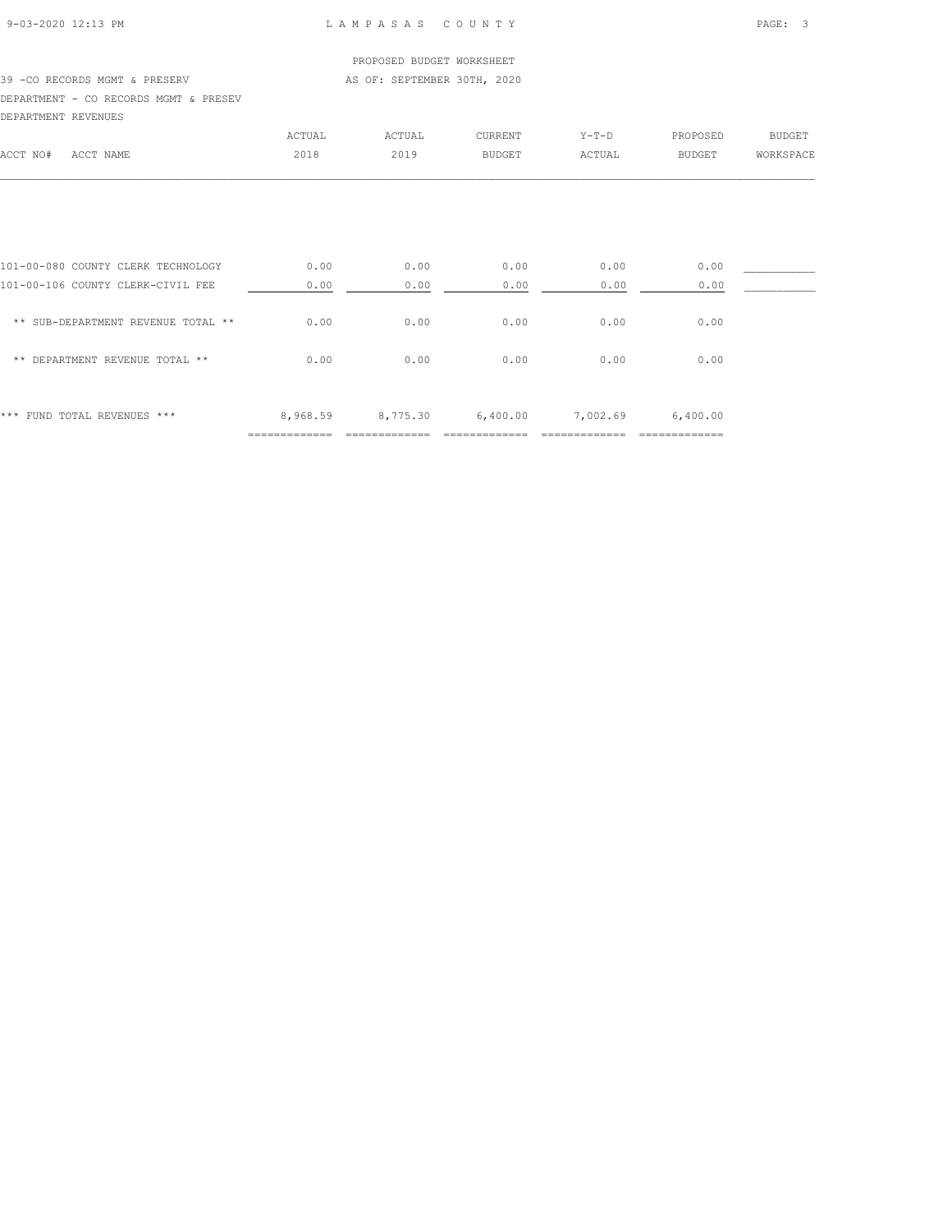### 9-03-2020 12:13 PM L A M P A S A S C O U N T Y PAGE: 3

### PROPOSED BUDGET WORKSHEET 39 -CO RECORDS MGMT & PRESERV AS OF: SEPTEMBER 30TH, 2020 DEPARTMENT - CO RECORDS MGMT & PRESEV DEPARTMENT REVENUES ACTUAL ACTUAL CURRENT Y-T-D PROPOSED BUDGET ACCT NO# ACCT NAME 2018 2019 BUDGET ACTUAL BUDGET WORKSPACE  $\mathcal{L} = \{ \mathcal{L} = \{ \mathcal{L} = \{ \mathcal{L} = \{ \mathcal{L} = \{ \mathcal{L} = \{ \mathcal{L} = \{ \mathcal{L} = \{ \mathcal{L} = \{ \mathcal{L} = \{ \mathcal{L} = \{ \mathcal{L} = \{ \mathcal{L} = \{ \mathcal{L} = \{ \mathcal{L} = \{ \mathcal{L} = \{ \mathcal{L} = \{ \mathcal{L} = \{ \mathcal{L} = \{ \mathcal{L} = \{ \mathcal{L} = \{ \mathcal{L} = \{ \mathcal{L} = \{ \mathcal{L} = \{ \mathcal{$

| 101-00-080 COUNTY CLERK TECHNOLOGY       | 0.00          | 0.00          | 0.00          | 0.00     | 0.00          |  |
|------------------------------------------|---------------|---------------|---------------|----------|---------------|--|
| 101-00-106 COUNTY CLERK-CIVIL FEE        | 0.00          | 0.00          | 0.00          | 0.00     | 0.00          |  |
|                                          |               |               |               |          |               |  |
| ** SUB-DEPARTMENT REVENUE TOTAL **       | 0.00          | 0.00          | 0.00          | 0.00     | 0.00          |  |
|                                          |               |               |               |          |               |  |
| DEPARTMENT REVENUE TOTAL **<br>$* *$     | 0.00          | 0.00          | 0.00          | 0.00     | 0.00          |  |
|                                          |               |               |               |          |               |  |
|                                          |               |               |               |          |               |  |
| ***<br>TOTAL REVENUES ***<br><b>FUND</b> | 8,968.59      | 8,775.30      | 6,400.00      | 7,002.69 | 6,400.00      |  |
|                                          | ============= | ------------- | ------------- |          | ============= |  |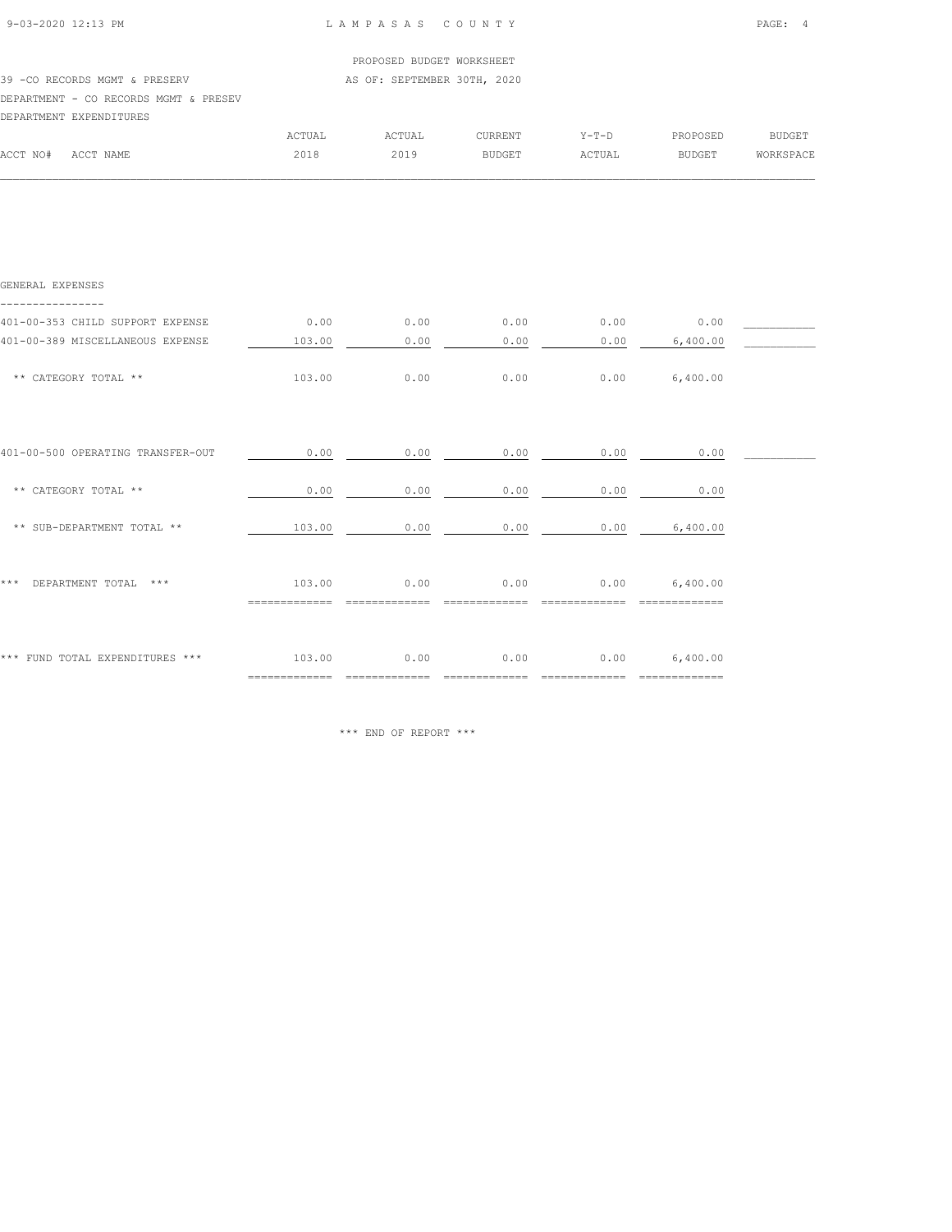| 9-03-2020 12:13 PM                    | LAMPASAS COUNTY             | PAGE: 4 |
|---------------------------------------|-----------------------------|---------|
|                                       | PROPOSED BUDGET WORKSHEET   |         |
| 39 - CO RECORDS MGMT & PRESERV        | AS OF: SEPTEMBER 30TH, 2020 |         |
| DEPARTMENT - CO RECORDS MGMT & PRESEV |                             |         |
| DEPARTMENT EXPENDITURES               |                             |         |

|          |           | ACTUAL | ACTUAI | CURRENT       | $Y - T - D$  | PROPOSED      | <b>BUDGET</b> |
|----------|-----------|--------|--------|---------------|--------------|---------------|---------------|
| ACCT NO# | ACCT NAME | 2018   | 2019   | <b>BUDGET</b> | <b>CTUAL</b> | <b>BUDGET</b> | WORKSPACE     |
|          |           |        |        |               |              |               |               |

| GENERAL EXPENSES                  |                                 |      |      |      |                 |  |
|-----------------------------------|---------------------------------|------|------|------|-----------------|--|
| 401-00-353 CHILD SUPPORT EXPENSE  | 0.00                            | 0.00 | 0.00 | 0.00 | 0.00            |  |
| 401-00-389 MISCELLANEOUS EXPENSE  | 103.00                          | 0.00 | 0.00 | 0.00 | 6,400.00        |  |
| ** CATEGORY TOTAL **              | 103.00                          | 0.00 | 0.00 | 0.00 | 6,400.00        |  |
|                                   |                                 |      |      |      |                 |  |
| 401-00-500 OPERATING TRANSFER-OUT | 0.00                            | 0.00 | 0.00 | 0.00 | 0.00            |  |
| ** CATEGORY TOTAL **              | 0.00                            | 0.00 | 0.00 | 0.00 | 0.00            |  |
| ** SUB-DEPARTMENT TOTAL **        | 103.00                          | 0.00 | 0.00 | 0.00 | 6,400.00        |  |
| DEPARTMENT TOTAL<br>* * *<br>***  | 103.00                          | 0.00 | 0.00 |      | $0.00$ 6,400.00 |  |
|                                   |                                 |      |      |      |                 |  |
| *** FUND TOTAL EXPENDITURES ***   | 103.00                          | 0.00 | 0.00 | 0.00 | 6,400.00        |  |
|                                   | $=$ = = = = = = = = = = = = = = |      |      |      | ========        |  |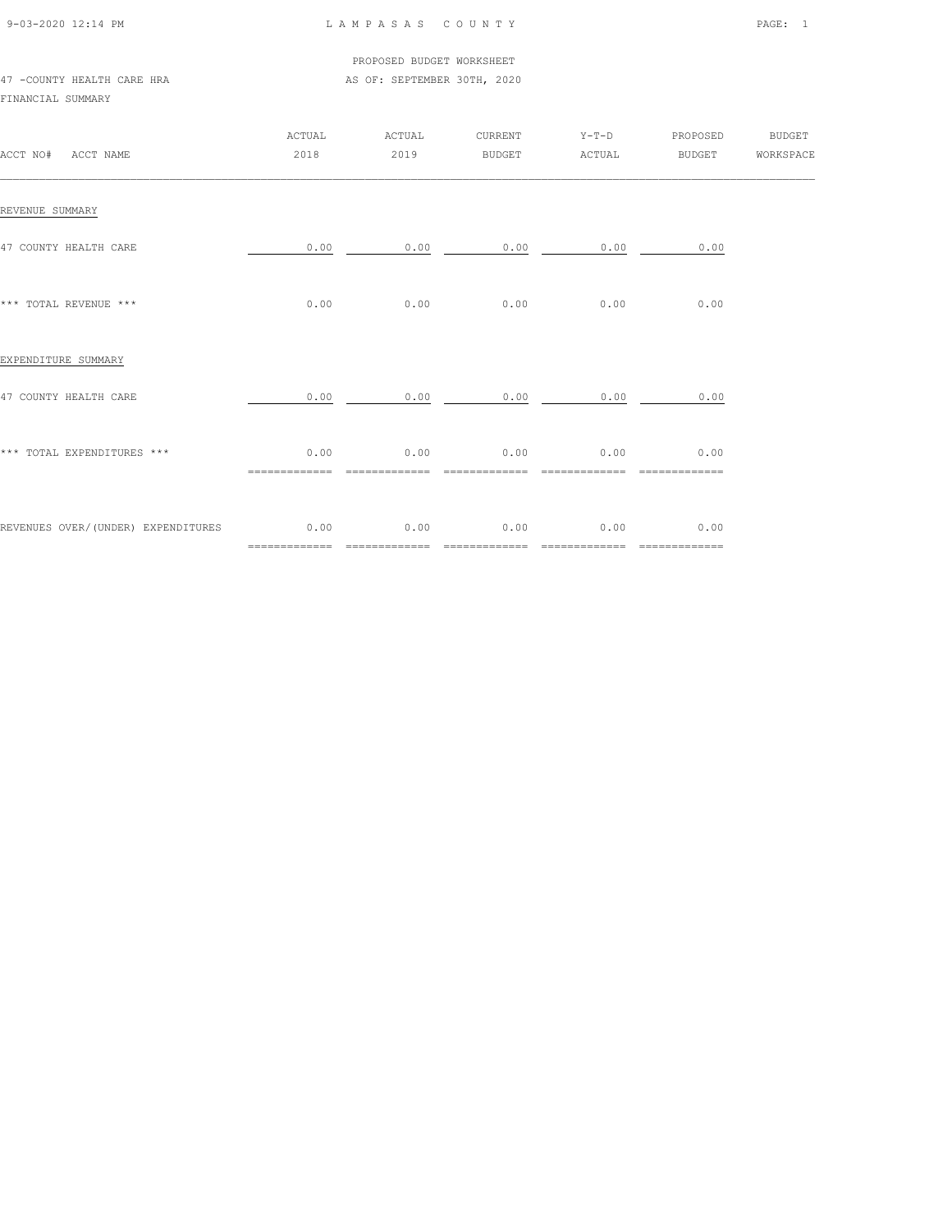| 9-03-2020 12:14 PM |  |
|--------------------|--|
|                    |  |

### L A M P A S A S C O U N T Y PAGE: 1

#### PROPOSED BUDGET WORKSHEET 47 -COUNTY HEALTH CARE HRA **AS OF: SEPTEMBER 30TH, 2020**

#### FINANCIAL SUMMARY

| ACCT NO# ACCT NAME                 | ACTUAL<br>2018        | ACTUAL<br>2019        |                       |                        | CURRENT Y-T-D PROPOSED BUDGET |  |
|------------------------------------|-----------------------|-----------------------|-----------------------|------------------------|-------------------------------|--|
| REVENUE SUMMARY                    |                       |                       |                       |                        |                               |  |
| 47 COUNTY HEALTH CARE              |                       | $0.00$ $0.00$         |                       | $0.00$ $0.00$          | 0.00                          |  |
| *** TOTAL REVENUE ***              | 0.00                  | 0.00                  | 0.00                  | 0.00                   | 0.00                          |  |
| EXPENDITURE SUMMARY                |                       |                       |                       |                        |                               |  |
| 47 COUNTY HEALTH CARE              | 0.00                  | 0.00                  | 0.00                  | 0.00                   | 0.00                          |  |
| *** TOTAL EXPENDITURES ***         | 0.00                  |                       | $0.00$ 0.00           |                        | $0.00$ 0.00<br>=============  |  |
| REVENUES OVER/(UNDER) EXPENDITURES | 0.00<br>============= | 0.00<br>============= | 0.00<br>============= | 0.00<br>============== | 0.00<br>=============         |  |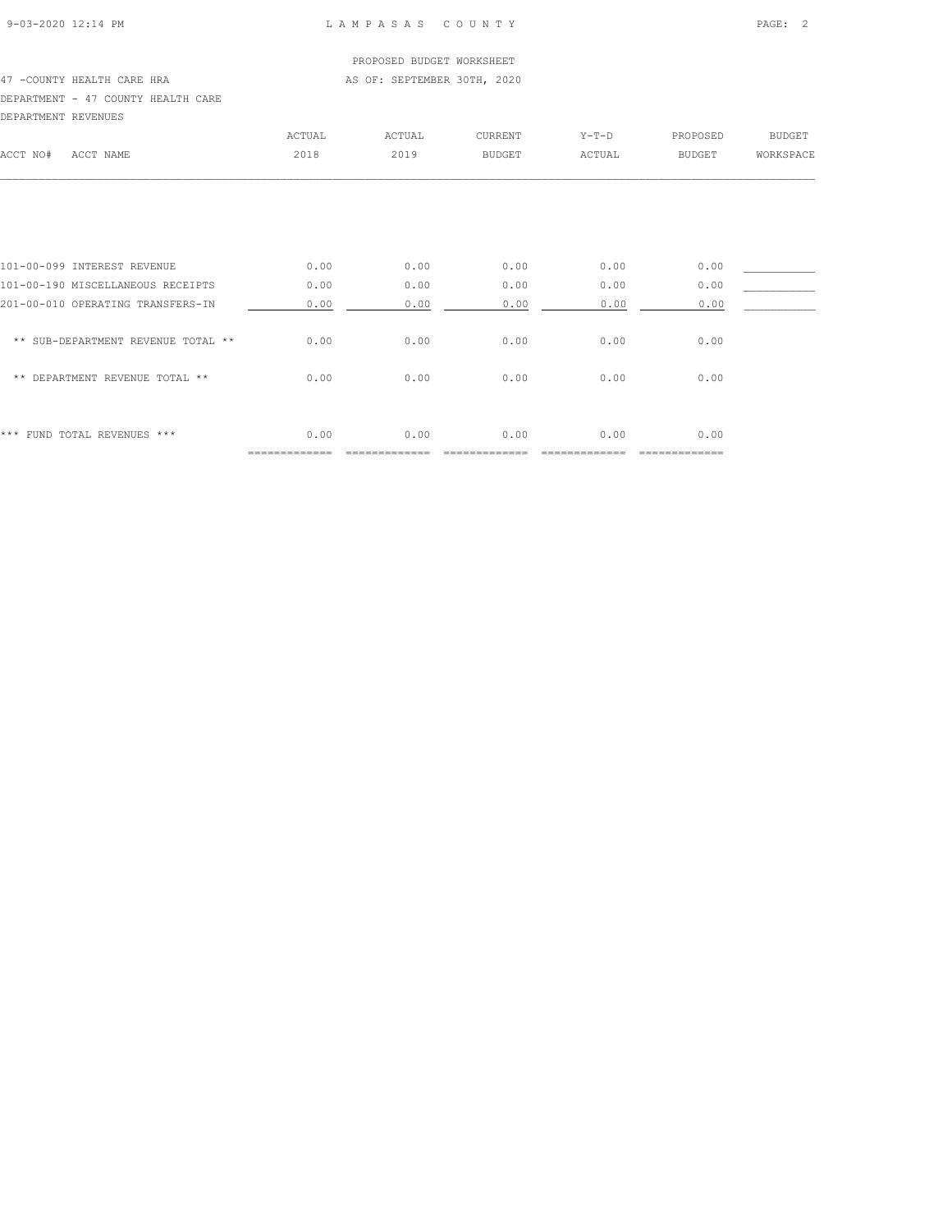### 9-03-2020 12:14 PM L A M P A S A S C O U N T Y PAGE: 2

### PROPOSED BUDGET WORKSHEET 47 -COUNTY HEALTH CARE HRA **AS OF: SEPTEMBER 30TH, 2020** DEPARTMENT - 47 COUNTY HEALTH CARE DEPARTMENT REVENUES

|                                    | ACTUAL | ACTUAL | <b>CURRENT</b> | $Y-T-D$ | PROPOSED      | <b>BUDGET</b> |
|------------------------------------|--------|--------|----------------|---------|---------------|---------------|
| ACCT NO#<br>ACCT NAME              | 2018   | 2019   | <b>BUDGET</b>  | ACTUAL  | <b>BUDGET</b> | WORKSPACE     |
|                                    |        |        |                |         |               |               |
|                                    |        |        |                |         |               |               |
| 101-00-099 INTEREST REVENUE        | 0.00   | 0.00   | 0.00           | 0.00    | 0.00          |               |
| 101-00-190 MISCELLANEOUS RECEIPTS  | 0.00   | 0.00   | 0.00           | 0.00    | 0.00          |               |
| 201-00-010 OPERATING TRANSFERS-IN  | 0.00   | 0.00   | 0.00           | 0.00    | 0.00          |               |
| ** SUB-DEPARTMENT REVENUE TOTAL ** | 0.00   | 0.00   | 0.00           | 0.00    | 0.00          |               |
| ** DEPARTMENT REVENUE TOTAL **     | 0.00   | 0.00   | 0.00           | 0.00    | 0.00          |               |
| *** FUND TOTAL REVENUES ***        | 0.00   | 0.00   | 0.00           | 0.00    | 0.00          |               |
|                                    |        |        |                |         | _________     |               |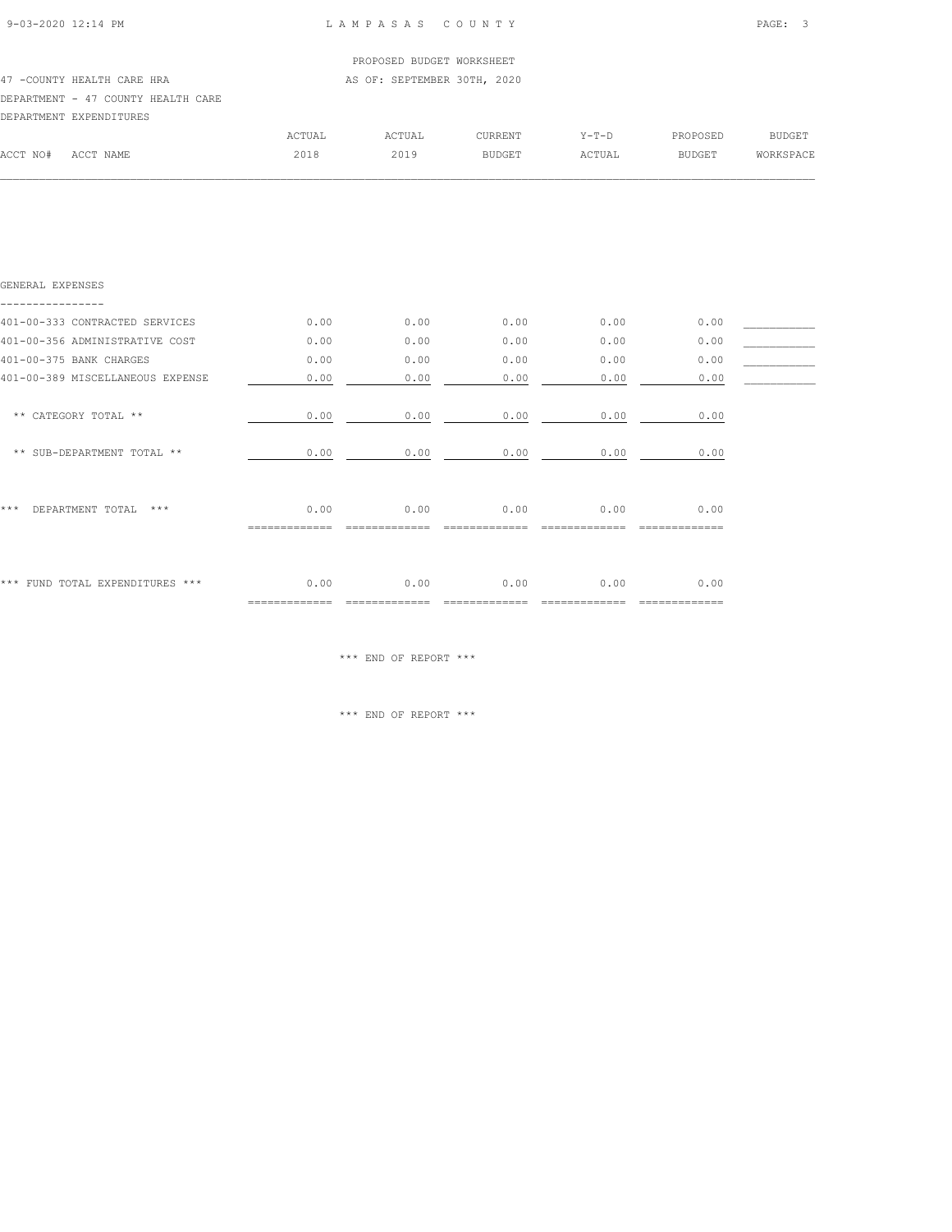| 9-03-2020 12:14 PM |  |
|--------------------|--|

### 9-03-2020 12:14 PM L A M P A S A S C O U N T Y PAGE: 3

|          |                                    |        | PROPOSED BUDGET WORKSHEET   |                |         |          |           |
|----------|------------------------------------|--------|-----------------------------|----------------|---------|----------|-----------|
|          | 47 - COUNTY HEALTH CARE HRA        |        | AS OF: SEPTEMBER 30TH, 2020 |                |         |          |           |
|          | DEPARTMENT - 47 COUNTY HEALTH CARE |        |                             |                |         |          |           |
|          | DEPARTMENT EXPENDITURES            |        |                             |                |         |          |           |
|          |                                    | ACTUAL | ACTUAL                      | <b>CURRENT</b> | $Y-T-D$ | PROPOSED | BUDGET    |
| ACCT NO# | ACCT NAME                          | 2018   | 2019                        | BUDGET         | ACTUAL  | BUDGET   | WORKSPACE |
|          |                                    |        |                             |                |         |          |           |

| GENERAL EXPENSES                   |                        |      |      |      |                  |  |
|------------------------------------|------------------------|------|------|------|------------------|--|
| 401-00-333 CONTRACTED SERVICES     | 0.00                   | 0.00 | 0.00 | 0.00 | 0.00             |  |
| 401-00-356 ADMINISTRATIVE COST     | 0.00                   | 0.00 | 0.00 | 0.00 | 0.00             |  |
| 401-00-375 BANK CHARGES            | 0.00                   | 0.00 | 0.00 | 0.00 | 0.00             |  |
| 401-00-389 MISCELLANEOUS EXPENSE   | 0.00                   | 0.00 | 0.00 | 0.00 | 0.00             |  |
| ** CATEGORY TOTAL **               | 0.00                   | 0.00 | 0.00 | 0.00 | 0.00             |  |
| ** SUB-DEPARTMENT TOTAL **         | 0.00                   | 0.00 | 0.00 | 0.00 | 0.00             |  |
| ***<br>DEPARTMENT TOTAL<br>$* * *$ | 0.00                   | 0.00 | 0.00 | 0.00 | 0.00             |  |
| *** FUND TOTAL EXPENDITURES ***    | 0.00<br>============== | 0.00 | 0.00 | 0.00 | 0.00<br>-------- |  |

\*\*\* END OF REPORT \*\*\*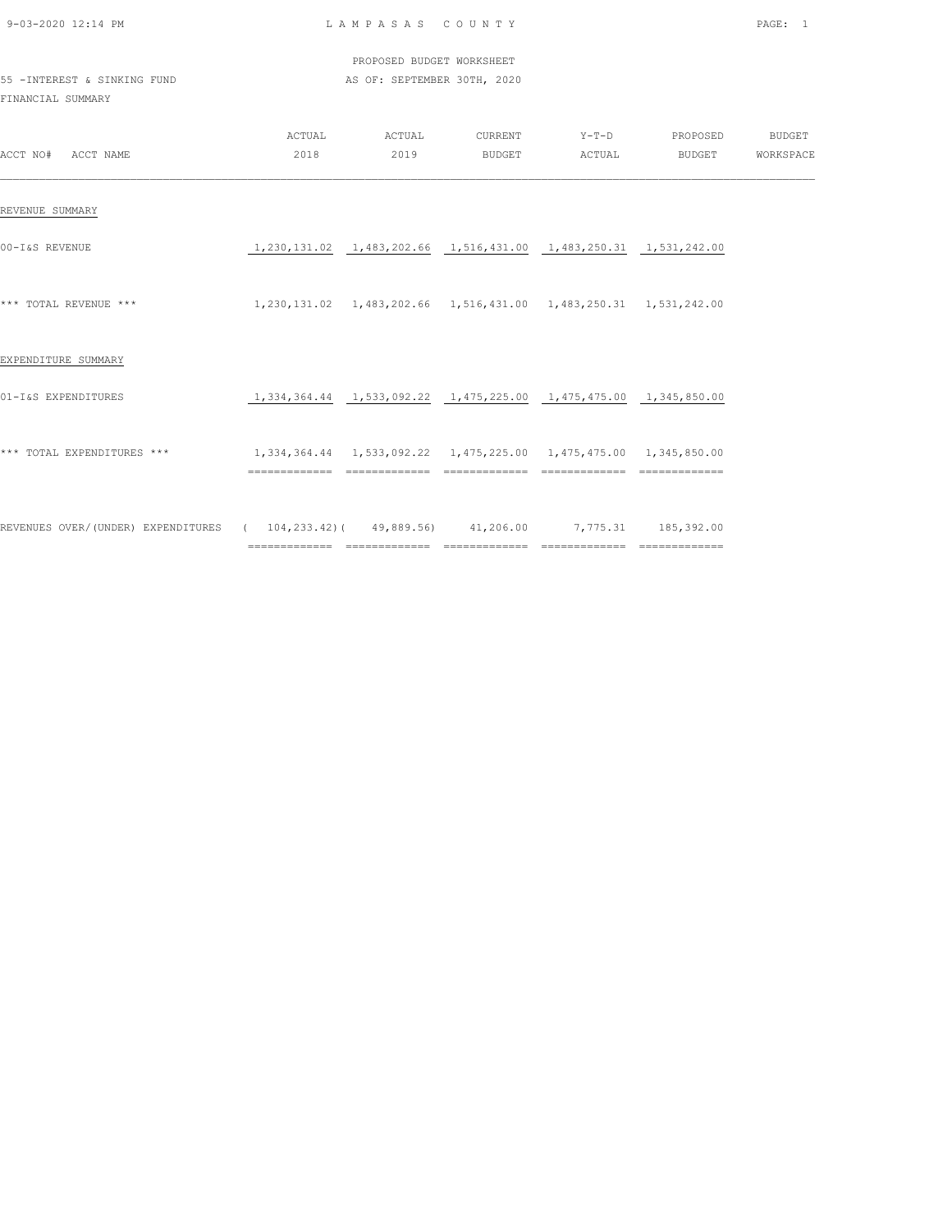| 9-03-2020 12:14 PM                                                                         |                                                                                | LAMPASAS COUNTY             |  |                                                                                             | PAGE: 1 |
|--------------------------------------------------------------------------------------------|--------------------------------------------------------------------------------|-----------------------------|--|---------------------------------------------------------------------------------------------|---------|
|                                                                                            |                                                                                | PROPOSED BUDGET WORKSHEET   |  |                                                                                             |         |
| 55 - INTEREST & SINKING FUND<br>FINANCIAL SUMMARY                                          |                                                                                | AS OF: SEPTEMBER 30TH, 2020 |  |                                                                                             |         |
| ACCT NO# ACCT NAME                                                                         |                                                                                |                             |  | ACTUAL ACTUAL CURRENT Y-T-D PROPOSED BUDGET<br>2018  2019  BUDGET  ACTUAL BUDGET  WORKSPACE |         |
| REVENUE SUMMARY                                                                            |                                                                                |                             |  |                                                                                             |         |
| 00-I&S REVENUE                                                                             | 1,230,131.02  1,483,202.66  1,516,431.00  1,483,250.31  1,531,242.00           |                             |  |                                                                                             |         |
| *** TOTAL REVENUE ***                                                                      | 1, 230, 131.02  1, 483, 202.66  1, 516, 431.00  1, 483, 250.31  1, 531, 242.00 |                             |  |                                                                                             |         |
| EXPENDITURE SUMMARY                                                                        |                                                                                |                             |  |                                                                                             |         |
| 01-I&S EXPENDITURES                                                                        | 1, 334, 364.44 1, 533, 092.22 1, 475, 225.00 1, 475, 475.00 1, 345, 850.00     |                             |  |                                                                                             |         |
| *** TOTAL EXPENDITURES ***                                                                 | 1,334,364.44   1,533,092.22   1,475,225.00   1,475,475.00   1,345,850.00       |                             |  |                                                                                             |         |
| REVENUES OVER/(UNDER) EXPENDITURES ( 104,233.42)( 49,889.56) 41,206.00 7,775.31 185,392.00 |                                                                                |                             |  |                                                                                             |         |

============= ============= ============= ============= =============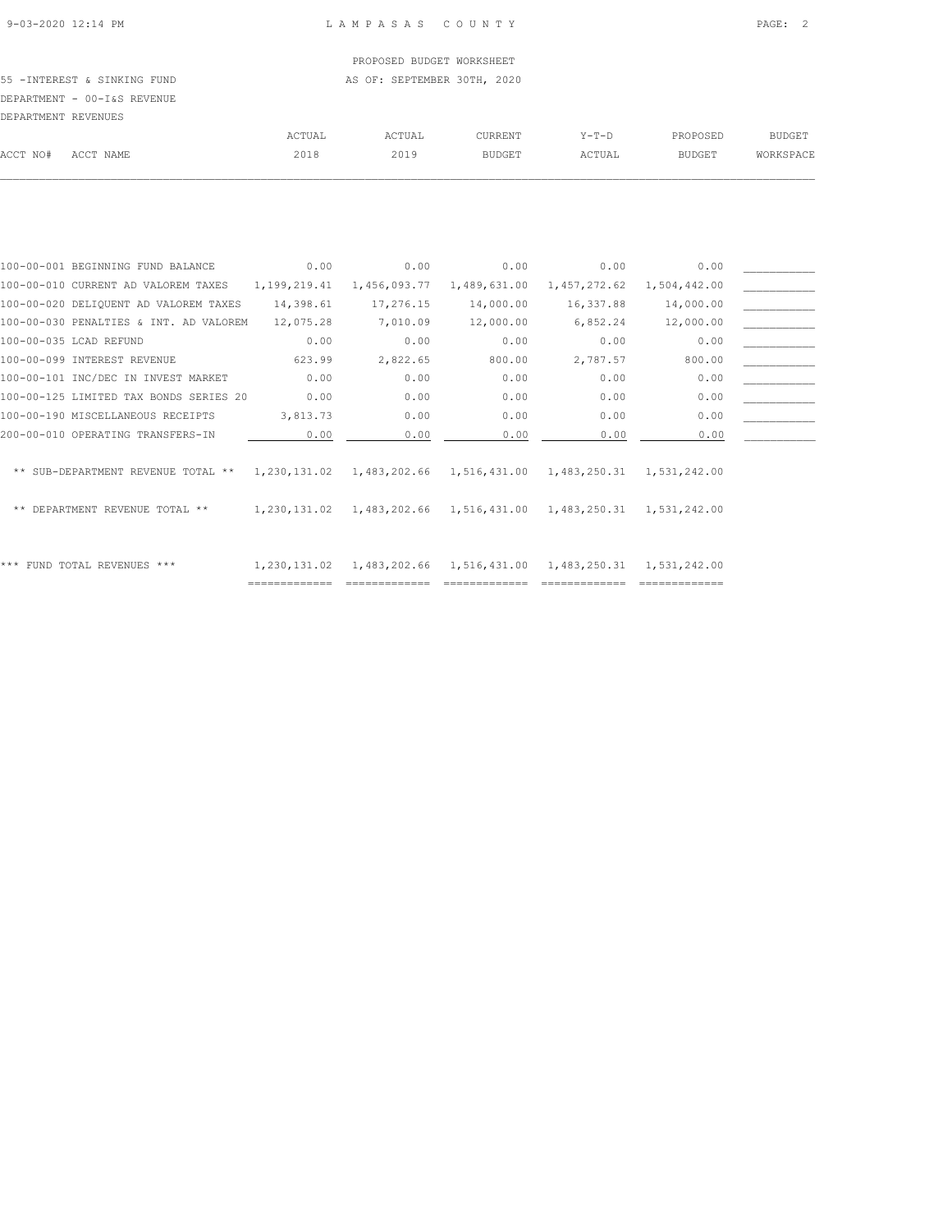# PROPOSED BUDGET WORKSHEET

55 -INTEREST & SINKING FUND **AS OF: SEPTEMBER 30TH, 2020** DEPARTMENT - 00-I&S REVENUE

| DEPARTMENT REVENUES |           |        |        |                |         |               |               |
|---------------------|-----------|--------|--------|----------------|---------|---------------|---------------|
|                     |           | ACTUAL | ACTUAL | <b>CURRENT</b> | $Y-T-D$ | PROPOSED      | <b>BUDGET</b> |
| ACCT NO#            | ACCT NAME | 2018   | 2019   | <b>BUDGET</b>  | ACTUAL  | <b>BUDGET</b> | WORKSPACE     |
|                     |           |        |        |                |         |               |               |

| 100-00-001 BEGINNING FUND BALANCE                 | 0.00         | 0.00         | 0.00                      | 0.00         | 0.00                      |  |
|---------------------------------------------------|--------------|--------------|---------------------------|--------------|---------------------------|--|
| 100-00-010 CURRENT AD VALOREM TAXES               | 1,199,219.41 | 1,456,093.77 | 1,489,631.00              | 1,457,272.62 | 1,504,442.00              |  |
| 100-00-020 DELIQUENT AD VALOREM TAXES             | 14,398.61    | 17,276.15    | 14,000.00                 | 16,337.88    | 14,000.00                 |  |
| 100-00-030 PENALTIES & INT. AD VALOREM            | 12,075.28    | 7,010.09     | 12,000.00                 | 6,852.24     | 12,000.00                 |  |
| 100-00-035 LCAD REFUND                            | 0.00         | 0.00         | 0.00                      | 0.00         | 0.00                      |  |
| 100-00-099 INTEREST REVENUE                       | 623.99       | 2,822.65     | 800.00                    | 2,787.57     | 800.00                    |  |
| 100-00-101 INC/DEC IN INVEST MARKET               | 0.00         | 0.00         | 0.00                      | 0.00         | 0.00                      |  |
| 100-00-125 LIMITED TAX BONDS SERIES 20            | 0.00         | 0.00         | 0.00                      | 0.00         | 0.00                      |  |
| 100-00-190 MISCELLANEOUS RECEIPTS                 | 3,813.73     | 0.00         | 0.00                      | 0.00         | 0.00                      |  |
| 200-00-010 OPERATING TRANSFERS-IN                 | 0.00         | 0.00         | 0.00                      | 0.00         | 0.00                      |  |
|                                                   |              |              |                           |              |                           |  |
| ** SUB-DEPARTMENT REVENUE TOTAL ** $1,230,131.02$ |              |              | 1,483,202.66 1,516,431.00 |              | 1,483,250.31 1,531,242.00 |  |
|                                                   |              |              |                           |              |                           |  |
| DEPARTMENT REVENUE TOTAL **                       | 1,230,131.02 |              | 1,483,202.66 1,516,431.00 |              | 1,483,250.31 1,531,242.00 |  |
|                                                   |              |              |                           |              |                           |  |
|                                                   |              |              |                           |              |                           |  |
| ***<br>FUND TOTAL REVENUES ***                    | 1,230,131.02 |              | 1,483,202.66 1,516,431.00 | 1,483,250.31 | 1,531,242.00              |  |
|                                                   |              |              |                           |              |                           |  |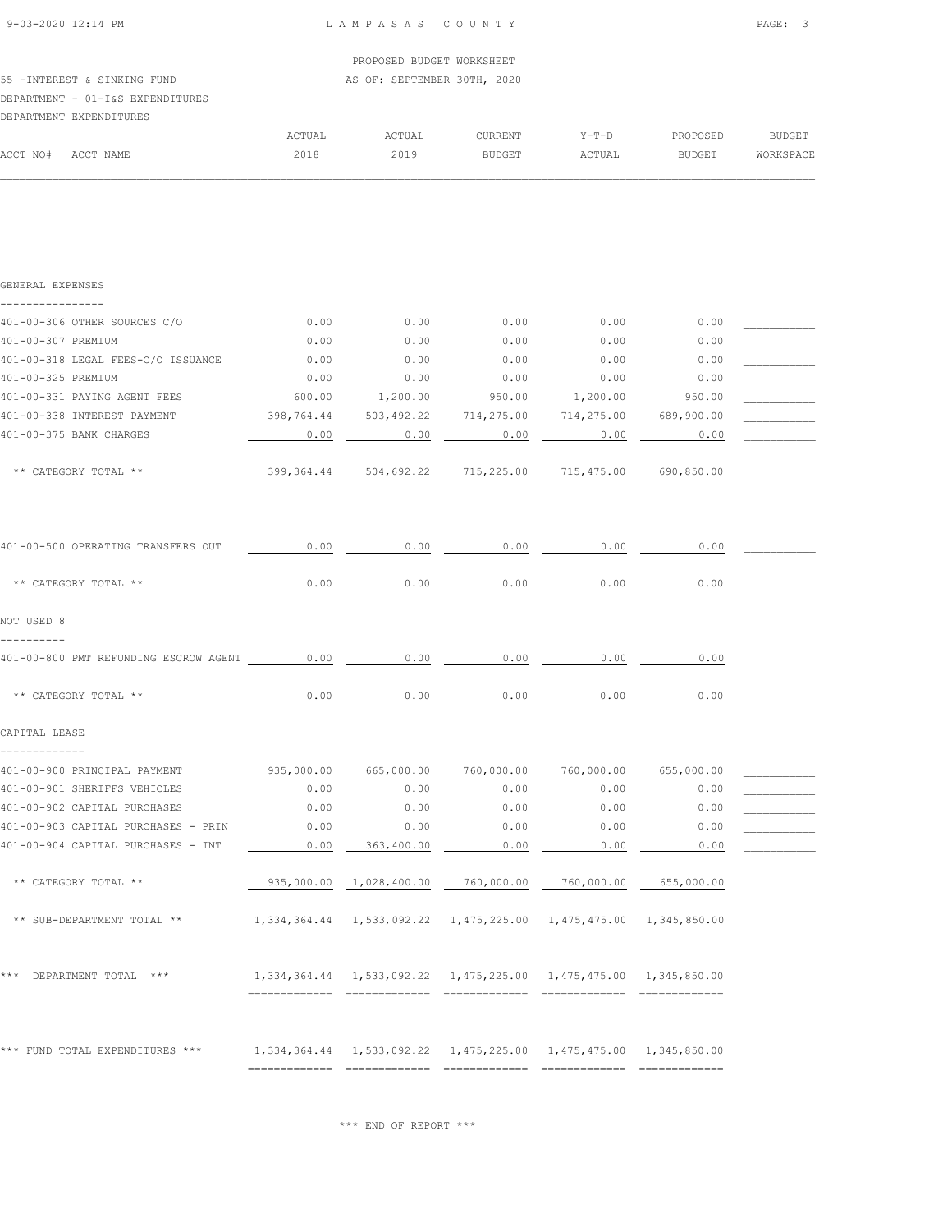ACCT NO# ACCT NAME 2018 2019 BUDGET ACTUAL BUDGET WORKSPACE  $\mathcal{L} = \{ \mathcal{L} = \{ \mathcal{L} = \{ \mathcal{L} = \{ \mathcal{L} = \{ \mathcal{L} = \{ \mathcal{L} = \{ \mathcal{L} = \{ \mathcal{L} = \{ \mathcal{L} = \{ \mathcal{L} = \{ \mathcal{L} = \{ \mathcal{L} = \{ \mathcal{L} = \{ \mathcal{L} = \{ \mathcal{L} = \{ \mathcal{L} = \{ \mathcal{L} = \{ \mathcal{L} = \{ \mathcal{L} = \{ \mathcal{L} = \{ \mathcal{L} = \{ \mathcal{L} = \{ \mathcal{L} = \{ \mathcal{$ 

|                                  |        | PROPOSED BUDGET WORKSHEET   |         |         |          |               |
|----------------------------------|--------|-----------------------------|---------|---------|----------|---------------|
| 55 - INTEREST & SINKING FUND     |        | AS OF: SEPTEMBER 30TH, 2020 |         |         |          |               |
| DEPARTMENT - 01-I&S EXPENDITURES |        |                             |         |         |          |               |
| DEPARTMENT EXPENDITURES          |        |                             |         |         |          |               |
|                                  | ACTUAL | ACTUAL                      | CURRENT | $Y-T-D$ | PROPOSED | <b>BUDGET</b> |

| GENERAL EXPENSES                                                                                 |        |                                                                            |        |                       |            |  |
|--------------------------------------------------------------------------------------------------|--------|----------------------------------------------------------------------------|--------|-----------------------|------------|--|
| . _ _ _ _ _ _ _ _ _ _ _ _ _ _<br>401-00-306 OTHER SOURCES C/O                                    | 0.00   | 0.00                                                                       | 0.00   | 0.00                  | 0.00       |  |
| 401-00-307 PREMIUM                                                                               | 0.00   | 0.00                                                                       | 0.00   | 0.00                  | 0.00       |  |
| 401-00-318 LEGAL FEES-C/O ISSUANCE                                                               | 0.00   | 0.00                                                                       | 0.00   | 0.00                  | 0.00       |  |
| 401-00-325 PREMIUM                                                                               | 0.00   | 0.00                                                                       | 0.00   | 0.00                  | 0.00       |  |
| 401-00-331 PAYING AGENT FEES                                                                     | 600.00 | 1,200.00                                                                   | 950.00 | 1,200.00              | 950.00     |  |
| 401-00-338 INTEREST PAYMENT                                                                      |        | 398,764.44 503,492.22 714,275.00 714,275.00 689,900.00                     |        |                       |            |  |
| 401-00-375 BANK CHARGES                                                                          | 0.00   | 0.00                                                                       | 0.00   | 0.00                  | 0.00       |  |
| ** CATEGORY TOTAL **                                                                             |        | 399,364.44 504,692.22 715,225.00 715,475.00                                |        |                       | 690,850.00 |  |
| 401-00-500 OPERATING TRANSFERS OUT                                                               | 0.00   | 0.00                                                                       | 0.00   | 0.00                  | 0.00       |  |
| ** CATEGORY TOTAL **                                                                             | 0.00   | 0.00                                                                       | 0.00   | 0.00                  | 0.00       |  |
| NOT USED 8                                                                                       |        |                                                                            |        |                       |            |  |
|                                                                                                  |        |                                                                            |        |                       |            |  |
| 401-00-800 PMT REFUNDING ESCROW AGENT 0.00                                                       |        | 0.00                                                                       | 0.00   | 0.00                  | 0.00       |  |
| ** CATEGORY TOTAL **                                                                             | 0.00   | 0.00                                                                       | 0.00   | 0.00                  | 0.00       |  |
| CAPITAL LEASE                                                                                    |        |                                                                            |        |                       |            |  |
| -------------<br>401-00-900 PRINCIPAL PAYMENT                                                    |        | 935,000.00 665,000.00                                                      |        | 760,000.00 760,000.00 | 655,000.00 |  |
| 401-00-901 SHERIFFS VEHICLES                                                                     | 0.00   | 0.00                                                                       | 0.00   | 0.00                  | 0.00       |  |
| 401-00-902 CAPITAL PURCHASES                                                                     | 0.00   | 0.00                                                                       | 0.00   | 0.00                  | 0.00       |  |
| 401-00-903 CAPITAL PURCHASES - PRIN                                                              | 0.00   | 0.00                                                                       | 0.00   | 0.00                  | 0.00       |  |
| 401-00-904 CAPITAL PURCHASES - INT                                                               | 0.00   | 363,400.00                                                                 | 0.00   | 0.00                  | 0.00       |  |
| ** CATEGORY TOTAL **                                                                             |        | 935,000.00  1,028,400.00  760,000.00  760,000.00                           |        |                       | 655,000.00 |  |
| ** SUB-DEPARTMENT TOTAL **                                                                       |        | $1,334,364.44$ $1,533,092.22$ $1,475,225.00$ $1,475,475.00$ $1,345,850.00$ |        |                       |            |  |
| *** DEPARTMENT TOTAL ***                                                                         |        | 1,334,364.44  1,533,092.22  1,475,225.00  1,475,475.00  1,345,850.00       |        |                       |            |  |
| *** FUND TOTAL EXPENDITURES *** 1,334,364.44 1,533,092.22 1,475,225.00 1,475,475.00 1,345,850.00 |        |                                                                            |        |                       |            |  |

\*\*\* END OF REPORT \*\*\*

============= ============= ============= ============= =============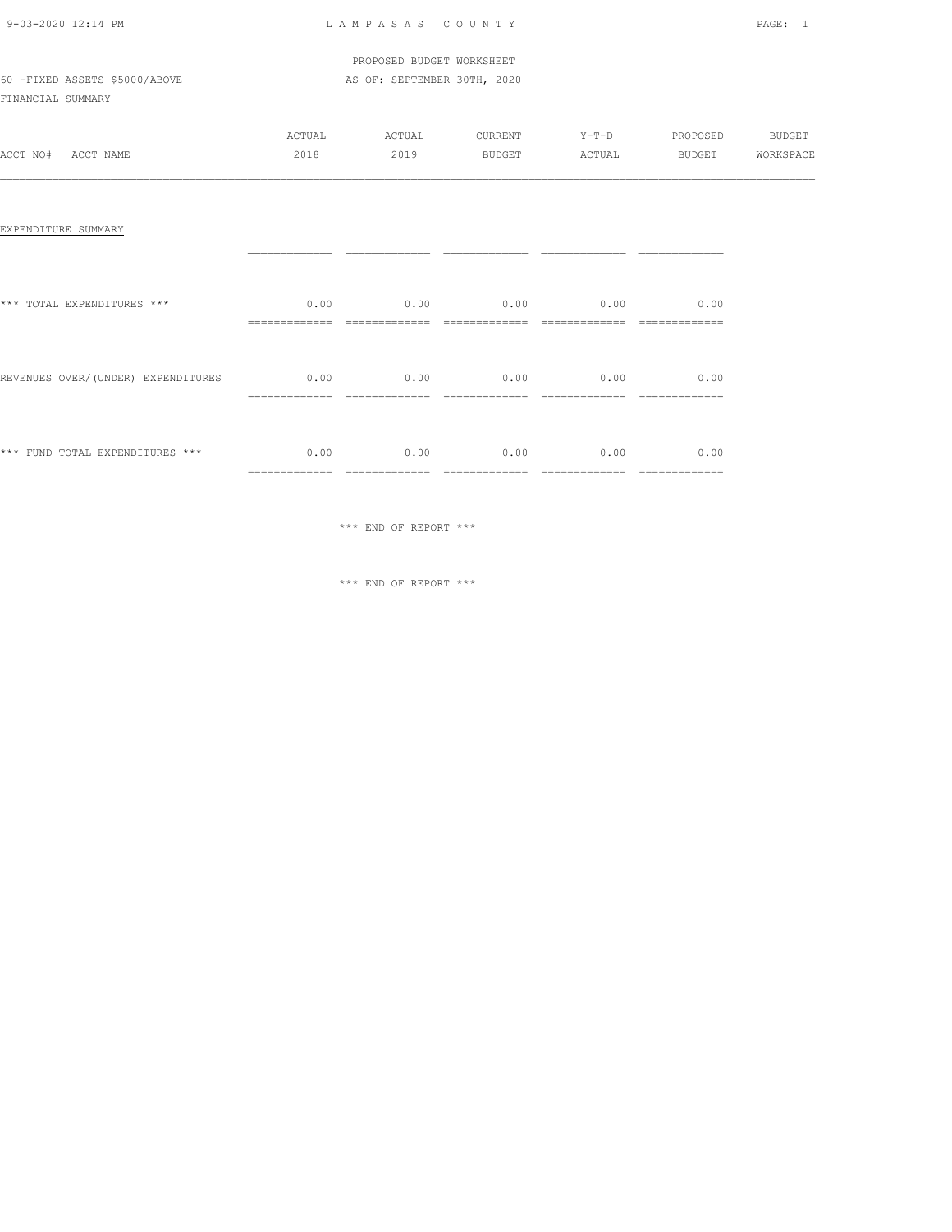| 9-03-2020 12:14 PM |  |
|--------------------|--|

### LAMPASAS COUNTY PAGE: 1

### PROPOSED BUDGET WORKSHEET 60 -FIXED ASSETS \$5000/ABOVE AS OF: SEPTEMBER 30TH, 2020

FINANCIAL SUMMARY

|          |           | ACTUAL | ACTUAL | CURRENT | $Y-T-D$ | PROPOSED      | <b>BUDGET</b> |
|----------|-----------|--------|--------|---------|---------|---------------|---------------|
| ACCT NO# | ACCT NAME | 2018   | 2019   | BUDGET  | ACTUAL  | <b>BUDGET</b> | WORKSPACE     |
|          |           |        |        |         |         |               |               |

#### EXPENDITURE SUMMARY

| *** TOTAL EXPENDITURES ***         | 0.00<br>=============  | 0.00<br>_____________                  | 0.00<br>____________                    | 0.00                                  | 0.00<br>---------------- |
|------------------------------------|------------------------|----------------------------------------|-----------------------------------------|---------------------------------------|--------------------------|
| REVENUES OVER/(UNDER) EXPENDITURES | 0.00<br>============== | 0.00<br>==============                 | 0.00<br>=============                   | 0.00<br>-------------<br>-----------  | 0.00<br>=============    |
| *** FUND TOTAL EXPENDITURES ***    | 0.00<br>============== | 0.00<br>_____________<br>------------- | 0.00<br>---------------<br>------------ | 0.00<br>_____________<br>------------ | 0.00<br>==============   |

\*\*\* END OF REPORT \*\*\*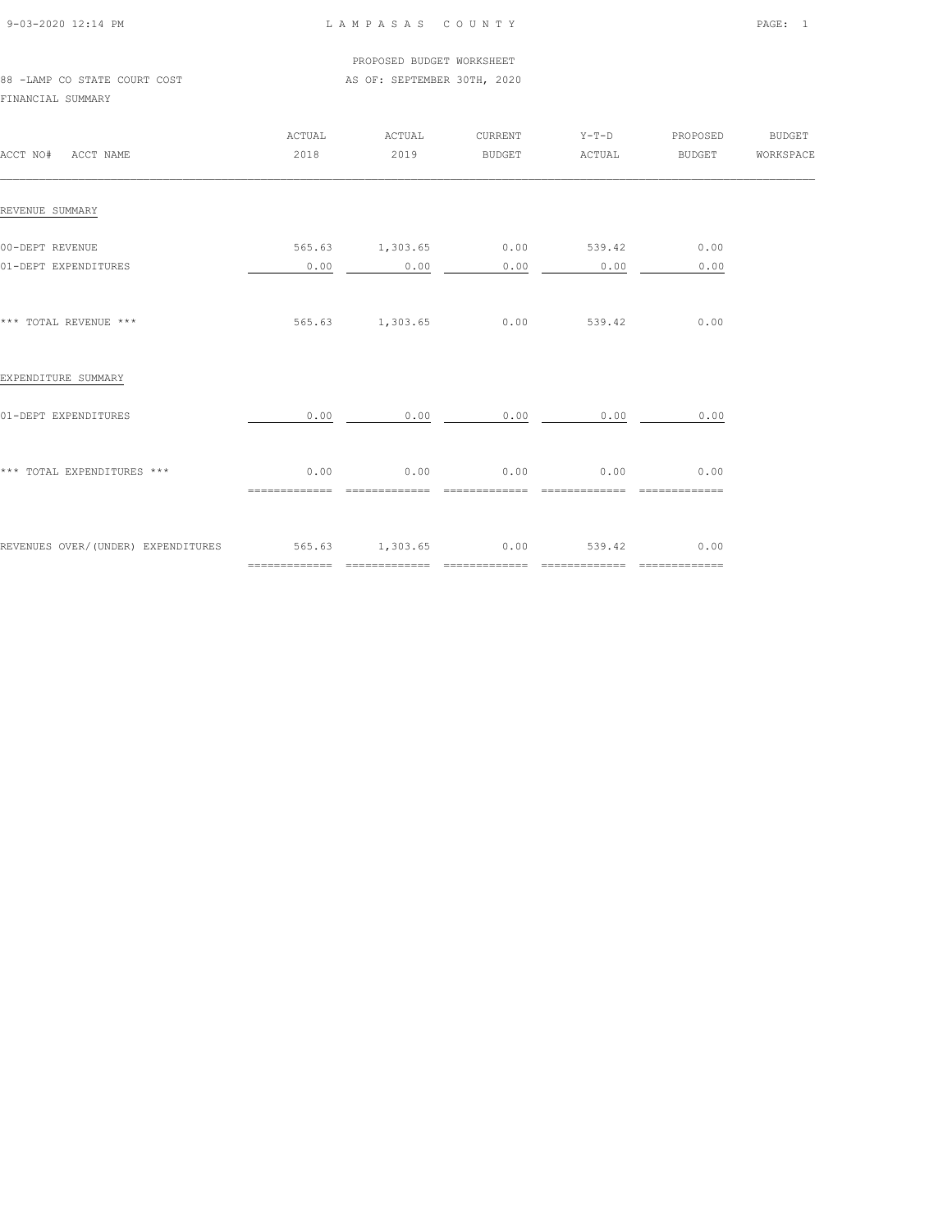| 9-03-2020 12:14 PM |  |
|--------------------|--|

### LAMPASAS COUNTY PAGE: 1

 PROPOSED BUDGET WORKSHEET 88 -LAMP CO STATE COURT COST AS OF: SEPTEMBER 30TH, 2020

FINANCIAL SUMMARY

| ACCT NO# ACCT NAME                                             | ACTUAL<br>2018         | ACTUAL<br>2019                      |                        | CURRENT Y-T-D PROPOSED BUDGET    |                                       |  |
|----------------------------------------------------------------|------------------------|-------------------------------------|------------------------|----------------------------------|---------------------------------------|--|
| REVENUE SUMMARY                                                |                        |                                     |                        |                                  |                                       |  |
| 00-DEPT REVENUE<br>01-DEPT EXPENDITURES                        | 0.00                   | 565.63 1,303.65 0.00 539.42<br>0.00 | 0.00                   | 0.00                             | 0.00<br>0.00                          |  |
| *** TOTAL REVENUE ***                                          |                        | 565.63 1,303.65 0.00 539.42         |                        |                                  | 0.00                                  |  |
| EXPENDITURE SUMMARY                                            |                        |                                     |                        |                                  |                                       |  |
| 01-DEPT EXPENDITURES                                           | 0.00                   | 0.00                                | 0.00                   | 0.00                             | 0.00                                  |  |
| *** TOTAL EXPENDITURES ***                                     | 0.00<br>============== | 0.00<br>=============               | 0.00<br>============== | 0.00<br>==============           | 0.00<br>$=$ = = = = = = = = = = = = = |  |
| REVENUES OVER/(UNDER) EXPENDITURES 565.63 1,303.65 0.00 539.42 |                        |                                     |                        | ________________________________ | 0.00                                  |  |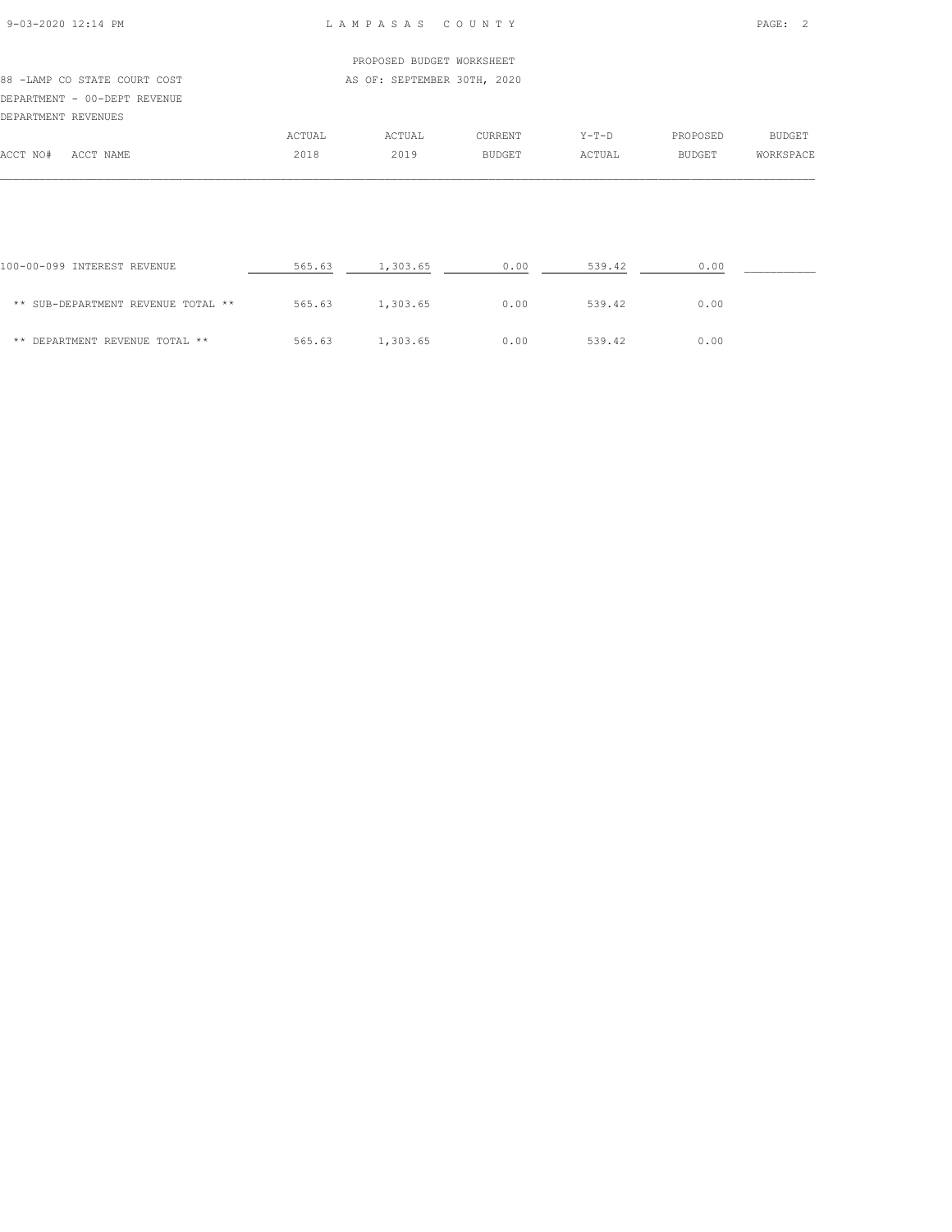### 9-03-2020 12:14 PM L A M P A S A S C O U N T Y PAGE: 2

### PROPOSED BUDGET WORKSHEET 88 -LAMP CO STATE COURT COST AS OF: SEPTEMBER 30TH, 2020 DEPARTMENT - 00-DEPT REVENUE DEPARTMENT REVENUES ACTUAL ACTUAL CURRENT Y-T-D PROPOSED BUDGET

|          |           | ACIUAL | ACIUAL | UURREN 1      | 1-1-D | PRUPUSED      | <b>DUDGEI</b> |
|----------|-----------|--------|--------|---------------|-------|---------------|---------------|
| ACCT NO# | ACCT NAME | 2018   | 2019   | <b>BUDGET</b> | CTUAL | <b>BUDGET</b> | WORKSPACE     |
|          |           |        |        |               |       |               |               |

| 100-00-099 INTEREST REVENUE        | 565.63 | 1,303.65 | 0.00 | 539.42 | 0.00 |  |
|------------------------------------|--------|----------|------|--------|------|--|
| ** SUB-DEPARTMENT REVENUE TOTAL ** | 565.63 | 1,303.65 | 0.00 | 539.42 | 0.00 |  |
| ** DEPARTMENT REVENUE TOTAL **     | 565.63 | 1,303.65 | 0.00 | 539.42 | 0.00 |  |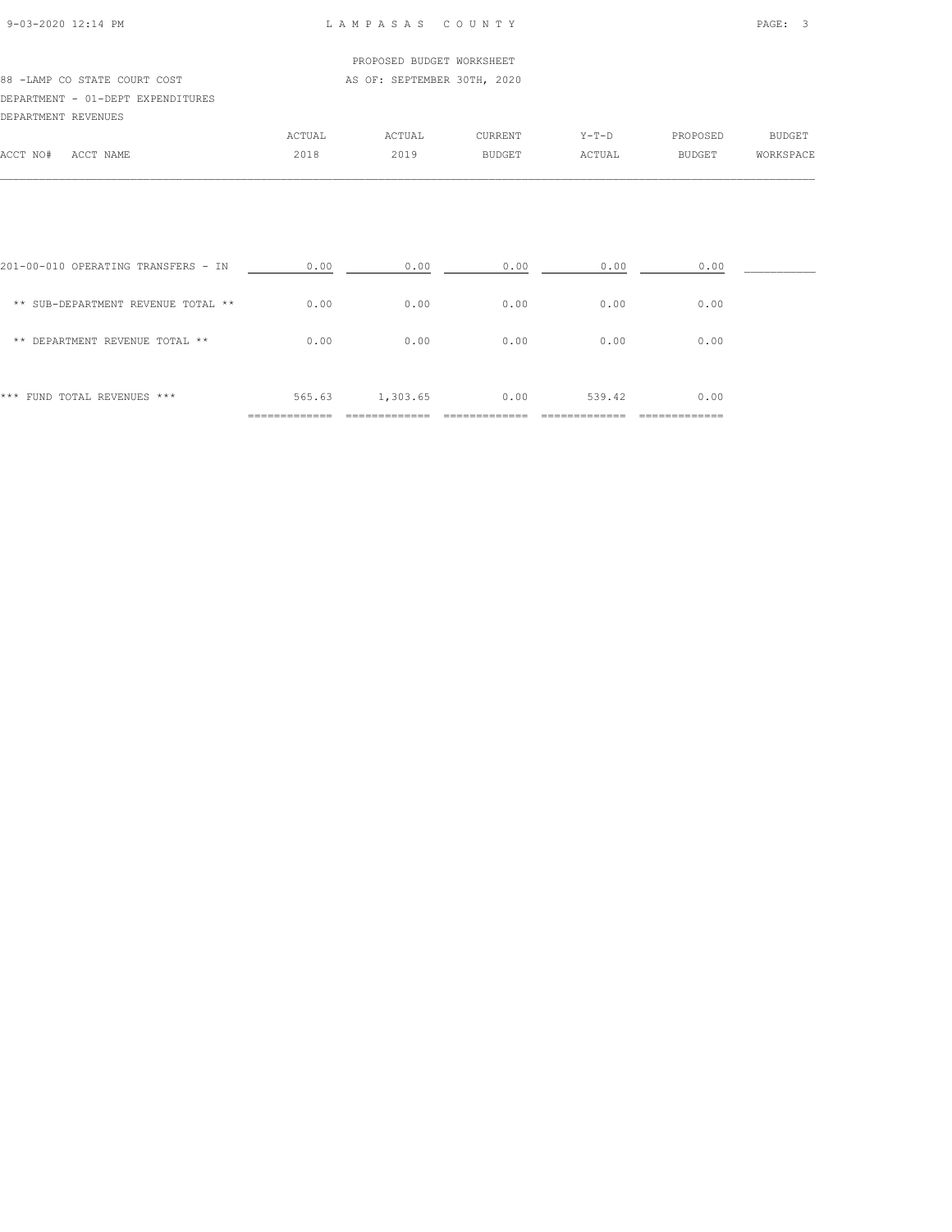### 9-03-2020 12:14 PM L A M P A S A S C O U N T Y PAGE: 3

## PROPOSED BUDGET WORKSHEET

#### 88 -LAMP CO STATE COURT COST AS OF: SEPTEMBER 30TH, 2020 DEPARTMENT - 01-DEPT EXPENDITURES

| DEPARTMENT REVENUES |           |        |        |               |         |               |               |
|---------------------|-----------|--------|--------|---------------|---------|---------------|---------------|
|                     |           | ACTUAL | ACTUAL | CURRENT       | $Y-T-D$ | PROPOSED      | <b>BUDGET</b> |
| ACCT NO#            | ACCT NAME | 2018   | 2019   | <b>BUDGET</b> | ACTUAL  | <b>BUDGET</b> | WORKSPACE     |
|                     |           |        |        |               |         |               |               |

|                                     | --------- |          |      |        |      |  |
|-------------------------------------|-----------|----------|------|--------|------|--|
| *** FUND TOTAL REVENUES ***         | 565.63    | 1,303.65 | 0.00 | 539.42 | 0.00 |  |
| ** DEPARTMENT REVENUE TOTAL **      | 0.00      | 0.00     | 0.00 | 0.00   | 0.00 |  |
| ** SUB-DEPARTMENT REVENUE TOTAL **  | 0.00      | 0.00     | 0.00 | 0.00   | 0.00 |  |
| 201-00-010 OPERATING TRANSFERS - IN | 0.00      | 0.00     | 0.00 | 0.00   | 0.00 |  |